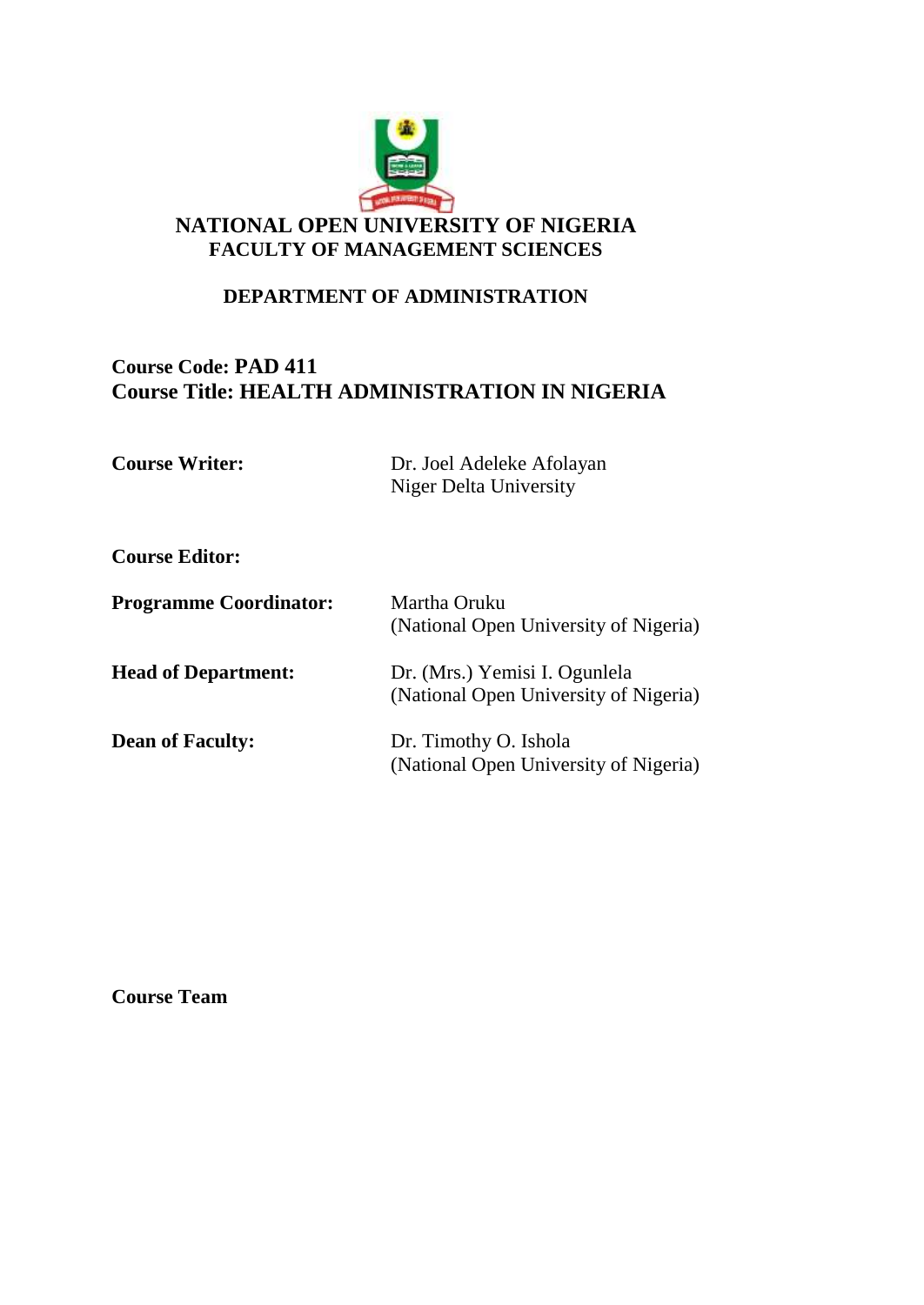

#### **DEPARTMENT OF ADMINISTRATION**

#### **Course Code: PAD 411 Course Title: HEALTH ADMINISTRATION IN NIGERIA**

| <b>Course Writer:</b> | Dr. Joel Adeleke Afolayan |
|-----------------------|---------------------------|
|                       | Niger Delta University    |

**Course Editor:**

| <b>Programme Coordinator:</b> | Martha Oruku<br>(National Open University of Nigeria)                  |
|-------------------------------|------------------------------------------------------------------------|
| <b>Head of Department:</b>    | Dr. (Mrs.) Yemisi I. Ogunlela<br>(National Open University of Nigeria) |
| <b>Dean of Faculty:</b>       | Dr. Timothy O. Ishola<br>(National Open University of Nigeria)         |

**Course Team**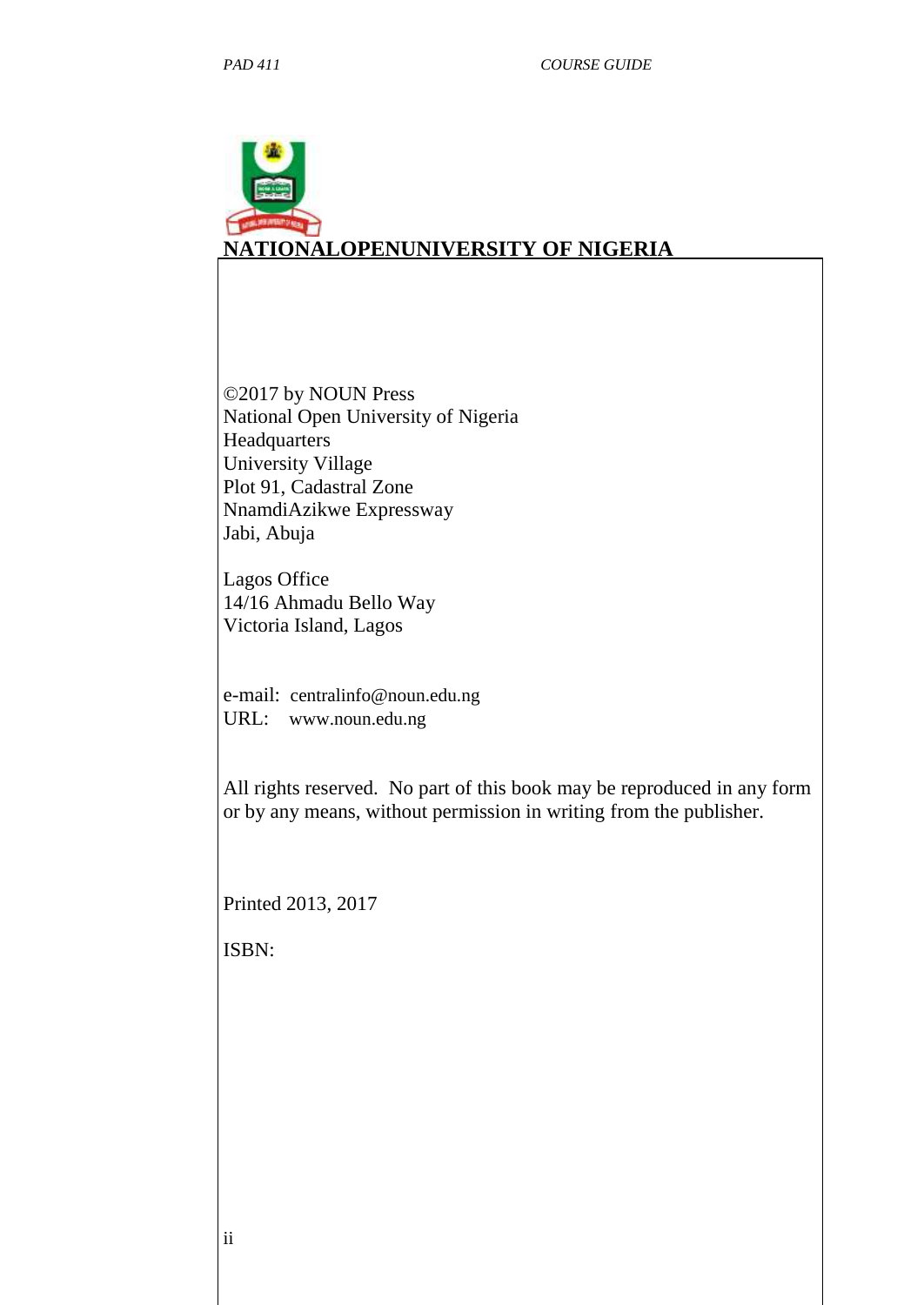

©2017 by NOUN Press National Open University of Nigeria Headquarters University Village Plot 91, Cadastral Zone NnamdiAzikwe Expressway Jabi, Abuja

Lagos Office 14/16 Ahmadu Bello Way Victoria Island, Lagos

e-mail: centralinfo@noun.edu.ng URL: www.noun.edu.ng

All rights reserved. No part of this book may be reproduced in any form or by any means, without permission in writing from the publisher.

Printed 2013, 2017

ISBN: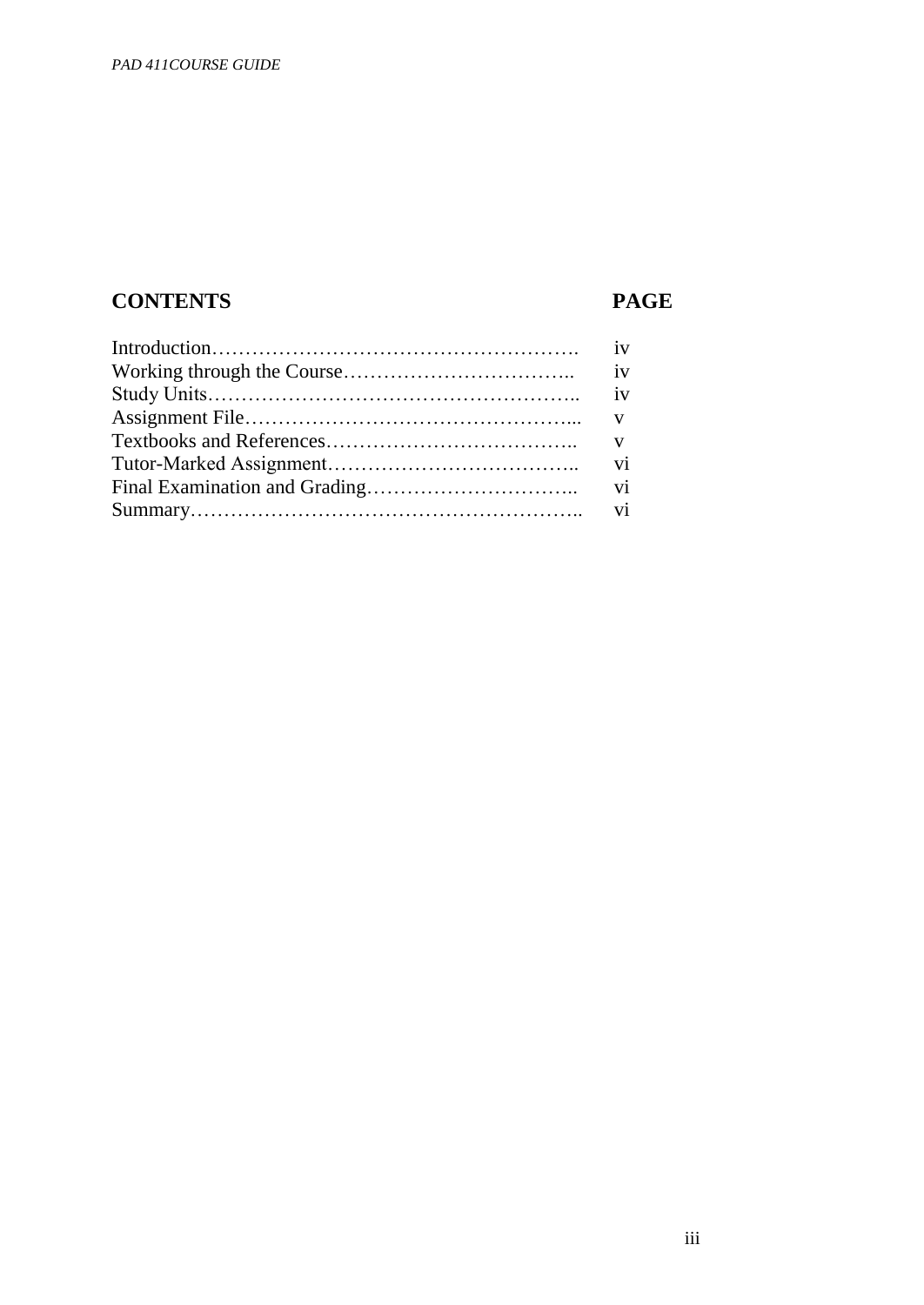# **CONTENTS PAGE**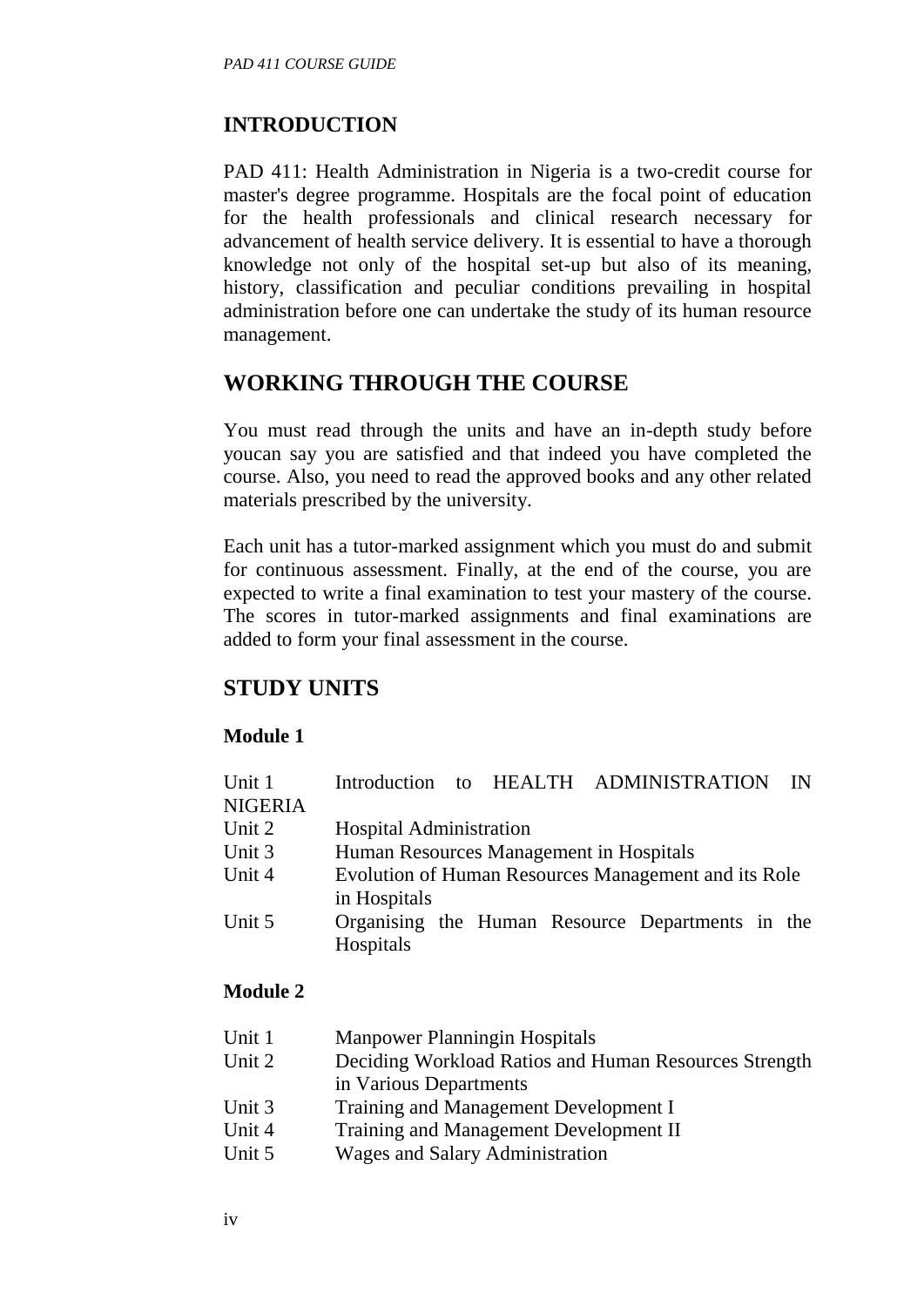#### **INTRODUCTION**

PAD 411: Health Administration in Nigeria is a two-credit course for master's degree programme. Hospitals are the focal point of education for the health professionals and clinical research necessary for advancement of health service delivery. It is essential to have a thorough knowledge not only of the hospital set-up but also of its meaning, history, classification and peculiar conditions prevailing in hospital administration before one can undertake the study of its human resource management.

## **WORKING THROUGH THE COURSE**

You must read through the units and have an in-depth study before youcan say you are satisfied and that indeed you have completed the course. Also, you need to read the approved books and any other related materials prescribed by the university.

Each unit has a tutor-marked assignment which you must do and submit for continuous assessment. Finally, at the end of the course, you are expected to write a final examination to test your mastery of the course. The scores in tutor-marked assignments and final examinations are added to form your final assessment in the course.

# **STUDY UNITS**

#### **Module 1**

| Unit 1                    | Introduction to HEALTH ADMINISTRATION                                |  |  |  | IN |
|---------------------------|----------------------------------------------------------------------|--|--|--|----|
| <b>NIGERIA</b>            |                                                                      |  |  |  |    |
| Unit 2                    | <b>Hospital Administration</b>                                       |  |  |  |    |
| Unit 3                    | Human Resources Management in Hospitals                              |  |  |  |    |
| Unit 4                    | Evolution of Human Resources Management and its Role<br>in Hospitals |  |  |  |    |
| Unit 5                    | Organising the Human Resource Departments in the<br>Hospitals        |  |  |  |    |
| $M_{\odot}$ J., $\lambda$ |                                                                      |  |  |  |    |

#### **Module 2**

| Unit 1 | <b>Manpower Planningin Hospitals</b>                  |
|--------|-------------------------------------------------------|
| Unit 2 | Deciding Workload Ratios and Human Resources Strength |
|        | in Various Departments                                |
| Unit 3 | Training and Management Development I                 |
| Unit 4 | Training and Management Development II                |
| Unit 5 | Wages and Salary Administration                       |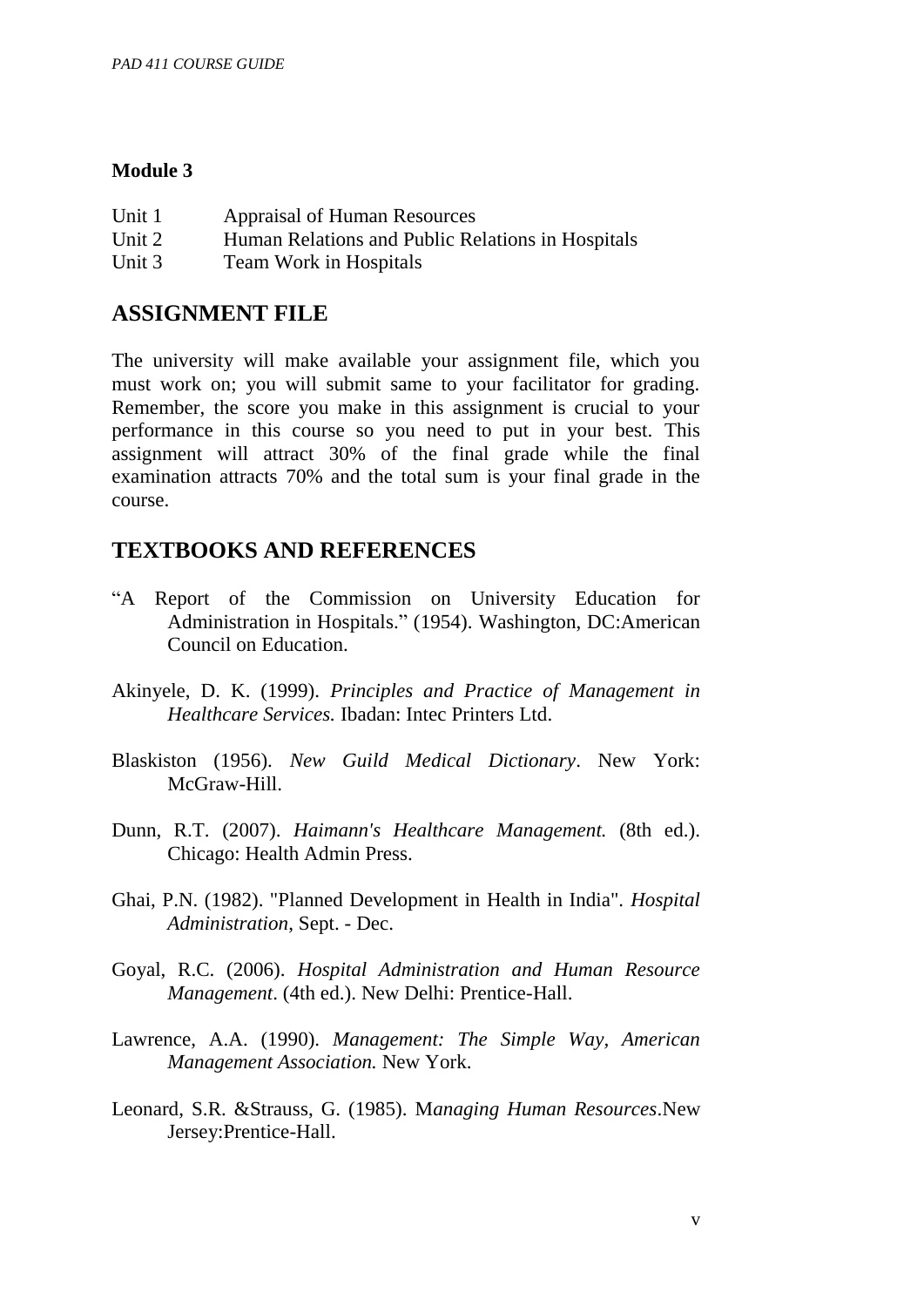#### **Module 3**

| Unit 1 | Appraisal of Human Resources                      |
|--------|---------------------------------------------------|
| Unit 2 | Human Relations and Public Relations in Hospitals |
| Unit 3 | Team Work in Hospitals                            |

#### **ASSIGNMENT FILE**

The university will make available your assignment file, which you must work on; you will submit same to your facilitator for grading. Remember, the score you make in this assignment is crucial to your performance in this course so you need to put in your best. This assignment will attract 30% of the final grade while the final examination attracts 70% and the total sum is your final grade in the course.

#### **TEXTBOOKS AND REFERENCES**

- "A Report of the Commission on University Education for Administration in Hospitals." (1954). Washington, DC:American Council on Education.
- Akinyele, D. K. (1999). *Principles and Practice of Management in Healthcare Services.* Ibadan: Intec Printers Ltd.
- Blaskiston (1956). *New Guild Medical Dictionary*. New York: McGraw-Hill.
- Dunn, R.T. (2007). *Haimann's Healthcare Management.* (8th ed.). Chicago: Health Admin Press.
- Ghai, P.N. (1982). "Planned Development in Health in India". *Hospital Administration*, Sept. - Dec.
- Goyal, R.C. (2006). *Hospital Administration and Human Resource Management*. (4th ed.). New Delhi: Prentice-Hall.
- Lawrence, A.A. (1990). *Management: The Simple Way, American Management Association.* New York.
- Leonard, S.R. &Strauss, G. (1985). M*anaging Human Resources*.New Jersey:Prentice-Hall.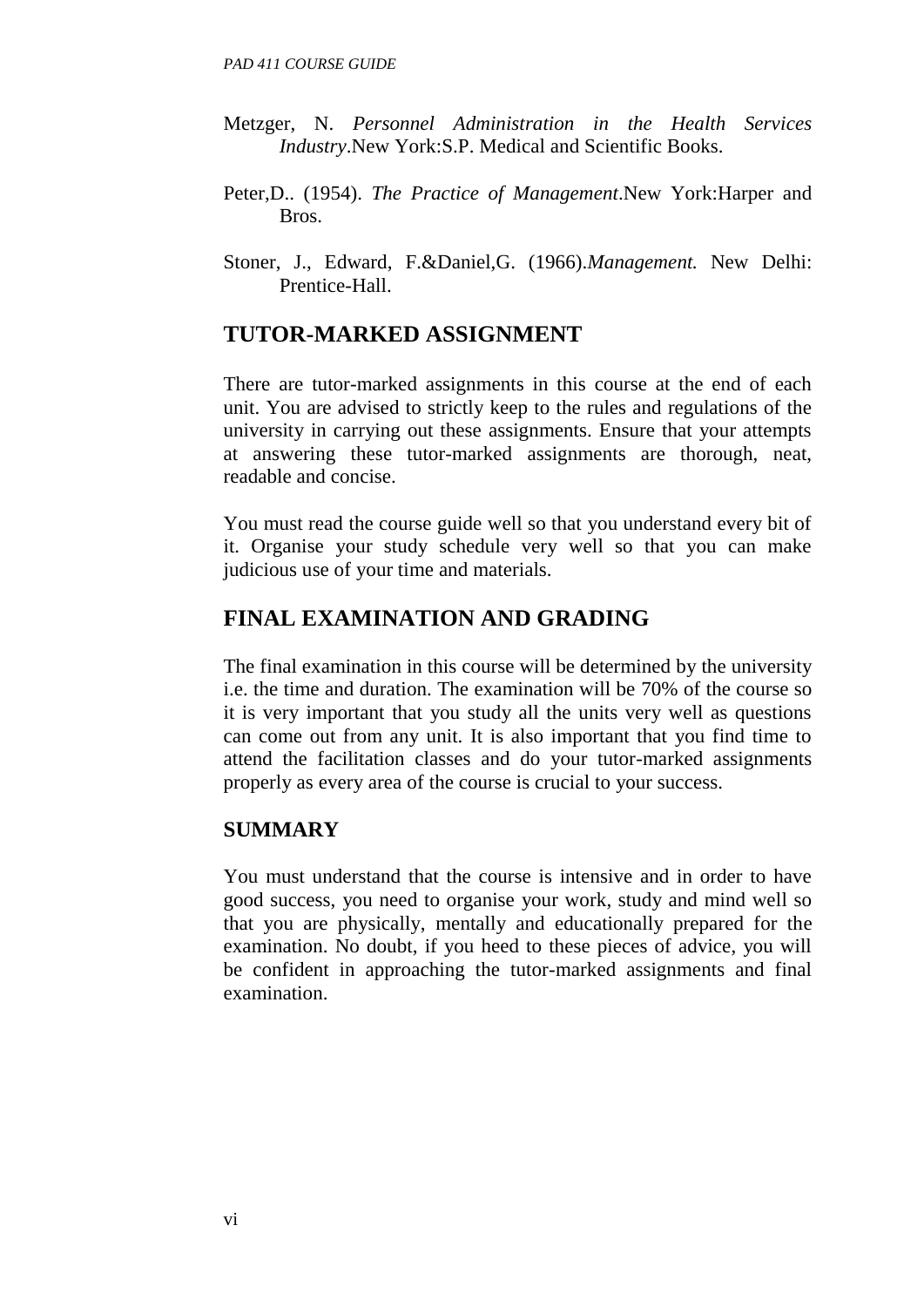- Metzger, N. *Personnel Administration in the Health Services Industry*.New York:S.P. Medical and Scientific Books.
- Peter,D.. (1954). *The Practice of Management*.New York:Harper and Bros.
- Stoner, J., Edward, F.&Daniel,G. (1966).*Management.* New Delhi: Prentice-Hall.

#### **TUTOR-MARKED ASSIGNMENT**

There are tutor-marked assignments in this course at the end of each unit. You are advised to strictly keep to the rules and regulations of the university in carrying out these assignments. Ensure that your attempts at answering these tutor-marked assignments are thorough, neat, readable and concise.

You must read the course guide well so that you understand every bit of it. Organise your study schedule very well so that you can make judicious use of your time and materials.

## **FINAL EXAMINATION AND GRADING**

The final examination in this course will be determined by the university i.e. the time and duration. The examination will be 70% of the course so it is very important that you study all the units very well as questions can come out from any unit. It is also important that you find time to attend the facilitation classes and do your tutor-marked assignments properly as every area of the course is crucial to your success.

#### **SUMMARY**

You must understand that the course is intensive and in order to have good success, you need to organise your work, study and mind well so that you are physically, mentally and educationally prepared for the examination. No doubt, if you heed to these pieces of advice, you will be confident in approaching the tutor-marked assignments and final examination.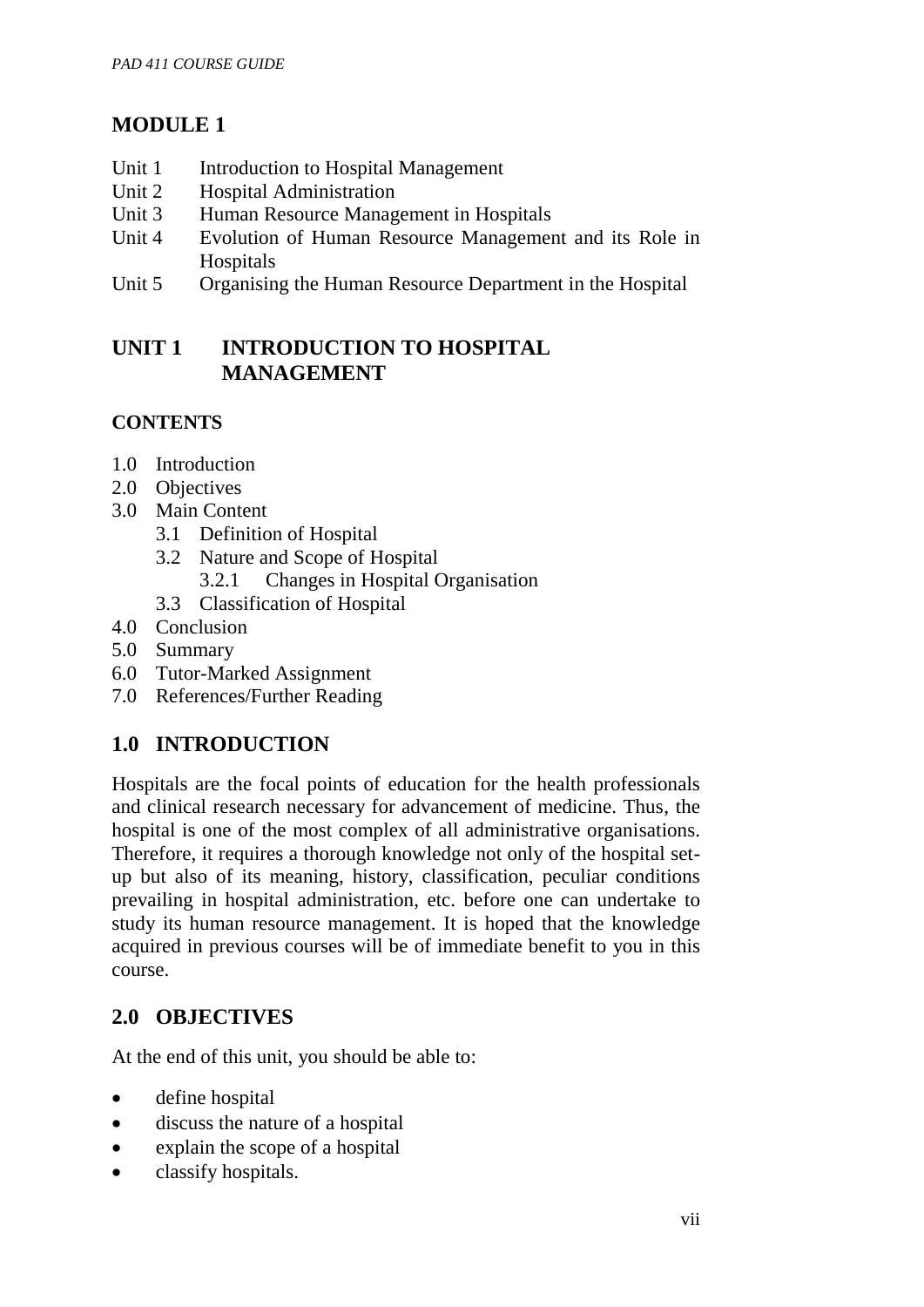# **MODULE 1**

- Unit 1 Introduction to Hospital Management
- Unit 2 Hospital Administration
- Unit 3 Human Resource Management in Hospitals
- Unit 4 Evolution of Human Resource Management and its Role in Hospitals
- Unit 5 Organising the Human Resource Department in the Hospital

# **UNIT 1 INTRODUCTION TO HOSPITAL MANAGEMENT**

## **CONTENTS**

- 1.0 Introduction
- 2.0 Objectives
- 3.0 Main Content
	- 3.1 Definition of Hospital
	- 3.2 Nature and Scope of Hospital
		- 3.2.1 Changes in Hospital Organisation
	- 3.3 Classification of Hospital
- 4.0 Conclusion
- 5.0 Summary
- 6.0 Tutor-Marked Assignment
- 7.0 References/Further Reading

# **1.0 INTRODUCTION**

Hospitals are the focal points of education for the health professionals and clinical research necessary for advancement of medicine. Thus, the hospital is one of the most complex of all administrative organisations. Therefore, it requires a thorough knowledge not only of the hospital setup but also of its meaning, history, classification, peculiar conditions prevailing in hospital administration, etc. before one can undertake to study its human resource management. It is hoped that the knowledge acquired in previous courses will be of immediate benefit to you in this course.

# **2.0 OBJECTIVES**

At the end of this unit, you should be able to:

- define hospital
- discuss the nature of a hospital
- explain the scope of a hospital
- classify hospitals.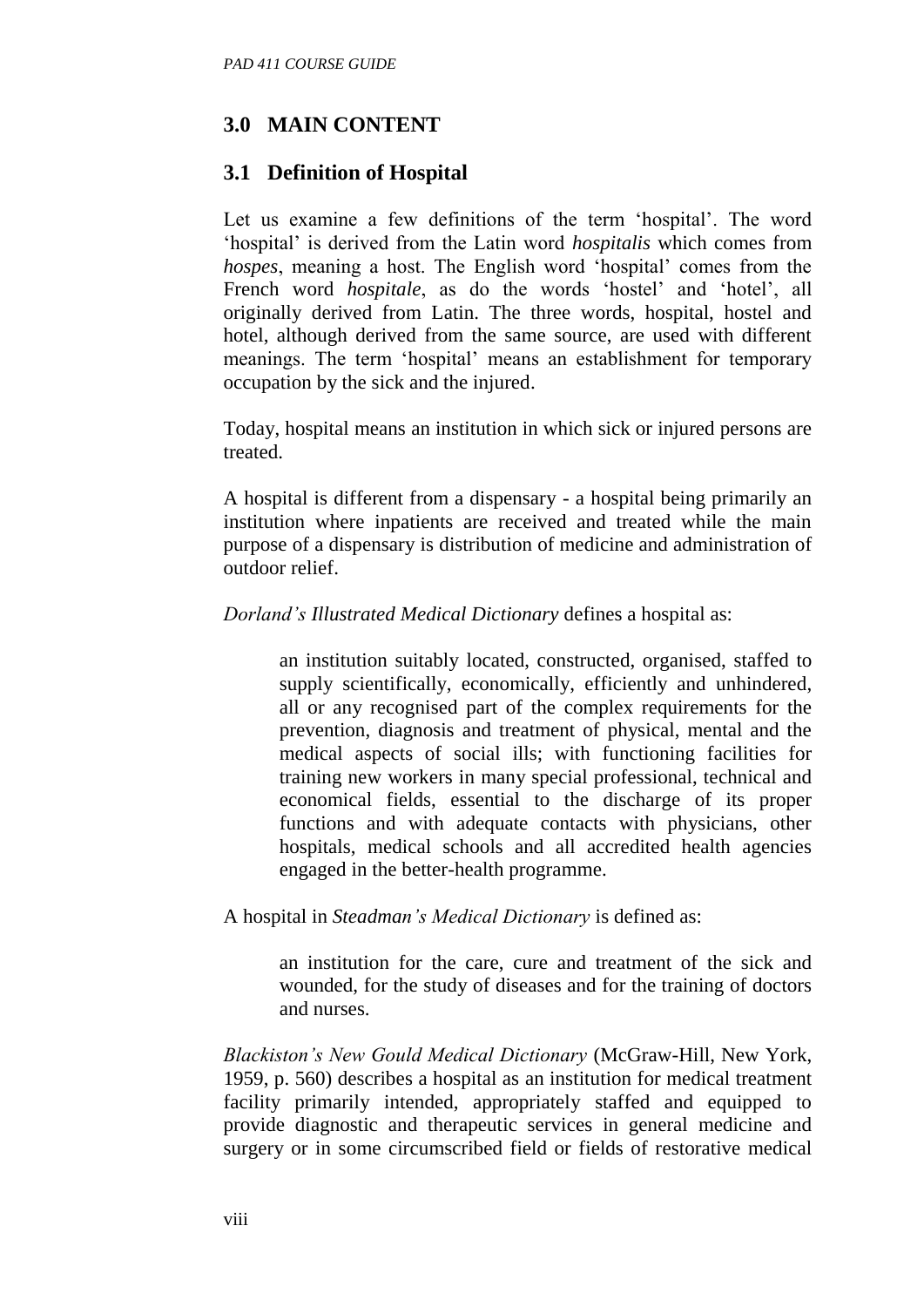#### **3.0 MAIN CONTENT**

#### **3.1 Definition of Hospital**

Let us examine a few definitions of the term 'hospital'. The word "hospital" is derived from the Latin word *hospitalis* which comes from *hospes*, meaning a host. The English word 'hospital' comes from the French word *hospitale*, as do the words 'hostel' and 'hotel', all originally derived from Latin. The three words, hospital, hostel and hotel, although derived from the same source, are used with different meanings. The term "hospital" means an establishment for temporary occupation by the sick and the injured.

Today, hospital means an institution in which sick or injured persons are treated.

A hospital is different from a dispensary - a hospital being primarily an institution where inpatients are received and treated while the main purpose of a dispensary is distribution of medicine and administration of outdoor relief.

*Dorland's Illustrated Medical Dictionary* defines a hospital as:

an institution suitably located, constructed, organised, staffed to supply scientifically, economically, efficiently and unhindered, all or any recognised part of the complex requirements for the prevention, diagnosis and treatment of physical, mental and the medical aspects of social ills; with functioning facilities for training new workers in many special professional, technical and economical fields, essential to the discharge of its proper functions and with adequate contacts with physicians, other hospitals, medical schools and all accredited health agencies engaged in the better-health programme.

A hospital in *Steadman's Medical Dictionary* is defined as:

an institution for the care, cure and treatment of the sick and wounded, for the study of diseases and for the training of doctors and nurses.

*Blackiston's New Gould Medical Dictionary* (McGraw-Hill, New York, 1959, p. 560) describes a hospital as an institution for medical treatment facility primarily intended, appropriately staffed and equipped to provide diagnostic and therapeutic services in general medicine and surgery or in some circumscribed field or fields of restorative medical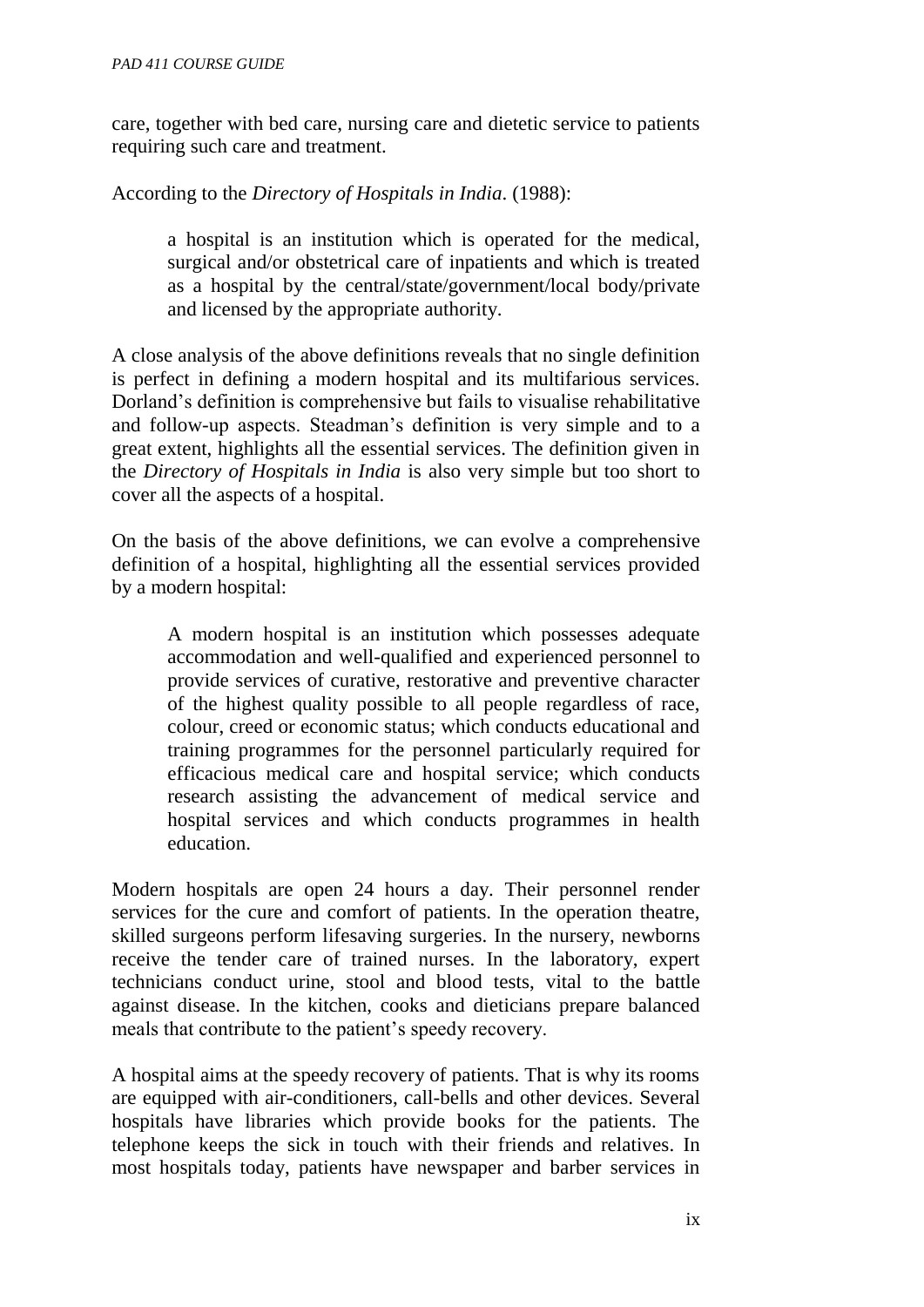care, together with bed care, nursing care and dietetic service to patients requiring such care and treatment.

According to the *Directory of Hospitals in India*. (1988):

a hospital is an institution which is operated for the medical, surgical and/or obstetrical care of inpatients and which is treated as a hospital by the central/state/government/local body/private and licensed by the appropriate authority.

A close analysis of the above definitions reveals that no single definition is perfect in defining a modern hospital and its multifarious services. Dorland"s definition is comprehensive but fails to visualise rehabilitative and follow-up aspects. Steadman"s definition is very simple and to a great extent, highlights all the essential services. The definition given in the *Directory of Hospitals in India* is also very simple but too short to cover all the aspects of a hospital.

On the basis of the above definitions, we can evolve a comprehensive definition of a hospital, highlighting all the essential services provided by a modern hospital:

A modern hospital is an institution which possesses adequate accommodation and well-qualified and experienced personnel to provide services of curative, restorative and preventive character of the highest quality possible to all people regardless of race, colour, creed or economic status; which conducts educational and training programmes for the personnel particularly required for efficacious medical care and hospital service; which conducts research assisting the advancement of medical service and hospital services and which conducts programmes in health education.

Modern hospitals are open 24 hours a day. Their personnel render services for the cure and comfort of patients. In the operation theatre, skilled surgeons perform lifesaving surgeries. In the nursery, newborns receive the tender care of trained nurses. In the laboratory, expert technicians conduct urine, stool and blood tests, vital to the battle against disease. In the kitchen, cooks and dieticians prepare balanced meals that contribute to the patient's speedy recovery.

A hospital aims at the speedy recovery of patients. That is why its rooms are equipped with air-conditioners, call-bells and other devices. Several hospitals have libraries which provide books for the patients. The telephone keeps the sick in touch with their friends and relatives. In most hospitals today, patients have newspaper and barber services in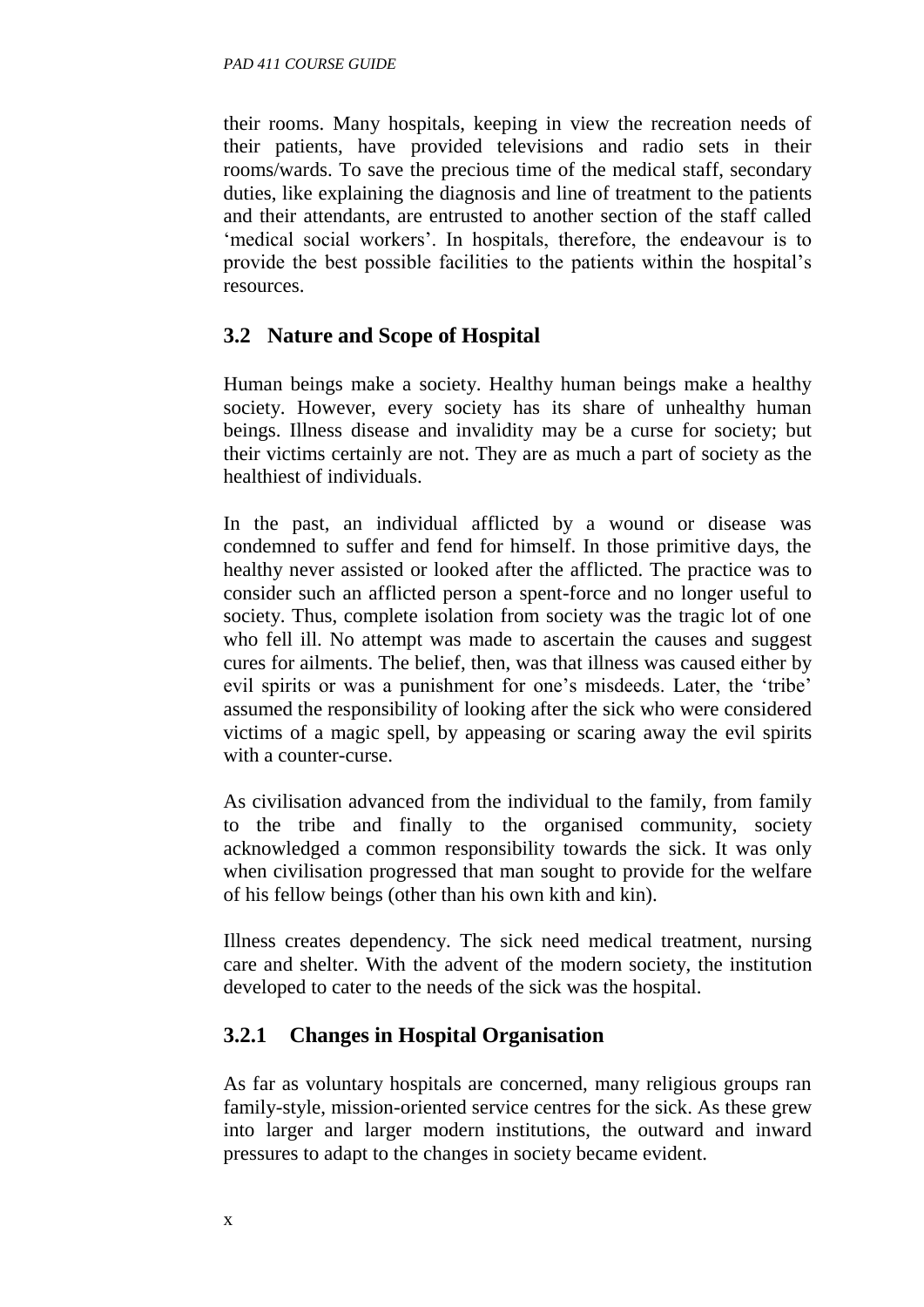their rooms. Many hospitals, keeping in view the recreation needs of their patients, have provided televisions and radio sets in their rooms/wards. To save the precious time of the medical staff, secondary duties, like explaining the diagnosis and line of treatment to the patients and their attendants, are entrusted to another section of the staff called "medical social workers". In hospitals, therefore, the endeavour is to provide the best possible facilities to the patients within the hospital"s resources.

## **3.2 Nature and Scope of Hospital**

Human beings make a society. Healthy human beings make a healthy society. However, every society has its share of unhealthy human beings. Illness disease and invalidity may be a curse for society; but their victims certainly are not. They are as much a part of society as the healthiest of individuals.

In the past, an individual afflicted by a wound or disease was condemned to suffer and fend for himself. In those primitive days, the healthy never assisted or looked after the afflicted. The practice was to consider such an afflicted person a spent-force and no longer useful to society. Thus, complete isolation from society was the tragic lot of one who fell ill. No attempt was made to ascertain the causes and suggest cures for ailments. The belief, then, was that illness was caused either by evil spirits or was a punishment for one's misdeeds. Later, the 'tribe' assumed the responsibility of looking after the sick who were considered victims of a magic spell, by appeasing or scaring away the evil spirits with a counter-curse.

As civilisation advanced from the individual to the family, from family to the tribe and finally to the organised community, society acknowledged a common responsibility towards the sick. It was only when civilisation progressed that man sought to provide for the welfare of his fellow beings (other than his own kith and kin).

Illness creates dependency. The sick need medical treatment, nursing care and shelter. With the advent of the modern society, the institution developed to cater to the needs of the sick was the hospital.

## **3.2.1 Changes in Hospital Organisation**

As far as voluntary hospitals are concerned, many religious groups ran family-style, mission-oriented service centres for the sick. As these grew into larger and larger modern institutions, the outward and inward pressures to adapt to the changes in society became evident.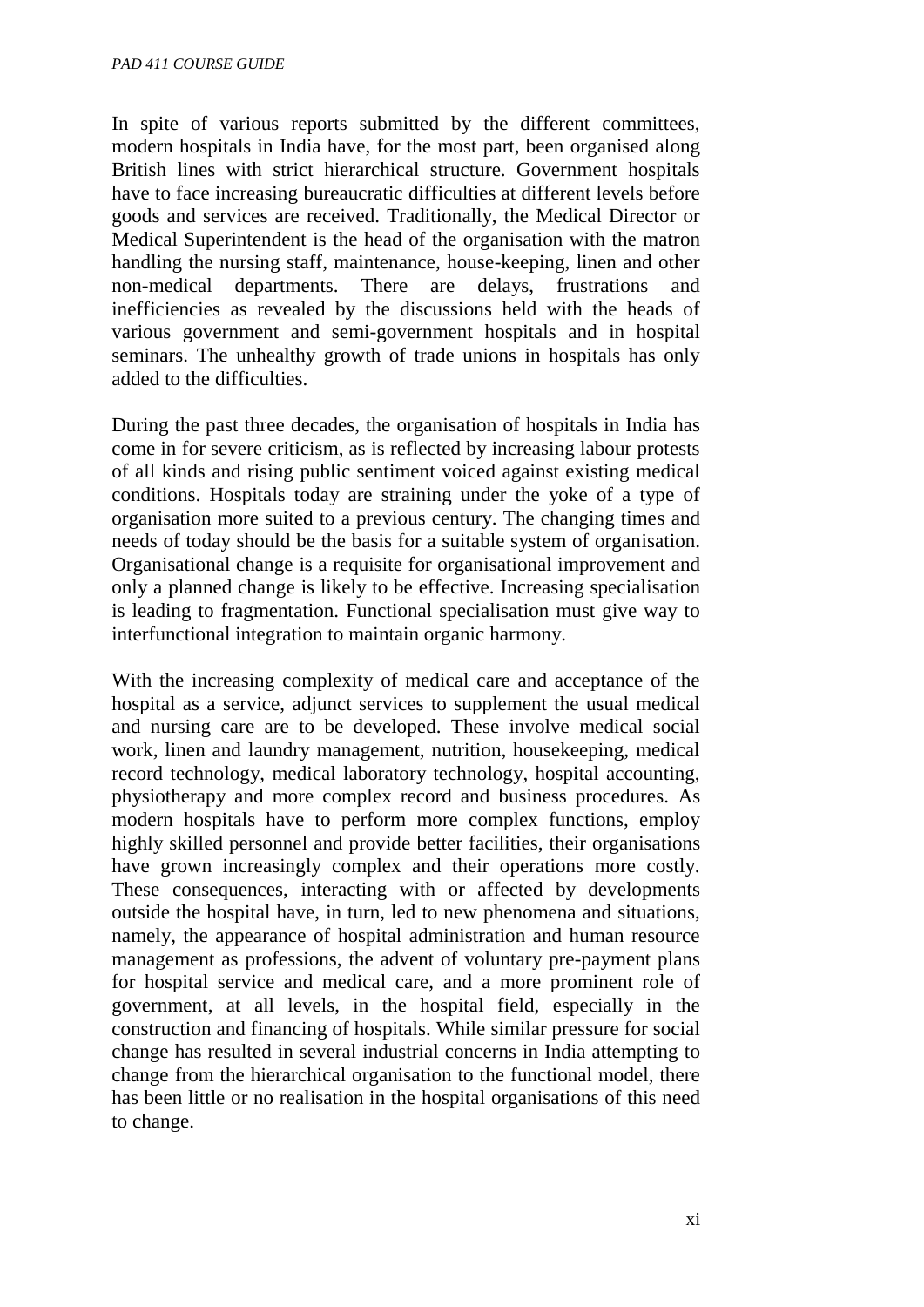In spite of various reports submitted by the different committees, modern hospitals in India have, for the most part, been organised along British lines with strict hierarchical structure. Government hospitals have to face increasing bureaucratic difficulties at different levels before goods and services are received. Traditionally, the Medical Director or Medical Superintendent is the head of the organisation with the matron handling the nursing staff, maintenance, house-keeping, linen and other non-medical departments. There are delays, frustrations and inefficiencies as revealed by the discussions held with the heads of various government and semi-government hospitals and in hospital seminars. The unhealthy growth of trade unions in hospitals has only added to the difficulties.

During the past three decades, the organisation of hospitals in India has come in for severe criticism, as is reflected by increasing labour protests of all kinds and rising public sentiment voiced against existing medical conditions. Hospitals today are straining under the yoke of a type of organisation more suited to a previous century. The changing times and needs of today should be the basis for a suitable system of organisation. Organisational change is a requisite for organisational improvement and only a planned change is likely to be effective. Increasing specialisation is leading to fragmentation. Functional specialisation must give way to interfunctional integration to maintain organic harmony.

With the increasing complexity of medical care and acceptance of the hospital as a service, adjunct services to supplement the usual medical and nursing care are to be developed. These involve medical social work, linen and laundry management, nutrition, housekeeping, medical record technology, medical laboratory technology, hospital accounting, physiotherapy and more complex record and business procedures. As modern hospitals have to perform more complex functions, employ highly skilled personnel and provide better facilities, their organisations have grown increasingly complex and their operations more costly. These consequences, interacting with or affected by developments outside the hospital have, in turn, led to new phenomena and situations, namely, the appearance of hospital administration and human resource management as professions, the advent of voluntary pre-payment plans for hospital service and medical care, and a more prominent role of government, at all levels, in the hospital field, especially in the construction and financing of hospitals. While similar pressure for social change has resulted in several industrial concerns in India attempting to change from the hierarchical organisation to the functional model, there has been little or no realisation in the hospital organisations of this need to change.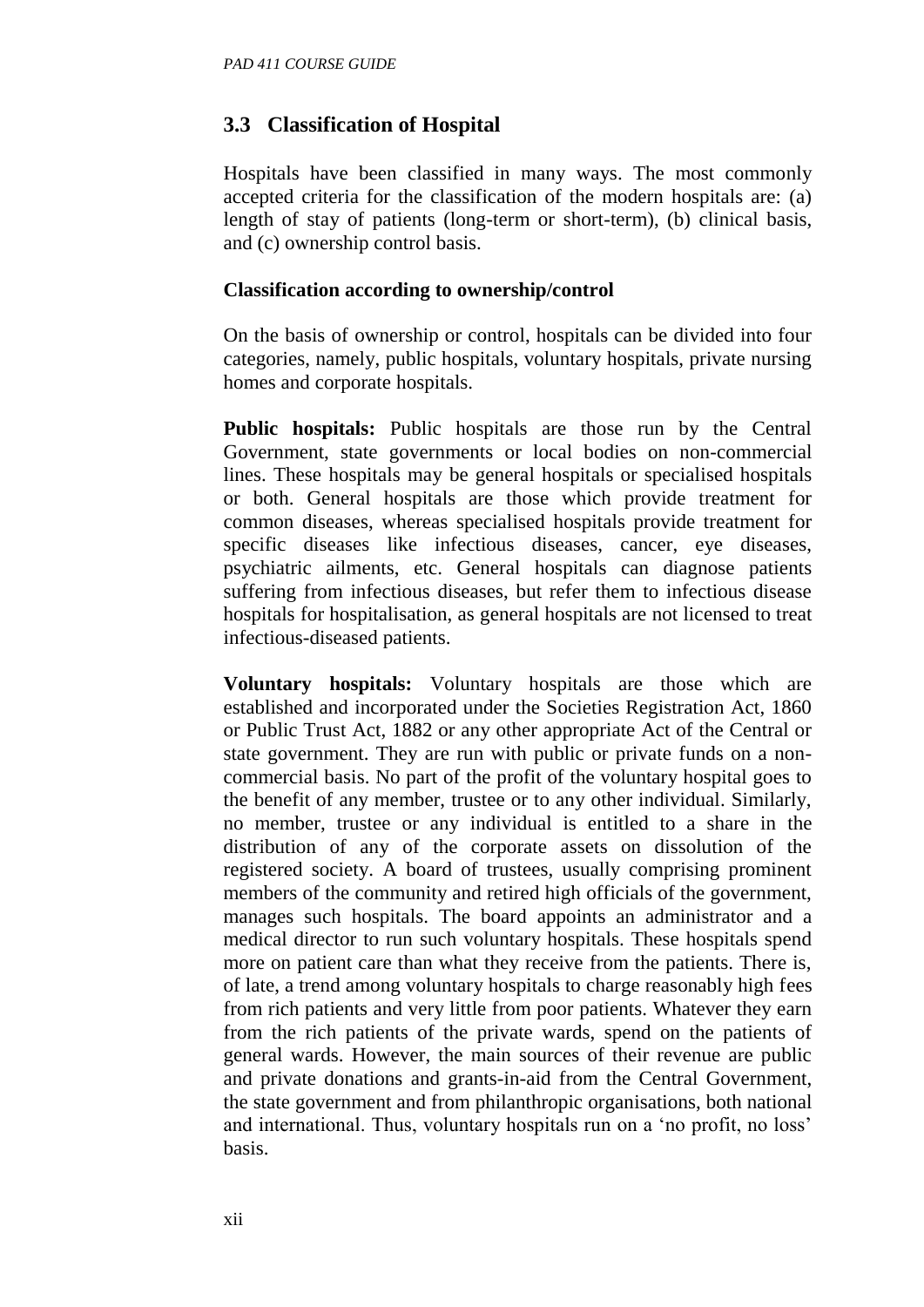#### **3.3 Classification of Hospital**

Hospitals have been classified in many ways. The most commonly accepted criteria for the classification of the modern hospitals are: (a) length of stay of patients (long-term or short-term), (b) clinical basis, and (c) ownership control basis.

#### **Classification according to ownership/control**

On the basis of ownership or control, hospitals can be divided into four categories, namely, public hospitals, voluntary hospitals, private nursing homes and corporate hospitals.

**Public hospitals:** Public hospitals are those run by the Central Government, state governments or local bodies on non-commercial lines. These hospitals may be general hospitals or specialised hospitals or both. General hospitals are those which provide treatment for common diseases, whereas specialised hospitals provide treatment for specific diseases like infectious diseases, cancer, eye diseases, psychiatric ailments, etc. General hospitals can diagnose patients suffering from infectious diseases, but refer them to infectious disease hospitals for hospitalisation, as general hospitals are not licensed to treat infectious-diseased patients.

**Voluntary hospitals:** Voluntary hospitals are those which are established and incorporated under the Societies Registration Act, 1860 or Public Trust Act, 1882 or any other appropriate Act of the Central or state government. They are run with public or private funds on a noncommercial basis. No part of the profit of the voluntary hospital goes to the benefit of any member, trustee or to any other individual. Similarly, no member, trustee or any individual is entitled to a share in the distribution of any of the corporate assets on dissolution of the registered society. A board of trustees, usually comprising prominent members of the community and retired high officials of the government, manages such hospitals. The board appoints an administrator and a medical director to run such voluntary hospitals. These hospitals spend more on patient care than what they receive from the patients. There is, of late, a trend among voluntary hospitals to charge reasonably high fees from rich patients and very little from poor patients. Whatever they earn from the rich patients of the private wards, spend on the patients of general wards. However, the main sources of their revenue are public and private donations and grants-in-aid from the Central Government, the state government and from philanthropic organisations, both national and international. Thus, voluntary hospitals run on a "no profit, no loss" basis.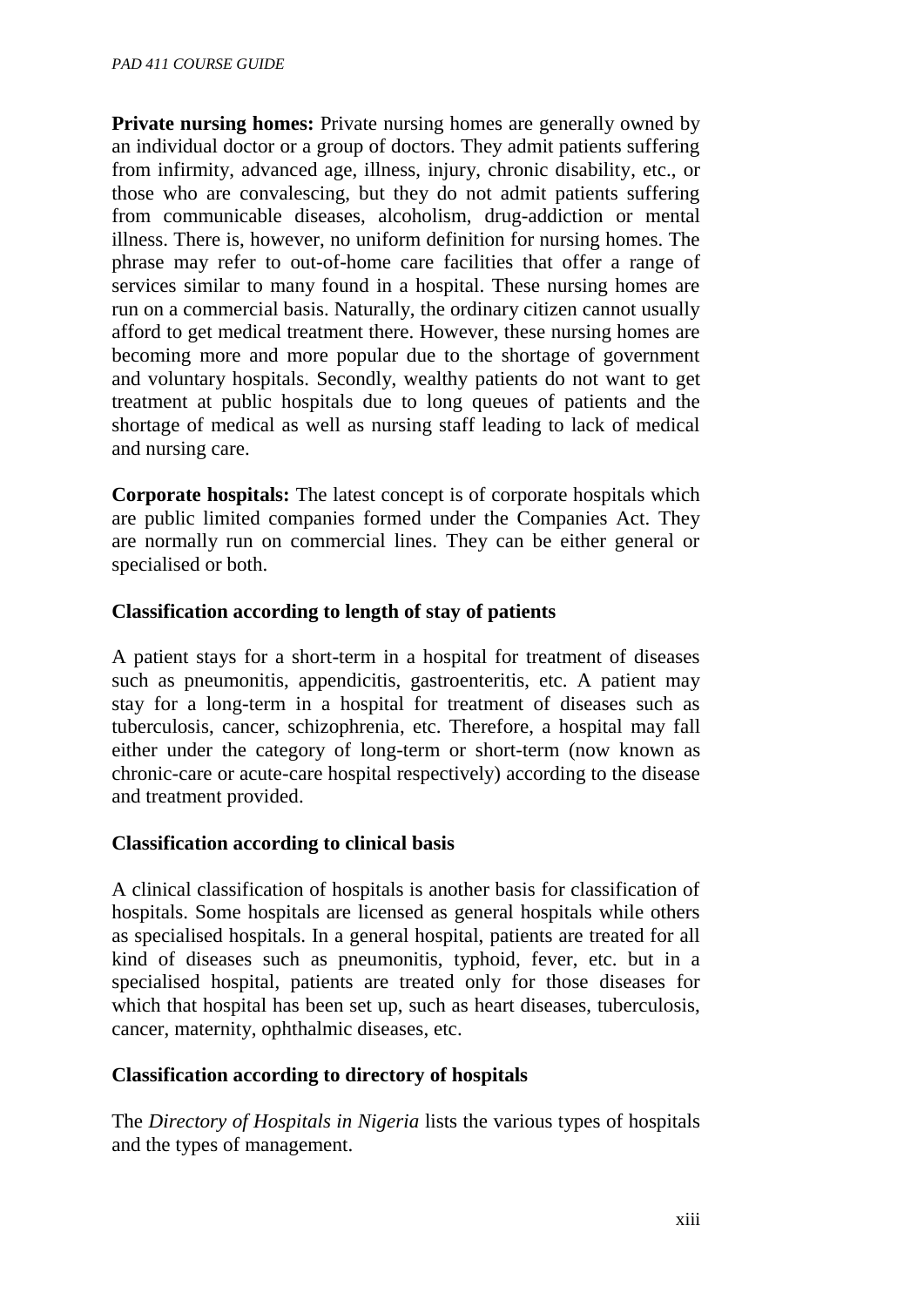**Private nursing homes:** Private nursing homes are generally owned by an individual doctor or a group of doctors. They admit patients suffering from infirmity, advanced age, illness, injury, chronic disability, etc., or those who are convalescing, but they do not admit patients suffering from communicable diseases, alcoholism, drug-addiction or mental illness. There is, however, no uniform definition for nursing homes. The phrase may refer to out-of-home care facilities that offer a range of services similar to many found in a hospital. These nursing homes are run on a commercial basis. Naturally, the ordinary citizen cannot usually afford to get medical treatment there. However, these nursing homes are becoming more and more popular due to the shortage of government and voluntary hospitals. Secondly, wealthy patients do not want to get treatment at public hospitals due to long queues of patients and the shortage of medical as well as nursing staff leading to lack of medical and nursing care.

**Corporate hospitals:** The latest concept is of corporate hospitals which are public limited companies formed under the Companies Act. They are normally run on commercial lines. They can be either general or specialised or both.

#### **Classification according to length of stay of patients**

A patient stays for a short-term in a hospital for treatment of diseases such as pneumonitis, appendicitis, gastroenteritis, etc. A patient may stay for a long-term in a hospital for treatment of diseases such as tuberculosis, cancer, schizophrenia, etc. Therefore, a hospital may fall either under the category of long-term or short-term (now known as chronic-care or acute-care hospital respectively) according to the disease and treatment provided.

#### **Classification according to clinical basis**

A clinical classification of hospitals is another basis for classification of hospitals. Some hospitals are licensed as general hospitals while others as specialised hospitals. In a general hospital, patients are treated for all kind of diseases such as pneumonitis, typhoid, fever, etc. but in a specialised hospital, patients are treated only for those diseases for which that hospital has been set up, such as heart diseases, tuberculosis, cancer, maternity, ophthalmic diseases, etc.

#### **Classification according to directory of hospitals**

The *Directory of Hospitals in Nigeria* lists the various types of hospitals and the types of management.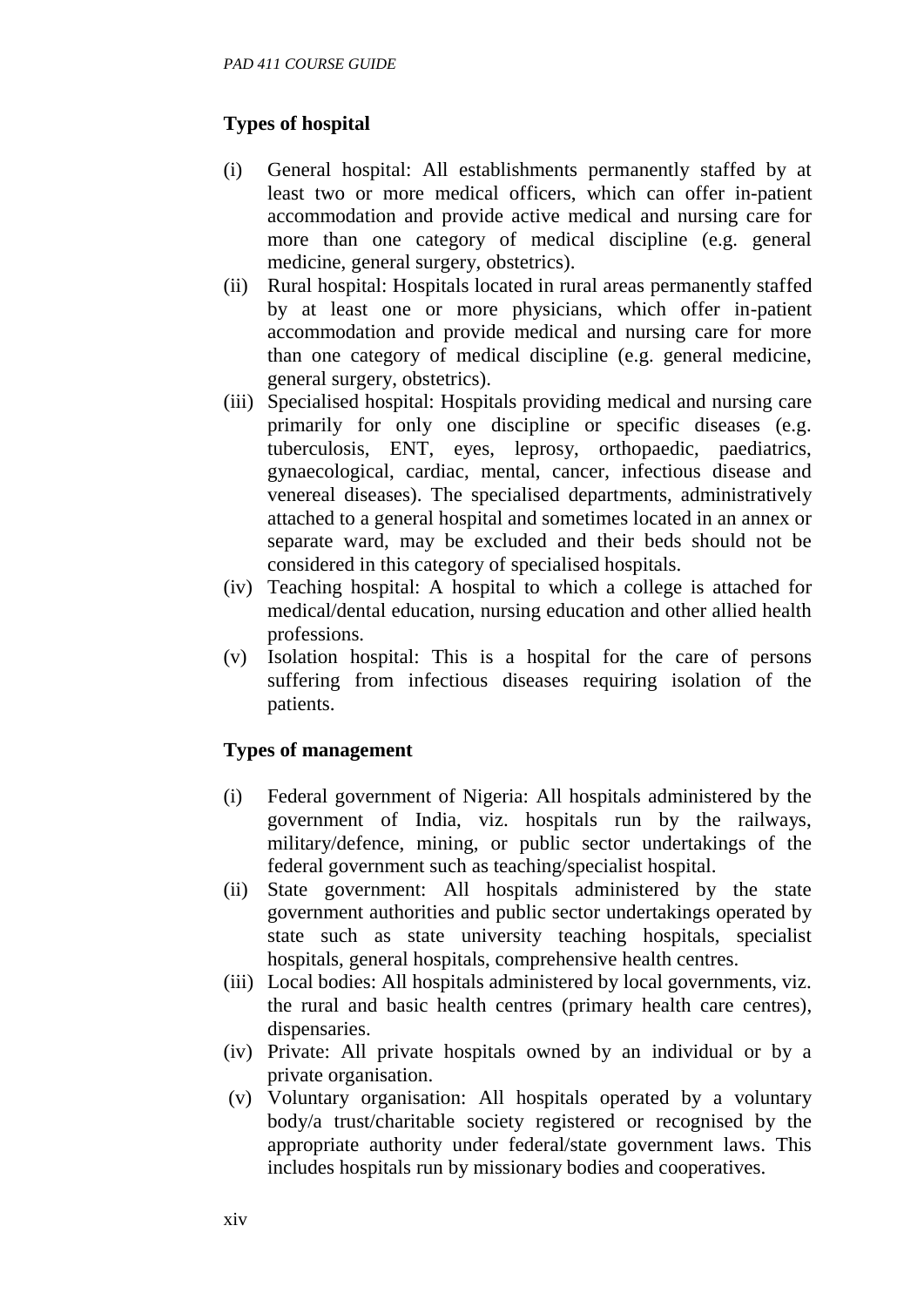#### **Types of hospital**

- (i) General hospital: All establishments permanently staffed by at least two or more medical officers, which can offer in-patient accommodation and provide active medical and nursing care for more than one category of medical discipline (e.g. general medicine, general surgery, obstetrics).
- (ii) Rural hospital: Hospitals located in rural areas permanently staffed by at least one or more physicians, which offer in-patient accommodation and provide medical and nursing care for more than one category of medical discipline (e.g. general medicine, general surgery, obstetrics).
- (iii) Specialised hospital: Hospitals providing medical and nursing care primarily for only one discipline or specific diseases (e.g. tuberculosis, ENT, eyes, leprosy, orthopaedic, paediatrics, gynaecological, cardiac, mental, cancer, infectious disease and venereal diseases). The specialised departments, administratively attached to a general hospital and sometimes located in an annex or separate ward, may be excluded and their beds should not be considered in this category of specialised hospitals.
- (iv) Teaching hospital: A hospital to which a college is attached for medical/dental education, nursing education and other allied health professions.
- (v) Isolation hospital: This is a hospital for the care of persons suffering from infectious diseases requiring isolation of the patients.

#### **Types of management**

- (i) Federal government of Nigeria: All hospitals administered by the government of India, viz. hospitals run by the railways, military/defence, mining, or public sector undertakings of the federal government such as teaching/specialist hospital.
- (ii) State government: All hospitals administered by the state government authorities and public sector undertakings operated by state such as state university teaching hospitals, specialist hospitals, general hospitals, comprehensive health centres.
- (iii) Local bodies: All hospitals administered by local governments, viz. the rural and basic health centres (primary health care centres), dispensaries.
- (iv) Private: All private hospitals owned by an individual or by a private organisation.
- (v) Voluntary organisation: All hospitals operated by a voluntary body/a trust/charitable society registered or recognised by the appropriate authority under federal/state government laws. This includes hospitals run by missionary bodies and cooperatives.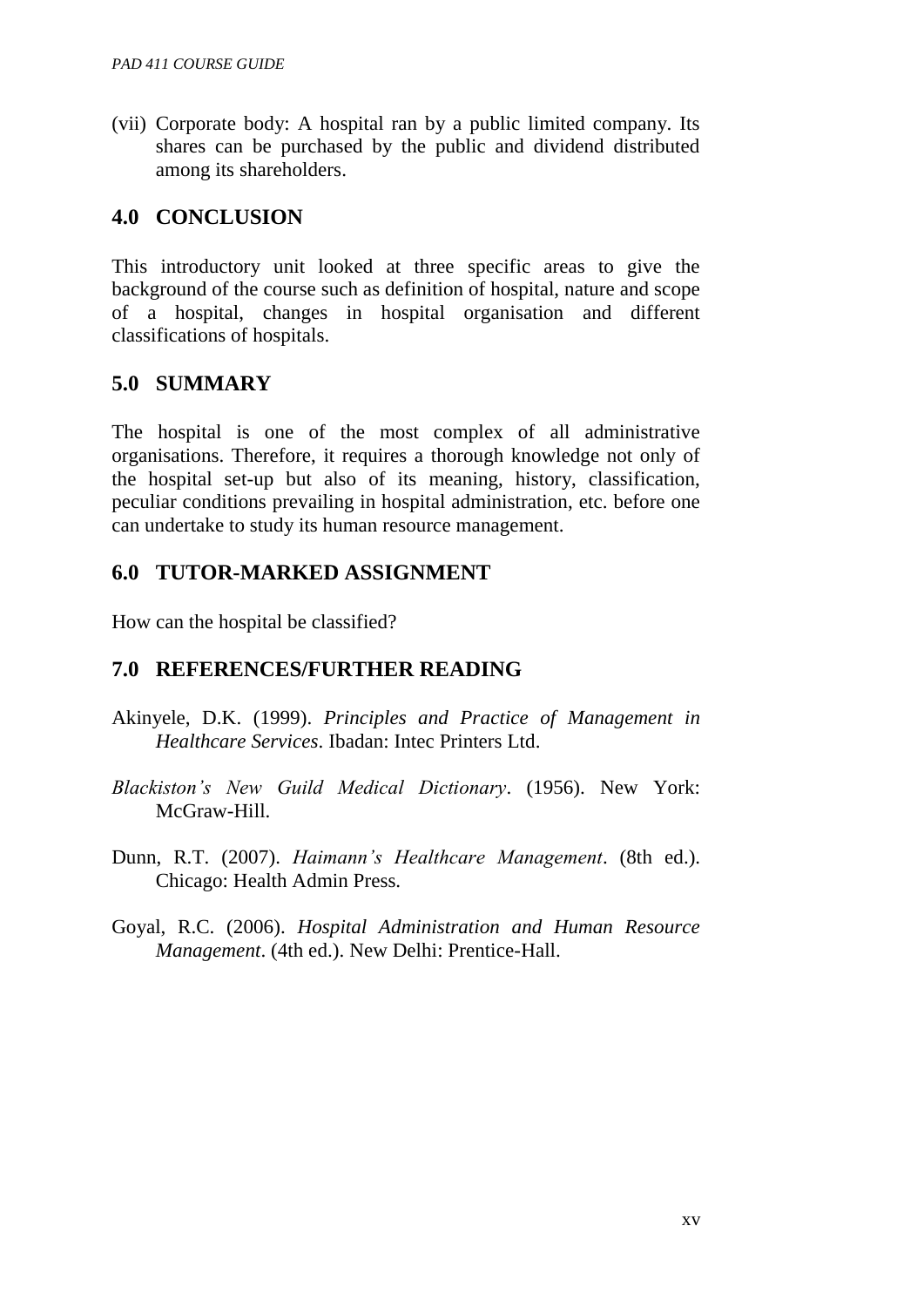(vii) Corporate body: A hospital ran by a public limited company. Its shares can be purchased by the public and dividend distributed among its shareholders.

#### **4.0 CONCLUSION**

This introductory unit looked at three specific areas to give the background of the course such as definition of hospital, nature and scope of a hospital, changes in hospital organisation and different classifications of hospitals.

## **5.0 SUMMARY**

The hospital is one of the most complex of all administrative organisations. Therefore, it requires a thorough knowledge not only of the hospital set-up but also of its meaning, history, classification, peculiar conditions prevailing in hospital administration, etc. before one can undertake to study its human resource management.

#### **6.0 TUTOR-MARKED ASSIGNMENT**

How can the hospital be classified?

## **7.0 REFERENCES/FURTHER READING**

- Akinyele, D.K. (1999). *Principles and Practice of Management in Healthcare Services*. Ibadan: Intec Printers Ltd.
- *Blackiston's New Guild Medical Dictionary*. (1956). New York: McGraw-Hill.
- Dunn, R.T. (2007). *Haimann's Healthcare Management*. (8th ed.). Chicago: Health Admin Press.
- Goyal, R.C. (2006). *Hospital Administration and Human Resource Management*. (4th ed.). New Delhi: Prentice-Hall.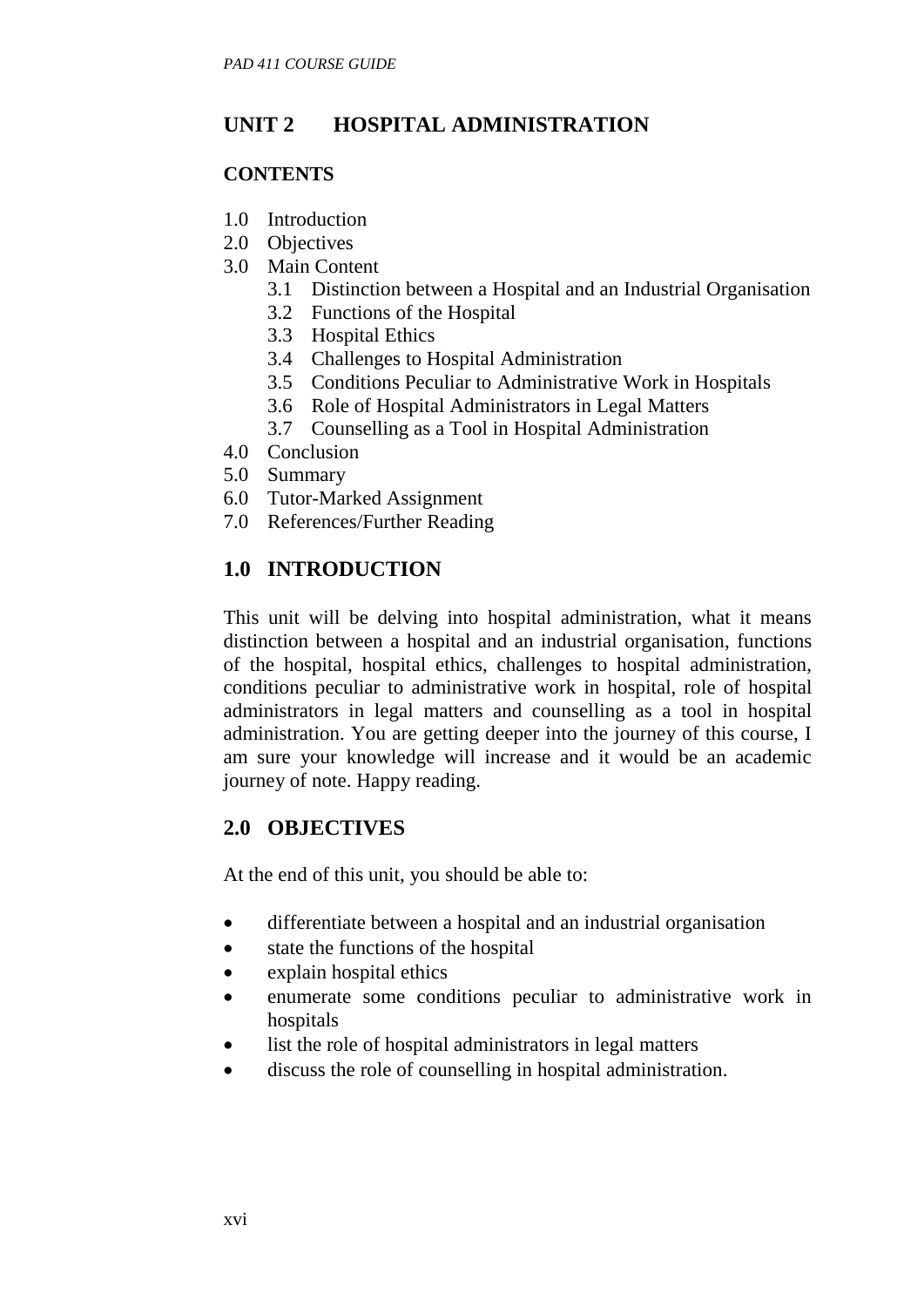#### **UNIT 2 HOSPITAL ADMINISTRATION**

#### **CONTENTS**

- 1.0 Introduction
- 2.0 Objectives
- 3.0 Main Content
	- 3.1 Distinction between a Hospital and an Industrial Organisation
	- 3.2 Functions of the Hospital
	- 3.3 Hospital Ethics
	- 3.4 Challenges to Hospital Administration
	- 3.5 Conditions Peculiar to Administrative Work in Hospitals
	- 3.6 Role of Hospital Administrators in Legal Matters
	- 3.7 Counselling as a Tool in Hospital Administration
- 4.0 Conclusion
- 5.0 Summary
- 6.0 Tutor-Marked Assignment
- 7.0 References/Further Reading

## **1.0 INTRODUCTION**

This unit will be delving into hospital administration, what it means distinction between a hospital and an industrial organisation, functions of the hospital, hospital ethics, challenges to hospital administration, conditions peculiar to administrative work in hospital, role of hospital administrators in legal matters and counselling as a tool in hospital administration. You are getting deeper into the journey of this course, I am sure your knowledge will increase and it would be an academic journey of note. Happy reading.

## **2.0 OBJECTIVES**

At the end of this unit, you should be able to:

- differentiate between a hospital and an industrial organisation
- state the functions of the hospital
- explain hospital ethics
- enumerate some conditions peculiar to administrative work in hospitals
- list the role of hospital administrators in legal matters
- discuss the role of counselling in hospital administration.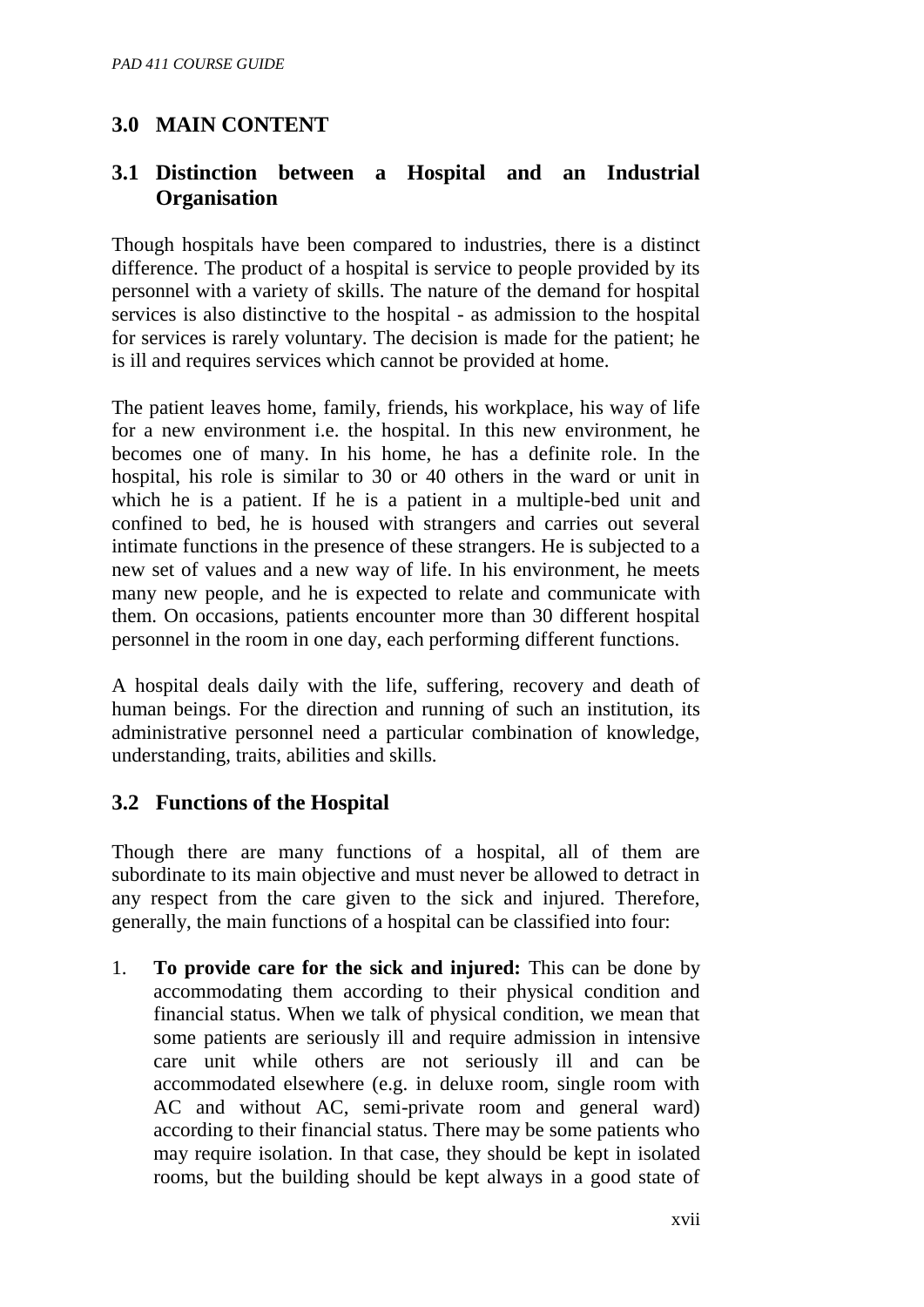# **3.0 MAIN CONTENT**

#### **3.1 Distinction between a Hospital and an Industrial Organisation**

Though hospitals have been compared to industries, there is a distinct difference. The product of a hospital is service to people provided by its personnel with a variety of skills. The nature of the demand for hospital services is also distinctive to the hospital - as admission to the hospital for services is rarely voluntary. The decision is made for the patient; he is ill and requires services which cannot be provided at home.

The patient leaves home, family, friends, his workplace, his way of life for a new environment i.e. the hospital. In this new environment, he becomes one of many. In his home, he has a definite role. In the hospital, his role is similar to 30 or 40 others in the ward or unit in which he is a patient. If he is a patient in a multiple-bed unit and confined to bed, he is housed with strangers and carries out several intimate functions in the presence of these strangers. He is subjected to a new set of values and a new way of life. In his environment, he meets many new people, and he is expected to relate and communicate with them. On occasions, patients encounter more than 30 different hospital personnel in the room in one day, each performing different functions.

A hospital deals daily with the life, suffering, recovery and death of human beings. For the direction and running of such an institution, its administrative personnel need a particular combination of knowledge, understanding, traits, abilities and skills.

#### **3.2 Functions of the Hospital**

Though there are many functions of a hospital, all of them are subordinate to its main objective and must never be allowed to detract in any respect from the care given to the sick and injured. Therefore, generally, the main functions of a hospital can be classified into four:

1. **To provide care for the sick and injured:** This can be done by accommodating them according to their physical condition and financial status. When we talk of physical condition, we mean that some patients are seriously ill and require admission in intensive care unit while others are not seriously ill and can be accommodated elsewhere (e.g. in deluxe room, single room with AC and without AC, semi-private room and general ward) according to their financial status. There may be some patients who may require isolation. In that case, they should be kept in isolated rooms, but the building should be kept always in a good state of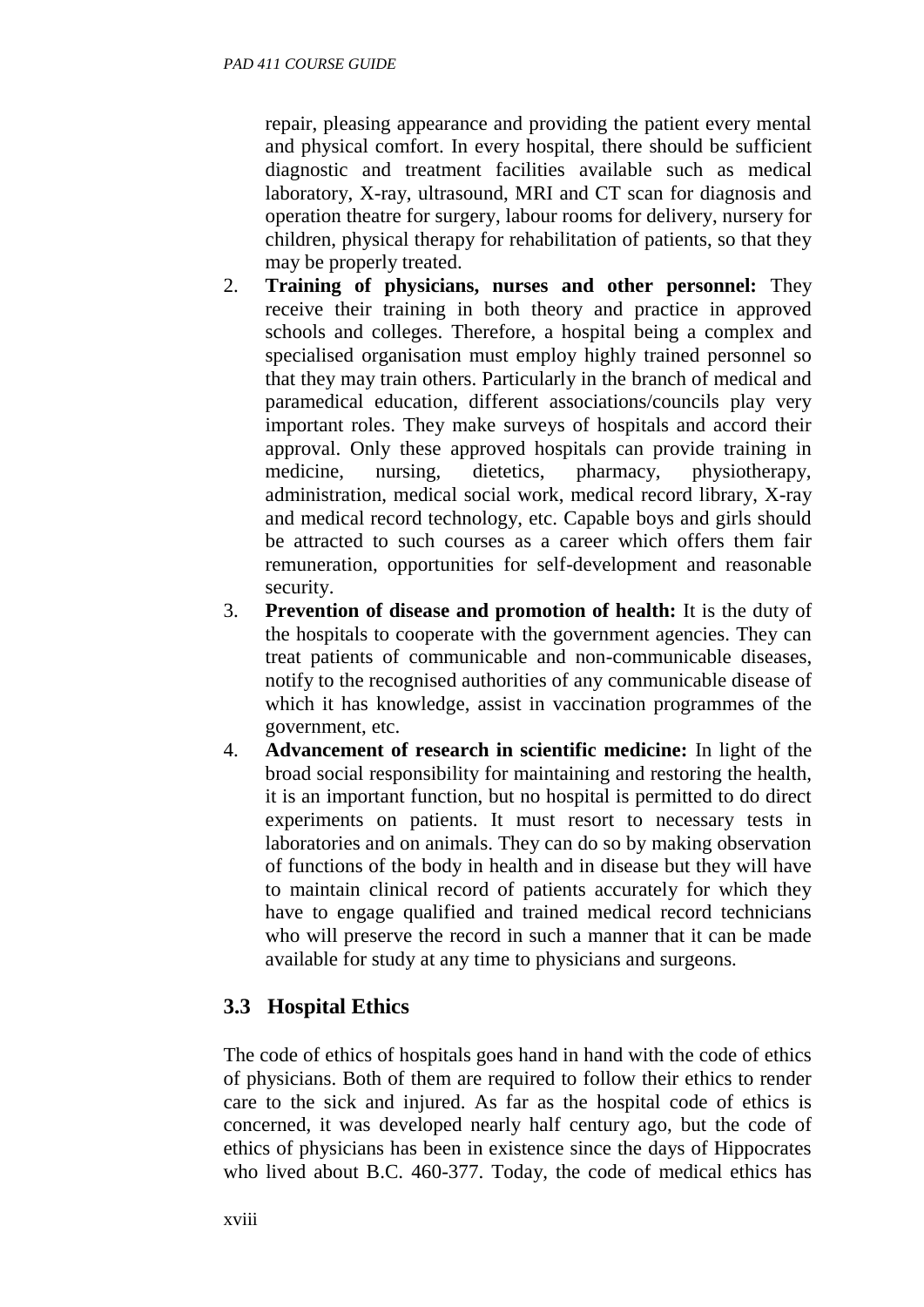repair, pleasing appearance and providing the patient every mental and physical comfort. In every hospital, there should be sufficient diagnostic and treatment facilities available such as medical laboratory, X-ray, ultrasound, MRI and CT scan for diagnosis and operation theatre for surgery, labour rooms for delivery, nursery for children, physical therapy for rehabilitation of patients, so that they may be properly treated.

- 2. **Training of physicians, nurses and other personnel:** They receive their training in both theory and practice in approved schools and colleges. Therefore, a hospital being a complex and specialised organisation must employ highly trained personnel so that they may train others. Particularly in the branch of medical and paramedical education, different associations/councils play very important roles. They make surveys of hospitals and accord their approval. Only these approved hospitals can provide training in medicine, nursing, dietetics, pharmacy, physiotherapy, administration, medical social work, medical record library, X-ray and medical record technology, etc. Capable boys and girls should be attracted to such courses as a career which offers them fair remuneration, opportunities for self-development and reasonable security.
- 3. **Prevention of disease and promotion of health:** It is the duty of the hospitals to cooperate with the government agencies. They can treat patients of communicable and non-communicable diseases, notify to the recognised authorities of any communicable disease of which it has knowledge, assist in vaccination programmes of the government, etc.
- 4. **Advancement of research in scientific medicine:** In light of the broad social responsibility for maintaining and restoring the health, it is an important function, but no hospital is permitted to do direct experiments on patients. It must resort to necessary tests in laboratories and on animals. They can do so by making observation of functions of the body in health and in disease but they will have to maintain clinical record of patients accurately for which they have to engage qualified and trained medical record technicians who will preserve the record in such a manner that it can be made available for study at any time to physicians and surgeons.

## **3.3 Hospital Ethics**

The code of ethics of hospitals goes hand in hand with the code of ethics of physicians. Both of them are required to follow their ethics to render care to the sick and injured. As far as the hospital code of ethics is concerned, it was developed nearly half century ago, but the code of ethics of physicians has been in existence since the days of Hippocrates who lived about B.C. 460-377. Today, the code of medical ethics has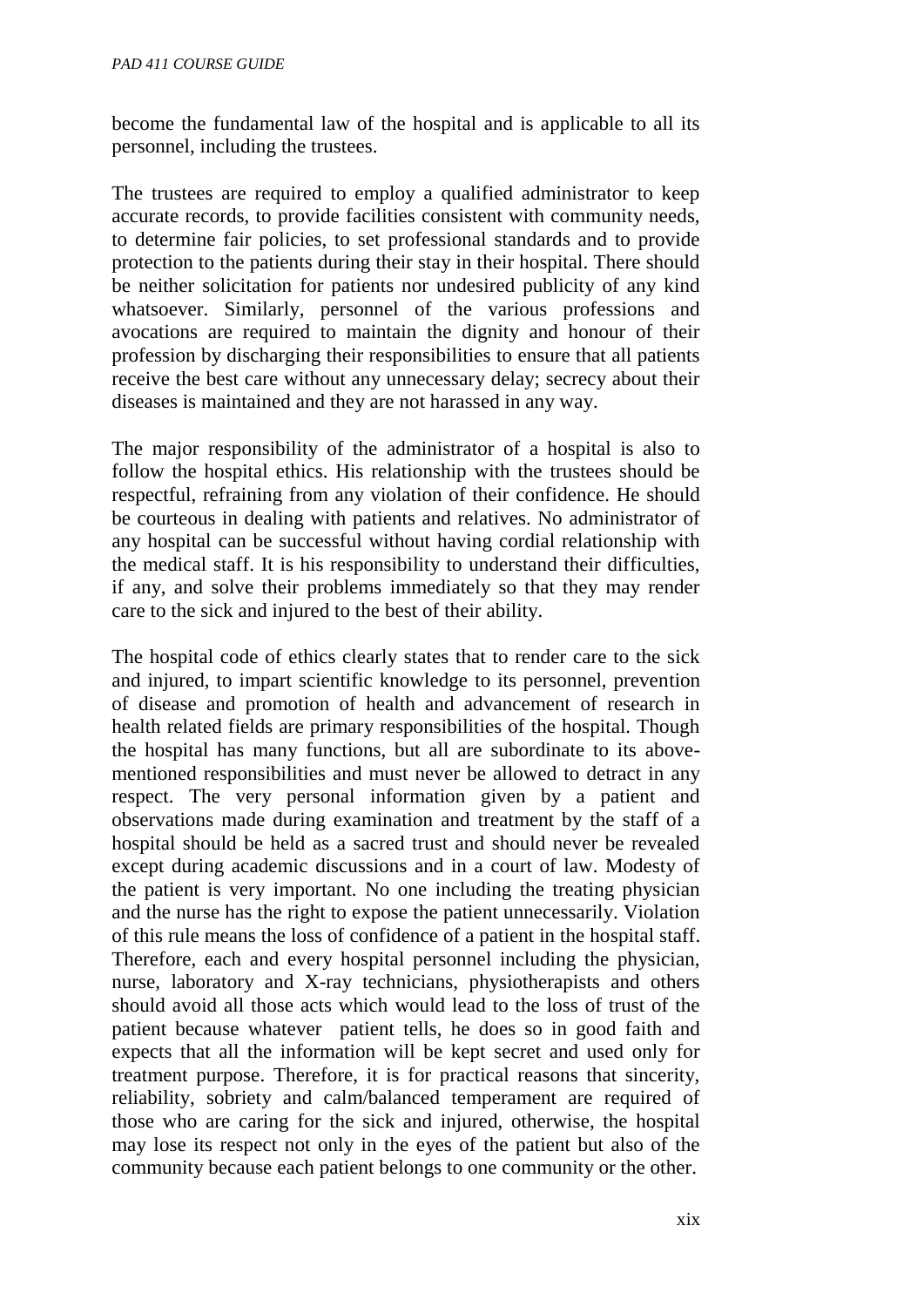become the fundamental law of the hospital and is applicable to all its personnel, including the trustees.

The trustees are required to employ a qualified administrator to keep accurate records, to provide facilities consistent with community needs, to determine fair policies, to set professional standards and to provide protection to the patients during their stay in their hospital. There should be neither solicitation for patients nor undesired publicity of any kind whatsoever. Similarly, personnel of the various professions and avocations are required to maintain the dignity and honour of their profession by discharging their responsibilities to ensure that all patients receive the best care without any unnecessary delay; secrecy about their diseases is maintained and they are not harassed in any way.

The major responsibility of the administrator of a hospital is also to follow the hospital ethics. His relationship with the trustees should be respectful, refraining from any violation of their confidence. He should be courteous in dealing with patients and relatives. No administrator of any hospital can be successful without having cordial relationship with the medical staff. It is his responsibility to understand their difficulties, if any, and solve their problems immediately so that they may render care to the sick and injured to the best of their ability.

The hospital code of ethics clearly states that to render care to the sick and injured, to impart scientific knowledge to its personnel, prevention of disease and promotion of health and advancement of research in health related fields are primary responsibilities of the hospital. Though the hospital has many functions, but all are subordinate to its abovementioned responsibilities and must never be allowed to detract in any respect. The very personal information given by a patient and observations made during examination and treatment by the staff of a hospital should be held as a sacred trust and should never be revealed except during academic discussions and in a court of law. Modesty of the patient is very important. No one including the treating physician and the nurse has the right to expose the patient unnecessarily. Violation of this rule means the loss of confidence of a patient in the hospital staff. Therefore, each and every hospital personnel including the physician, nurse, laboratory and X-ray technicians, physiotherapists and others should avoid all those acts which would lead to the loss of trust of the patient because whatever patient tells, he does so in good faith and expects that all the information will be kept secret and used only for treatment purpose. Therefore, it is for practical reasons that sincerity, reliability, sobriety and calm/balanced temperament are required of those who are caring for the sick and injured, otherwise, the hospital may lose its respect not only in the eyes of the patient but also of the community because each patient belongs to one community or the other.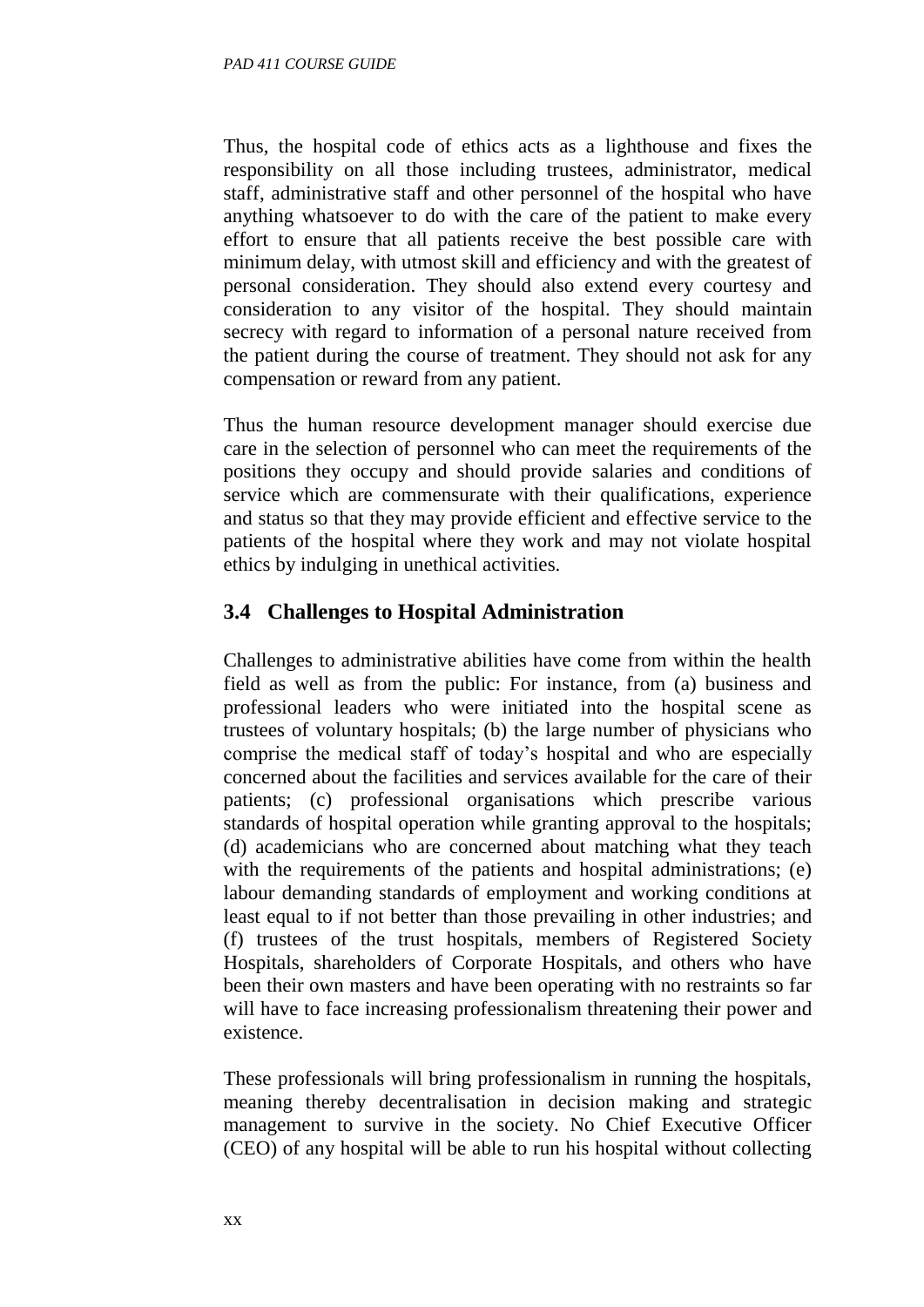Thus, the hospital code of ethics acts as a lighthouse and fixes the responsibility on all those including trustees, administrator, medical staff, administrative staff and other personnel of the hospital who have anything whatsoever to do with the care of the patient to make every effort to ensure that all patients receive the best possible care with minimum delay, with utmost skill and efficiency and with the greatest of personal consideration. They should also extend every courtesy and consideration to any visitor of the hospital. They should maintain secrecy with regard to information of a personal nature received from the patient during the course of treatment. They should not ask for any compensation or reward from any patient.

Thus the human resource development manager should exercise due care in the selection of personnel who can meet the requirements of the positions they occupy and should provide salaries and conditions of service which are commensurate with their qualifications, experience and status so that they may provide efficient and effective service to the patients of the hospital where they work and may not violate hospital ethics by indulging in unethical activities.

#### **3.4 Challenges to Hospital Administration**

Challenges to administrative abilities have come from within the health field as well as from the public: For instance, from (a) business and professional leaders who were initiated into the hospital scene as trustees of voluntary hospitals; (b) the large number of physicians who comprise the medical staff of today"s hospital and who are especially concerned about the facilities and services available for the care of their patients; (c) professional organisations which prescribe various standards of hospital operation while granting approval to the hospitals; (d) academicians who are concerned about matching what they teach with the requirements of the patients and hospital administrations; (e) labour demanding standards of employment and working conditions at least equal to if not better than those prevailing in other industries; and (f) trustees of the trust hospitals, members of Registered Society Hospitals, shareholders of Corporate Hospitals, and others who have been their own masters and have been operating with no restraints so far will have to face increasing professionalism threatening their power and existence.

These professionals will bring professionalism in running the hospitals, meaning thereby decentralisation in decision making and strategic management to survive in the society. No Chief Executive Officer (CEO) of any hospital will be able to run his hospital without collecting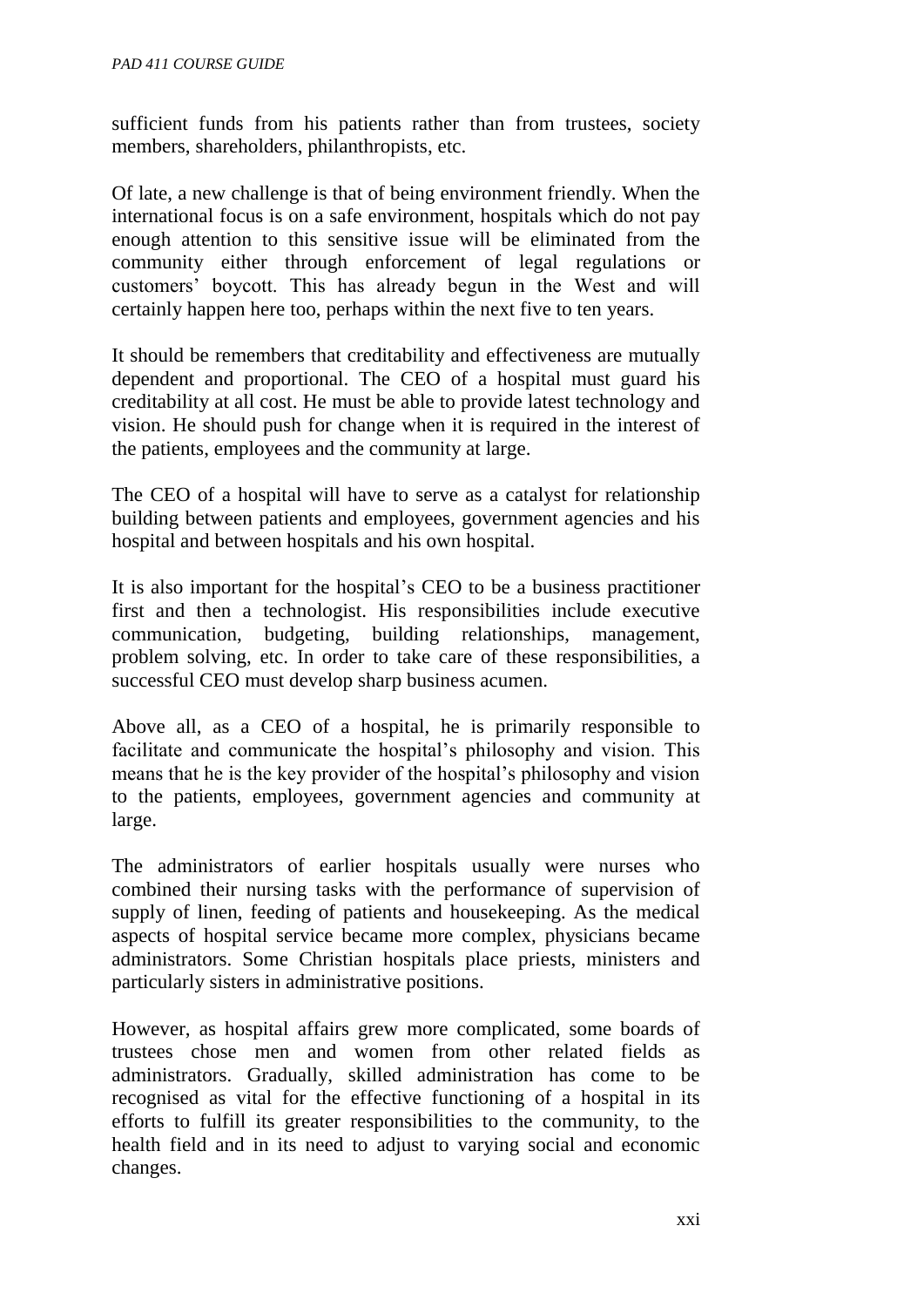sufficient funds from his patients rather than from trustees, society members, shareholders, philanthropists, etc.

Of late, a new challenge is that of being environment friendly. When the international focus is on a safe environment, hospitals which do not pay enough attention to this sensitive issue will be eliminated from the community either through enforcement of legal regulations or customers" boycott. This has already begun in the West and will certainly happen here too, perhaps within the next five to ten years.

It should be remembers that creditability and effectiveness are mutually dependent and proportional. The CEO of a hospital must guard his creditability at all cost. He must be able to provide latest technology and vision. He should push for change when it is required in the interest of the patients, employees and the community at large.

The CEO of a hospital will have to serve as a catalyst for relationship building between patients and employees, government agencies and his hospital and between hospitals and his own hospital.

It is also important for the hospital"s CEO to be a business practitioner first and then a technologist. His responsibilities include executive communication, budgeting, building relationships, management, problem solving, etc. In order to take care of these responsibilities, a successful CEO must develop sharp business acumen.

Above all, as a CEO of a hospital, he is primarily responsible to facilitate and communicate the hospital's philosophy and vision. This means that he is the key provider of the hospital"s philosophy and vision to the patients, employees, government agencies and community at large.

The administrators of earlier hospitals usually were nurses who combined their nursing tasks with the performance of supervision of supply of linen, feeding of patients and housekeeping. As the medical aspects of hospital service became more complex, physicians became administrators. Some Christian hospitals place priests, ministers and particularly sisters in administrative positions.

However, as hospital affairs grew more complicated, some boards of trustees chose men and women from other related fields as administrators. Gradually, skilled administration has come to be recognised as vital for the effective functioning of a hospital in its efforts to fulfill its greater responsibilities to the community, to the health field and in its need to adjust to varying social and economic changes.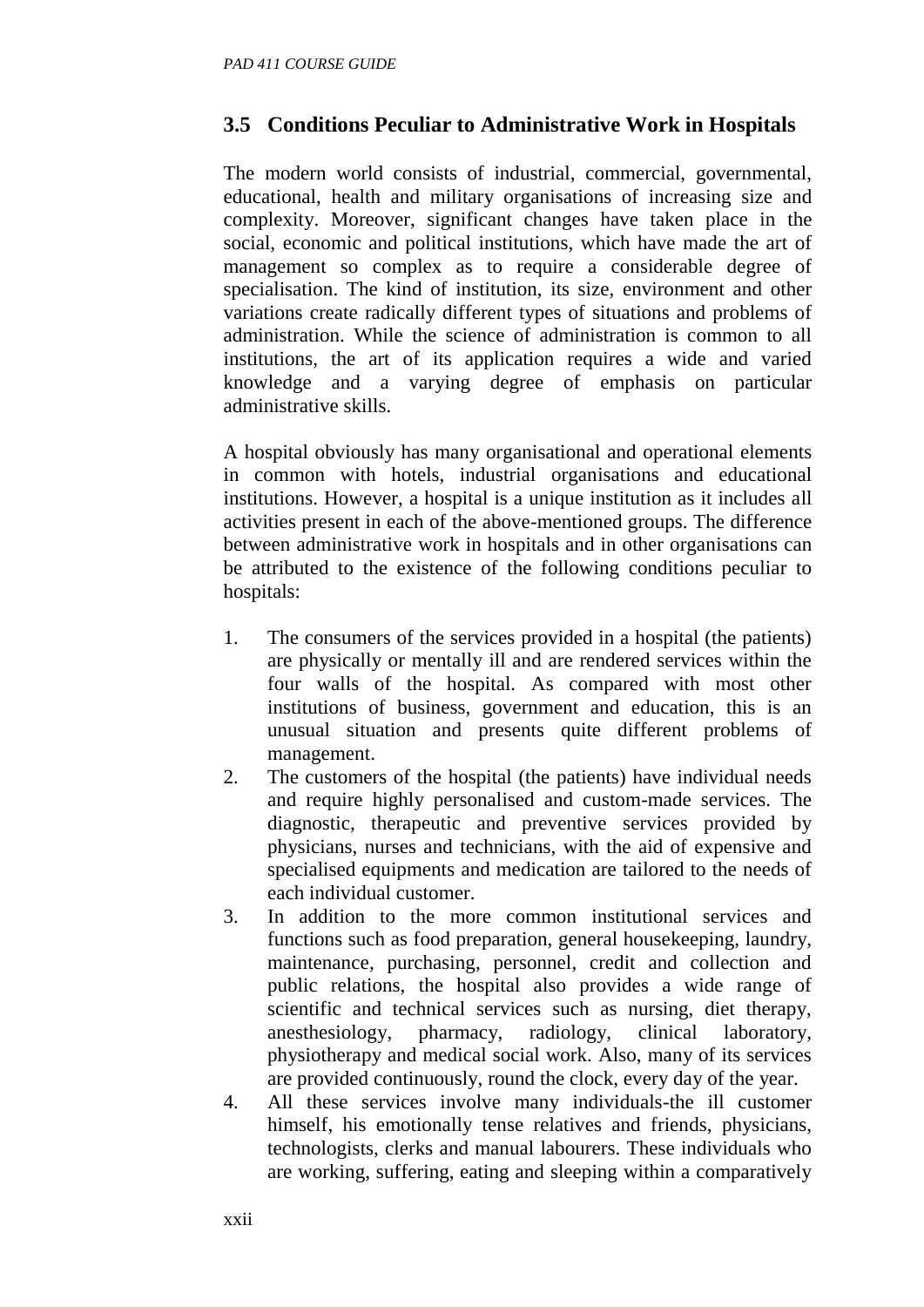## **3.5 Conditions Peculiar to Administrative Work in Hospitals**

The modern world consists of industrial, commercial, governmental, educational, health and military organisations of increasing size and complexity. Moreover, significant changes have taken place in the social, economic and political institutions, which have made the art of management so complex as to require a considerable degree of specialisation. The kind of institution, its size, environment and other variations create radically different types of situations and problems of administration. While the science of administration is common to all institutions, the art of its application requires a wide and varied knowledge and a varying degree of emphasis on particular administrative skills.

A hospital obviously has many organisational and operational elements in common with hotels, industrial organisations and educational institutions. However, a hospital is a unique institution as it includes all activities present in each of the above-mentioned groups. The difference between administrative work in hospitals and in other organisations can be attributed to the existence of the following conditions peculiar to hospitals:

- 1. The consumers of the services provided in a hospital (the patients) are physically or mentally ill and are rendered services within the four walls of the hospital. As compared with most other institutions of business, government and education, this is an unusual situation and presents quite different problems of management.
- 2. The customers of the hospital (the patients) have individual needs and require highly personalised and custom-made services. The diagnostic, therapeutic and preventive services provided by physicians, nurses and technicians, with the aid of expensive and specialised equipments and medication are tailored to the needs of each individual customer.
- 3. In addition to the more common institutional services and functions such as food preparation, general housekeeping, laundry, maintenance, purchasing, personnel, credit and collection and public relations, the hospital also provides a wide range of scientific and technical services such as nursing, diet therapy, anesthesiology, pharmacy, radiology, clinical laboratory, physiotherapy and medical social work. Also, many of its services are provided continuously, round the clock, every day of the year.
- 4. All these services involve many individuals-the ill customer himself, his emotionally tense relatives and friends, physicians, technologists, clerks and manual labourers. These individuals who are working, suffering, eating and sleeping within a comparatively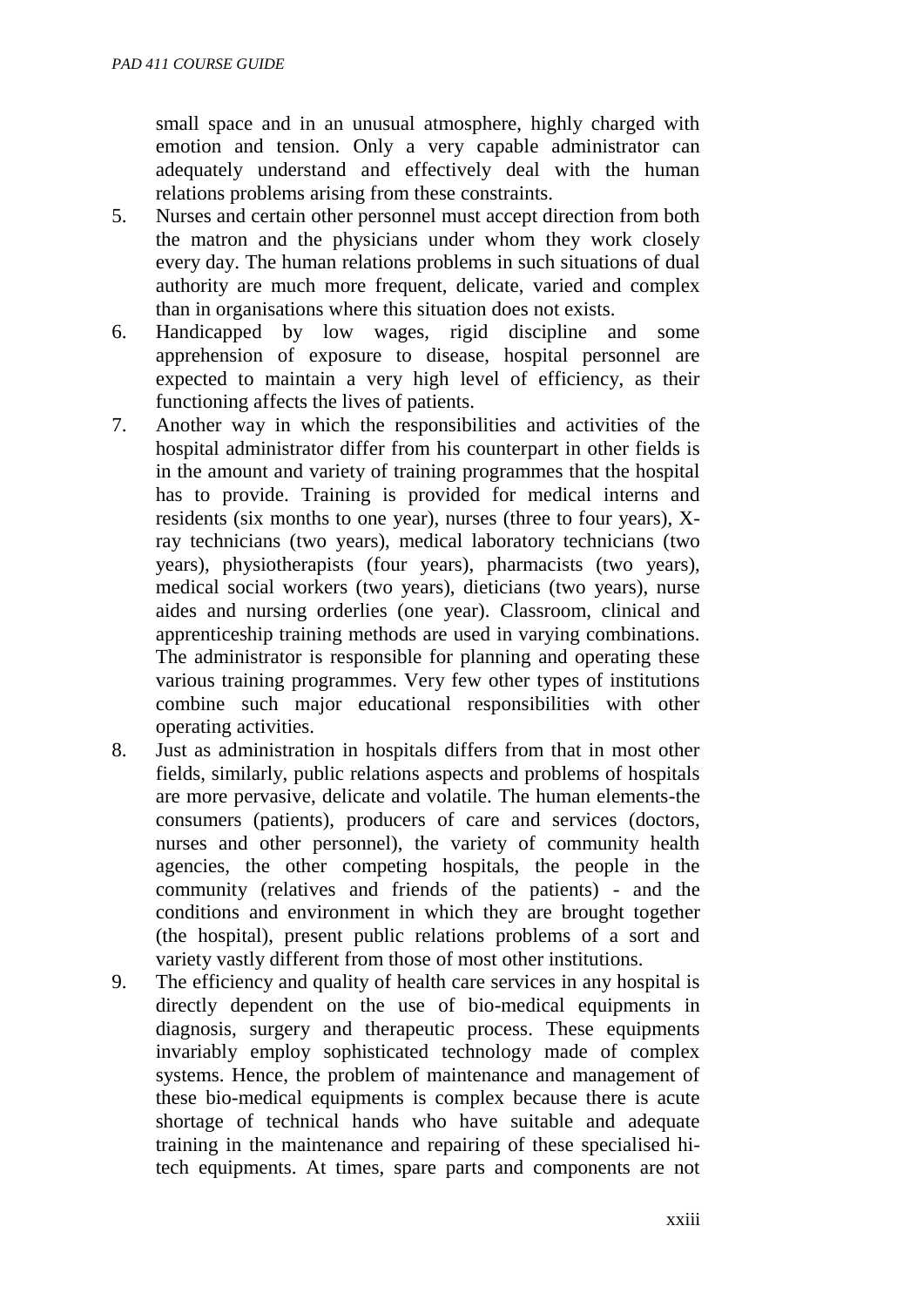small space and in an unusual atmosphere, highly charged with emotion and tension. Only a very capable administrator can adequately understand and effectively deal with the human relations problems arising from these constraints.

- 5. Nurses and certain other personnel must accept direction from both the matron and the physicians under whom they work closely every day. The human relations problems in such situations of dual authority are much more frequent, delicate, varied and complex than in organisations where this situation does not exists.
- 6. Handicapped by low wages, rigid discipline and some apprehension of exposure to disease, hospital personnel are expected to maintain a very high level of efficiency, as their functioning affects the lives of patients.
- 7. Another way in which the responsibilities and activities of the hospital administrator differ from his counterpart in other fields is in the amount and variety of training programmes that the hospital has to provide. Training is provided for medical interns and residents (six months to one year), nurses (three to four years), Xray technicians (two years), medical laboratory technicians (two years), physiotherapists (four years), pharmacists (two years), medical social workers (two years), dieticians (two years), nurse aides and nursing orderlies (one year). Classroom, clinical and apprenticeship training methods are used in varying combinations. The administrator is responsible for planning and operating these various training programmes. Very few other types of institutions combine such major educational responsibilities with other operating activities.
- 8. Just as administration in hospitals differs from that in most other fields, similarly, public relations aspects and problems of hospitals are more pervasive, delicate and volatile. The human elements-the consumers (patients), producers of care and services (doctors, nurses and other personnel), the variety of community health agencies, the other competing hospitals, the people in the community (relatives and friends of the patients) - and the conditions and environment in which they are brought together (the hospital), present public relations problems of a sort and variety vastly different from those of most other institutions.
- 9. The efficiency and quality of health care services in any hospital is directly dependent on the use of bio-medical equipments in diagnosis, surgery and therapeutic process. These equipments invariably employ sophisticated technology made of complex systems. Hence, the problem of maintenance and management of these bio-medical equipments is complex because there is acute shortage of technical hands who have suitable and adequate training in the maintenance and repairing of these specialised hitech equipments. At times, spare parts and components are not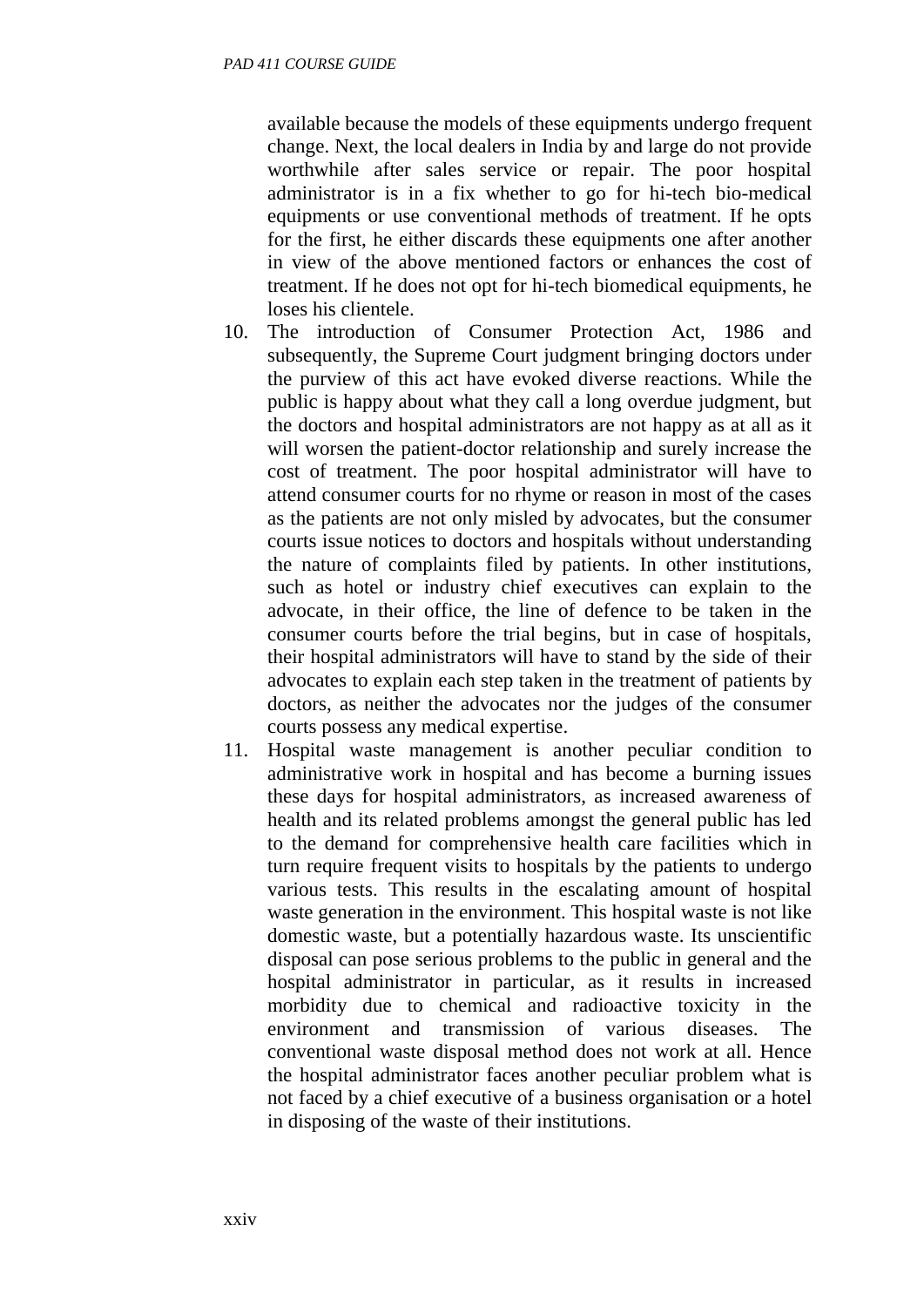available because the models of these equipments undergo frequent change. Next, the local dealers in India by and large do not provide worthwhile after sales service or repair. The poor hospital administrator is in a fix whether to go for hi-tech bio-medical equipments or use conventional methods of treatment. If he opts for the first, he either discards these equipments one after another in view of the above mentioned factors or enhances the cost of treatment. If he does not opt for hi-tech biomedical equipments, he loses his clientele.

- 10. The introduction of Consumer Protection Act, 1986 and subsequently, the Supreme Court judgment bringing doctors under the purview of this act have evoked diverse reactions. While the public is happy about what they call a long overdue judgment, but the doctors and hospital administrators are not happy as at all as it will worsen the patient-doctor relationship and surely increase the cost of treatment. The poor hospital administrator will have to attend consumer courts for no rhyme or reason in most of the cases as the patients are not only misled by advocates, but the consumer courts issue notices to doctors and hospitals without understanding the nature of complaints filed by patients. In other institutions, such as hotel or industry chief executives can explain to the advocate, in their office, the line of defence to be taken in the consumer courts before the trial begins, but in case of hospitals, their hospital administrators will have to stand by the side of their advocates to explain each step taken in the treatment of patients by doctors, as neither the advocates nor the judges of the consumer courts possess any medical expertise.
- 11. Hospital waste management is another peculiar condition to administrative work in hospital and has become a burning issues these days for hospital administrators, as increased awareness of health and its related problems amongst the general public has led to the demand for comprehensive health care facilities which in turn require frequent visits to hospitals by the patients to undergo various tests. This results in the escalating amount of hospital waste generation in the environment. This hospital waste is not like domestic waste, but a potentially hazardous waste. Its unscientific disposal can pose serious problems to the public in general and the hospital administrator in particular, as it results in increased morbidity due to chemical and radioactive toxicity in the environment and transmission of various diseases. The conventional waste disposal method does not work at all. Hence the hospital administrator faces another peculiar problem what is not faced by a chief executive of a business organisation or a hotel in disposing of the waste of their institutions.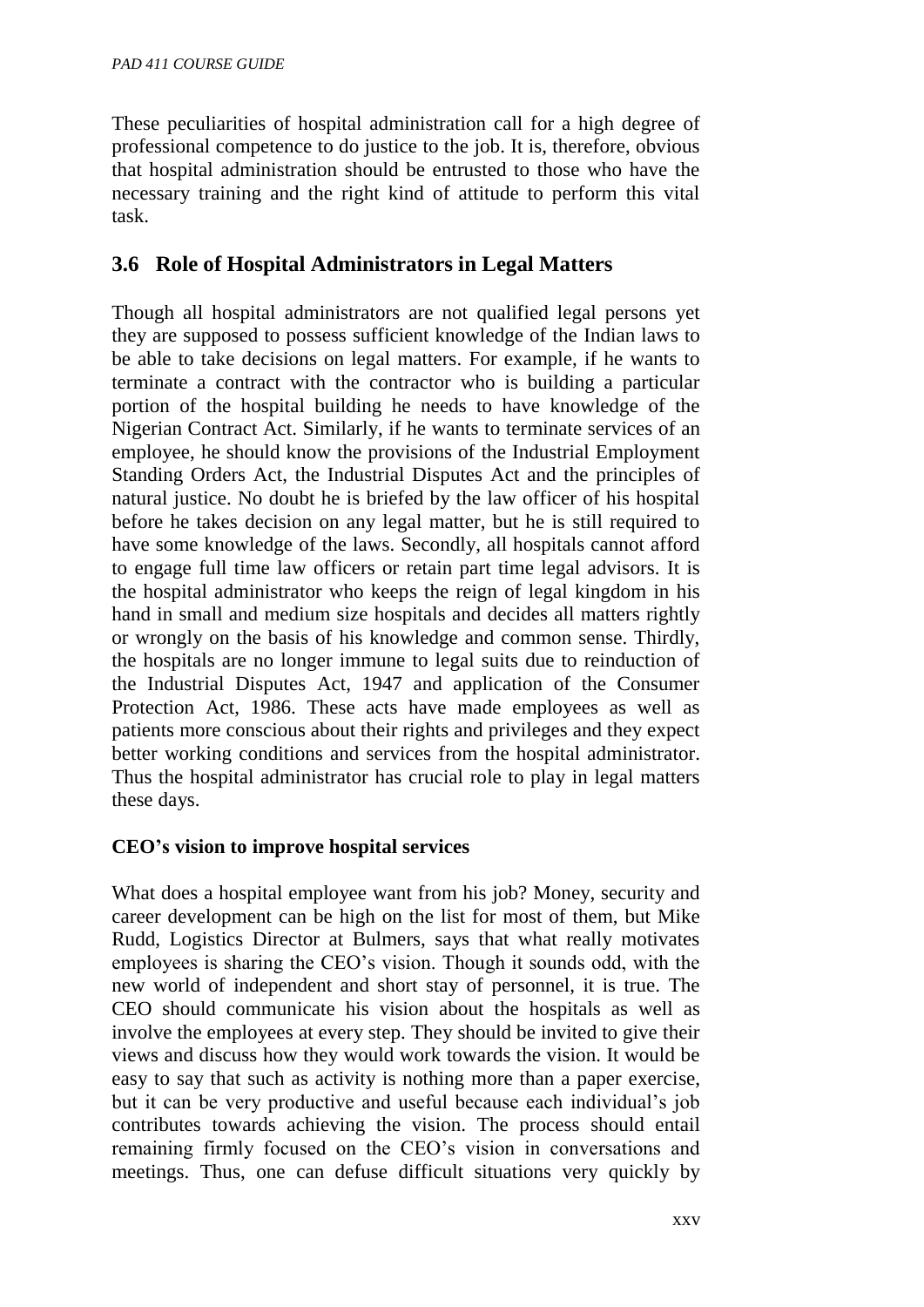These peculiarities of hospital administration call for a high degree of professional competence to do justice to the job. It is, therefore, obvious that hospital administration should be entrusted to those who have the necessary training and the right kind of attitude to perform this vital task.

#### **3.6 Role of Hospital Administrators in Legal Matters**

Though all hospital administrators are not qualified legal persons yet they are supposed to possess sufficient knowledge of the Indian laws to be able to take decisions on legal matters. For example, if he wants to terminate a contract with the contractor who is building a particular portion of the hospital building he needs to have knowledge of the Nigerian Contract Act. Similarly, if he wants to terminate services of an employee, he should know the provisions of the Industrial Employment Standing Orders Act, the Industrial Disputes Act and the principles of natural justice. No doubt he is briefed by the law officer of his hospital before he takes decision on any legal matter, but he is still required to have some knowledge of the laws. Secondly, all hospitals cannot afford to engage full time law officers or retain part time legal advisors. It is the hospital administrator who keeps the reign of legal kingdom in his hand in small and medium size hospitals and decides all matters rightly or wrongly on the basis of his knowledge and common sense. Thirdly, the hospitals are no longer immune to legal suits due to reinduction of the Industrial Disputes Act, 1947 and application of the Consumer Protection Act, 1986. These acts have made employees as well as patients more conscious about their rights and privileges and they expect better working conditions and services from the hospital administrator. Thus the hospital administrator has crucial role to play in legal matters these days.

#### **CEO's vision to improve hospital services**

What does a hospital employee want from his job? Money, security and career development can be high on the list for most of them, but Mike Rudd, Logistics Director at Bulmers, says that what really motivates employees is sharing the CEO"s vision. Though it sounds odd, with the new world of independent and short stay of personnel, it is true. The CEO should communicate his vision about the hospitals as well as involve the employees at every step. They should be invited to give their views and discuss how they would work towards the vision. It would be easy to say that such as activity is nothing more than a paper exercise, but it can be very productive and useful because each individual"s job contributes towards achieving the vision. The process should entail remaining firmly focused on the CEO"s vision in conversations and meetings. Thus, one can defuse difficult situations very quickly by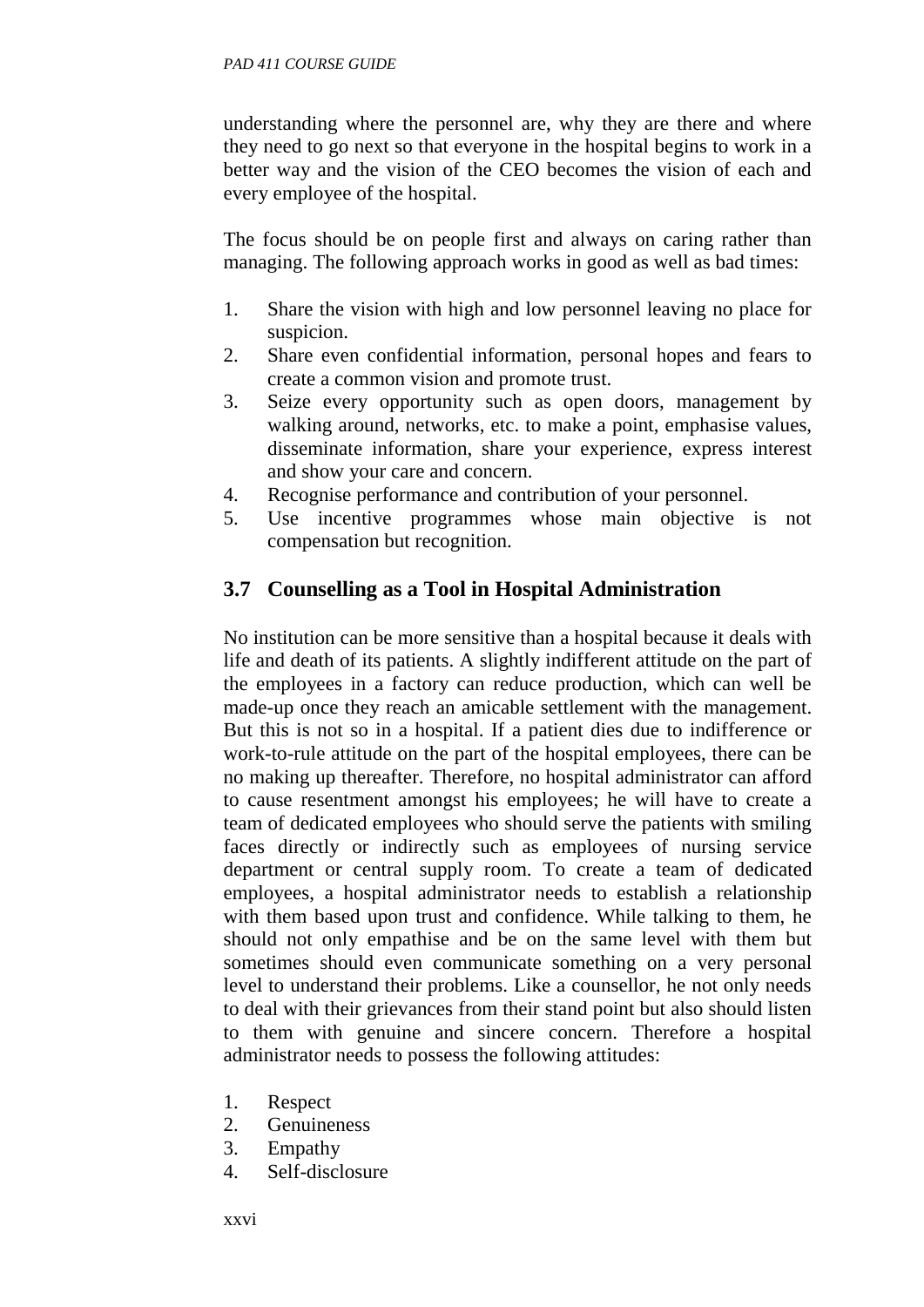understanding where the personnel are, why they are there and where they need to go next so that everyone in the hospital begins to work in a better way and the vision of the CEO becomes the vision of each and every employee of the hospital.

The focus should be on people first and always on caring rather than managing. The following approach works in good as well as bad times:

- 1. Share the vision with high and low personnel leaving no place for suspicion.
- 2. Share even confidential information, personal hopes and fears to create a common vision and promote trust.
- 3. Seize every opportunity such as open doors, management by walking around, networks, etc. to make a point, emphasise values, disseminate information, share your experience, express interest and show your care and concern.
- 4. Recognise performance and contribution of your personnel.
- 5. Use incentive programmes whose main objective is not compensation but recognition.

#### **3.7 Counselling as a Tool in Hospital Administration**

No institution can be more sensitive than a hospital because it deals with life and death of its patients. A slightly indifferent attitude on the part of the employees in a factory can reduce production, which can well be made-up once they reach an amicable settlement with the management. But this is not so in a hospital. If a patient dies due to indifference or work-to-rule attitude on the part of the hospital employees, there can be no making up thereafter. Therefore, no hospital administrator can afford to cause resentment amongst his employees; he will have to create a team of dedicated employees who should serve the patients with smiling faces directly or indirectly such as employees of nursing service department or central supply room. To create a team of dedicated employees, a hospital administrator needs to establish a relationship with them based upon trust and confidence. While talking to them, he should not only empathise and be on the same level with them but sometimes should even communicate something on a very personal level to understand their problems. Like a counsellor, he not only needs to deal with their grievances from their stand point but also should listen to them with genuine and sincere concern. Therefore a hospital administrator needs to possess the following attitudes:

- 1. Respect
- 2. Genuineness
- 3. Empathy
- 4. Self-disclosure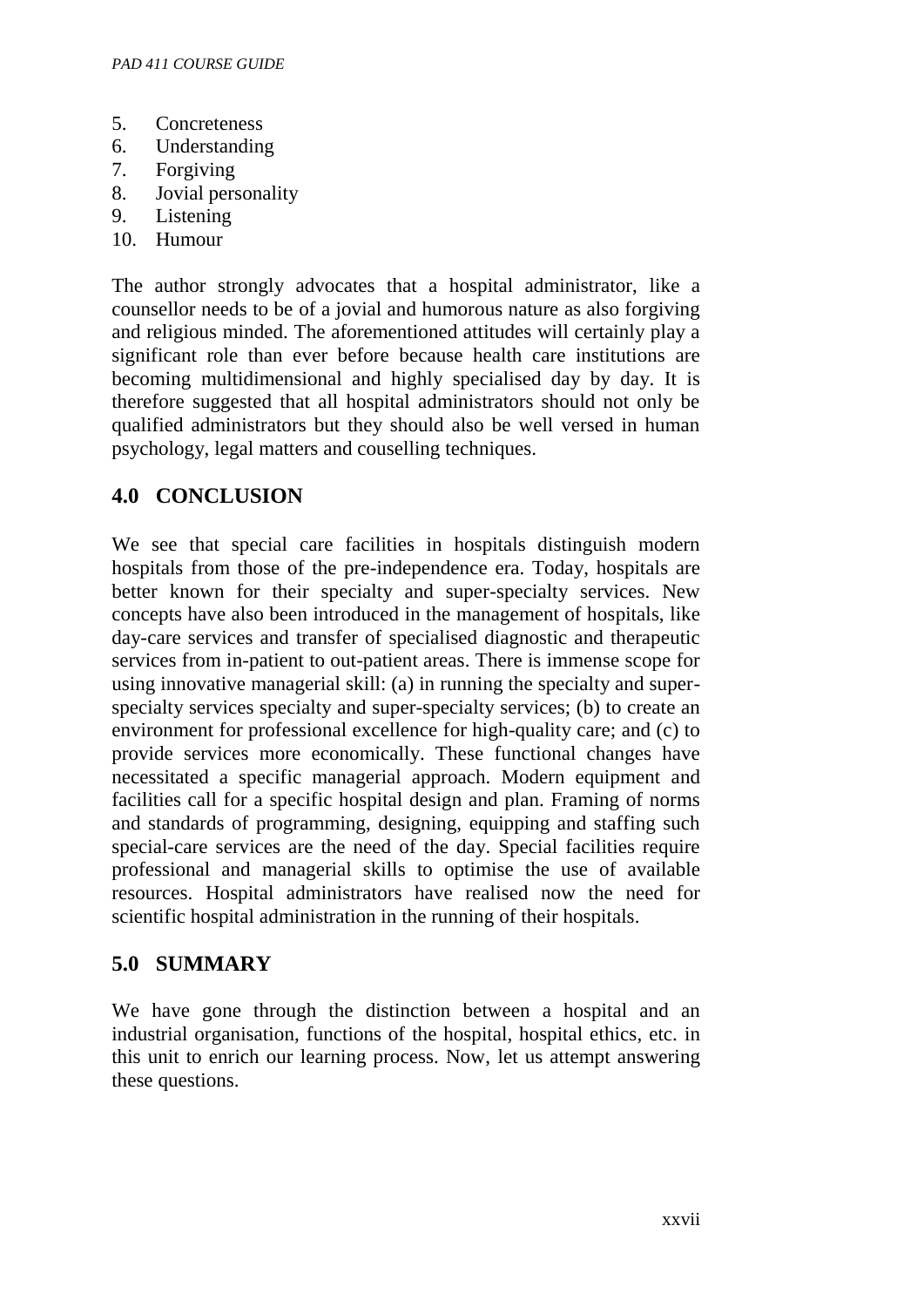- 5. Concreteness
- 6. Understanding
- 7. Forgiving
- 8. Jovial personality
- 9. Listening
- 10. Humour

The author strongly advocates that a hospital administrator, like a counsellor needs to be of a jovial and humorous nature as also forgiving and religious minded. The aforementioned attitudes will certainly play a significant role than ever before because health care institutions are becoming multidimensional and highly specialised day by day. It is therefore suggested that all hospital administrators should not only be qualified administrators but they should also be well versed in human psychology, legal matters and couselling techniques.

#### **4.0 CONCLUSION**

We see that special care facilities in hospitals distinguish modern hospitals from those of the pre-independence era. Today, hospitals are better known for their specialty and super-specialty services. New concepts have also been introduced in the management of hospitals, like day-care services and transfer of specialised diagnostic and therapeutic services from in-patient to out-patient areas. There is immense scope for using innovative managerial skill: (a) in running the specialty and superspecialty services specialty and super-specialty services; (b) to create an environment for professional excellence for high-quality care; and (c) to provide services more economically. These functional changes have necessitated a specific managerial approach. Modern equipment and facilities call for a specific hospital design and plan. Framing of norms and standards of programming, designing, equipping and staffing such special-care services are the need of the day. Special facilities require professional and managerial skills to optimise the use of available resources. Hospital administrators have realised now the need for scientific hospital administration in the running of their hospitals.

#### **5.0 SUMMARY**

We have gone through the distinction between a hospital and an industrial organisation, functions of the hospital, hospital ethics, etc. in this unit to enrich our learning process. Now, let us attempt answering these questions.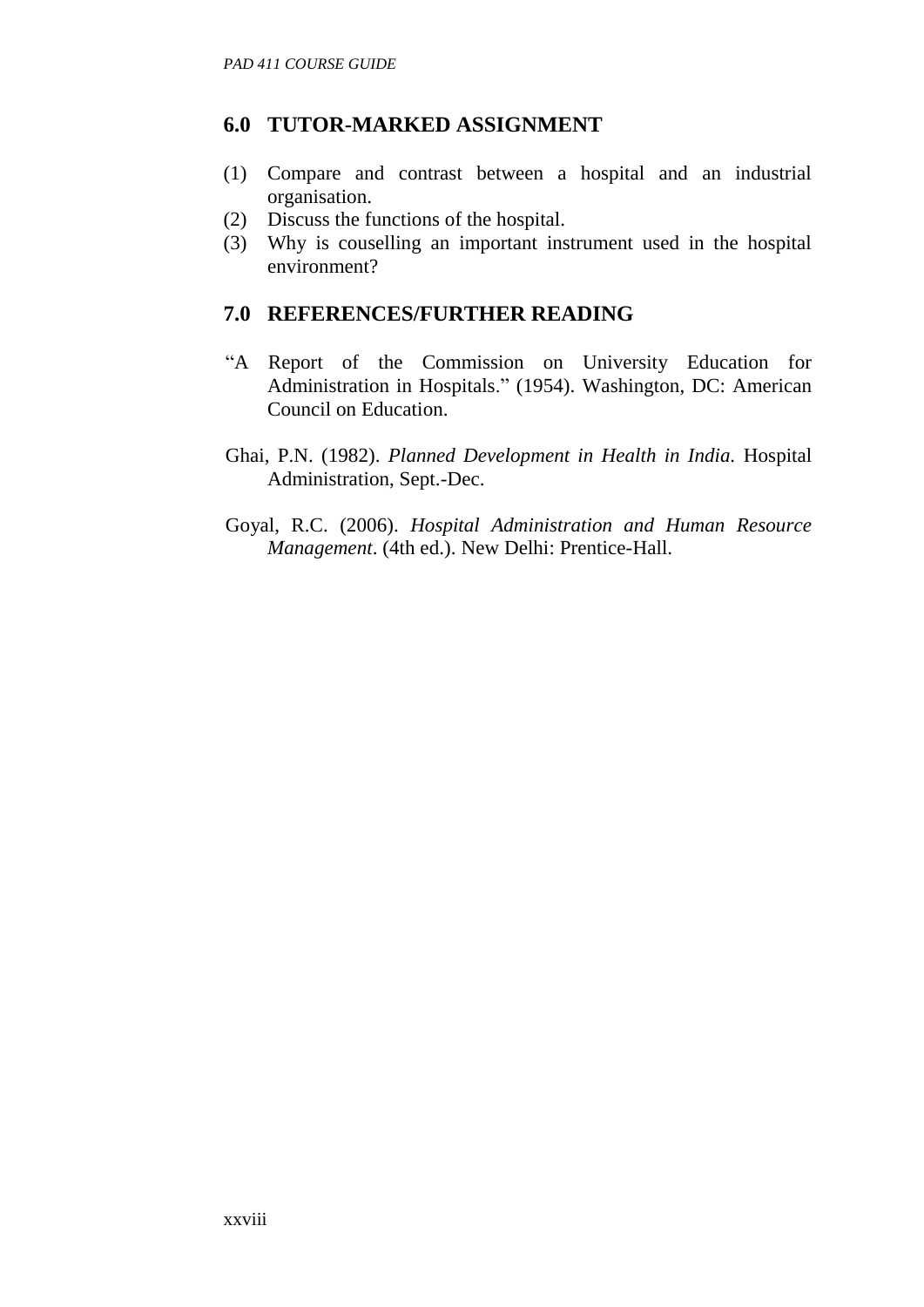#### **6.0 TUTOR-MARKED ASSIGNMENT**

- (1) Compare and contrast between a hospital and an industrial organisation.
- (2) Discuss the functions of the hospital.
- (3) Why is couselling an important instrument used in the hospital environment?

#### **7.0 REFERENCES/FURTHER READING**

- "A Report of the Commission on University Education for Administration in Hospitals." (1954). Washington, DC: American Council on Education.
- Ghai, P.N. (1982). *Planned Development in Health in India.* Hospital Administration, Sept.-Dec.
- Goyal, R.C. (2006). *Hospital Administration and Human Resource Management*. (4th ed.). New Delhi: Prentice-Hall.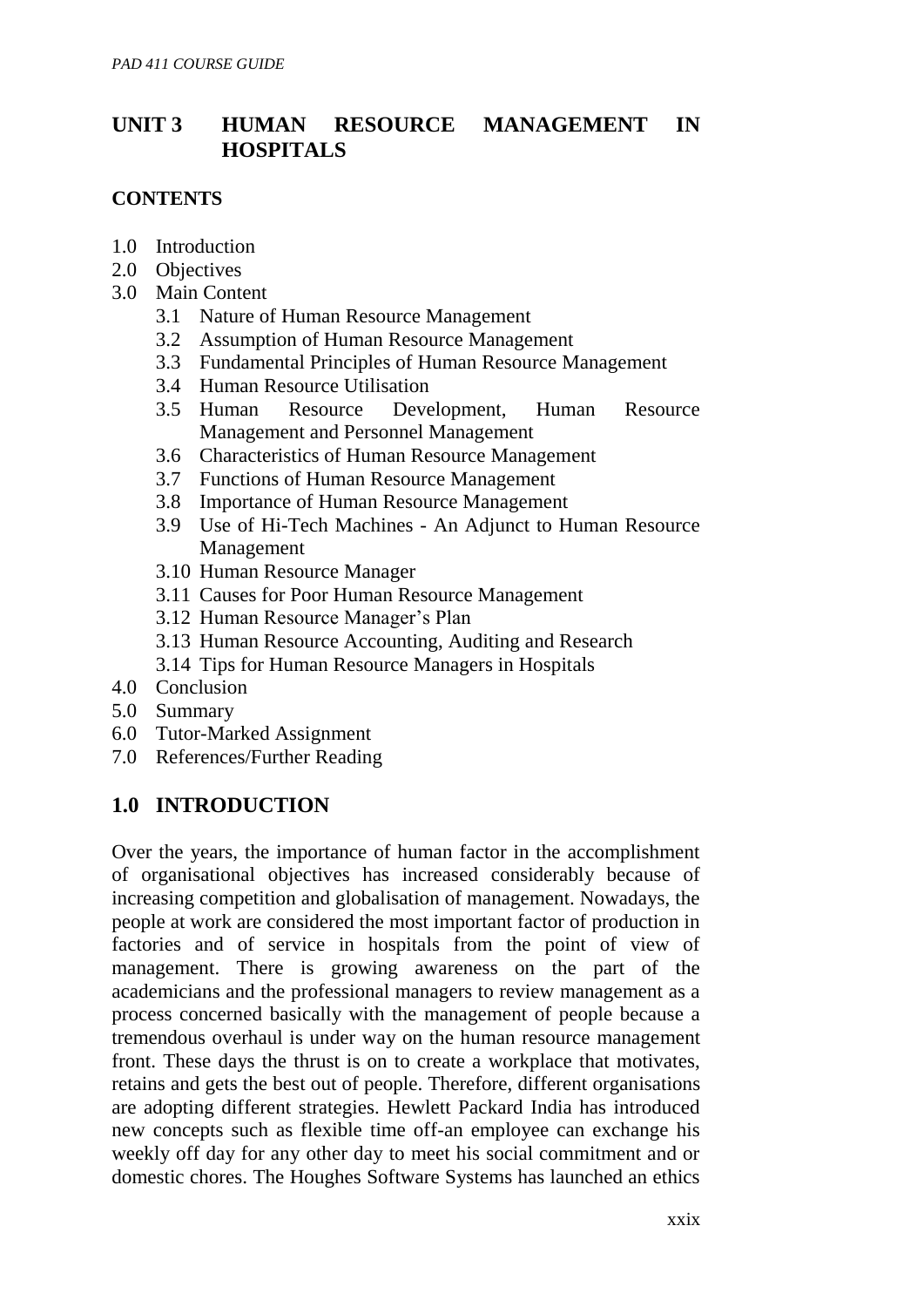## **UNIT 3 HUMAN RESOURCE MANAGEMENT IN HOSPITALS**

#### **CONTENTS**

- 1.0 Introduction
- 2.0 Objectives
- 3.0 Main Content
	- 3.1 Nature of Human Resource Management
	- 3.2 Assumption of Human Resource Management
	- 3.3 Fundamental Principles of Human Resource Management
	- 3.4 Human Resource Utilisation
	- 3.5 Human Resource Development, Human Resource Management and Personnel Management
	- 3.6 Characteristics of Human Resource Management
	- 3.7 Functions of Human Resource Management
	- 3.8 Importance of Human Resource Management
	- 3.9 Use of Hi-Tech Machines An Adjunct to Human Resource Management
	- 3.10 Human Resource Manager
	- 3.11 Causes for Poor Human Resource Management
	- 3.12 Human Resource Manager"s Plan
	- 3.13 Human Resource Accounting, Auditing and Research
	- 3.14 Tips for Human Resource Managers in Hospitals
- 4.0 Conclusion
- 5.0 Summary
- 6.0 Tutor-Marked Assignment
- 7.0 References/Further Reading

#### **1.0 INTRODUCTION**

Over the years, the importance of human factor in the accomplishment of organisational objectives has increased considerably because of increasing competition and globalisation of management. Nowadays, the people at work are considered the most important factor of production in factories and of service in hospitals from the point of view of management. There is growing awareness on the part of the academicians and the professional managers to review management as a process concerned basically with the management of people because a tremendous overhaul is under way on the human resource management front. These days the thrust is on to create a workplace that motivates, retains and gets the best out of people. Therefore, different organisations are adopting different strategies. Hewlett Packard India has introduced new concepts such as flexible time off-an employee can exchange his weekly off day for any other day to meet his social commitment and or domestic chores. The Houghes Software Systems has launched an ethics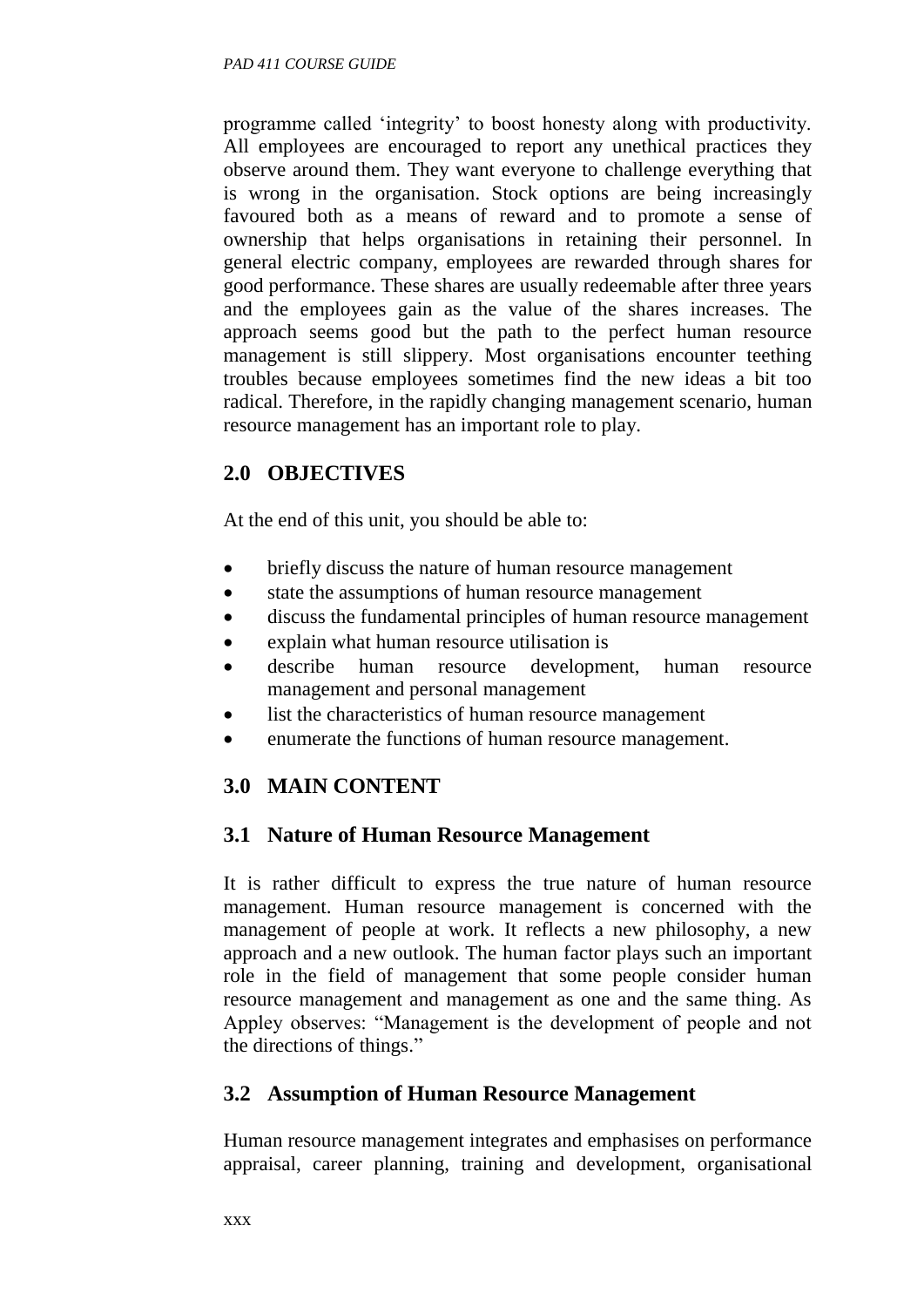programme called "integrity" to boost honesty along with productivity. All employees are encouraged to report any unethical practices they observe around them. They want everyone to challenge everything that is wrong in the organisation. Stock options are being increasingly favoured both as a means of reward and to promote a sense of ownership that helps organisations in retaining their personnel. In general electric company, employees are rewarded through shares for good performance. These shares are usually redeemable after three years and the employees gain as the value of the shares increases. The approach seems good but the path to the perfect human resource management is still slippery. Most organisations encounter teething troubles because employees sometimes find the new ideas a bit too radical. Therefore, in the rapidly changing management scenario, human resource management has an important role to play.

## **2.0 OBJECTIVES**

At the end of this unit, you should be able to:

- briefly discuss the nature of human resource management
- state the assumptions of human resource management
- discuss the fundamental principles of human resource management
- explain what human resource utilisation is
- describe human resource development, human resource management and personal management
- list the characteristics of human resource management
- enumerate the functions of human resource management.

# **3.0 MAIN CONTENT**

## **3.1 Nature of Human Resource Management**

It is rather difficult to express the true nature of human resource management. Human resource management is concerned with the management of people at work. It reflects a new philosophy, a new approach and a new outlook. The human factor plays such an important role in the field of management that some people consider human resource management and management as one and the same thing. As Appley observes: "Management is the development of people and not the directions of things."

## **3.2 Assumption of Human Resource Management**

Human resource management integrates and emphasises on performance appraisal, career planning, training and development, organisational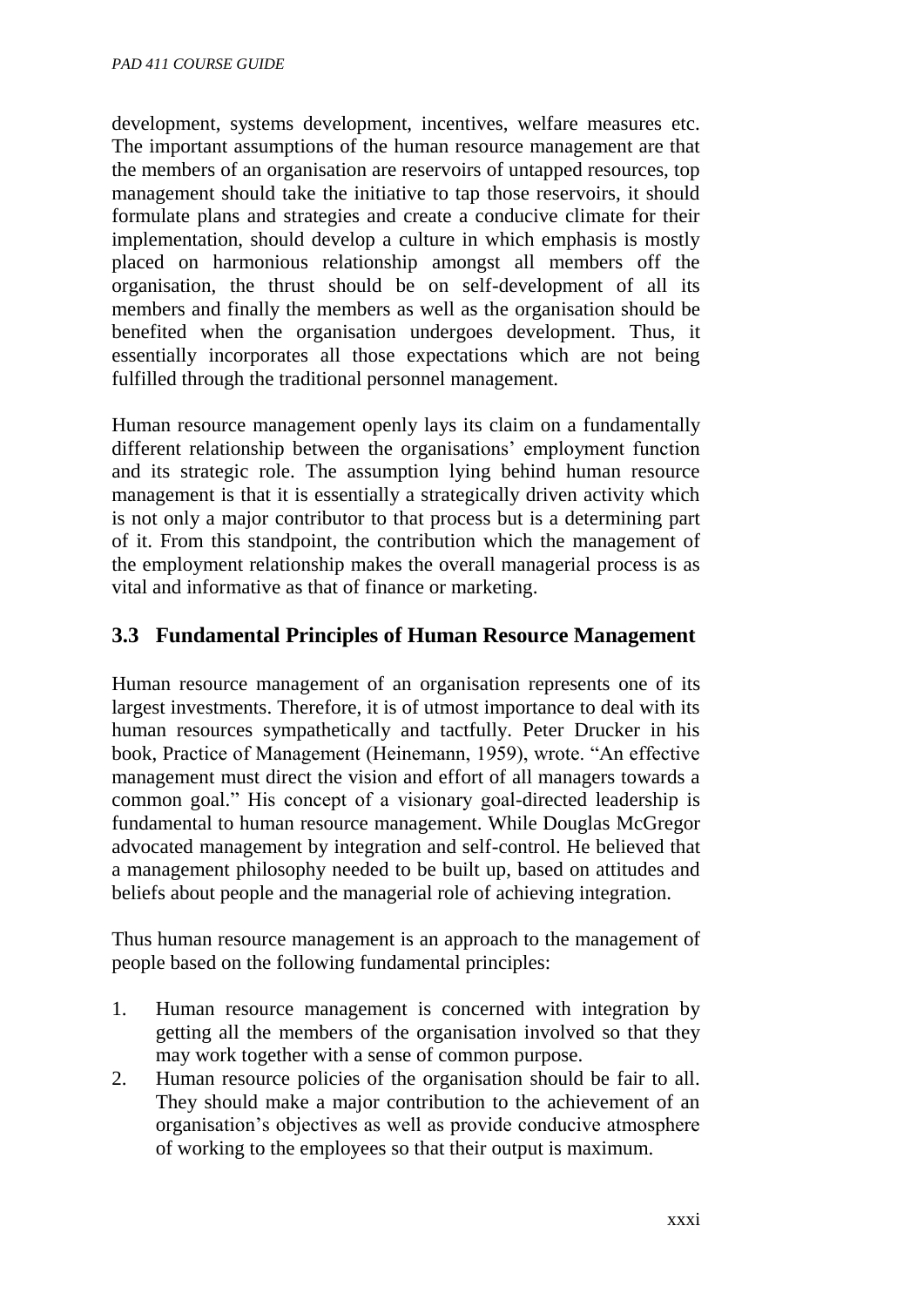development, systems development, incentives, welfare measures etc. The important assumptions of the human resource management are that the members of an organisation are reservoirs of untapped resources, top management should take the initiative to tap those reservoirs, it should formulate plans and strategies and create a conducive climate for their implementation, should develop a culture in which emphasis is mostly placed on harmonious relationship amongst all members off the organisation, the thrust should be on self-development of all its members and finally the members as well as the organisation should be benefited when the organisation undergoes development. Thus, it essentially incorporates all those expectations which are not being fulfilled through the traditional personnel management.

Human resource management openly lays its claim on a fundamentally different relationship between the organisations" employment function and its strategic role. The assumption lying behind human resource management is that it is essentially a strategically driven activity which is not only a major contributor to that process but is a determining part of it. From this standpoint, the contribution which the management of the employment relationship makes the overall managerial process is as vital and informative as that of finance or marketing.

#### **3.3 Fundamental Principles of Human Resource Management**

Human resource management of an organisation represents one of its largest investments. Therefore, it is of utmost importance to deal with its human resources sympathetically and tactfully. Peter Drucker in his book, Practice of Management (Heinemann, 1959), wrote. "An effective management must direct the vision and effort of all managers towards a common goal." His concept of a visionary goal-directed leadership is fundamental to human resource management. While Douglas McGregor advocated management by integration and self-control. He believed that a management philosophy needed to be built up, based on attitudes and beliefs about people and the managerial role of achieving integration.

Thus human resource management is an approach to the management of people based on the following fundamental principles:

- 1. Human resource management is concerned with integration by getting all the members of the organisation involved so that they may work together with a sense of common purpose.
- 2. Human resource policies of the organisation should be fair to all. They should make a major contribution to the achievement of an organisation"s objectives as well as provide conducive atmosphere of working to the employees so that their output is maximum.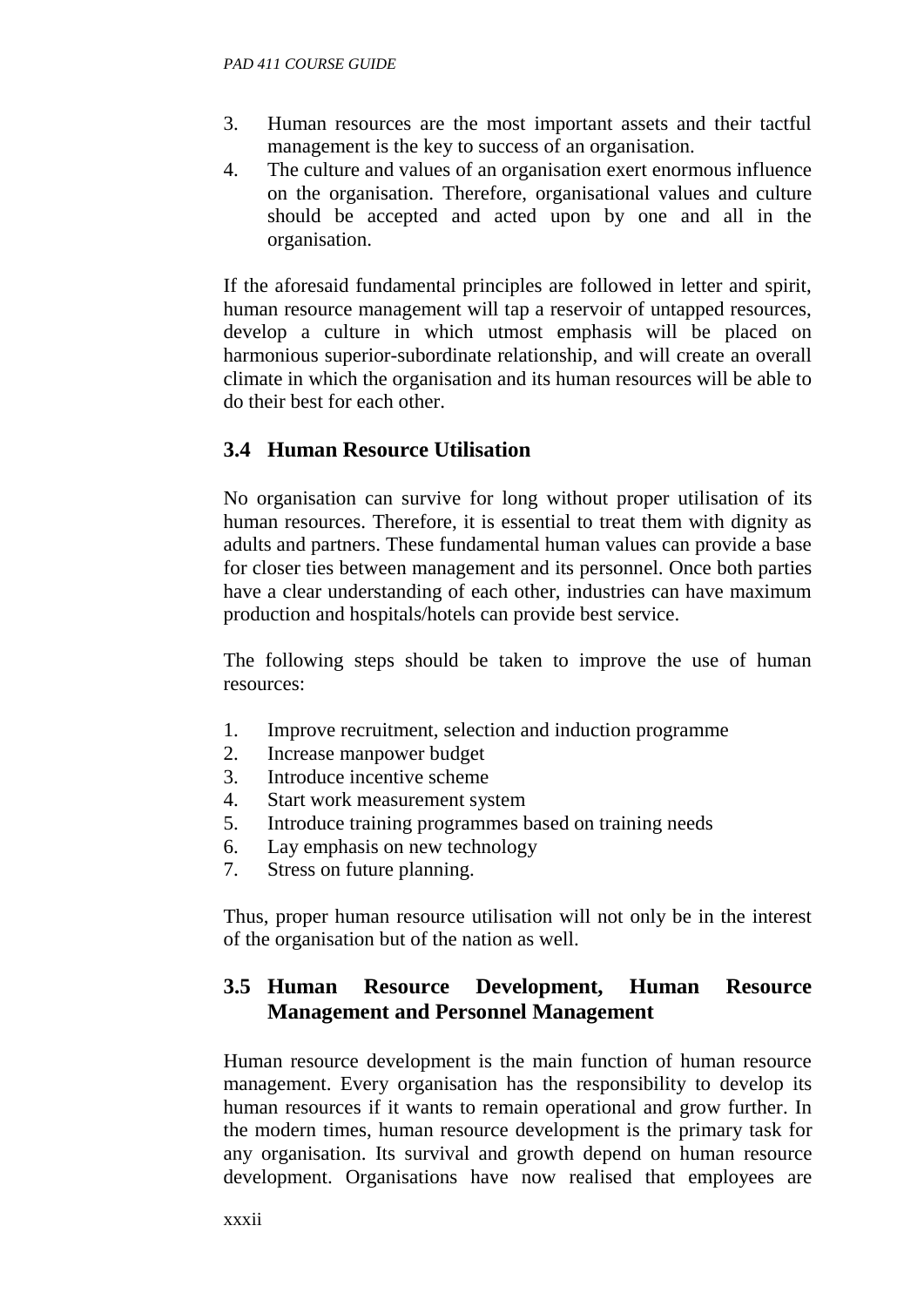- 3. Human resources are the most important assets and their tactful management is the key to success of an organisation.
- 4. The culture and values of an organisation exert enormous influence on the organisation. Therefore, organisational values and culture should be accepted and acted upon by one and all in the organisation.

If the aforesaid fundamental principles are followed in letter and spirit, human resource management will tap a reservoir of untapped resources, develop a culture in which utmost emphasis will be placed on harmonious superior-subordinate relationship, and will create an overall climate in which the organisation and its human resources will be able to do their best for each other.

## **3.4 Human Resource Utilisation**

No organisation can survive for long without proper utilisation of its human resources. Therefore, it is essential to treat them with dignity as adults and partners. These fundamental human values can provide a base for closer ties between management and its personnel. Once both parties have a clear understanding of each other, industries can have maximum production and hospitals/hotels can provide best service.

The following steps should be taken to improve the use of human resources:

- 1. Improve recruitment, selection and induction programme
- 2. Increase manpower budget
- 3. Introduce incentive scheme
- 4. Start work measurement system
- 5. Introduce training programmes based on training needs
- 6. Lay emphasis on new technology
- 7. Stress on future planning.

Thus, proper human resource utilisation will not only be in the interest of the organisation but of the nation as well.

## **3.5 Human Resource Development, Human Resource Management and Personnel Management**

Human resource development is the main function of human resource management. Every organisation has the responsibility to develop its human resources if it wants to remain operational and grow further. In the modern times, human resource development is the primary task for any organisation. Its survival and growth depend on human resource development. Organisations have now realised that employees are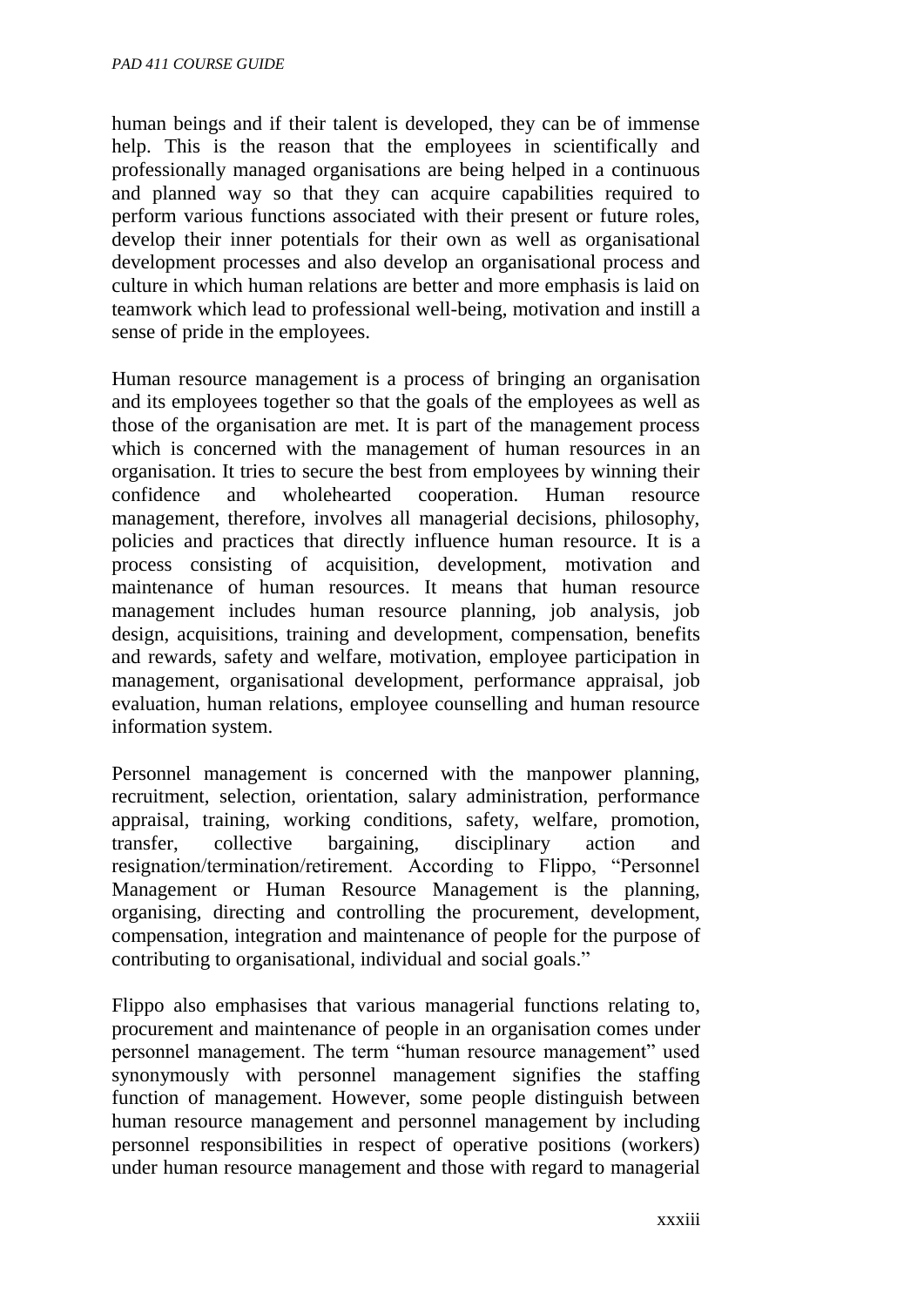human beings and if their talent is developed, they can be of immense help. This is the reason that the employees in scientifically and professionally managed organisations are being helped in a continuous and planned way so that they can acquire capabilities required to perform various functions associated with their present or future roles, develop their inner potentials for their own as well as organisational development processes and also develop an organisational process and culture in which human relations are better and more emphasis is laid on teamwork which lead to professional well-being, motivation and instill a sense of pride in the employees.

Human resource management is a process of bringing an organisation and its employees together so that the goals of the employees as well as those of the organisation are met. It is part of the management process which is concerned with the management of human resources in an organisation. It tries to secure the best from employees by winning their confidence and wholehearted cooperation. Human resource management, therefore, involves all managerial decisions, philosophy, policies and practices that directly influence human resource. It is a process consisting of acquisition, development, motivation and maintenance of human resources. It means that human resource management includes human resource planning, job analysis, job design, acquisitions, training and development, compensation, benefits and rewards, safety and welfare, motivation, employee participation in management, organisational development, performance appraisal, job evaluation, human relations, employee counselling and human resource information system.

Personnel management is concerned with the manpower planning, recruitment, selection, orientation, salary administration, performance appraisal, training, working conditions, safety, welfare, promotion, transfer, collective bargaining, disciplinary action and resignation/termination/retirement. According to Flippo, "Personnel Management or Human Resource Management is the planning, organising, directing and controlling the procurement, development, compensation, integration and maintenance of people for the purpose of contributing to organisational, individual and social goals."

Flippo also emphasises that various managerial functions relating to, procurement and maintenance of people in an organisation comes under personnel management. The term "human resource management" used synonymously with personnel management signifies the staffing function of management. However, some people distinguish between human resource management and personnel management by including personnel responsibilities in respect of operative positions (workers) under human resource management and those with regard to managerial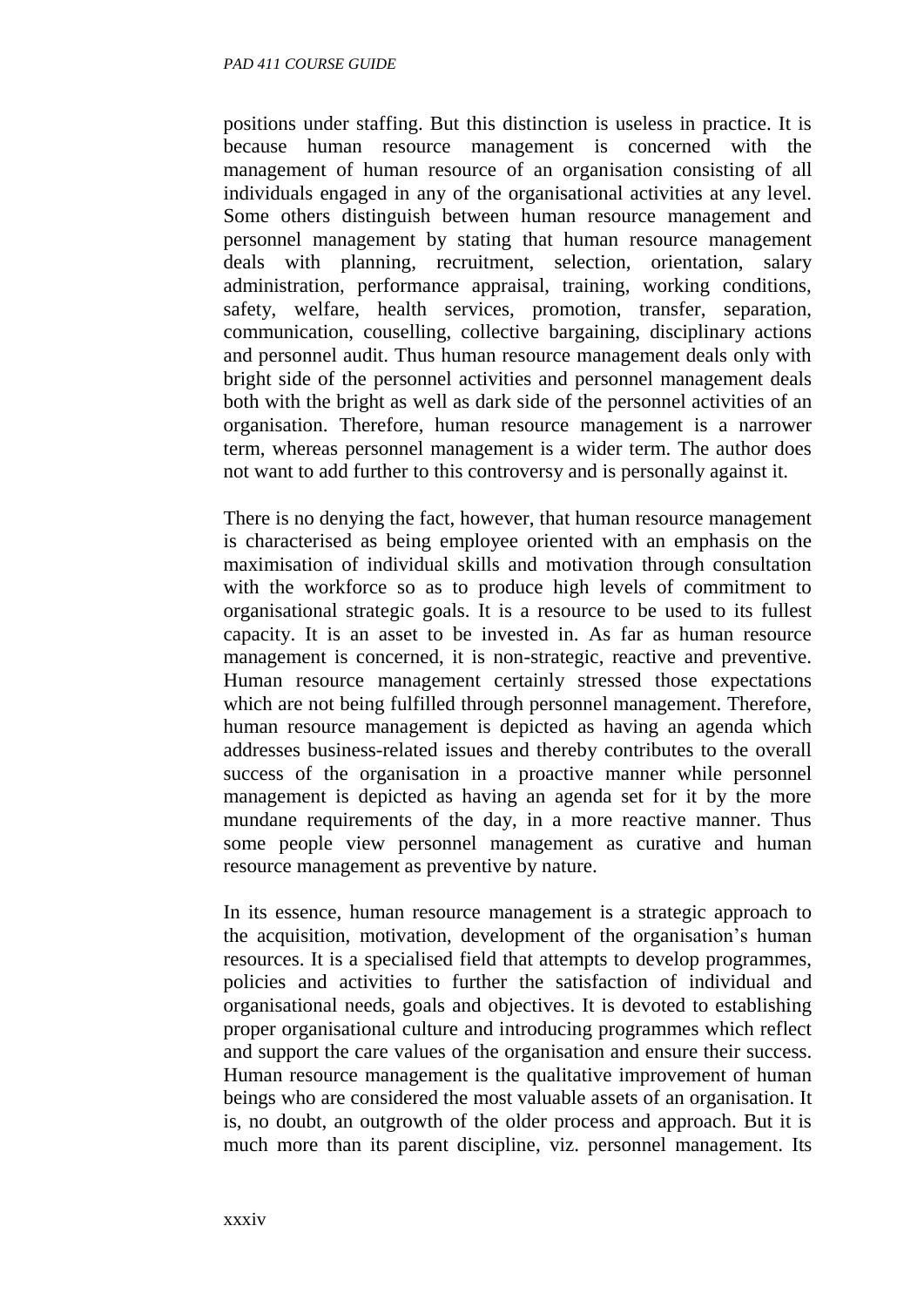positions under staffing. But this distinction is useless in practice. It is because human resource management is concerned with the management of human resource of an organisation consisting of all individuals engaged in any of the organisational activities at any level. Some others distinguish between human resource management and personnel management by stating that human resource management deals with planning, recruitment, selection, orientation, salary administration, performance appraisal, training, working conditions, safety, welfare, health services, promotion, transfer, separation, communication, couselling, collective bargaining, disciplinary actions and personnel audit. Thus human resource management deals only with bright side of the personnel activities and personnel management deals both with the bright as well as dark side of the personnel activities of an organisation. Therefore, human resource management is a narrower term, whereas personnel management is a wider term. The author does not want to add further to this controversy and is personally against it.

There is no denying the fact, however, that human resource management is characterised as being employee oriented with an emphasis on the maximisation of individual skills and motivation through consultation with the workforce so as to produce high levels of commitment to organisational strategic goals. It is a resource to be used to its fullest capacity. It is an asset to be invested in. As far as human resource management is concerned, it is non-strategic, reactive and preventive. Human resource management certainly stressed those expectations which are not being fulfilled through personnel management. Therefore, human resource management is depicted as having an agenda which addresses business-related issues and thereby contributes to the overall success of the organisation in a proactive manner while personnel management is depicted as having an agenda set for it by the more mundane requirements of the day, in a more reactive manner. Thus some people view personnel management as curative and human resource management as preventive by nature.

In its essence, human resource management is a strategic approach to the acquisition, motivation, development of the organisation"s human resources. It is a specialised field that attempts to develop programmes, policies and activities to further the satisfaction of individual and organisational needs, goals and objectives. It is devoted to establishing proper organisational culture and introducing programmes which reflect and support the care values of the organisation and ensure their success. Human resource management is the qualitative improvement of human beings who are considered the most valuable assets of an organisation. It is, no doubt, an outgrowth of the older process and approach. But it is much more than its parent discipline, viz. personnel management. Its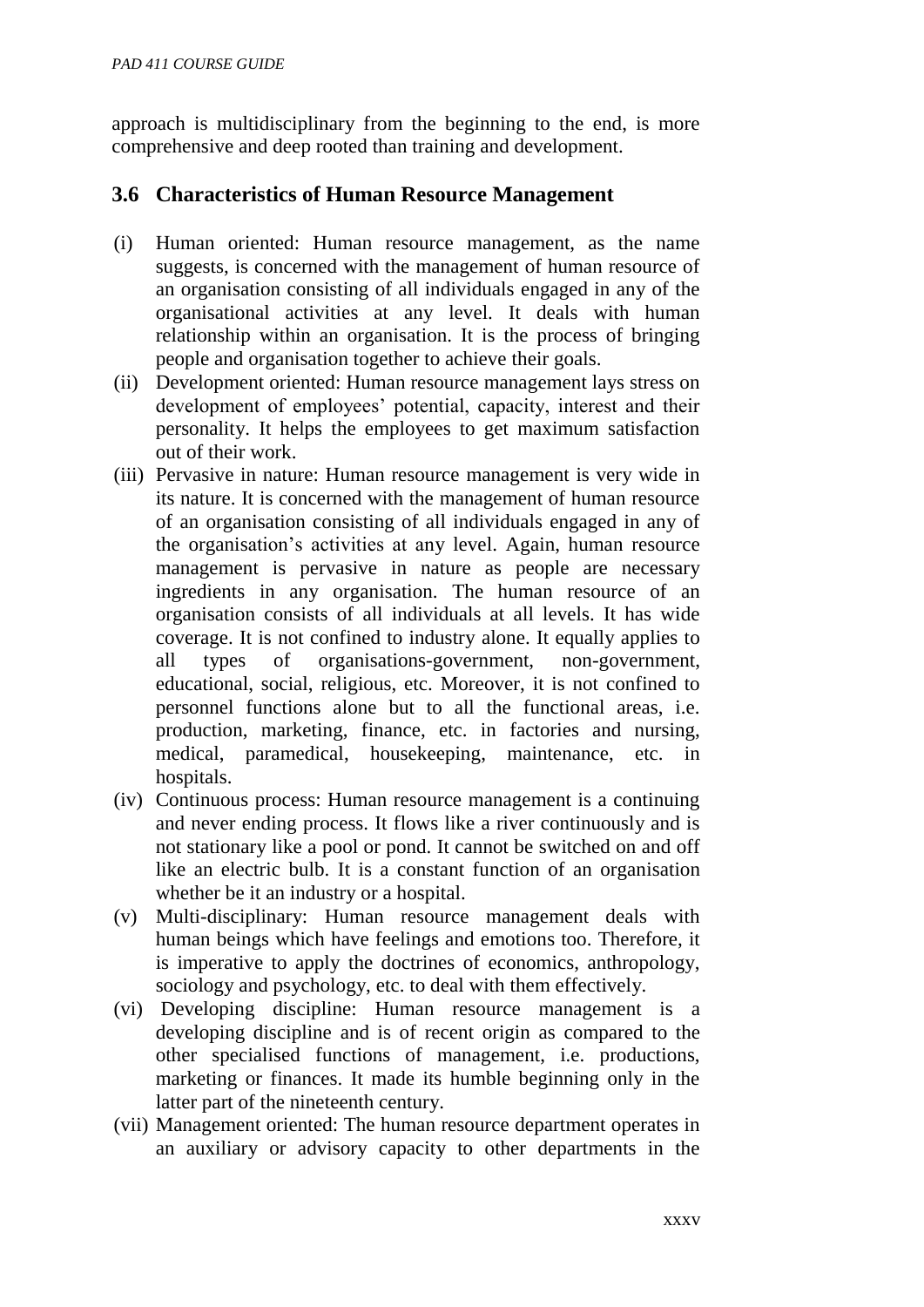approach is multidisciplinary from the beginning to the end, is more comprehensive and deep rooted than training and development.

#### **3.6 Characteristics of Human Resource Management**

- (i) Human oriented: Human resource management, as the name suggests, is concerned with the management of human resource of an organisation consisting of all individuals engaged in any of the organisational activities at any level. It deals with human relationship within an organisation. It is the process of bringing people and organisation together to achieve their goals.
- (ii) Development oriented: Human resource management lays stress on development of employees' potential, capacity, interest and their personality. It helps the employees to get maximum satisfaction out of their work.
- (iii) Pervasive in nature: Human resource management is very wide in its nature. It is concerned with the management of human resource of an organisation consisting of all individuals engaged in any of the organisation"s activities at any level. Again, human resource management is pervasive in nature as people are necessary ingredients in any organisation. The human resource of an organisation consists of all individuals at all levels. It has wide coverage. It is not confined to industry alone. It equally applies to all types of organisations-government, non-government, educational, social, religious, etc. Moreover, it is not confined to personnel functions alone but to all the functional areas, i.e. production, marketing, finance, etc. in factories and nursing, medical, paramedical, housekeeping, maintenance, etc. in hospitals.
- (iv) Continuous process: Human resource management is a continuing and never ending process. It flows like a river continuously and is not stationary like a pool or pond. It cannot be switched on and off like an electric bulb. It is a constant function of an organisation whether be it an industry or a hospital.
- (v) Multi-disciplinary: Human resource management deals with human beings which have feelings and emotions too. Therefore, it is imperative to apply the doctrines of economics, anthropology, sociology and psychology, etc. to deal with them effectively.
- (vi) Developing discipline: Human resource management is a developing discipline and is of recent origin as compared to the other specialised functions of management, i.e. productions, marketing or finances. It made its humble beginning only in the latter part of the nineteenth century.
- (vii) Management oriented: The human resource department operates in an auxiliary or advisory capacity to other departments in the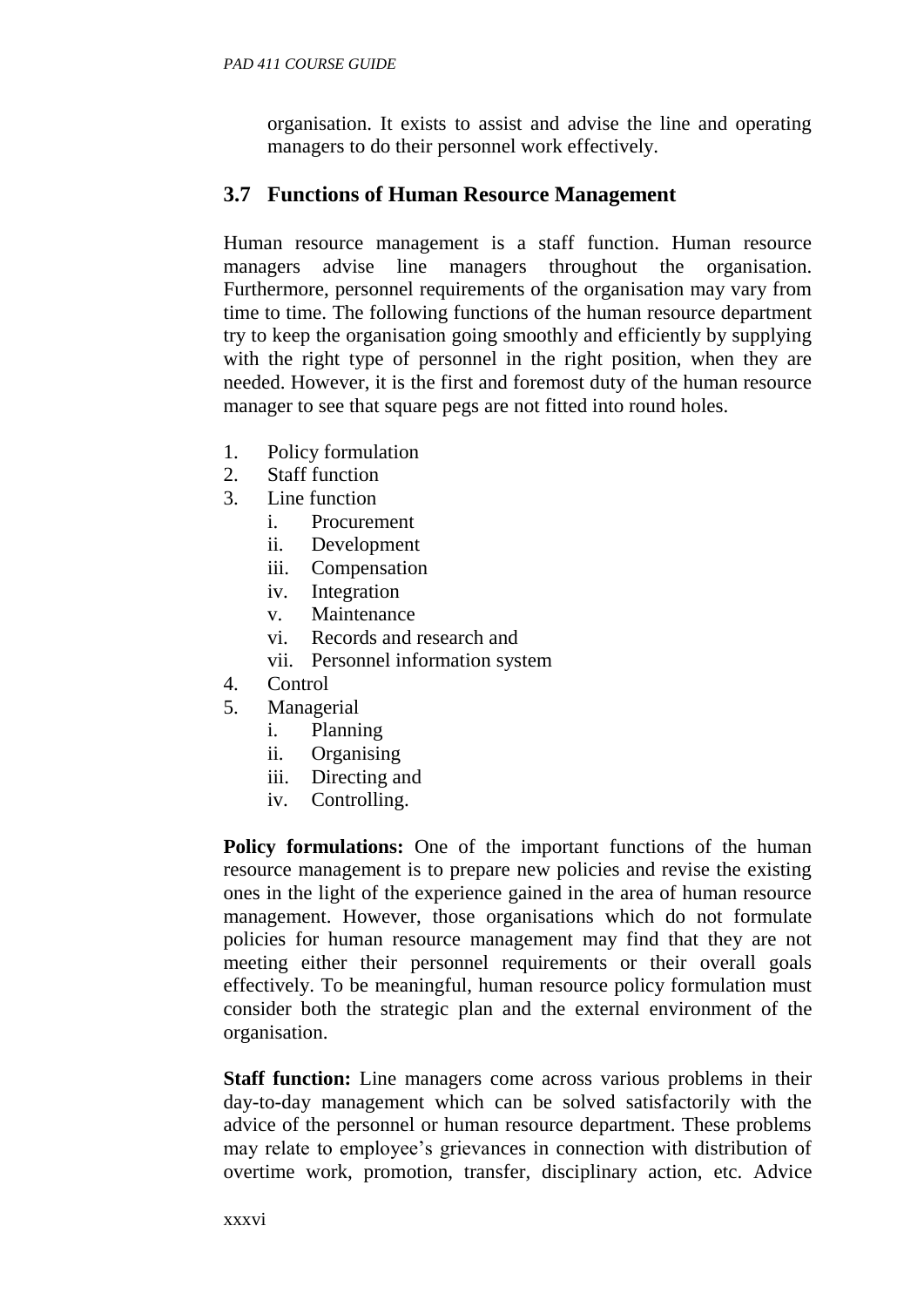organisation. It exists to assist and advise the line and operating managers to do their personnel work effectively.

#### **3.7 Functions of Human Resource Management**

Human resource management is a staff function. Human resource managers advise line managers throughout the organisation. Furthermore, personnel requirements of the organisation may vary from time to time. The following functions of the human resource department try to keep the organisation going smoothly and efficiently by supplying with the right type of personnel in the right position, when they are needed. However, it is the first and foremost duty of the human resource manager to see that square pegs are not fitted into round holes.

- 1. Policy formulation
- 2. Staff function
- 3. Line function
	- i. Procurement
	- ii. Development
	- iii. Compensation
	- iv. Integration
	- v. Maintenance
	- vi. Records and research and
	- vii. Personnel information system
- 4. Control
- 5. Managerial
	- i. Planning
	- ii. Organising
	- iii. Directing and
	- iv. Controlling.

**Policy formulations:** One of the important functions of the human resource management is to prepare new policies and revise the existing ones in the light of the experience gained in the area of human resource management. However, those organisations which do not formulate policies for human resource management may find that they are not meeting either their personnel requirements or their overall goals effectively. To be meaningful, human resource policy formulation must consider both the strategic plan and the external environment of the organisation.

**Staff function:** Line managers come across various problems in their day-to-day management which can be solved satisfactorily with the advice of the personnel or human resource department. These problems may relate to employee's grievances in connection with distribution of overtime work, promotion, transfer, disciplinary action, etc. Advice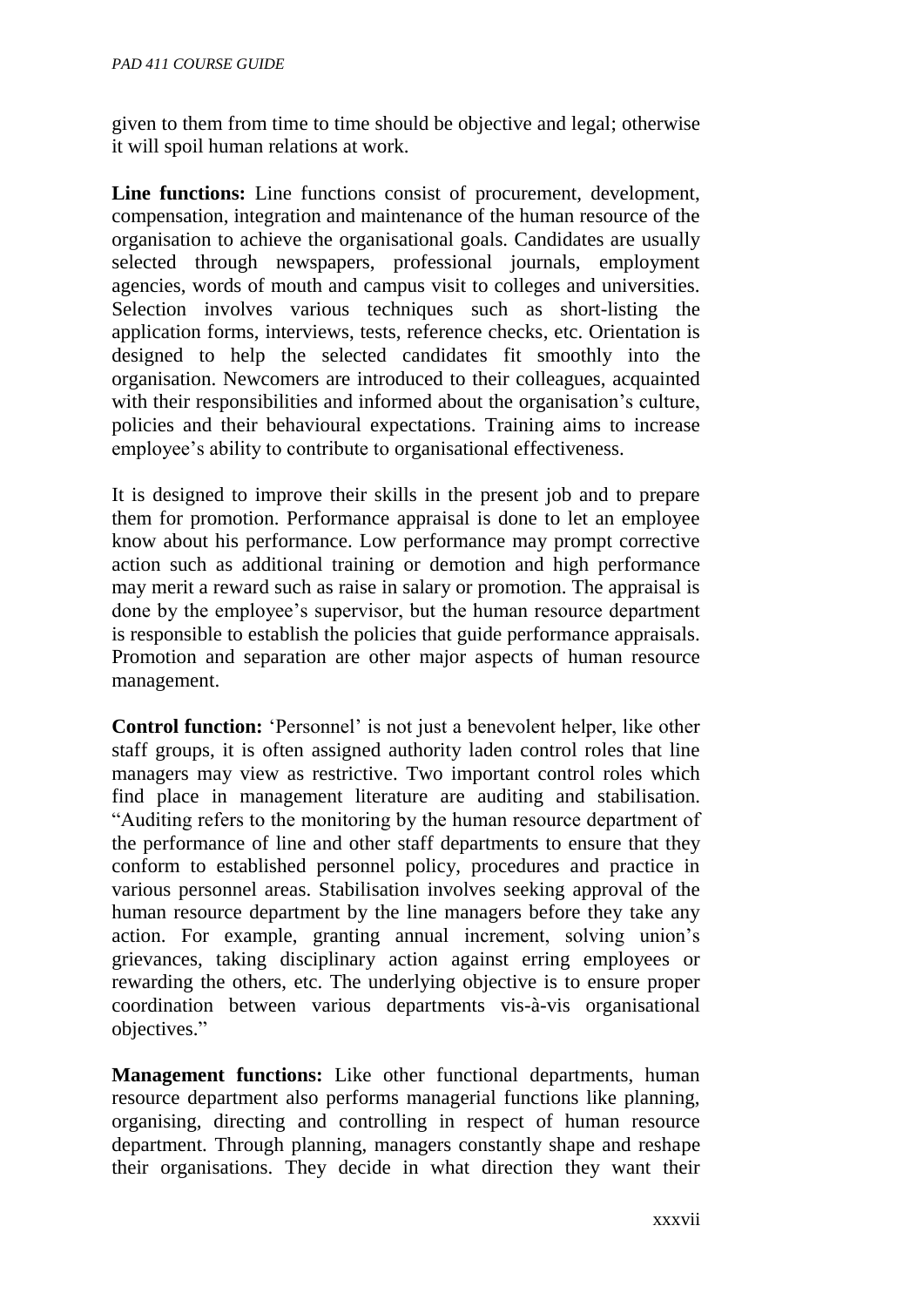given to them from time to time should be objective and legal; otherwise it will spoil human relations at work.

**Line functions:** Line functions consist of procurement, development, compensation, integration and maintenance of the human resource of the organisation to achieve the organisational goals. Candidates are usually selected through newspapers, professional journals, employment agencies, words of mouth and campus visit to colleges and universities. Selection involves various techniques such as short-listing the application forms, interviews, tests, reference checks, etc. Orientation is designed to help the selected candidates fit smoothly into the organisation. Newcomers are introduced to their colleagues, acquainted with their responsibilities and informed about the organisation's culture, policies and their behavioural expectations. Training aims to increase employee's ability to contribute to organisational effectiveness.

It is designed to improve their skills in the present job and to prepare them for promotion. Performance appraisal is done to let an employee know about his performance. Low performance may prompt corrective action such as additional training or demotion and high performance may merit a reward such as raise in salary or promotion. The appraisal is done by the employee"s supervisor, but the human resource department is responsible to establish the policies that guide performance appraisals. Promotion and separation are other major aspects of human resource management.

**Control function:** 'Personnel' is not just a benevolent helper, like other staff groups, it is often assigned authority laden control roles that line managers may view as restrictive. Two important control roles which find place in management literature are auditing and stabilisation. "Auditing refers to the monitoring by the human resource department of the performance of line and other staff departments to ensure that they conform to established personnel policy, procedures and practice in various personnel areas. Stabilisation involves seeking approval of the human resource department by the line managers before they take any action. For example, granting annual increment, solving union"s grievances, taking disciplinary action against erring employees or rewarding the others, etc. The underlying objective is to ensure proper coordination between various departments vis-à-vis organisational objectives."

**Management functions:** Like other functional departments, human resource department also performs managerial functions like planning, organising, directing and controlling in respect of human resource department. Through planning, managers constantly shape and reshape their organisations. They decide in what direction they want their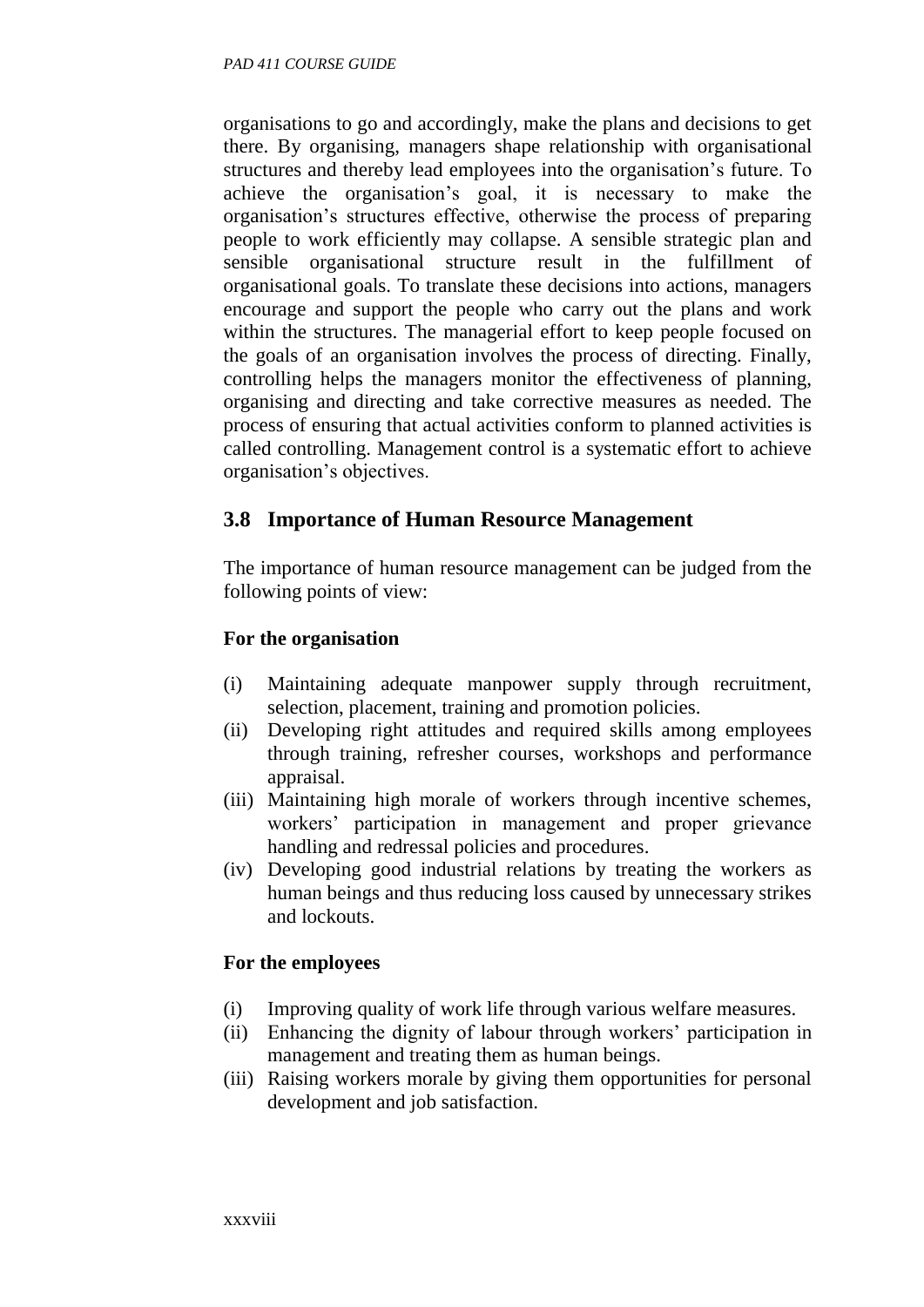organisations to go and accordingly, make the plans and decisions to get there. By organising, managers shape relationship with organisational structures and thereby lead employees into the organisation"s future. To achieve the organisation"s goal, it is necessary to make the organisation"s structures effective, otherwise the process of preparing people to work efficiently may collapse. A sensible strategic plan and sensible organisational structure result in the fulfillment of organisational goals. To translate these decisions into actions, managers encourage and support the people who carry out the plans and work within the structures. The managerial effort to keep people focused on the goals of an organisation involves the process of directing. Finally, controlling helps the managers monitor the effectiveness of planning, organising and directing and take corrective measures as needed. The process of ensuring that actual activities conform to planned activities is called controlling. Management control is a systematic effort to achieve organisation"s objectives.

## **3.8 Importance of Human Resource Management**

The importance of human resource management can be judged from the following points of view:

#### **For the organisation**

- (i) Maintaining adequate manpower supply through recruitment, selection, placement, training and promotion policies.
- (ii) Developing right attitudes and required skills among employees through training, refresher courses, workshops and performance appraisal.
- (iii) Maintaining high morale of workers through incentive schemes, workers" participation in management and proper grievance handling and redressal policies and procedures.
- (iv) Developing good industrial relations by treating the workers as human beings and thus reducing loss caused by unnecessary strikes and lockouts.

## **For the employees**

- (i) Improving quality of work life through various welfare measures.
- (ii) Enhancing the dignity of labour through workers" participation in management and treating them as human beings.
- (iii) Raising workers morale by giving them opportunities for personal development and job satisfaction.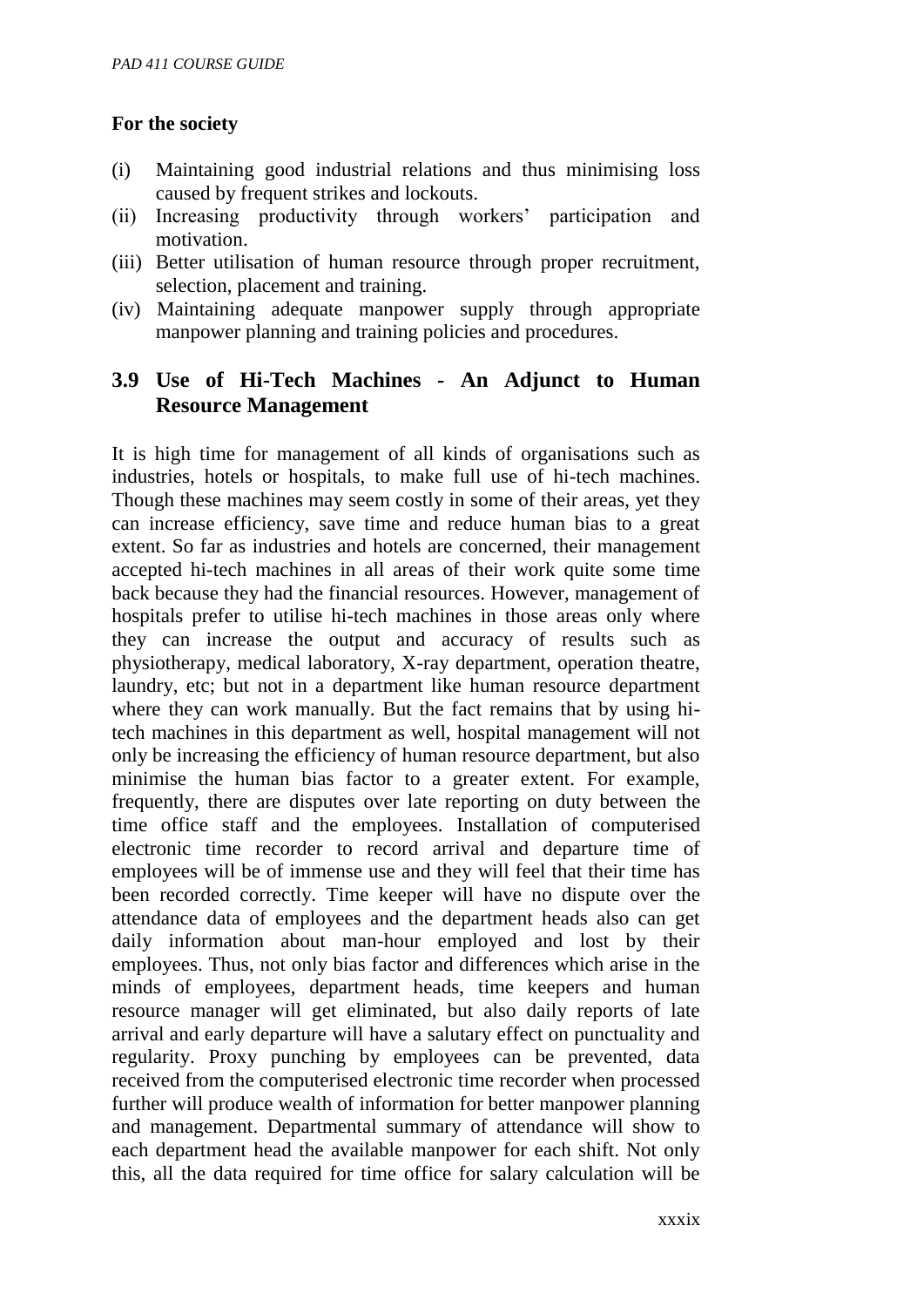#### **For the society**

- (i) Maintaining good industrial relations and thus minimising loss caused by frequent strikes and lockouts.
- (ii) Increasing productivity through workers" participation and motivation.
- (iii) Better utilisation of human resource through proper recruitment, selection, placement and training.
- (iv) Maintaining adequate manpower supply through appropriate manpower planning and training policies and procedures.

#### **3.9 Use of Hi-Tech Machines - An Adjunct to Human Resource Management**

It is high time for management of all kinds of organisations such as industries, hotels or hospitals, to make full use of hi-tech machines. Though these machines may seem costly in some of their areas, yet they can increase efficiency, save time and reduce human bias to a great extent. So far as industries and hotels are concerned, their management accepted hi-tech machines in all areas of their work quite some time back because they had the financial resources. However, management of hospitals prefer to utilise hi-tech machines in those areas only where they can increase the output and accuracy of results such as physiotherapy, medical laboratory, X-ray department, operation theatre, laundry, etc; but not in a department like human resource department where they can work manually. But the fact remains that by using hitech machines in this department as well, hospital management will not only be increasing the efficiency of human resource department, but also minimise the human bias factor to a greater extent. For example, frequently, there are disputes over late reporting on duty between the time office staff and the employees. Installation of computerised electronic time recorder to record arrival and departure time of employees will be of immense use and they will feel that their time has been recorded correctly. Time keeper will have no dispute over the attendance data of employees and the department heads also can get daily information about man-hour employed and lost by their employees. Thus, not only bias factor and differences which arise in the minds of employees, department heads, time keepers and human resource manager will get eliminated, but also daily reports of late arrival and early departure will have a salutary effect on punctuality and regularity. Proxy punching by employees can be prevented, data received from the computerised electronic time recorder when processed further will produce wealth of information for better manpower planning and management. Departmental summary of attendance will show to each department head the available manpower for each shift. Not only this, all the data required for time office for salary calculation will be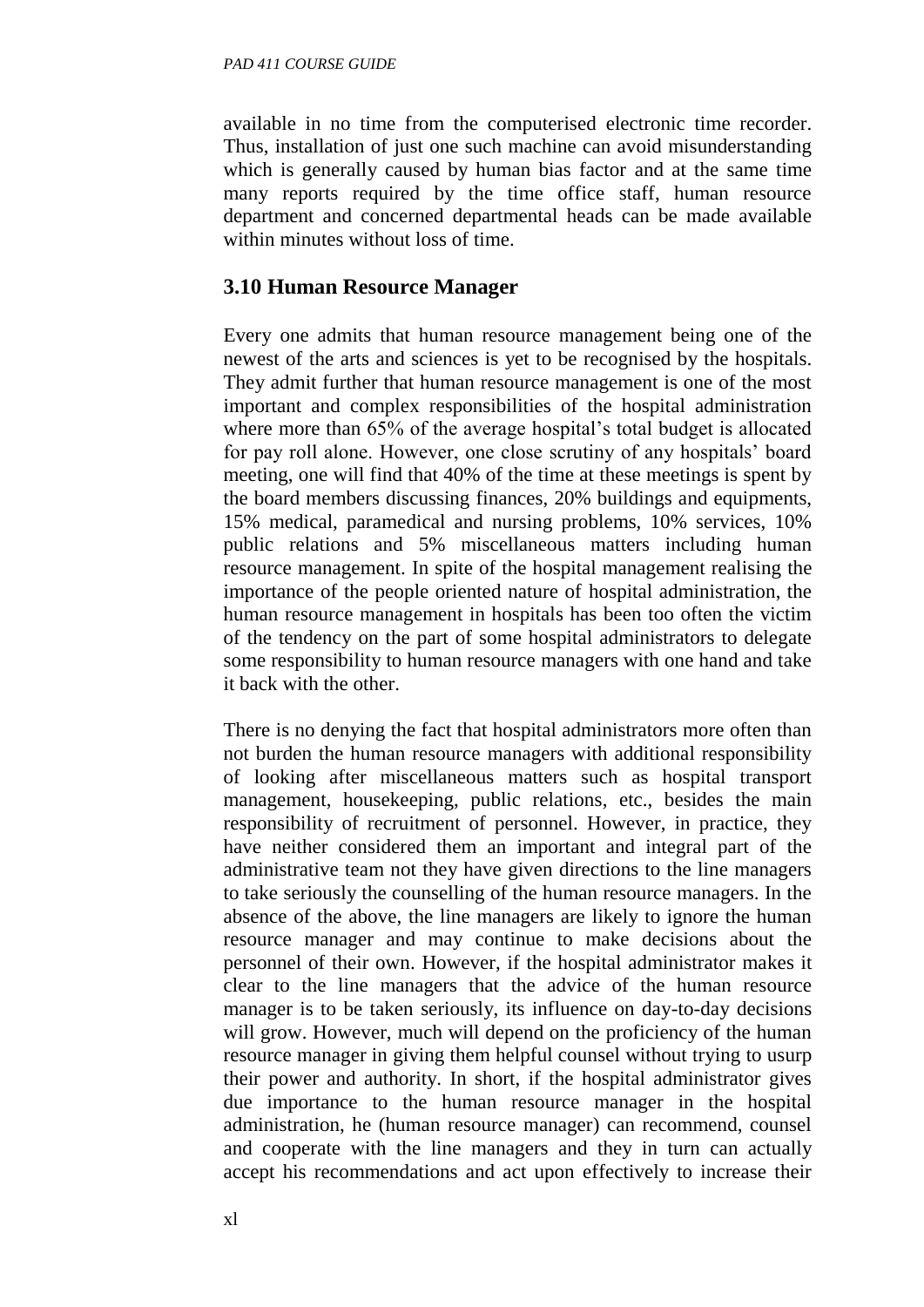available in no time from the computerised electronic time recorder. Thus, installation of just one such machine can avoid misunderstanding which is generally caused by human bias factor and at the same time many reports required by the time office staff, human resource department and concerned departmental heads can be made available within minutes without loss of time.

### **3.10 Human Resource Manager**

Every one admits that human resource management being one of the newest of the arts and sciences is yet to be recognised by the hospitals. They admit further that human resource management is one of the most important and complex responsibilities of the hospital administration where more than 65% of the average hospital's total budget is allocated for pay roll alone. However, one close scrutiny of any hospitals" board meeting, one will find that 40% of the time at these meetings is spent by the board members discussing finances, 20% buildings and equipments, 15% medical, paramedical and nursing problems, 10% services, 10% public relations and 5% miscellaneous matters including human resource management. In spite of the hospital management realising the importance of the people oriented nature of hospital administration, the human resource management in hospitals has been too often the victim of the tendency on the part of some hospital administrators to delegate some responsibility to human resource managers with one hand and take it back with the other.

There is no denying the fact that hospital administrators more often than not burden the human resource managers with additional responsibility of looking after miscellaneous matters such as hospital transport management, housekeeping, public relations, etc., besides the main responsibility of recruitment of personnel. However, in practice, they have neither considered them an important and integral part of the administrative team not they have given directions to the line managers to take seriously the counselling of the human resource managers. In the absence of the above, the line managers are likely to ignore the human resource manager and may continue to make decisions about the personnel of their own. However, if the hospital administrator makes it clear to the line managers that the advice of the human resource manager is to be taken seriously, its influence on day-to-day decisions will grow. However, much will depend on the proficiency of the human resource manager in giving them helpful counsel without trying to usurp their power and authority. In short, if the hospital administrator gives due importance to the human resource manager in the hospital administration, he (human resource manager) can recommend, counsel and cooperate with the line managers and they in turn can actually accept his recommendations and act upon effectively to increase their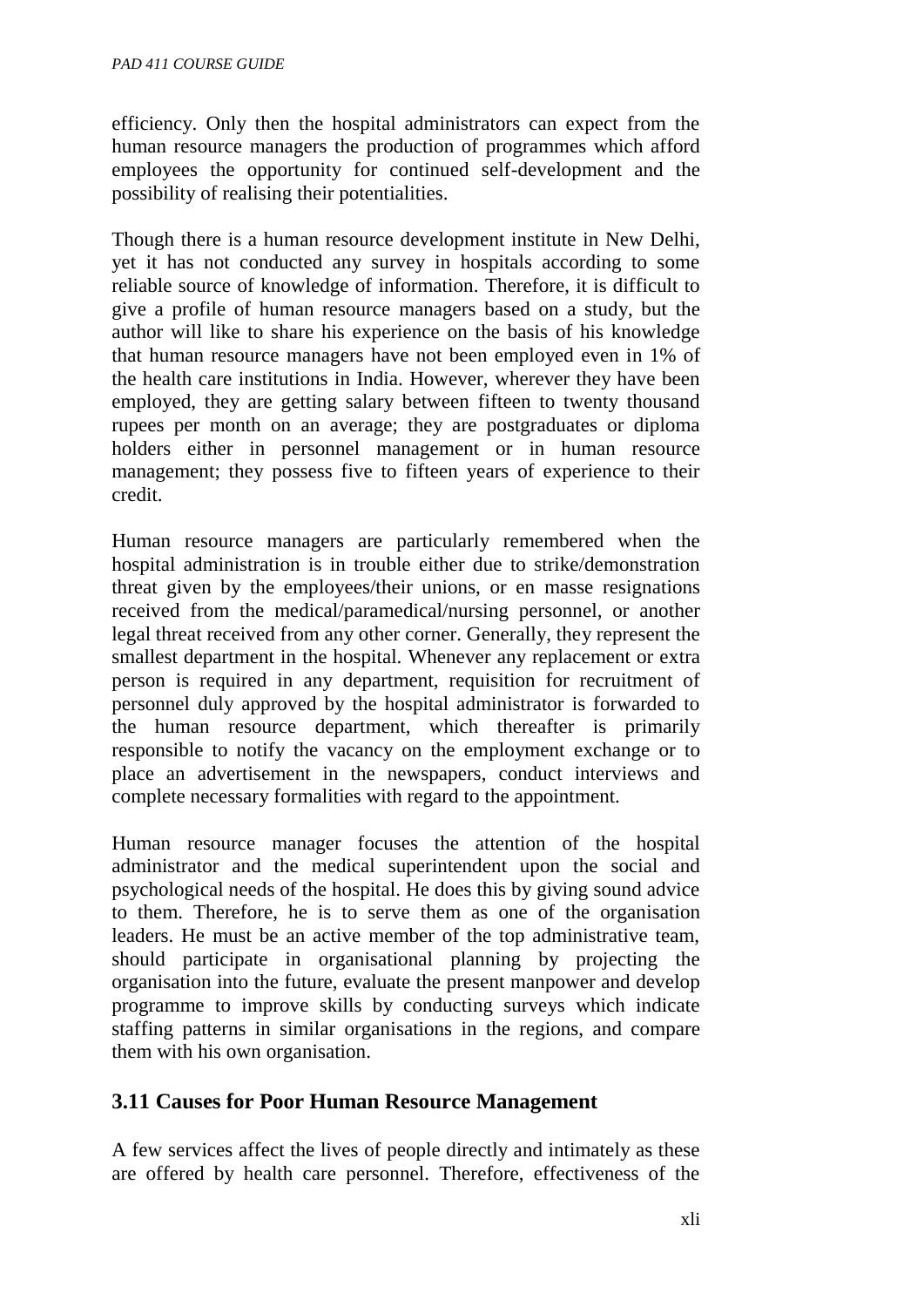efficiency. Only then the hospital administrators can expect from the human resource managers the production of programmes which afford employees the opportunity for continued self-development and the possibility of realising their potentialities.

Though there is a human resource development institute in New Delhi, yet it has not conducted any survey in hospitals according to some reliable source of knowledge of information. Therefore, it is difficult to give a profile of human resource managers based on a study, but the author will like to share his experience on the basis of his knowledge that human resource managers have not been employed even in 1% of the health care institutions in India. However, wherever they have been employed, they are getting salary between fifteen to twenty thousand rupees per month on an average; they are postgraduates or diploma holders either in personnel management or in human resource management; they possess five to fifteen years of experience to their credit.

Human resource managers are particularly remembered when the hospital administration is in trouble either due to strike/demonstration threat given by the employees/their unions, or en masse resignations received from the medical/paramedical/nursing personnel, or another legal threat received from any other corner. Generally, they represent the smallest department in the hospital. Whenever any replacement or extra person is required in any department, requisition for recruitment of personnel duly approved by the hospital administrator is forwarded to the human resource department, which thereafter is primarily responsible to notify the vacancy on the employment exchange or to place an advertisement in the newspapers, conduct interviews and complete necessary formalities with regard to the appointment.

Human resource manager focuses the attention of the hospital administrator and the medical superintendent upon the social and psychological needs of the hospital. He does this by giving sound advice to them. Therefore, he is to serve them as one of the organisation leaders. He must be an active member of the top administrative team, should participate in organisational planning by projecting the organisation into the future, evaluate the present manpower and develop programme to improve skills by conducting surveys which indicate staffing patterns in similar organisations in the regions, and compare them with his own organisation.

## **3.11 Causes for Poor Human Resource Management**

A few services affect the lives of people directly and intimately as these are offered by health care personnel. Therefore, effectiveness of the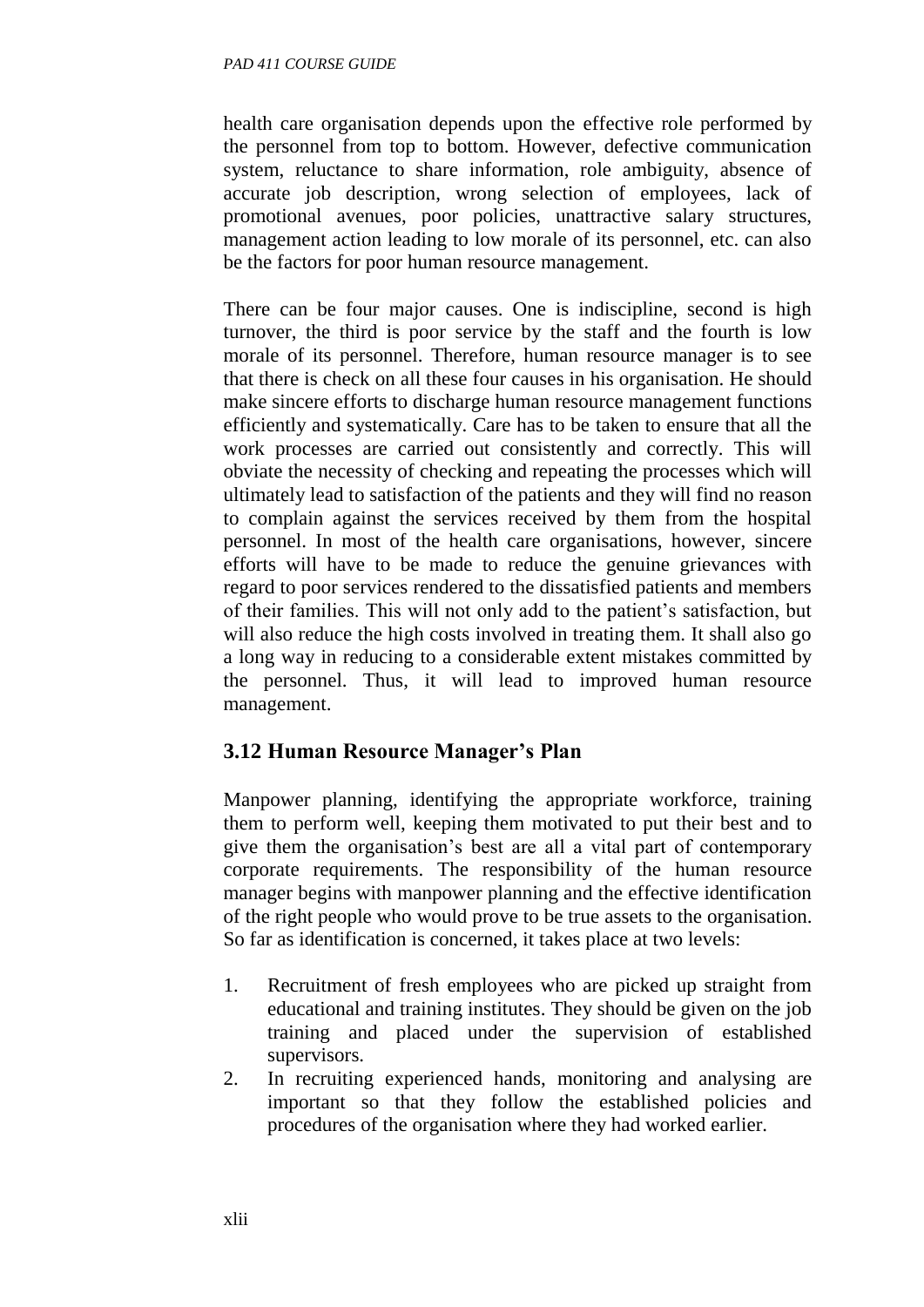#### *PAD 411 COURSE GUIDE*

health care organisation depends upon the effective role performed by the personnel from top to bottom. However, defective communication system, reluctance to share information, role ambiguity, absence of accurate job description, wrong selection of employees, lack of promotional avenues, poor policies, unattractive salary structures, management action leading to low morale of its personnel, etc. can also be the factors for poor human resource management.

There can be four major causes. One is indiscipline, second is high turnover, the third is poor service by the staff and the fourth is low morale of its personnel. Therefore, human resource manager is to see that there is check on all these four causes in his organisation. He should make sincere efforts to discharge human resource management functions efficiently and systematically. Care has to be taken to ensure that all the work processes are carried out consistently and correctly. This will obviate the necessity of checking and repeating the processes which will ultimately lead to satisfaction of the patients and they will find no reason to complain against the services received by them from the hospital personnel. In most of the health care organisations, however, sincere efforts will have to be made to reduce the genuine grievances with regard to poor services rendered to the dissatisfied patients and members of their families. This will not only add to the patient"s satisfaction, but will also reduce the high costs involved in treating them. It shall also go a long way in reducing to a considerable extent mistakes committed by the personnel. Thus, it will lead to improved human resource management.

## **3.12 Human Resource Manager's Plan**

Manpower planning, identifying the appropriate workforce, training them to perform well, keeping them motivated to put their best and to give them the organisation"s best are all a vital part of contemporary corporate requirements. The responsibility of the human resource manager begins with manpower planning and the effective identification of the right people who would prove to be true assets to the organisation. So far as identification is concerned, it takes place at two levels:

- 1. Recruitment of fresh employees who are picked up straight from educational and training institutes. They should be given on the job training and placed under the supervision of established supervisors.
- 2. In recruiting experienced hands, monitoring and analysing are important so that they follow the established policies and procedures of the organisation where they had worked earlier.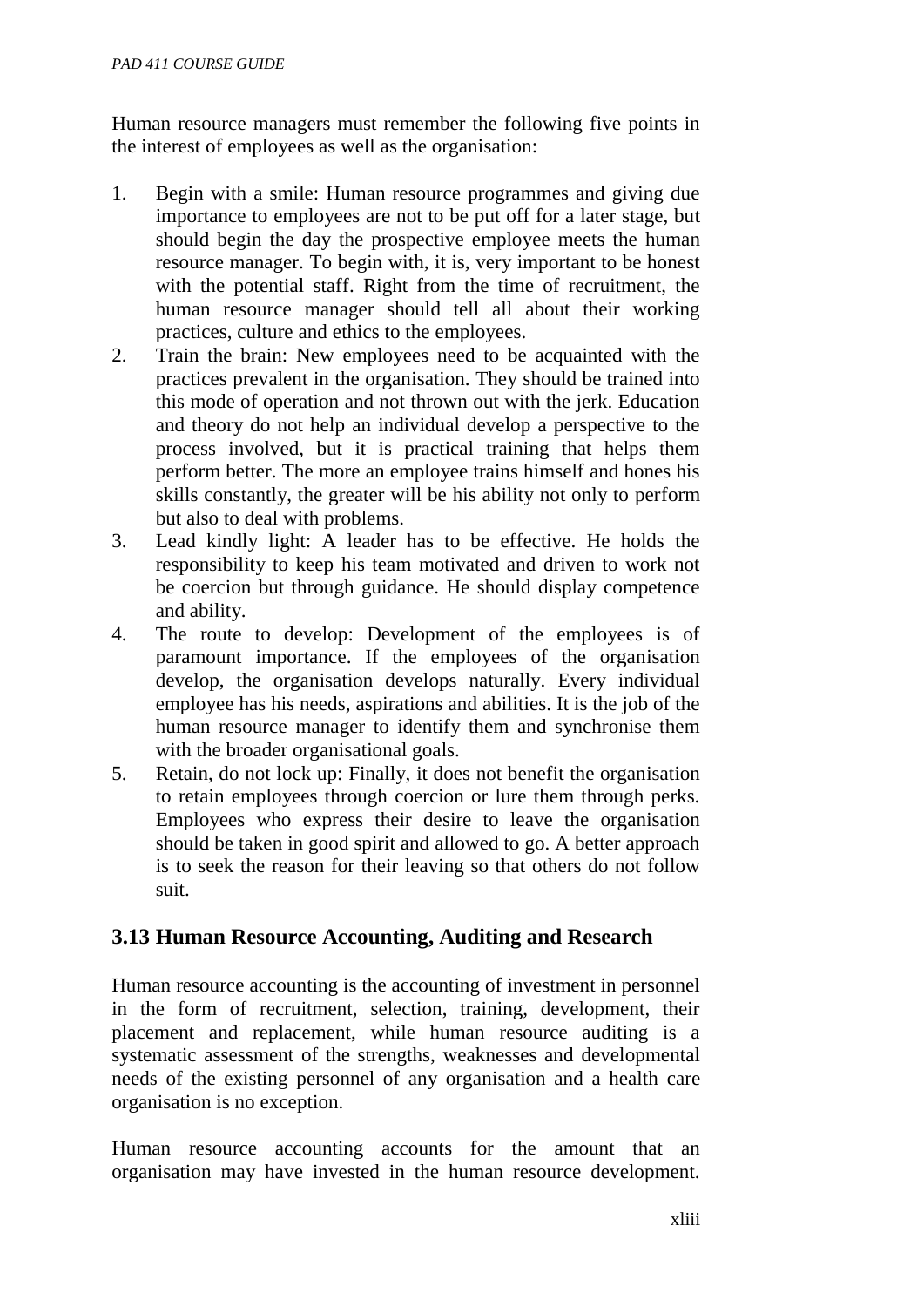Human resource managers must remember the following five points in the interest of employees as well as the organisation:

- 1. Begin with a smile: Human resource programmes and giving due importance to employees are not to be put off for a later stage, but should begin the day the prospective employee meets the human resource manager. To begin with, it is, very important to be honest with the potential staff. Right from the time of recruitment, the human resource manager should tell all about their working practices, culture and ethics to the employees.
- 2. Train the brain: New employees need to be acquainted with the practices prevalent in the organisation. They should be trained into this mode of operation and not thrown out with the jerk. Education and theory do not help an individual develop a perspective to the process involved, but it is practical training that helps them perform better. The more an employee trains himself and hones his skills constantly, the greater will be his ability not only to perform but also to deal with problems.
- 3. Lead kindly light: A leader has to be effective. He holds the responsibility to keep his team motivated and driven to work not be coercion but through guidance. He should display competence and ability.
- 4. The route to develop: Development of the employees is of paramount importance. If the employees of the organisation develop, the organisation develops naturally. Every individual employee has his needs, aspirations and abilities. It is the job of the human resource manager to identify them and synchronise them with the broader organisational goals.
- 5. Retain, do not lock up: Finally, it does not benefit the organisation to retain employees through coercion or lure them through perks. Employees who express their desire to leave the organisation should be taken in good spirit and allowed to go. A better approach is to seek the reason for their leaving so that others do not follow suit.

## **3.13 Human Resource Accounting, Auditing and Research**

Human resource accounting is the accounting of investment in personnel in the form of recruitment, selection, training, development, their placement and replacement, while human resource auditing is a systematic assessment of the strengths, weaknesses and developmental needs of the existing personnel of any organisation and a health care organisation is no exception.

Human resource accounting accounts for the amount that an organisation may have invested in the human resource development.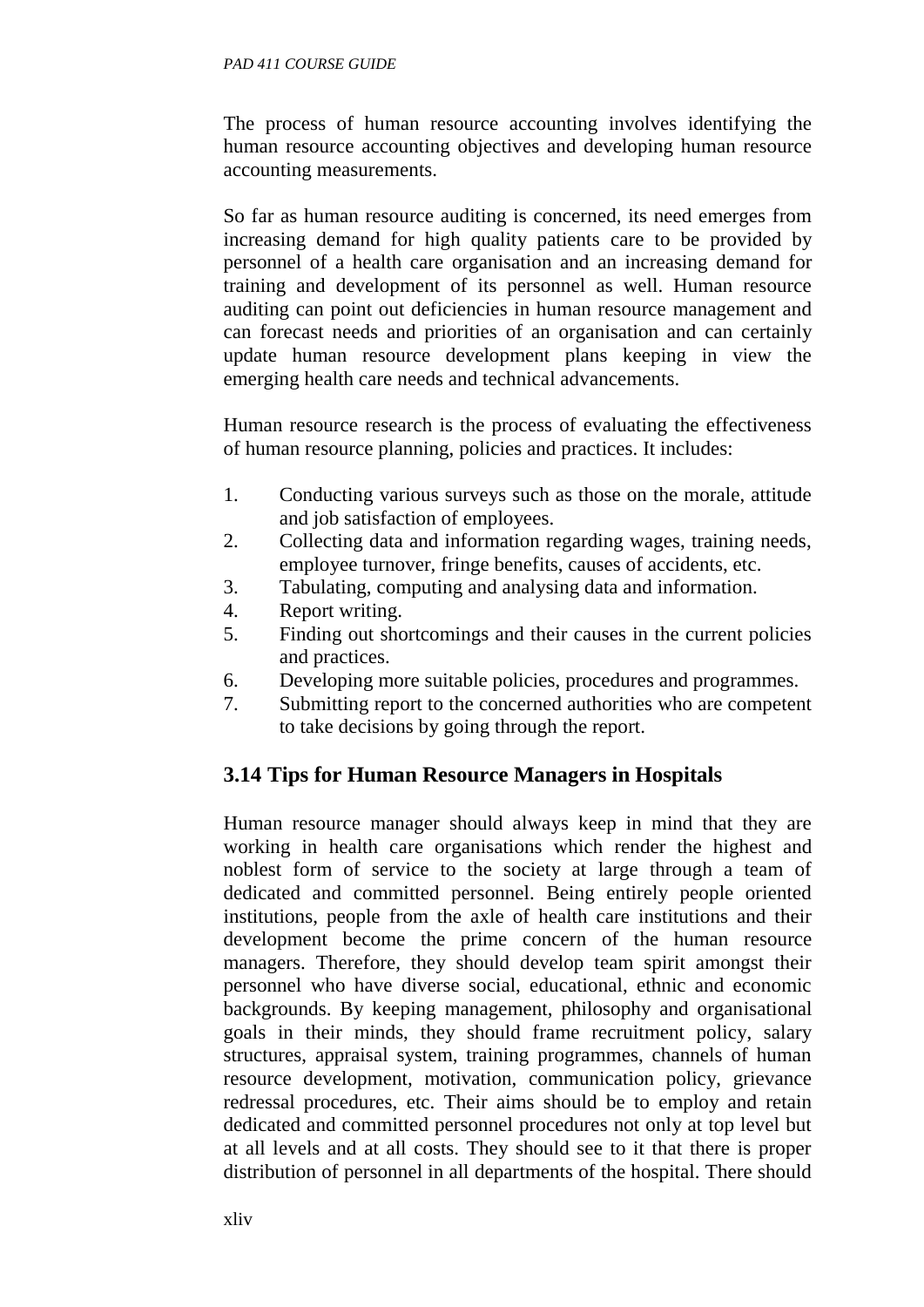#### *PAD 411 COURSE GUIDE*

The process of human resource accounting involves identifying the human resource accounting objectives and developing human resource accounting measurements.

So far as human resource auditing is concerned, its need emerges from increasing demand for high quality patients care to be provided by personnel of a health care organisation and an increasing demand for training and development of its personnel as well. Human resource auditing can point out deficiencies in human resource management and can forecast needs and priorities of an organisation and can certainly update human resource development plans keeping in view the emerging health care needs and technical advancements.

Human resource research is the process of evaluating the effectiveness of human resource planning, policies and practices. It includes:

- 1. Conducting various surveys such as those on the morale, attitude and job satisfaction of employees.
- 2. Collecting data and information regarding wages, training needs, employee turnover, fringe benefits, causes of accidents, etc.
- 3. Tabulating, computing and analysing data and information.
- 4. Report writing.
- 5. Finding out shortcomings and their causes in the current policies and practices.
- 6. Developing more suitable policies, procedures and programmes.
- 7. Submitting report to the concerned authorities who are competent to take decisions by going through the report.

## **3.14 Tips for Human Resource Managers in Hospitals**

Human resource manager should always keep in mind that they are working in health care organisations which render the highest and noblest form of service to the society at large through a team of dedicated and committed personnel. Being entirely people oriented institutions, people from the axle of health care institutions and their development become the prime concern of the human resource managers. Therefore, they should develop team spirit amongst their personnel who have diverse social, educational, ethnic and economic backgrounds. By keeping management, philosophy and organisational goals in their minds, they should frame recruitment policy, salary structures, appraisal system, training programmes, channels of human resource development, motivation, communication policy, grievance redressal procedures, etc. Their aims should be to employ and retain dedicated and committed personnel procedures not only at top level but at all levels and at all costs. They should see to it that there is proper distribution of personnel in all departments of the hospital. There should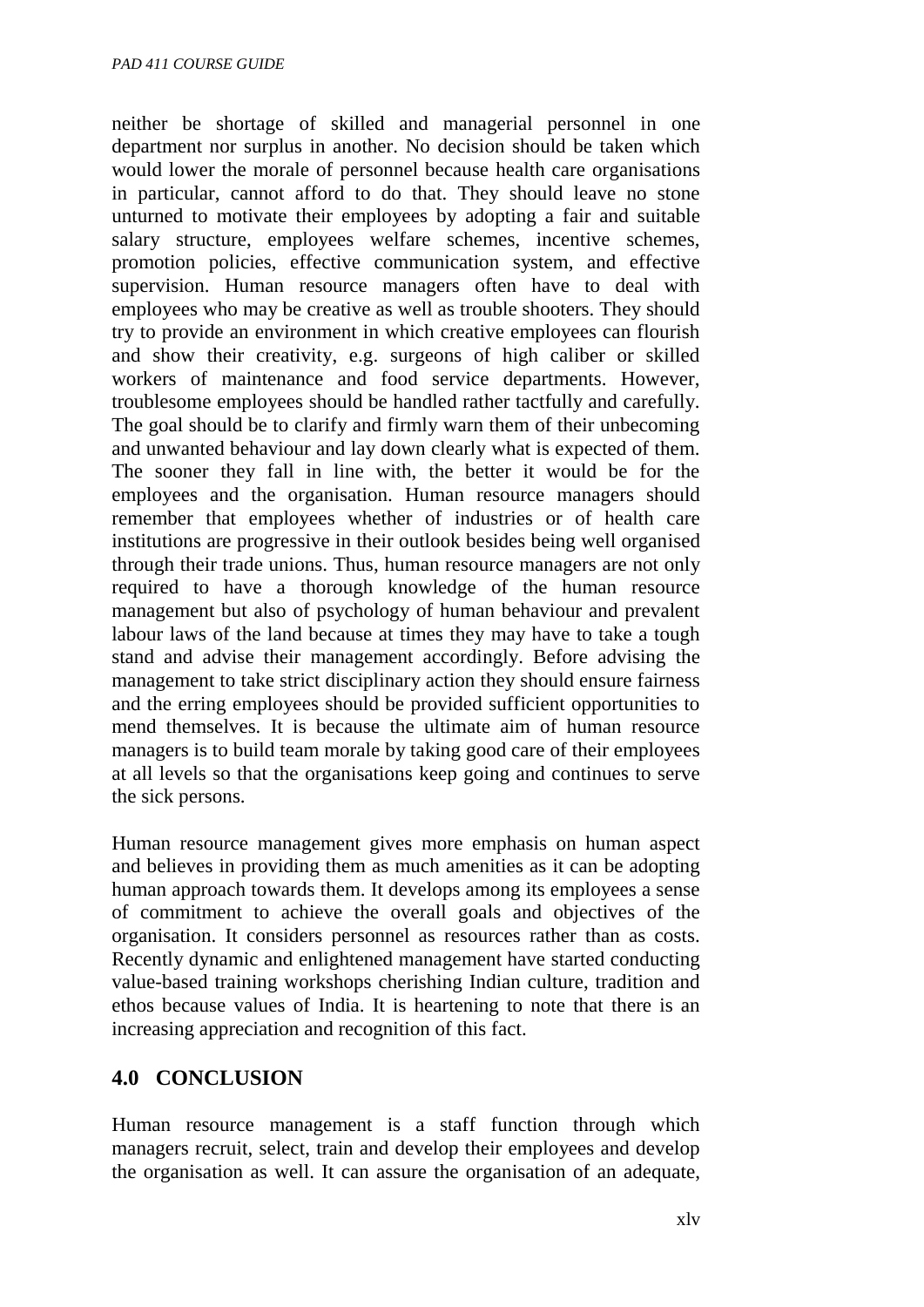neither be shortage of skilled and managerial personnel in one department nor surplus in another. No decision should be taken which would lower the morale of personnel because health care organisations in particular, cannot afford to do that. They should leave no stone unturned to motivate their employees by adopting a fair and suitable salary structure, employees welfare schemes, incentive schemes, promotion policies, effective communication system, and effective supervision. Human resource managers often have to deal with employees who may be creative as well as trouble shooters. They should try to provide an environment in which creative employees can flourish and show their creativity, e.g. surgeons of high caliber or skilled workers of maintenance and food service departments. However, troublesome employees should be handled rather tactfully and carefully. The goal should be to clarify and firmly warn them of their unbecoming and unwanted behaviour and lay down clearly what is expected of them. The sooner they fall in line with, the better it would be for the employees and the organisation. Human resource managers should remember that employees whether of industries or of health care institutions are progressive in their outlook besides being well organised through their trade unions. Thus, human resource managers are not only required to have a thorough knowledge of the human resource management but also of psychology of human behaviour and prevalent labour laws of the land because at times they may have to take a tough stand and advise their management accordingly. Before advising the management to take strict disciplinary action they should ensure fairness and the erring employees should be provided sufficient opportunities to mend themselves. It is because the ultimate aim of human resource managers is to build team morale by taking good care of their employees at all levels so that the organisations keep going and continues to serve the sick persons.

Human resource management gives more emphasis on human aspect and believes in providing them as much amenities as it can be adopting human approach towards them. It develops among its employees a sense of commitment to achieve the overall goals and objectives of the organisation. It considers personnel as resources rather than as costs. Recently dynamic and enlightened management have started conducting value-based training workshops cherishing Indian culture, tradition and ethos because values of India. It is heartening to note that there is an increasing appreciation and recognition of this fact.

## **4.0 CONCLUSION**

Human resource management is a staff function through which managers recruit, select, train and develop their employees and develop the organisation as well. It can assure the organisation of an adequate,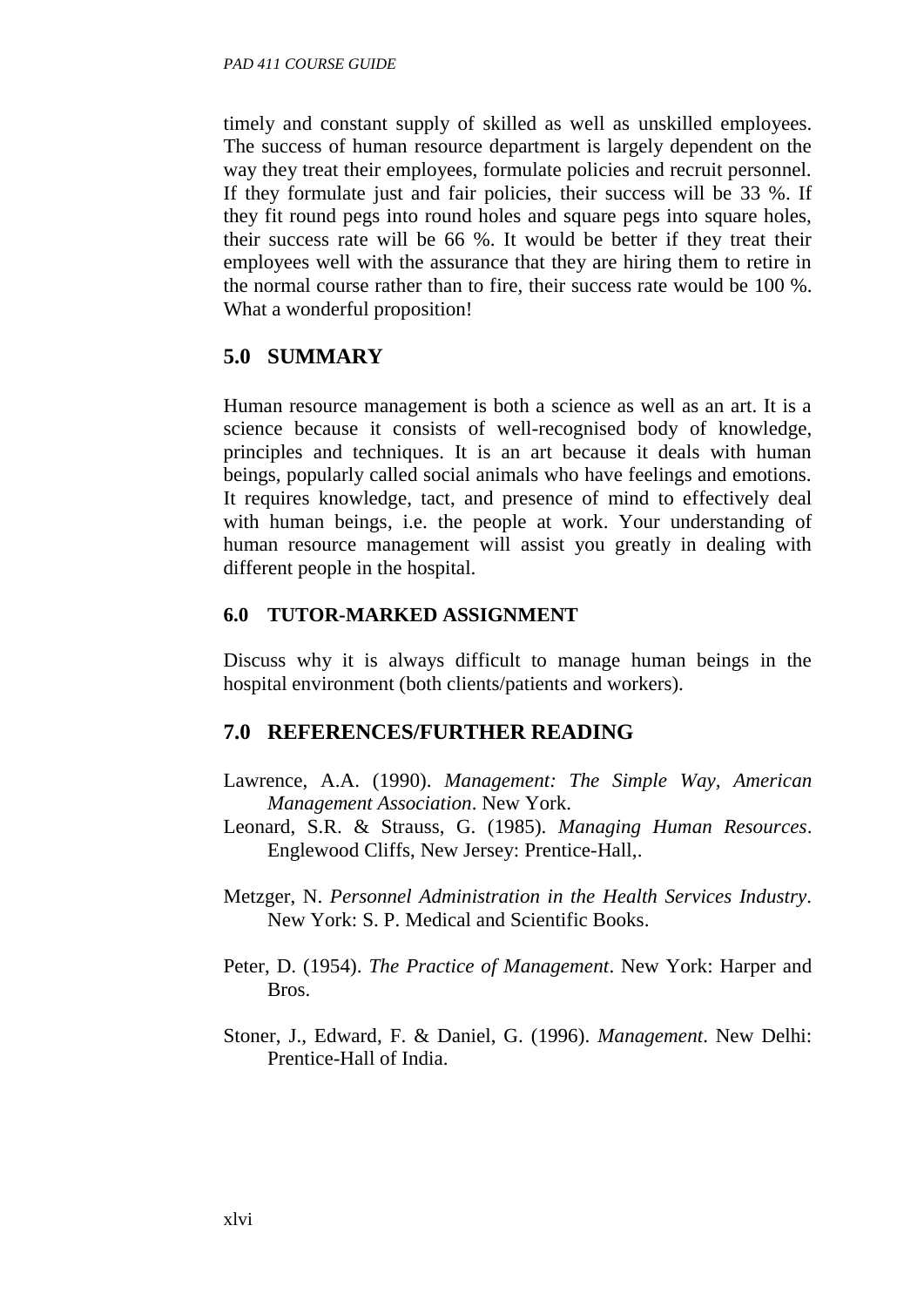timely and constant supply of skilled as well as unskilled employees. The success of human resource department is largely dependent on the way they treat their employees, formulate policies and recruit personnel. If they formulate just and fair policies, their success will be 33 %. If they fit round pegs into round holes and square pegs into square holes, their success rate will be 66 %. It would be better if they treat their employees well with the assurance that they are hiring them to retire in the normal course rather than to fire, their success rate would be 100 %. What a wonderful proposition!

## **5.0 SUMMARY**

Human resource management is both a science as well as an art. It is a science because it consists of well-recognised body of knowledge, principles and techniques. It is an art because it deals with human beings, popularly called social animals who have feelings and emotions. It requires knowledge, tact, and presence of mind to effectively deal with human beings, i.e. the people at work. Your understanding of human resource management will assist you greatly in dealing with different people in the hospital.

#### **6.0 TUTOR-MARKED ASSIGNMENT**

Discuss why it is always difficult to manage human beings in the hospital environment (both clients/patients and workers).

## **7.0 REFERENCES/FURTHER READING**

- Lawrence, A.A. (1990). *Management: The Simple Way, American Management Association*. New York.
- Leonard, S.R. & Strauss, G. (1985). *Managing Human Resources*. Englewood Cliffs, New Jersey: Prentice-Hall,.
- Metzger, N. *Personnel Administration in the Health Services Industry.*  New York: S. P. Medical and Scientific Books.
- Peter, D. (1954). *The Practice of Management*. New York: Harper and Bros.
- Stoner, J., Edward, F. & Daniel, G. (1996). *Management*. New Delhi: Prentice-Hall of India.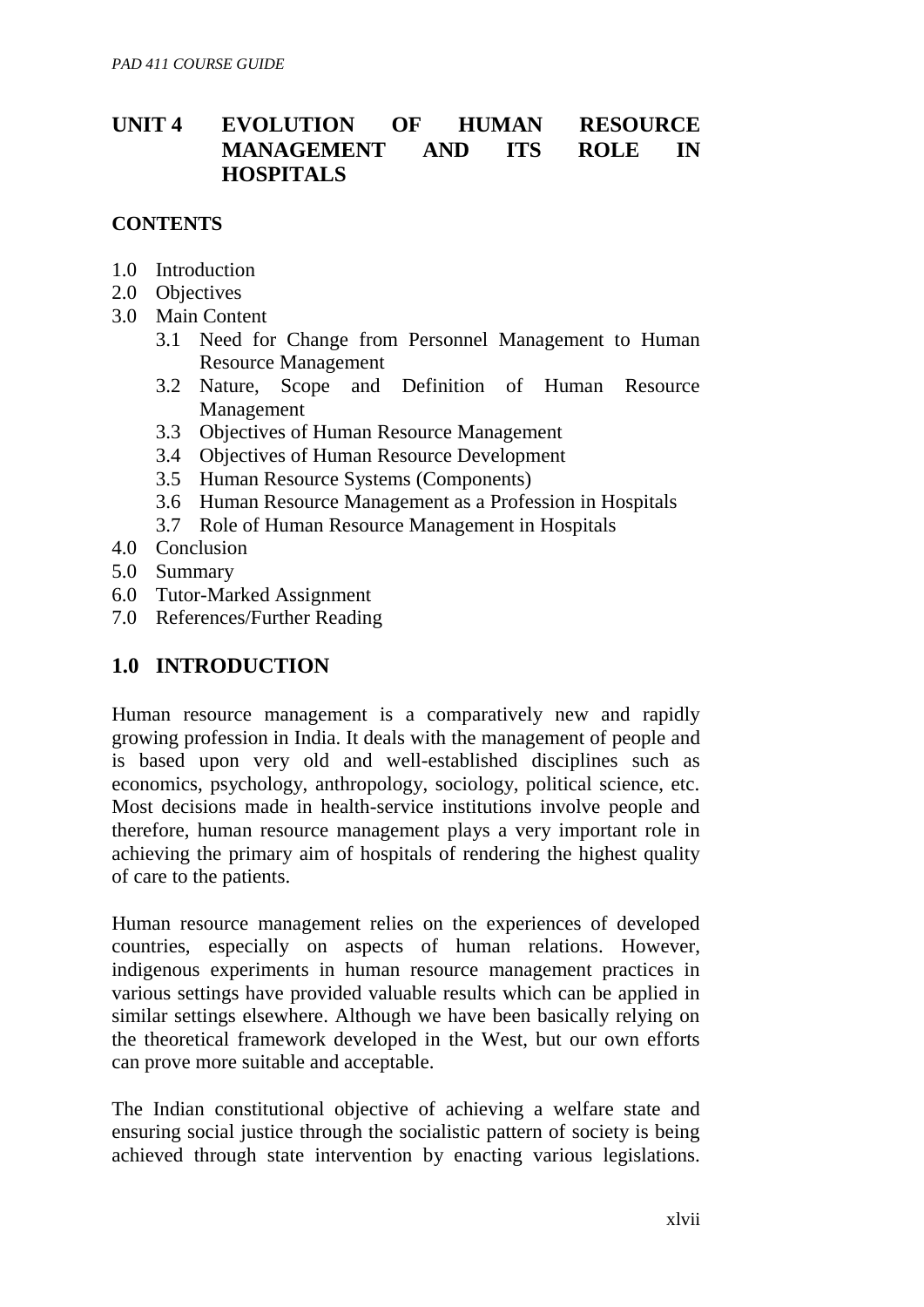## **UNIT 4 EVOLUTION OF HUMAN RESOURCE MANAGEMENT AND ITS ROLE IN HOSPITALS**

#### **CONTENTS**

- 1.0 Introduction
- 2.0 Objectives
- 3.0 Main Content
	- 3.1 Need for Change from Personnel Management to Human Resource Management
	- 3.2 Nature, Scope and Definition of Human Resource Management
	- 3.3 Objectives of Human Resource Management
	- 3.4 Objectives of Human Resource Development
	- 3.5 Human Resource Systems (Components)
	- 3.6 Human Resource Management as a Profession in Hospitals
	- 3.7 Role of Human Resource Management in Hospitals
- 4.0 Conclusion
- 5.0 Summary
- 6.0 Tutor-Marked Assignment
- 7.0 References/Further Reading

## **1.0 INTRODUCTION**

Human resource management is a comparatively new and rapidly growing profession in India. It deals with the management of people and is based upon very old and well-established disciplines such as economics, psychology, anthropology, sociology, political science, etc. Most decisions made in health-service institutions involve people and therefore, human resource management plays a very important role in achieving the primary aim of hospitals of rendering the highest quality of care to the patients.

Human resource management relies on the experiences of developed countries, especially on aspects of human relations. However, indigenous experiments in human resource management practices in various settings have provided valuable results which can be applied in similar settings elsewhere. Although we have been basically relying on the theoretical framework developed in the West, but our own efforts can prove more suitable and acceptable.

The Indian constitutional objective of achieving a welfare state and ensuring social justice through the socialistic pattern of society is being achieved through state intervention by enacting various legislations.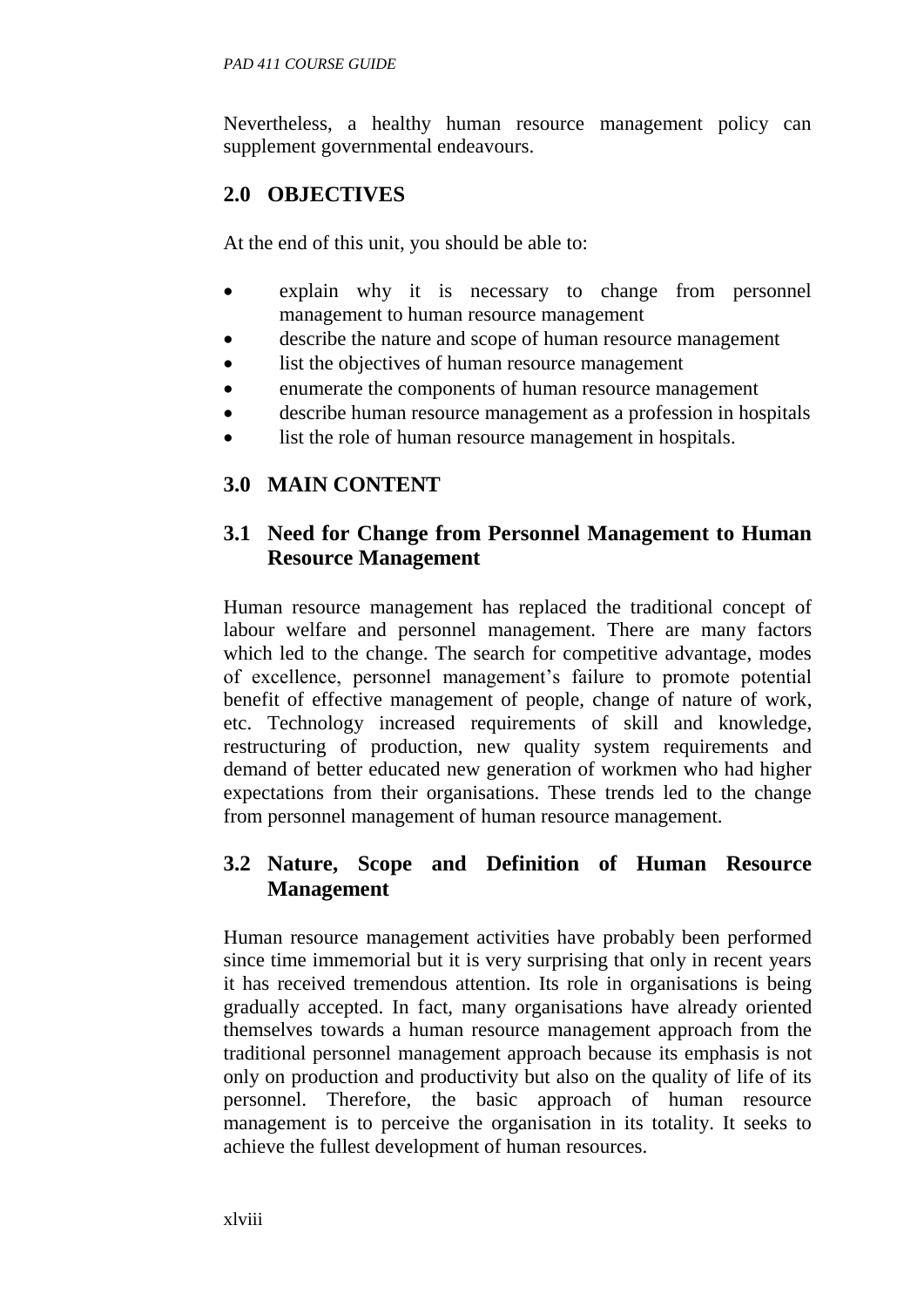Nevertheless, a healthy human resource management policy can supplement governmental endeavours.

## **2.0 OBJECTIVES**

At the end of this unit, you should be able to:

- explain why it is necessary to change from personnel management to human resource management
- describe the nature and scope of human resource management
- list the objectives of human resource management
- enumerate the components of human resource management
- describe human resource management as a profession in hospitals
- list the role of human resource management in hospitals.

## **3.0 MAIN CONTENT**

## **3.1 Need for Change from Personnel Management to Human Resource Management**

Human resource management has replaced the traditional concept of labour welfare and personnel management. There are many factors which led to the change. The search for competitive advantage, modes of excellence, personnel management"s failure to promote potential benefit of effective management of people, change of nature of work, etc. Technology increased requirements of skill and knowledge, restructuring of production, new quality system requirements and demand of better educated new generation of workmen who had higher expectations from their organisations. These trends led to the change from personnel management of human resource management.

## **3.2 Nature, Scope and Definition of Human Resource Management**

Human resource management activities have probably been performed since time immemorial but it is very surprising that only in recent years it has received tremendous attention. Its role in organisations is being gradually accepted. In fact, many organisations have already oriented themselves towards a human resource management approach from the traditional personnel management approach because its emphasis is not only on production and productivity but also on the quality of life of its personnel. Therefore, the basic approach of human resource management is to perceive the organisation in its totality. It seeks to achieve the fullest development of human resources.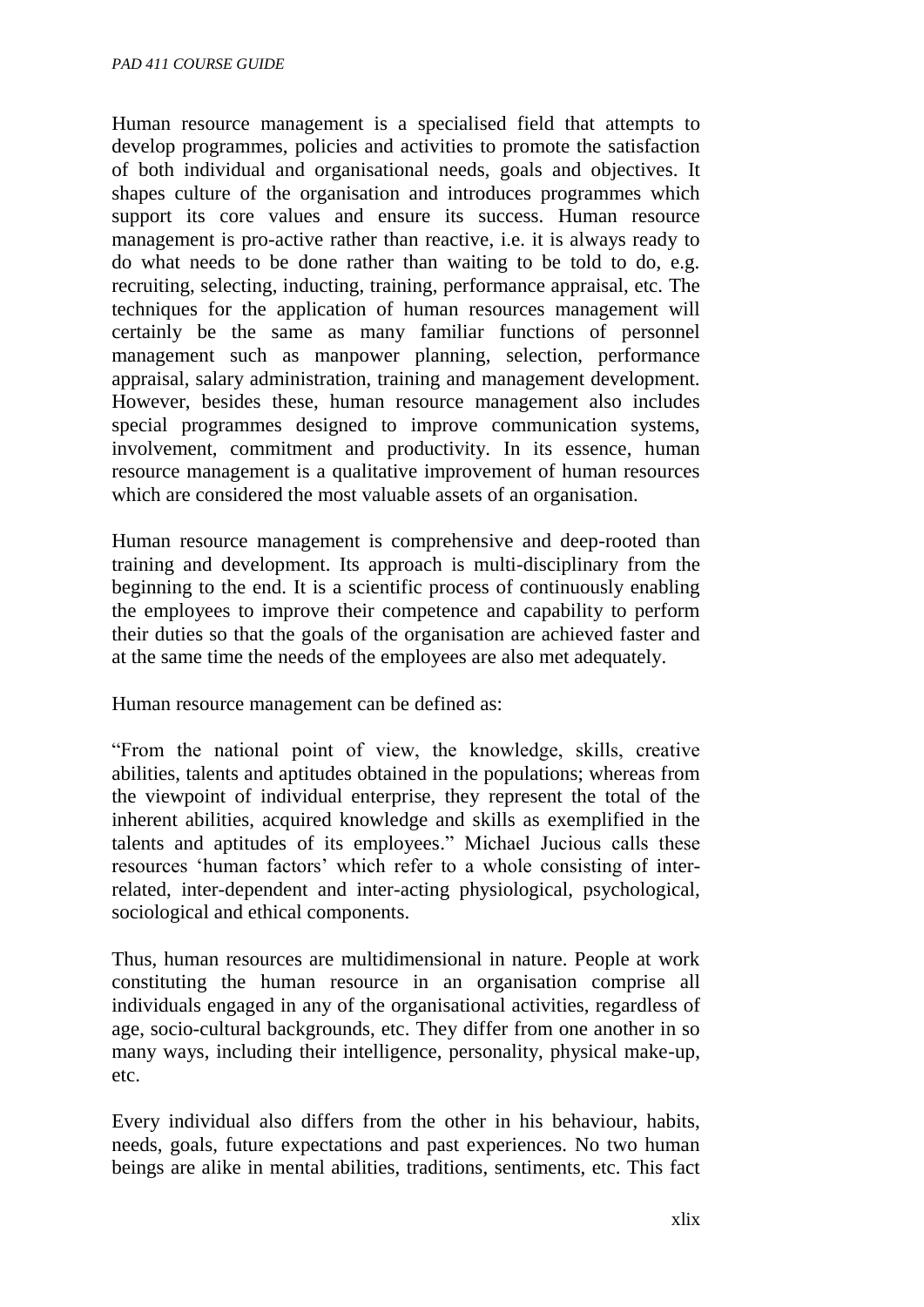#### *PAD 411 COURSE GUIDE*

Human resource management is a specialised field that attempts to develop programmes, policies and activities to promote the satisfaction of both individual and organisational needs, goals and objectives. It shapes culture of the organisation and introduces programmes which support its core values and ensure its success. Human resource management is pro-active rather than reactive, i.e. it is always ready to do what needs to be done rather than waiting to be told to do, e.g. recruiting, selecting, inducting, training, performance appraisal, etc. The techniques for the application of human resources management will certainly be the same as many familiar functions of personnel management such as manpower planning, selection, performance appraisal, salary administration, training and management development. However, besides these, human resource management also includes special programmes designed to improve communication systems, involvement, commitment and productivity. In its essence, human resource management is a qualitative improvement of human resources which are considered the most valuable assets of an organisation.

Human resource management is comprehensive and deep-rooted than training and development. Its approach is multi-disciplinary from the beginning to the end. It is a scientific process of continuously enabling the employees to improve their competence and capability to perform their duties so that the goals of the organisation are achieved faster and at the same time the needs of the employees are also met adequately.

Human resource management can be defined as:

"From the national point of view, the knowledge, skills, creative abilities, talents and aptitudes obtained in the populations; whereas from the viewpoint of individual enterprise, they represent the total of the inherent abilities, acquired knowledge and skills as exemplified in the talents and aptitudes of its employees." Michael Jucious calls these resources "human factors" which refer to a whole consisting of interrelated, inter-dependent and inter-acting physiological, psychological, sociological and ethical components.

Thus, human resources are multidimensional in nature. People at work constituting the human resource in an organisation comprise all individuals engaged in any of the organisational activities, regardless of age, socio-cultural backgrounds, etc. They differ from one another in so many ways, including their intelligence, personality, physical make-up, etc.

Every individual also differs from the other in his behaviour, habits, needs, goals, future expectations and past experiences. No two human beings are alike in mental abilities, traditions, sentiments, etc. This fact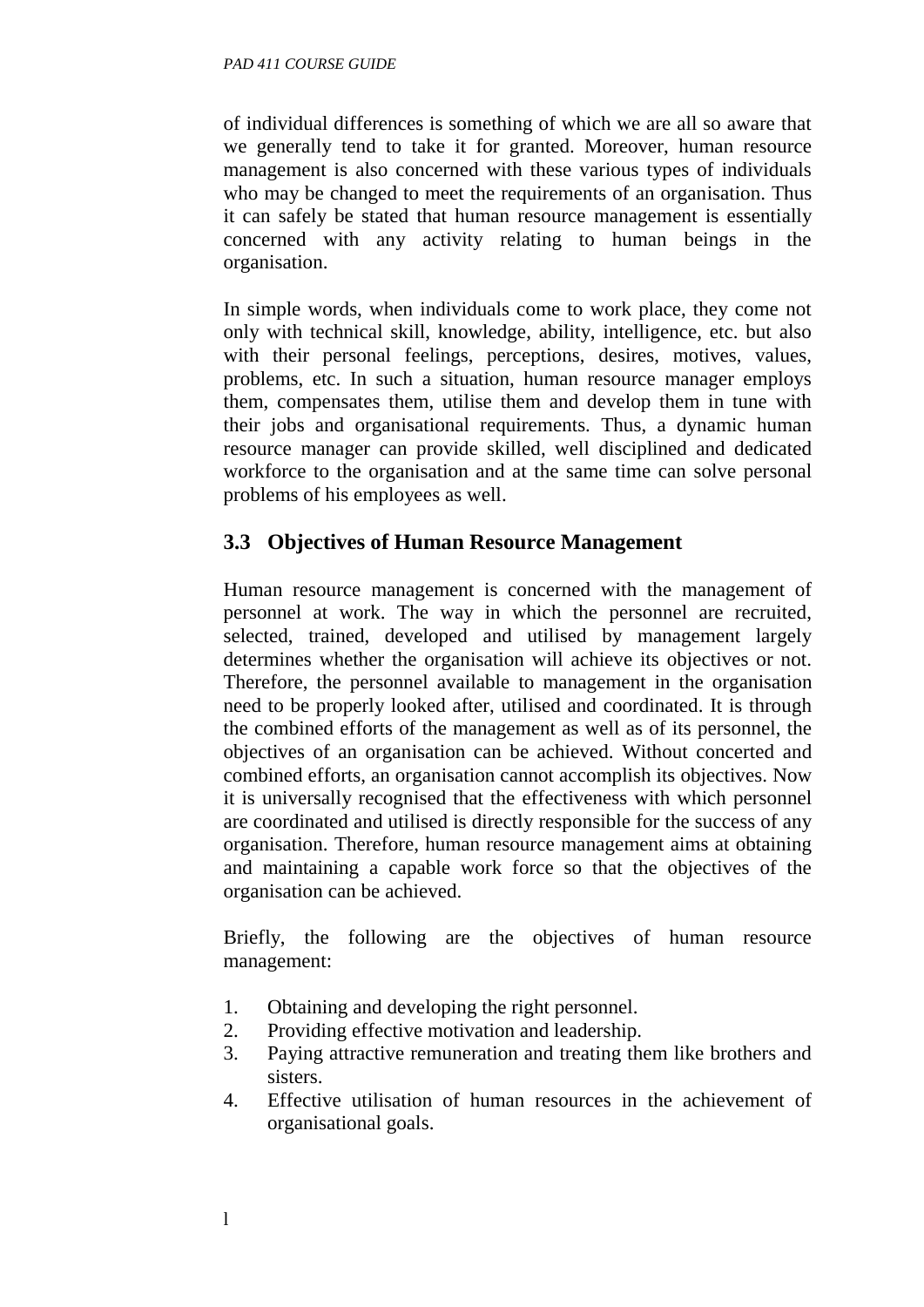of individual differences is something of which we are all so aware that we generally tend to take it for granted. Moreover, human resource management is also concerned with these various types of individuals who may be changed to meet the requirements of an organisation. Thus it can safely be stated that human resource management is essentially concerned with any activity relating to human beings in the organisation.

In simple words, when individuals come to work place, they come not only with technical skill, knowledge, ability, intelligence, etc. but also with their personal feelings, perceptions, desires, motives, values, problems, etc. In such a situation, human resource manager employs them, compensates them, utilise them and develop them in tune with their jobs and organisational requirements. Thus, a dynamic human resource manager can provide skilled, well disciplined and dedicated workforce to the organisation and at the same time can solve personal problems of his employees as well.

## **3.3 Objectives of Human Resource Management**

Human resource management is concerned with the management of personnel at work. The way in which the personnel are recruited, selected, trained, developed and utilised by management largely determines whether the organisation will achieve its objectives or not. Therefore, the personnel available to management in the organisation need to be properly looked after, utilised and coordinated. It is through the combined efforts of the management as well as of its personnel, the objectives of an organisation can be achieved. Without concerted and combined efforts, an organisation cannot accomplish its objectives. Now it is universally recognised that the effectiveness with which personnel are coordinated and utilised is directly responsible for the success of any organisation. Therefore, human resource management aims at obtaining and maintaining a capable work force so that the objectives of the organisation can be achieved.

Briefly, the following are the objectives of human resource management:

- 1. Obtaining and developing the right personnel.
- 2. Providing effective motivation and leadership.
- 3. Paying attractive remuneration and treating them like brothers and sisters.
- 4. Effective utilisation of human resources in the achievement of organisational goals.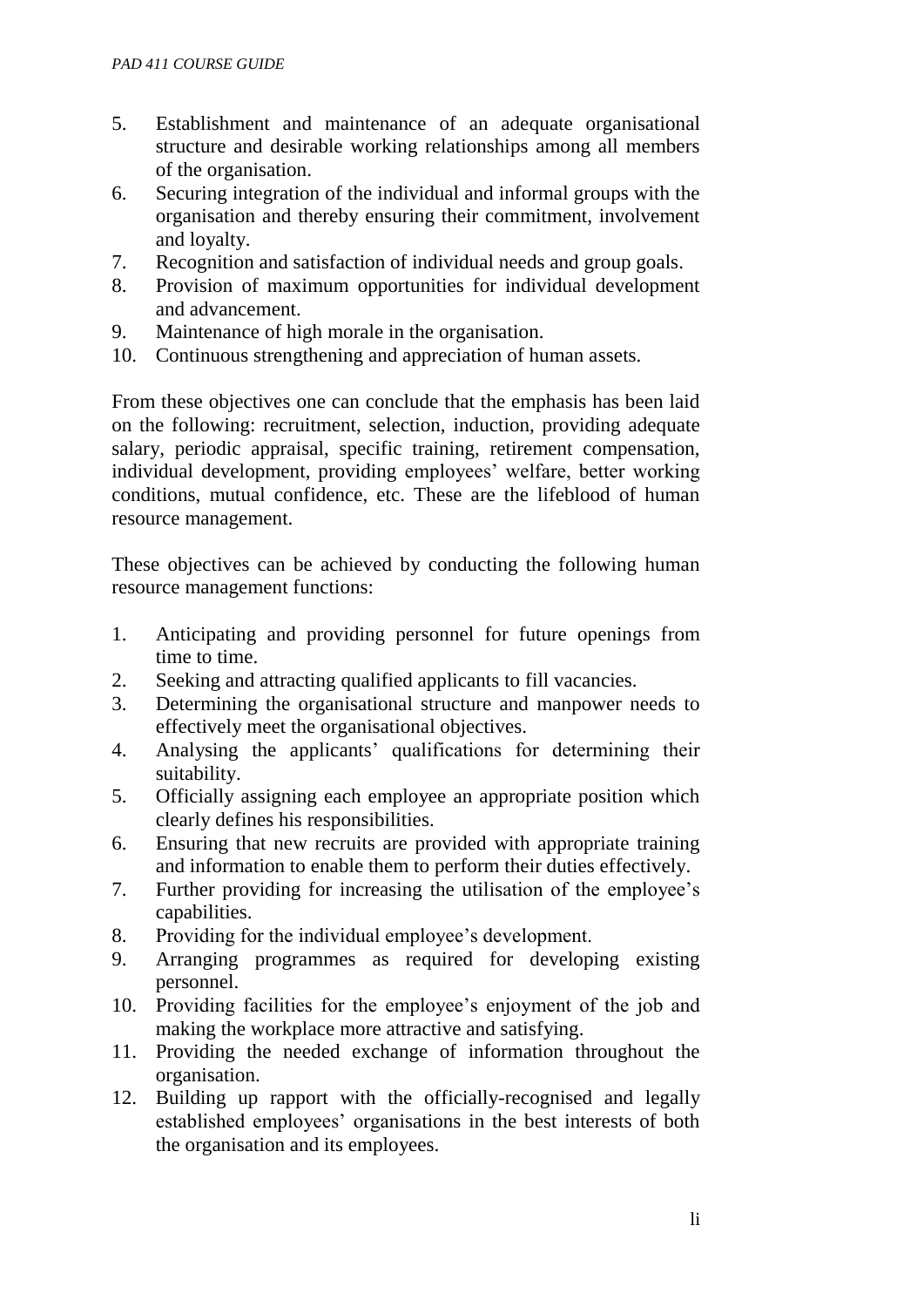- 5. Establishment and maintenance of an adequate organisational structure and desirable working relationships among all members of the organisation.
- 6. Securing integration of the individual and informal groups with the organisation and thereby ensuring their commitment, involvement and loyalty.
- 7. Recognition and satisfaction of individual needs and group goals.
- 8. Provision of maximum opportunities for individual development and advancement.
- 9. Maintenance of high morale in the organisation.
- 10. Continuous strengthening and appreciation of human assets.

From these objectives one can conclude that the emphasis has been laid on the following: recruitment, selection, induction, providing adequate salary, periodic appraisal, specific training, retirement compensation, individual development, providing employees' welfare, better working conditions, mutual confidence, etc. These are the lifeblood of human resource management.

These objectives can be achieved by conducting the following human resource management functions:

- 1. Anticipating and providing personnel for future openings from time to time.
- 2. Seeking and attracting qualified applicants to fill vacancies.
- 3. Determining the organisational structure and manpower needs to effectively meet the organisational objectives.
- 4. Analysing the applicants' qualifications for determining their suitability.
- 5. Officially assigning each employee an appropriate position which clearly defines his responsibilities.
- 6. Ensuring that new recruits are provided with appropriate training and information to enable them to perform their duties effectively.
- 7. Further providing for increasing the utilisation of the employee"s capabilities.
- 8. Providing for the individual employee"s development.
- 9. Arranging programmes as required for developing existing personnel.
- 10. Providing facilities for the employee"s enjoyment of the job and making the workplace more attractive and satisfying.
- 11. Providing the needed exchange of information throughout the organisation.
- 12. Building up rapport with the officially-recognised and legally established employees" organisations in the best interests of both the organisation and its employees.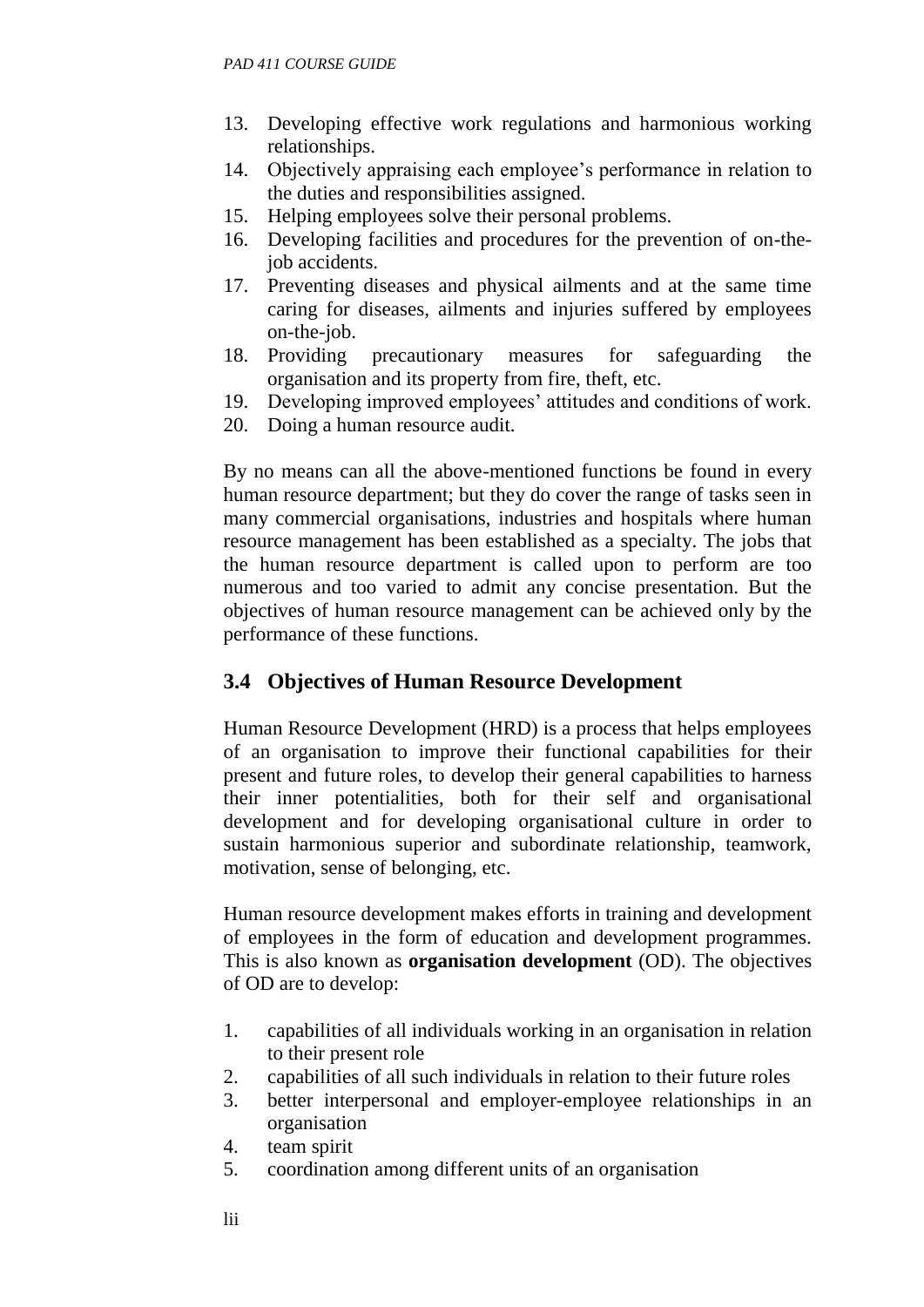- 13. Developing effective work regulations and harmonious working relationships.
- 14. Objectively appraising each employee's performance in relation to the duties and responsibilities assigned.
- 15. Helping employees solve their personal problems.
- 16. Developing facilities and procedures for the prevention of on-thejob accidents.
- 17. Preventing diseases and physical ailments and at the same time caring for diseases, ailments and injuries suffered by employees on-the-job.
- 18. Providing precautionary measures for safeguarding the organisation and its property from fire, theft, etc.
- 19. Developing improved employees' attitudes and conditions of work.
- 20. Doing a human resource audit.

By no means can all the above-mentioned functions be found in every human resource department; but they do cover the range of tasks seen in many commercial organisations, industries and hospitals where human resource management has been established as a specialty. The jobs that the human resource department is called upon to perform are too numerous and too varied to admit any concise presentation. But the objectives of human resource management can be achieved only by the performance of these functions.

## **3.4 Objectives of Human Resource Development**

Human Resource Development (HRD) is a process that helps employees of an organisation to improve their functional capabilities for their present and future roles, to develop their general capabilities to harness their inner potentialities, both for their self and organisational development and for developing organisational culture in order to sustain harmonious superior and subordinate relationship, teamwork, motivation, sense of belonging, etc.

Human resource development makes efforts in training and development of employees in the form of education and development programmes. This is also known as **organisation development** (OD). The objectives of OD are to develop:

- 1. capabilities of all individuals working in an organisation in relation to their present role
- 2. capabilities of all such individuals in relation to their future roles
- 3. better interpersonal and employer-employee relationships in an organisation
- 4. team spirit
- 5. coordination among different units of an organisation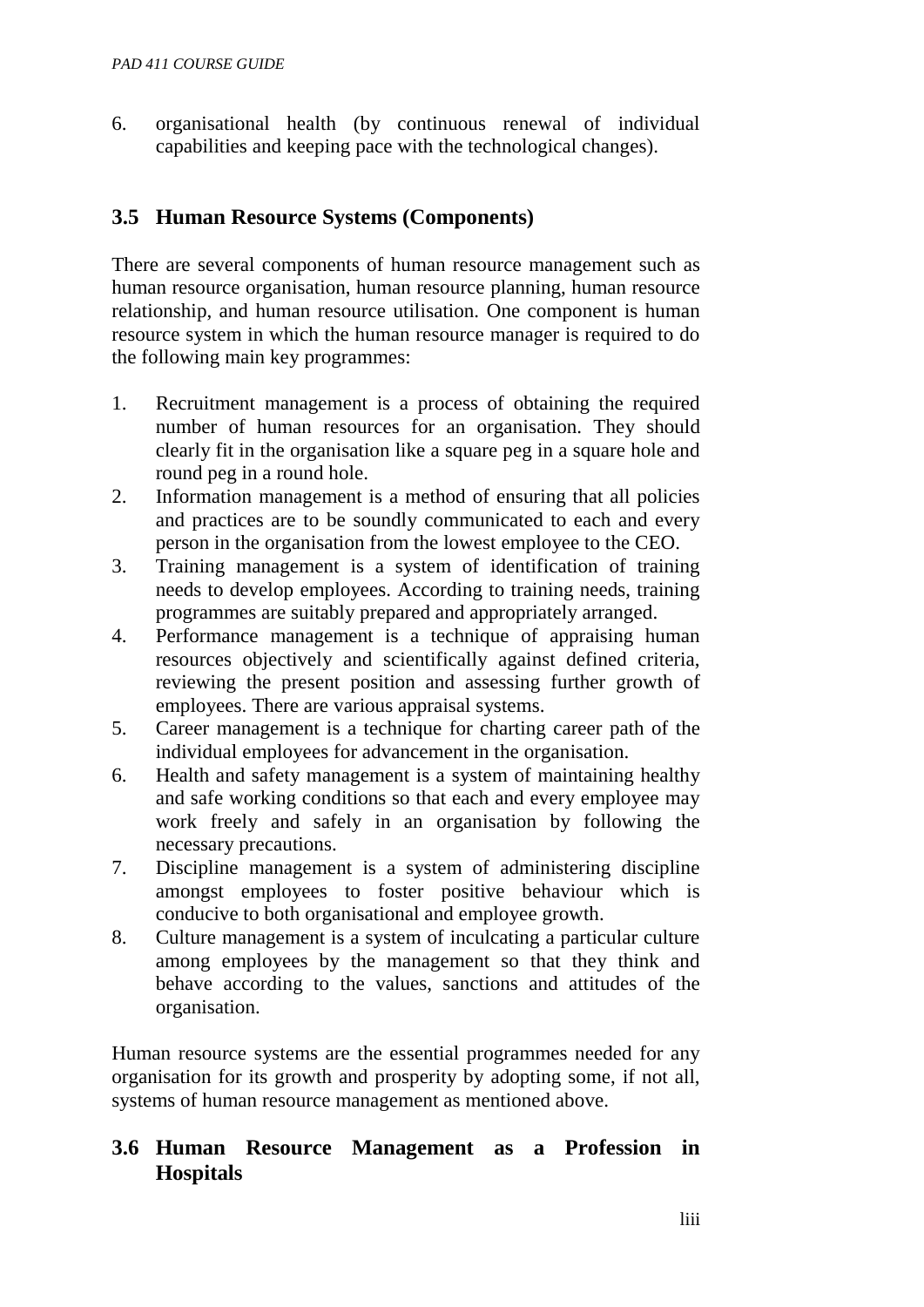6. organisational health (by continuous renewal of individual capabilities and keeping pace with the technological changes).

## **3.5 Human Resource Systems (Components)**

There are several components of human resource management such as human resource organisation, human resource planning, human resource relationship, and human resource utilisation. One component is human resource system in which the human resource manager is required to do the following main key programmes:

- 1. Recruitment management is a process of obtaining the required number of human resources for an organisation. They should clearly fit in the organisation like a square peg in a square hole and round peg in a round hole.
- 2. Information management is a method of ensuring that all policies and practices are to be soundly communicated to each and every person in the organisation from the lowest employee to the CEO.
- 3. Training management is a system of identification of training needs to develop employees. According to training needs, training programmes are suitably prepared and appropriately arranged.
- 4. Performance management is a technique of appraising human resources objectively and scientifically against defined criteria, reviewing the present position and assessing further growth of employees. There are various appraisal systems.
- 5. Career management is a technique for charting career path of the individual employees for advancement in the organisation.
- 6. Health and safety management is a system of maintaining healthy and safe working conditions so that each and every employee may work freely and safely in an organisation by following the necessary precautions.
- 7. Discipline management is a system of administering discipline amongst employees to foster positive behaviour which is conducive to both organisational and employee growth.
- 8. Culture management is a system of inculcating a particular culture among employees by the management so that they think and behave according to the values, sanctions and attitudes of the organisation.

Human resource systems are the essential programmes needed for any organisation for its growth and prosperity by adopting some, if not all, systems of human resource management as mentioned above.

## **3.6 Human Resource Management as a Profession in Hospitals**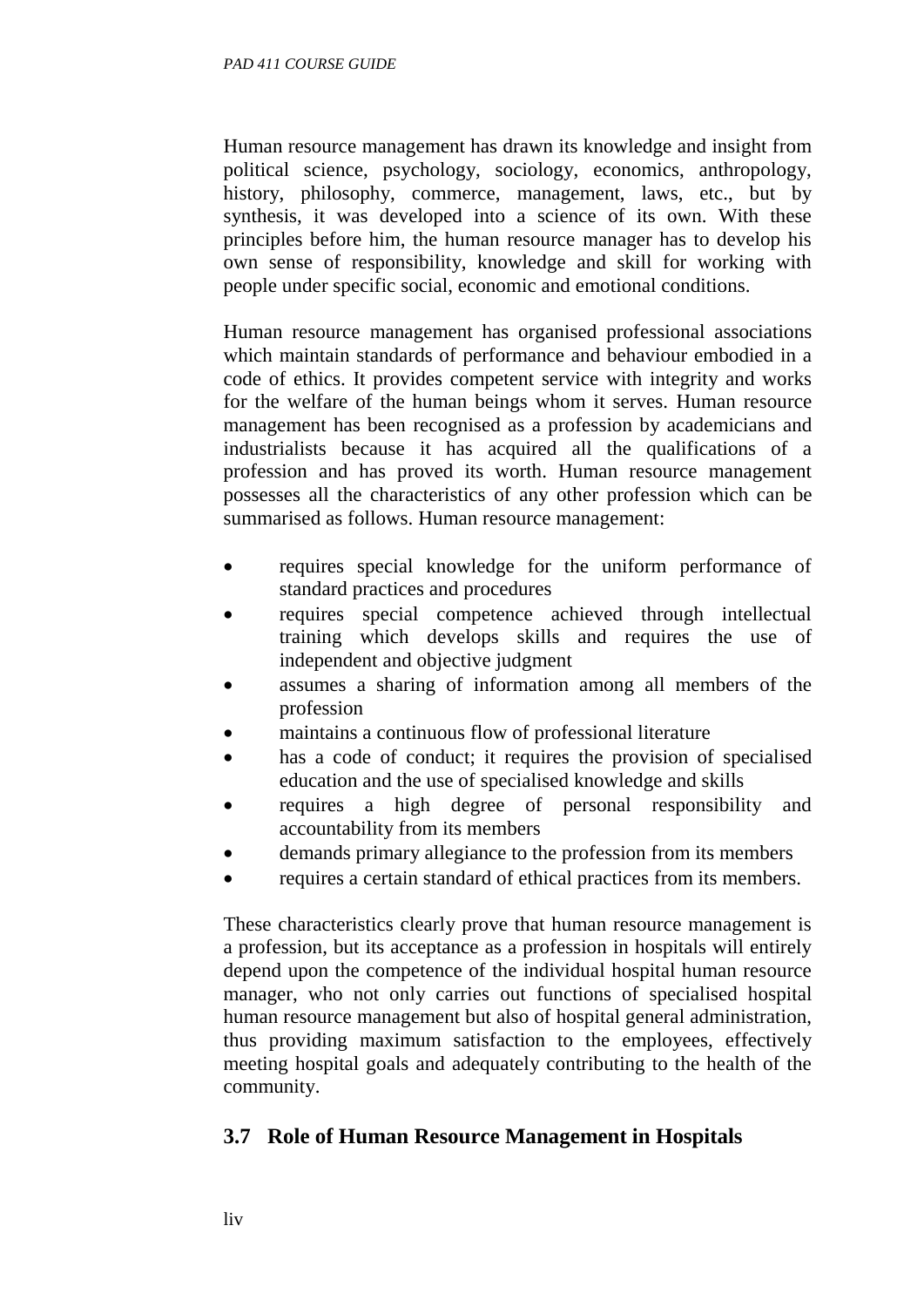Human resource management has drawn its knowledge and insight from political science, psychology, sociology, economics, anthropology, history, philosophy, commerce, management, laws, etc., but by synthesis, it was developed into a science of its own. With these principles before him, the human resource manager has to develop his own sense of responsibility, knowledge and skill for working with people under specific social, economic and emotional conditions.

Human resource management has organised professional associations which maintain standards of performance and behaviour embodied in a code of ethics. It provides competent service with integrity and works for the welfare of the human beings whom it serves. Human resource management has been recognised as a profession by academicians and industrialists because it has acquired all the qualifications of a profession and has proved its worth. Human resource management possesses all the characteristics of any other profession which can be summarised as follows. Human resource management:

- requires special knowledge for the uniform performance of standard practices and procedures
- requires special competence achieved through intellectual training which develops skills and requires the use of independent and objective judgment
- assumes a sharing of information among all members of the profession
- maintains a continuous flow of professional literature
- has a code of conduct; it requires the provision of specialised education and the use of specialised knowledge and skills
- requires a high degree of personal responsibility and accountability from its members
- demands primary allegiance to the profession from its members
- requires a certain standard of ethical practices from its members.

These characteristics clearly prove that human resource management is a profession, but its acceptance as a profession in hospitals will entirely depend upon the competence of the individual hospital human resource manager, who not only carries out functions of specialised hospital human resource management but also of hospital general administration, thus providing maximum satisfaction to the employees, effectively meeting hospital goals and adequately contributing to the health of the community.

## **3.7 Role of Human Resource Management in Hospitals**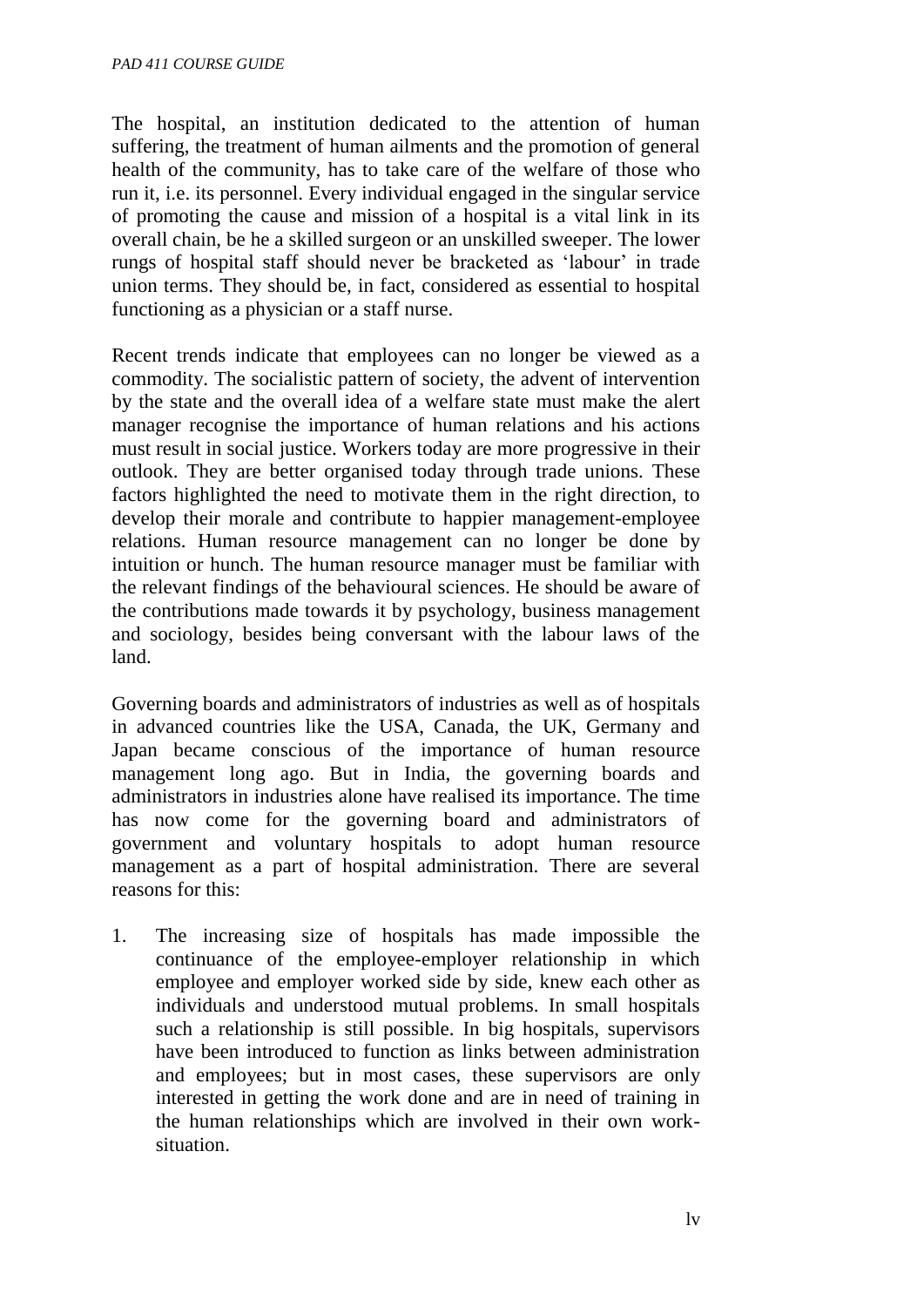The hospital, an institution dedicated to the attention of human suffering, the treatment of human ailments and the promotion of general health of the community, has to take care of the welfare of those who run it, i.e. its personnel. Every individual engaged in the singular service of promoting the cause and mission of a hospital is a vital link in its overall chain, be he a skilled surgeon or an unskilled sweeper. The lower rungs of hospital staff should never be bracketed as "labour" in trade union terms. They should be, in fact, considered as essential to hospital functioning as a physician or a staff nurse.

Recent trends indicate that employees can no longer be viewed as a commodity. The socialistic pattern of society, the advent of intervention by the state and the overall idea of a welfare state must make the alert manager recognise the importance of human relations and his actions must result in social justice. Workers today are more progressive in their outlook. They are better organised today through trade unions. These factors highlighted the need to motivate them in the right direction, to develop their morale and contribute to happier management-employee relations. Human resource management can no longer be done by intuition or hunch. The human resource manager must be familiar with the relevant findings of the behavioural sciences. He should be aware of the contributions made towards it by psychology, business management and sociology, besides being conversant with the labour laws of the land.

Governing boards and administrators of industries as well as of hospitals in advanced countries like the USA, Canada, the UK, Germany and Japan became conscious of the importance of human resource management long ago. But in India, the governing boards and administrators in industries alone have realised its importance. The time has now come for the governing board and administrators of government and voluntary hospitals to adopt human resource management as a part of hospital administration. There are several reasons for this:

1. The increasing size of hospitals has made impossible the continuance of the employee-employer relationship in which employee and employer worked side by side, knew each other as individuals and understood mutual problems. In small hospitals such a relationship is still possible. In big hospitals, supervisors have been introduced to function as links between administration and employees; but in most cases, these supervisors are only interested in getting the work done and are in need of training in the human relationships which are involved in their own worksituation.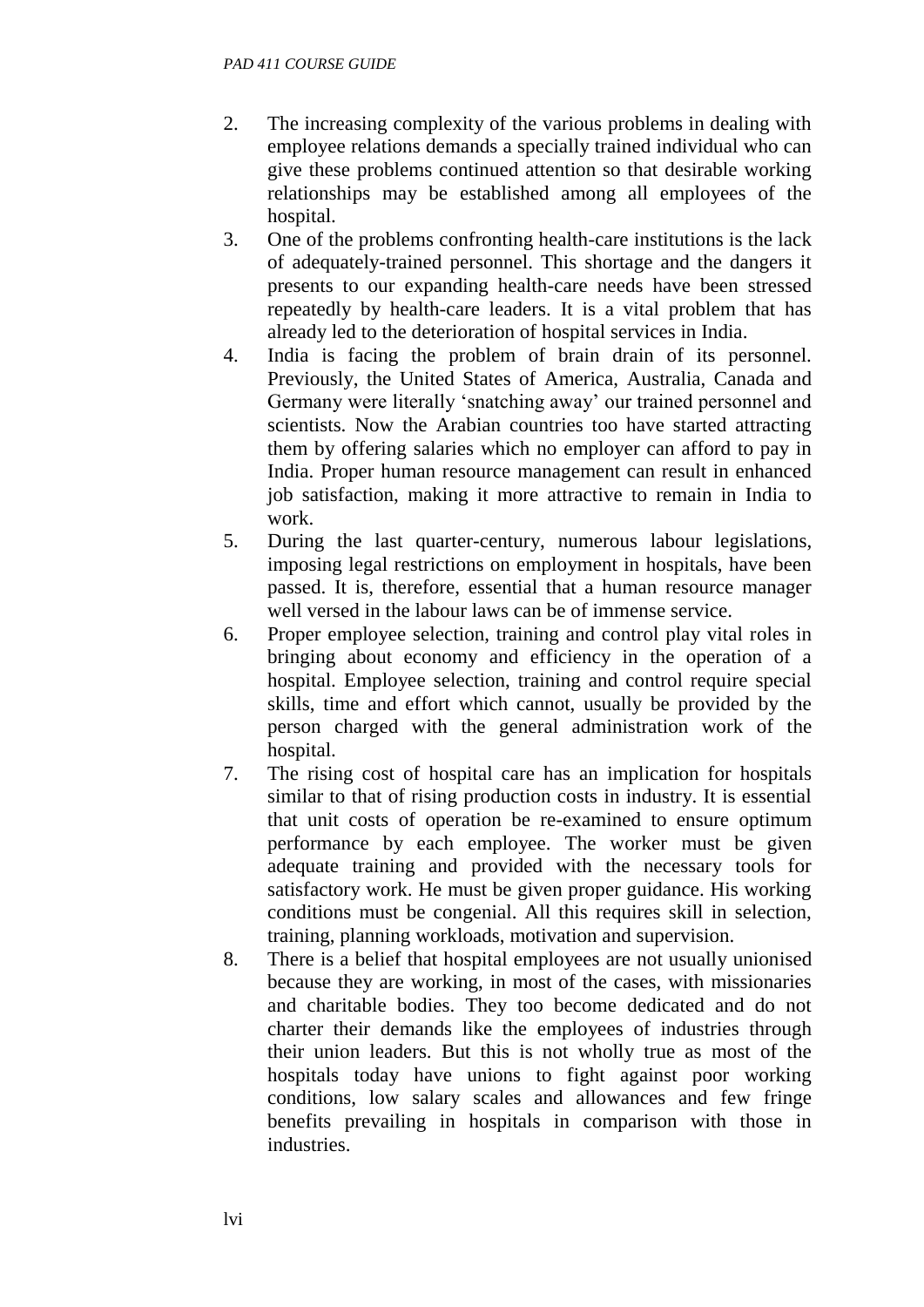- 2. The increasing complexity of the various problems in dealing with employee relations demands a specially trained individual who can give these problems continued attention so that desirable working relationships may be established among all employees of the hospital.
- 3. One of the problems confronting health-care institutions is the lack of adequately-trained personnel. This shortage and the dangers it presents to our expanding health-care needs have been stressed repeatedly by health-care leaders. It is a vital problem that has already led to the deterioration of hospital services in India.
- 4. India is facing the problem of brain drain of its personnel. Previously, the United States of America, Australia, Canada and Germany were literally "snatching away" our trained personnel and scientists. Now the Arabian countries too have started attracting them by offering salaries which no employer can afford to pay in India. Proper human resource management can result in enhanced job satisfaction, making it more attractive to remain in India to work.
- 5. During the last quarter-century, numerous labour legislations, imposing legal restrictions on employment in hospitals, have been passed. It is, therefore, essential that a human resource manager well versed in the labour laws can be of immense service.
- 6. Proper employee selection, training and control play vital roles in bringing about economy and efficiency in the operation of a hospital. Employee selection, training and control require special skills, time and effort which cannot, usually be provided by the person charged with the general administration work of the hospital.
- 7. The rising cost of hospital care has an implication for hospitals similar to that of rising production costs in industry. It is essential that unit costs of operation be re-examined to ensure optimum performance by each employee. The worker must be given adequate training and provided with the necessary tools for satisfactory work. He must be given proper guidance. His working conditions must be congenial. All this requires skill in selection, training, planning workloads, motivation and supervision.
- 8. There is a belief that hospital employees are not usually unionised because they are working, in most of the cases, with missionaries and charitable bodies. They too become dedicated and do not charter their demands like the employees of industries through their union leaders. But this is not wholly true as most of the hospitals today have unions to fight against poor working conditions, low salary scales and allowances and few fringe benefits prevailing in hospitals in comparison with those in industries.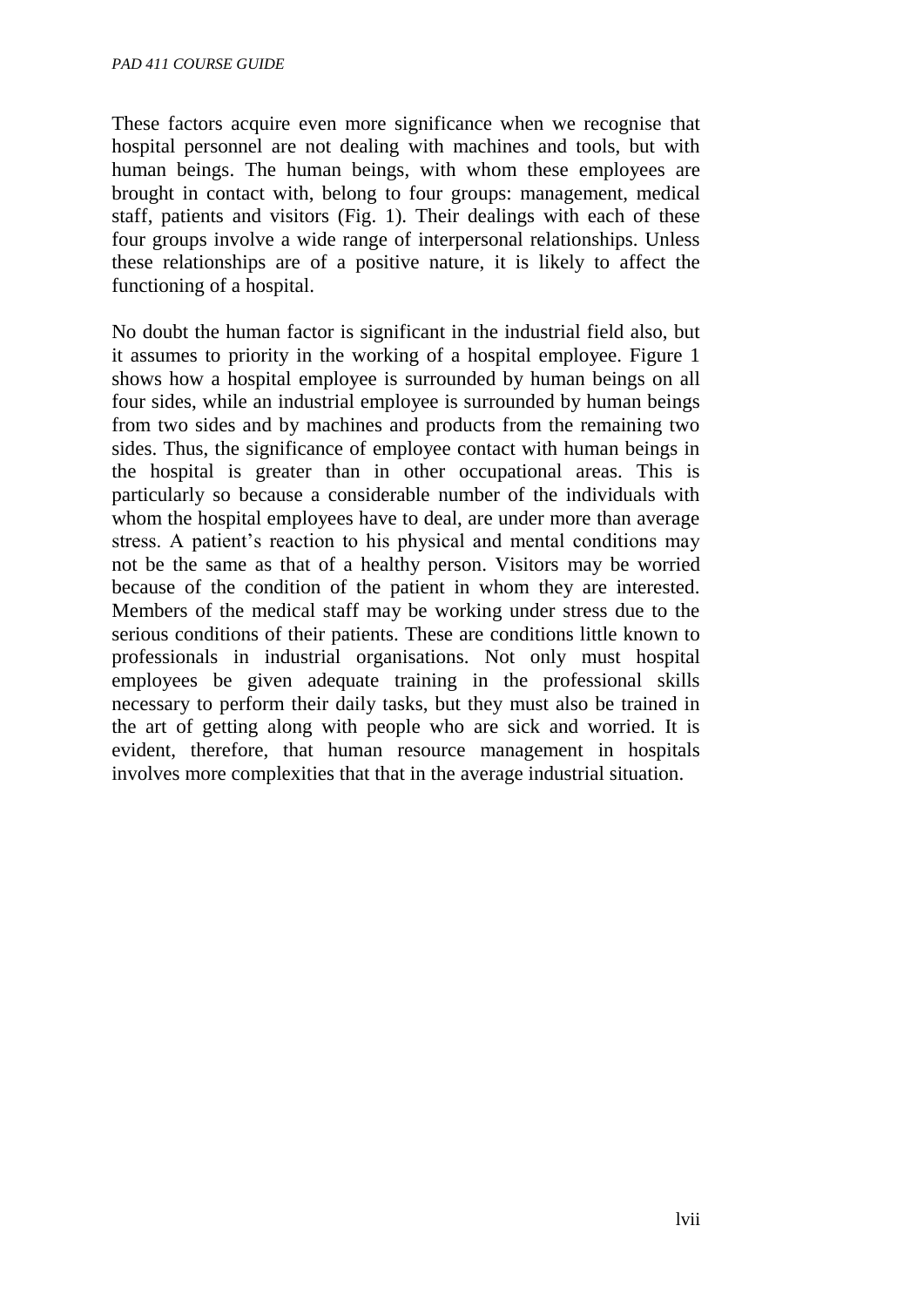These factors acquire even more significance when we recognise that hospital personnel are not dealing with machines and tools, but with human beings. The human beings, with whom these employees are brought in contact with, belong to four groups: management, medical staff, patients and visitors (Fig. 1). Their dealings with each of these four groups involve a wide range of interpersonal relationships. Unless these relationships are of a positive nature, it is likely to affect the functioning of a hospital.

No doubt the human factor is significant in the industrial field also, but it assumes to priority in the working of a hospital employee. Figure 1 shows how a hospital employee is surrounded by human beings on all four sides, while an industrial employee is surrounded by human beings from two sides and by machines and products from the remaining two sides. Thus, the significance of employee contact with human beings in the hospital is greater than in other occupational areas. This is particularly so because a considerable number of the individuals with whom the hospital employees have to deal, are under more than average stress. A patient's reaction to his physical and mental conditions may not be the same as that of a healthy person. Visitors may be worried because of the condition of the patient in whom they are interested. Members of the medical staff may be working under stress due to the serious conditions of their patients. These are conditions little known to professionals in industrial organisations. Not only must hospital employees be given adequate training in the professional skills necessary to perform their daily tasks, but they must also be trained in the art of getting along with people who are sick and worried. It is evident, therefore, that human resource management in hospitals involves more complexities that that in the average industrial situation.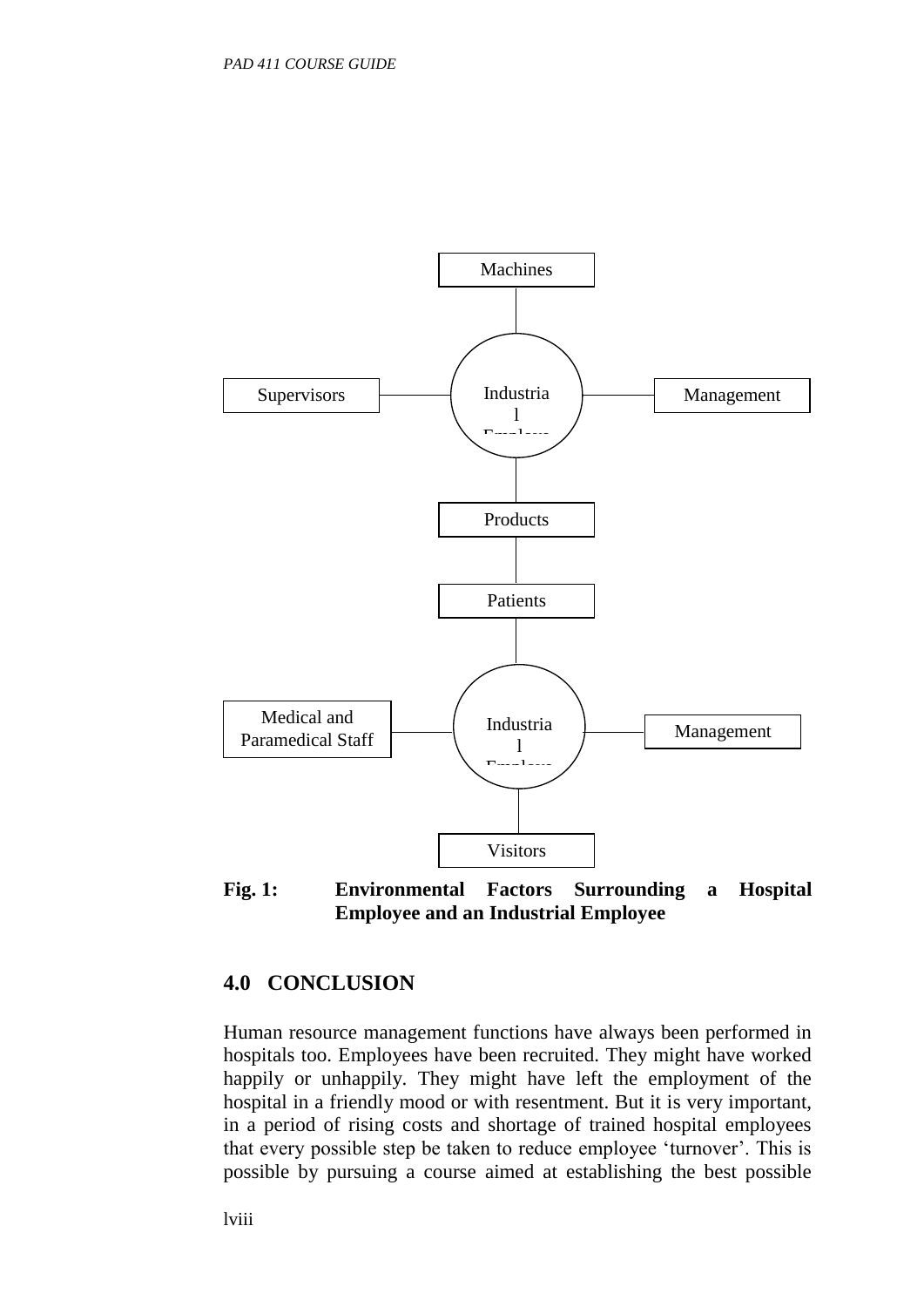

**Fig. 1: Environmental Factors Surrounding a Hospital Employee and an Industrial Employee**

## **4.0 CONCLUSION**

Human resource management functions have always been performed in hospitals too. Employees have been recruited. They might have worked happily or unhappily. They might have left the employment of the hospital in a friendly mood or with resentment. But it is very important, in a period of rising costs and shortage of trained hospital employees that every possible step be taken to reduce employee "turnover". This is possible by pursuing a course aimed at establishing the best possible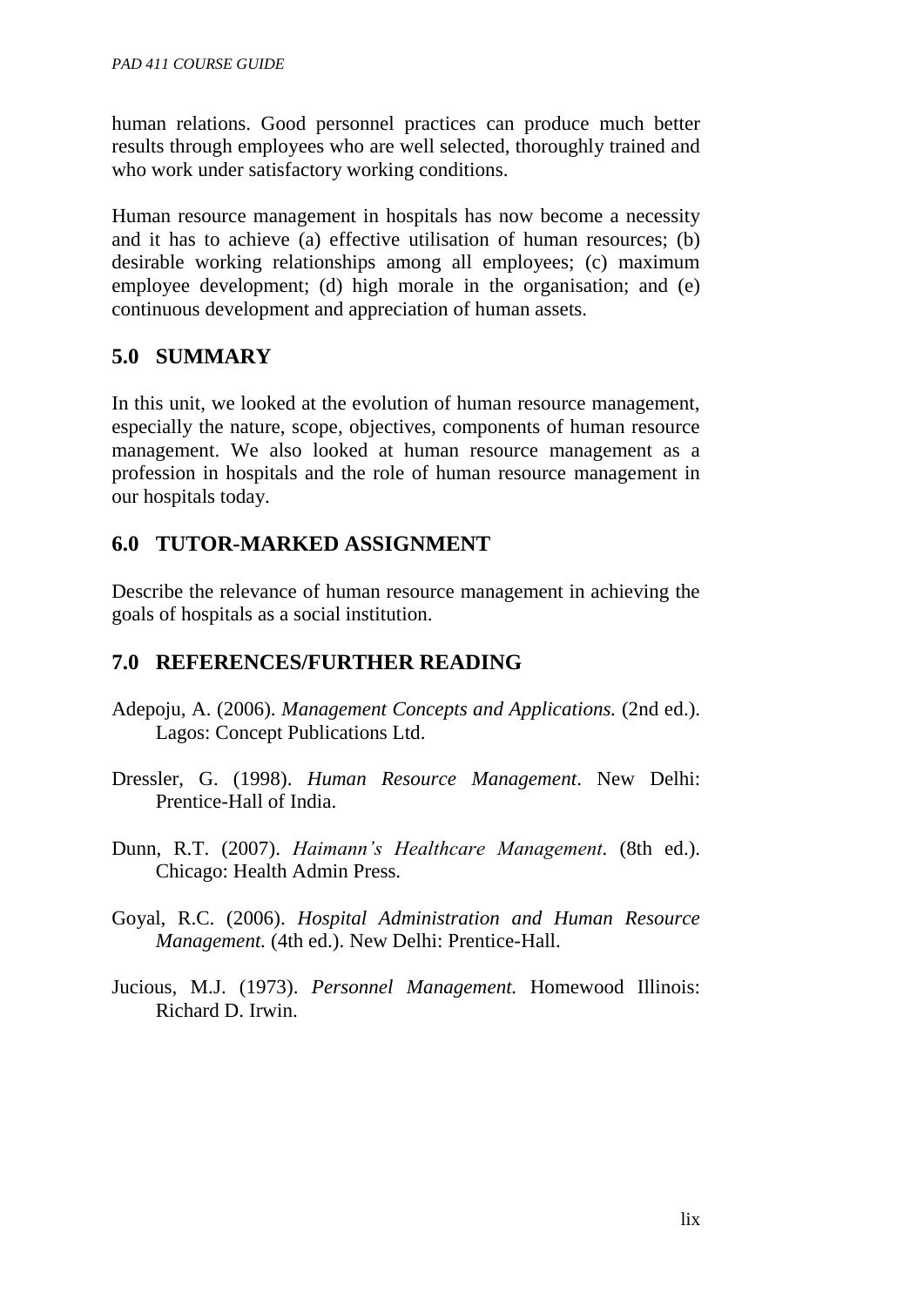human relations. Good personnel practices can produce much better results through employees who are well selected, thoroughly trained and who work under satisfactory working conditions.

Human resource management in hospitals has now become a necessity and it has to achieve (a) effective utilisation of human resources; (b) desirable working relationships among all employees; (c) maximum employee development; (d) high morale in the organisation; and (e) continuous development and appreciation of human assets.

## **5.0 SUMMARY**

In this unit, we looked at the evolution of human resource management, especially the nature, scope, objectives, components of human resource management. We also looked at human resource management as a profession in hospitals and the role of human resource management in our hospitals today.

## **6.0 TUTOR-MARKED ASSIGNMENT**

Describe the relevance of human resource management in achieving the goals of hospitals as a social institution.

## **7.0 REFERENCES/FURTHER READING**

- Adepoju, A. (2006). *Management Concepts and Applications.* (2nd ed.). Lagos: Concept Publications Ltd.
- Dressler, G. (1998). *Human Resource Management*. New Delhi: Prentice-Hall of India.
- Dunn, R.T. (2007). *Haimann's Healthcare Management.* (8th ed.). Chicago: Health Admin Press.
- Goyal, R.C. (2006). *Hospital Administration and Human Resource Management.* (4th ed.). New Delhi: Prentice-Hall.
- Jucious, M.J. (1973). *Personnel Management.* Homewood Illinois: Richard D. Irwin.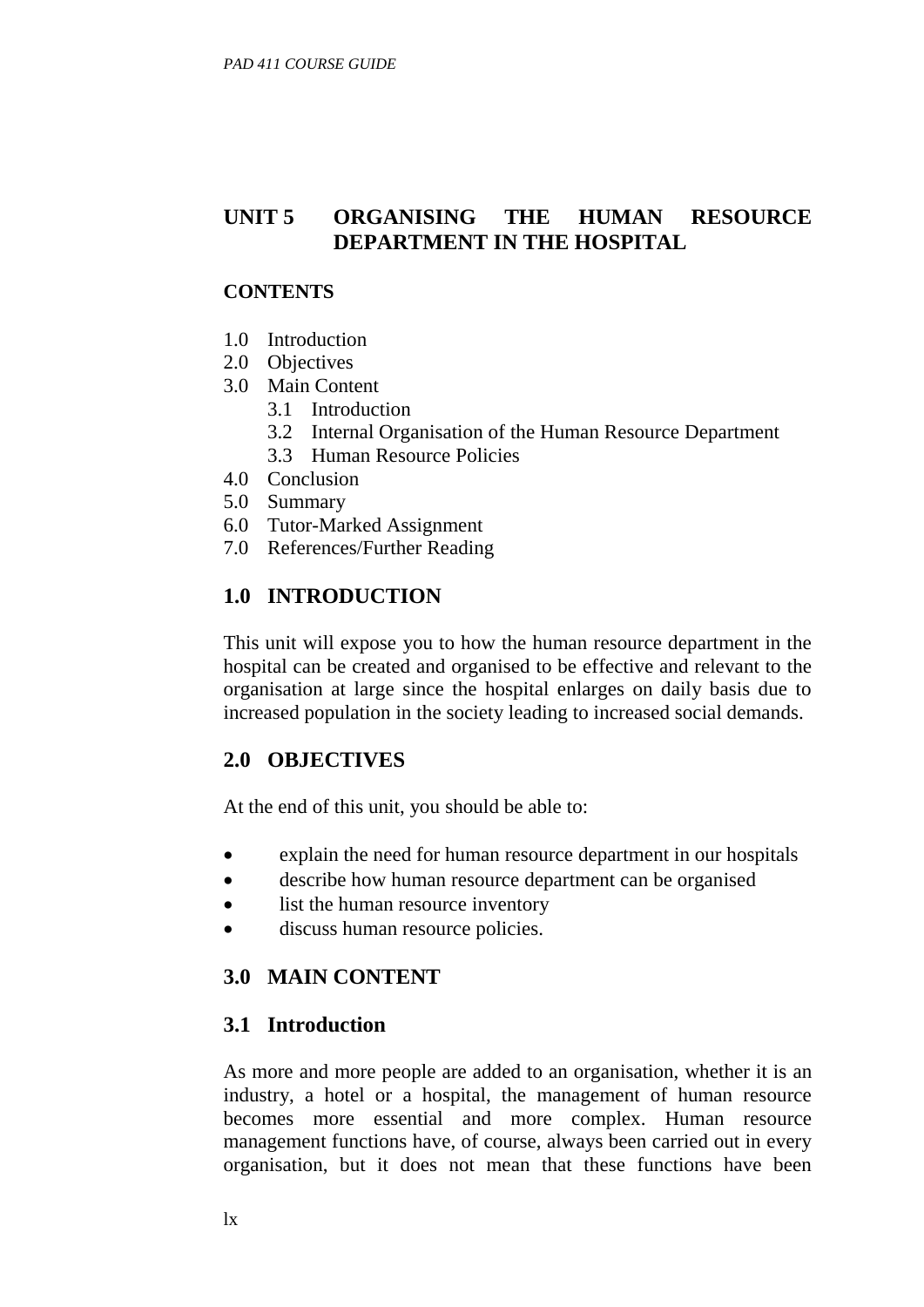## **UNIT 5 ORGANISING THE HUMAN RESOURCE DEPARTMENT IN THE HOSPITAL**

#### **CONTENTS**

- 1.0 Introduction
- 2.0 Objectives
- 3.0 Main Content
	- 3.1 Introduction
	- 3.2 Internal Organisation of the Human Resource Department
	- 3.3 Human Resource Policies
- 4.0 Conclusion
- 5.0 Summary
- 6.0 Tutor-Marked Assignment
- 7.0 References/Further Reading

## **1.0 INTRODUCTION**

This unit will expose you to how the human resource department in the hospital can be created and organised to be effective and relevant to the organisation at large since the hospital enlarges on daily basis due to increased population in the society leading to increased social demands.

## **2.0 OBJECTIVES**

At the end of this unit, you should be able to:

- explain the need for human resource department in our hospitals
- describe how human resource department can be organised
- list the human resource inventory
- discuss human resource policies.

## **3.0 MAIN CONTENT**

#### **3.1 Introduction**

As more and more people are added to an organisation, whether it is an industry, a hotel or a hospital, the management of human resource becomes more essential and more complex. Human resource management functions have, of course, always been carried out in every organisation, but it does not mean that these functions have been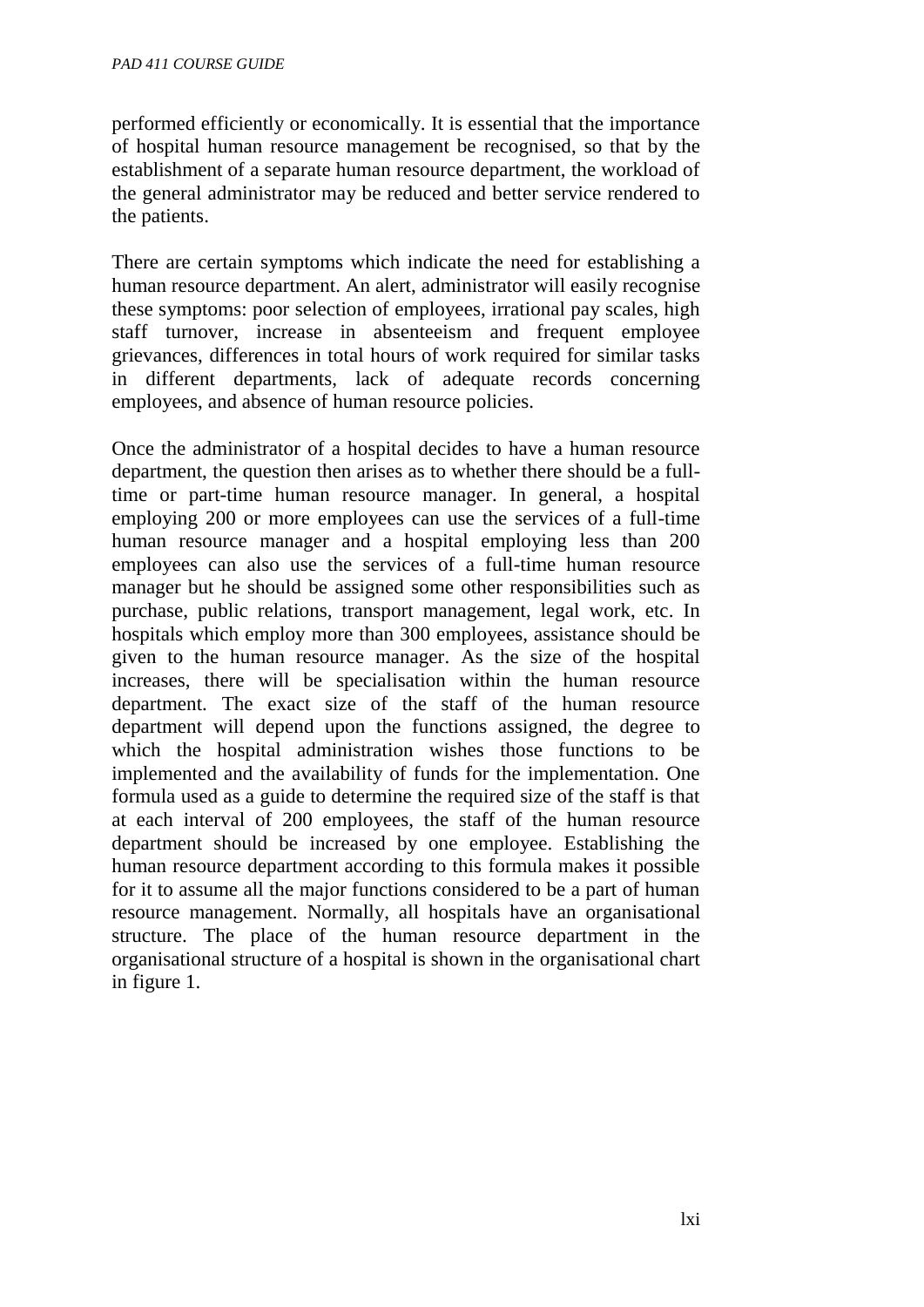performed efficiently or economically. It is essential that the importance of hospital human resource management be recognised, so that by the establishment of a separate human resource department, the workload of the general administrator may be reduced and better service rendered to the patients.

There are certain symptoms which indicate the need for establishing a human resource department. An alert, administrator will easily recognise these symptoms: poor selection of employees, irrational pay scales, high staff turnover, increase in absenteeism and frequent employee grievances, differences in total hours of work required for similar tasks in different departments, lack of adequate records concerning employees, and absence of human resource policies.

Once the administrator of a hospital decides to have a human resource department, the question then arises as to whether there should be a fulltime or part-time human resource manager. In general, a hospital employing 200 or more employees can use the services of a full-time human resource manager and a hospital employing less than 200 employees can also use the services of a full-time human resource manager but he should be assigned some other responsibilities such as purchase, public relations, transport management, legal work, etc. In hospitals which employ more than 300 employees, assistance should be given to the human resource manager. As the size of the hospital increases, there will be specialisation within the human resource department. The exact size of the staff of the human resource department will depend upon the functions assigned, the degree to which the hospital administration wishes those functions to be implemented and the availability of funds for the implementation. One formula used as a guide to determine the required size of the staff is that at each interval of 200 employees, the staff of the human resource department should be increased by one employee. Establishing the human resource department according to this formula makes it possible for it to assume all the major functions considered to be a part of human resource management. Normally, all hospitals have an organisational structure. The place of the human resource department in the organisational structure of a hospital is shown in the organisational chart in figure 1.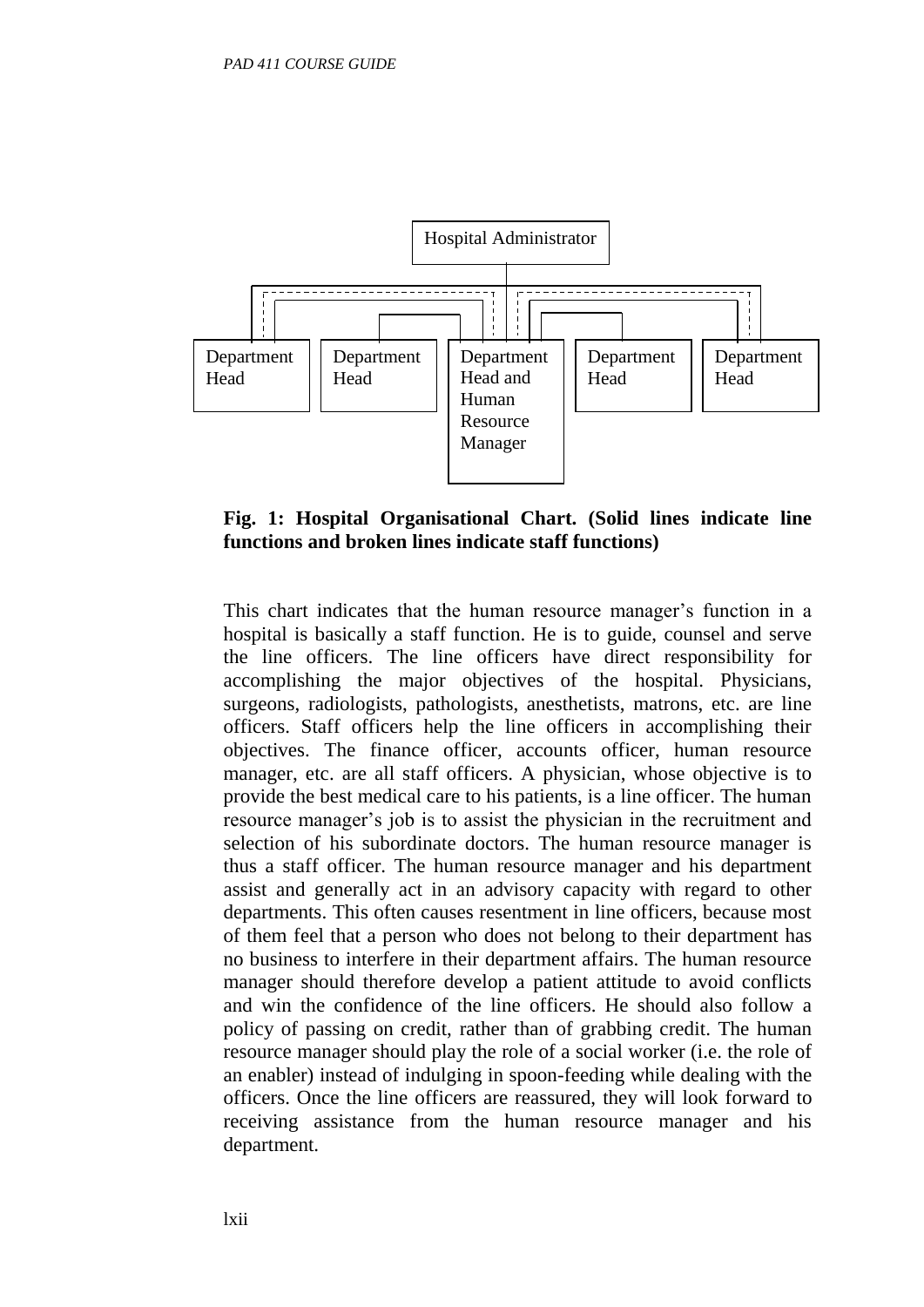

**Fig. 1: Hospital Organisational Chart. (Solid lines indicate line functions and broken lines indicate staff functions)**

This chart indicates that the human resource manager's function in a hospital is basically a staff function. He is to guide, counsel and serve the line officers. The line officers have direct responsibility for accomplishing the major objectives of the hospital. Physicians, surgeons, radiologists, pathologists, anesthetists, matrons, etc. are line officers. Staff officers help the line officers in accomplishing their objectives. The finance officer, accounts officer, human resource manager, etc. are all staff officers. A physician, whose objective is to provide the best medical care to his patients, is a line officer. The human resource manager's job is to assist the physician in the recruitment and selection of his subordinate doctors. The human resource manager is thus a staff officer. The human resource manager and his department assist and generally act in an advisory capacity with regard to other departments. This often causes resentment in line officers, because most of them feel that a person who does not belong to their department has no business to interfere in their department affairs. The human resource manager should therefore develop a patient attitude to avoid conflicts and win the confidence of the line officers. He should also follow a policy of passing on credit, rather than of grabbing credit. The human resource manager should play the role of a social worker (i.e. the role of an enabler) instead of indulging in spoon-feeding while dealing with the officers. Once the line officers are reassured, they will look forward to receiving assistance from the human resource manager and his department.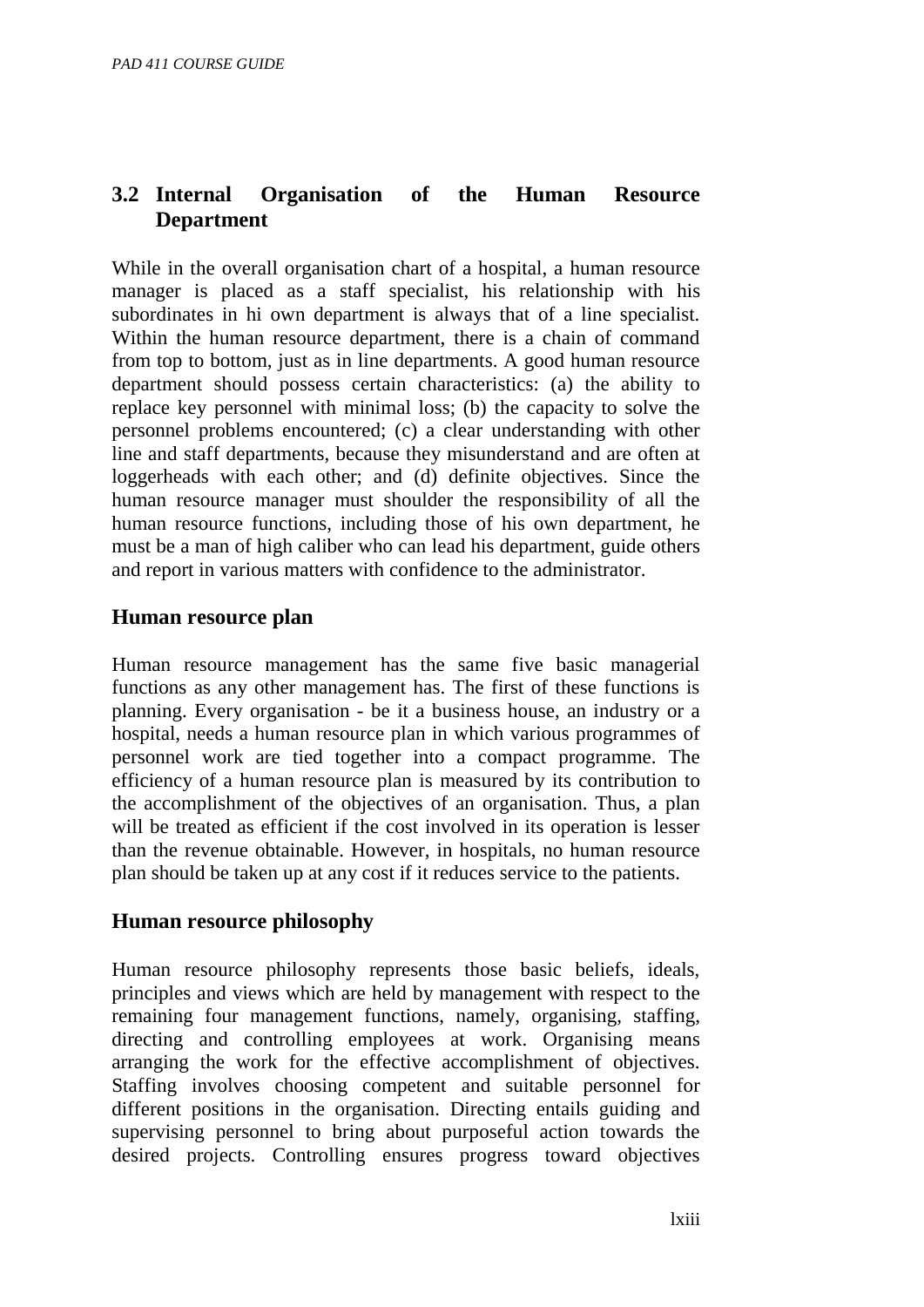## **3.2 Internal Organisation of the Human Resource Department**

While in the overall organisation chart of a hospital, a human resource manager is placed as a staff specialist, his relationship with his subordinates in hi own department is always that of a line specialist. Within the human resource department, there is a chain of command from top to bottom, just as in line departments. A good human resource department should possess certain characteristics: (a) the ability to replace key personnel with minimal loss; (b) the capacity to solve the personnel problems encountered; (c) a clear understanding with other line and staff departments, because they misunderstand and are often at loggerheads with each other; and (d) definite objectives. Since the human resource manager must shoulder the responsibility of all the human resource functions, including those of his own department, he must be a man of high caliber who can lead his department, guide others and report in various matters with confidence to the administrator.

#### **Human resource plan**

Human resource management has the same five basic managerial functions as any other management has. The first of these functions is planning. Every organisation - be it a business house, an industry or a hospital, needs a human resource plan in which various programmes of personnel work are tied together into a compact programme. The efficiency of a human resource plan is measured by its contribution to the accomplishment of the objectives of an organisation. Thus, a plan will be treated as efficient if the cost involved in its operation is lesser than the revenue obtainable. However, in hospitals, no human resource plan should be taken up at any cost if it reduces service to the patients.

#### **Human resource philosophy**

Human resource philosophy represents those basic beliefs, ideals, principles and views which are held by management with respect to the remaining four management functions, namely, organising, staffing, directing and controlling employees at work. Organising means arranging the work for the effective accomplishment of objectives. Staffing involves choosing competent and suitable personnel for different positions in the organisation. Directing entails guiding and supervising personnel to bring about purposeful action towards the desired projects. Controlling ensures progress toward objectives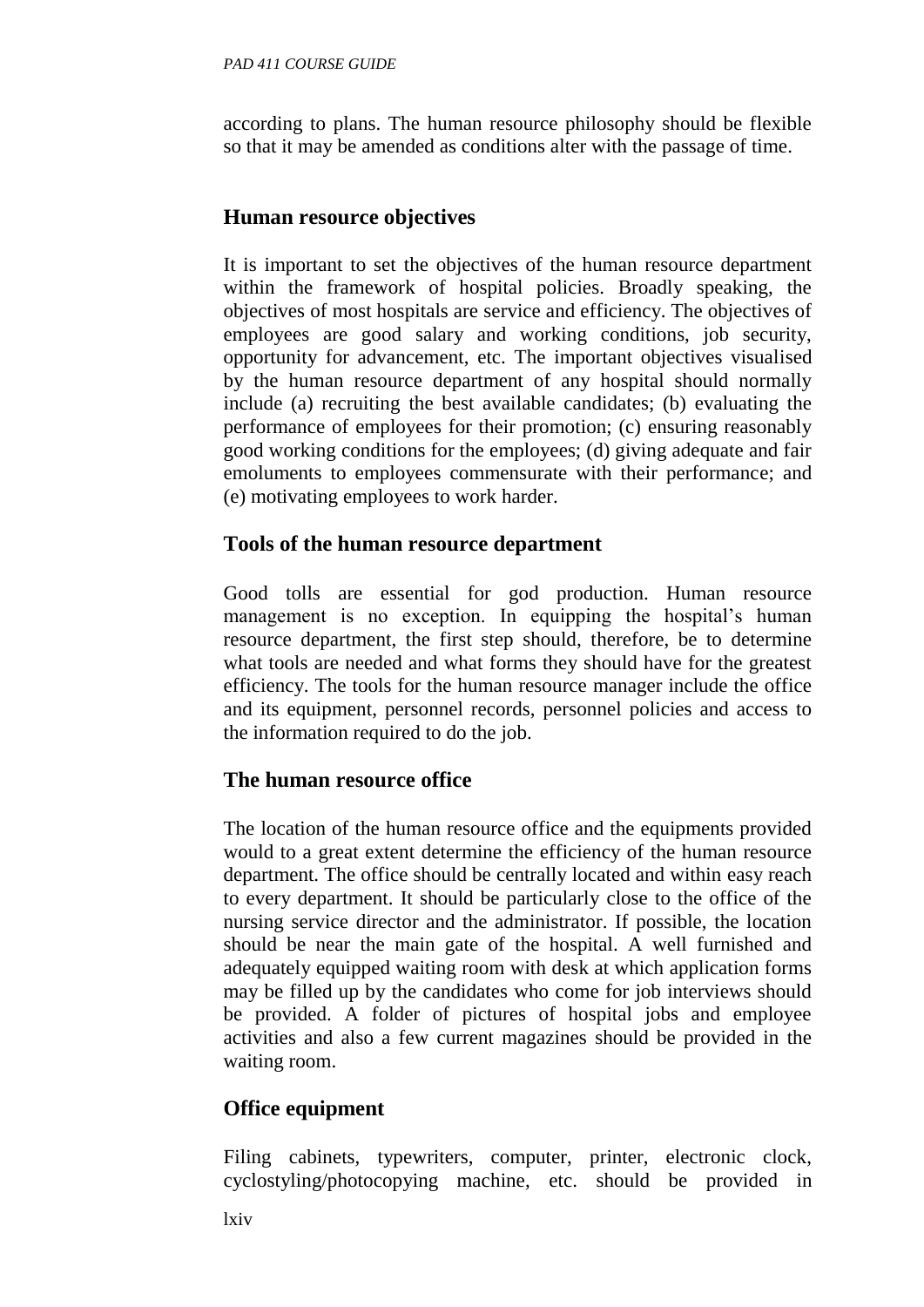according to plans. The human resource philosophy should be flexible so that it may be amended as conditions alter with the passage of time.

## **Human resource objectives**

It is important to set the objectives of the human resource department within the framework of hospital policies. Broadly speaking, the objectives of most hospitals are service and efficiency. The objectives of employees are good salary and working conditions, job security, opportunity for advancement, etc. The important objectives visualised by the human resource department of any hospital should normally include (a) recruiting the best available candidates; (b) evaluating the performance of employees for their promotion; (c) ensuring reasonably good working conditions for the employees; (d) giving adequate and fair emoluments to employees commensurate with their performance; and (e) motivating employees to work harder.

#### **Tools of the human resource department**

Good tolls are essential for god production. Human resource management is no exception. In equipping the hospital's human resource department, the first step should, therefore, be to determine what tools are needed and what forms they should have for the greatest efficiency. The tools for the human resource manager include the office and its equipment, personnel records, personnel policies and access to the information required to do the job.

## **The human resource office**

The location of the human resource office and the equipments provided would to a great extent determine the efficiency of the human resource department. The office should be centrally located and within easy reach to every department. It should be particularly close to the office of the nursing service director and the administrator. If possible, the location should be near the main gate of the hospital. A well furnished and adequately equipped waiting room with desk at which application forms may be filled up by the candidates who come for job interviews should be provided. A folder of pictures of hospital jobs and employee activities and also a few current magazines should be provided in the waiting room.

## **Office equipment**

Filing cabinets, typewriters, computer, printer, electronic clock, cyclostyling/photocopying machine, etc. should be provided in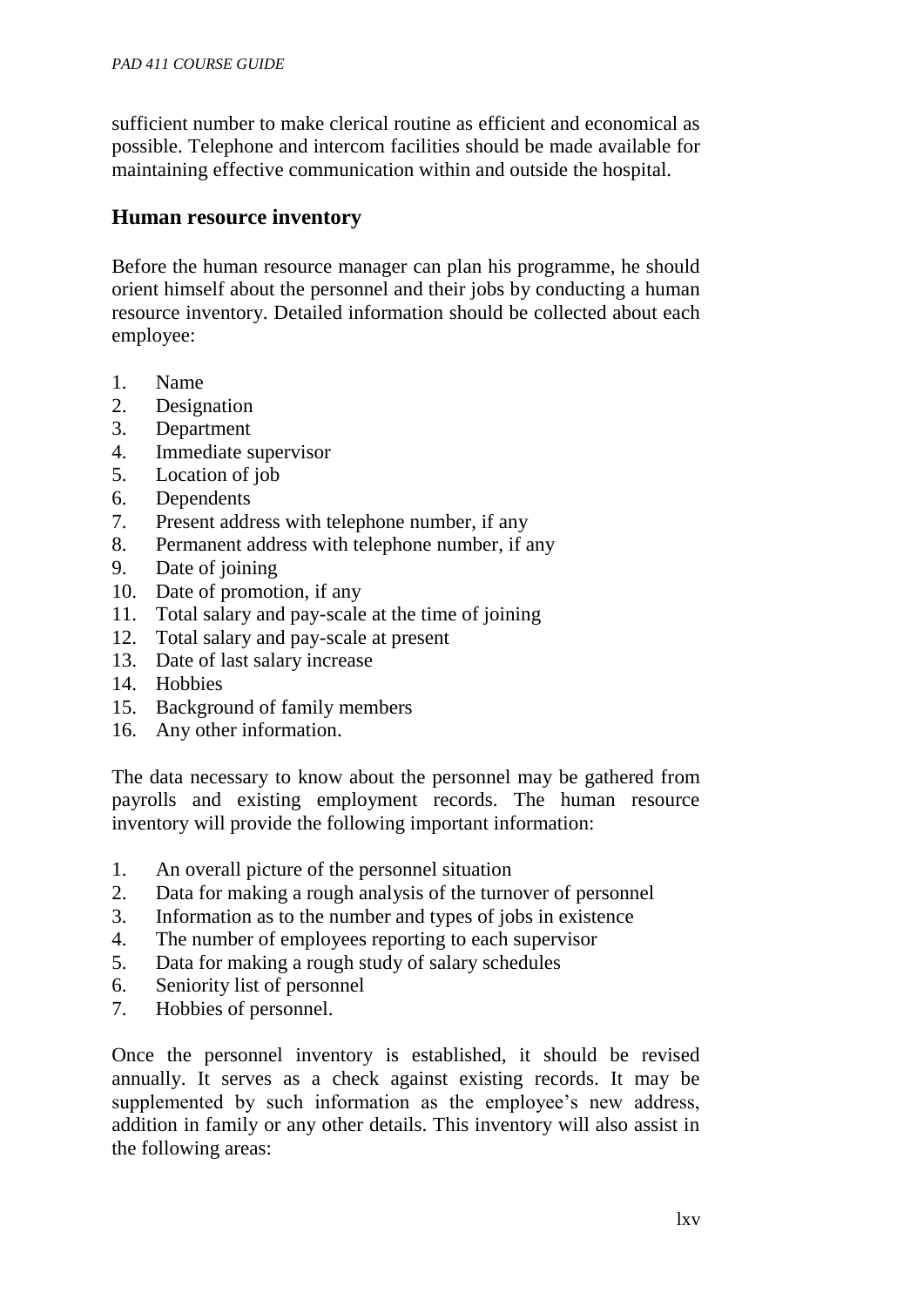sufficient number to make clerical routine as efficient and economical as possible. Telephone and intercom facilities should be made available for maintaining effective communication within and outside the hospital.

## **Human resource inventory**

Before the human resource manager can plan his programme, he should orient himself about the personnel and their jobs by conducting a human resource inventory. Detailed information should be collected about each employee:

- 1. Name
- 2. Designation
- 3. Department
- 4. Immediate supervisor
- 5. Location of job
- 6. Dependents
- 7. Present address with telephone number, if any
- 8. Permanent address with telephone number, if any
- 9. Date of joining
- 10. Date of promotion, if any
- 11. Total salary and pay-scale at the time of joining
- 12. Total salary and pay-scale at present
- 13. Date of last salary increase
- 14. Hobbies
- 15. Background of family members
- 16. Any other information.

The data necessary to know about the personnel may be gathered from payrolls and existing employment records. The human resource inventory will provide the following important information:

- 1. An overall picture of the personnel situation
- 2. Data for making a rough analysis of the turnover of personnel
- 3. Information as to the number and types of jobs in existence
- 4. The number of employees reporting to each supervisor
- 5. Data for making a rough study of salary schedules
- 6. Seniority list of personnel
- 7. Hobbies of personnel.

Once the personnel inventory is established, it should be revised annually. It serves as a check against existing records. It may be supplemented by such information as the employee's new address, addition in family or any other details. This inventory will also assist in the following areas: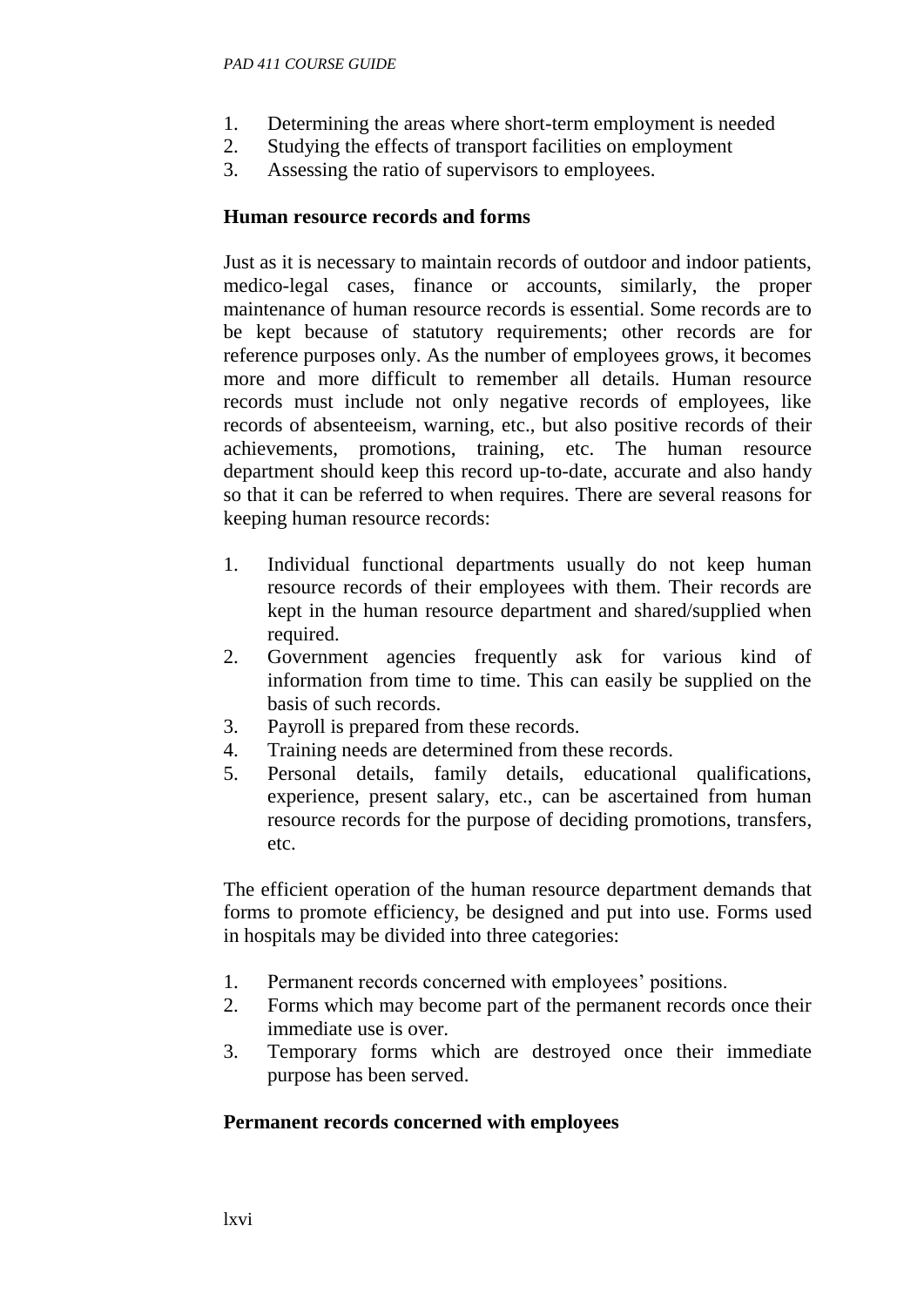- 1. Determining the areas where short-term employment is needed
- 2. Studying the effects of transport facilities on employment
- 3. Assessing the ratio of supervisors to employees.

#### **Human resource records and forms**

Just as it is necessary to maintain records of outdoor and indoor patients, medico-legal cases, finance or accounts, similarly, the proper maintenance of human resource records is essential. Some records are to be kept because of statutory requirements; other records are for reference purposes only. As the number of employees grows, it becomes more and more difficult to remember all details. Human resource records must include not only negative records of employees, like records of absenteeism, warning, etc., but also positive records of their achievements, promotions, training, etc. The human resource department should keep this record up-to-date, accurate and also handy so that it can be referred to when requires. There are several reasons for keeping human resource records:

- 1. Individual functional departments usually do not keep human resource records of their employees with them. Their records are kept in the human resource department and shared/supplied when required.
- 2. Government agencies frequently ask for various kind of information from time to time. This can easily be supplied on the basis of such records.
- 3. Payroll is prepared from these records.
- 4. Training needs are determined from these records.
- 5. Personal details, family details, educational qualifications, experience, present salary, etc., can be ascertained from human resource records for the purpose of deciding promotions, transfers, etc.

The efficient operation of the human resource department demands that forms to promote efficiency, be designed and put into use. Forms used in hospitals may be divided into three categories:

- 1. Permanent records concerned with employees' positions.
- 2. Forms which may become part of the permanent records once their immediate use is over.
- 3. Temporary forms which are destroyed once their immediate purpose has been served.

#### **Permanent records concerned with employees**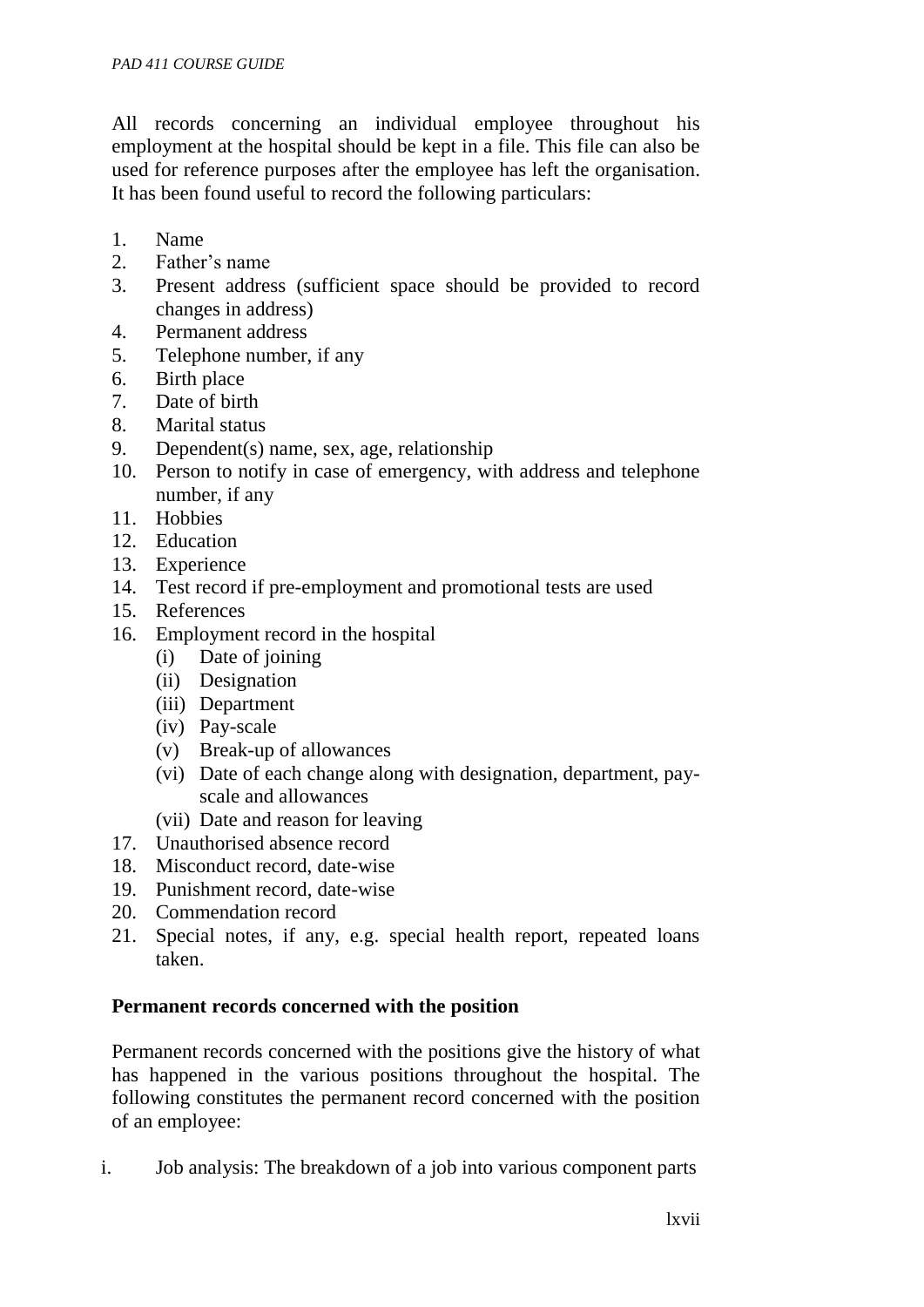All records concerning an individual employee throughout his employment at the hospital should be kept in a file. This file can also be used for reference purposes after the employee has left the organisation. It has been found useful to record the following particulars:

- 1. Name
- 2. Father"s name
- 3. Present address (sufficient space should be provided to record changes in address)
- 4. Permanent address
- 5. Telephone number, if any
- 6. Birth place
- 7. Date of birth
- 8. Marital status
- 9. Dependent(s) name, sex, age, relationship
- 10. Person to notify in case of emergency, with address and telephone number, if any
- 11. Hobbies
- 12. Education
- 13. Experience
- 14. Test record if pre-employment and promotional tests are used
- 15. References
- 16. Employment record in the hospital
	- (i) Date of joining
	- (ii) Designation
	- (iii) Department
	- (iv) Pay-scale
	- (v) Break-up of allowances
	- (vi) Date of each change along with designation, department, payscale and allowances
	- (vii) Date and reason for leaving
- 17. Unauthorised absence record
- 18. Misconduct record, date-wise
- 19. Punishment record, date-wise
- 20. Commendation record
- 21. Special notes, if any, e.g. special health report, repeated loans taken.

#### **Permanent records concerned with the position**

Permanent records concerned with the positions give the history of what has happened in the various positions throughout the hospital. The following constitutes the permanent record concerned with the position of an employee:

i. Job analysis: The breakdown of a job into various component parts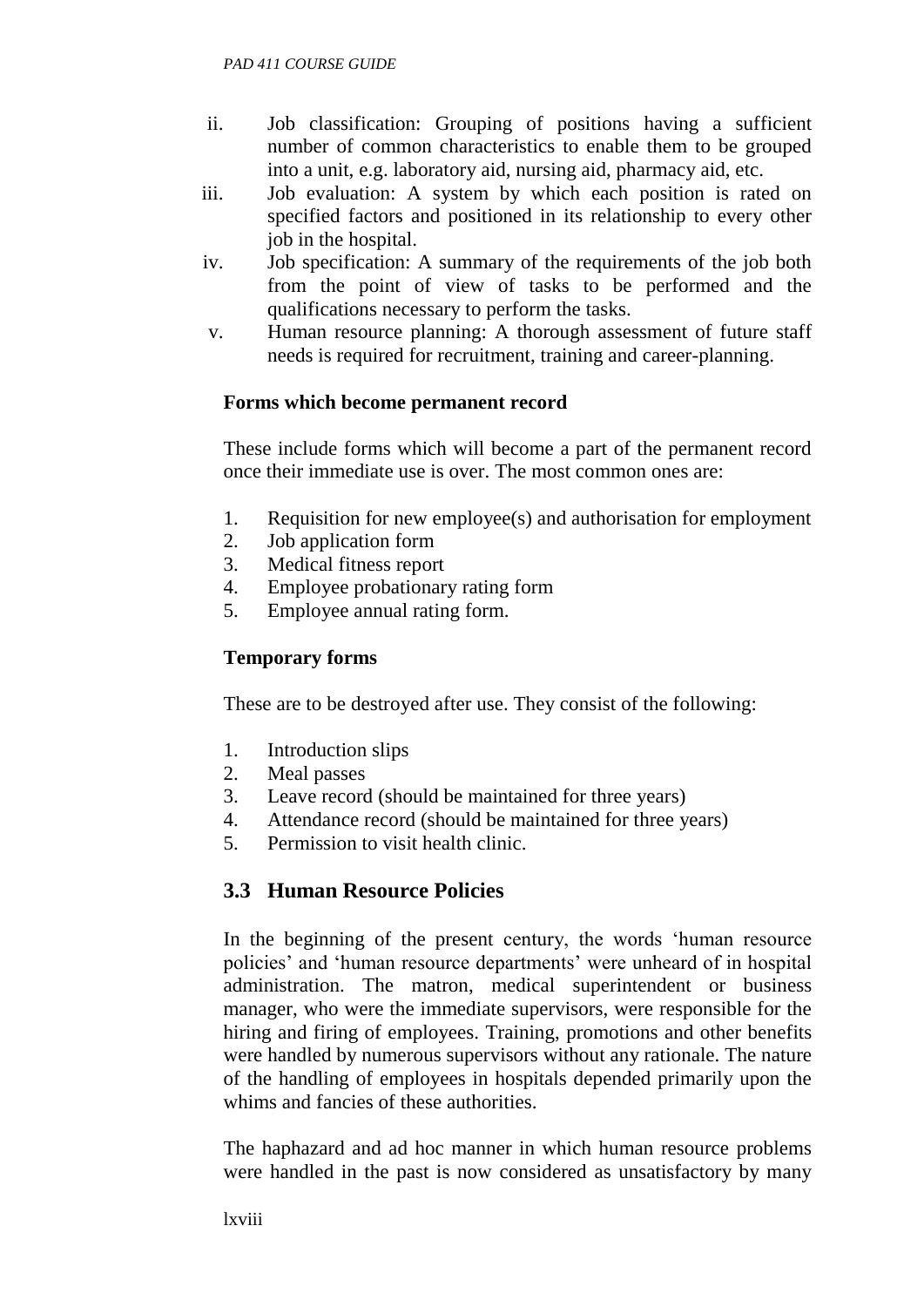- ii. Job classification: Grouping of positions having a sufficient number of common characteristics to enable them to be grouped into a unit, e.g. laboratory aid, nursing aid, pharmacy aid, etc.
- iii. Job evaluation: A system by which each position is rated on specified factors and positioned in its relationship to every other job in the hospital.
- iv. Job specification: A summary of the requirements of the job both from the point of view of tasks to be performed and the qualifications necessary to perform the tasks.
- v. Human resource planning: A thorough assessment of future staff needs is required for recruitment, training and career-planning.

#### **Forms which become permanent record**

These include forms which will become a part of the permanent record once their immediate use is over. The most common ones are:

- 1. Requisition for new employee(s) and authorisation for employment
- 2. Job application form
- 3. Medical fitness report
- 4. Employee probationary rating form
- 5. Employee annual rating form.

### **Temporary forms**

These are to be destroyed after use. They consist of the following:

- 1. Introduction slips
- 2. Meal passes
- 3. Leave record (should be maintained for three years)
- 4. Attendance record (should be maintained for three years)
- 5. Permission to visit health clinic.

## **3.3 Human Resource Policies**

In the beginning of the present century, the words "human resource policies' and 'human resource departments' were unheard of in hospital administration. The matron, medical superintendent or business manager, who were the immediate supervisors, were responsible for the hiring and firing of employees. Training, promotions and other benefits were handled by numerous supervisors without any rationale. The nature of the handling of employees in hospitals depended primarily upon the whims and fancies of these authorities.

The haphazard and ad hoc manner in which human resource problems were handled in the past is now considered as unsatisfactory by many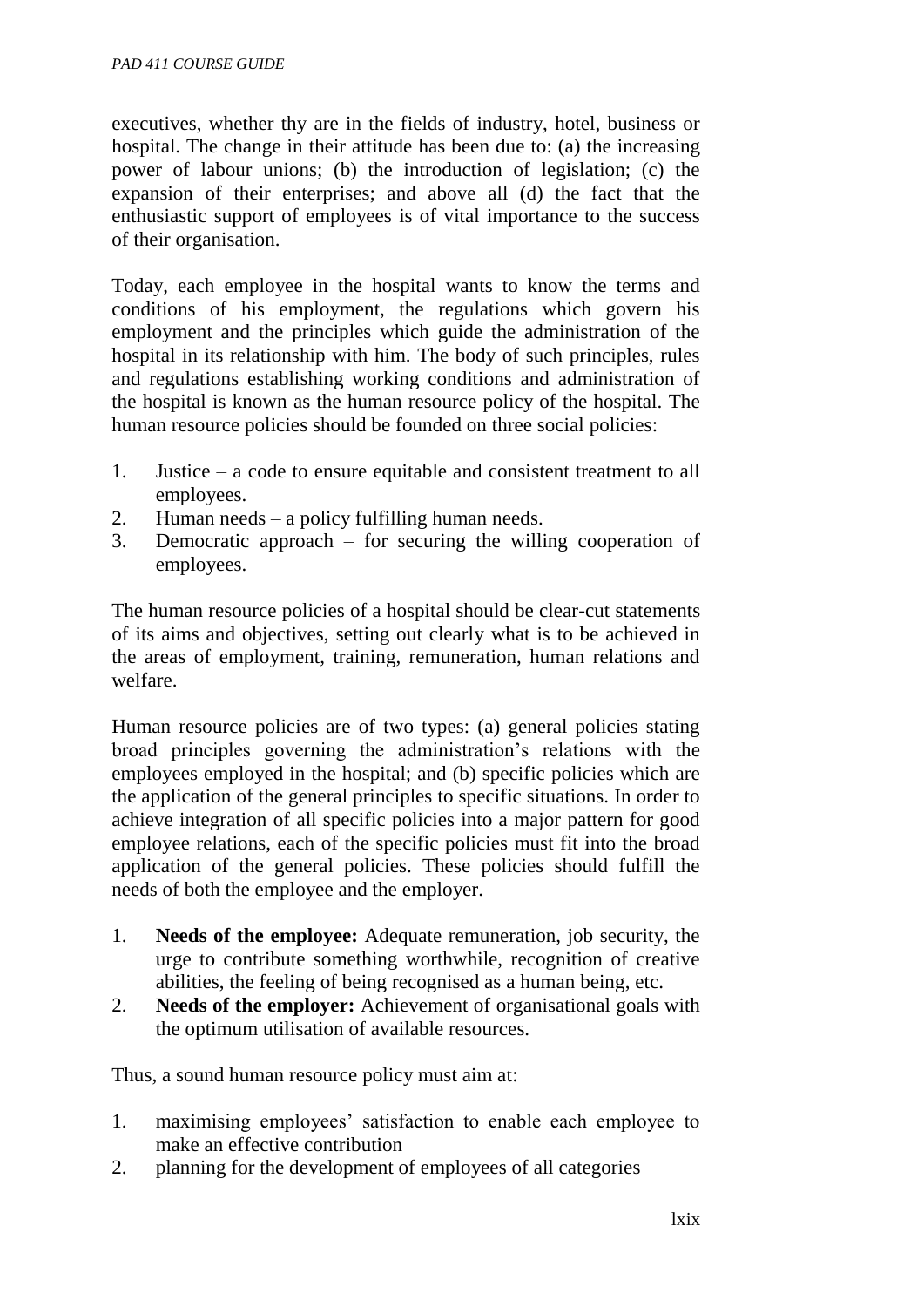executives, whether thy are in the fields of industry, hotel, business or hospital. The change in their attitude has been due to: (a) the increasing power of labour unions; (b) the introduction of legislation; (c) the expansion of their enterprises; and above all (d) the fact that the enthusiastic support of employees is of vital importance to the success of their organisation.

Today, each employee in the hospital wants to know the terms and conditions of his employment, the regulations which govern his employment and the principles which guide the administration of the hospital in its relationship with him. The body of such principles, rules and regulations establishing working conditions and administration of the hospital is known as the human resource policy of the hospital. The human resource policies should be founded on three social policies:

- 1. Justice a code to ensure equitable and consistent treatment to all employees.
- 2. Human needs a policy fulfilling human needs.
- 3. Democratic approach for securing the willing cooperation of employees.

The human resource policies of a hospital should be clear-cut statements of its aims and objectives, setting out clearly what is to be achieved in the areas of employment, training, remuneration, human relations and welfare.

Human resource policies are of two types: (a) general policies stating broad principles governing the administration"s relations with the employees employed in the hospital; and (b) specific policies which are the application of the general principles to specific situations. In order to achieve integration of all specific policies into a major pattern for good employee relations, each of the specific policies must fit into the broad application of the general policies. These policies should fulfill the needs of both the employee and the employer.

- 1. **Needs of the employee:** Adequate remuneration, job security, the urge to contribute something worthwhile, recognition of creative abilities, the feeling of being recognised as a human being, etc.
- 2. **Needs of the employer:** Achievement of organisational goals with the optimum utilisation of available resources.

Thus, a sound human resource policy must aim at:

- 1. maximising employees" satisfaction to enable each employee to make an effective contribution
- 2. planning for the development of employees of all categories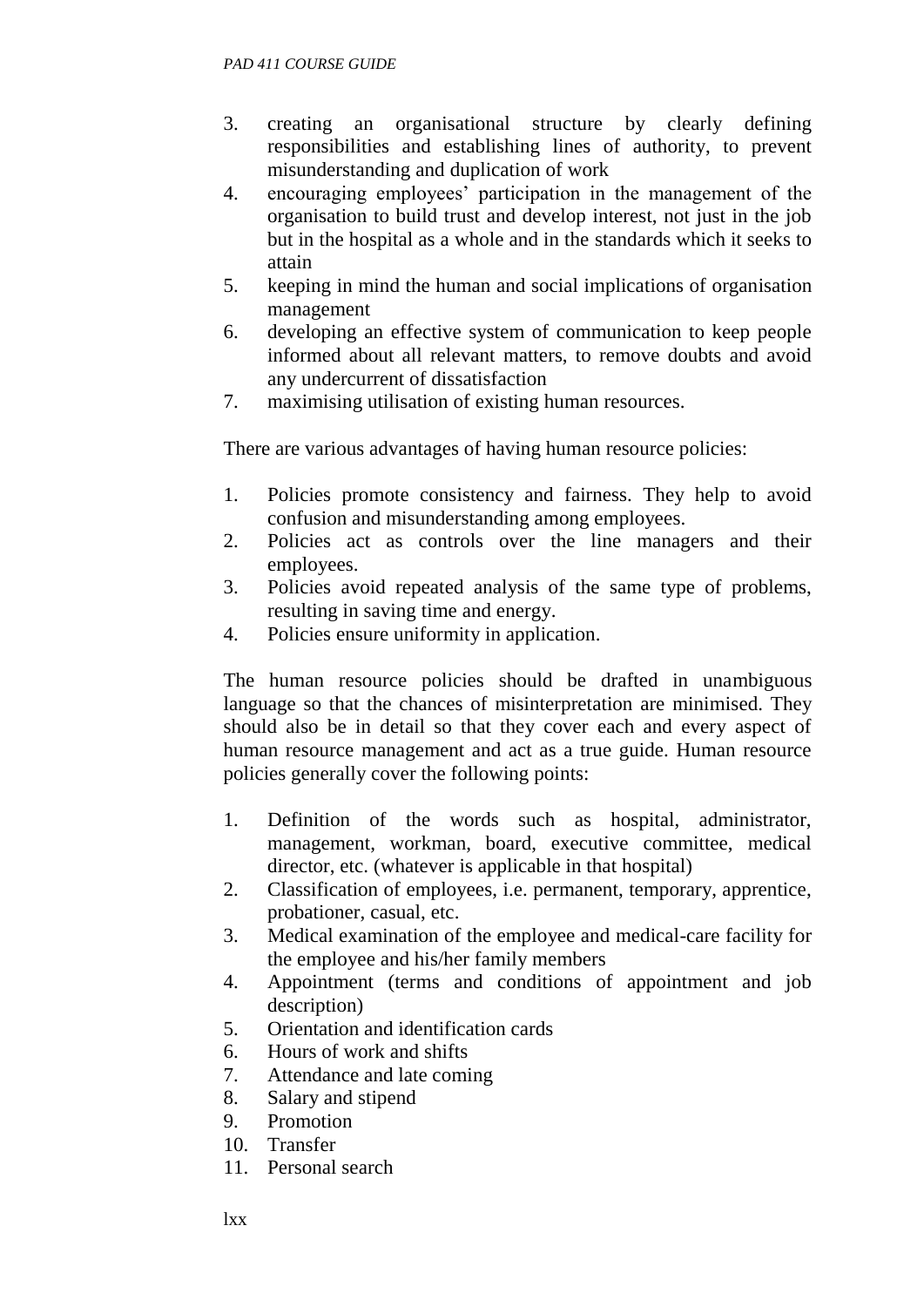- 3. creating an organisational structure by clearly defining responsibilities and establishing lines of authority, to prevent misunderstanding and duplication of work
- 4. encouraging employees" participation in the management of the organisation to build trust and develop interest, not just in the job but in the hospital as a whole and in the standards which it seeks to attain
- 5. keeping in mind the human and social implications of organisation management
- 6. developing an effective system of communication to keep people informed about all relevant matters, to remove doubts and avoid any undercurrent of dissatisfaction
- 7. maximising utilisation of existing human resources.

There are various advantages of having human resource policies:

- 1. Policies promote consistency and fairness. They help to avoid confusion and misunderstanding among employees.
- 2. Policies act as controls over the line managers and their employees.
- 3. Policies avoid repeated analysis of the same type of problems, resulting in saving time and energy.
- 4. Policies ensure uniformity in application.

The human resource policies should be drafted in unambiguous language so that the chances of misinterpretation are minimised. They should also be in detail so that they cover each and every aspect of human resource management and act as a true guide. Human resource policies generally cover the following points:

- 1. Definition of the words such as hospital, administrator, management, workman, board, executive committee, medical director, etc. (whatever is applicable in that hospital)
- 2. Classification of employees, i.e. permanent, temporary, apprentice, probationer, casual, etc.
- 3. Medical examination of the employee and medical-care facility for the employee and his/her family members
- 4. Appointment (terms and conditions of appointment and job description)
- 5. Orientation and identification cards
- 6. Hours of work and shifts
- 7. Attendance and late coming
- 8. Salary and stipend
- 9. Promotion
- 10. Transfer
- 11. Personal search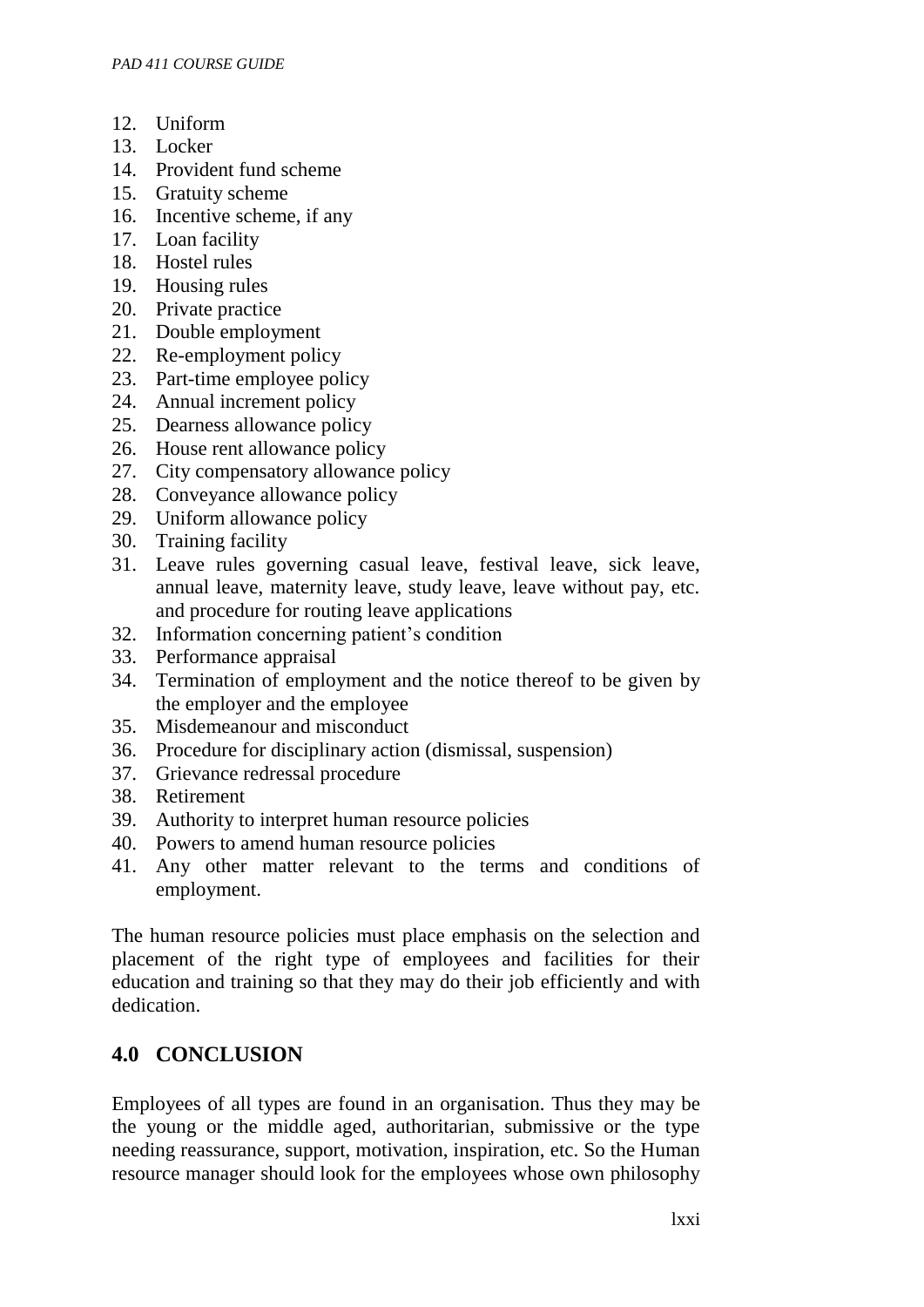- 12. Uniform
- 13. Locker
- 14. Provident fund scheme
- 15. Gratuity scheme
- 16. Incentive scheme, if any
- 17. Loan facility
- 18. Hostel rules
- 19. Housing rules
- 20. Private practice
- 21. Double employment
- 22. Re-employment policy
- 23. Part-time employee policy
- 24. Annual increment policy
- 25. Dearness allowance policy
- 26. House rent allowance policy
- 27. City compensatory allowance policy
- 28. Conveyance allowance policy
- 29. Uniform allowance policy
- 30. Training facility
- 31. Leave rules governing casual leave, festival leave, sick leave, annual leave, maternity leave, study leave, leave without pay, etc. and procedure for routing leave applications
- 32. Information concerning patient"s condition
- 33. Performance appraisal
- 34. Termination of employment and the notice thereof to be given by the employer and the employee
- 35. Misdemeanour and misconduct
- 36. Procedure for disciplinary action (dismissal, suspension)
- 37. Grievance redressal procedure
- 38. Retirement
- 39. Authority to interpret human resource policies
- 40. Powers to amend human resource policies
- 41. Any other matter relevant to the terms and conditions of employment.

The human resource policies must place emphasis on the selection and placement of the right type of employees and facilities for their education and training so that they may do their job efficiently and with dedication.

# **4.0 CONCLUSION**

Employees of all types are found in an organisation. Thus they may be the young or the middle aged, authoritarian, submissive or the type needing reassurance, support, motivation, inspiration, etc. So the Human resource manager should look for the employees whose own philosophy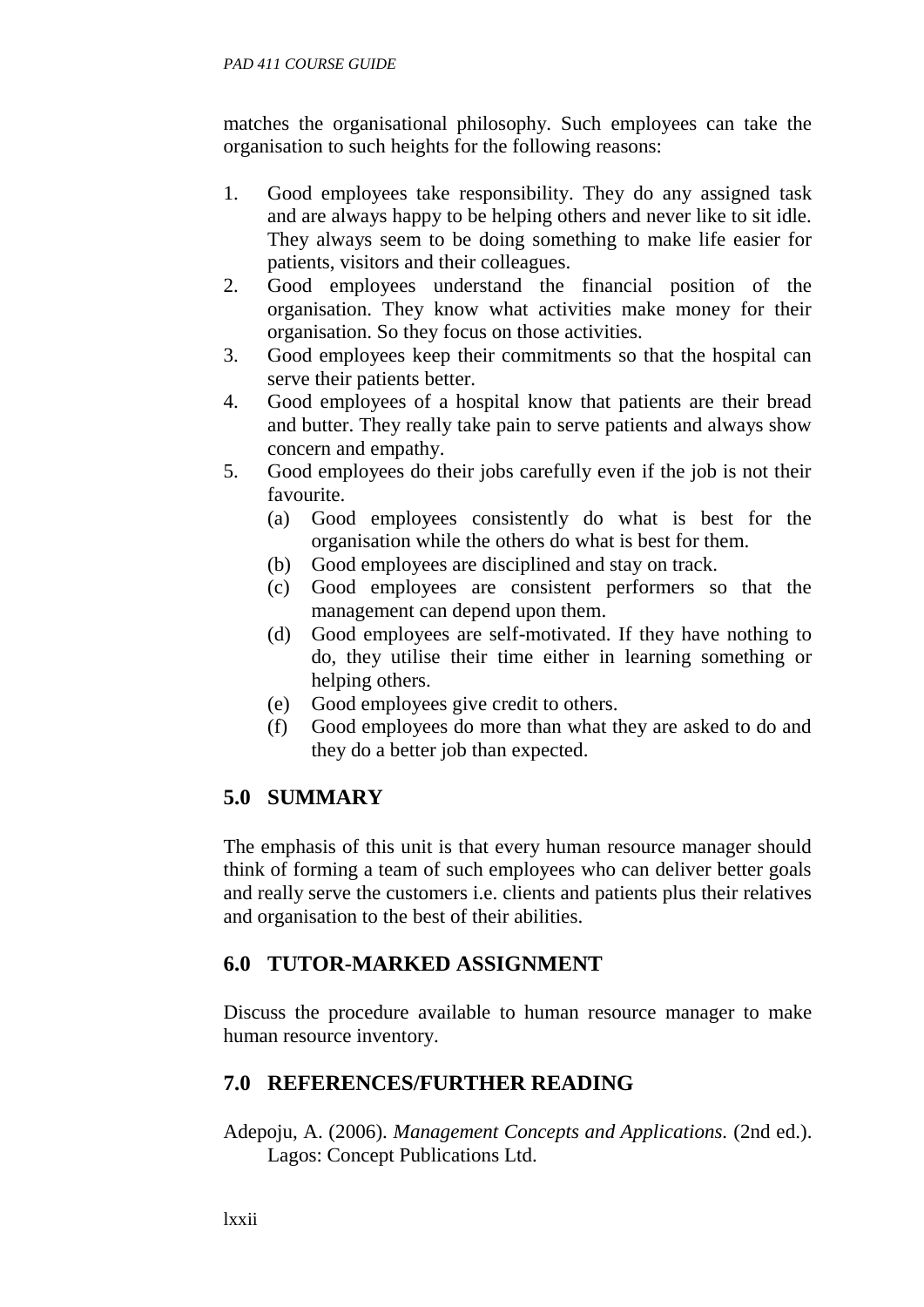matches the organisational philosophy. Such employees can take the organisation to such heights for the following reasons:

- 1. Good employees take responsibility. They do any assigned task and are always happy to be helping others and never like to sit idle. They always seem to be doing something to make life easier for patients, visitors and their colleagues.
- 2. Good employees understand the financial position of the organisation. They know what activities make money for their organisation. So they focus on those activities.
- 3. Good employees keep their commitments so that the hospital can serve their patients better.
- 4. Good employees of a hospital know that patients are their bread and butter. They really take pain to serve patients and always show concern and empathy.
- 5. Good employees do their jobs carefully even if the job is not their favourite.
	- (a) Good employees consistently do what is best for the organisation while the others do what is best for them.
	- (b) Good employees are disciplined and stay on track.
	- (c) Good employees are consistent performers so that the management can depend upon them.
	- (d) Good employees are self-motivated. If they have nothing to do, they utilise their time either in learning something or helping others.
	- (e) Good employees give credit to others.
	- (f) Good employees do more than what they are asked to do and they do a better job than expected.

# **5.0 SUMMARY**

The emphasis of this unit is that every human resource manager should think of forming a team of such employees who can deliver better goals and really serve the customers i.e. clients and patients plus their relatives and organisation to the best of their abilities.

# **6.0 TUTOR-MARKED ASSIGNMENT**

Discuss the procedure available to human resource manager to make human resource inventory.

## **7.0 REFERENCES/FURTHER READING**

Adepoju, A. (2006). *Management Concepts and Applications.* (2nd ed.). Lagos: Concept Publications Ltd.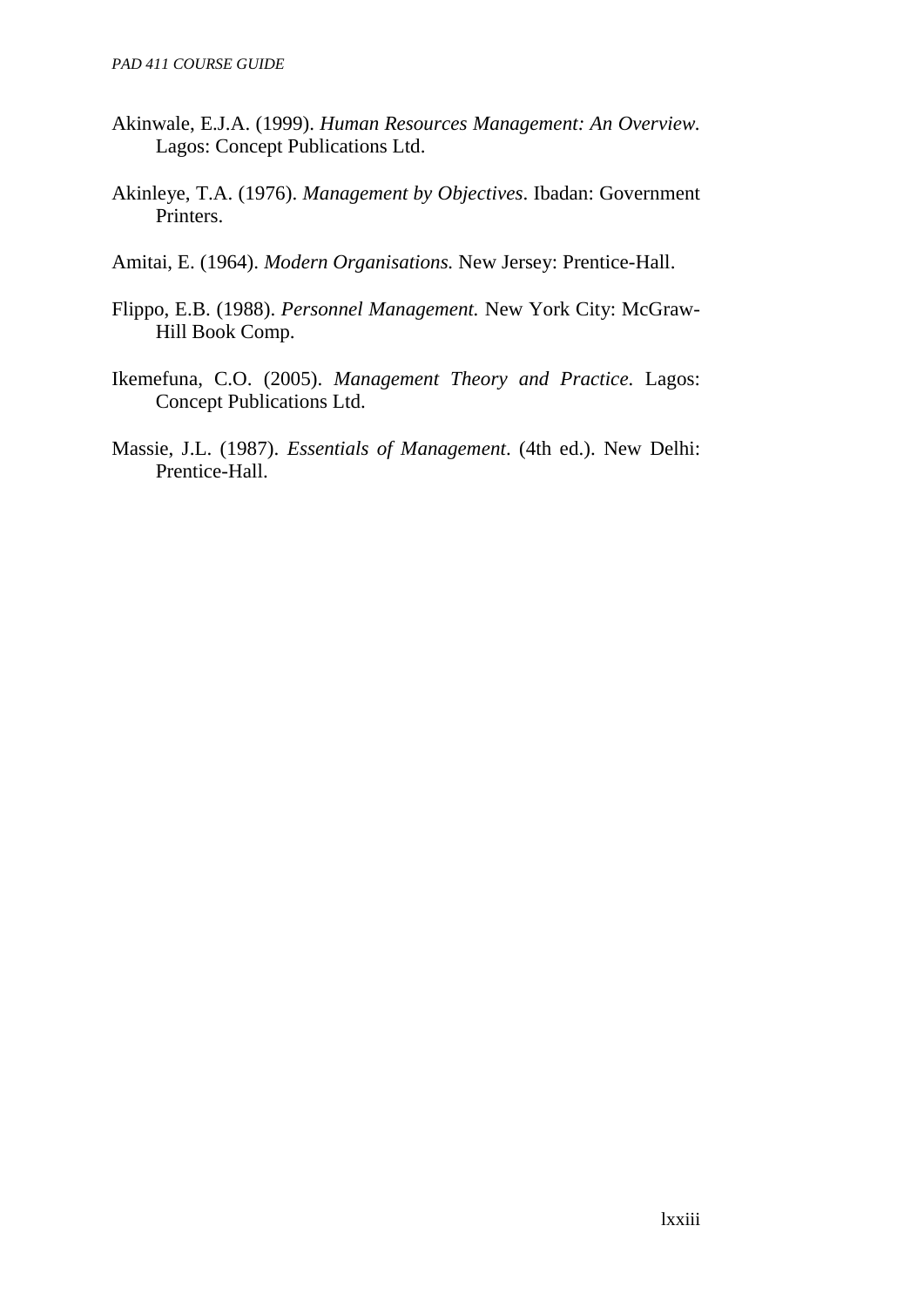- Akinwale, E.J.A. (1999). *Human Resources Management: An Overview.* Lagos: Concept Publications Ltd.
- Akinleye, T.A. (1976). *Management by Objectives*. Ibadan: Government Printers.
- Amitai, E. (1964). *Modern Organisations.* New Jersey: Prentice-Hall.
- Flippo, E.B. (1988). *Personnel Management.* New York City: McGraw-Hill Book Comp.
- Ikemefuna, C.O. (2005). *Management Theory and Practice.* Lagos: Concept Publications Ltd.
- Massie, J.L. (1987). *Essentials of Management*. (4th ed.). New Delhi: Prentice-Hall.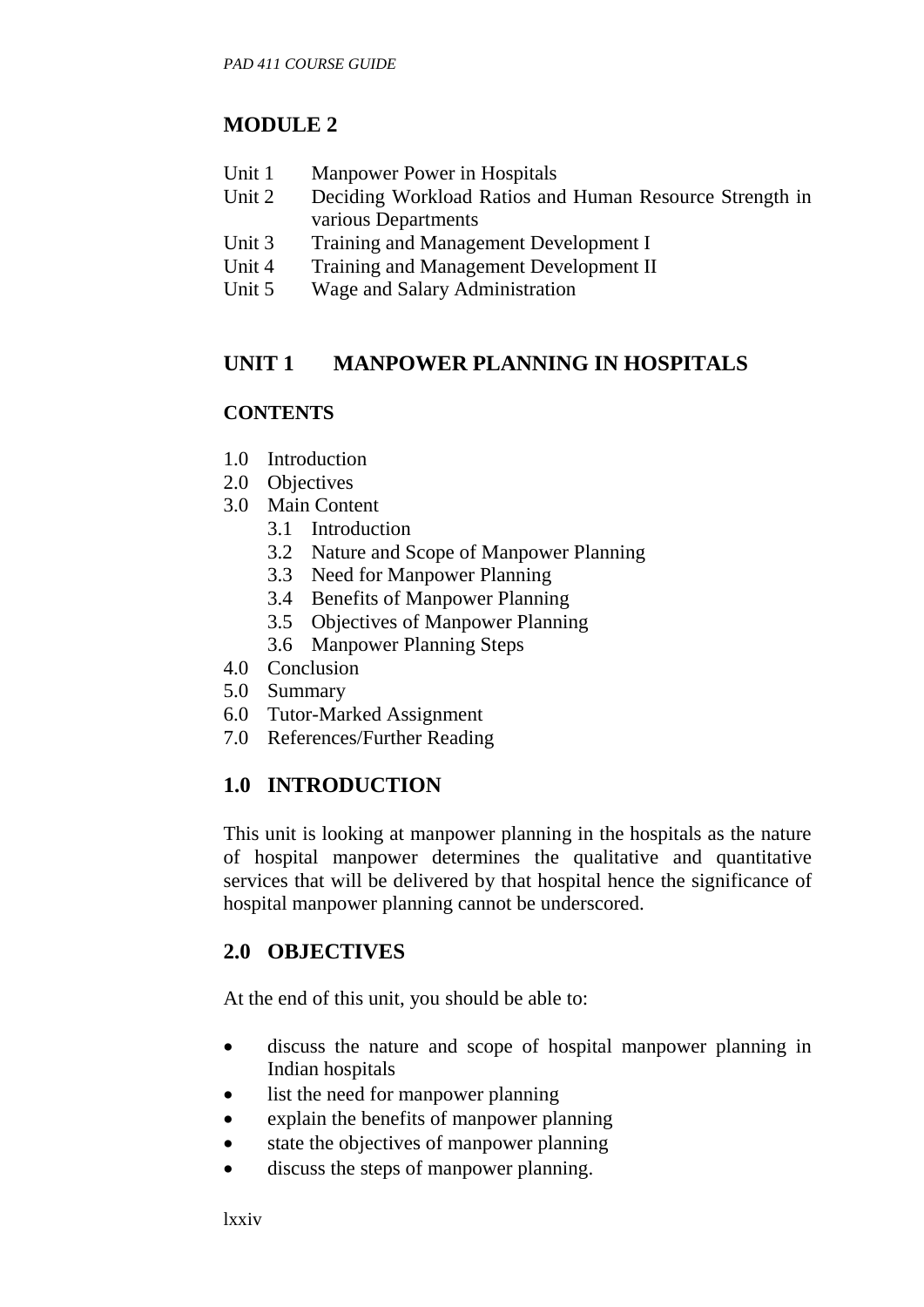# **MODULE 2**

- Unit 1 Manpower Power in Hospitals
- Unit 2 Deciding Workload Ratios and Human Resource Strength in various Departments
- Unit 3 Training and Management Development I
- Unit 4 Training and Management Development II
- Unit 5 Wage and Salary Administration

# **UNIT 1 MANPOWER PLANNING IN HOSPITALS**

### **CONTENTS**

- 1.0 Introduction
- 2.0 Objectives
- 3.0 Main Content
	- 3.1 Introduction
	- 3.2 Nature and Scope of Manpower Planning
	- 3.3 Need for Manpower Planning
	- 3.4 Benefits of Manpower Planning
	- 3.5 Objectives of Manpower Planning
	- 3.6 Manpower Planning Steps
- 4.0 Conclusion
- 5.0 Summary
- 6.0 Tutor-Marked Assignment
- 7.0 References/Further Reading

# **1.0 INTRODUCTION**

This unit is looking at manpower planning in the hospitals as the nature of hospital manpower determines the qualitative and quantitative services that will be delivered by that hospital hence the significance of hospital manpower planning cannot be underscored.

# **2.0 OBJECTIVES**

At the end of this unit, you should be able to:

- discuss the nature and scope of hospital manpower planning in Indian hospitals
- list the need for manpower planning
- explain the benefits of manpower planning
- state the objectives of manpower planning
- discuss the steps of manpower planning.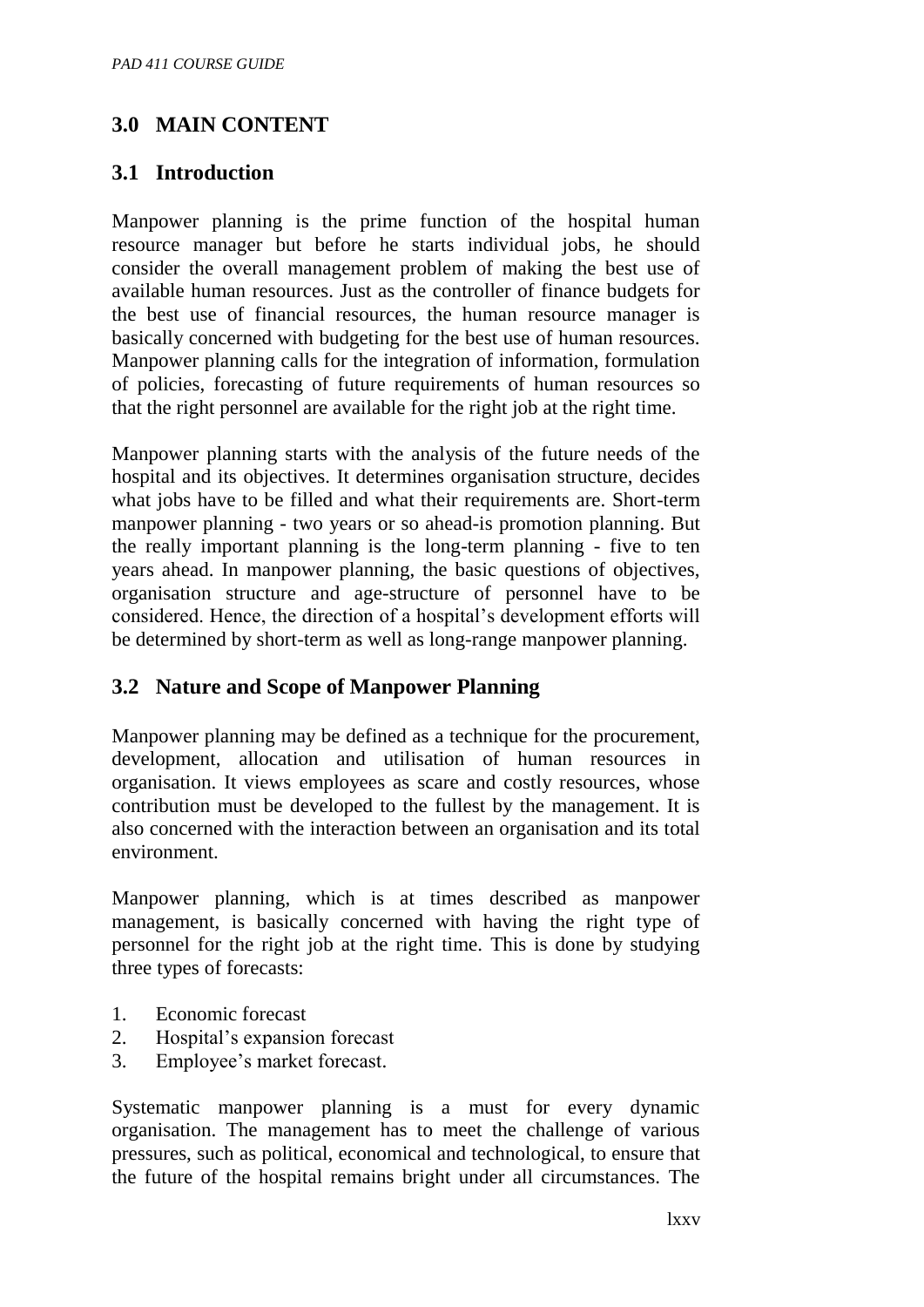## **3.0 MAIN CONTENT**

### **3.1 Introduction**

Manpower planning is the prime function of the hospital human resource manager but before he starts individual jobs, he should consider the overall management problem of making the best use of available human resources. Just as the controller of finance budgets for the best use of financial resources, the human resource manager is basically concerned with budgeting for the best use of human resources. Manpower planning calls for the integration of information, formulation of policies, forecasting of future requirements of human resources so that the right personnel are available for the right job at the right time.

Manpower planning starts with the analysis of the future needs of the hospital and its objectives. It determines organisation structure, decides what jobs have to be filled and what their requirements are. Short-term manpower planning - two years or so ahead-is promotion planning. But the really important planning is the long-term planning - five to ten years ahead. In manpower planning, the basic questions of objectives, organisation structure and age-structure of personnel have to be considered. Hence, the direction of a hospital"s development efforts will be determined by short-term as well as long-range manpower planning.

### **3.2 Nature and Scope of Manpower Planning**

Manpower planning may be defined as a technique for the procurement, development, allocation and utilisation of human resources in organisation. It views employees as scare and costly resources, whose contribution must be developed to the fullest by the management. It is also concerned with the interaction between an organisation and its total environment.

Manpower planning, which is at times described as manpower management, is basically concerned with having the right type of personnel for the right job at the right time. This is done by studying three types of forecasts:

- 1. Economic forecast
- 2. Hospital"s expansion forecast
- 3. Employee"s market forecast.

Systematic manpower planning is a must for every dynamic organisation. The management has to meet the challenge of various pressures, such as political, economical and technological, to ensure that the future of the hospital remains bright under all circumstances. The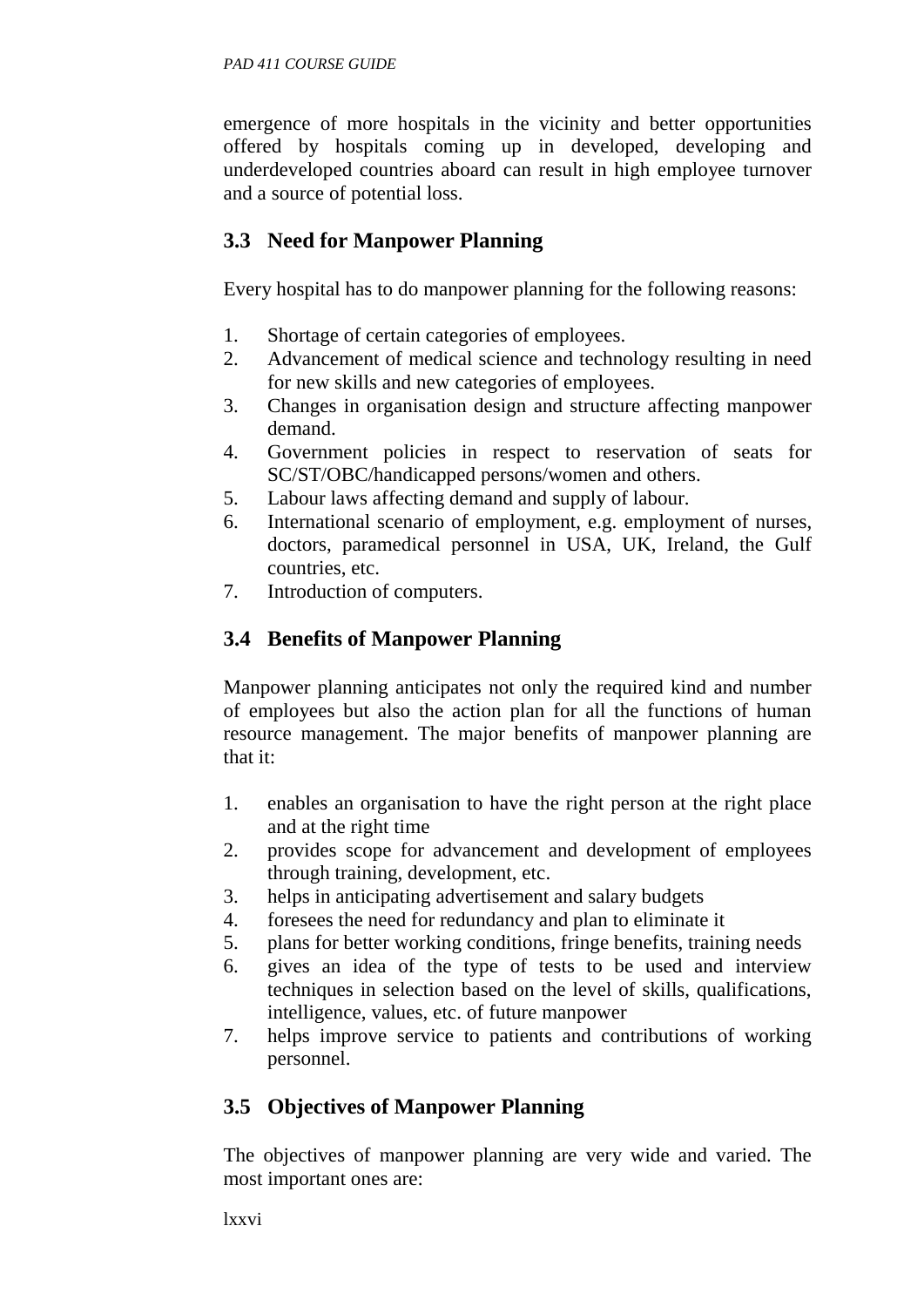emergence of more hospitals in the vicinity and better opportunities offered by hospitals coming up in developed, developing and underdeveloped countries aboard can result in high employee turnover and a source of potential loss.

# **3.3 Need for Manpower Planning**

Every hospital has to do manpower planning for the following reasons:

- 1. Shortage of certain categories of employees.
- 2. Advancement of medical science and technology resulting in need for new skills and new categories of employees.
- 3. Changes in organisation design and structure affecting manpower demand.
- 4. Government policies in respect to reservation of seats for SC/ST/OBC/handicapped persons/women and others.
- 5. Labour laws affecting demand and supply of labour.
- 6. International scenario of employment, e.g. employment of nurses, doctors, paramedical personnel in USA, UK, Ireland, the Gulf countries, etc.
- 7. Introduction of computers.

# **3.4 Benefits of Manpower Planning**

Manpower planning anticipates not only the required kind and number of employees but also the action plan for all the functions of human resource management. The major benefits of manpower planning are that it:

- 1. enables an organisation to have the right person at the right place and at the right time
- 2. provides scope for advancement and development of employees through training, development, etc.
- 3. helps in anticipating advertisement and salary budgets
- 4. foresees the need for redundancy and plan to eliminate it
- 5. plans for better working conditions, fringe benefits, training needs
- 6. gives an idea of the type of tests to be used and interview techniques in selection based on the level of skills, qualifications, intelligence, values, etc. of future manpower
- 7. helps improve service to patients and contributions of working personnel.

# **3.5 Objectives of Manpower Planning**

The objectives of manpower planning are very wide and varied. The most important ones are:

lxxvi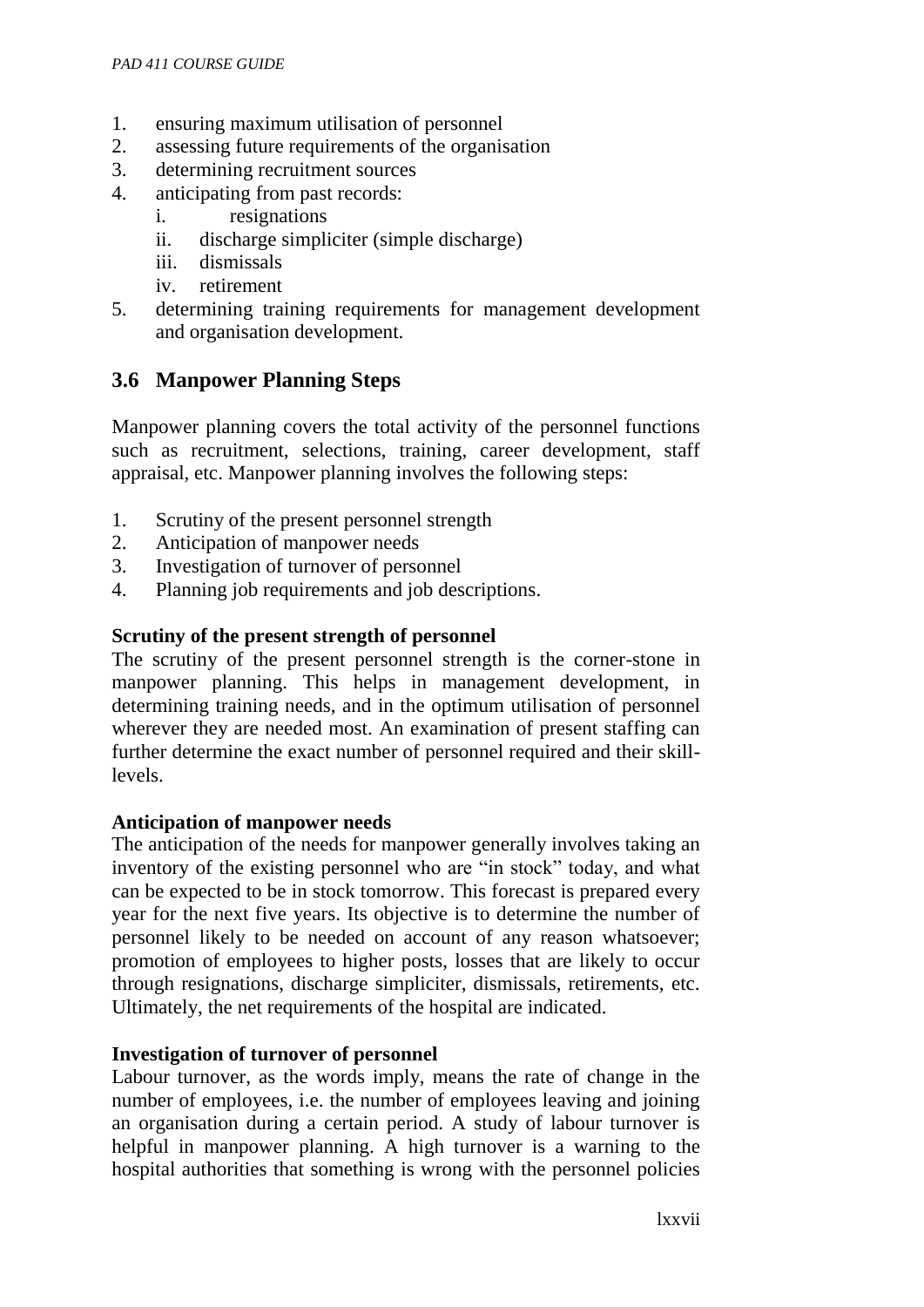- 1. ensuring maximum utilisation of personnel
- 2. assessing future requirements of the organisation
- 3. determining recruitment sources
- 4. anticipating from past records:
	- i. resignations
	- ii. discharge simpliciter (simple discharge)
	- iii. dismissals
	- iv. retirement
- 5. determining training requirements for management development and organisation development.

## **3.6 Manpower Planning Steps**

Manpower planning covers the total activity of the personnel functions such as recruitment, selections, training, career development, staff appraisal, etc. Manpower planning involves the following steps:

- 1. Scrutiny of the present personnel strength
- 2. Anticipation of manpower needs
- 3. Investigation of turnover of personnel
- 4. Planning job requirements and job descriptions.

### **Scrutiny of the present strength of personnel**

The scrutiny of the present personnel strength is the corner-stone in manpower planning. This helps in management development, in determining training needs, and in the optimum utilisation of personnel wherever they are needed most. An examination of present staffing can further determine the exact number of personnel required and their skilllevels.

#### **Anticipation of manpower needs**

The anticipation of the needs for manpower generally involves taking an inventory of the existing personnel who are "in stock" today, and what can be expected to be in stock tomorrow. This forecast is prepared every year for the next five years. Its objective is to determine the number of personnel likely to be needed on account of any reason whatsoever; promotion of employees to higher posts, losses that are likely to occur through resignations, discharge simpliciter, dismissals, retirements, etc. Ultimately, the net requirements of the hospital are indicated.

#### **Investigation of turnover of personnel**

Labour turnover, as the words imply, means the rate of change in the number of employees, i.e. the number of employees leaving and joining an organisation during a certain period. A study of labour turnover is helpful in manpower planning. A high turnover is a warning to the hospital authorities that something is wrong with the personnel policies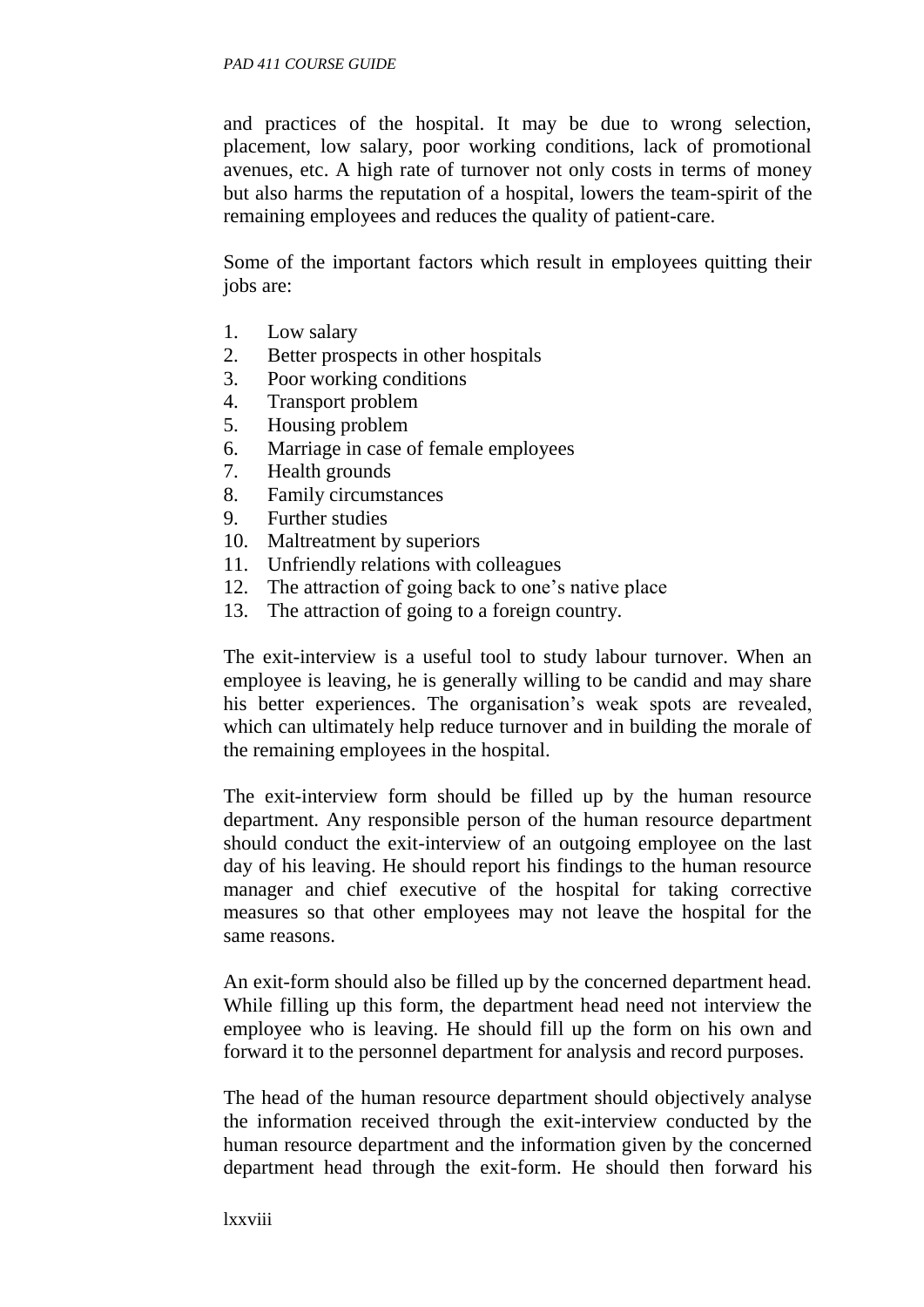and practices of the hospital. It may be due to wrong selection, placement, low salary, poor working conditions, lack of promotional avenues, etc. A high rate of turnover not only costs in terms of money but also harms the reputation of a hospital, lowers the team-spirit of the remaining employees and reduces the quality of patient-care.

Some of the important factors which result in employees quitting their jobs are:

- 1. Low salary
- 2. Better prospects in other hospitals
- 3. Poor working conditions
- 4. Transport problem
- 5. Housing problem
- 6. Marriage in case of female employees
- 7. Health grounds
- 8. Family circumstances
- 9. Further studies
- 10. Maltreatment by superiors
- 11. Unfriendly relations with colleagues
- 12. The attraction of going back to one"s native place
- 13. The attraction of going to a foreign country.

The exit-interview is a useful tool to study labour turnover. When an employee is leaving, he is generally willing to be candid and may share his better experiences. The organisation's weak spots are revealed, which can ultimately help reduce turnover and in building the morale of the remaining employees in the hospital.

The exit-interview form should be filled up by the human resource department. Any responsible person of the human resource department should conduct the exit-interview of an outgoing employee on the last day of his leaving. He should report his findings to the human resource manager and chief executive of the hospital for taking corrective measures so that other employees may not leave the hospital for the same reasons.

An exit-form should also be filled up by the concerned department head. While filling up this form, the department head need not interview the employee who is leaving. He should fill up the form on his own and forward it to the personnel department for analysis and record purposes.

The head of the human resource department should objectively analyse the information received through the exit-interview conducted by the human resource department and the information given by the concerned department head through the exit-form. He should then forward his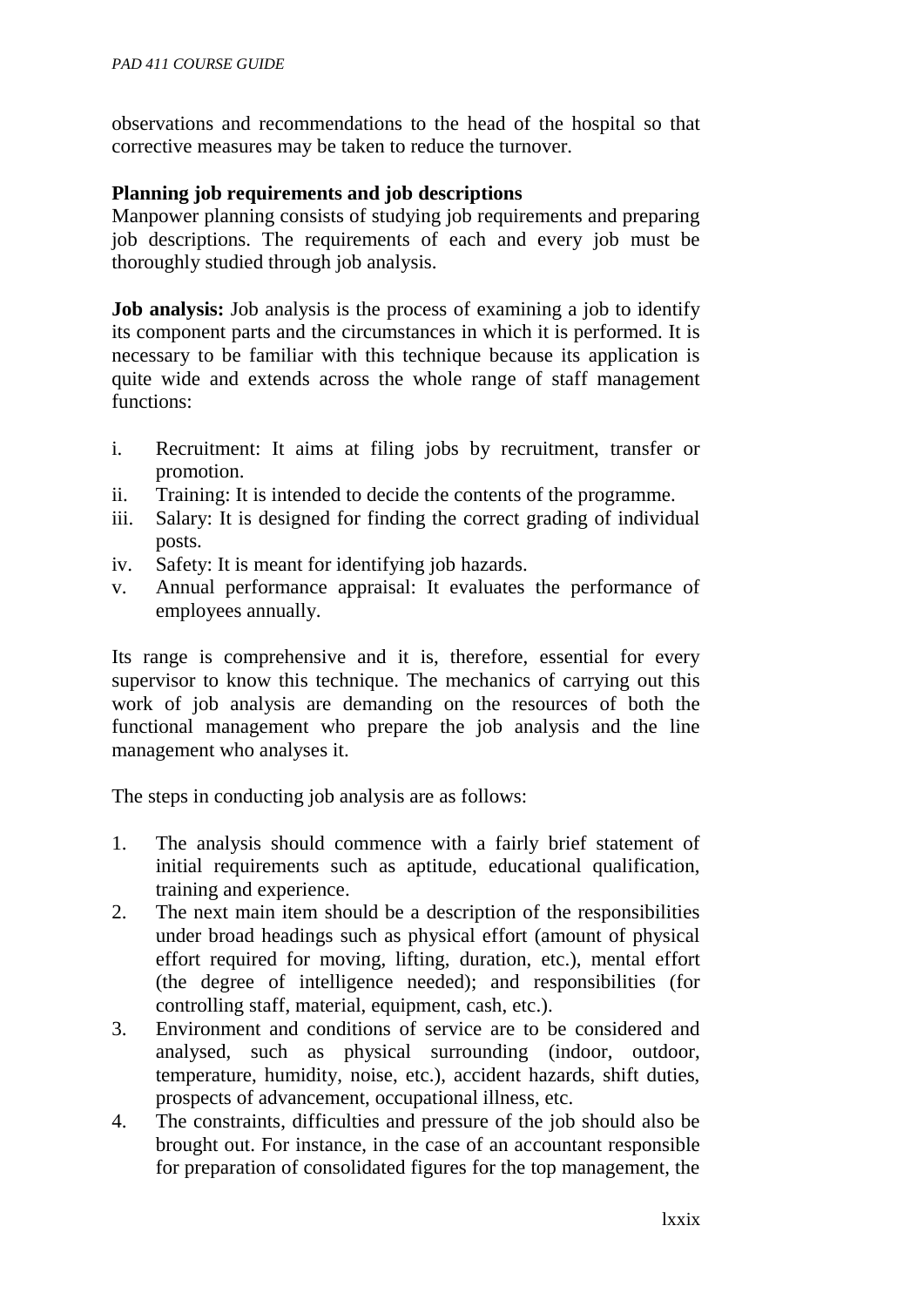observations and recommendations to the head of the hospital so that corrective measures may be taken to reduce the turnover.

#### **Planning job requirements and job descriptions**

Manpower planning consists of studying job requirements and preparing job descriptions. The requirements of each and every job must be thoroughly studied through job analysis.

**Job analysis:** Job analysis is the process of examining a job to identify its component parts and the circumstances in which it is performed. It is necessary to be familiar with this technique because its application is quite wide and extends across the whole range of staff management functions:

- i. Recruitment: It aims at filing jobs by recruitment, transfer or promotion.
- ii. Training: It is intended to decide the contents of the programme.
- iii. Salary: It is designed for finding the correct grading of individual posts.
- iv. Safety: It is meant for identifying job hazards.
- v. Annual performance appraisal: It evaluates the performance of employees annually.

Its range is comprehensive and it is, therefore, essential for every supervisor to know this technique. The mechanics of carrying out this work of job analysis are demanding on the resources of both the functional management who prepare the job analysis and the line management who analyses it.

The steps in conducting job analysis are as follows:

- 1. The analysis should commence with a fairly brief statement of initial requirements such as aptitude, educational qualification, training and experience.
- 2. The next main item should be a description of the responsibilities under broad headings such as physical effort (amount of physical effort required for moving, lifting, duration, etc.), mental effort (the degree of intelligence needed); and responsibilities (for controlling staff, material, equipment, cash, etc.).
- 3. Environment and conditions of service are to be considered and analysed, such as physical surrounding (indoor, outdoor, temperature, humidity, noise, etc.), accident hazards, shift duties, prospects of advancement, occupational illness, etc.
- 4. The constraints, difficulties and pressure of the job should also be brought out. For instance, in the case of an accountant responsible for preparation of consolidated figures for the top management, the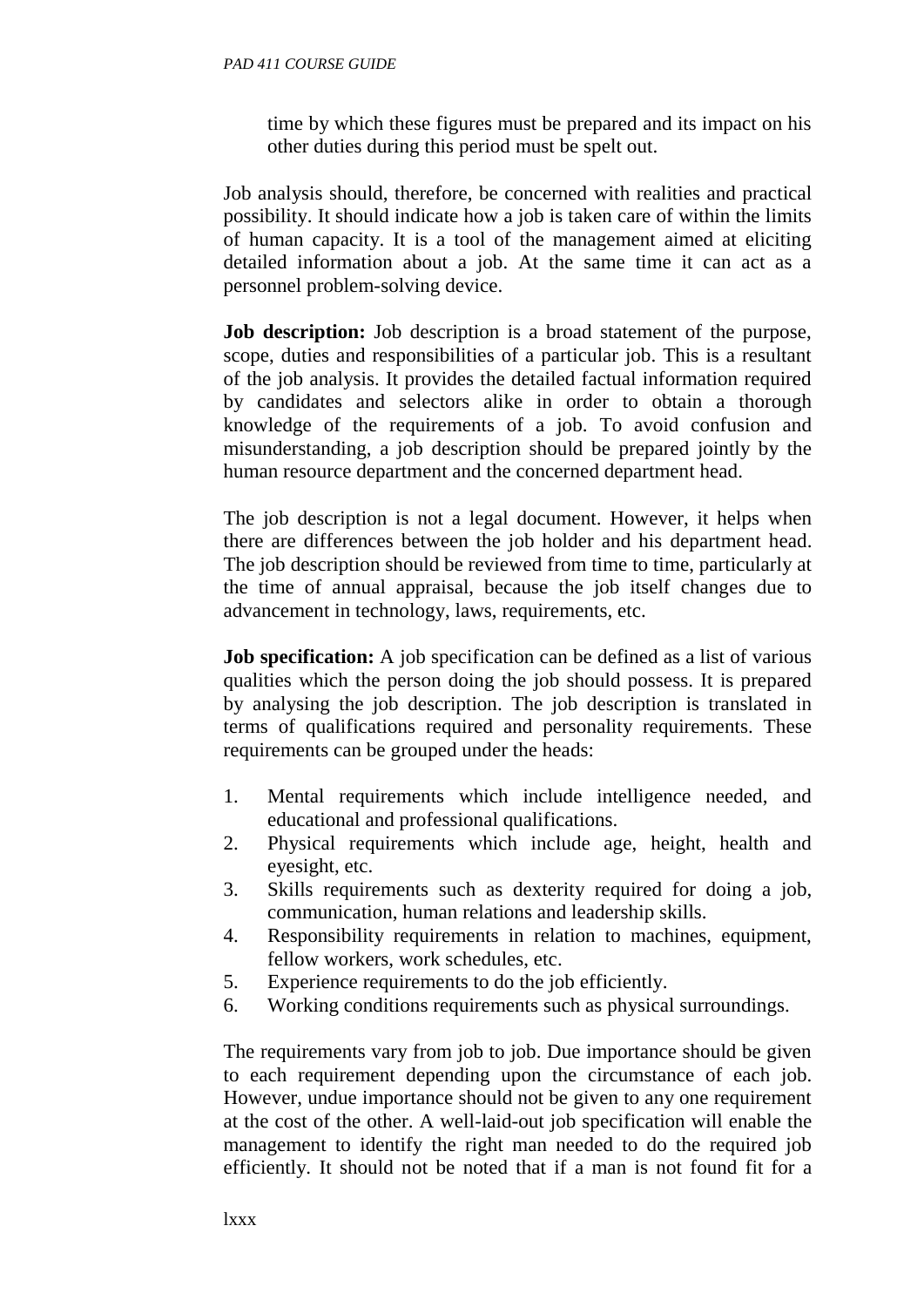time by which these figures must be prepared and its impact on his other duties during this period must be spelt out.

Job analysis should, therefore, be concerned with realities and practical possibility. It should indicate how a job is taken care of within the limits of human capacity. It is a tool of the management aimed at eliciting detailed information about a job. At the same time it can act as a personnel problem-solving device.

**Job description:** Job description is a broad statement of the purpose, scope, duties and responsibilities of a particular job. This is a resultant of the job analysis. It provides the detailed factual information required by candidates and selectors alike in order to obtain a thorough knowledge of the requirements of a job. To avoid confusion and misunderstanding, a job description should be prepared jointly by the human resource department and the concerned department head.

The job description is not a legal document. However, it helps when there are differences between the job holder and his department head. The job description should be reviewed from time to time, particularly at the time of annual appraisal, because the job itself changes due to advancement in technology, laws, requirements, etc.

**Job specification:** A job specification can be defined as a list of various qualities which the person doing the job should possess. It is prepared by analysing the job description. The job description is translated in terms of qualifications required and personality requirements. These requirements can be grouped under the heads:

- 1. Mental requirements which include intelligence needed, and educational and professional qualifications.
- 2. Physical requirements which include age, height, health and eyesight, etc.
- 3. Skills requirements such as dexterity required for doing a job, communication, human relations and leadership skills.
- 4. Responsibility requirements in relation to machines, equipment, fellow workers, work schedules, etc.
- 5. Experience requirements to do the job efficiently.
- 6. Working conditions requirements such as physical surroundings.

The requirements vary from job to job. Due importance should be given to each requirement depending upon the circumstance of each job. However, undue importance should not be given to any one requirement at the cost of the other. A well-laid-out job specification will enable the management to identify the right man needed to do the required job efficiently. It should not be noted that if a man is not found fit for a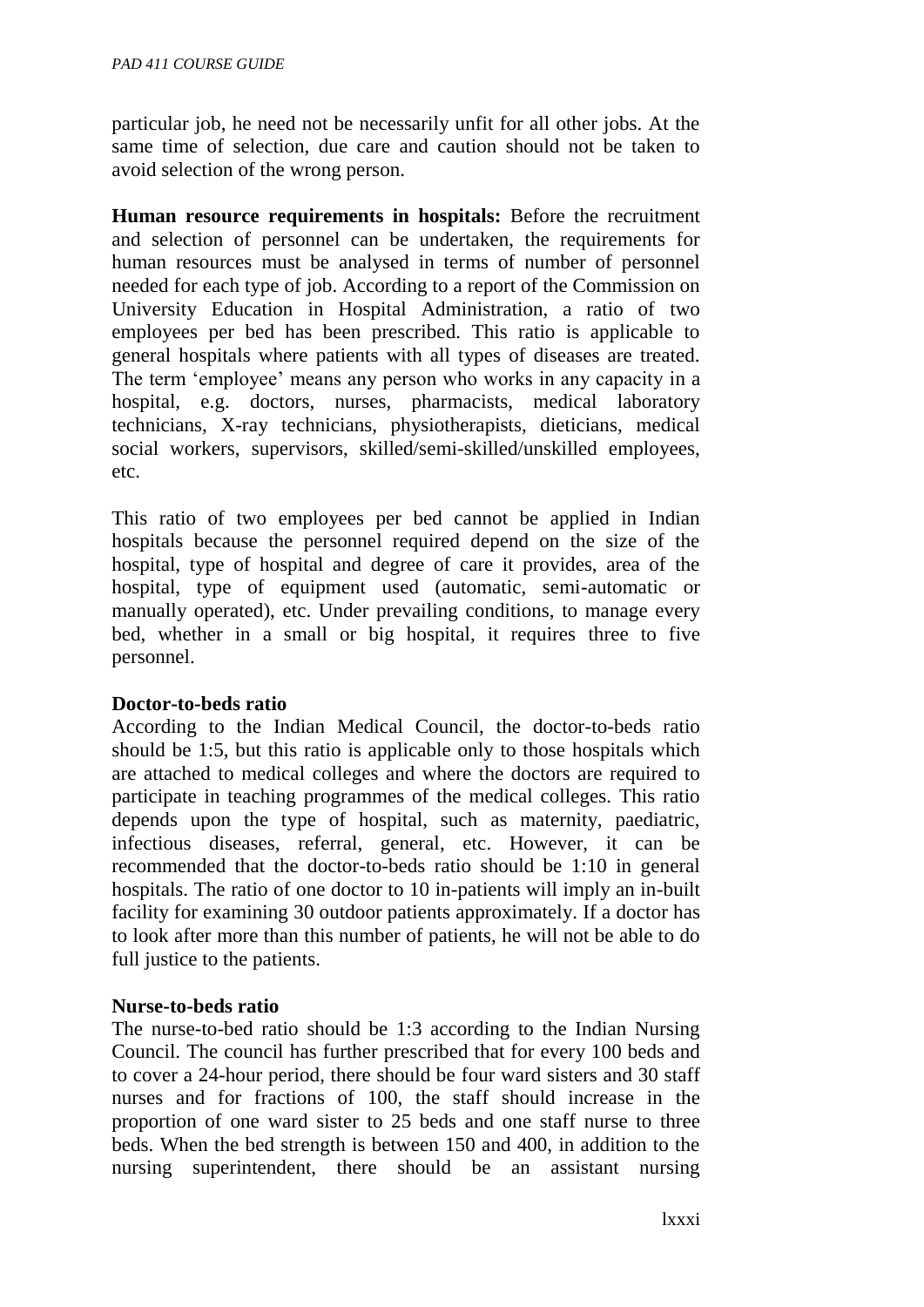particular job, he need not be necessarily unfit for all other jobs. At the same time of selection, due care and caution should not be taken to avoid selection of the wrong person.

**Human resource requirements in hospitals:** Before the recruitment and selection of personnel can be undertaken, the requirements for human resources must be analysed in terms of number of personnel needed for each type of job. According to a report of the Commission on University Education in Hospital Administration, a ratio of two employees per bed has been prescribed. This ratio is applicable to general hospitals where patients with all types of diseases are treated. The term 'employee' means any person who works in any capacity in a hospital, e.g. doctors, nurses, pharmacists, medical laboratory technicians, X-ray technicians, physiotherapists, dieticians, medical social workers, supervisors, skilled/semi-skilled/unskilled employees, etc.

This ratio of two employees per bed cannot be applied in Indian hospitals because the personnel required depend on the size of the hospital, type of hospital and degree of care it provides, area of the hospital, type of equipment used (automatic, semi-automatic or manually operated), etc. Under prevailing conditions, to manage every bed, whether in a small or big hospital, it requires three to five personnel.

#### **Doctor-to-beds ratio**

According to the Indian Medical Council, the doctor-to-beds ratio should be 1:5, but this ratio is applicable only to those hospitals which are attached to medical colleges and where the doctors are required to participate in teaching programmes of the medical colleges. This ratio depends upon the type of hospital, such as maternity, paediatric, infectious diseases, referral, general, etc. However, it can be recommended that the doctor-to-beds ratio should be 1:10 in general hospitals. The ratio of one doctor to 10 in-patients will imply an in-built facility for examining 30 outdoor patients approximately. If a doctor has to look after more than this number of patients, he will not be able to do full justice to the patients.

#### **Nurse-to-beds ratio**

The nurse-to-bed ratio should be 1:3 according to the Indian Nursing Council. The council has further prescribed that for every 100 beds and to cover a 24-hour period, there should be four ward sisters and 30 staff nurses and for fractions of 100, the staff should increase in the proportion of one ward sister to 25 beds and one staff nurse to three beds. When the bed strength is between 150 and 400, in addition to the nursing superintendent, there should be an assistant nursing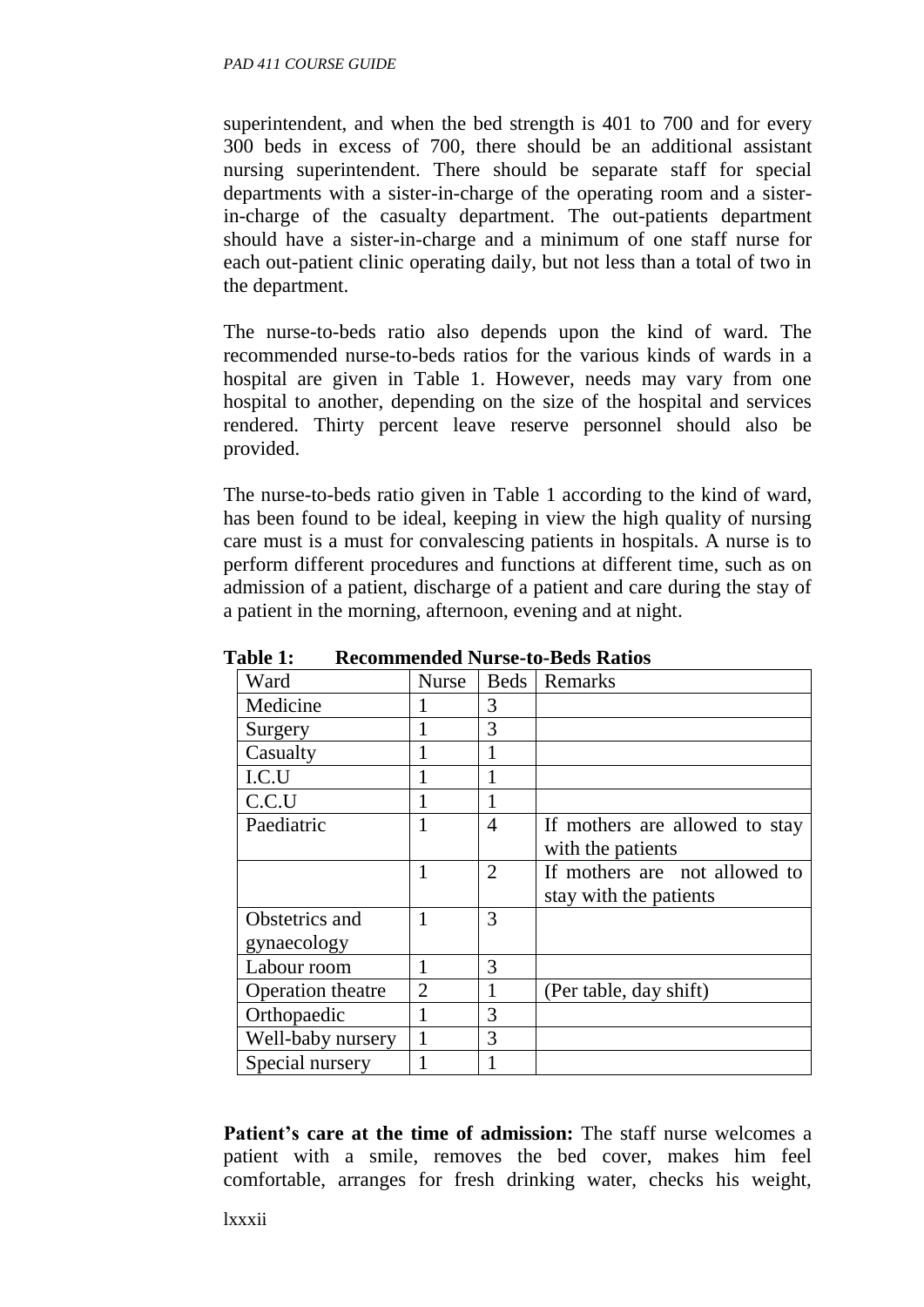superintendent, and when the bed strength is 401 to 700 and for every 300 beds in excess of 700, there should be an additional assistant nursing superintendent. There should be separate staff for special departments with a sister-in-charge of the operating room and a sisterin-charge of the casualty department. The out-patients department should have a sister-in-charge and a minimum of one staff nurse for each out-patient clinic operating daily, but not less than a total of two in the department.

The nurse-to-beds ratio also depends upon the kind of ward. The recommended nurse-to-beds ratios for the various kinds of wards in a hospital are given in Table 1. However, needs may vary from one hospital to another, depending on the size of the hospital and services rendered. Thirty percent leave reserve personnel should also be provided.

The nurse-to-beds ratio given in Table 1 according to the kind of ward, has been found to be ideal, keeping in view the high quality of nursing care must is a must for convalescing patients in hospitals. A nurse is to perform different procedures and functions at different time, such as on admission of a patient, discharge of a patient and care during the stay of a patient in the morning, afternoon, evening and at night.

| Ward                          | <b>Nurse</b>   | Beds           | Remarks                                                 |
|-------------------------------|----------------|----------------|---------------------------------------------------------|
| Medicine                      |                | 3              |                                                         |
| Surgery                       |                | 3              |                                                         |
| Casualty                      |                |                |                                                         |
| I.C.U                         |                |                |                                                         |
| C.C.U                         | 1              | 1              |                                                         |
| Paediatric                    |                | $\overline{4}$ | If mothers are allowed to stay<br>with the patients     |
|                               | 1              | $\overline{2}$ | If mothers are not allowed to<br>stay with the patients |
| Obstetrics and<br>gynaecology | 1              | 3              |                                                         |
| Labour room                   |                | 3              |                                                         |
| Operation theatre             | $\overline{2}$ |                | (Per table, day shift)                                  |
| Orthopaedic                   | 1              | 3              |                                                         |
| Well-baby nursery             | 1              | 3              |                                                         |
| Special nursery               |                |                |                                                         |

**Table 1: Recommended Nurse-to-Beds Ratios**

**Patient's care at the time of admission:** The staff nurse welcomes a patient with a smile, removes the bed cover, makes him feel comfortable, arranges for fresh drinking water, checks his weight,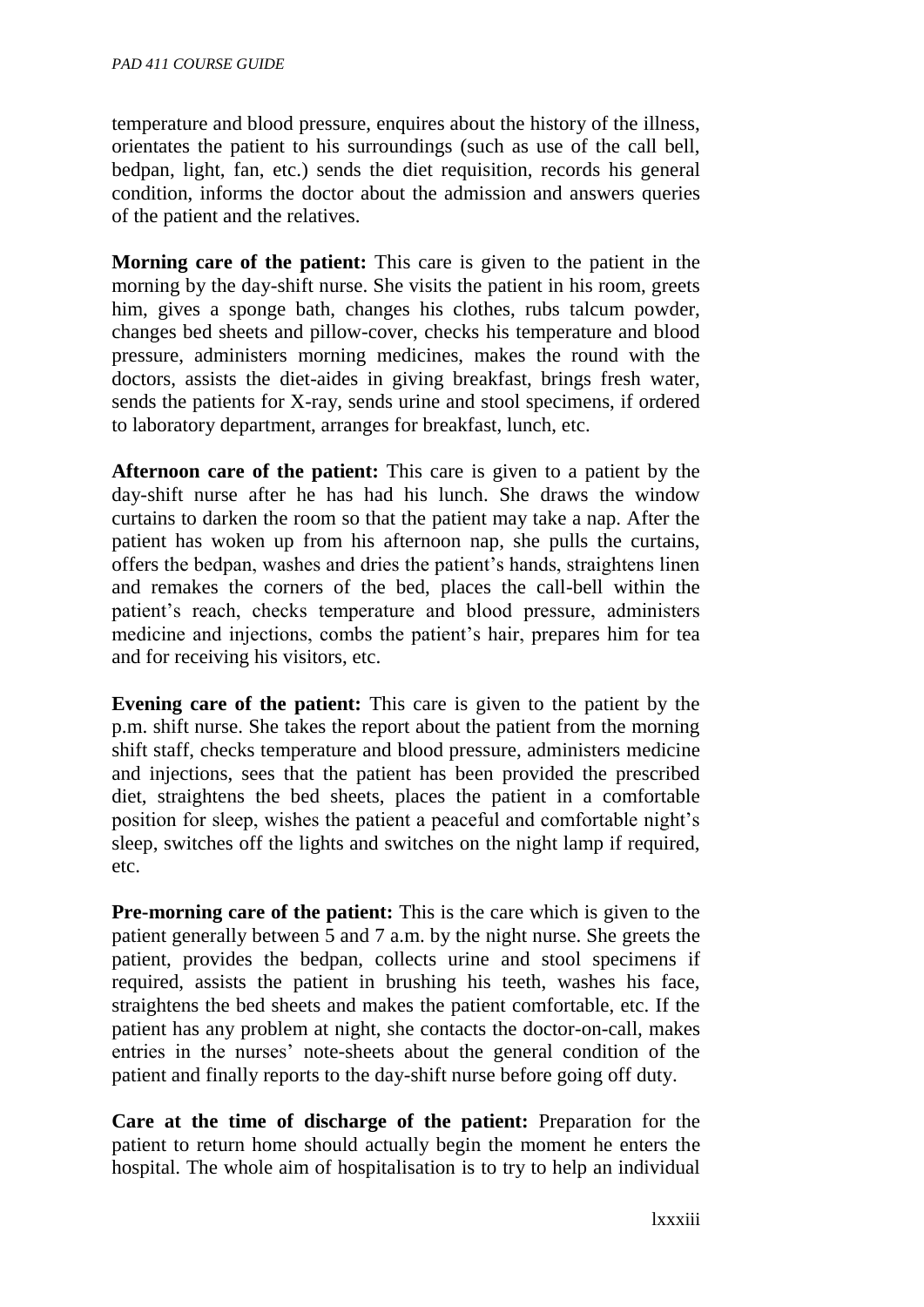temperature and blood pressure, enquires about the history of the illness, orientates the patient to his surroundings (such as use of the call bell, bedpan, light, fan, etc.) sends the diet requisition, records his general condition, informs the doctor about the admission and answers queries of the patient and the relatives.

**Morning care of the patient:** This care is given to the patient in the morning by the day-shift nurse. She visits the patient in his room, greets him, gives a sponge bath, changes his clothes, rubs talcum powder, changes bed sheets and pillow-cover, checks his temperature and blood pressure, administers morning medicines, makes the round with the doctors, assists the diet-aides in giving breakfast, brings fresh water, sends the patients for X-ray, sends urine and stool specimens, if ordered to laboratory department, arranges for breakfast, lunch, etc.

**Afternoon care of the patient:** This care is given to a patient by the day-shift nurse after he has had his lunch. She draws the window curtains to darken the room so that the patient may take a nap. After the patient has woken up from his afternoon nap, she pulls the curtains, offers the bedpan, washes and dries the patient"s hands, straightens linen and remakes the corners of the bed, places the call-bell within the patient"s reach, checks temperature and blood pressure, administers medicine and injections, combs the patient's hair, prepares him for tea and for receiving his visitors, etc.

**Evening care of the patient:** This care is given to the patient by the p.m. shift nurse. She takes the report about the patient from the morning shift staff, checks temperature and blood pressure, administers medicine and injections, sees that the patient has been provided the prescribed diet, straightens the bed sheets, places the patient in a comfortable position for sleep, wishes the patient a peaceful and comfortable night"s sleep, switches off the lights and switches on the night lamp if required, etc.

**Pre-morning care of the patient:** This is the care which is given to the patient generally between 5 and 7 a.m. by the night nurse. She greets the patient, provides the bedpan, collects urine and stool specimens if required, assists the patient in brushing his teeth, washes his face, straightens the bed sheets and makes the patient comfortable, etc. If the patient has any problem at night, she contacts the doctor-on-call, makes entries in the nurses" note-sheets about the general condition of the patient and finally reports to the day-shift nurse before going off duty.

**Care at the time of discharge of the patient:** Preparation for the patient to return home should actually begin the moment he enters the hospital. The whole aim of hospitalisation is to try to help an individual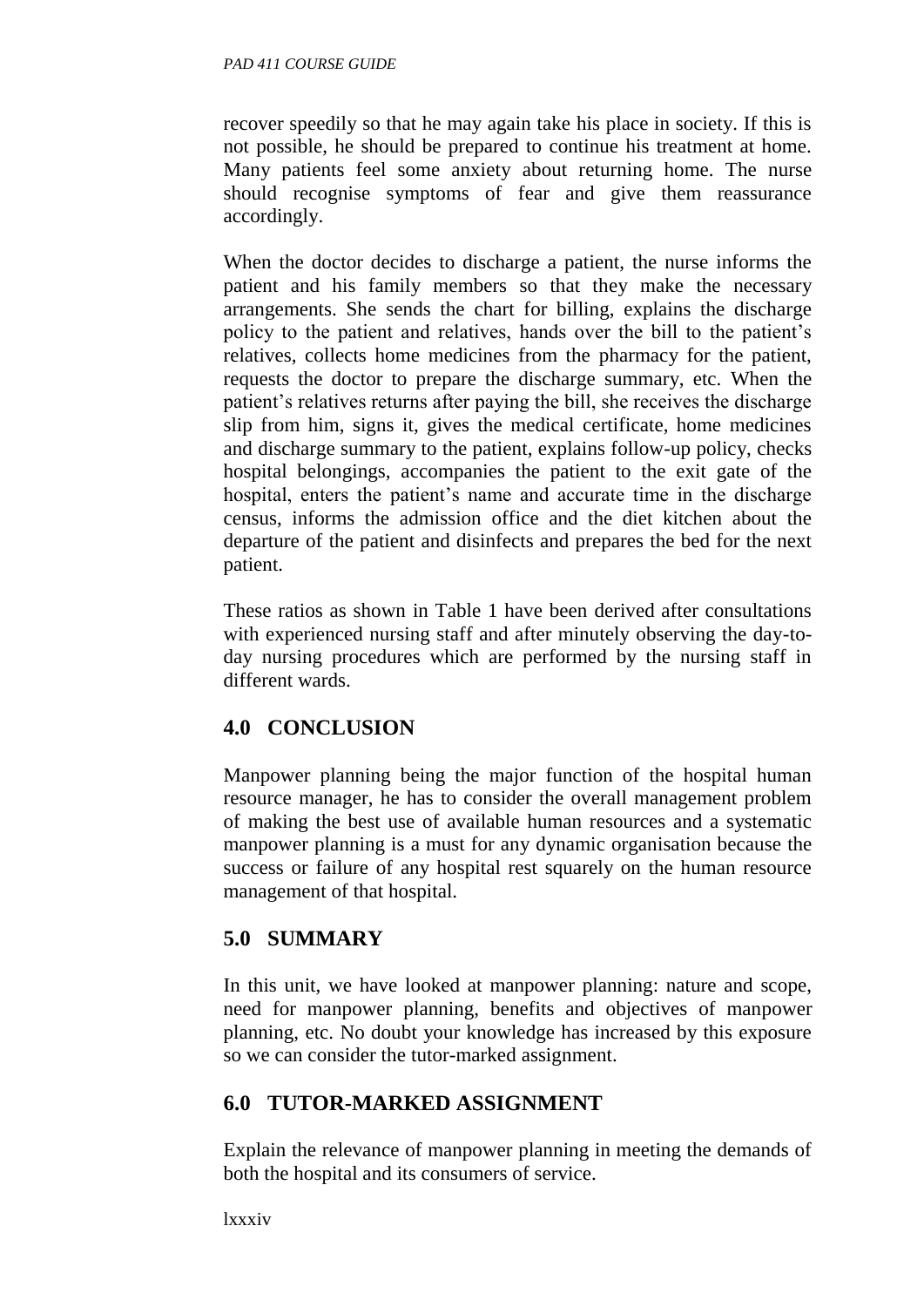recover speedily so that he may again take his place in society. If this is not possible, he should be prepared to continue his treatment at home. Many patients feel some anxiety about returning home. The nurse should recognise symptoms of fear and give them reassurance accordingly.

When the doctor decides to discharge a patient, the nurse informs the patient and his family members so that they make the necessary arrangements. She sends the chart for billing, explains the discharge policy to the patient and relatives, hands over the bill to the patient"s relatives, collects home medicines from the pharmacy for the patient, requests the doctor to prepare the discharge summary, etc. When the patient"s relatives returns after paying the bill, she receives the discharge slip from him, signs it, gives the medical certificate, home medicines and discharge summary to the patient, explains follow-up policy, checks hospital belongings, accompanies the patient to the exit gate of the hospital, enters the patient's name and accurate time in the discharge census, informs the admission office and the diet kitchen about the departure of the patient and disinfects and prepares the bed for the next patient.

These ratios as shown in Table 1 have been derived after consultations with experienced nursing staff and after minutely observing the day-today nursing procedures which are performed by the nursing staff in different wards.

### **4.0 CONCLUSION**

Manpower planning being the major function of the hospital human resource manager, he has to consider the overall management problem of making the best use of available human resources and a systematic manpower planning is a must for any dynamic organisation because the success or failure of any hospital rest squarely on the human resource management of that hospital.

# **5.0 SUMMARY**

In this unit, we have looked at manpower planning: nature and scope, need for manpower planning, benefits and objectives of manpower planning, etc. No doubt your knowledge has increased by this exposure so we can consider the tutor-marked assignment.

# **6.0 TUTOR-MARKED ASSIGNMENT**

Explain the relevance of manpower planning in meeting the demands of both the hospital and its consumers of service.

lxxxiv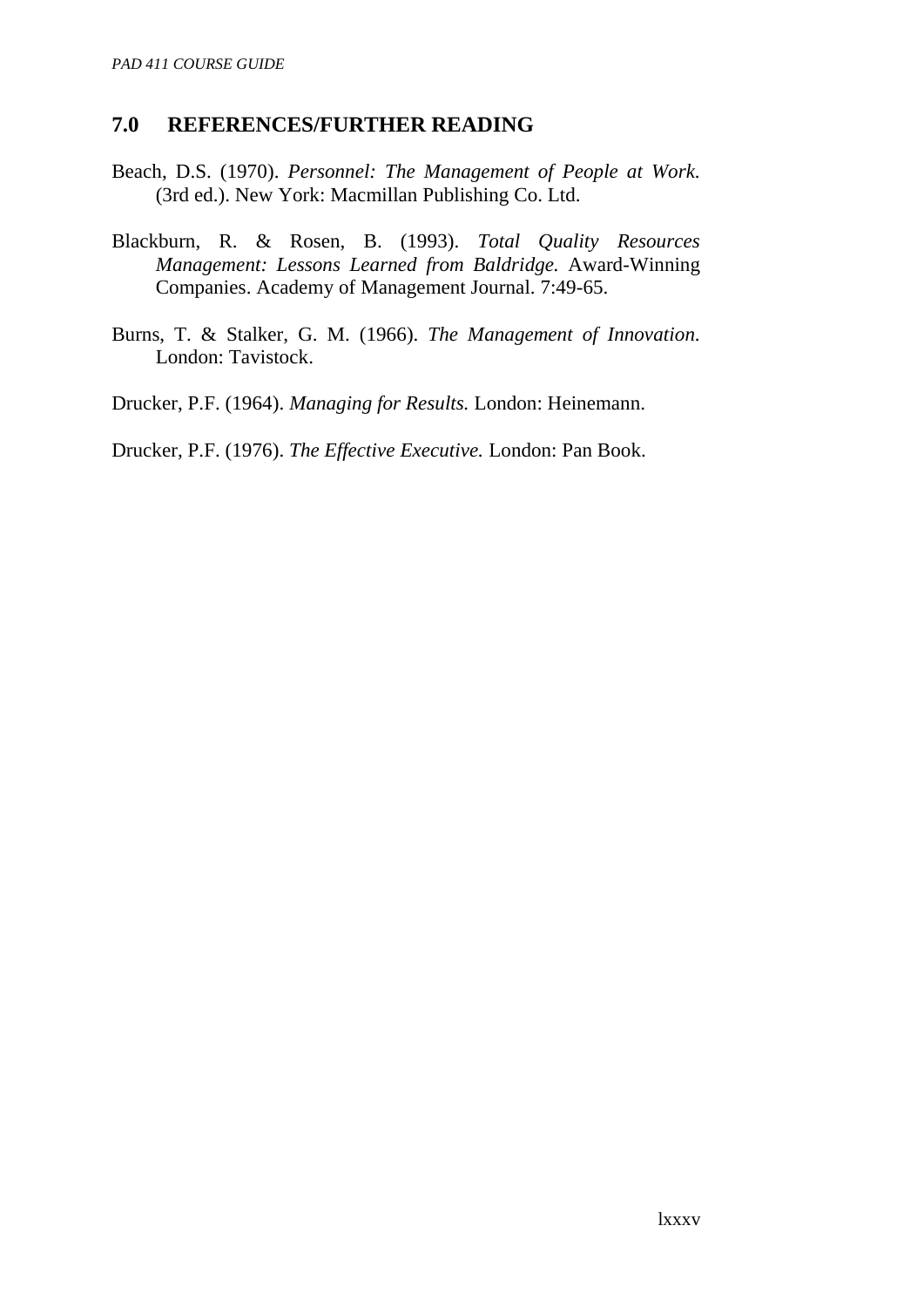### **7.0 REFERENCES/FURTHER READING**

- Beach, D.S. (1970). *Personnel: The Management of People at Work.* (3rd ed.). New York: Macmillan Publishing Co. Ltd.
- Blackburn, R. & Rosen, B. (1993). *Total Quality Resources Management: Lessons Learned from Baldridge.* Award-Winning Companies. Academy of Management Journal. 7:49-65.
- Burns, T. & Stalker, G. M. (1966). *The Management of Innovation.* London: Tavistock.

Drucker, P.F. (1964). *Managing for Results.* London: Heinemann.

Drucker, P.F. (1976). *The Effective Executive.* London: Pan Book.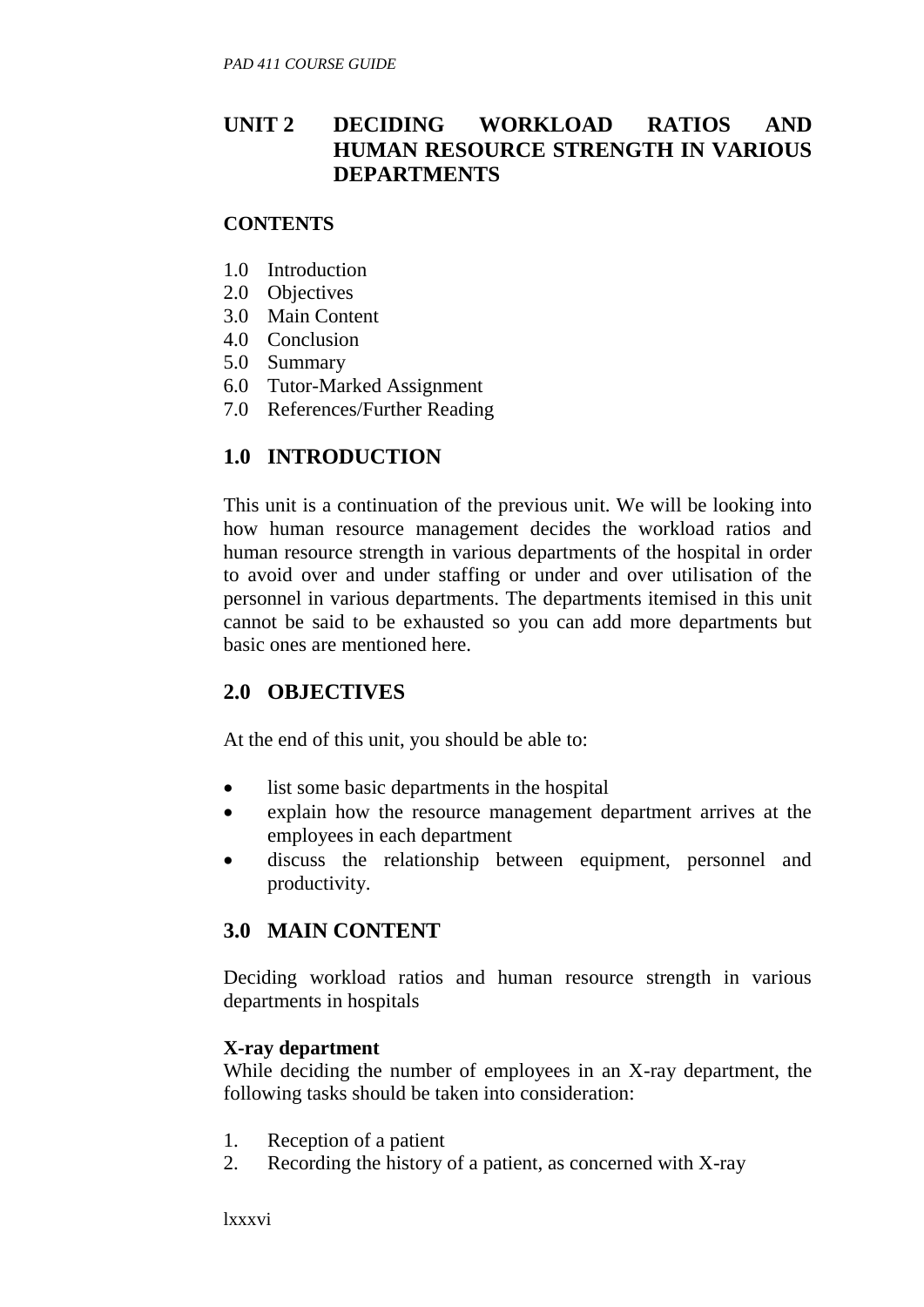## **UNIT 2 DECIDING WORKLOAD RATIOS AND HUMAN RESOURCE STRENGTH IN VARIOUS DEPARTMENTS**

#### **CONTENTS**

- 1.0 Introduction
- 2.0 Objectives
- 3.0 Main Content
- 4.0 Conclusion
- 5.0 Summary
- 6.0 Tutor-Marked Assignment
- 7.0 References/Further Reading

## **1.0 INTRODUCTION**

This unit is a continuation of the previous unit. We will be looking into how human resource management decides the workload ratios and human resource strength in various departments of the hospital in order to avoid over and under staffing or under and over utilisation of the personnel in various departments. The departments itemised in this unit cannot be said to be exhausted so you can add more departments but basic ones are mentioned here.

# **2.0 OBJECTIVES**

At the end of this unit, you should be able to:

- list some basic departments in the hospital
- explain how the resource management department arrives at the employees in each department
- discuss the relationship between equipment, personnel and productivity.

### **3.0 MAIN CONTENT**

Deciding workload ratios and human resource strength in various departments in hospitals

#### **X-ray department**

While deciding the number of employees in an X-ray department, the following tasks should be taken into consideration:

- 1. Reception of a patient
- 2. Recording the history of a patient, as concerned with X-ray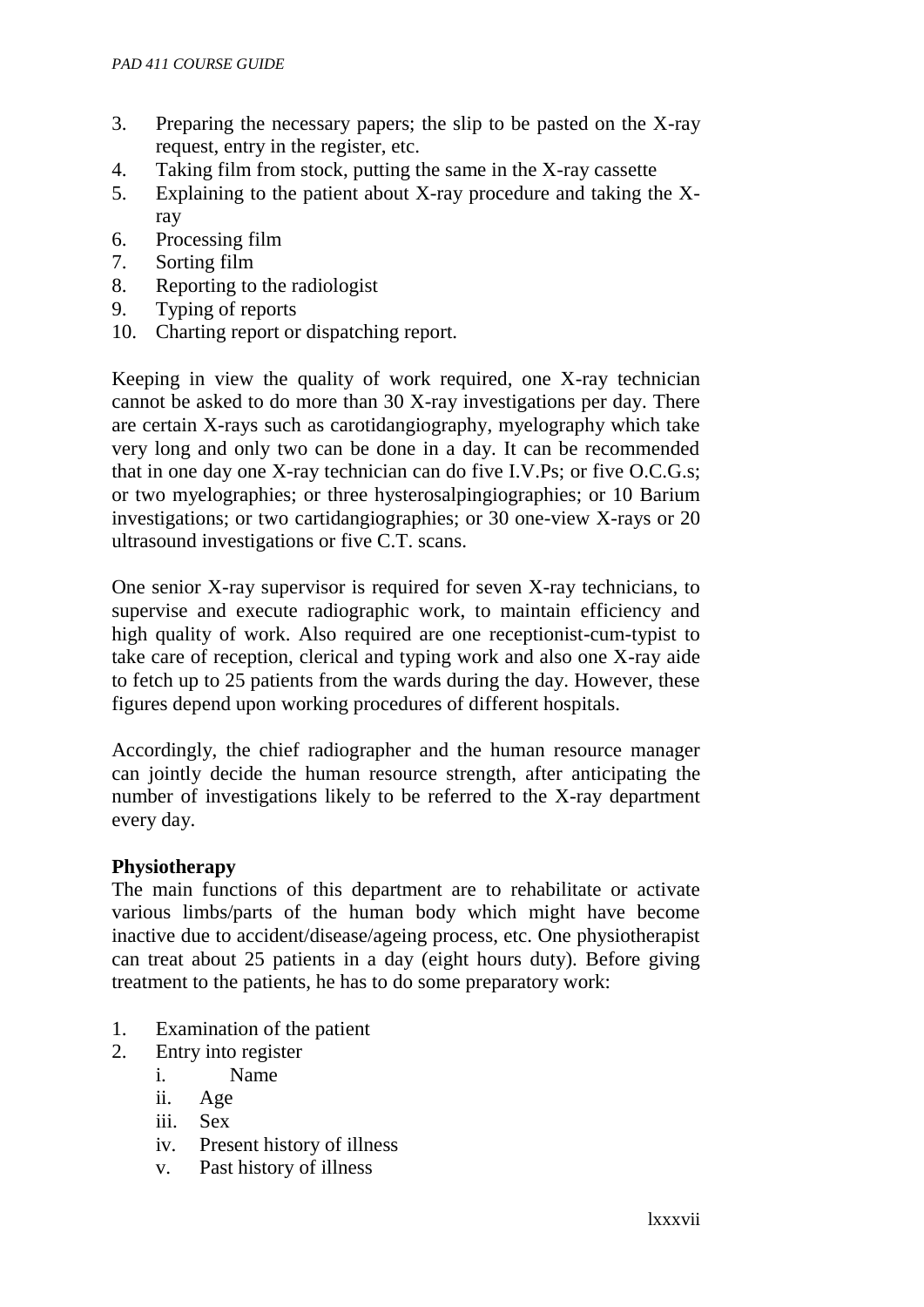- 3. Preparing the necessary papers; the slip to be pasted on the X-ray request, entry in the register, etc.
- 4. Taking film from stock, putting the same in the X-ray cassette
- 5. Explaining to the patient about X-ray procedure and taking the Xray
- 6. Processing film
- 7. Sorting film
- 8. Reporting to the radiologist
- 9. Typing of reports
- 10. Charting report or dispatching report.

Keeping in view the quality of work required, one X-ray technician cannot be asked to do more than 30 X-ray investigations per day. There are certain X-rays such as carotidangiography, myelography which take very long and only two can be done in a day. It can be recommended that in one day one X-ray technician can do five I.V.Ps; or five O.C.G.s; or two myelographies; or three hysterosalpingiographies; or 10 Barium investigations; or two cartidangiographies; or 30 one-view X-rays or 20 ultrasound investigations or five C.T. scans.

One senior X-ray supervisor is required for seven X-ray technicians, to supervise and execute radiographic work, to maintain efficiency and high quality of work. Also required are one receptionist-cum-typist to take care of reception, clerical and typing work and also one X-ray aide to fetch up to 25 patients from the wards during the day. However, these figures depend upon working procedures of different hospitals.

Accordingly, the chief radiographer and the human resource manager can jointly decide the human resource strength, after anticipating the number of investigations likely to be referred to the X-ray department every day.

### **Physiotherapy**

The main functions of this department are to rehabilitate or activate various limbs/parts of the human body which might have become inactive due to accident/disease/ageing process, etc. One physiotherapist can treat about 25 patients in a day (eight hours duty). Before giving treatment to the patients, he has to do some preparatory work:

- 1. Examination of the patient
- 2. Entry into register
	- i. Name
	- ii. Age
	- iii. Sex
	- iv. Present history of illness
	- v. Past history of illness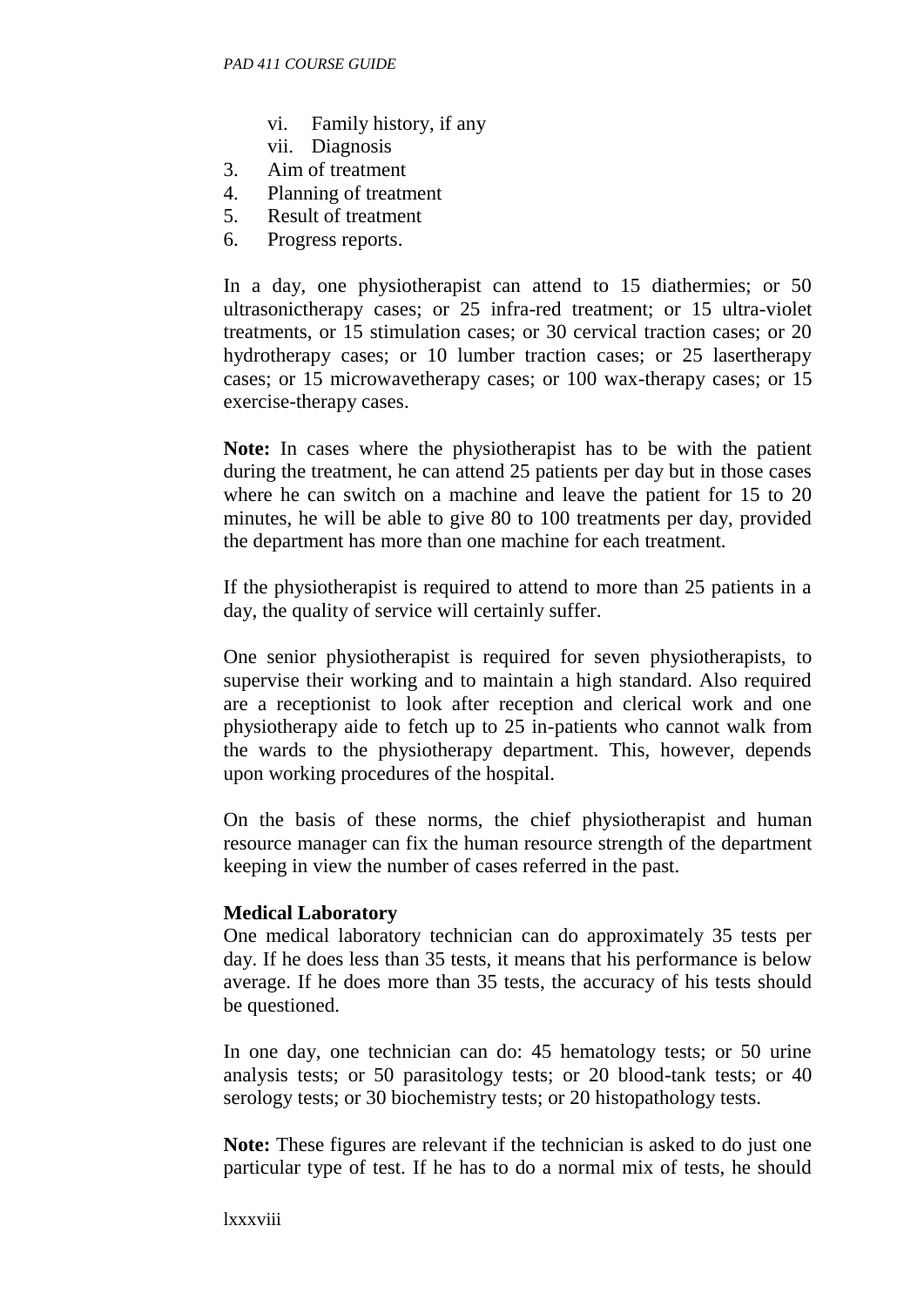- vi. Family history, if any
- vii. Diagnosis
- 3. Aim of treatment
- 4. Planning of treatment
- 5. Result of treatment
- 6. Progress reports.

In a day, one physiotherapist can attend to 15 diathermies; or 50 ultrasonictherapy cases; or 25 infra-red treatment; or 15 ultra-violet treatments, or 15 stimulation cases; or 30 cervical traction cases; or 20 hydrotherapy cases; or 10 lumber traction cases; or 25 lasertherapy cases; or 15 microwavetherapy cases; or 100 wax-therapy cases; or 15 exercise-therapy cases.

**Note:** In cases where the physiotherapist has to be with the patient during the treatment, he can attend 25 patients per day but in those cases where he can switch on a machine and leave the patient for 15 to 20 minutes, he will be able to give 80 to 100 treatments per day, provided the department has more than one machine for each treatment.

If the physiotherapist is required to attend to more than 25 patients in a day, the quality of service will certainly suffer.

One senior physiotherapist is required for seven physiotherapists, to supervise their working and to maintain a high standard. Also required are a receptionist to look after reception and clerical work and one physiotherapy aide to fetch up to 25 in-patients who cannot walk from the wards to the physiotherapy department. This, however, depends upon working procedures of the hospital.

On the basis of these norms, the chief physiotherapist and human resource manager can fix the human resource strength of the department keeping in view the number of cases referred in the past.

#### **Medical Laboratory**

One medical laboratory technician can do approximately 35 tests per day. If he does less than 35 tests, it means that his performance is below average. If he does more than 35 tests, the accuracy of his tests should be questioned.

In one day, one technician can do: 45 hematology tests; or 50 urine analysis tests; or 50 parasitology tests; or 20 blood-tank tests; or 40 serology tests; or 30 biochemistry tests; or 20 histopathology tests.

**Note:** These figures are relevant if the technician is asked to do just one particular type of test. If he has to do a normal mix of tests, he should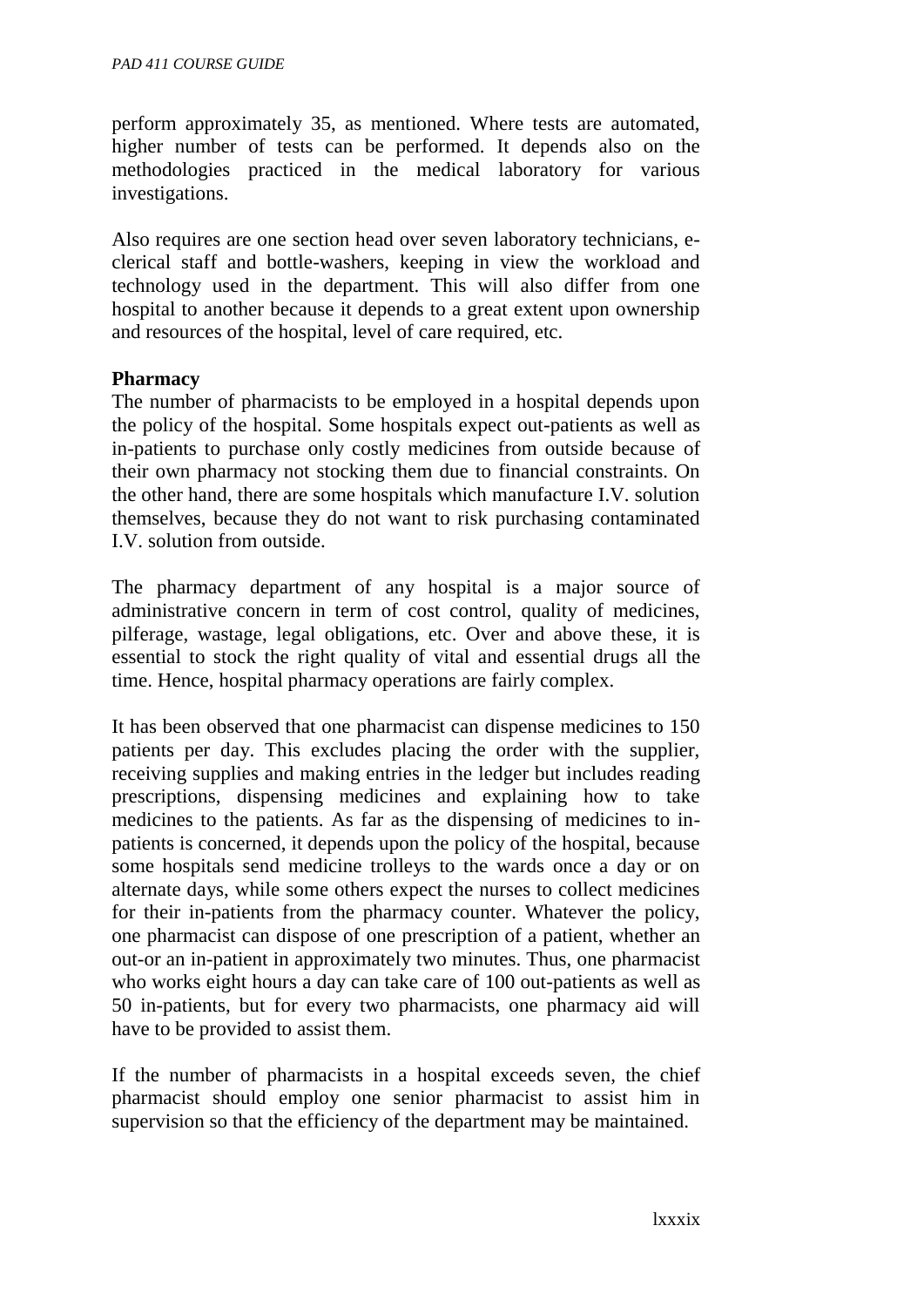perform approximately 35, as mentioned. Where tests are automated, higher number of tests can be performed. It depends also on the methodologies practiced in the medical laboratory for various investigations.

Also requires are one section head over seven laboratory technicians, eclerical staff and bottle-washers, keeping in view the workload and technology used in the department. This will also differ from one hospital to another because it depends to a great extent upon ownership and resources of the hospital, level of care required, etc.

#### **Pharmacy**

The number of pharmacists to be employed in a hospital depends upon the policy of the hospital. Some hospitals expect out-patients as well as in-patients to purchase only costly medicines from outside because of their own pharmacy not stocking them due to financial constraints. On the other hand, there are some hospitals which manufacture I.V. solution themselves, because they do not want to risk purchasing contaminated I.V. solution from outside.

The pharmacy department of any hospital is a major source of administrative concern in term of cost control, quality of medicines, pilferage, wastage, legal obligations, etc. Over and above these, it is essential to stock the right quality of vital and essential drugs all the time. Hence, hospital pharmacy operations are fairly complex.

It has been observed that one pharmacist can dispense medicines to 150 patients per day. This excludes placing the order with the supplier, receiving supplies and making entries in the ledger but includes reading prescriptions, dispensing medicines and explaining how to take medicines to the patients. As far as the dispensing of medicines to inpatients is concerned, it depends upon the policy of the hospital, because some hospitals send medicine trolleys to the wards once a day or on alternate days, while some others expect the nurses to collect medicines for their in-patients from the pharmacy counter. Whatever the policy, one pharmacist can dispose of one prescription of a patient, whether an out-or an in-patient in approximately two minutes. Thus, one pharmacist who works eight hours a day can take care of 100 out-patients as well as 50 in-patients, but for every two pharmacists, one pharmacy aid will have to be provided to assist them.

If the number of pharmacists in a hospital exceeds seven, the chief pharmacist should employ one senior pharmacist to assist him in supervision so that the efficiency of the department may be maintained.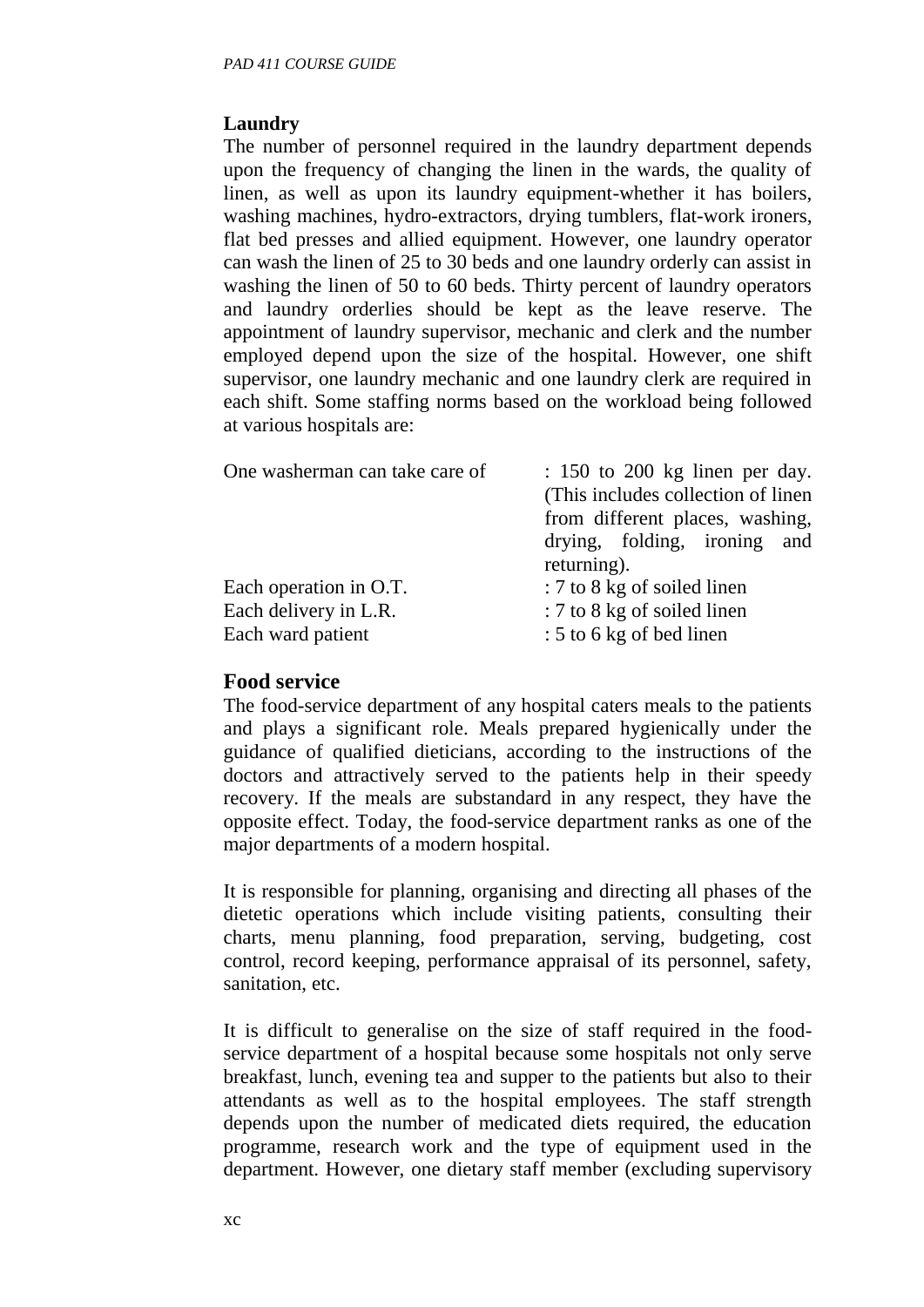#### **Laundry**

The number of personnel required in the laundry department depends upon the frequency of changing the linen in the wards, the quality of linen, as well as upon its laundry equipment-whether it has boilers, washing machines, hydro-extractors, drying tumblers, flat-work ironers, flat bed presses and allied equipment. However, one laundry operator can wash the linen of 25 to 30 beds and one laundry orderly can assist in washing the linen of 50 to 60 beds. Thirty percent of laundry operators and laundry orderlies should be kept as the leave reserve. The appointment of laundry supervisor, mechanic and clerk and the number employed depend upon the size of the hospital. However, one shift supervisor, one laundry mechanic and one laundry clerk are required in each shift. Some staffing norms based on the workload being followed at various hospitals are:

| One washerman can take care of | $: 150$ to 200 kg linen per day.<br>(This includes collection of linen)<br>from different places, washing,<br>drying, folding, ironing and<br>returning). |
|--------------------------------|-----------------------------------------------------------------------------------------------------------------------------------------------------------|
| Each operation in O.T.         | : 7 to 8 kg of soiled linen                                                                                                                               |
| Each delivery in L.R.          | : 7 to 8 kg of soiled linen                                                                                                                               |
| Each ward patient              | : 5 to 6 kg of bed linen                                                                                                                                  |

#### **Food service**

The food-service department of any hospital caters meals to the patients and plays a significant role. Meals prepared hygienically under the guidance of qualified dieticians, according to the instructions of the doctors and attractively served to the patients help in their speedy recovery. If the meals are substandard in any respect, they have the opposite effect. Today, the food-service department ranks as one of the major departments of a modern hospital.

It is responsible for planning, organising and directing all phases of the dietetic operations which include visiting patients, consulting their charts, menu planning, food preparation, serving, budgeting, cost control, record keeping, performance appraisal of its personnel, safety, sanitation, etc.

It is difficult to generalise on the size of staff required in the foodservice department of a hospital because some hospitals not only serve breakfast, lunch, evening tea and supper to the patients but also to their attendants as well as to the hospital employees. The staff strength depends upon the number of medicated diets required, the education programme, research work and the type of equipment used in the department. However, one dietary staff member (excluding supervisory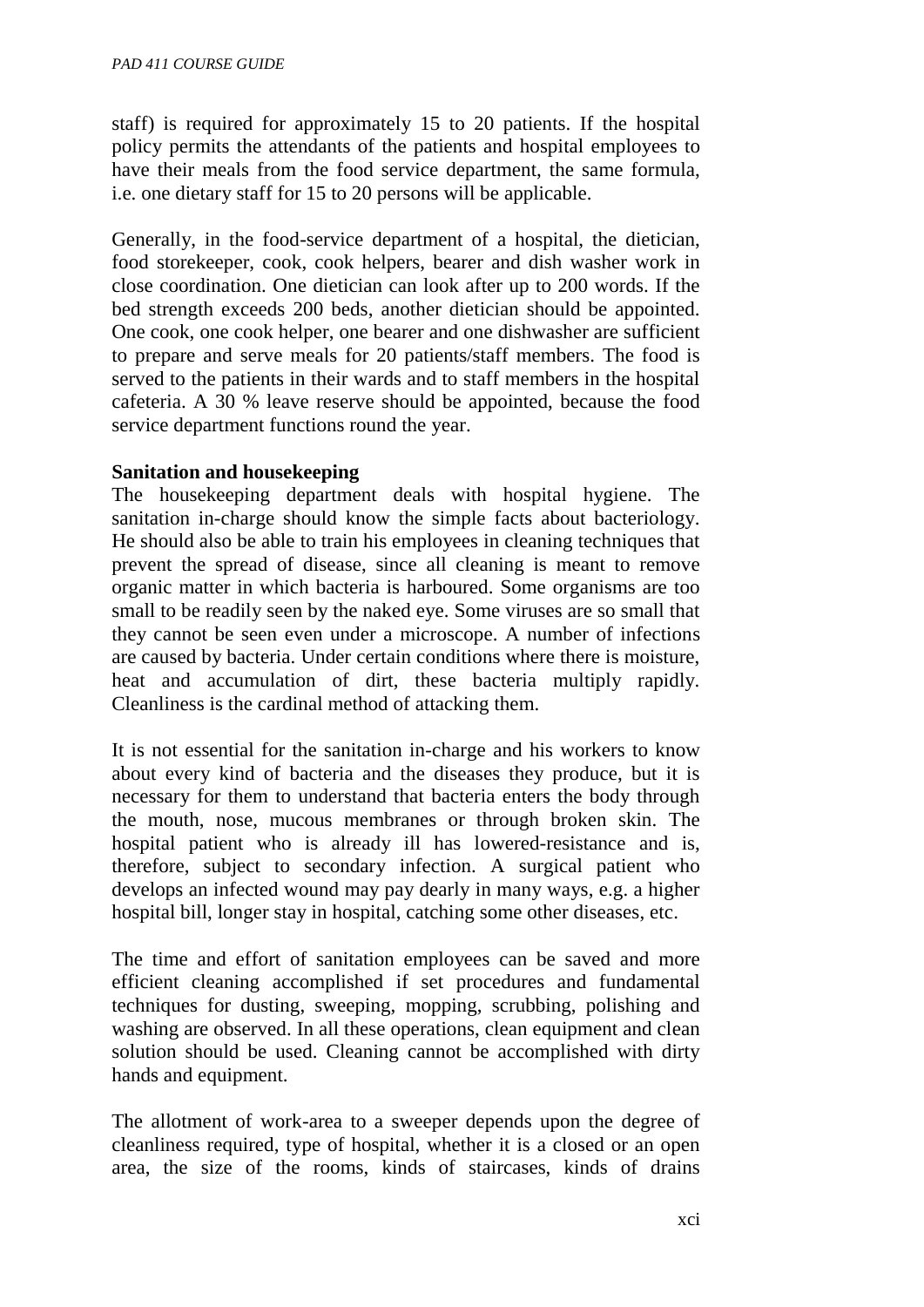staff) is required for approximately 15 to 20 patients. If the hospital policy permits the attendants of the patients and hospital employees to have their meals from the food service department, the same formula, i.e. one dietary staff for 15 to 20 persons will be applicable.

Generally, in the food-service department of a hospital, the dietician, food storekeeper, cook, cook helpers, bearer and dish washer work in close coordination. One dietician can look after up to 200 words. If the bed strength exceeds 200 beds, another dietician should be appointed. One cook, one cook helper, one bearer and one dishwasher are sufficient to prepare and serve meals for 20 patients/staff members. The food is served to the patients in their wards and to staff members in the hospital cafeteria. A 30 % leave reserve should be appointed, because the food service department functions round the year.

#### **Sanitation and housekeeping**

The housekeeping department deals with hospital hygiene. The sanitation in-charge should know the simple facts about bacteriology. He should also be able to train his employees in cleaning techniques that prevent the spread of disease, since all cleaning is meant to remove organic matter in which bacteria is harboured. Some organisms are too small to be readily seen by the naked eye. Some viruses are so small that they cannot be seen even under a microscope. A number of infections are caused by bacteria. Under certain conditions where there is moisture, heat and accumulation of dirt, these bacteria multiply rapidly. Cleanliness is the cardinal method of attacking them.

It is not essential for the sanitation in-charge and his workers to know about every kind of bacteria and the diseases they produce, but it is necessary for them to understand that bacteria enters the body through the mouth, nose, mucous membranes or through broken skin. The hospital patient who is already ill has lowered-resistance and is, therefore, subject to secondary infection. A surgical patient who develops an infected wound may pay dearly in many ways, e.g. a higher hospital bill, longer stay in hospital, catching some other diseases, etc.

The time and effort of sanitation employees can be saved and more efficient cleaning accomplished if set procedures and fundamental techniques for dusting, sweeping, mopping, scrubbing, polishing and washing are observed. In all these operations, clean equipment and clean solution should be used. Cleaning cannot be accomplished with dirty hands and equipment.

The allotment of work-area to a sweeper depends upon the degree of cleanliness required, type of hospital, whether it is a closed or an open area, the size of the rooms, kinds of staircases, kinds of drains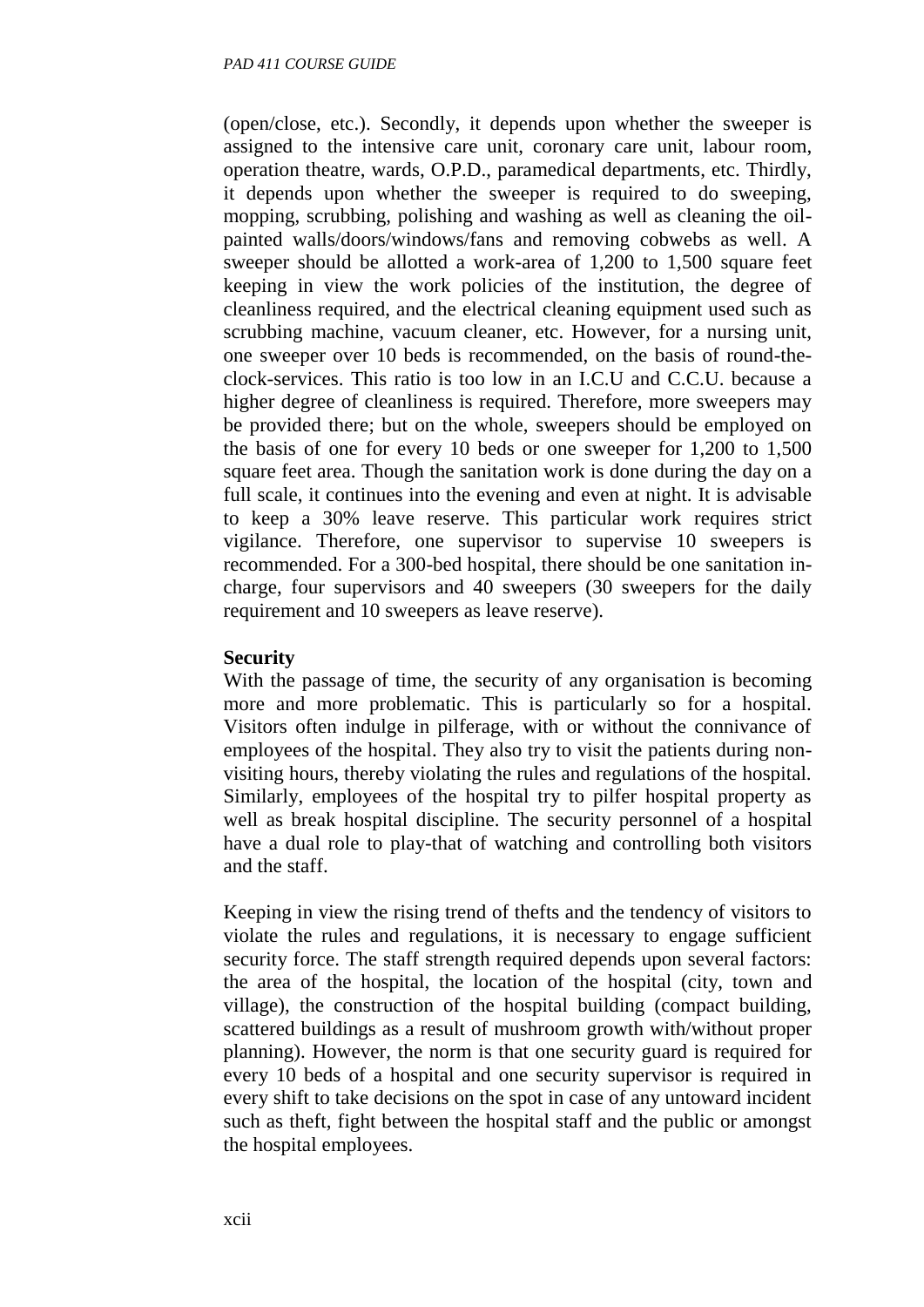(open/close, etc.). Secondly, it depends upon whether the sweeper is assigned to the intensive care unit, coronary care unit, labour room, operation theatre, wards, O.P.D., paramedical departments, etc. Thirdly, it depends upon whether the sweeper is required to do sweeping, mopping, scrubbing, polishing and washing as well as cleaning the oilpainted walls/doors/windows/fans and removing cobwebs as well. A sweeper should be allotted a work-area of 1,200 to 1,500 square feet keeping in view the work policies of the institution, the degree of cleanliness required, and the electrical cleaning equipment used such as scrubbing machine, vacuum cleaner, etc. However, for a nursing unit, one sweeper over 10 beds is recommended, on the basis of round-theclock-services. This ratio is too low in an I.C.U and C.C.U. because a higher degree of cleanliness is required. Therefore, more sweepers may be provided there; but on the whole, sweepers should be employed on the basis of one for every 10 beds or one sweeper for 1,200 to 1,500 square feet area. Though the sanitation work is done during the day on a full scale, it continues into the evening and even at night. It is advisable to keep a 30% leave reserve. This particular work requires strict vigilance. Therefore, one supervisor to supervise 10 sweepers is recommended. For a 300-bed hospital, there should be one sanitation incharge, four supervisors and 40 sweepers (30 sweepers for the daily requirement and 10 sweepers as leave reserve).

#### **Security**

With the passage of time, the security of any organisation is becoming more and more problematic. This is particularly so for a hospital. Visitors often indulge in pilferage, with or without the connivance of employees of the hospital. They also try to visit the patients during nonvisiting hours, thereby violating the rules and regulations of the hospital. Similarly, employees of the hospital try to pilfer hospital property as well as break hospital discipline. The security personnel of a hospital have a dual role to play-that of watching and controlling both visitors and the staff.

Keeping in view the rising trend of thefts and the tendency of visitors to violate the rules and regulations, it is necessary to engage sufficient security force. The staff strength required depends upon several factors: the area of the hospital, the location of the hospital (city, town and village), the construction of the hospital building (compact building, scattered buildings as a result of mushroom growth with/without proper planning). However, the norm is that one security guard is required for every 10 beds of a hospital and one security supervisor is required in every shift to take decisions on the spot in case of any untoward incident such as theft, fight between the hospital staff and the public or amongst the hospital employees.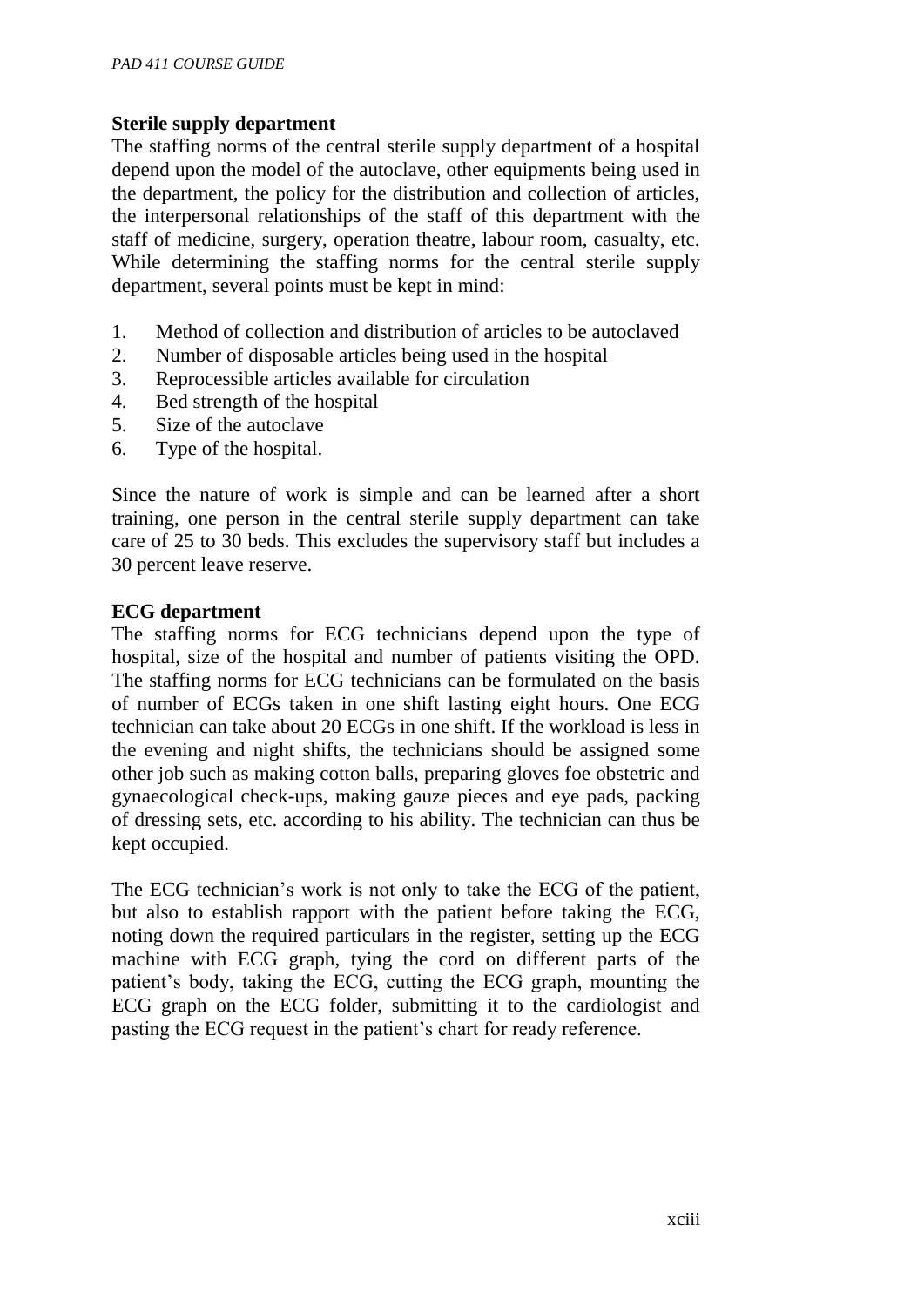#### **Sterile supply department**

The staffing norms of the central sterile supply department of a hospital depend upon the model of the autoclave, other equipments being used in the department, the policy for the distribution and collection of articles, the interpersonal relationships of the staff of this department with the staff of medicine, surgery, operation theatre, labour room, casualty, etc. While determining the staffing norms for the central sterile supply department, several points must be kept in mind:

- 1. Method of collection and distribution of articles to be autoclaved
- 2. Number of disposable articles being used in the hospital
- 3. Reprocessible articles available for circulation
- 4. Bed strength of the hospital
- 5. Size of the autoclave
- 6. Type of the hospital.

Since the nature of work is simple and can be learned after a short training, one person in the central sterile supply department can take care of 25 to 30 beds. This excludes the supervisory staff but includes a 30 percent leave reserve.

### **ECG department**

The staffing norms for ECG technicians depend upon the type of hospital, size of the hospital and number of patients visiting the OPD. The staffing norms for ECG technicians can be formulated on the basis of number of ECGs taken in one shift lasting eight hours. One ECG technician can take about 20 ECGs in one shift. If the workload is less in the evening and night shifts, the technicians should be assigned some other job such as making cotton balls, preparing gloves foe obstetric and gynaecological check-ups, making gauze pieces and eye pads, packing of dressing sets, etc. according to his ability. The technician can thus be kept occupied.

The ECG technician's work is not only to take the ECG of the patient, but also to establish rapport with the patient before taking the ECG, noting down the required particulars in the register, setting up the ECG machine with ECG graph, tying the cord on different parts of the patient"s body, taking the ECG, cutting the ECG graph, mounting the ECG graph on the ECG folder, submitting it to the cardiologist and pasting the ECG request in the patient"s chart for ready reference.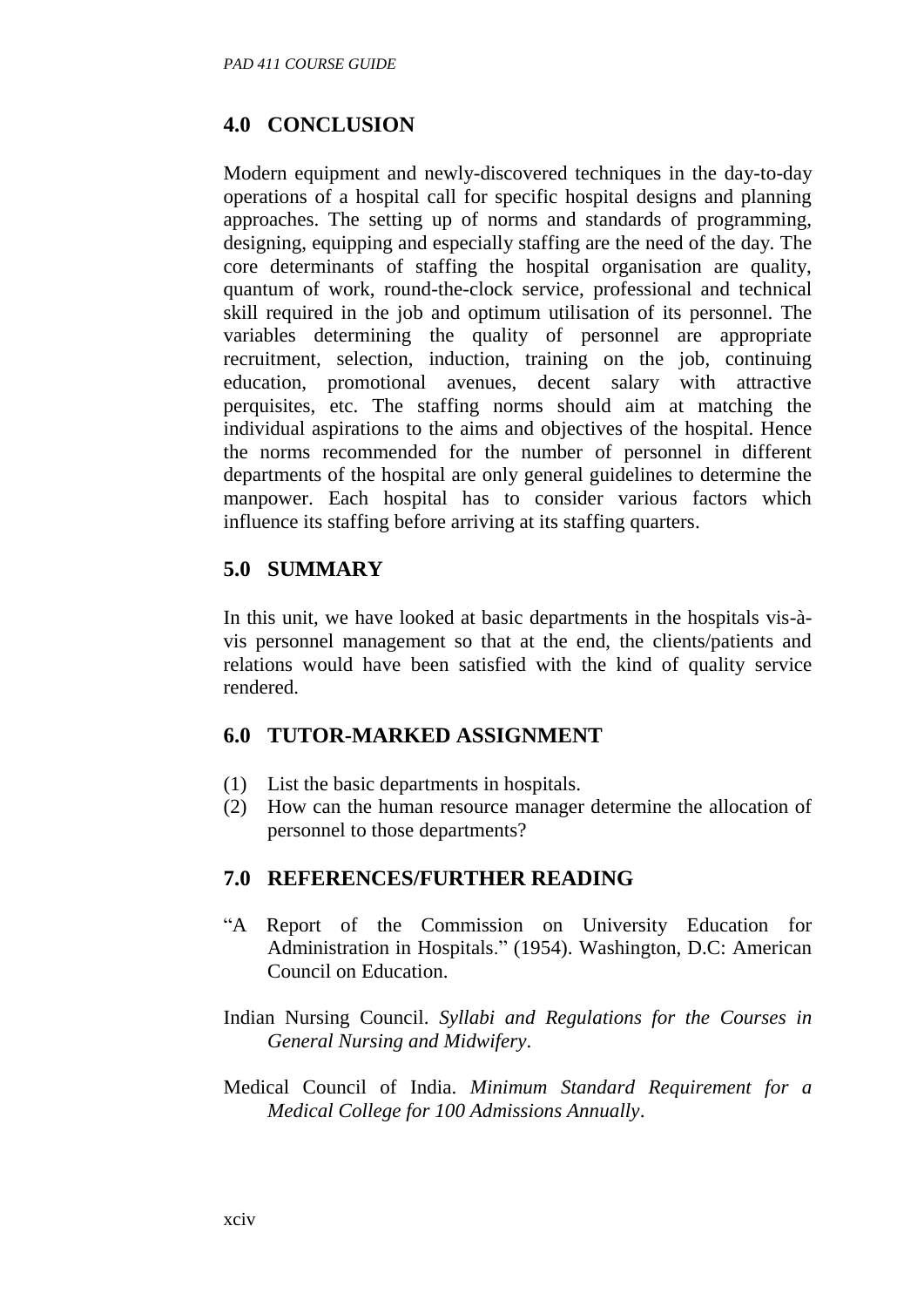### **4.0 CONCLUSION**

Modern equipment and newly-discovered techniques in the day-to-day operations of a hospital call for specific hospital designs and planning approaches. The setting up of norms and standards of programming, designing, equipping and especially staffing are the need of the day. The core determinants of staffing the hospital organisation are quality, quantum of work, round-the-clock service, professional and technical skill required in the job and optimum utilisation of its personnel. The variables determining the quality of personnel are appropriate recruitment, selection, induction, training on the job, continuing education, promotional avenues, decent salary with attractive perquisites, etc. The staffing norms should aim at matching the individual aspirations to the aims and objectives of the hospital. Hence the norms recommended for the number of personnel in different departments of the hospital are only general guidelines to determine the manpower. Each hospital has to consider various factors which influence its staffing before arriving at its staffing quarters.

### **5.0 SUMMARY**

In this unit, we have looked at basic departments in the hospitals vis-àvis personnel management so that at the end, the clients/patients and relations would have been satisfied with the kind of quality service rendered.

### **6.0 TUTOR-MARKED ASSIGNMENT**

- (1) List the basic departments in hospitals.
- (2) How can the human resource manager determine the allocation of personnel to those departments?

#### **7.0 REFERENCES/FURTHER READING**

- "A Report of the Commission on University Education for Administration in Hospitals." (1954). Washington, D.C: American Council on Education.
- Indian Nursing Council. *Syllabi and Regulations for the Courses in General Nursing and Midwifery*.
- Medical Council of India. *Minimum Standard Requirement for a Medical College for 100 Admissions Annually*.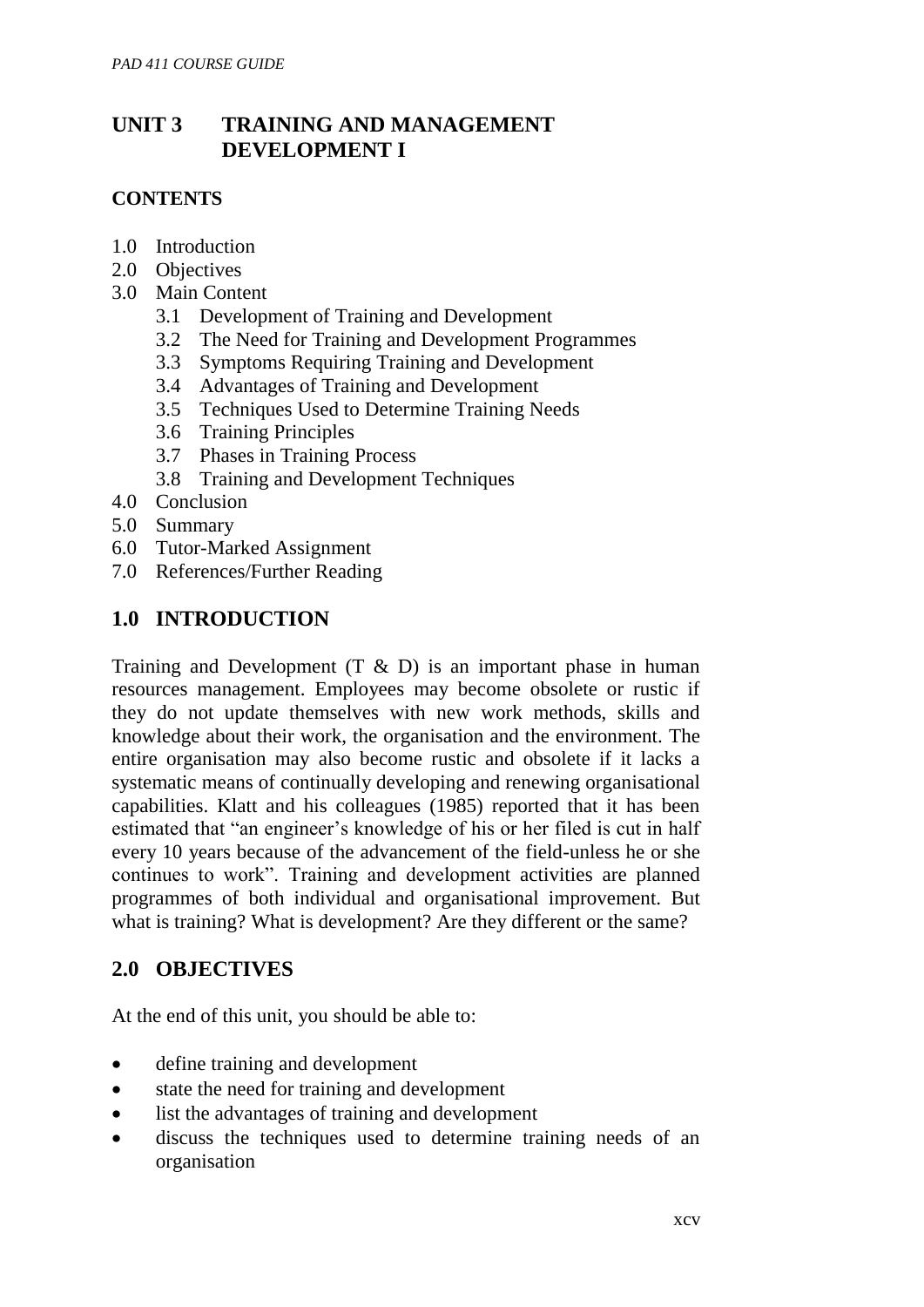# **UNIT 3 TRAINING AND MANAGEMENT DEVELOPMENT I**

#### **CONTENTS**

- 1.0 Introduction
- 2.0 Objectives
- 3.0 Main Content
	- 3.1 Development of Training and Development
	- 3.2 The Need for Training and Development Programmes
	- 3.3 Symptoms Requiring Training and Development
	- 3.4 Advantages of Training and Development
	- 3.5 Techniques Used to Determine Training Needs
	- 3.6 Training Principles
	- 3.7 Phases in Training Process
	- 3.8 Training and Development Techniques
- 4.0 Conclusion
- 5.0 Summary
- 6.0 Tutor-Marked Assignment
- 7.0 References/Further Reading

### **1.0 INTRODUCTION**

Training and Development  $(T \& D)$  is an important phase in human resources management. Employees may become obsolete or rustic if they do not update themselves with new work methods, skills and knowledge about their work, the organisation and the environment. The entire organisation may also become rustic and obsolete if it lacks a systematic means of continually developing and renewing organisational capabilities. Klatt and his colleagues (1985) reported that it has been estimated that "an engineer"s knowledge of his or her filed is cut in half every 10 years because of the advancement of the field-unless he or she continues to work". Training and development activities are planned programmes of both individual and organisational improvement. But what is training? What is development? Are they different or the same?

### **2.0 OBJECTIVES**

At the end of this unit, you should be able to:

- define training and development
- state the need for training and development
- list the advantages of training and development
- discuss the techniques used to determine training needs of an organisation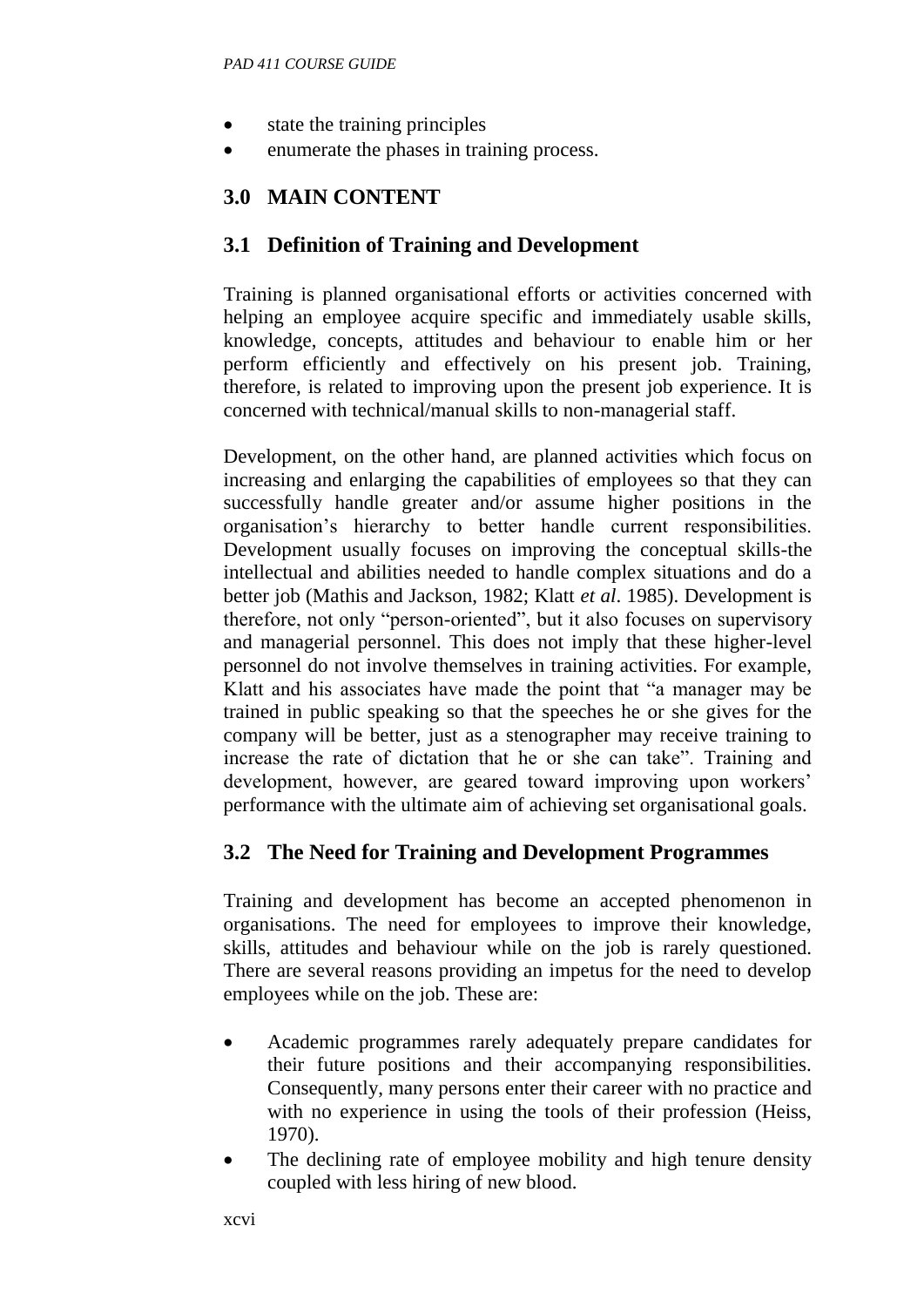- state the training principles
- enumerate the phases in training process.

# **3.0 MAIN CONTENT**

## **3.1 Definition of Training and Development**

Training is planned organisational efforts or activities concerned with helping an employee acquire specific and immediately usable skills. knowledge, concepts, attitudes and behaviour to enable him or her perform efficiently and effectively on his present job. Training, therefore, is related to improving upon the present job experience. It is concerned with technical/manual skills to non-managerial staff.

Development, on the other hand, are planned activities which focus on increasing and enlarging the capabilities of employees so that they can successfully handle greater and/or assume higher positions in the organisation"s hierarchy to better handle current responsibilities. Development usually focuses on improving the conceptual skills-the intellectual and abilities needed to handle complex situations and do a better job (Mathis and Jackson, 1982; Klatt *et al*. 1985). Development is therefore, not only "person-oriented", but it also focuses on supervisory and managerial personnel. This does not imply that these higher-level personnel do not involve themselves in training activities. For example, Klatt and his associates have made the point that "a manager may be trained in public speaking so that the speeches he or she gives for the company will be better, just as a stenographer may receive training to increase the rate of dictation that he or she can take". Training and development, however, are geared toward improving upon workers' performance with the ultimate aim of achieving set organisational goals.

# **3.2 The Need for Training and Development Programmes**

Training and development has become an accepted phenomenon in organisations. The need for employees to improve their knowledge, skills, attitudes and behaviour while on the job is rarely questioned. There are several reasons providing an impetus for the need to develop employees while on the job. These are:

- Academic programmes rarely adequately prepare candidates for their future positions and their accompanying responsibilities. Consequently, many persons enter their career with no practice and with no experience in using the tools of their profession (Heiss, 1970).
- The declining rate of employee mobility and high tenure density coupled with less hiring of new blood.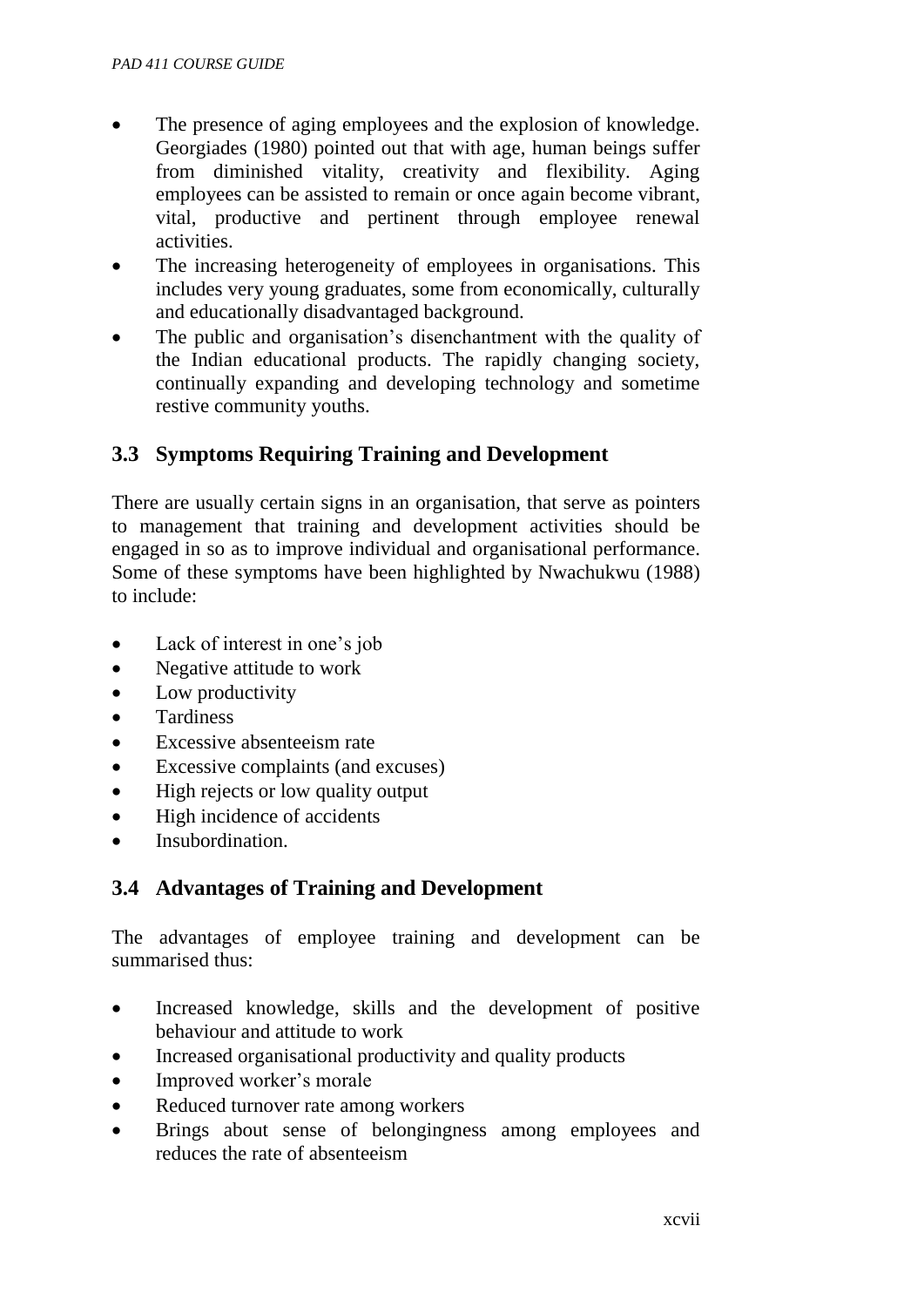- The presence of aging employees and the explosion of knowledge. Georgiades (1980) pointed out that with age, human beings suffer from diminished vitality, creativity and flexibility. Aging employees can be assisted to remain or once again become vibrant, vital, productive and pertinent through employee renewal activities.
- The increasing heterogeneity of employees in organisations. This includes very young graduates, some from economically, culturally and educationally disadvantaged background.
- The public and organisation's disenchantment with the quality of the Indian educational products. The rapidly changing society, continually expanding and developing technology and sometime restive community youths.

# **3.3 Symptoms Requiring Training and Development**

There are usually certain signs in an organisation, that serve as pointers to management that training and development activities should be engaged in so as to improve individual and organisational performance. Some of these symptoms have been highlighted by Nwachukwu (1988) to include:

- Lack of interest in one's job
- Negative attitude to work
- Low productivity
- **•** Tardiness
- Excessive absenteeism rate
- Excessive complaints (and excuses)
- High rejects or low quality output
- High incidence of accidents
- Insubordination.

# **3.4 Advantages of Training and Development**

The advantages of employee training and development can be summarised thus:

- Increased knowledge, skills and the development of positive behaviour and attitude to work
- Increased organisational productivity and quality products
- Improved worker's morale
- Reduced turnover rate among workers
- Brings about sense of belongingness among employees and reduces the rate of absenteeism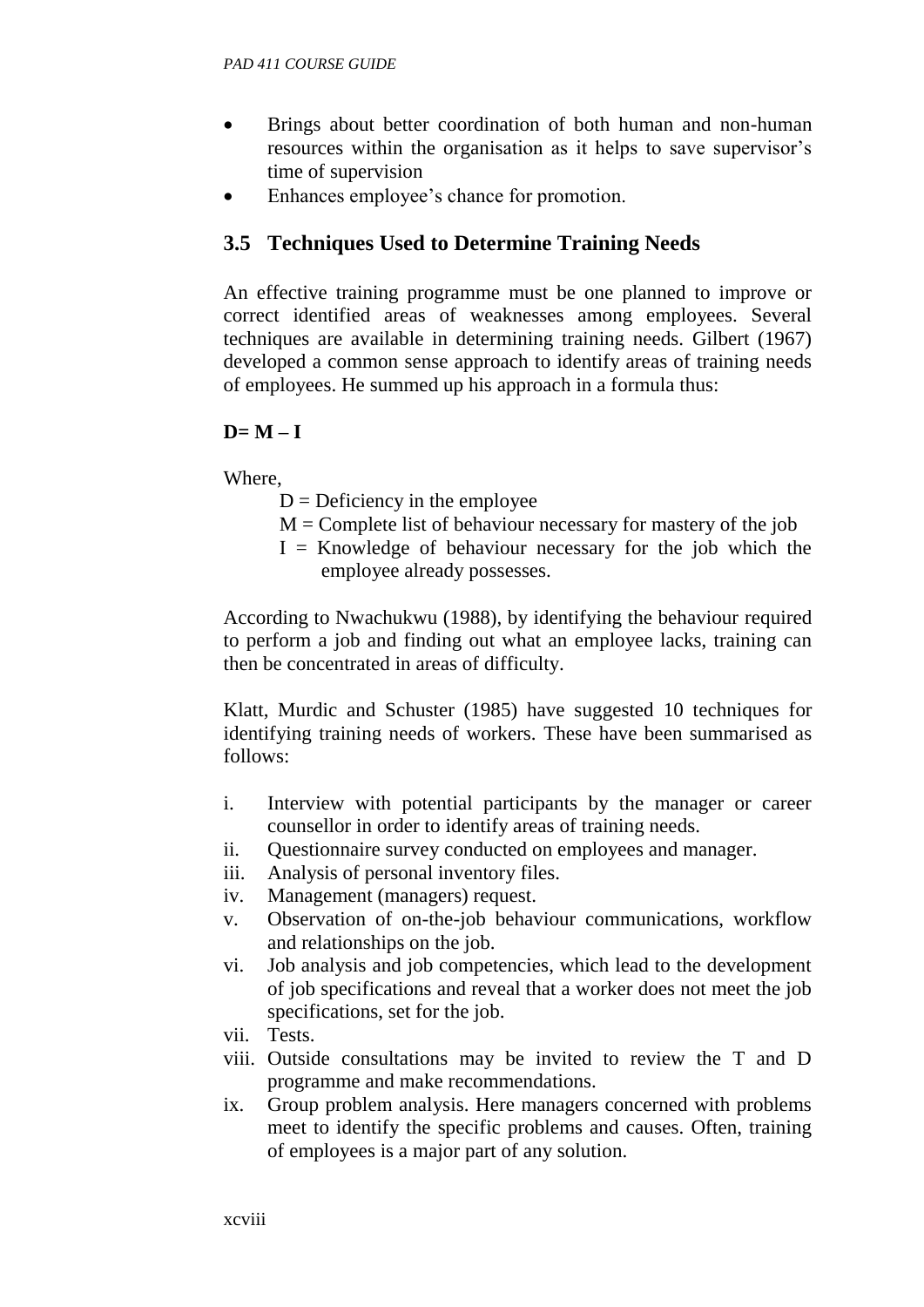- Brings about better coordination of both human and non-human resources within the organisation as it helps to save supervisor's time of supervision
- Enhances employee's chance for promotion.

# **3.5 Techniques Used to Determine Training Needs**

An effective training programme must be one planned to improve or correct identified areas of weaknesses among employees. Several techniques are available in determining training needs. Gilbert (1967) developed a common sense approach to identify areas of training needs of employees. He summed up his approach in a formula thus:

### $D= M - I$

Where,

 $D =$  Deficiency in the employee

- $M =$ Complete list of behaviour necessary for mastery of the job
- $I =$  Knowledge of behaviour necessary for the job which the employee already possesses.

According to Nwachukwu (1988), by identifying the behaviour required to perform a job and finding out what an employee lacks, training can then be concentrated in areas of difficulty.

Klatt, Murdic and Schuster (1985) have suggested 10 techniques for identifying training needs of workers. These have been summarised as follows:

- i. Interview with potential participants by the manager or career counsellor in order to identify areas of training needs.
- ii. Questionnaire survey conducted on employees and manager.
- iii. Analysis of personal inventory files.
- iv. Management (managers) request.
- v. Observation of on-the-job behaviour communications, workflow and relationships on the job.
- vi. Job analysis and job competencies, which lead to the development of job specifications and reveal that a worker does not meet the job specifications, set for the job.
- vii. Tests.
- viii. Outside consultations may be invited to review the T and D programme and make recommendations.
- ix. Group problem analysis. Here managers concerned with problems meet to identify the specific problems and causes. Often, training of employees is a major part of any solution.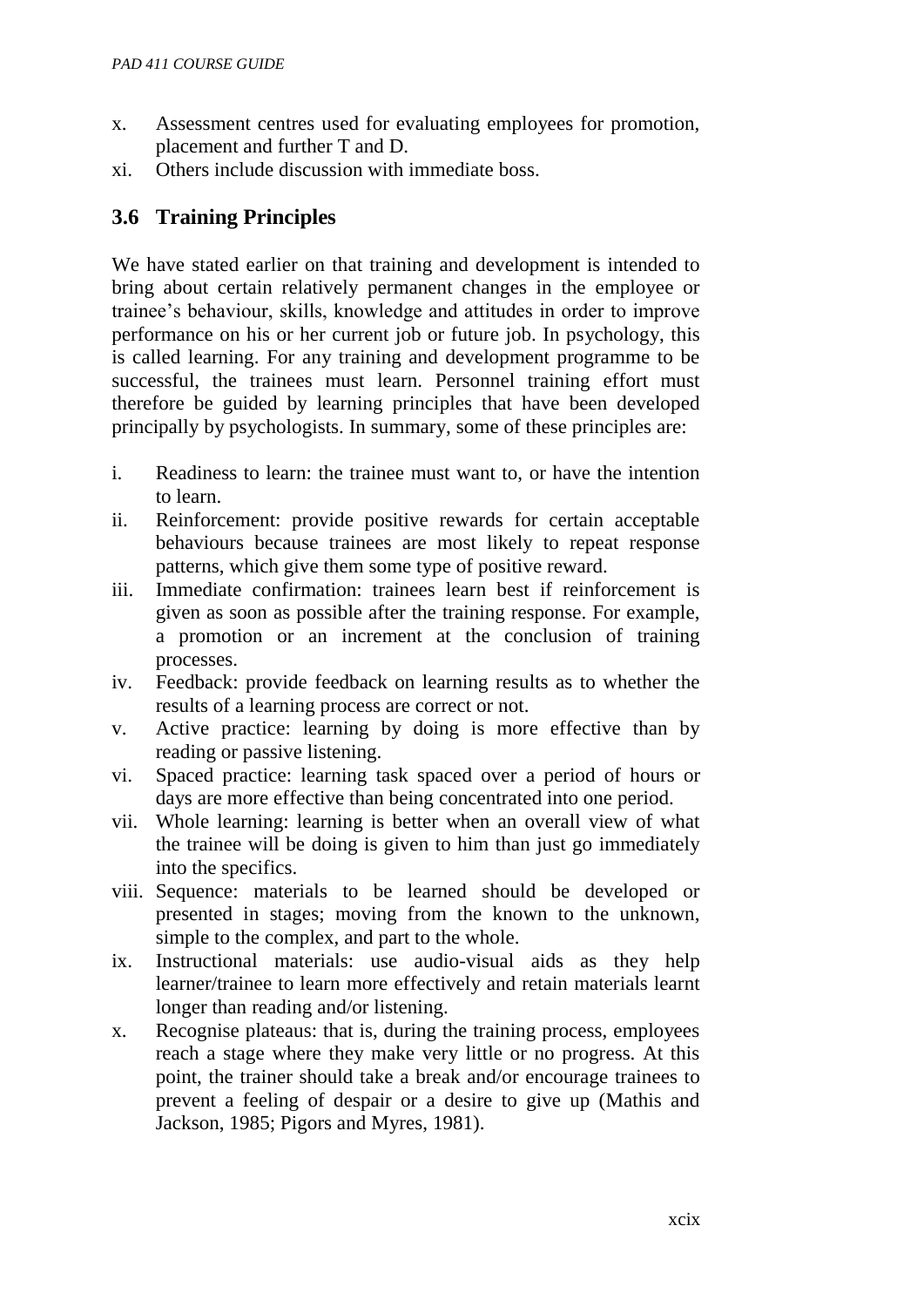- x. Assessment centres used for evaluating employees for promotion, placement and further T and D.
- xi. Others include discussion with immediate boss.

# **3.6 Training Principles**

We have stated earlier on that training and development is intended to bring about certain relatively permanent changes in the employee or trainee"s behaviour, skills, knowledge and attitudes in order to improve performance on his or her current job or future job. In psychology, this is called learning. For any training and development programme to be successful, the trainees must learn. Personnel training effort must therefore be guided by learning principles that have been developed principally by psychologists. In summary, some of these principles are:

- i. Readiness to learn: the trainee must want to, or have the intention to learn.
- ii. Reinforcement: provide positive rewards for certain acceptable behaviours because trainees are most likely to repeat response patterns, which give them some type of positive reward.
- iii. Immediate confirmation: trainees learn best if reinforcement is given as soon as possible after the training response. For example, a promotion or an increment at the conclusion of training processes.
- iv. Feedback: provide feedback on learning results as to whether the results of a learning process are correct or not.
- v. Active practice: learning by doing is more effective than by reading or passive listening.
- vi. Spaced practice: learning task spaced over a period of hours or days are more effective than being concentrated into one period.
- vii. Whole learning: learning is better when an overall view of what the trainee will be doing is given to him than just go immediately into the specifics.
- viii. Sequence: materials to be learned should be developed or presented in stages; moving from the known to the unknown, simple to the complex, and part to the whole.
- ix. Instructional materials: use audio-visual aids as they help learner/trainee to learn more effectively and retain materials learnt longer than reading and/or listening.
- x. Recognise plateaus: that is, during the training process, employees reach a stage where they make very little or no progress. At this point, the trainer should take a break and/or encourage trainees to prevent a feeling of despair or a desire to give up (Mathis and Jackson, 1985; Pigors and Myres, 1981).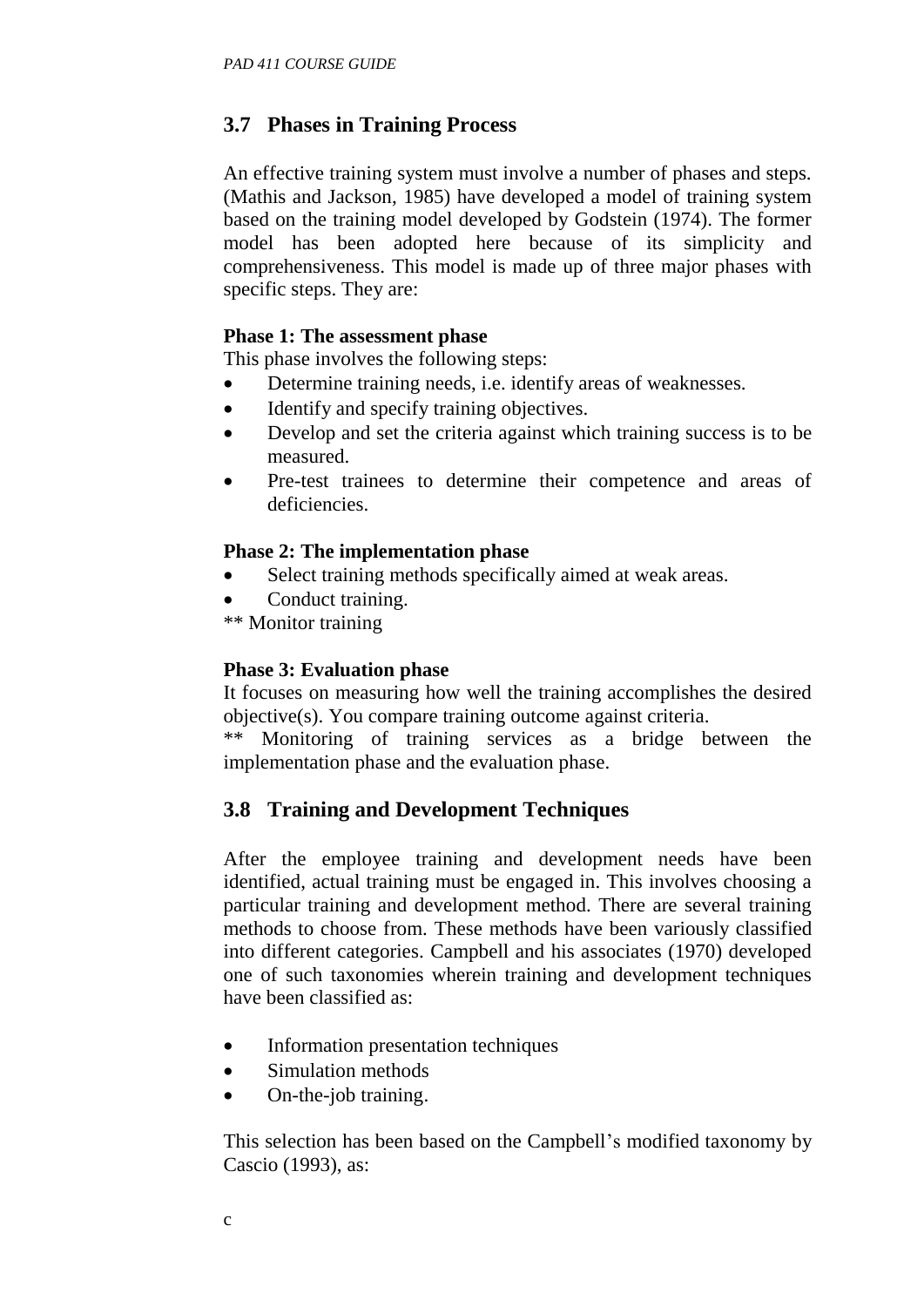## **3.7 Phases in Training Process**

An effective training system must involve a number of phases and steps. (Mathis and Jackson, 1985) have developed a model of training system based on the training model developed by Godstein (1974). The former model has been adopted here because of its simplicity and comprehensiveness. This model is made up of three major phases with specific steps. They are:

#### **Phase 1: The assessment phase**

This phase involves the following steps:

- Determine training needs, i.e. identify areas of weaknesses.
- Identify and specify training objectives.
- Develop and set the criteria against which training success is to be measured.
- Pre-test trainees to determine their competence and areas of deficiencies.

#### **Phase 2: The implementation phase**

- Select training methods specifically aimed at weak areas.
- Conduct training.

\*\* Monitor training

#### **Phase 3: Evaluation phase**

It focuses on measuring how well the training accomplishes the desired objective(s). You compare training outcome against criteria.

\*\* Monitoring of training services as a bridge between the implementation phase and the evaluation phase.

### **3.8 Training and Development Techniques**

After the employee training and development needs have been identified, actual training must be engaged in. This involves choosing a particular training and development method. There are several training methods to choose from. These methods have been variously classified into different categories. Campbell and his associates (1970) developed one of such taxonomies wherein training and development techniques have been classified as:

- Information presentation techniques
- Simulation methods
- On-the-job training.

This selection has been based on the Campbell"s modified taxonomy by Cascio (1993), as: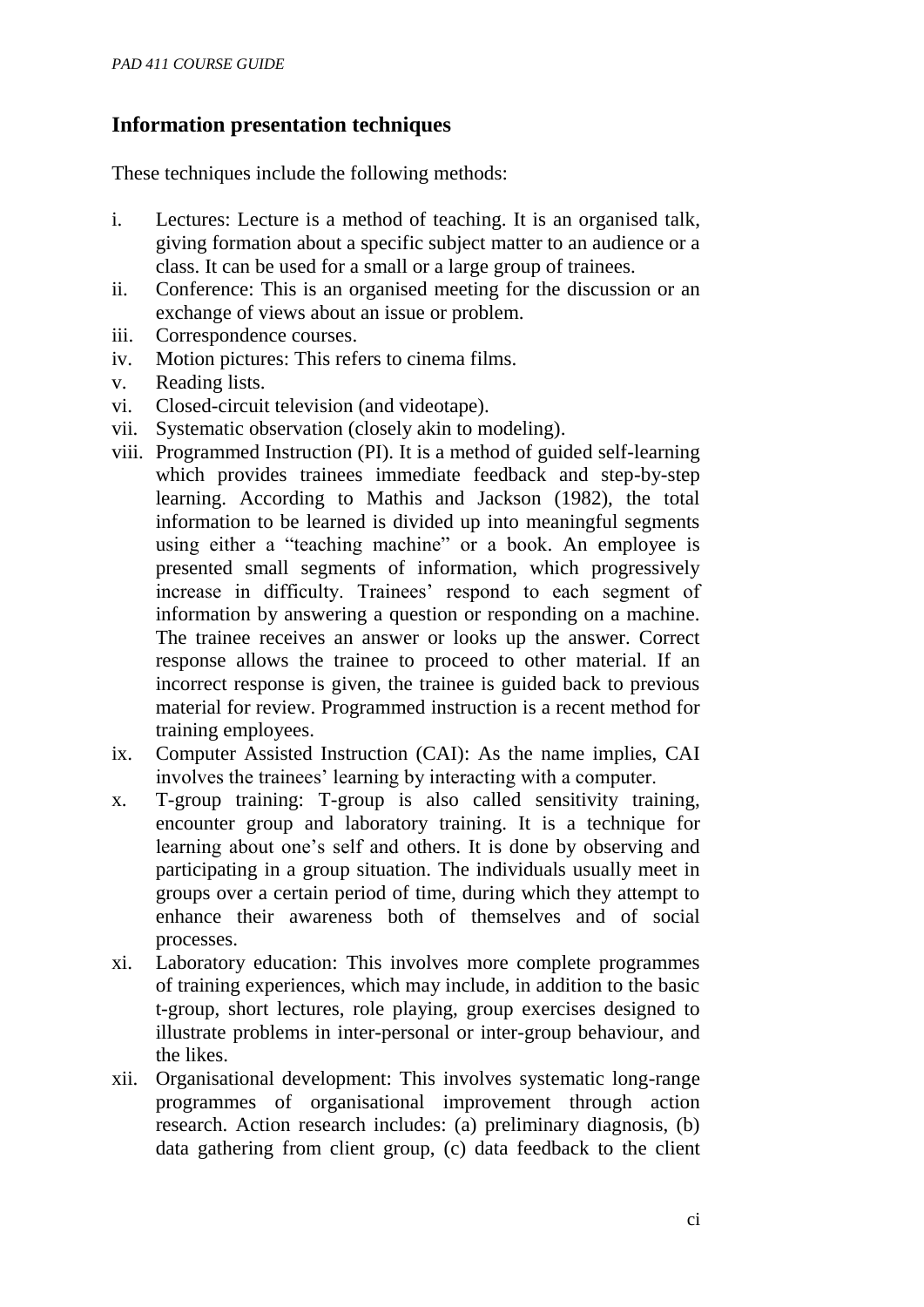## **Information presentation techniques**

These techniques include the following methods:

- i. Lectures: Lecture is a method of teaching. It is an organised talk, giving formation about a specific subject matter to an audience or a class. It can be used for a small or a large group of trainees.
- ii. Conference: This is an organised meeting for the discussion or an exchange of views about an issue or problem.
- iii. Correspondence courses.
- iv. Motion pictures: This refers to cinema films.
- v. Reading lists.
- vi. Closed-circuit television (and videotape).
- vii. Systematic observation (closely akin to modeling).
- viii. Programmed Instruction (PI). It is a method of guided self-learning which provides trainees immediate feedback and step-by-step learning. According to Mathis and Jackson (1982), the total information to be learned is divided up into meaningful segments using either a "teaching machine" or a book. An employee is presented small segments of information, which progressively increase in difficulty. Trainees' respond to each segment of information by answering a question or responding on a machine. The trainee receives an answer or looks up the answer. Correct response allows the trainee to proceed to other material. If an incorrect response is given, the trainee is guided back to previous material for review. Programmed instruction is a recent method for training employees.
- ix. Computer Assisted Instruction (CAI): As the name implies, CAI involves the trainees" learning by interacting with a computer.
- x. T-group training: T-group is also called sensitivity training, encounter group and laboratory training. It is a technique for learning about one's self and others. It is done by observing and participating in a group situation. The individuals usually meet in groups over a certain period of time, during which they attempt to enhance their awareness both of themselves and of social processes.
- xi. Laboratory education: This involves more complete programmes of training experiences, which may include, in addition to the basic t-group, short lectures, role playing, group exercises designed to illustrate problems in inter-personal or inter-group behaviour, and the likes.
- xii. Organisational development: This involves systematic long-range programmes of organisational improvement through action research. Action research includes: (a) preliminary diagnosis, (b) data gathering from client group, (c) data feedback to the client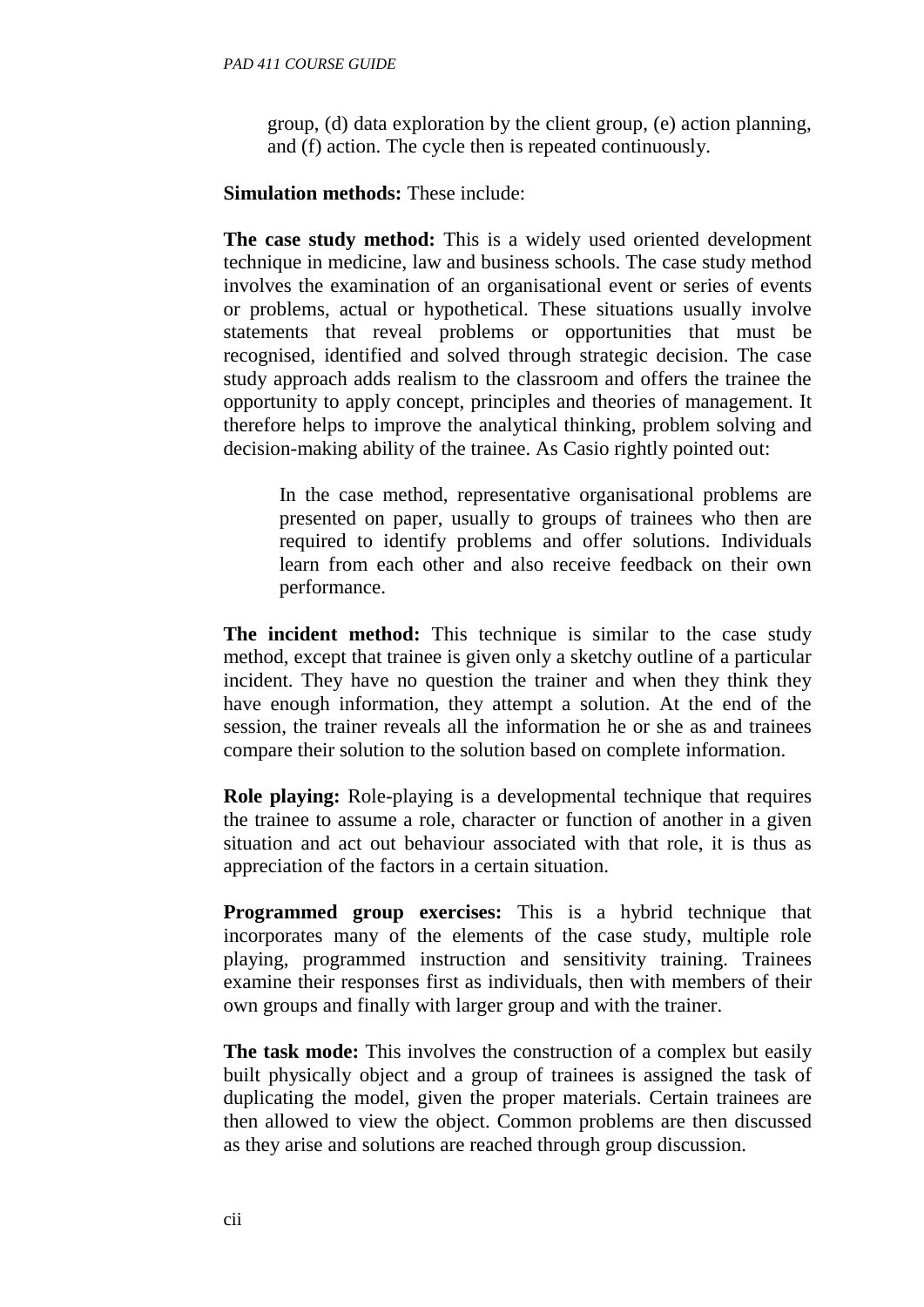group, (d) data exploration by the client group, (e) action planning, and (f) action. The cycle then is repeated continuously.

**Simulation methods:** These include:

**The case study method:** This is a widely used oriented development technique in medicine, law and business schools. The case study method involves the examination of an organisational event or series of events or problems, actual or hypothetical. These situations usually involve statements that reveal problems or opportunities that must be recognised, identified and solved through strategic decision. The case study approach adds realism to the classroom and offers the trainee the opportunity to apply concept, principles and theories of management. It therefore helps to improve the analytical thinking, problem solving and decision-making ability of the trainee. As Casio rightly pointed out:

In the case method, representative organisational problems are presented on paper, usually to groups of trainees who then are required to identify problems and offer solutions. Individuals learn from each other and also receive feedback on their own performance.

**The incident method:** This technique is similar to the case study method, except that trainee is given only a sketchy outline of a particular incident. They have no question the trainer and when they think they have enough information, they attempt a solution. At the end of the session, the trainer reveals all the information he or she as and trainees compare their solution to the solution based on complete information.

**Role playing:** Role-playing is a developmental technique that requires the trainee to assume a role, character or function of another in a given situation and act out behaviour associated with that role, it is thus as appreciation of the factors in a certain situation.

**Programmed group exercises:** This is a hybrid technique that incorporates many of the elements of the case study, multiple role playing, programmed instruction and sensitivity training. Trainees examine their responses first as individuals, then with members of their own groups and finally with larger group and with the trainer.

**The task mode:** This involves the construction of a complex but easily built physically object and a group of trainees is assigned the task of duplicating the model, given the proper materials. Certain trainees are then allowed to view the object. Common problems are then discussed as they arise and solutions are reached through group discussion.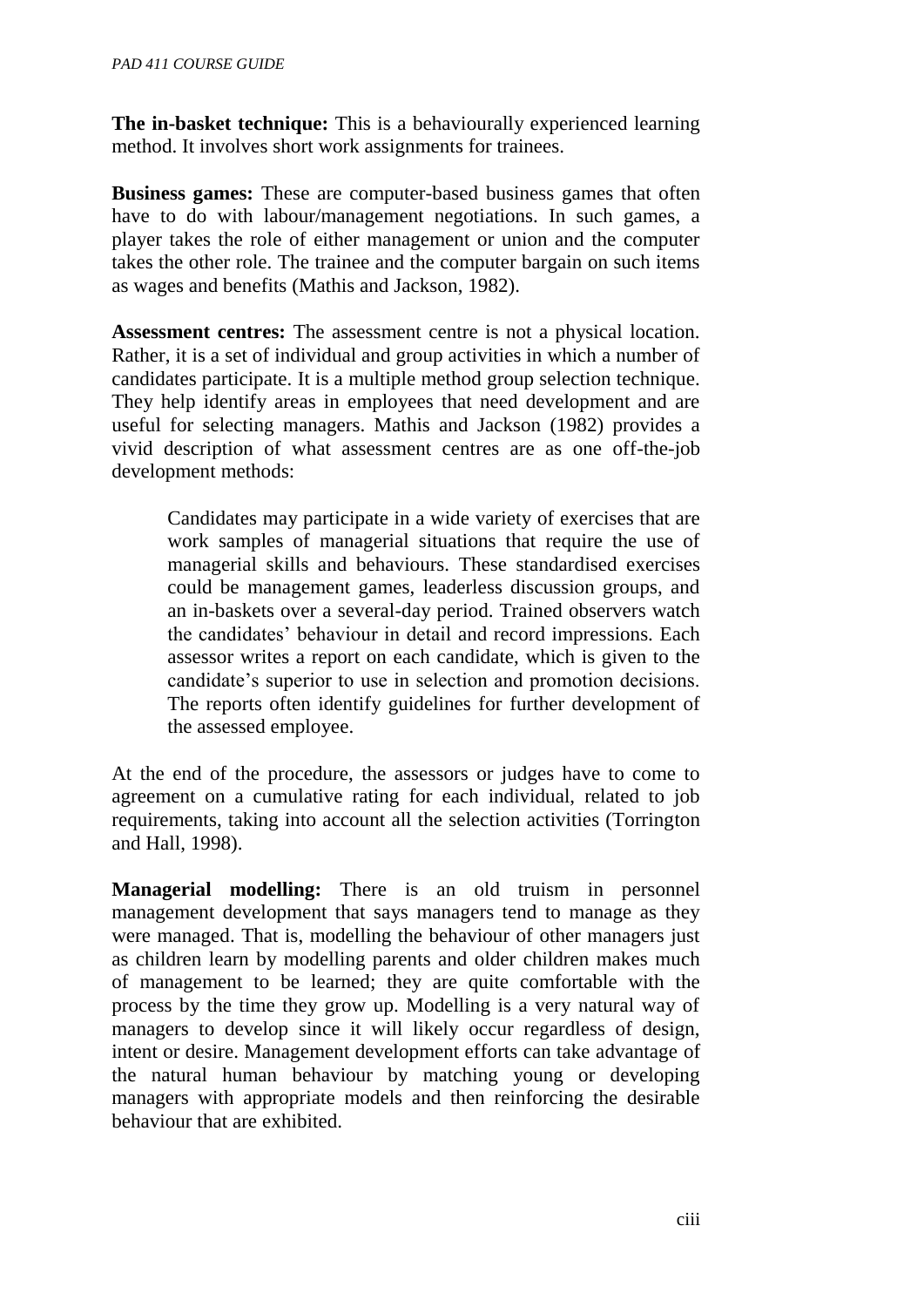**The in-basket technique:** This is a behaviourally experienced learning method. It involves short work assignments for trainees.

**Business games:** These are computer-based business games that often have to do with labour/management negotiations. In such games, a player takes the role of either management or union and the computer takes the other role. The trainee and the computer bargain on such items as wages and benefits (Mathis and Jackson, 1982).

**Assessment centres:** The assessment centre is not a physical location. Rather, it is a set of individual and group activities in which a number of candidates participate. It is a multiple method group selection technique. They help identify areas in employees that need development and are useful for selecting managers. Mathis and Jackson (1982) provides a vivid description of what assessment centres are as one off-the-job development methods:

Candidates may participate in a wide variety of exercises that are work samples of managerial situations that require the use of managerial skills and behaviours. These standardised exercises could be management games, leaderless discussion groups, and an in-baskets over a several-day period. Trained observers watch the candidates" behaviour in detail and record impressions. Each assessor writes a report on each candidate, which is given to the candidate"s superior to use in selection and promotion decisions. The reports often identify guidelines for further development of the assessed employee.

At the end of the procedure, the assessors or judges have to come to agreement on a cumulative rating for each individual, related to job requirements, taking into account all the selection activities (Torrington and Hall, 1998).

**Managerial modelling:** There is an old truism in personnel management development that says managers tend to manage as they were managed. That is, modelling the behaviour of other managers just as children learn by modelling parents and older children makes much of management to be learned; they are quite comfortable with the process by the time they grow up. Modelling is a very natural way of managers to develop since it will likely occur regardless of design, intent or desire. Management development efforts can take advantage of the natural human behaviour by matching young or developing managers with appropriate models and then reinforcing the desirable behaviour that are exhibited.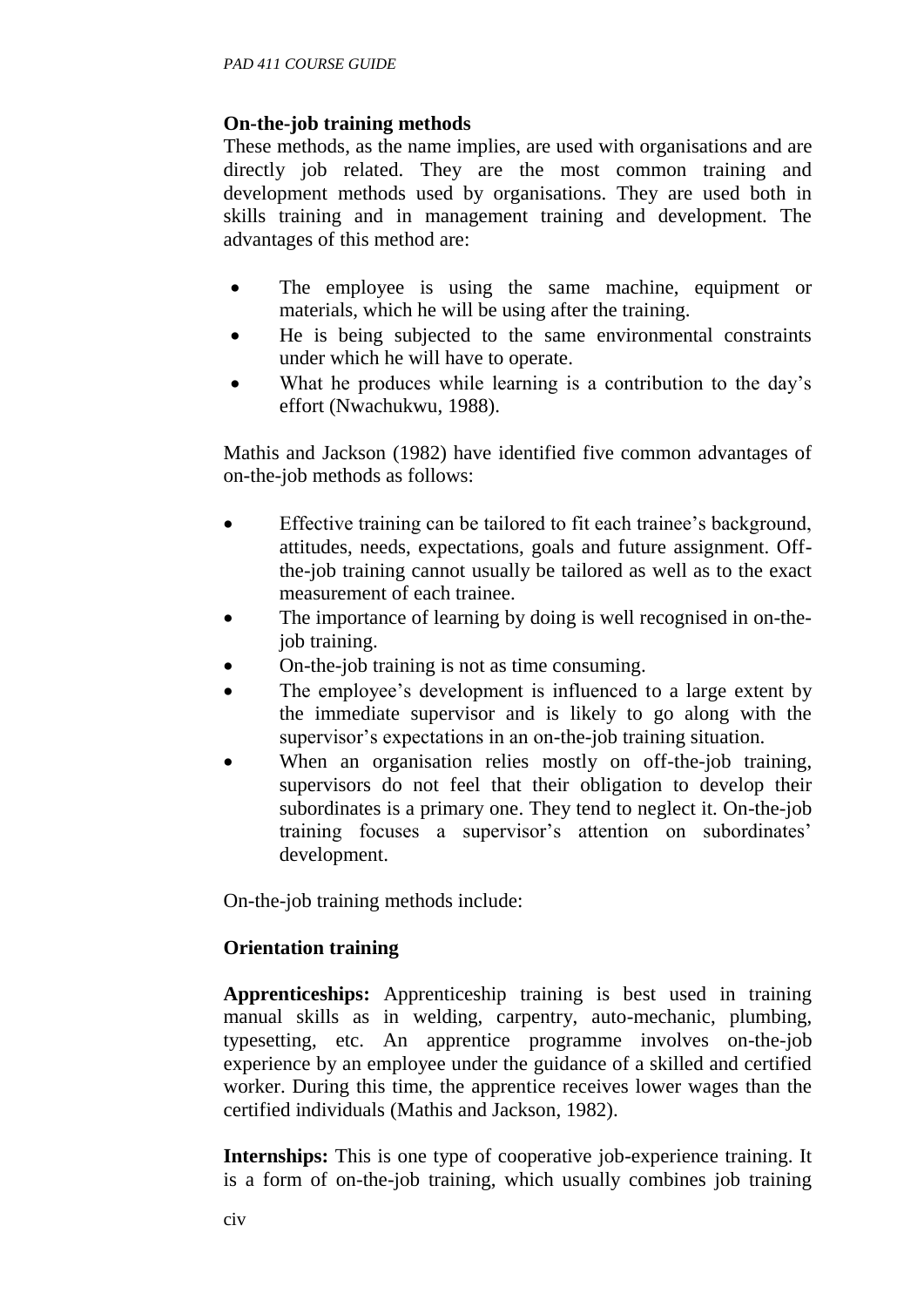### **On-the-job training methods**

These methods, as the name implies, are used with organisations and are directly job related. They are the most common training and development methods used by organisations. They are used both in skills training and in management training and development. The advantages of this method are:

- The employee is using the same machine, equipment or materials, which he will be using after the training.
- He is being subjected to the same environmental constraints under which he will have to operate.
- What he produces while learning is a contribution to the day's effort (Nwachukwu, 1988).

Mathis and Jackson (1982) have identified five common advantages of on-the-job methods as follows:

- Effective training can be tailored to fit each trainee"s background, attitudes, needs, expectations, goals and future assignment. Offthe-job training cannot usually be tailored as well as to the exact measurement of each trainee.
- The importance of learning by doing is well recognised in on-thejob training.
- On-the-job training is not as time consuming.
- The employee's development is influenced to a large extent by the immediate supervisor and is likely to go along with the supervisor's expectations in an on-the-job training situation.
- When an organisation relies mostly on off-the-job training, supervisors do not feel that their obligation to develop their subordinates is a primary one. They tend to neglect it. On-the-job training focuses a supervisor's attention on subordinates' development.

On-the-job training methods include:

### **Orientation training**

**Apprenticeships:** Apprenticeship training is best used in training manual skills as in welding, carpentry, auto-mechanic, plumbing, typesetting, etc. An apprentice programme involves on-the-job experience by an employee under the guidance of a skilled and certified worker. During this time, the apprentice receives lower wages than the certified individuals (Mathis and Jackson, 1982).

**Internships:** This is one type of cooperative job-experience training. It is a form of on-the-job training, which usually combines job training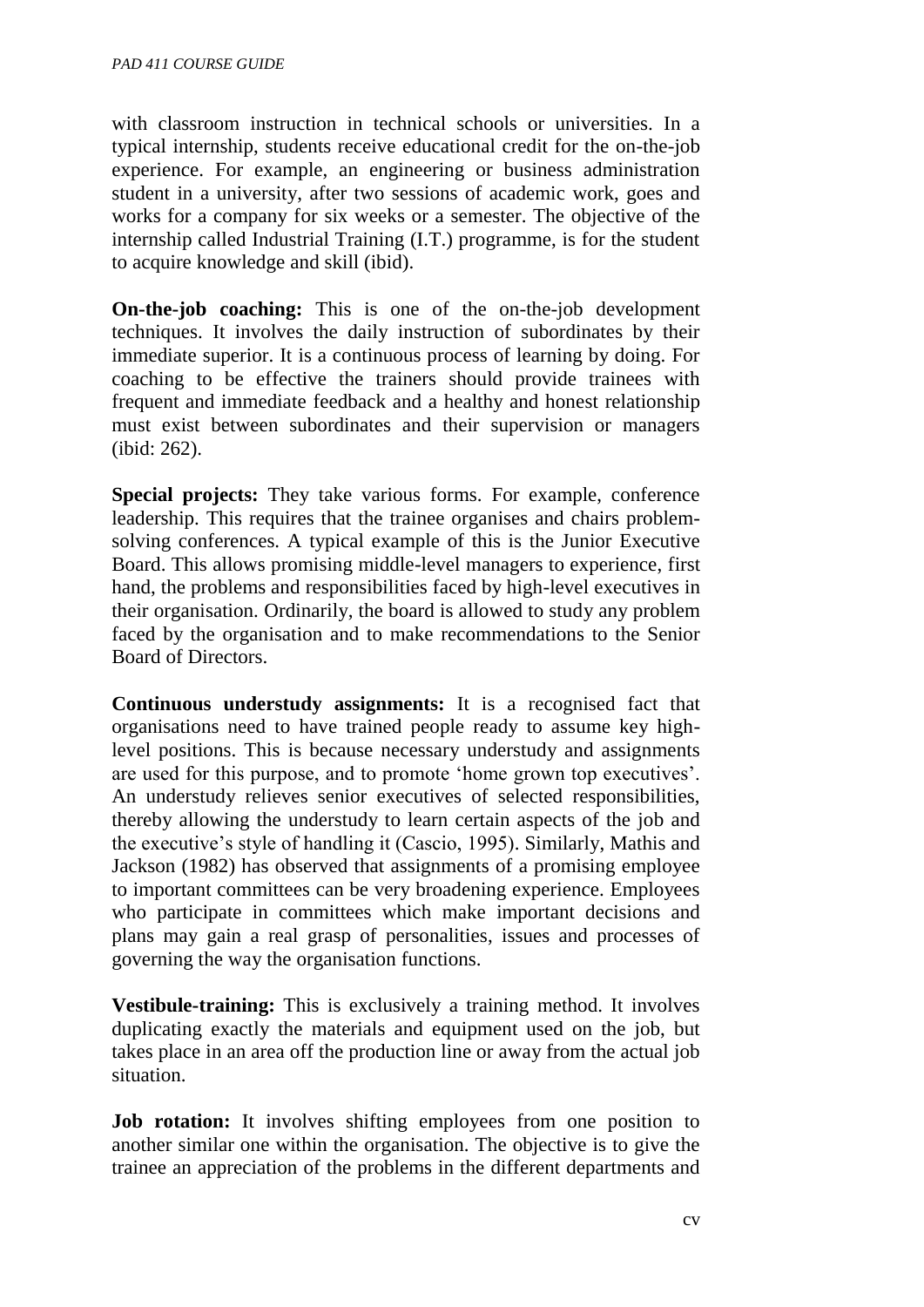with classroom instruction in technical schools or universities. In a typical internship, students receive educational credit for the on-the-job experience. For example, an engineering or business administration student in a university, after two sessions of academic work, goes and works for a company for six weeks or a semester. The objective of the internship called Industrial Training (I.T.) programme, is for the student to acquire knowledge and skill (ibid).

**On-the-job coaching:** This is one of the on-the-job development techniques. It involves the daily instruction of subordinates by their immediate superior. It is a continuous process of learning by doing. For coaching to be effective the trainers should provide trainees with frequent and immediate feedback and a healthy and honest relationship must exist between subordinates and their supervision or managers (ibid: 262).

**Special projects:** They take various forms. For example, conference leadership. This requires that the trainee organises and chairs problemsolving conferences. A typical example of this is the Junior Executive Board. This allows promising middle-level managers to experience, first hand, the problems and responsibilities faced by high-level executives in their organisation. Ordinarily, the board is allowed to study any problem faced by the organisation and to make recommendations to the Senior Board of Directors.

**Continuous understudy assignments:** It is a recognised fact that organisations need to have trained people ready to assume key highlevel positions. This is because necessary understudy and assignments are used for this purpose, and to promote "home grown top executives". An understudy relieves senior executives of selected responsibilities, thereby allowing the understudy to learn certain aspects of the job and the executive"s style of handling it (Cascio, 1995). Similarly, Mathis and Jackson (1982) has observed that assignments of a promising employee to important committees can be very broadening experience. Employees who participate in committees which make important decisions and plans may gain a real grasp of personalities, issues and processes of governing the way the organisation functions.

**Vestibule-training:** This is exclusively a training method. It involves duplicating exactly the materials and equipment used on the job, but takes place in an area off the production line or away from the actual job situation.

**Job rotation:** It involves shifting employees from one position to another similar one within the organisation. The objective is to give the trainee an appreciation of the problems in the different departments and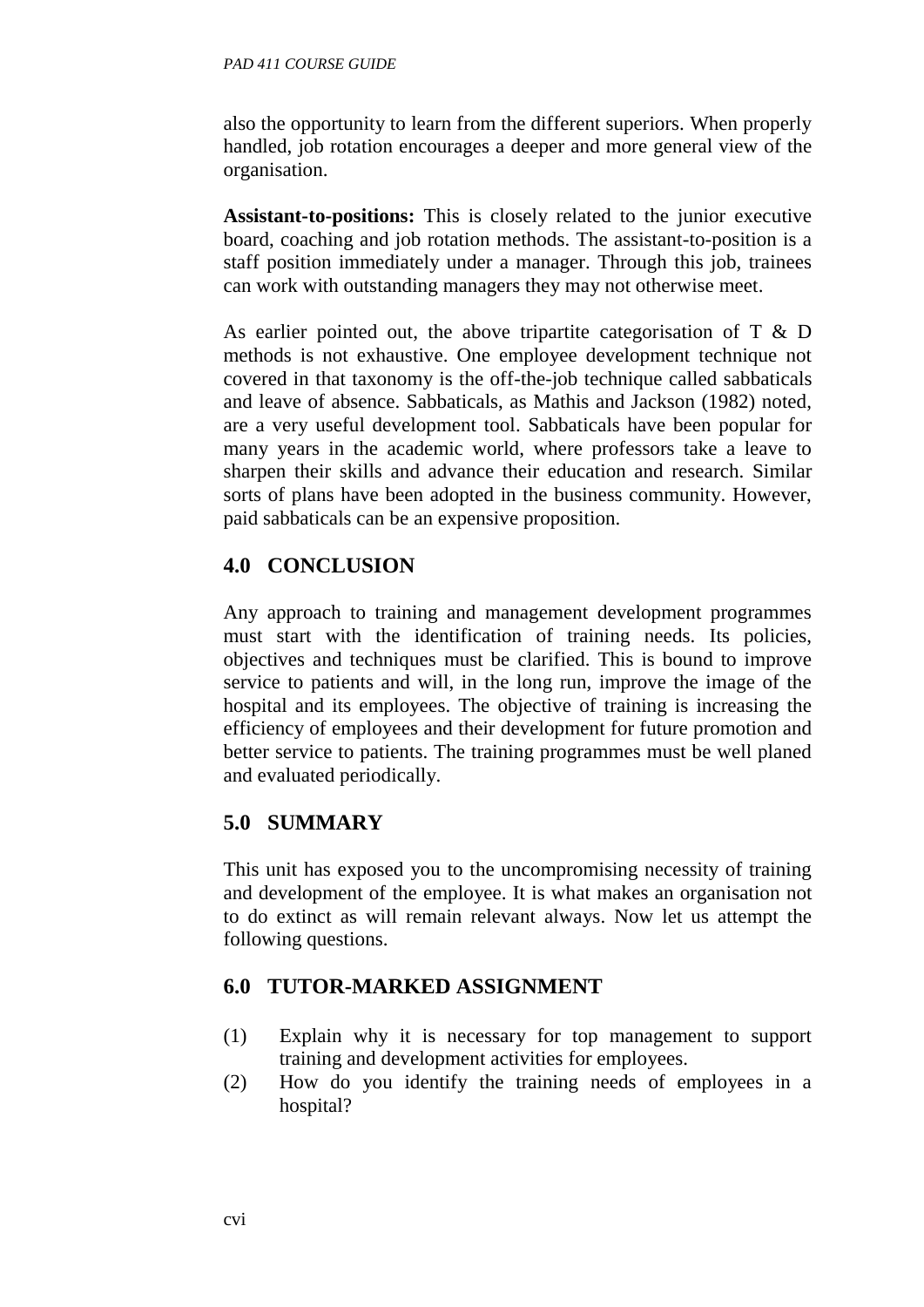#### *PAD 411 COURSE GUIDE*

also the opportunity to learn from the different superiors. When properly handled, job rotation encourages a deeper and more general view of the organisation.

**Assistant-to-positions:** This is closely related to the junior executive board, coaching and job rotation methods. The assistant-to-position is a staff position immediately under a manager. Through this job, trainees can work with outstanding managers they may not otherwise meet.

As earlier pointed out, the above tripartite categorisation of T & D methods is not exhaustive. One employee development technique not covered in that taxonomy is the off-the-job technique called sabbaticals and leave of absence. Sabbaticals, as Mathis and Jackson (1982) noted, are a very useful development tool. Sabbaticals have been popular for many years in the academic world, where professors take a leave to sharpen their skills and advance their education and research. Similar sorts of plans have been adopted in the business community. However, paid sabbaticals can be an expensive proposition.

### **4.0 CONCLUSION**

Any approach to training and management development programmes must start with the identification of training needs. Its policies, objectives and techniques must be clarified. This is bound to improve service to patients and will, in the long run, improve the image of the hospital and its employees. The objective of training is increasing the efficiency of employees and their development for future promotion and better service to patients. The training programmes must be well planed and evaluated periodically.

#### **5.0 SUMMARY**

This unit has exposed you to the uncompromising necessity of training and development of the employee. It is what makes an organisation not to do extinct as will remain relevant always. Now let us attempt the following questions.

### **6.0 TUTOR-MARKED ASSIGNMENT**

- (1) Explain why it is necessary for top management to support training and development activities for employees.
- (2) How do you identify the training needs of employees in a hospital?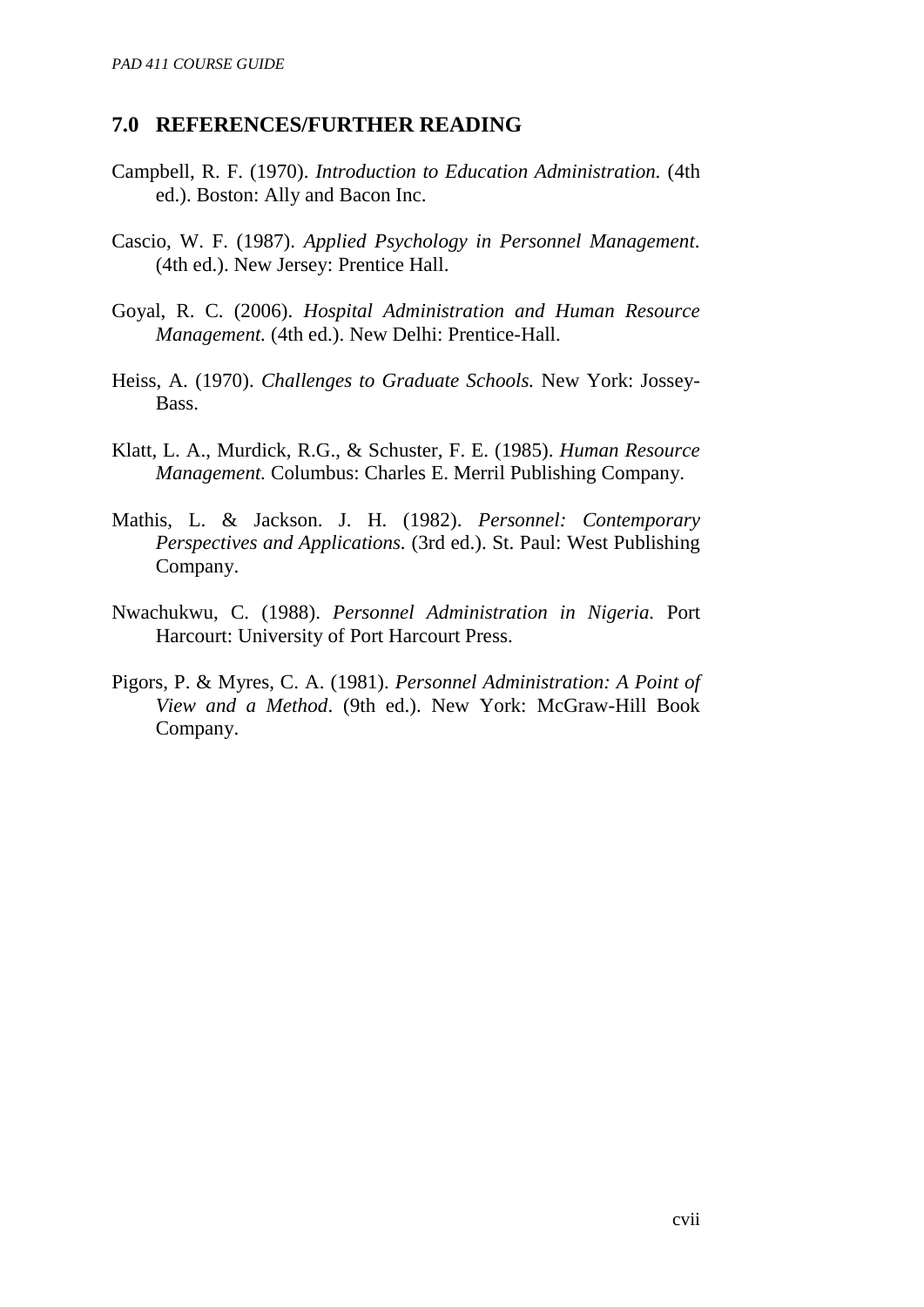#### **7.0 REFERENCES/FURTHER READING**

- Campbell, R. F. (1970). *Introduction to Education Administration.* (4th ed.). Boston: Ally and Bacon Inc.
- Cascio, W. F. (1987). *Applied Psychology in Personnel Management.* (4th ed.). New Jersey: Prentice Hall.
- Goyal, R. C. (2006). *Hospital Administration and Human Resource Management.* (4th ed.). New Delhi: Prentice-Hall.
- Heiss, A. (1970). *Challenges to Graduate Schools.* New York: Jossey-Bass.
- Klatt, L. A., Murdick, R.G., & Schuster, F. E. (1985). *Human Resource Management.* Columbus: Charles E. Merril Publishing Company.
- Mathis, L. & Jackson. J. H. (1982). *Personnel: Contemporary Perspectives and Applications.* (3rd ed.). St. Paul: West Publishing Company.
- Nwachukwu, C. (1988). *Personnel Administration in Nigeria.* Port Harcourt: University of Port Harcourt Press.
- Pigors, P. & Myres, C. A. (1981). *Personnel Administration: A Point of View and a Method*. (9th ed.). New York: McGraw-Hill Book Company.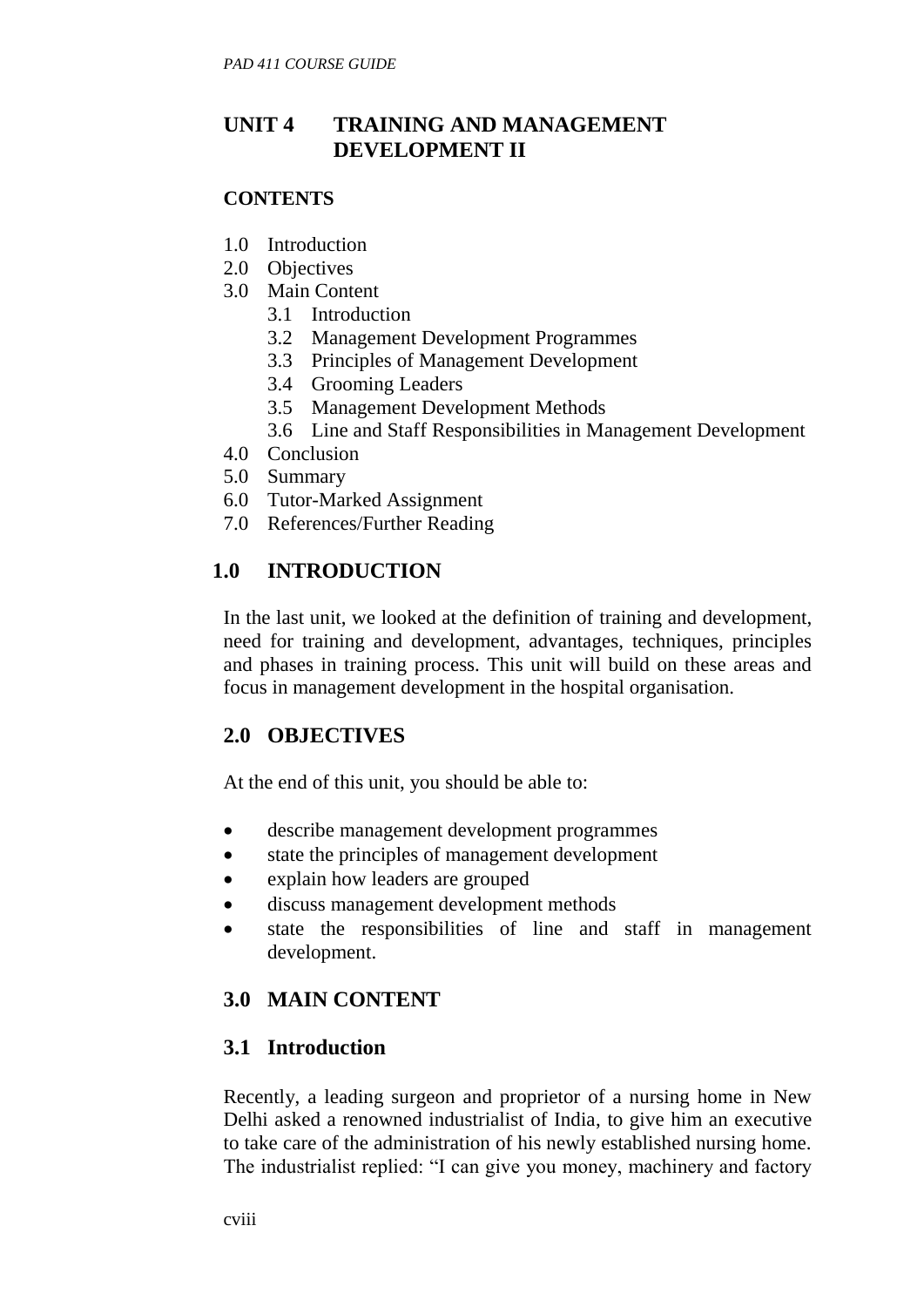# **UNIT 4 TRAINING AND MANAGEMENT DEVELOPMENT II**

#### **CONTENTS**

- 1.0 Introduction
- 2.0 Objectives
- 3.0 Main Content
	- 3.1 Introduction
	- 3.2 Management Development Programmes
	- 3.3 Principles of Management Development
	- 3.4 Grooming Leaders
	- 3.5 Management Development Methods
	- 3.6 Line and Staff Responsibilities in Management Development
- 4.0 Conclusion
- 5.0 Summary
- 6.0 Tutor-Marked Assignment
- 7.0 References/Further Reading

# **1.0 INTRODUCTION**

In the last unit, we looked at the definition of training and development, need for training and development, advantages, techniques, principles and phases in training process. This unit will build on these areas and focus in management development in the hospital organisation.

# **2.0 OBJECTIVES**

At the end of this unit, you should be able to:

- describe management development programmes
- state the principles of management development
- explain how leaders are grouped
- discuss management development methods
- state the responsibilities of line and staff in management development.

# **3.0 MAIN CONTENT**

# **3.1 Introduction**

Recently, a leading surgeon and proprietor of a nursing home in New Delhi asked a renowned industrialist of India, to give him an executive to take care of the administration of his newly established nursing home. The industrialist replied: "I can give you money, machinery and factory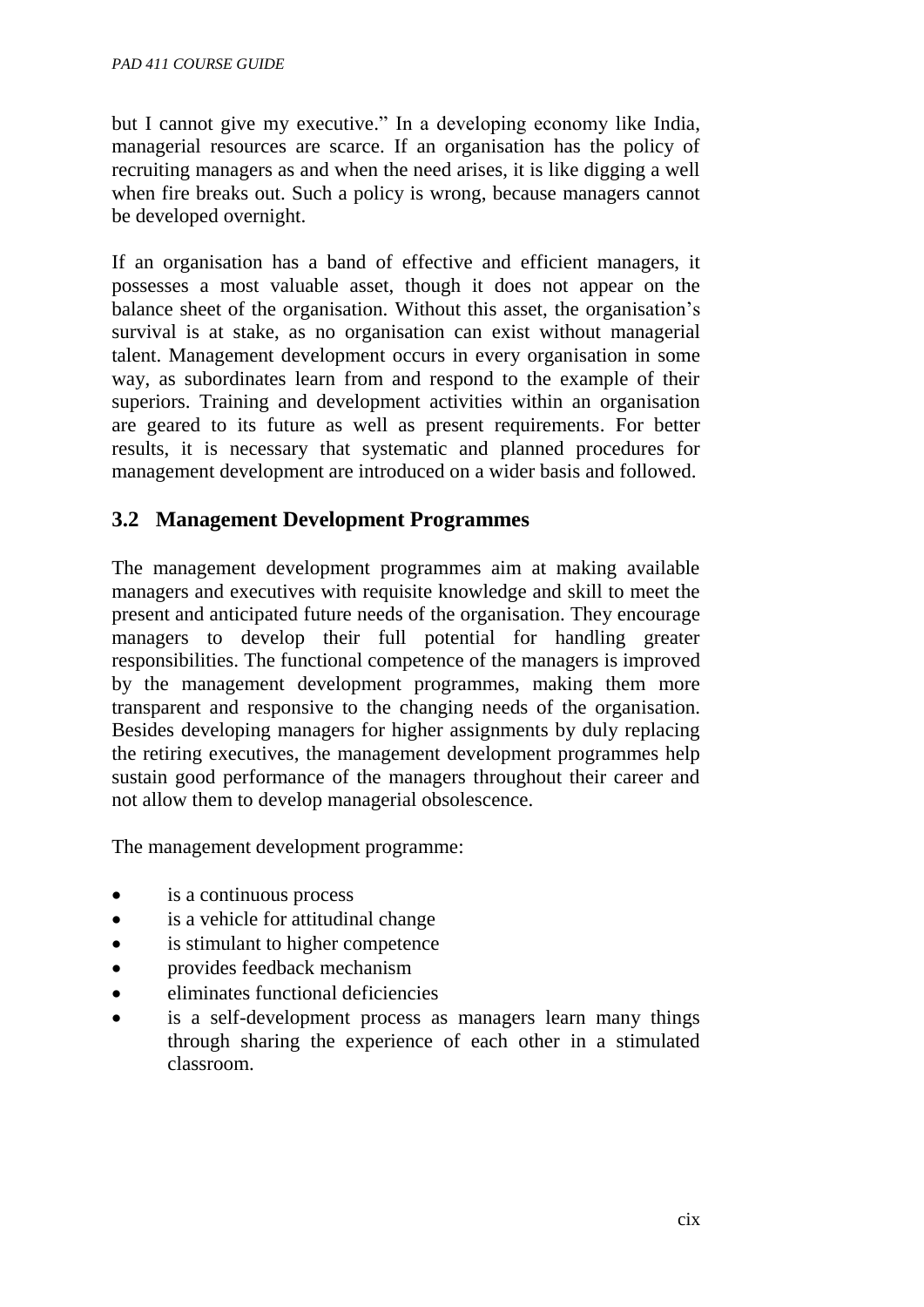but I cannot give my executive." In a developing economy like India, managerial resources are scarce. If an organisation has the policy of recruiting managers as and when the need arises, it is like digging a well when fire breaks out. Such a policy is wrong, because managers cannot be developed overnight.

If an organisation has a band of effective and efficient managers, it possesses a most valuable asset, though it does not appear on the balance sheet of the organisation. Without this asset, the organisation"s survival is at stake, as no organisation can exist without managerial talent. Management development occurs in every organisation in some way, as subordinates learn from and respond to the example of their superiors. Training and development activities within an organisation are geared to its future as well as present requirements. For better results, it is necessary that systematic and planned procedures for management development are introduced on a wider basis and followed.

### **3.2 Management Development Programmes**

The management development programmes aim at making available managers and executives with requisite knowledge and skill to meet the present and anticipated future needs of the organisation. They encourage managers to develop their full potential for handling greater responsibilities. The functional competence of the managers is improved by the management development programmes, making them more transparent and responsive to the changing needs of the organisation. Besides developing managers for higher assignments by duly replacing the retiring executives, the management development programmes help sustain good performance of the managers throughout their career and not allow them to develop managerial obsolescence.

The management development programme:

- is a continuous process
- is a vehicle for attitudinal change
- is stimulant to higher competence
- provides feedback mechanism
- eliminates functional deficiencies
- is a self-development process as managers learn many things through sharing the experience of each other in a stimulated classroom.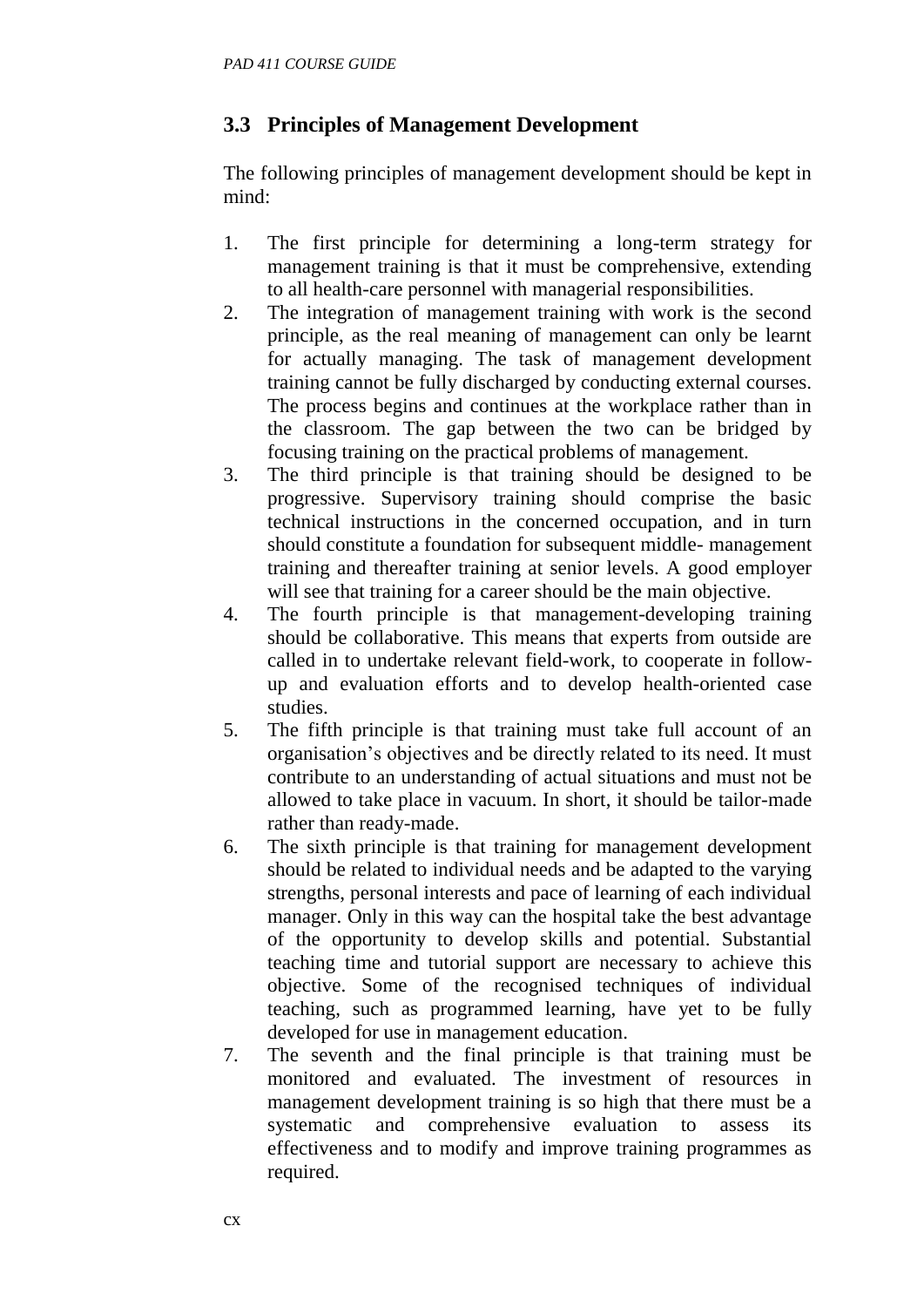# **3.3 Principles of Management Development**

The following principles of management development should be kept in mind:

- 1. The first principle for determining a long-term strategy for management training is that it must be comprehensive, extending to all health-care personnel with managerial responsibilities.
- 2. The integration of management training with work is the second principle, as the real meaning of management can only be learnt for actually managing. The task of management development training cannot be fully discharged by conducting external courses. The process begins and continues at the workplace rather than in the classroom. The gap between the two can be bridged by focusing training on the practical problems of management.
- 3. The third principle is that training should be designed to be progressive. Supervisory training should comprise the basic technical instructions in the concerned occupation, and in turn should constitute a foundation for subsequent middle- management training and thereafter training at senior levels. A good employer will see that training for a career should be the main objective.
- 4. The fourth principle is that management-developing training should be collaborative. This means that experts from outside are called in to undertake relevant field-work, to cooperate in followup and evaluation efforts and to develop health-oriented case studies.
- 5. The fifth principle is that training must take full account of an organisation"s objectives and be directly related to its need. It must contribute to an understanding of actual situations and must not be allowed to take place in vacuum. In short, it should be tailor-made rather than ready-made.
- 6. The sixth principle is that training for management development should be related to individual needs and be adapted to the varying strengths, personal interests and pace of learning of each individual manager. Only in this way can the hospital take the best advantage of the opportunity to develop skills and potential. Substantial teaching time and tutorial support are necessary to achieve this objective. Some of the recognised techniques of individual teaching, such as programmed learning, have yet to be fully developed for use in management education.
- 7. The seventh and the final principle is that training must be monitored and evaluated. The investment of resources in management development training is so high that there must be a systematic and comprehensive evaluation to assess its effectiveness and to modify and improve training programmes as required.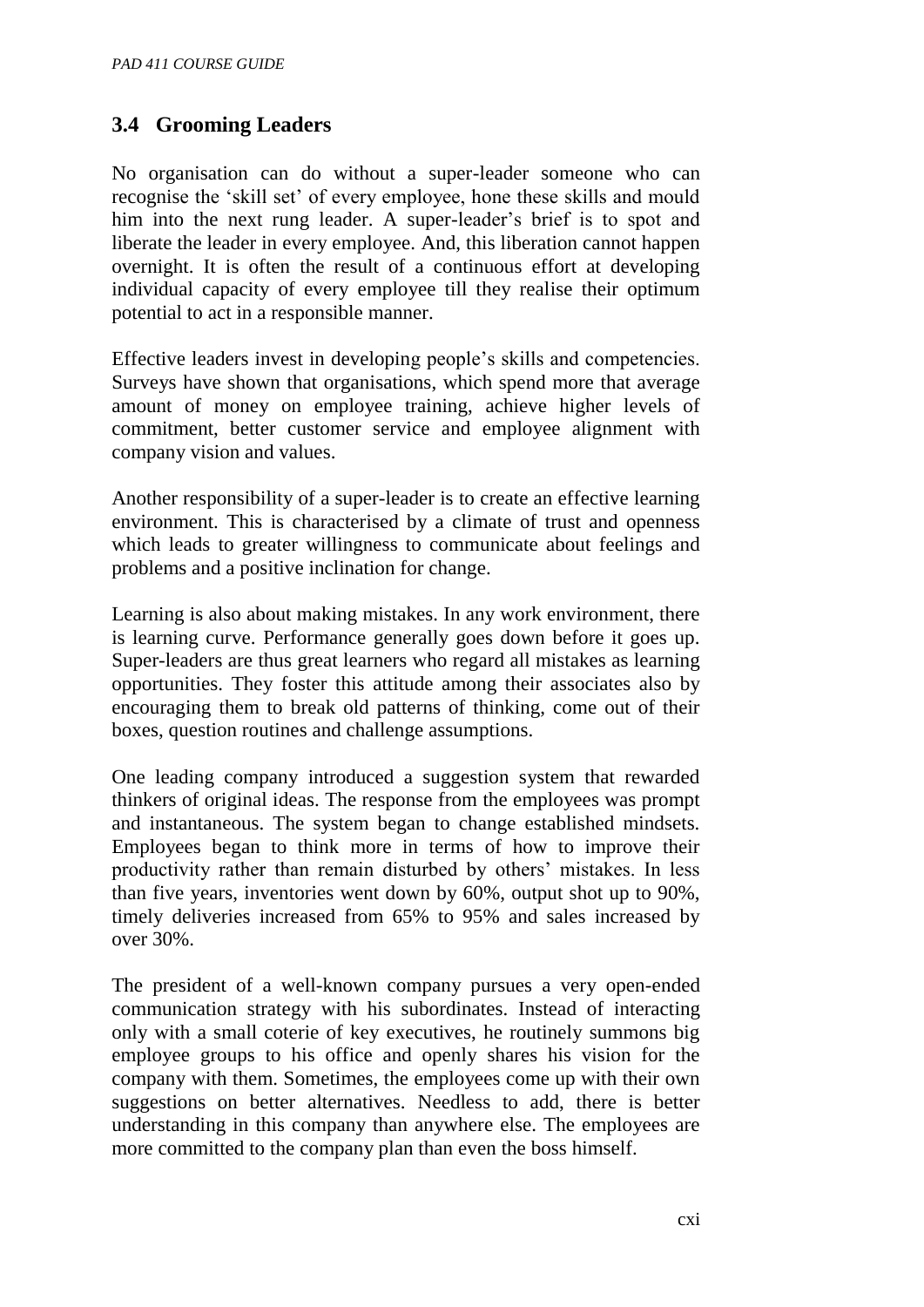## **3.4 Grooming Leaders**

No organisation can do without a super-leader someone who can recognise the "skill set" of every employee, hone these skills and mould him into the next rung leader. A super-leader's brief is to spot and liberate the leader in every employee. And, this liberation cannot happen overnight. It is often the result of a continuous effort at developing individual capacity of every employee till they realise their optimum potential to act in a responsible manner.

Effective leaders invest in developing people"s skills and competencies. Surveys have shown that organisations, which spend more that average amount of money on employee training, achieve higher levels of commitment, better customer service and employee alignment with company vision and values.

Another responsibility of a super-leader is to create an effective learning environment. This is characterised by a climate of trust and openness which leads to greater willingness to communicate about feelings and problems and a positive inclination for change.

Learning is also about making mistakes. In any work environment, there is learning curve. Performance generally goes down before it goes up. Super-leaders are thus great learners who regard all mistakes as learning opportunities. They foster this attitude among their associates also by encouraging them to break old patterns of thinking, come out of their boxes, question routines and challenge assumptions.

One leading company introduced a suggestion system that rewarded thinkers of original ideas. The response from the employees was prompt and instantaneous. The system began to change established mindsets. Employees began to think more in terms of how to improve their productivity rather than remain disturbed by others" mistakes. In less than five years, inventories went down by 60%, output shot up to 90%, timely deliveries increased from 65% to 95% and sales increased by over 30%.

The president of a well-known company pursues a very open-ended communication strategy with his subordinates. Instead of interacting only with a small coterie of key executives, he routinely summons big employee groups to his office and openly shares his vision for the company with them. Sometimes, the employees come up with their own suggestions on better alternatives. Needless to add, there is better understanding in this company than anywhere else. The employees are more committed to the company plan than even the boss himself.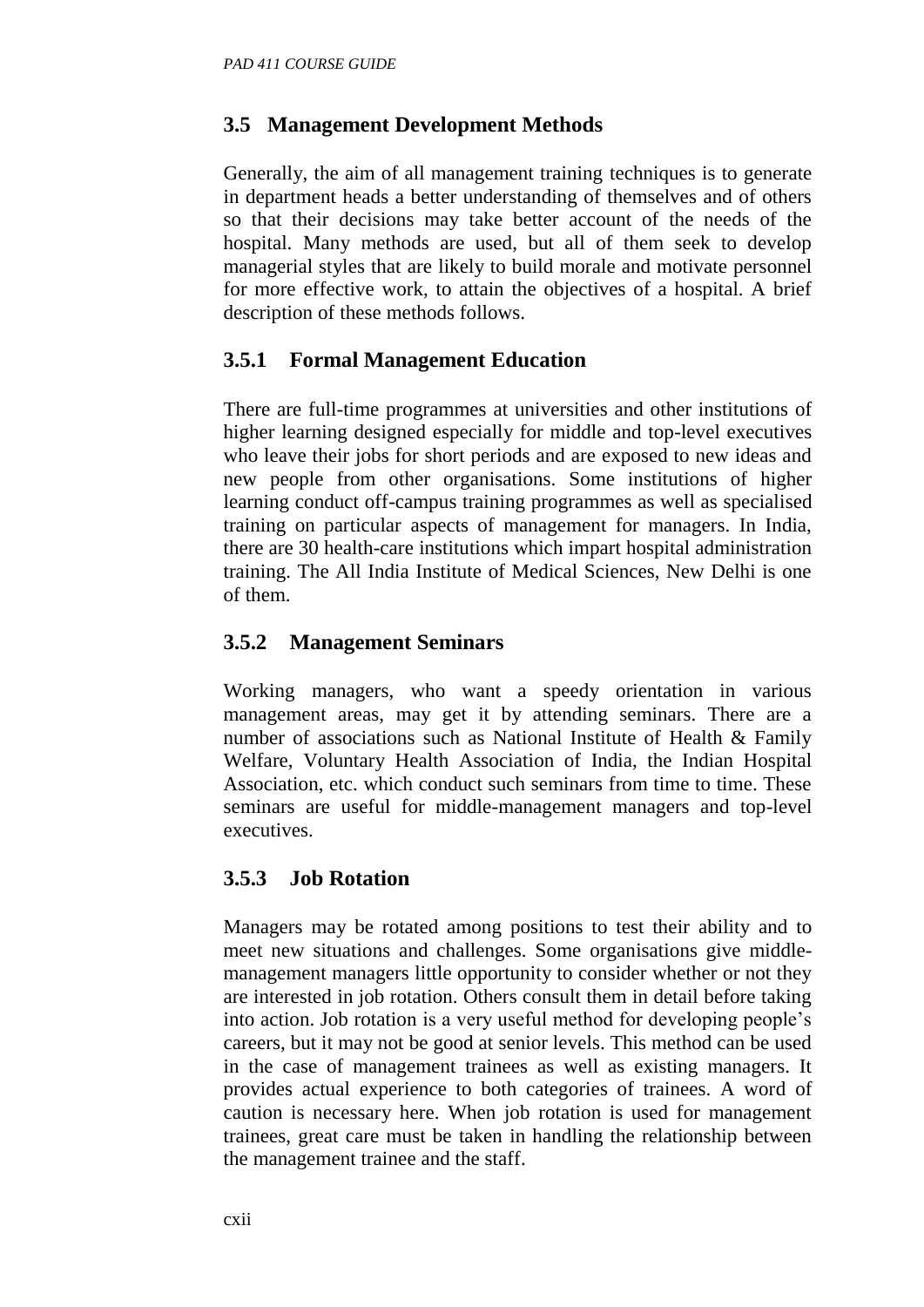## **3.5 Management Development Methods**

Generally, the aim of all management training techniques is to generate in department heads a better understanding of themselves and of others so that their decisions may take better account of the needs of the hospital. Many methods are used, but all of them seek to develop managerial styles that are likely to build morale and motivate personnel for more effective work, to attain the objectives of a hospital. A brief description of these methods follows.

## **3.5.1 Formal Management Education**

There are full-time programmes at universities and other institutions of higher learning designed especially for middle and top-level executives who leave their jobs for short periods and are exposed to new ideas and new people from other organisations. Some institutions of higher learning conduct off-campus training programmes as well as specialised training on particular aspects of management for managers. In India, there are 30 health-care institutions which impart hospital administration training. The All India Institute of Medical Sciences, New Delhi is one of them.

## **3.5.2 Management Seminars**

Working managers, who want a speedy orientation in various management areas, may get it by attending seminars. There are a number of associations such as National Institute of Health & Family Welfare, Voluntary Health Association of India, the Indian Hospital Association, etc. which conduct such seminars from time to time. These seminars are useful for middle-management managers and top-level executives.

### **3.5.3 Job Rotation**

Managers may be rotated among positions to test their ability and to meet new situations and challenges. Some organisations give middlemanagement managers little opportunity to consider whether or not they are interested in job rotation. Others consult them in detail before taking into action. Job rotation is a very useful method for developing people"s careers, but it may not be good at senior levels. This method can be used in the case of management trainees as well as existing managers. It provides actual experience to both categories of trainees. A word of caution is necessary here. When job rotation is used for management trainees, great care must be taken in handling the relationship between the management trainee and the staff.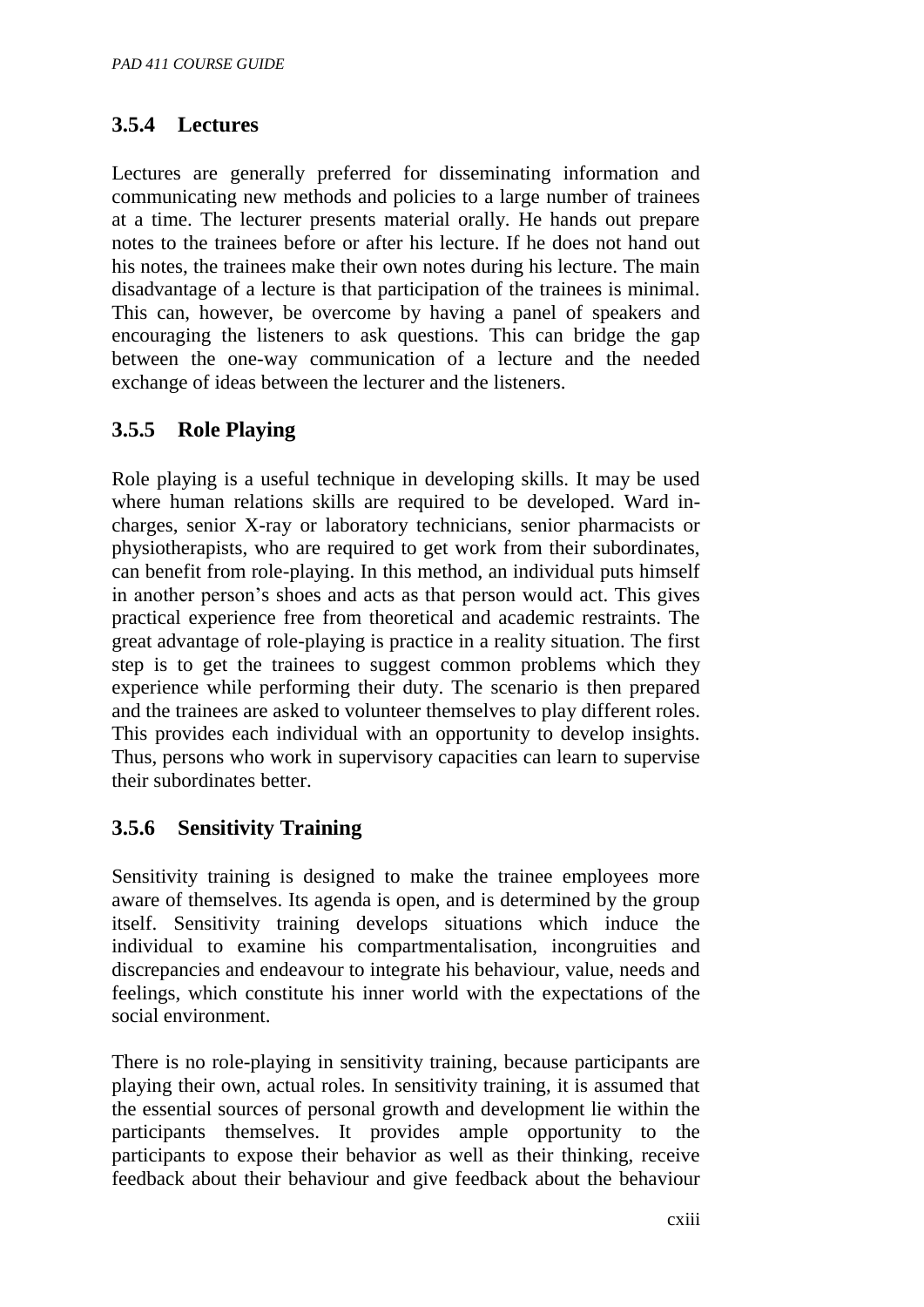# **3.5.4 Lectures**

Lectures are generally preferred for disseminating information and communicating new methods and policies to a large number of trainees at a time. The lecturer presents material orally. He hands out prepare notes to the trainees before or after his lecture. If he does not hand out his notes, the trainees make their own notes during his lecture. The main disadvantage of a lecture is that participation of the trainees is minimal. This can, however, be overcome by having a panel of speakers and encouraging the listeners to ask questions. This can bridge the gap between the one-way communication of a lecture and the needed exchange of ideas between the lecturer and the listeners.

# **3.5.5 Role Playing**

Role playing is a useful technique in developing skills. It may be used where human relations skills are required to be developed. Ward incharges, senior X-ray or laboratory technicians, senior pharmacists or physiotherapists, who are required to get work from their subordinates, can benefit from role-playing. In this method, an individual puts himself in another person"s shoes and acts as that person would act. This gives practical experience free from theoretical and academic restraints. The great advantage of role-playing is practice in a reality situation. The first step is to get the trainees to suggest common problems which they experience while performing their duty. The scenario is then prepared and the trainees are asked to volunteer themselves to play different roles. This provides each individual with an opportunity to develop insights. Thus, persons who work in supervisory capacities can learn to supervise their subordinates better.

# **3.5.6 Sensitivity Training**

Sensitivity training is designed to make the trainee employees more aware of themselves. Its agenda is open, and is determined by the group itself. Sensitivity training develops situations which induce the individual to examine his compartmentalisation, incongruities and discrepancies and endeavour to integrate his behaviour, value, needs and feelings, which constitute his inner world with the expectations of the social environment.

There is no role-playing in sensitivity training, because participants are playing their own, actual roles. In sensitivity training, it is assumed that the essential sources of personal growth and development lie within the participants themselves. It provides ample opportunity to the participants to expose their behavior as well as their thinking, receive feedback about their behaviour and give feedback about the behaviour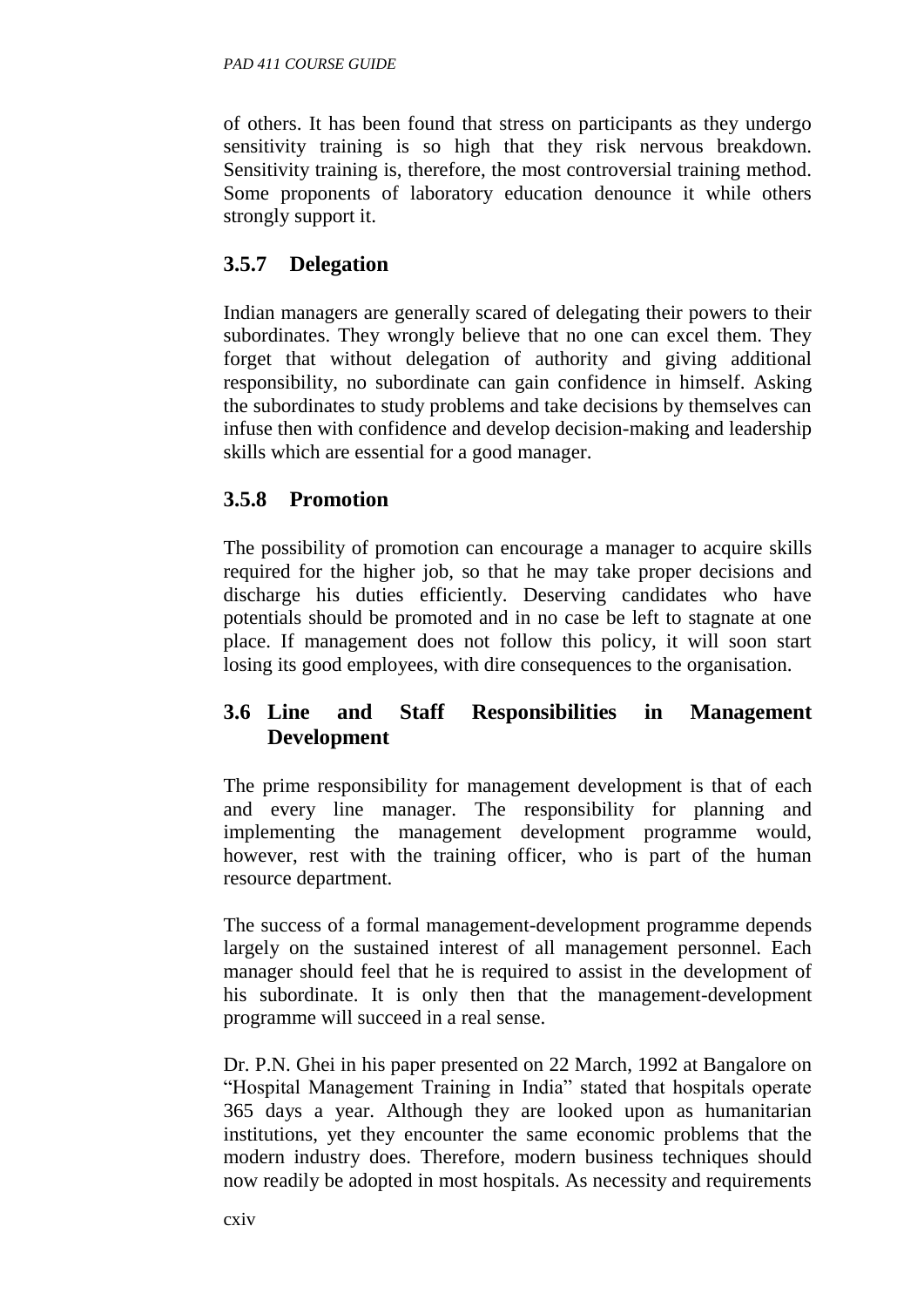of others. It has been found that stress on participants as they undergo sensitivity training is so high that they risk nervous breakdown. Sensitivity training is, therefore, the most controversial training method. Some proponents of laboratory education denounce it while others strongly support it.

## **3.5.7 Delegation**

Indian managers are generally scared of delegating their powers to their subordinates. They wrongly believe that no one can excel them. They forget that without delegation of authority and giving additional responsibility, no subordinate can gain confidence in himself. Asking the subordinates to study problems and take decisions by themselves can infuse then with confidence and develop decision-making and leadership skills which are essential for a good manager.

## **3.5.8 Promotion**

The possibility of promotion can encourage a manager to acquire skills required for the higher job, so that he may take proper decisions and discharge his duties efficiently. Deserving candidates who have potentials should be promoted and in no case be left to stagnate at one place. If management does not follow this policy, it will soon start losing its good employees, with dire consequences to the organisation.

# **3.6 Line and Staff Responsibilities in Management Development**

The prime responsibility for management development is that of each and every line manager. The responsibility for planning and implementing the management development programme would, however, rest with the training officer, who is part of the human resource department.

The success of a formal management-development programme depends largely on the sustained interest of all management personnel. Each manager should feel that he is required to assist in the development of his subordinate. It is only then that the management-development programme will succeed in a real sense.

Dr. P.N. Ghei in his paper presented on 22 March, 1992 at Bangalore on "Hospital Management Training in India" stated that hospitals operate 365 days a year. Although they are looked upon as humanitarian institutions, yet they encounter the same economic problems that the modern industry does. Therefore, modern business techniques should now readily be adopted in most hospitals. As necessity and requirements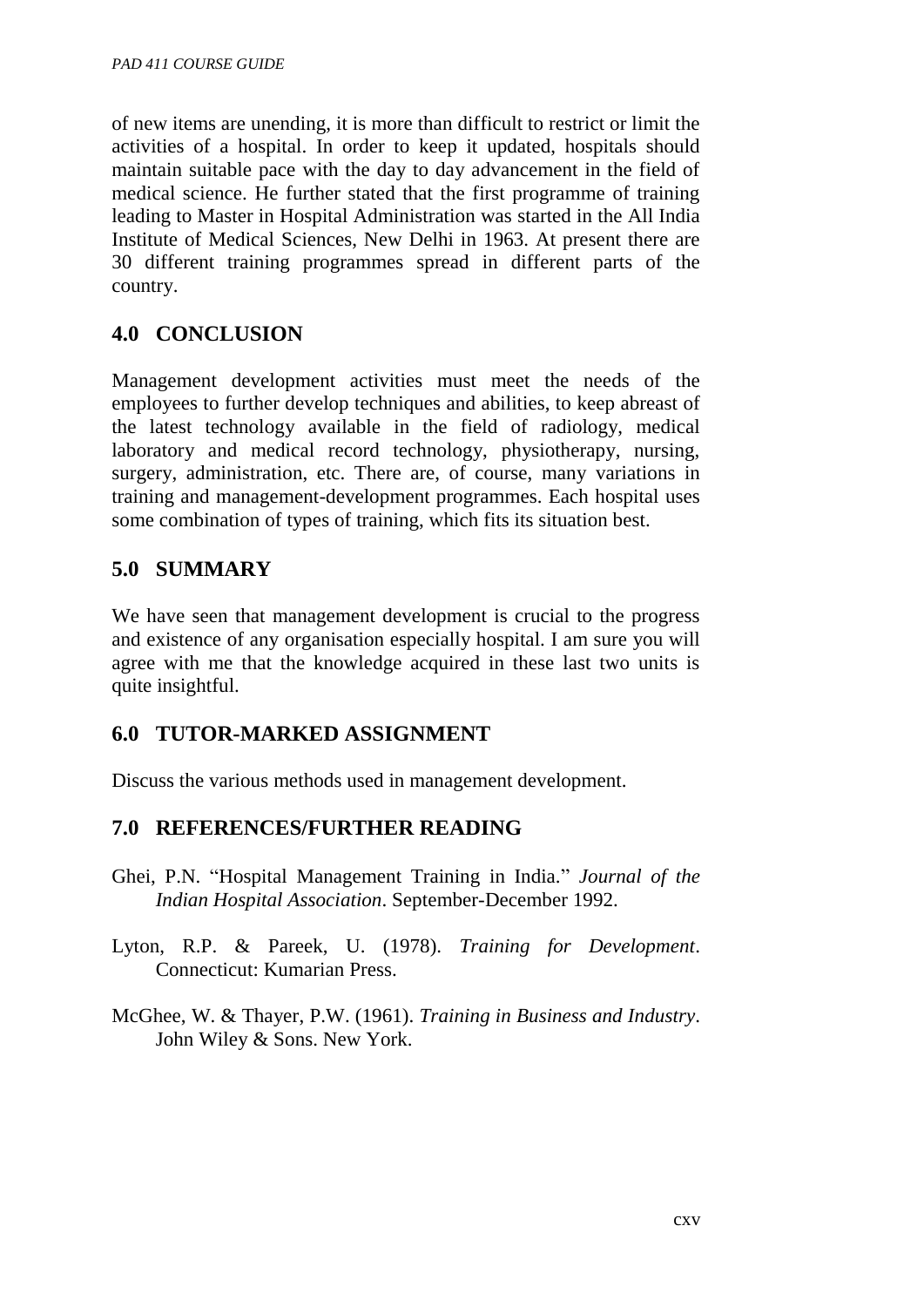of new items are unending, it is more than difficult to restrict or limit the activities of a hospital. In order to keep it updated, hospitals should maintain suitable pace with the day to day advancement in the field of medical science. He further stated that the first programme of training leading to Master in Hospital Administration was started in the All India Institute of Medical Sciences, New Delhi in 1963. At present there are 30 different training programmes spread in different parts of the country.

# **4.0 CONCLUSION**

Management development activities must meet the needs of the employees to further develop techniques and abilities, to keep abreast of the latest technology available in the field of radiology, medical laboratory and medical record technology, physiotherapy, nursing, surgery, administration, etc. There are, of course, many variations in training and management-development programmes. Each hospital uses some combination of types of training, which fits its situation best.

# **5.0 SUMMARY**

We have seen that management development is crucial to the progress and existence of any organisation especially hospital. I am sure you will agree with me that the knowledge acquired in these last two units is quite insightful.

# **6.0 TUTOR-MARKED ASSIGNMENT**

Discuss the various methods used in management development.

### **7.0 REFERENCES/FURTHER READING**

- Ghei, P.N. "Hospital Management Training in India." *Journal of the Indian Hospital Association*. September-December 1992.
- Lyton, R.P. & Pareek, U. (1978). *Training for Development*. Connecticut: Kumarian Press.
- McGhee, W. & Thayer, P.W. (1961). *Training in Business and Industry*. John Wiley & Sons. New York.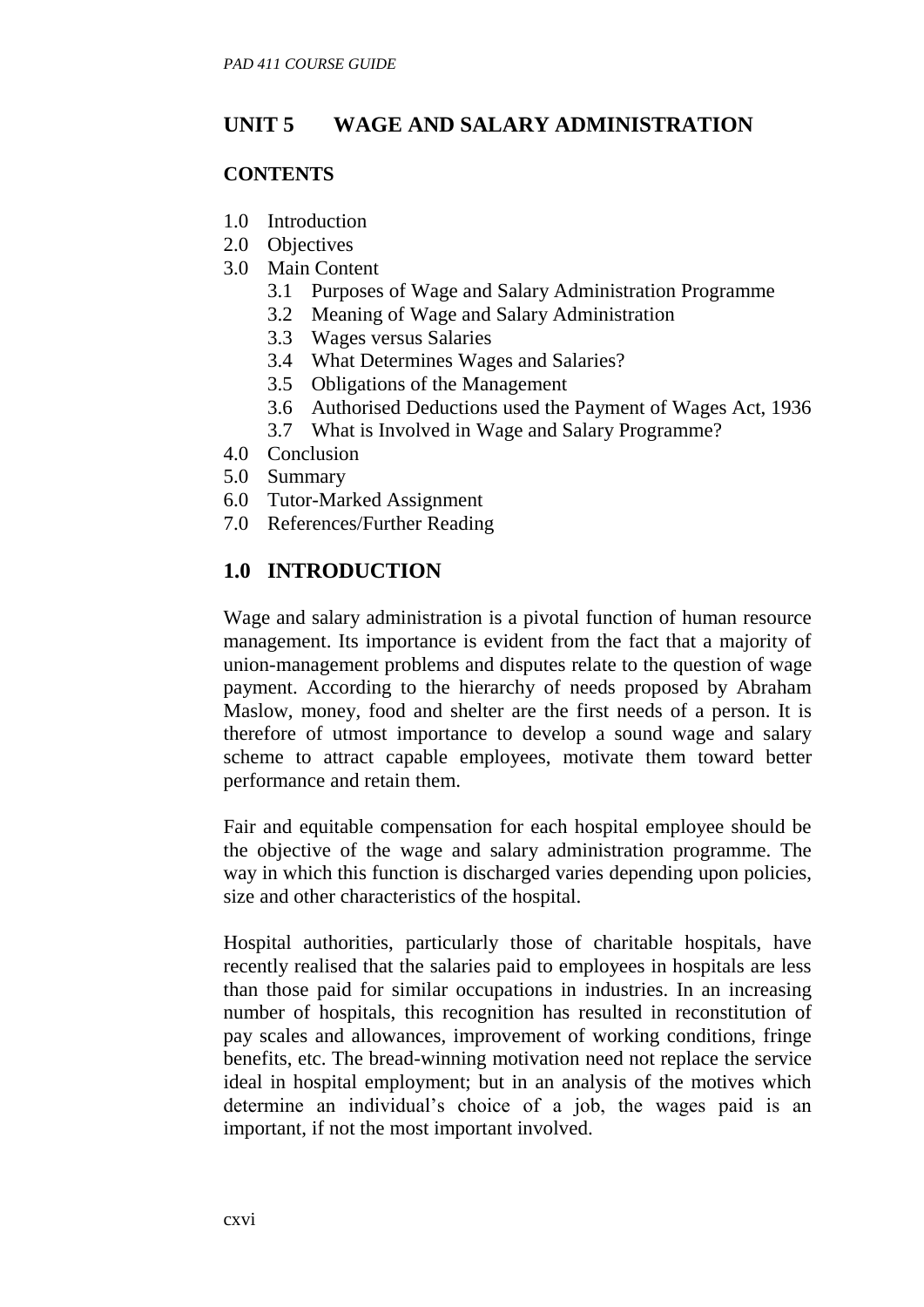## **UNIT 5 WAGE AND SALARY ADMINISTRATION**

### **CONTENTS**

- 1.0 Introduction
- 2.0 Objectives
- 3.0 Main Content
	- 3.1 Purposes of Wage and Salary Administration Programme
	- 3.2 Meaning of Wage and Salary Administration
	- 3.3 Wages versus Salaries
	- 3.4 What Determines Wages and Salaries?
	- 3.5 Obligations of the Management
	- 3.6 Authorised Deductions used the Payment of Wages Act, 1936
	- 3.7 What is Involved in Wage and Salary Programme?
- 4.0 Conclusion
- 5.0 Summary
- 6.0 Tutor-Marked Assignment
- 7.0 References/Further Reading

## **1.0 INTRODUCTION**

Wage and salary administration is a pivotal function of human resource management. Its importance is evident from the fact that a majority of union-management problems and disputes relate to the question of wage payment. According to the hierarchy of needs proposed by Abraham Maslow, money, food and shelter are the first needs of a person. It is therefore of utmost importance to develop a sound wage and salary scheme to attract capable employees, motivate them toward better performance and retain them.

Fair and equitable compensation for each hospital employee should be the objective of the wage and salary administration programme. The way in which this function is discharged varies depending upon policies, size and other characteristics of the hospital.

Hospital authorities, particularly those of charitable hospitals, have recently realised that the salaries paid to employees in hospitals are less than those paid for similar occupations in industries. In an increasing number of hospitals, this recognition has resulted in reconstitution of pay scales and allowances, improvement of working conditions, fringe benefits, etc. The bread-winning motivation need not replace the service ideal in hospital employment; but in an analysis of the motives which determine an individual's choice of a job, the wages paid is an important, if not the most important involved.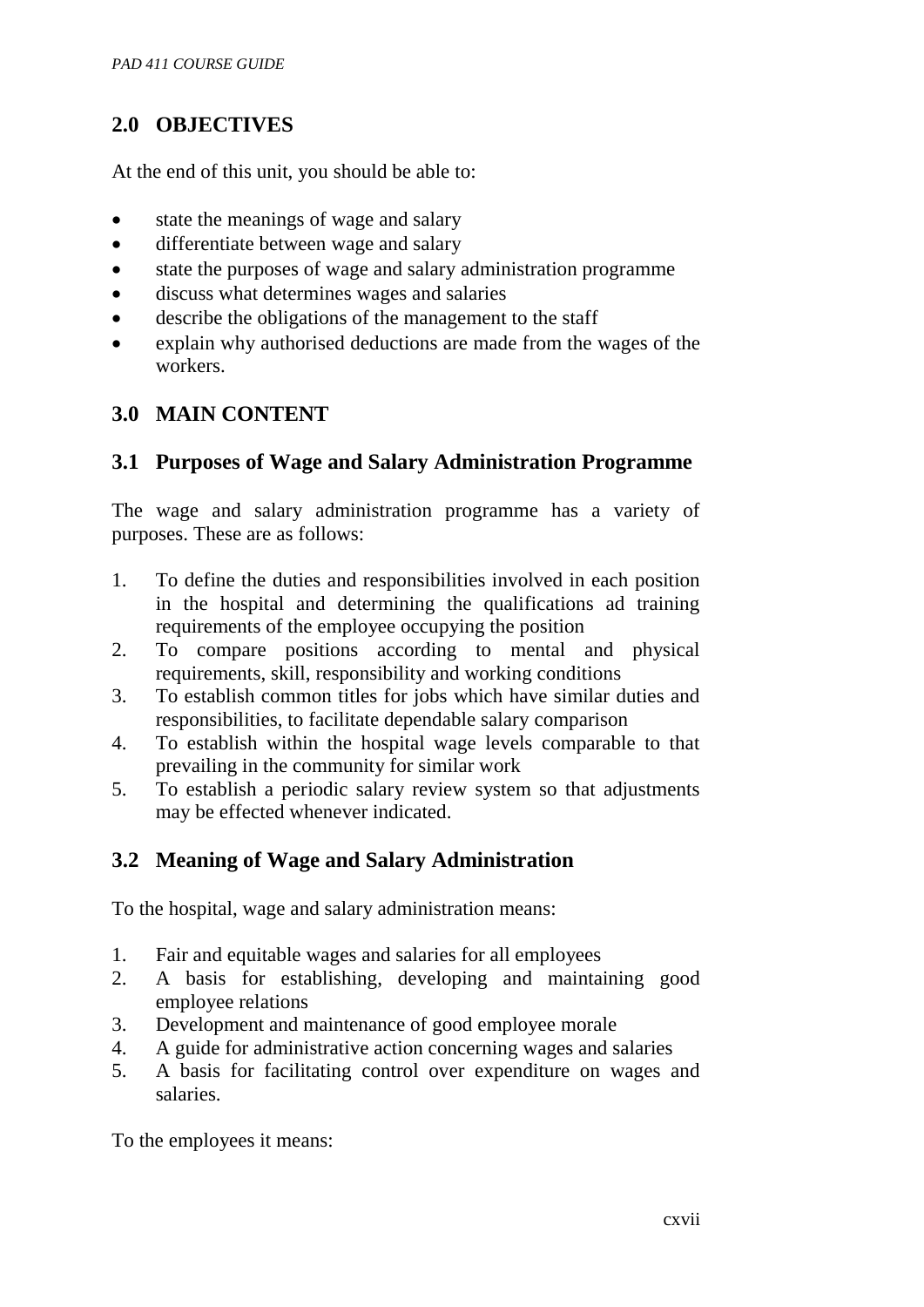# **2.0 OBJECTIVES**

At the end of this unit, you should be able to:

- state the meanings of wage and salary
- differentiate between wage and salary
- state the purposes of wage and salary administration programme
- discuss what determines wages and salaries
- describe the obligations of the management to the staff
- explain why authorised deductions are made from the wages of the workers.

### **3.0 MAIN CONTENT**

## **3.1 Purposes of Wage and Salary Administration Programme**

The wage and salary administration programme has a variety of purposes. These are as follows:

- 1. To define the duties and responsibilities involved in each position in the hospital and determining the qualifications ad training requirements of the employee occupying the position
- 2. To compare positions according to mental and physical requirements, skill, responsibility and working conditions
- 3. To establish common titles for jobs which have similar duties and responsibilities, to facilitate dependable salary comparison
- 4. To establish within the hospital wage levels comparable to that prevailing in the community for similar work
- 5. To establish a periodic salary review system so that adjustments may be effected whenever indicated.

# **3.2 Meaning of Wage and Salary Administration**

To the hospital, wage and salary administration means:

- 1. Fair and equitable wages and salaries for all employees
- 2. A basis for establishing, developing and maintaining good employee relations
- 3. Development and maintenance of good employee morale
- 4. A guide for administrative action concerning wages and salaries
- 5. A basis for facilitating control over expenditure on wages and salaries.

To the employees it means: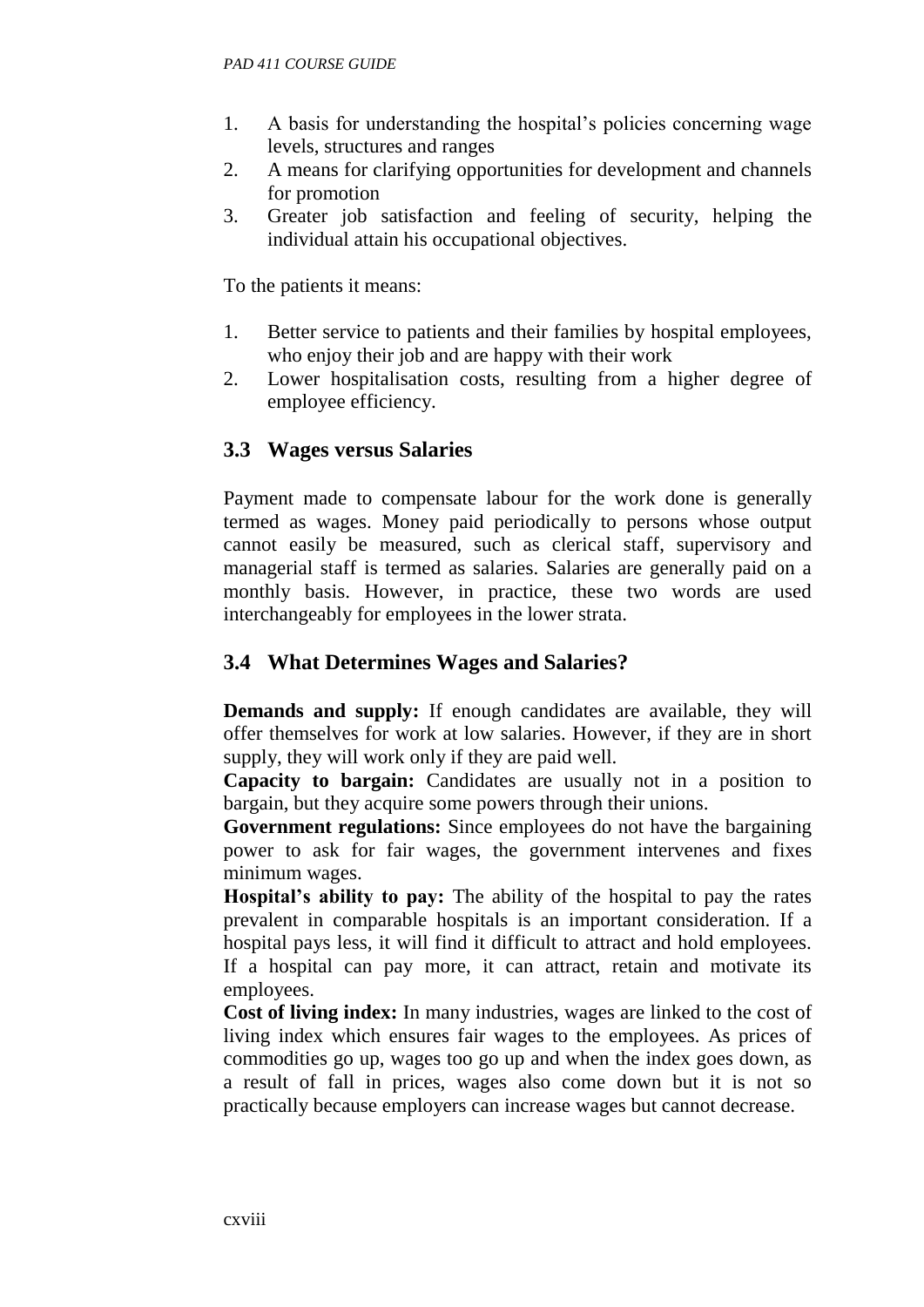- 1. A basis for understanding the hospital"s policies concerning wage levels, structures and ranges
- 2. A means for clarifying opportunities for development and channels for promotion
- 3. Greater job satisfaction and feeling of security, helping the individual attain his occupational objectives.

To the patients it means:

- 1. Better service to patients and their families by hospital employees, who enjoy their job and are happy with their work
- 2. Lower hospitalisation costs, resulting from a higher degree of employee efficiency.

### **3.3 Wages versus Salaries**

Payment made to compensate labour for the work done is generally termed as wages. Money paid periodically to persons whose output cannot easily be measured, such as clerical staff, supervisory and managerial staff is termed as salaries. Salaries are generally paid on a monthly basis. However, in practice, these two words are used interchangeably for employees in the lower strata.

## **3.4 What Determines Wages and Salaries?**

**Demands and supply:** If enough candidates are available, they will offer themselves for work at low salaries. However, if they are in short supply, they will work only if they are paid well.

**Capacity to bargain:** Candidates are usually not in a position to bargain, but they acquire some powers through their unions.

**Government regulations:** Since employees do not have the bargaining power to ask for fair wages, the government intervenes and fixes minimum wages.

**Hospital's ability to pay:** The ability of the hospital to pay the rates prevalent in comparable hospitals is an important consideration. If a hospital pays less, it will find it difficult to attract and hold employees. If a hospital can pay more, it can attract, retain and motivate its employees.

**Cost of living index:** In many industries, wages are linked to the cost of living index which ensures fair wages to the employees. As prices of commodities go up, wages too go up and when the index goes down, as a result of fall in prices, wages also come down but it is not so practically because employers can increase wages but cannot decrease.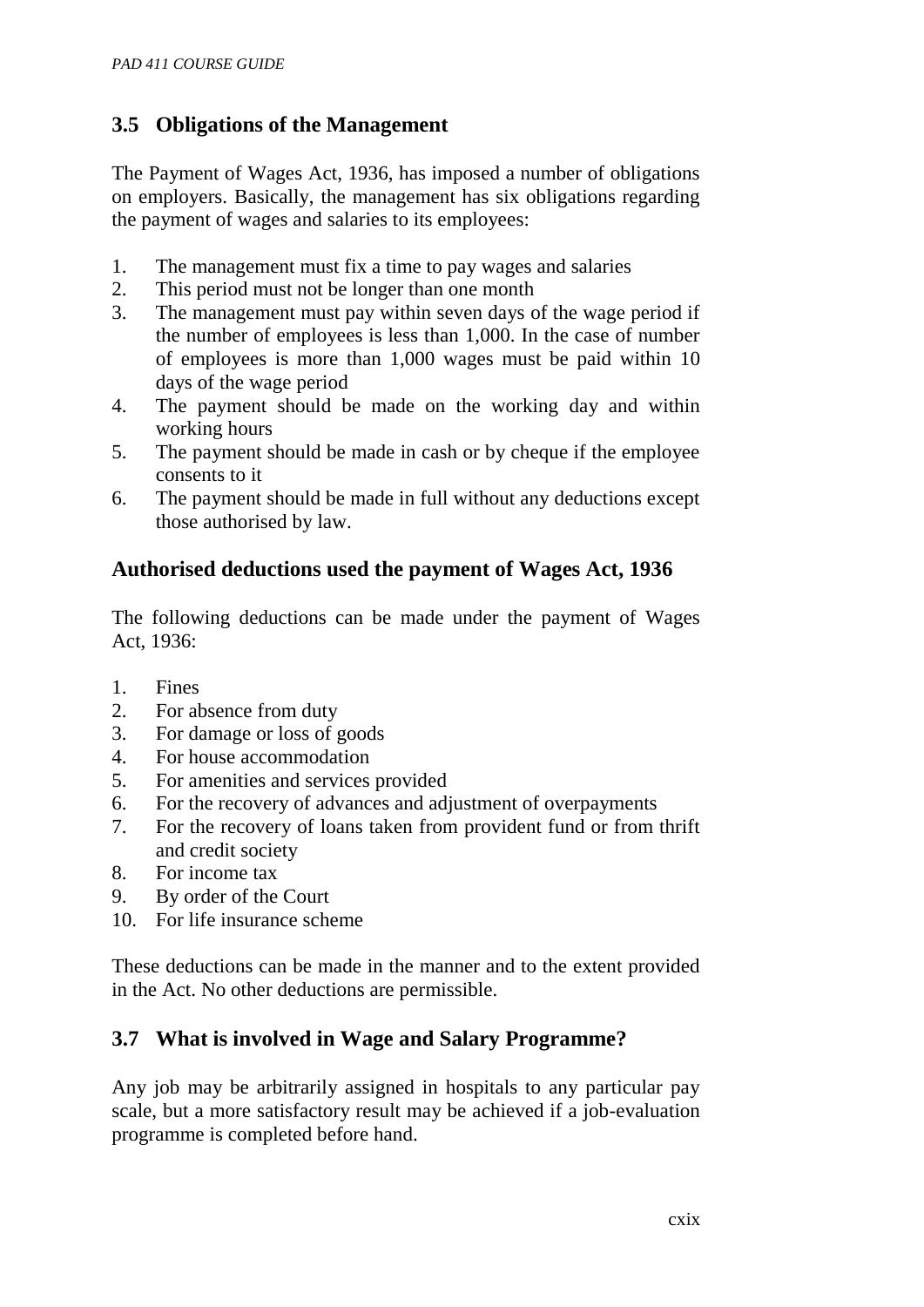## **3.5 Obligations of the Management**

The Payment of Wages Act, 1936, has imposed a number of obligations on employers. Basically, the management has six obligations regarding the payment of wages and salaries to its employees:

- 1. The management must fix a time to pay wages and salaries
- 2. This period must not be longer than one month
- 3. The management must pay within seven days of the wage period if the number of employees is less than 1,000. In the case of number of employees is more than 1,000 wages must be paid within 10 days of the wage period
- 4. The payment should be made on the working day and within working hours
- 5. The payment should be made in cash or by cheque if the employee consents to it
- 6. The payment should be made in full without any deductions except those authorised by law.

## **Authorised deductions used the payment of Wages Act, 1936**

The following deductions can be made under the payment of Wages Act, 1936:

- 1. Fines
- 2. For absence from duty
- 3. For damage or loss of goods
- 4. For house accommodation
- 5. For amenities and services provided
- 6. For the recovery of advances and adjustment of overpayments
- 7. For the recovery of loans taken from provident fund or from thrift and credit society
- 8. For income tax
- 9. By order of the Court
- 10. For life insurance scheme

These deductions can be made in the manner and to the extent provided in the Act. No other deductions are permissible.

### **3.7 What is involved in Wage and Salary Programme?**

Any job may be arbitrarily assigned in hospitals to any particular pay scale, but a more satisfactory result may be achieved if a job-evaluation programme is completed before hand.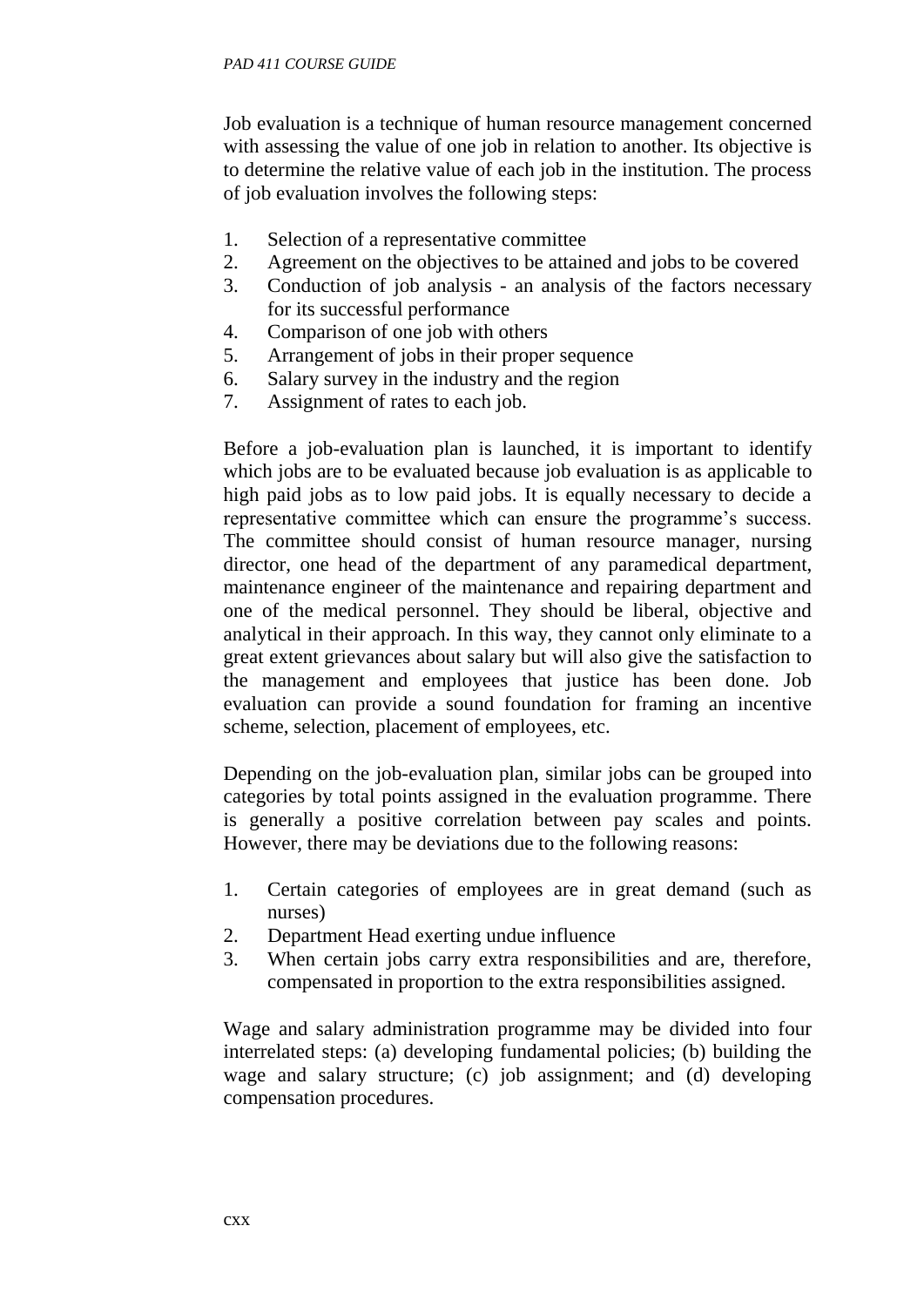Job evaluation is a technique of human resource management concerned with assessing the value of one job in relation to another. Its objective is to determine the relative value of each job in the institution. The process of job evaluation involves the following steps:

- 1. Selection of a representative committee
- 2. Agreement on the objectives to be attained and jobs to be covered
- 3. Conduction of job analysis an analysis of the factors necessary for its successful performance
- 4. Comparison of one job with others
- 5. Arrangement of jobs in their proper sequence
- 6. Salary survey in the industry and the region
- 7. Assignment of rates to each job.

Before a job-evaluation plan is launched, it is important to identify which jobs are to be evaluated because job evaluation is as applicable to high paid jobs as to low paid jobs. It is equally necessary to decide a representative committee which can ensure the programme's success. The committee should consist of human resource manager, nursing director, one head of the department of any paramedical department, maintenance engineer of the maintenance and repairing department and one of the medical personnel. They should be liberal, objective and analytical in their approach. In this way, they cannot only eliminate to a great extent grievances about salary but will also give the satisfaction to the management and employees that justice has been done. Job evaluation can provide a sound foundation for framing an incentive scheme, selection, placement of employees, etc.

Depending on the job-evaluation plan, similar jobs can be grouped into categories by total points assigned in the evaluation programme. There is generally a positive correlation between pay scales and points. However, there may be deviations due to the following reasons:

- 1. Certain categories of employees are in great demand (such as nurses)
- 2. Department Head exerting undue influence
- 3. When certain jobs carry extra responsibilities and are, therefore, compensated in proportion to the extra responsibilities assigned.

Wage and salary administration programme may be divided into four interrelated steps: (a) developing fundamental policies; (b) building the wage and salary structure; (c) job assignment; and (d) developing compensation procedures.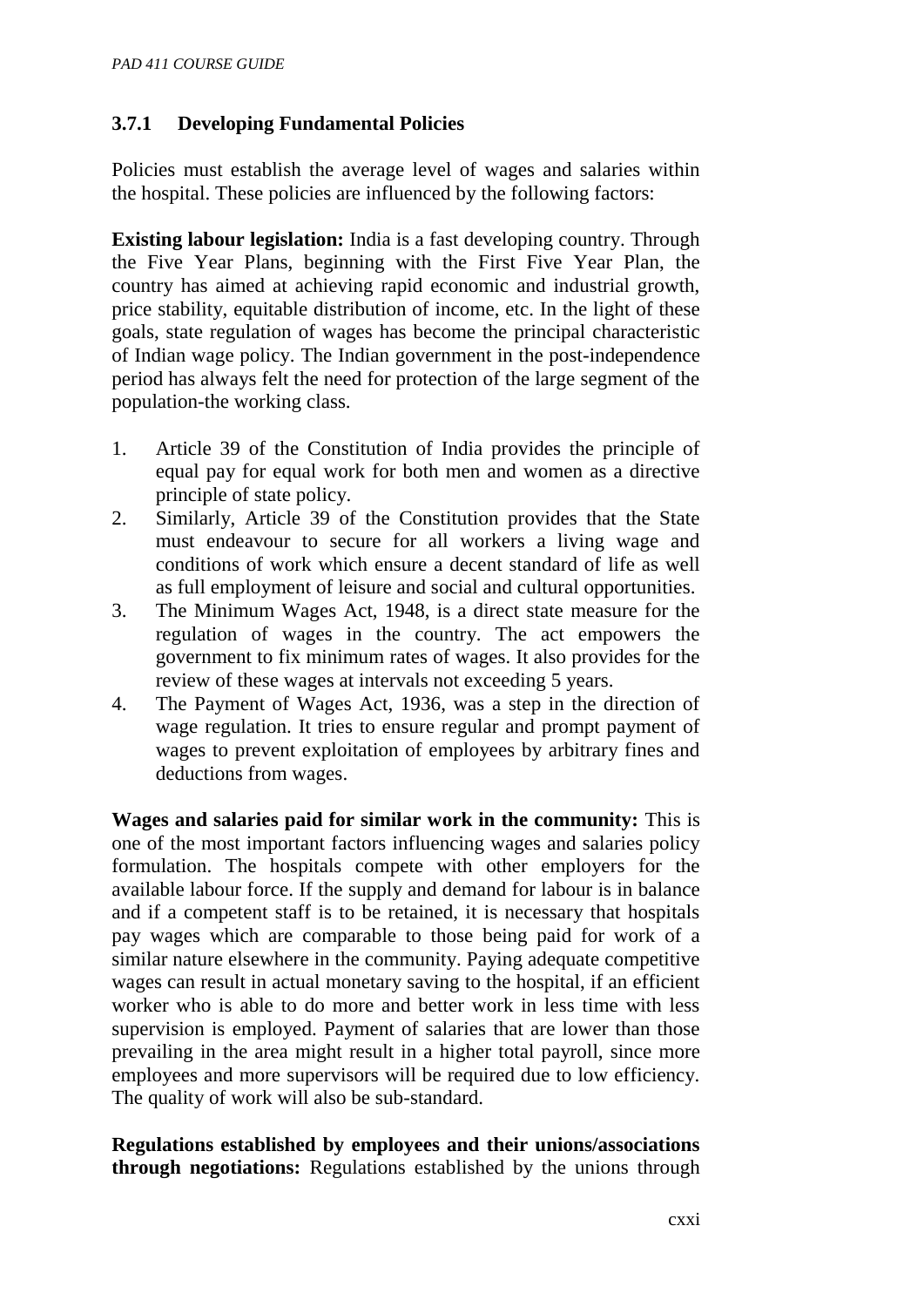### **3.7.1 Developing Fundamental Policies**

Policies must establish the average level of wages and salaries within the hospital. These policies are influenced by the following factors:

**Existing labour legislation:** India is a fast developing country. Through the Five Year Plans, beginning with the First Five Year Plan, the country has aimed at achieving rapid economic and industrial growth, price stability, equitable distribution of income, etc. In the light of these goals, state regulation of wages has become the principal characteristic of Indian wage policy. The Indian government in the post-independence period has always felt the need for protection of the large segment of the population-the working class.

- 1. Article 39 of the Constitution of India provides the principle of equal pay for equal work for both men and women as a directive principle of state policy.
- 2. Similarly, Article 39 of the Constitution provides that the State must endeavour to secure for all workers a living wage and conditions of work which ensure a decent standard of life as well as full employment of leisure and social and cultural opportunities.
- 3. The Minimum Wages Act, 1948, is a direct state measure for the regulation of wages in the country. The act empowers the government to fix minimum rates of wages. It also provides for the review of these wages at intervals not exceeding 5 years.
- 4. The Payment of Wages Act, 1936, was a step in the direction of wage regulation. It tries to ensure regular and prompt payment of wages to prevent exploitation of employees by arbitrary fines and deductions from wages.

**Wages and salaries paid for similar work in the community:** This is one of the most important factors influencing wages and salaries policy formulation. The hospitals compete with other employers for the available labour force. If the supply and demand for labour is in balance and if a competent staff is to be retained, it is necessary that hospitals pay wages which are comparable to those being paid for work of a similar nature elsewhere in the community. Paying adequate competitive wages can result in actual monetary saving to the hospital, if an efficient worker who is able to do more and better work in less time with less supervision is employed. Payment of salaries that are lower than those prevailing in the area might result in a higher total payroll, since more employees and more supervisors will be required due to low efficiency. The quality of work will also be sub-standard.

**Regulations established by employees and their unions/associations through negotiations:** Regulations established by the unions through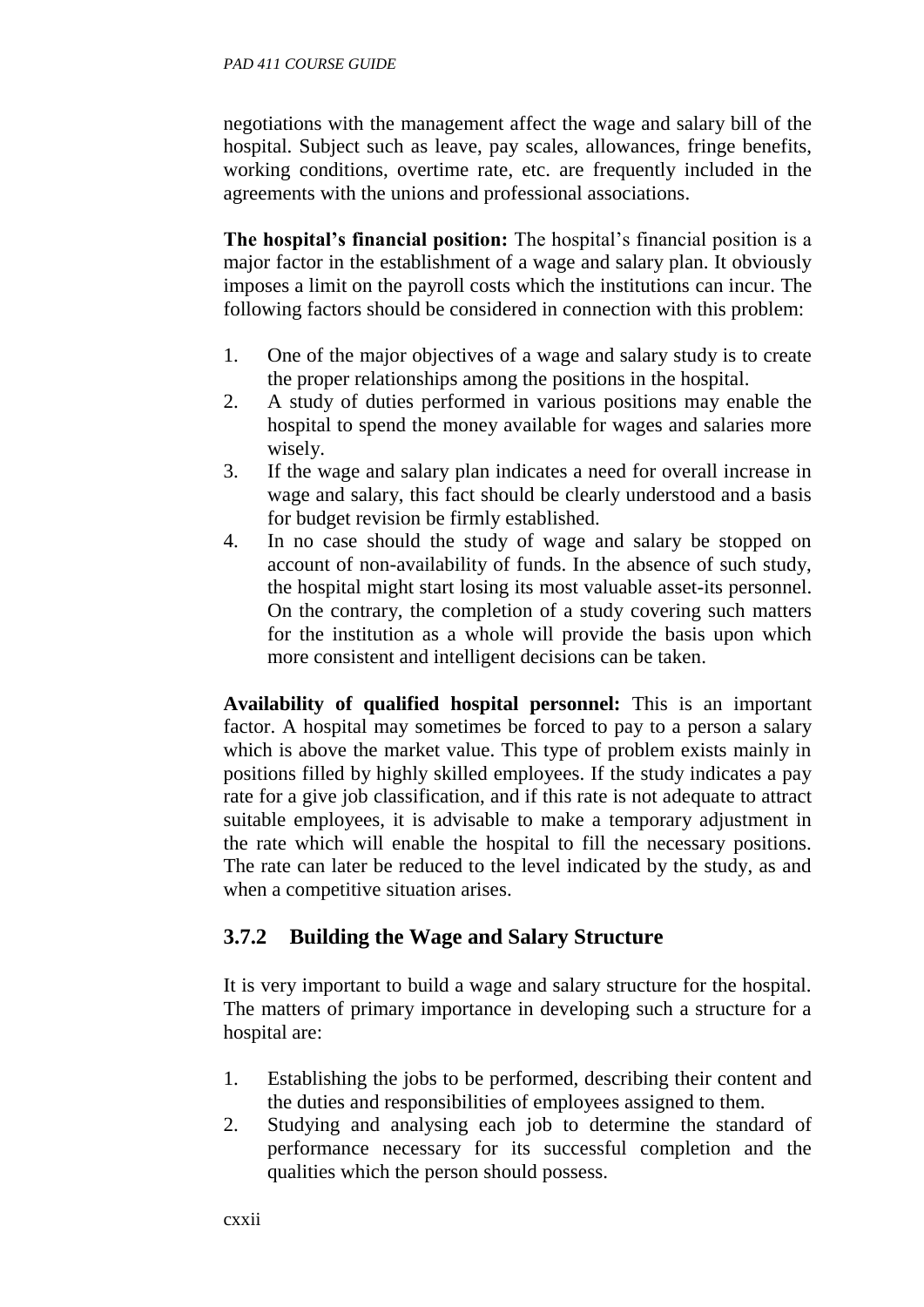#### *PAD 411 COURSE GUIDE*

negotiations with the management affect the wage and salary bill of the hospital. Subject such as leave, pay scales, allowances, fringe benefits, working conditions, overtime rate, etc. are frequently included in the agreements with the unions and professional associations.

**The hospital's financial position:** The hospital's financial position is a major factor in the establishment of a wage and salary plan. It obviously imposes a limit on the payroll costs which the institutions can incur. The following factors should be considered in connection with this problem:

- 1. One of the major objectives of a wage and salary study is to create the proper relationships among the positions in the hospital.
- 2. A study of duties performed in various positions may enable the hospital to spend the money available for wages and salaries more wisely.
- 3. If the wage and salary plan indicates a need for overall increase in wage and salary, this fact should be clearly understood and a basis for budget revision be firmly established.
- 4. In no case should the study of wage and salary be stopped on account of non-availability of funds. In the absence of such study, the hospital might start losing its most valuable asset-its personnel. On the contrary, the completion of a study covering such matters for the institution as a whole will provide the basis upon which more consistent and intelligent decisions can be taken.

**Availability of qualified hospital personnel:** This is an important factor. A hospital may sometimes be forced to pay to a person a salary which is above the market value. This type of problem exists mainly in positions filled by highly skilled employees. If the study indicates a pay rate for a give job classification, and if this rate is not adequate to attract suitable employees, it is advisable to make a temporary adjustment in the rate which will enable the hospital to fill the necessary positions. The rate can later be reduced to the level indicated by the study, as and when a competitive situation arises.

### **3.7.2 Building the Wage and Salary Structure**

It is very important to build a wage and salary structure for the hospital. The matters of primary importance in developing such a structure for a hospital are:

- 1. Establishing the jobs to be performed, describing their content and the duties and responsibilities of employees assigned to them.
- 2. Studying and analysing each job to determine the standard of performance necessary for its successful completion and the qualities which the person should possess.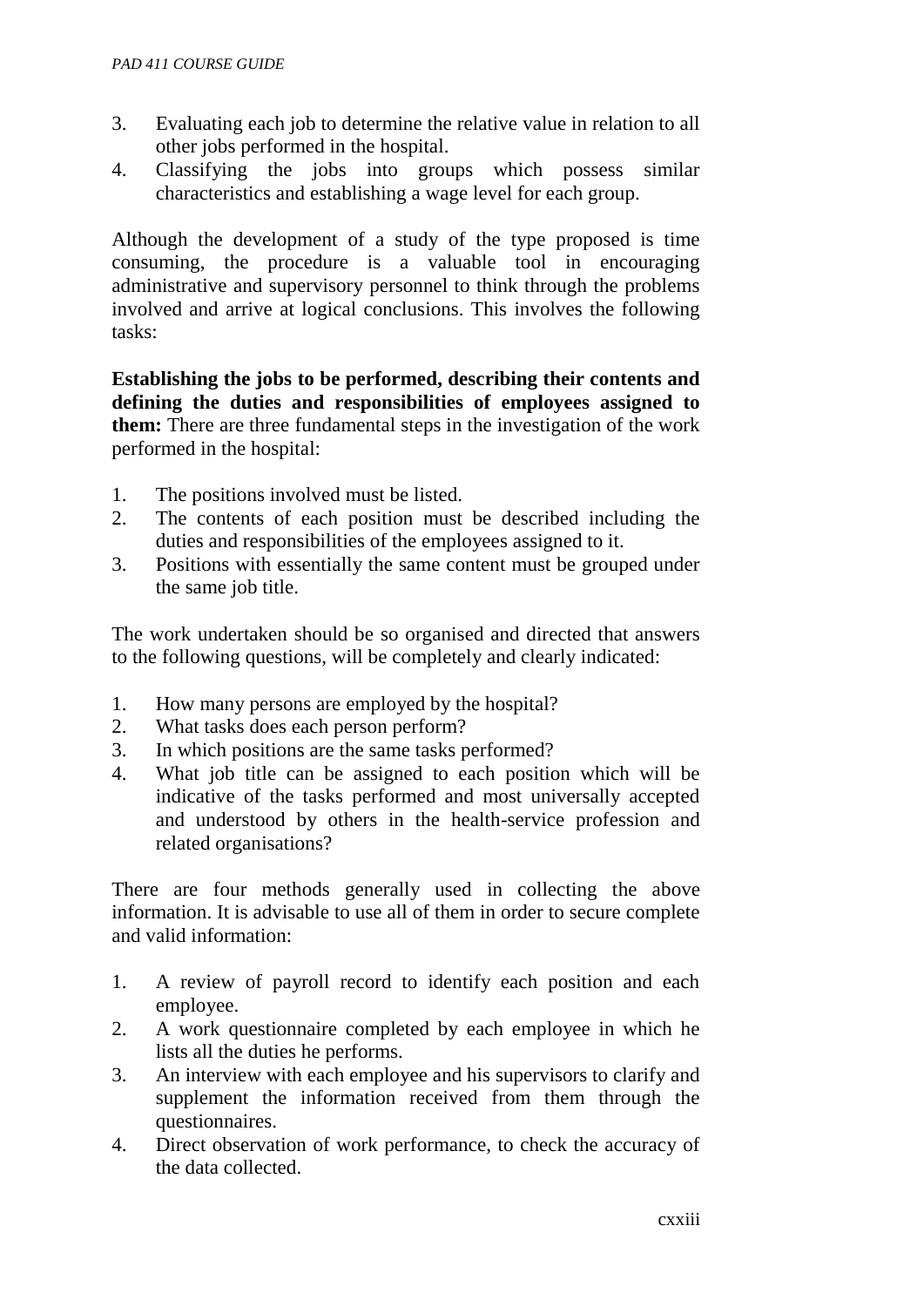- 3. Evaluating each job to determine the relative value in relation to all other jobs performed in the hospital.
- 4. Classifying the jobs into groups which possess similar characteristics and establishing a wage level for each group.

Although the development of a study of the type proposed is time consuming, the procedure is a valuable tool in encouraging administrative and supervisory personnel to think through the problems involved and arrive at logical conclusions. This involves the following tasks:

**Establishing the jobs to be performed, describing their contents and defining the duties and responsibilities of employees assigned to them:** There are three fundamental steps in the investigation of the work performed in the hospital:

- 1. The positions involved must be listed.
- 2. The contents of each position must be described including the duties and responsibilities of the employees assigned to it.
- 3. Positions with essentially the same content must be grouped under the same job title.

The work undertaken should be so organised and directed that answers to the following questions, will be completely and clearly indicated:

- 1. How many persons are employed by the hospital?
- 2. What tasks does each person perform?
- 3. In which positions are the same tasks performed?
- 4. What job title can be assigned to each position which will be indicative of the tasks performed and most universally accepted and understood by others in the health-service profession and related organisations?

There are four methods generally used in collecting the above information. It is advisable to use all of them in order to secure complete and valid information:

- 1. A review of payroll record to identify each position and each employee.
- 2. A work questionnaire completed by each employee in which he lists all the duties he performs.
- 3. An interview with each employee and his supervisors to clarify and supplement the information received from them through the questionnaires.
- 4. Direct observation of work performance, to check the accuracy of the data collected.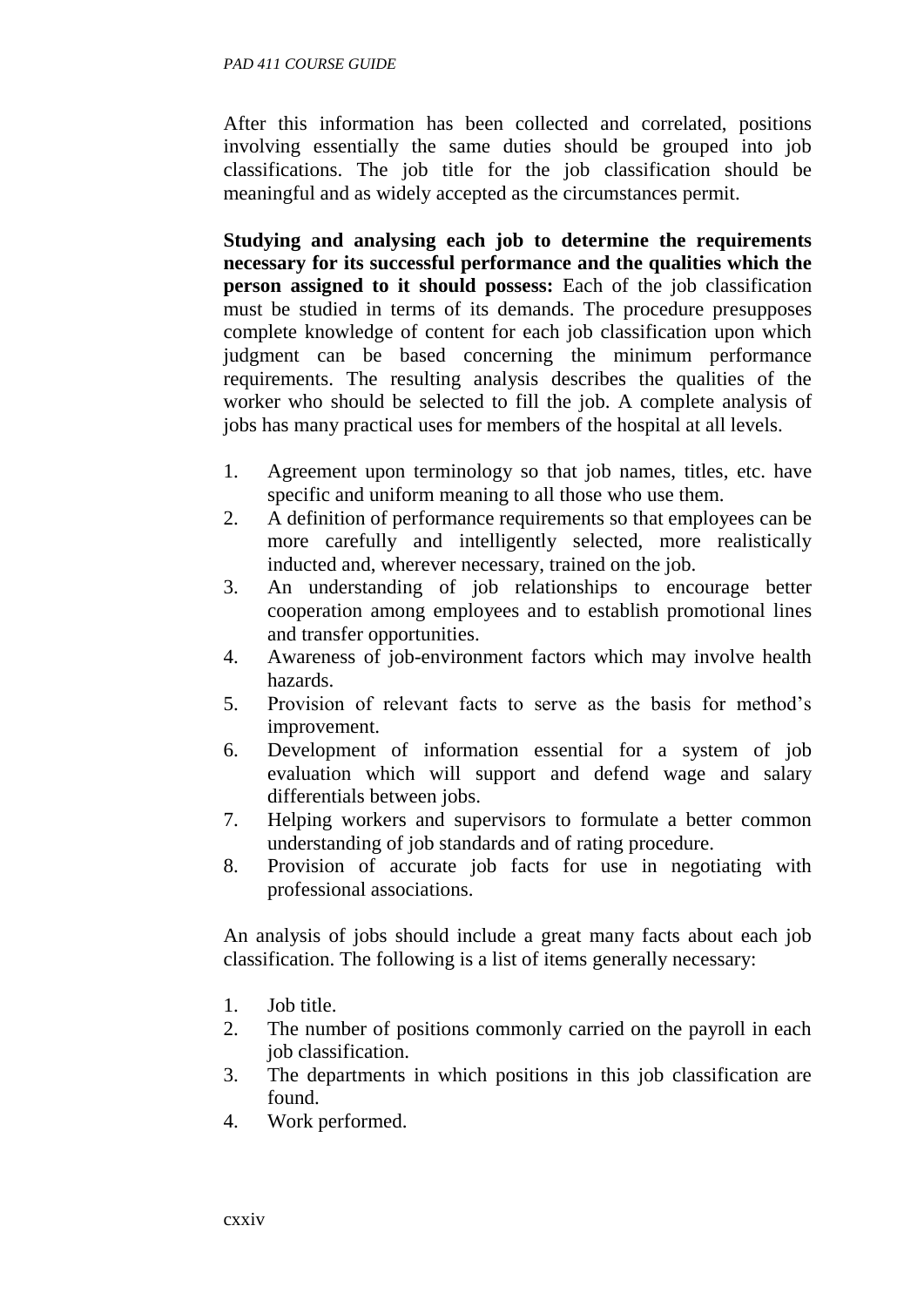#### *PAD 411 COURSE GUIDE*

After this information has been collected and correlated, positions involving essentially the same duties should be grouped into job classifications. The job title for the job classification should be meaningful and as widely accepted as the circumstances permit.

**Studying and analysing each job to determine the requirements necessary for its successful performance and the qualities which the person assigned to it should possess:** Each of the job classification must be studied in terms of its demands. The procedure presupposes complete knowledge of content for each job classification upon which judgment can be based concerning the minimum performance requirements. The resulting analysis describes the qualities of the worker who should be selected to fill the job. A complete analysis of jobs has many practical uses for members of the hospital at all levels.

- 1. Agreement upon terminology so that job names, titles, etc. have specific and uniform meaning to all those who use them.
- 2. A definition of performance requirements so that employees can be more carefully and intelligently selected, more realistically inducted and, wherever necessary, trained on the job.
- 3. An understanding of job relationships to encourage better cooperation among employees and to establish promotional lines and transfer opportunities.
- 4. Awareness of job-environment factors which may involve health hazards.
- 5. Provision of relevant facts to serve as the basis for method"s improvement.
- 6. Development of information essential for a system of job evaluation which will support and defend wage and salary differentials between jobs.
- 7. Helping workers and supervisors to formulate a better common understanding of job standards and of rating procedure.
- 8. Provision of accurate job facts for use in negotiating with professional associations.

An analysis of jobs should include a great many facts about each job classification. The following is a list of items generally necessary:

- 1. Job title.
- 2. The number of positions commonly carried on the payroll in each job classification.
- 3. The departments in which positions in this job classification are found.
- 4. Work performed.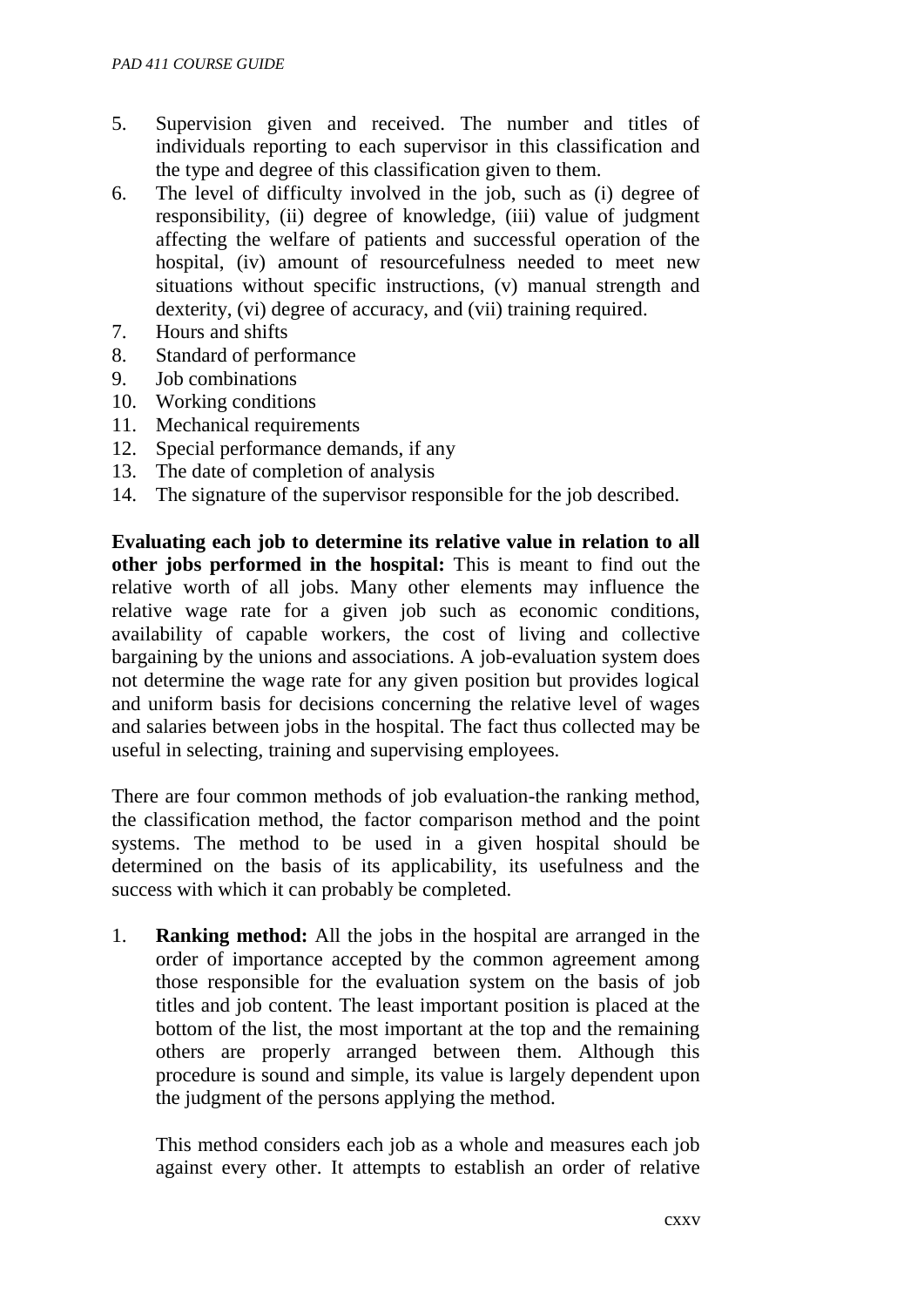- 5. Supervision given and received. The number and titles of individuals reporting to each supervisor in this classification and the type and degree of this classification given to them.
- 6. The level of difficulty involved in the job, such as (i) degree of responsibility, (ii) degree of knowledge, (iii) value of judgment affecting the welfare of patients and successful operation of the hospital, (iv) amount of resourcefulness needed to meet new situations without specific instructions, (v) manual strength and dexterity, (vi) degree of accuracy, and (vii) training required.
- 7. Hours and shifts
- 8. Standard of performance
- 9. Job combinations
- 10. Working conditions
- 11. Mechanical requirements
- 12. Special performance demands, if any
- 13. The date of completion of analysis
- 14. The signature of the supervisor responsible for the job described.

**Evaluating each job to determine its relative value in relation to all other jobs performed in the hospital:** This is meant to find out the relative worth of all jobs. Many other elements may influence the relative wage rate for a given job such as economic conditions, availability of capable workers, the cost of living and collective bargaining by the unions and associations. A job-evaluation system does not determine the wage rate for any given position but provides logical and uniform basis for decisions concerning the relative level of wages and salaries between jobs in the hospital. The fact thus collected may be useful in selecting, training and supervising employees.

There are four common methods of job evaluation-the ranking method, the classification method, the factor comparison method and the point systems. The method to be used in a given hospital should be determined on the basis of its applicability, its usefulness and the success with which it can probably be completed.

1. **Ranking method:** All the jobs in the hospital are arranged in the order of importance accepted by the common agreement among those responsible for the evaluation system on the basis of job titles and job content. The least important position is placed at the bottom of the list, the most important at the top and the remaining others are properly arranged between them. Although this procedure is sound and simple, its value is largely dependent upon the judgment of the persons applying the method.

This method considers each job as a whole and measures each job against every other. It attempts to establish an order of relative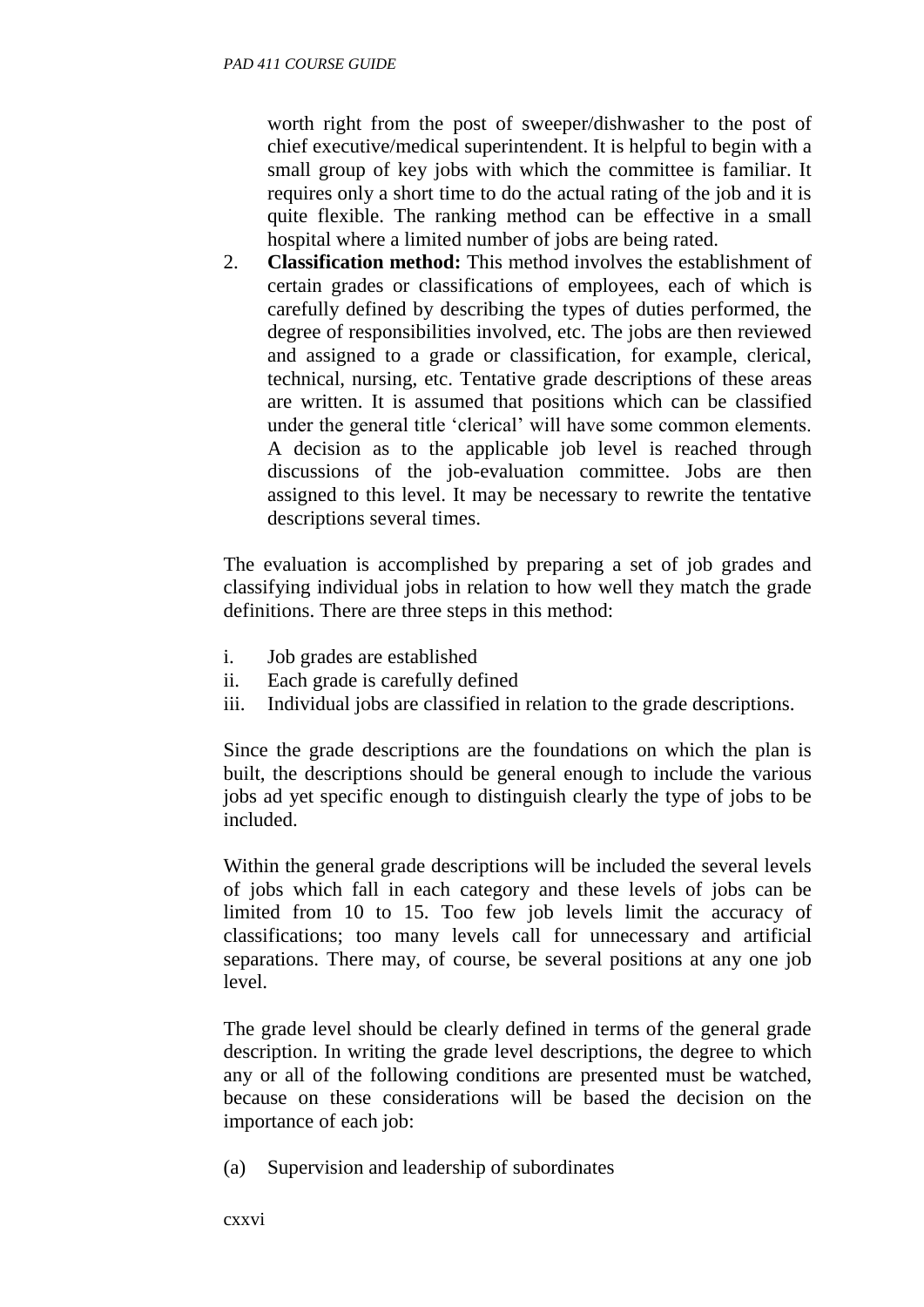worth right from the post of sweeper/dishwasher to the post of chief executive/medical superintendent. It is helpful to begin with a small group of key jobs with which the committee is familiar. It requires only a short time to do the actual rating of the job and it is quite flexible. The ranking method can be effective in a small hospital where a limited number of jobs are being rated.

2. **Classification method:** This method involves the establishment of certain grades or classifications of employees, each of which is carefully defined by describing the types of duties performed, the degree of responsibilities involved, etc. The jobs are then reviewed and assigned to a grade or classification, for example, clerical, technical, nursing, etc. Tentative grade descriptions of these areas are written. It is assumed that positions which can be classified under the general title "clerical" will have some common elements. A decision as to the applicable job level is reached through discussions of the job-evaluation committee. Jobs are then assigned to this level. It may be necessary to rewrite the tentative descriptions several times.

The evaluation is accomplished by preparing a set of job grades and classifying individual jobs in relation to how well they match the grade definitions. There are three steps in this method:

- i. Job grades are established
- ii. Each grade is carefully defined
- iii. Individual jobs are classified in relation to the grade descriptions.

Since the grade descriptions are the foundations on which the plan is built, the descriptions should be general enough to include the various jobs ad yet specific enough to distinguish clearly the type of jobs to be included.

Within the general grade descriptions will be included the several levels of jobs which fall in each category and these levels of jobs can be limited from 10 to 15. Too few job levels limit the accuracy of classifications; too many levels call for unnecessary and artificial separations. There may, of course, be several positions at any one job level.

The grade level should be clearly defined in terms of the general grade description. In writing the grade level descriptions, the degree to which any or all of the following conditions are presented must be watched, because on these considerations will be based the decision on the importance of each job:

(a) Supervision and leadership of subordinates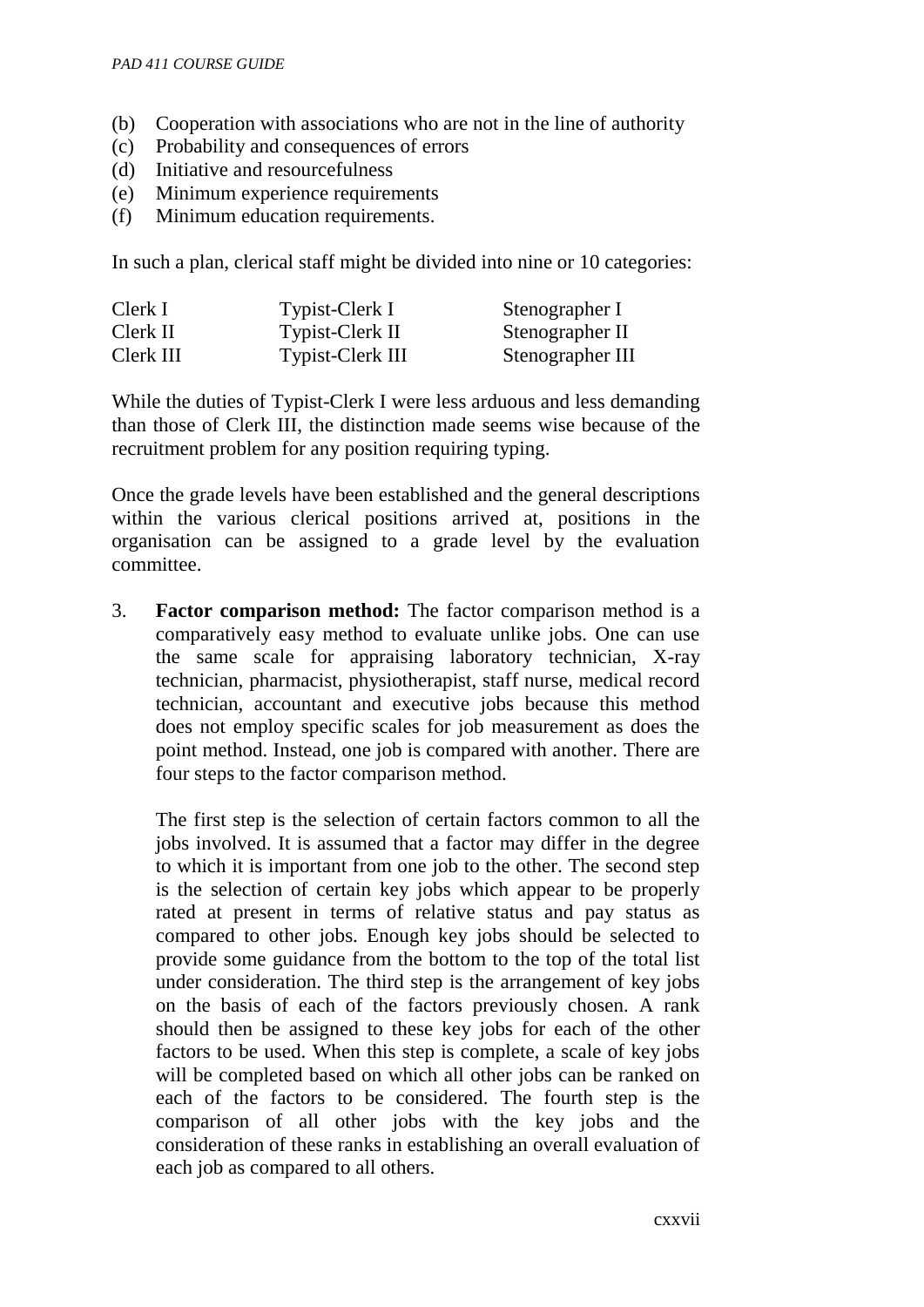- (b) Cooperation with associations who are not in the line of authority
- (c) Probability and consequences of errors
- (d) Initiative and resourcefulness
- (e) Minimum experience requirements
- (f) Minimum education requirements.

In such a plan, clerical staff might be divided into nine or 10 categories:

| Clerk I   | Typist-Clerk I   | Stenographer I   |
|-----------|------------------|------------------|
| Clerk II  | Typist-Clerk II  | Stenographer II  |
| Clerk III | Typist-Clerk III | Stenographer III |

While the duties of Typist-Clerk I were less arduous and less demanding than those of Clerk III, the distinction made seems wise because of the recruitment problem for any position requiring typing.

Once the grade levels have been established and the general descriptions within the various clerical positions arrived at, positions in the organisation can be assigned to a grade level by the evaluation committee.

3. **Factor comparison method:** The factor comparison method is a comparatively easy method to evaluate unlike jobs. One can use the same scale for appraising laboratory technician, X-ray technician, pharmacist, physiotherapist, staff nurse, medical record technician, accountant and executive jobs because this method does not employ specific scales for job measurement as does the point method. Instead, one job is compared with another. There are four steps to the factor comparison method.

The first step is the selection of certain factors common to all the jobs involved. It is assumed that a factor may differ in the degree to which it is important from one job to the other. The second step is the selection of certain key jobs which appear to be properly rated at present in terms of relative status and pay status as compared to other jobs. Enough key jobs should be selected to provide some guidance from the bottom to the top of the total list under consideration. The third step is the arrangement of key jobs on the basis of each of the factors previously chosen. A rank should then be assigned to these key jobs for each of the other factors to be used. When this step is complete, a scale of key jobs will be completed based on which all other jobs can be ranked on each of the factors to be considered. The fourth step is the comparison of all other jobs with the key jobs and the consideration of these ranks in establishing an overall evaluation of each job as compared to all others.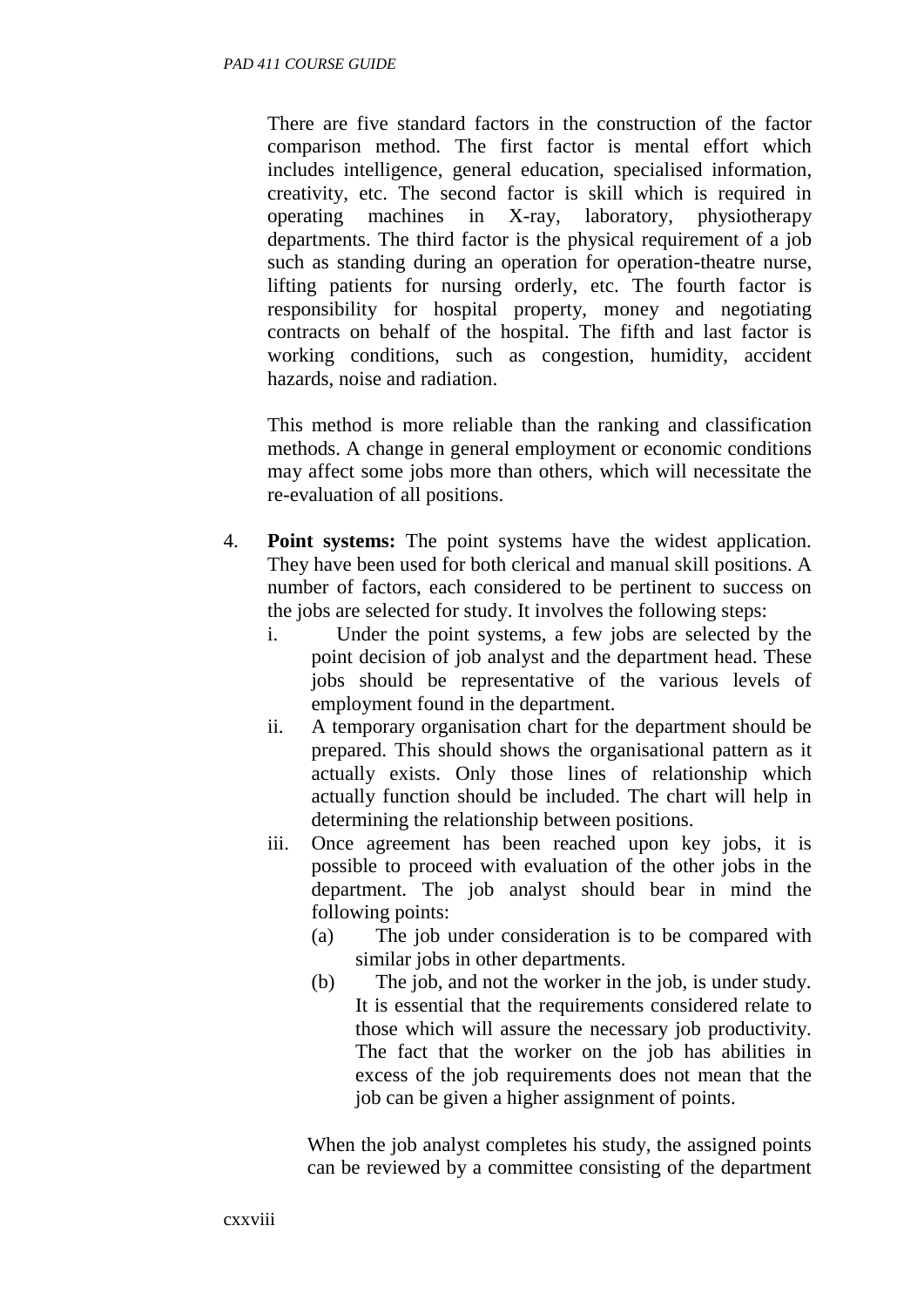There are five standard factors in the construction of the factor comparison method. The first factor is mental effort which includes intelligence, general education, specialised information, creativity, etc. The second factor is skill which is required in operating machines in X-ray, laboratory, physiotherapy departments. The third factor is the physical requirement of a job such as standing during an operation for operation-theatre nurse, lifting patients for nursing orderly, etc. The fourth factor is responsibility for hospital property, money and negotiating contracts on behalf of the hospital. The fifth and last factor is working conditions, such as congestion, humidity, accident hazards, noise and radiation.

This method is more reliable than the ranking and classification methods. A change in general employment or economic conditions may affect some jobs more than others, which will necessitate the re-evaluation of all positions.

- 4. **Point systems:** The point systems have the widest application. They have been used for both clerical and manual skill positions. A number of factors, each considered to be pertinent to success on the jobs are selected for study. It involves the following steps:
	- i. Under the point systems, a few jobs are selected by the point decision of job analyst and the department head. These jobs should be representative of the various levels of employment found in the department.
	- ii. A temporary organisation chart for the department should be prepared. This should shows the organisational pattern as it actually exists. Only those lines of relationship which actually function should be included. The chart will help in determining the relationship between positions.
	- iii. Once agreement has been reached upon key jobs, it is possible to proceed with evaluation of the other jobs in the department. The job analyst should bear in mind the following points:
		- (a) The job under consideration is to be compared with similar jobs in other departments.
		- (b) The job, and not the worker in the job, is under study. It is essential that the requirements considered relate to those which will assure the necessary job productivity. The fact that the worker on the job has abilities in excess of the job requirements does not mean that the job can be given a higher assignment of points.

When the job analyst completes his study, the assigned points can be reviewed by a committee consisting of the department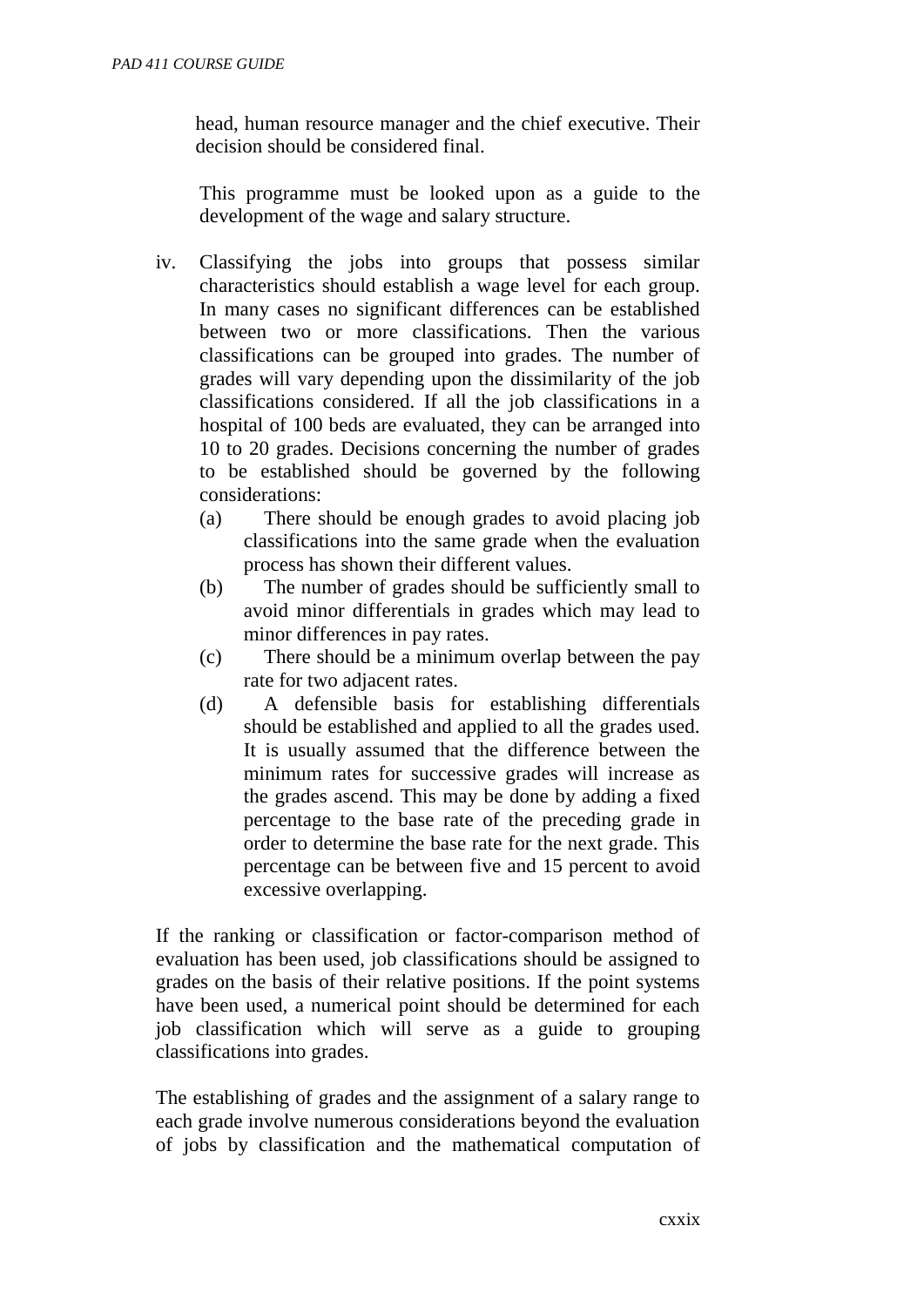head, human resource manager and the chief executive. Their decision should be considered final.

This programme must be looked upon as a guide to the development of the wage and salary structure.

- iv. Classifying the jobs into groups that possess similar characteristics should establish a wage level for each group. In many cases no significant differences can be established between two or more classifications. Then the various classifications can be grouped into grades. The number of grades will vary depending upon the dissimilarity of the job classifications considered. If all the job classifications in a hospital of 100 beds are evaluated, they can be arranged into 10 to 20 grades. Decisions concerning the number of grades to be established should be governed by the following considerations:
	- (a) There should be enough grades to avoid placing job classifications into the same grade when the evaluation process has shown their different values.
	- (b) The number of grades should be sufficiently small to avoid minor differentials in grades which may lead to minor differences in pay rates.
	- (c) There should be a minimum overlap between the pay rate for two adjacent rates.
	- (d) A defensible basis for establishing differentials should be established and applied to all the grades used. It is usually assumed that the difference between the minimum rates for successive grades will increase as the grades ascend. This may be done by adding a fixed percentage to the base rate of the preceding grade in order to determine the base rate for the next grade. This percentage can be between five and 15 percent to avoid excessive overlapping.

If the ranking or classification or factor-comparison method of evaluation has been used, job classifications should be assigned to grades on the basis of their relative positions. If the point systems have been used, a numerical point should be determined for each job classification which will serve as a guide to grouping classifications into grades.

The establishing of grades and the assignment of a salary range to each grade involve numerous considerations beyond the evaluation of jobs by classification and the mathematical computation of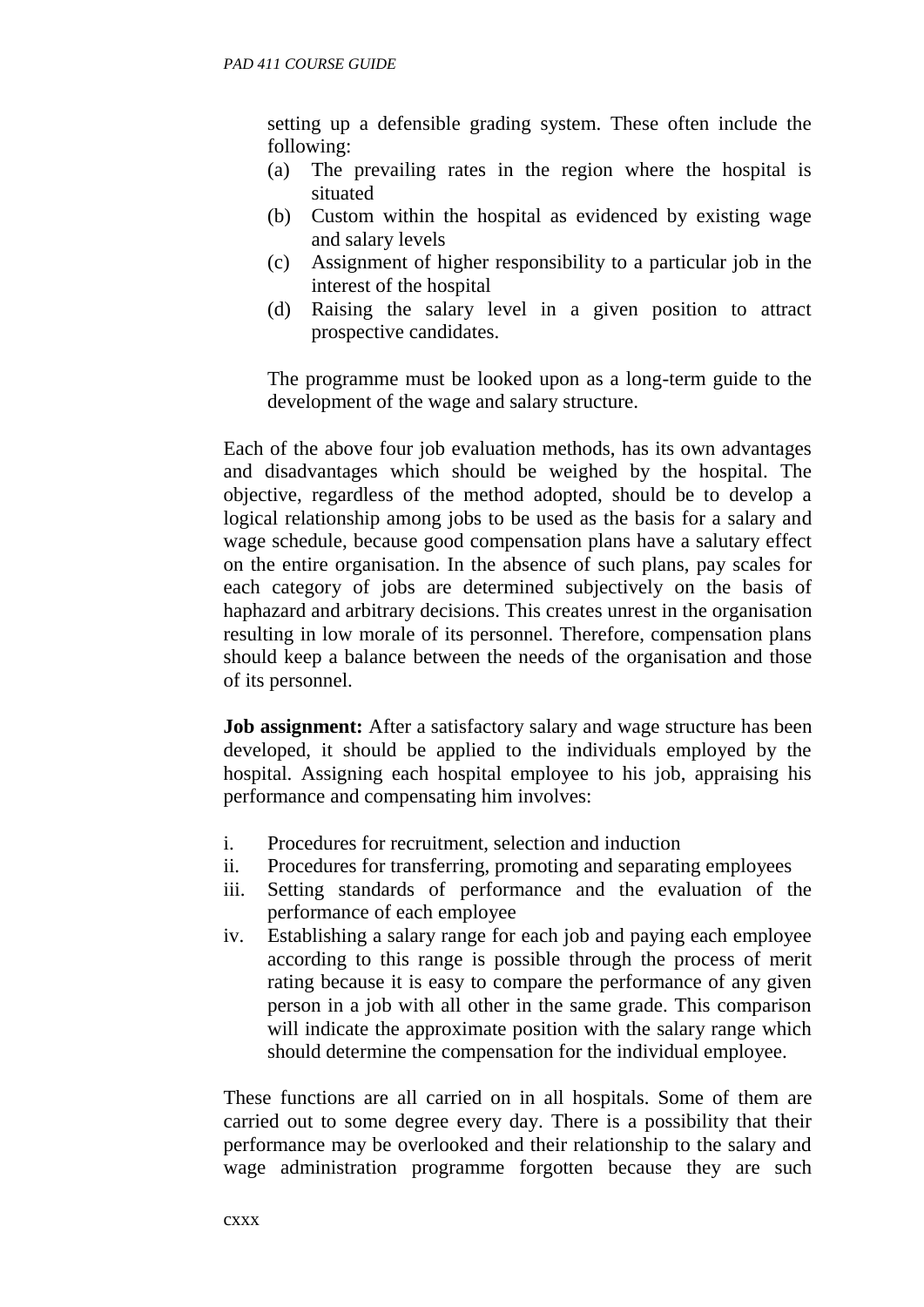setting up a defensible grading system. These often include the following:

- (a) The prevailing rates in the region where the hospital is situated
- (b) Custom within the hospital as evidenced by existing wage and salary levels
- (c) Assignment of higher responsibility to a particular job in the interest of the hospital
- (d) Raising the salary level in a given position to attract prospective candidates.

The programme must be looked upon as a long-term guide to the development of the wage and salary structure.

Each of the above four job evaluation methods, has its own advantages and disadvantages which should be weighed by the hospital. The objective, regardless of the method adopted, should be to develop a logical relationship among jobs to be used as the basis for a salary and wage schedule, because good compensation plans have a salutary effect on the entire organisation. In the absence of such plans, pay scales for each category of jobs are determined subjectively on the basis of haphazard and arbitrary decisions. This creates unrest in the organisation resulting in low morale of its personnel. Therefore, compensation plans should keep a balance between the needs of the organisation and those of its personnel.

**Job assignment:** After a satisfactory salary and wage structure has been developed, it should be applied to the individuals employed by the hospital. Assigning each hospital employee to his job, appraising his performance and compensating him involves:

- i. Procedures for recruitment, selection and induction
- ii. Procedures for transferring, promoting and separating employees
- iii. Setting standards of performance and the evaluation of the performance of each employee
- iv. Establishing a salary range for each job and paying each employee according to this range is possible through the process of merit rating because it is easy to compare the performance of any given person in a job with all other in the same grade. This comparison will indicate the approximate position with the salary range which should determine the compensation for the individual employee.

These functions are all carried on in all hospitals. Some of them are carried out to some degree every day. There is a possibility that their performance may be overlooked and their relationship to the salary and wage administration programme forgotten because they are such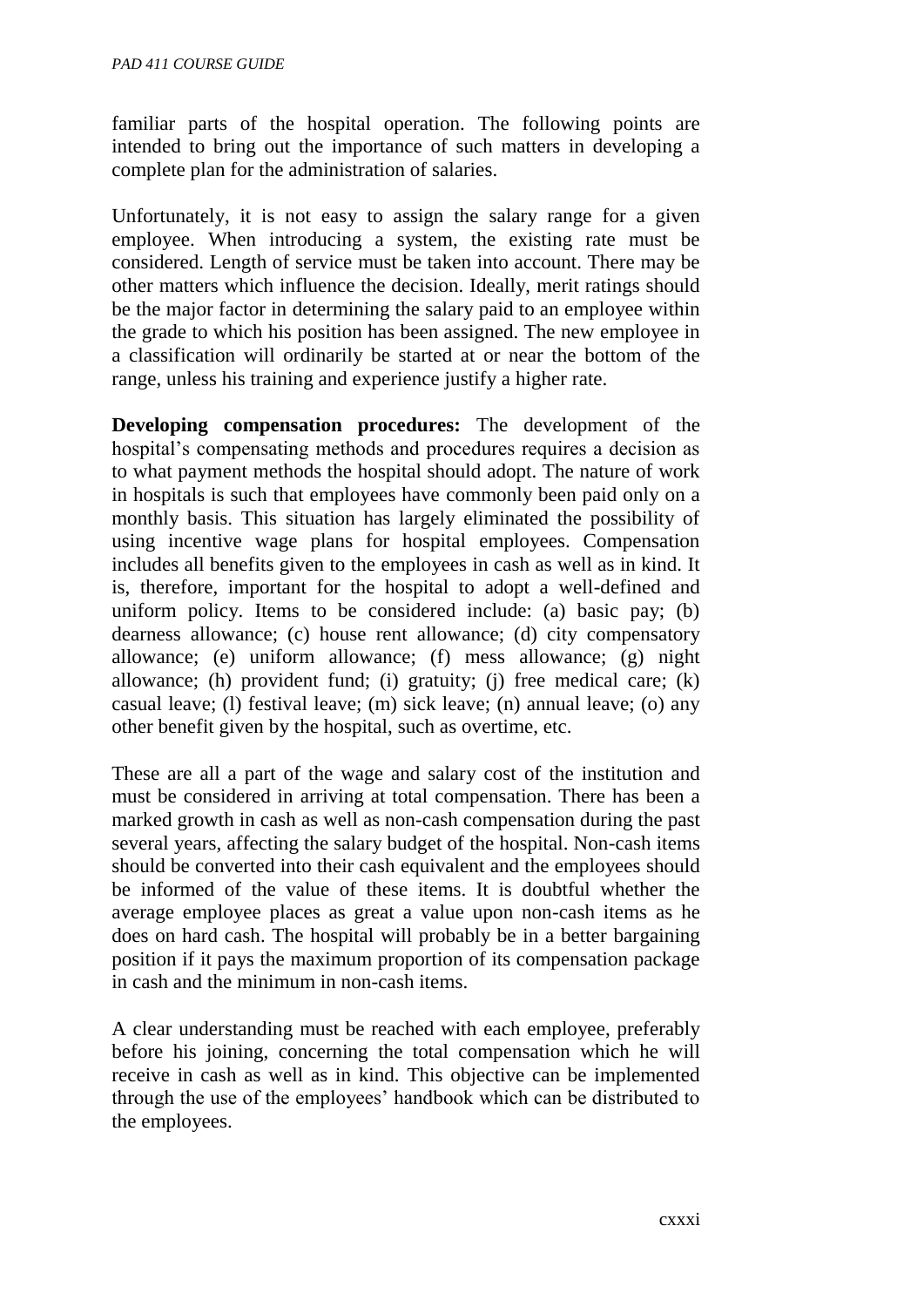familiar parts of the hospital operation. The following points are intended to bring out the importance of such matters in developing a complete plan for the administration of salaries.

Unfortunately, it is not easy to assign the salary range for a given employee. When introducing a system, the existing rate must be considered. Length of service must be taken into account. There may be other matters which influence the decision. Ideally, merit ratings should be the major factor in determining the salary paid to an employee within the grade to which his position has been assigned. The new employee in a classification will ordinarily be started at or near the bottom of the range, unless his training and experience justify a higher rate.

**Developing compensation procedures:** The development of the hospital's compensating methods and procedures requires a decision as to what payment methods the hospital should adopt. The nature of work in hospitals is such that employees have commonly been paid only on a monthly basis. This situation has largely eliminated the possibility of using incentive wage plans for hospital employees. Compensation includes all benefits given to the employees in cash as well as in kind. It is, therefore, important for the hospital to adopt a well-defined and uniform policy. Items to be considered include: (a) basic pay; (b) dearness allowance; (c) house rent allowance; (d) city compensatory allowance; (e) uniform allowance; (f) mess allowance; (g) night allowance; (h) provident fund; (i) gratuity; (j) free medical care; (k) casual leave; (l) festival leave; (m) sick leave; (n) annual leave; (o) any other benefit given by the hospital, such as overtime, etc.

These are all a part of the wage and salary cost of the institution and must be considered in arriving at total compensation. There has been a marked growth in cash as well as non-cash compensation during the past several years, affecting the salary budget of the hospital. Non-cash items should be converted into their cash equivalent and the employees should be informed of the value of these items. It is doubtful whether the average employee places as great a value upon non-cash items as he does on hard cash. The hospital will probably be in a better bargaining position if it pays the maximum proportion of its compensation package in cash and the minimum in non-cash items.

A clear understanding must be reached with each employee, preferably before his joining, concerning the total compensation which he will receive in cash as well as in kind. This objective can be implemented through the use of the employees" handbook which can be distributed to the employees.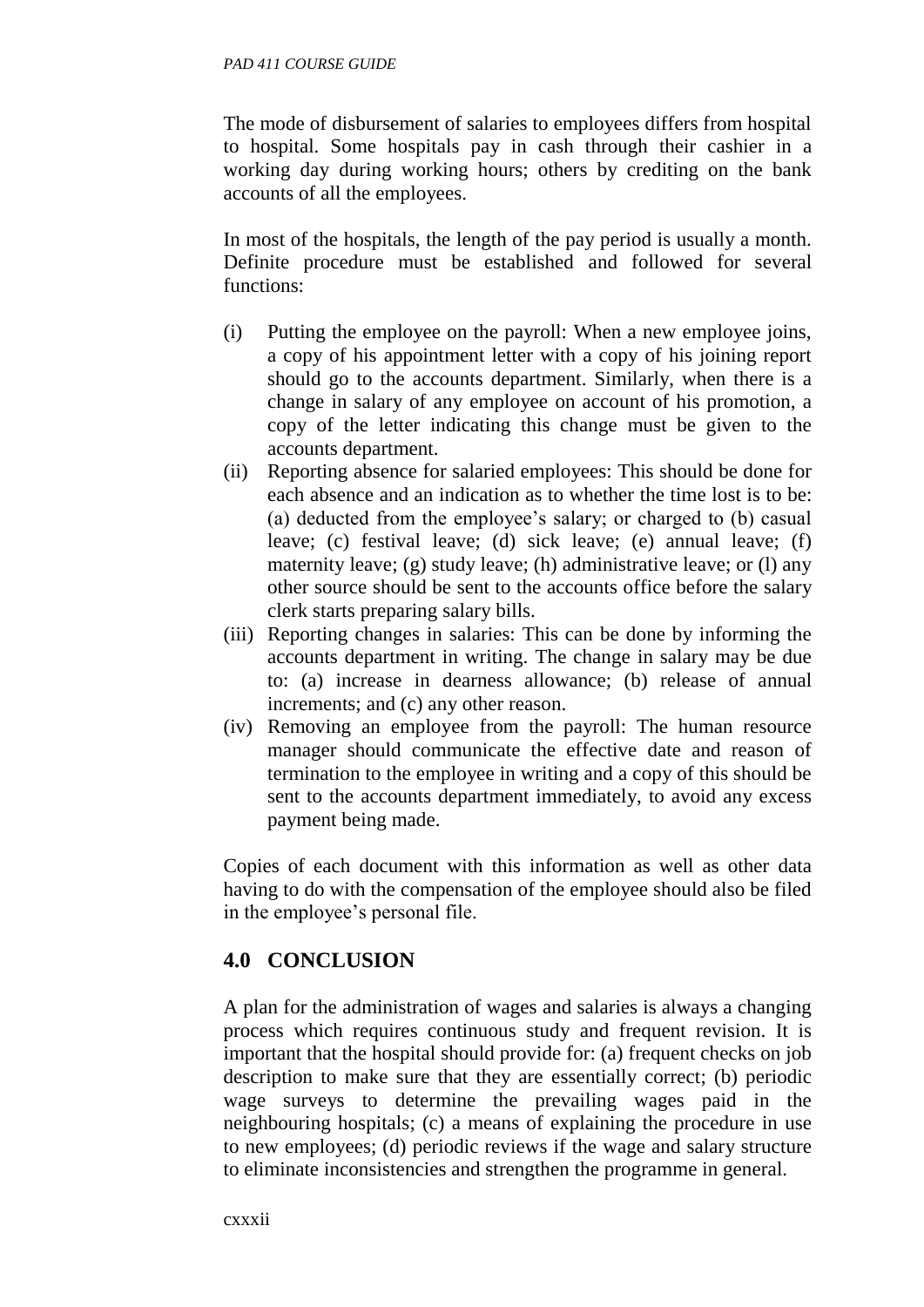#### *PAD 411 COURSE GUIDE*

The mode of disbursement of salaries to employees differs from hospital to hospital. Some hospitals pay in cash through their cashier in a working day during working hours; others by crediting on the bank accounts of all the employees.

In most of the hospitals, the length of the pay period is usually a month. Definite procedure must be established and followed for several functions:

- (i) Putting the employee on the payroll: When a new employee joins, a copy of his appointment letter with a copy of his joining report should go to the accounts department. Similarly, when there is a change in salary of any employee on account of his promotion, a copy of the letter indicating this change must be given to the accounts department.
- (ii) Reporting absence for salaried employees: This should be done for each absence and an indication as to whether the time lost is to be: (a) deducted from the employee"s salary; or charged to (b) casual leave; (c) festival leave; (d) sick leave; (e) annual leave; (f) maternity leave; (g) study leave; (h) administrative leave; or (l) any other source should be sent to the accounts office before the salary clerk starts preparing salary bills.
- (iii) Reporting changes in salaries: This can be done by informing the accounts department in writing. The change in salary may be due to: (a) increase in dearness allowance; (b) release of annual increments; and (c) any other reason.
- (iv) Removing an employee from the payroll: The human resource manager should communicate the effective date and reason of termination to the employee in writing and a copy of this should be sent to the accounts department immediately, to avoid any excess payment being made.

Copies of each document with this information as well as other data having to do with the compensation of the employee should also be filed in the employee's personal file.

### **4.0 CONCLUSION**

A plan for the administration of wages and salaries is always a changing process which requires continuous study and frequent revision. It is important that the hospital should provide for: (a) frequent checks on job description to make sure that they are essentially correct; (b) periodic wage surveys to determine the prevailing wages paid in the neighbouring hospitals; (c) a means of explaining the procedure in use to new employees; (d) periodic reviews if the wage and salary structure to eliminate inconsistencies and strengthen the programme in general.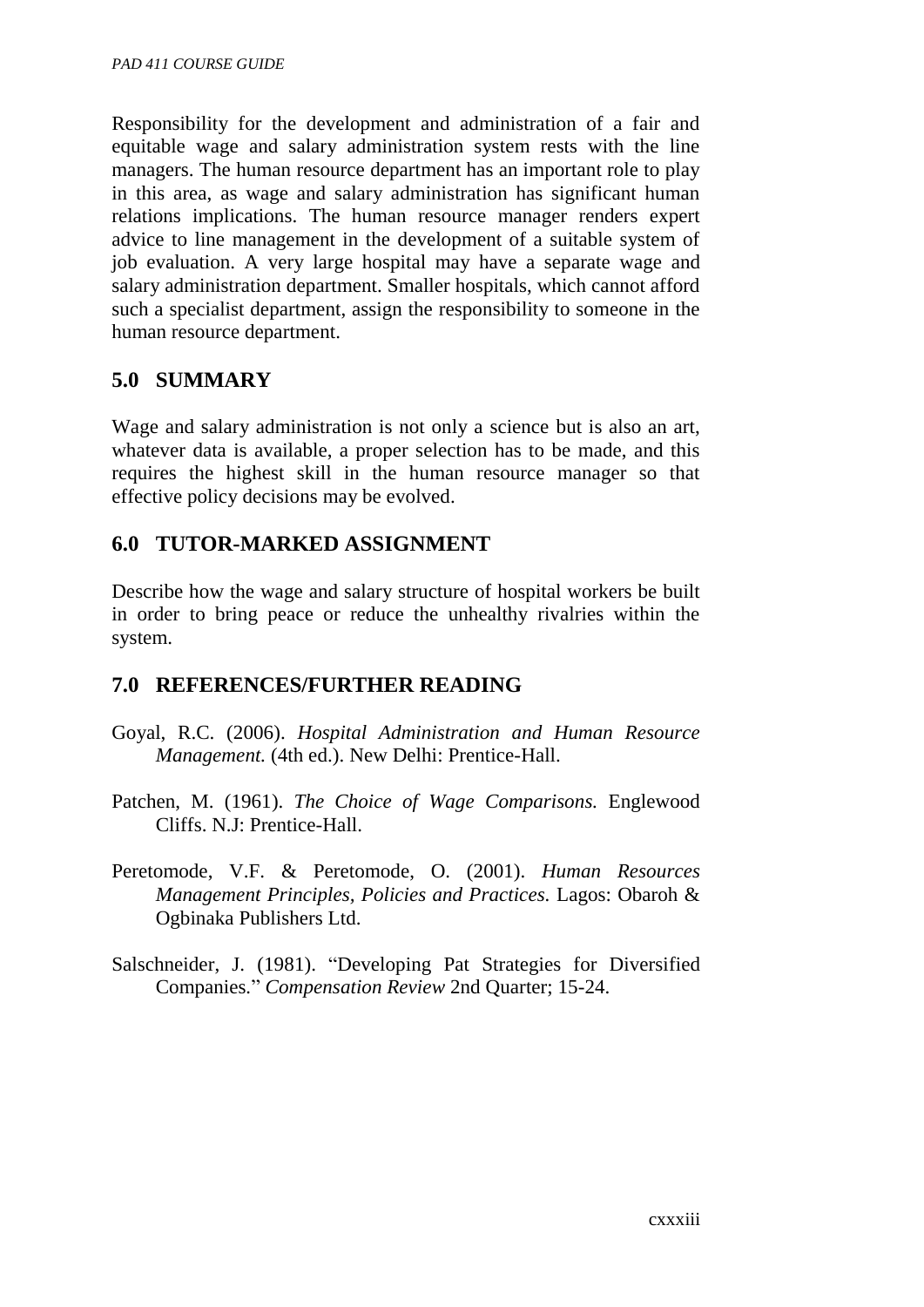Responsibility for the development and administration of a fair and equitable wage and salary administration system rests with the line managers. The human resource department has an important role to play in this area, as wage and salary administration has significant human relations implications. The human resource manager renders expert advice to line management in the development of a suitable system of job evaluation. A very large hospital may have a separate wage and salary administration department. Smaller hospitals, which cannot afford such a specialist department, assign the responsibility to someone in the human resource department.

## **5.0 SUMMARY**

Wage and salary administration is not only a science but is also an art, whatever data is available, a proper selection has to be made, and this requires the highest skill in the human resource manager so that effective policy decisions may be evolved.

## **6.0 TUTOR-MARKED ASSIGNMENT**

Describe how the wage and salary structure of hospital workers be built in order to bring peace or reduce the unhealthy rivalries within the system.

# **7.0 REFERENCES/FURTHER READING**

- Goyal, R.C. (2006). *Hospital Administration and Human Resource Management.* (4th ed.). New Delhi: Prentice-Hall.
- Patchen, M. (1961). *The Choice of Wage Comparisons.* Englewood Cliffs. N.J: Prentice-Hall.
- Peretomode, V.F. & Peretomode, O. (2001). *Human Resources Management Principles, Policies and Practices.* Lagos: Obaroh & Ogbinaka Publishers Ltd.
- Salschneider, J. (1981). "Developing Pat Strategies for Diversified Companies*.*" *Compensation Review* 2nd Quarter; 15-24.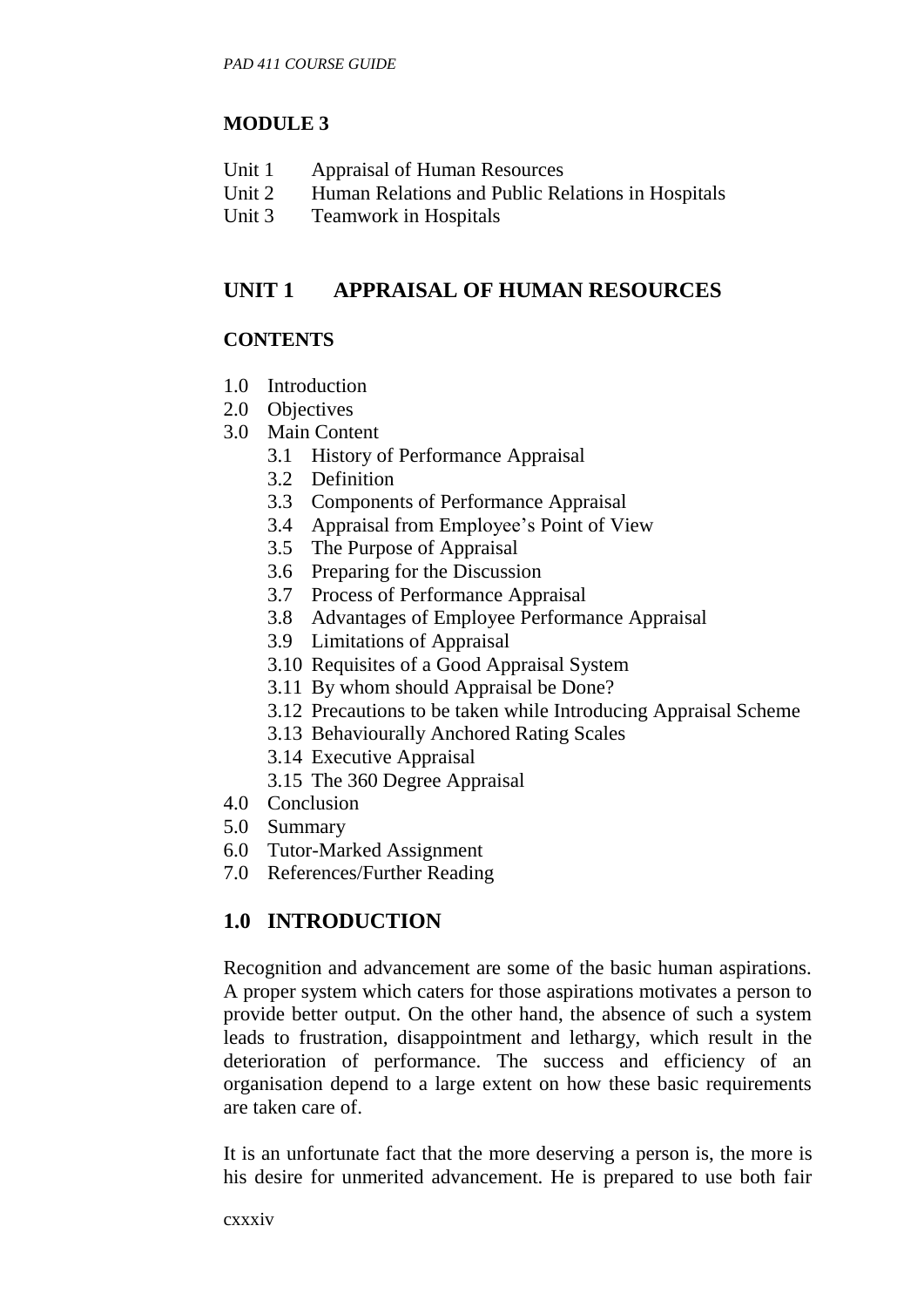## **MODULE 3**

- Unit 1 Appraisal of Human Resources
- Unit 2 Human Relations and Public Relations in Hospitals
- Unit 3 Teamwork in Hospitals

# **UNIT 1 APPRAISAL OF HUMAN RESOURCES**

## **CONTENTS**

- 1.0 Introduction
- 2.0 Objectives
- 3.0 Main Content
	- 3.1 History of Performance Appraisal
	- 3.2 Definition
	- 3.3 Components of Performance Appraisal
	- 3.4 Appraisal from Employee"s Point of View
	- 3.5 The Purpose of Appraisal
	- 3.6 Preparing for the Discussion
	- 3.7 Process of Performance Appraisal
	- 3.8 Advantages of Employee Performance Appraisal
	- 3.9 Limitations of Appraisal
	- 3.10 Requisites of a Good Appraisal System
	- 3.11 By whom should Appraisal be Done?
	- 3.12 Precautions to be taken while Introducing Appraisal Scheme
	- 3.13 Behaviourally Anchored Rating Scales
	- 3.14 Executive Appraisal
	- 3.15 The 360 Degree Appraisal
- 4.0 Conclusion
- 5.0 Summary
- 6.0 Tutor-Marked Assignment
- 7.0 References/Further Reading

# **1.0 INTRODUCTION**

Recognition and advancement are some of the basic human aspirations. A proper system which caters for those aspirations motivates a person to provide better output. On the other hand, the absence of such a system leads to frustration, disappointment and lethargy, which result in the deterioration of performance. The success and efficiency of an organisation depend to a large extent on how these basic requirements are taken care of.

It is an unfortunate fact that the more deserving a person is, the more is his desire for unmerited advancement. He is prepared to use both fair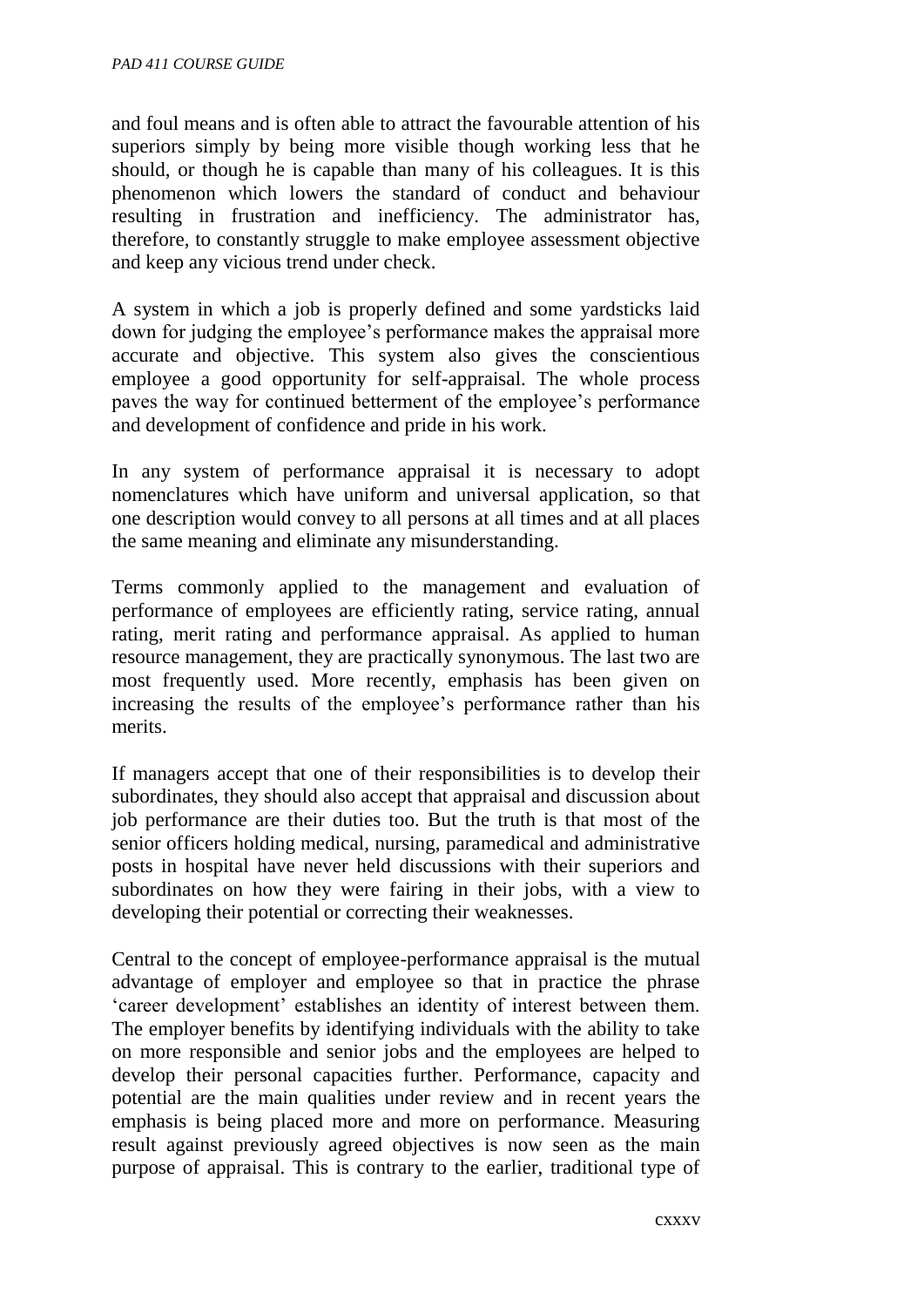and foul means and is often able to attract the favourable attention of his superiors simply by being more visible though working less that he should, or though he is capable than many of his colleagues. It is this phenomenon which lowers the standard of conduct and behaviour resulting in frustration and inefficiency. The administrator has, therefore, to constantly struggle to make employee assessment objective and keep any vicious trend under check.

A system in which a job is properly defined and some yardsticks laid down for judging the employee"s performance makes the appraisal more accurate and objective. This system also gives the conscientious employee a good opportunity for self-appraisal. The whole process paves the way for continued betterment of the employee"s performance and development of confidence and pride in his work.

In any system of performance appraisal it is necessary to adopt nomenclatures which have uniform and universal application, so that one description would convey to all persons at all times and at all places the same meaning and eliminate any misunderstanding.

Terms commonly applied to the management and evaluation of performance of employees are efficiently rating, service rating, annual rating, merit rating and performance appraisal. As applied to human resource management, they are practically synonymous. The last two are most frequently used. More recently, emphasis has been given on increasing the results of the employee's performance rather than his merits.

If managers accept that one of their responsibilities is to develop their subordinates, they should also accept that appraisal and discussion about job performance are their duties too. But the truth is that most of the senior officers holding medical, nursing, paramedical and administrative posts in hospital have never held discussions with their superiors and subordinates on how they were fairing in their jobs, with a view to developing their potential or correcting their weaknesses.

Central to the concept of employee-performance appraisal is the mutual advantage of employer and employee so that in practice the phrase 'career development' establishes an identity of interest between them. The employer benefits by identifying individuals with the ability to take on more responsible and senior jobs and the employees are helped to develop their personal capacities further. Performance, capacity and potential are the main qualities under review and in recent years the emphasis is being placed more and more on performance. Measuring result against previously agreed objectives is now seen as the main purpose of appraisal. This is contrary to the earlier, traditional type of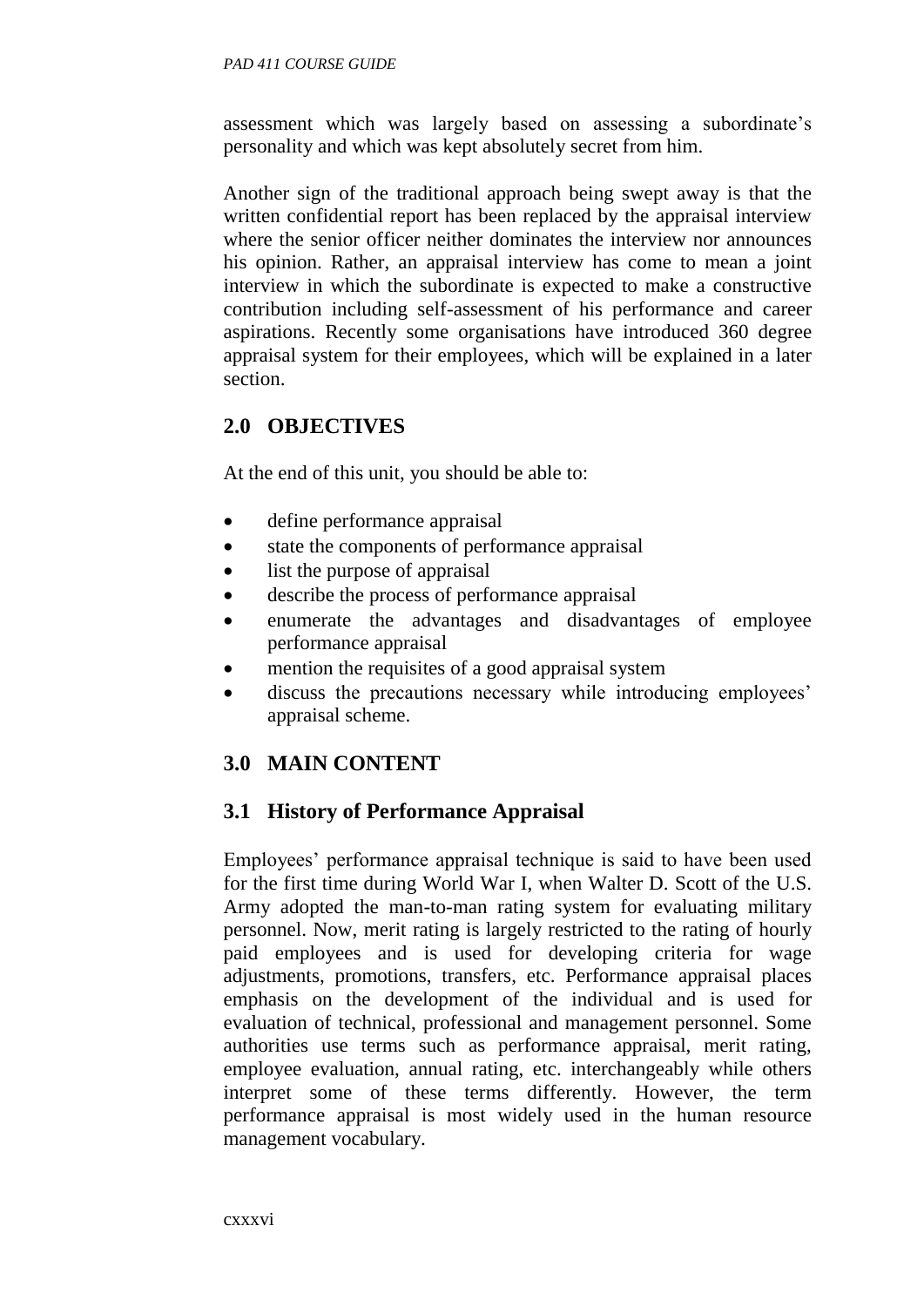assessment which was largely based on assessing a subordinate"s personality and which was kept absolutely secret from him.

Another sign of the traditional approach being swept away is that the written confidential report has been replaced by the appraisal interview where the senior officer neither dominates the interview nor announces his opinion. Rather, an appraisal interview has come to mean a joint interview in which the subordinate is expected to make a constructive contribution including self-assessment of his performance and career aspirations. Recently some organisations have introduced 360 degree appraisal system for their employees, which will be explained in a later section.

# **2.0 OBJECTIVES**

At the end of this unit, you should be able to:

- define performance appraisal
- state the components of performance appraisal
- list the purpose of appraisal
- describe the process of performance appraisal
- enumerate the advantages and disadvantages of employee performance appraisal
- mention the requisites of a good appraisal system
- discuss the precautions necessary while introducing employees' appraisal scheme.

# **3.0 MAIN CONTENT**

### **3.1 History of Performance Appraisal**

Employees" performance appraisal technique is said to have been used for the first time during World War I, when Walter D. Scott of the U.S. Army adopted the man-to-man rating system for evaluating military personnel. Now, merit rating is largely restricted to the rating of hourly paid employees and is used for developing criteria for wage adjustments, promotions, transfers, etc. Performance appraisal places emphasis on the development of the individual and is used for evaluation of technical, professional and management personnel. Some authorities use terms such as performance appraisal, merit rating, employee evaluation, annual rating, etc. interchangeably while others interpret some of these terms differently. However, the term performance appraisal is most widely used in the human resource management vocabulary.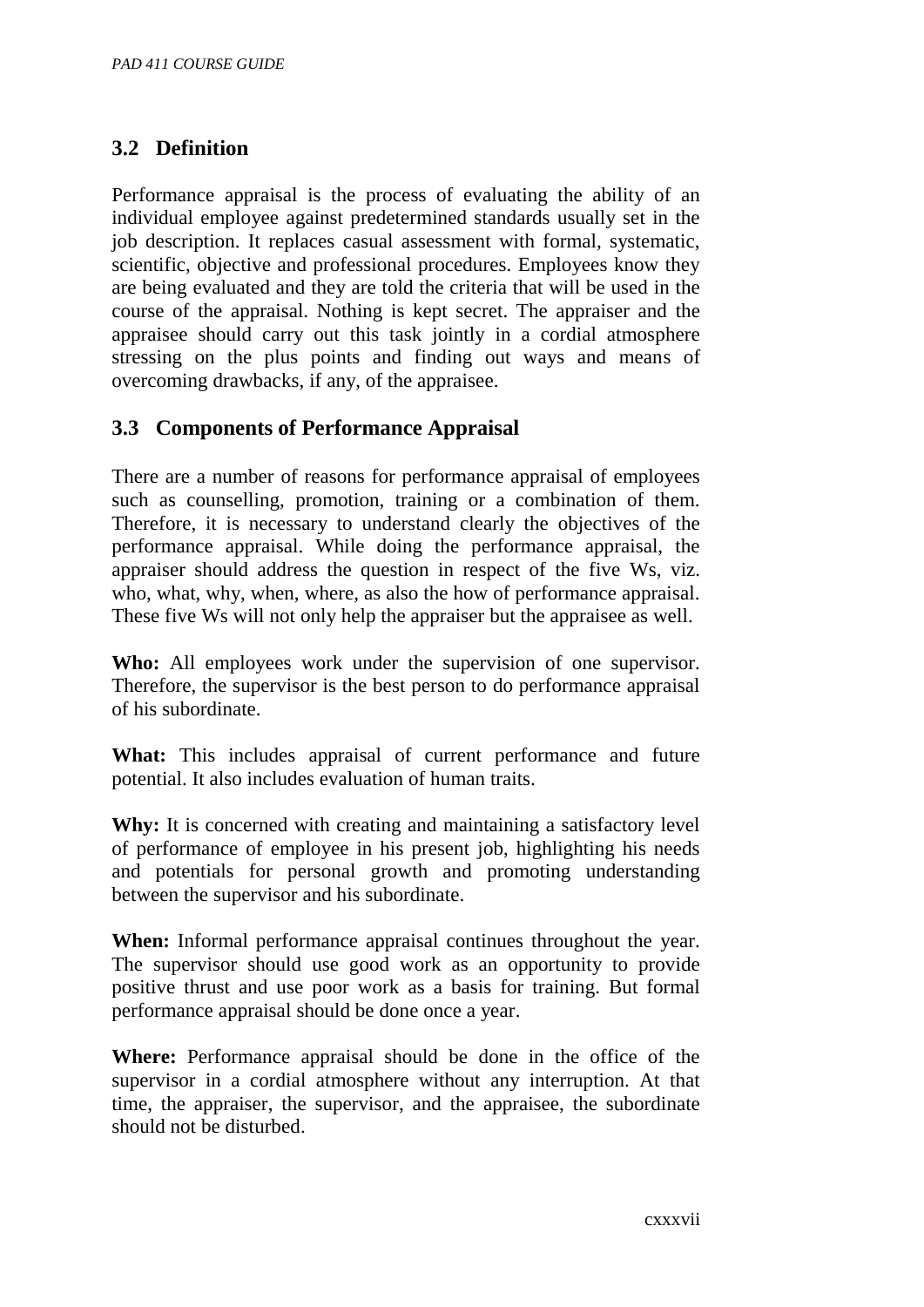# **3.2 Definition**

Performance appraisal is the process of evaluating the ability of an individual employee against predetermined standards usually set in the job description. It replaces casual assessment with formal, systematic, scientific, objective and professional procedures. Employees know they are being evaluated and they are told the criteria that will be used in the course of the appraisal. Nothing is kept secret. The appraiser and the appraisee should carry out this task jointly in a cordial atmosphere stressing on the plus points and finding out ways and means of overcoming drawbacks, if any, of the appraisee.

# **3.3 Components of Performance Appraisal**

There are a number of reasons for performance appraisal of employees such as counselling, promotion, training or a combination of them. Therefore, it is necessary to understand clearly the objectives of the performance appraisal. While doing the performance appraisal, the appraiser should address the question in respect of the five Ws, viz. who, what, why, when, where, as also the how of performance appraisal. These five Ws will not only help the appraiser but the appraisee as well.

**Who:** All employees work under the supervision of one supervisor. Therefore, the supervisor is the best person to do performance appraisal of his subordinate.

**What:** This includes appraisal of current performance and future potential. It also includes evaluation of human traits.

Why: It is concerned with creating and maintaining a satisfactory level of performance of employee in his present job, highlighting his needs and potentials for personal growth and promoting understanding between the supervisor and his subordinate.

**When:** Informal performance appraisal continues throughout the year. The supervisor should use good work as an opportunity to provide positive thrust and use poor work as a basis for training. But formal performance appraisal should be done once a year.

**Where:** Performance appraisal should be done in the office of the supervisor in a cordial atmosphere without any interruption. At that time, the appraiser, the supervisor, and the appraisee, the subordinate should not be disturbed.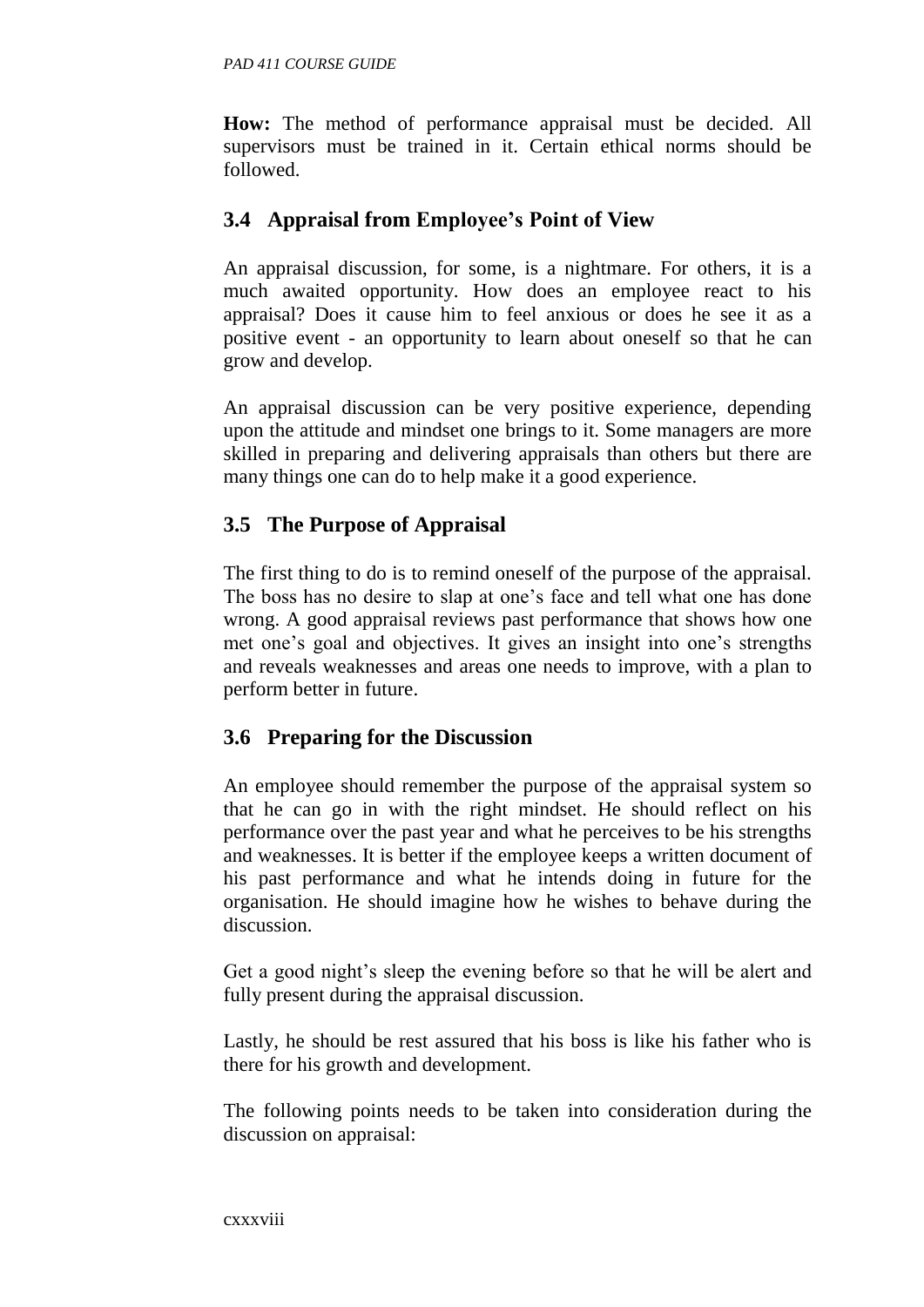**How:** The method of performance appraisal must be decided. All supervisors must be trained in it. Certain ethical norms should be followed.

# **3.4 Appraisal from Employee's Point of View**

An appraisal discussion, for some, is a nightmare. For others, it is a much awaited opportunity. How does an employee react to his appraisal? Does it cause him to feel anxious or does he see it as a positive event - an opportunity to learn about oneself so that he can grow and develop.

An appraisal discussion can be very positive experience, depending upon the attitude and mindset one brings to it. Some managers are more skilled in preparing and delivering appraisals than others but there are many things one can do to help make it a good experience.

## **3.5 The Purpose of Appraisal**

The first thing to do is to remind oneself of the purpose of the appraisal. The boss has no desire to slap at one's face and tell what one has done wrong. A good appraisal reviews past performance that shows how one met one"s goal and objectives. It gives an insight into one"s strengths and reveals weaknesses and areas one needs to improve, with a plan to perform better in future.

# **3.6 Preparing for the Discussion**

An employee should remember the purpose of the appraisal system so that he can go in with the right mindset. He should reflect on his performance over the past year and what he perceives to be his strengths and weaknesses. It is better if the employee keeps a written document of his past performance and what he intends doing in future for the organisation. He should imagine how he wishes to behave during the discussion.

Get a good night"s sleep the evening before so that he will be alert and fully present during the appraisal discussion.

Lastly, he should be rest assured that his boss is like his father who is there for his growth and development.

The following points needs to be taken into consideration during the discussion on appraisal: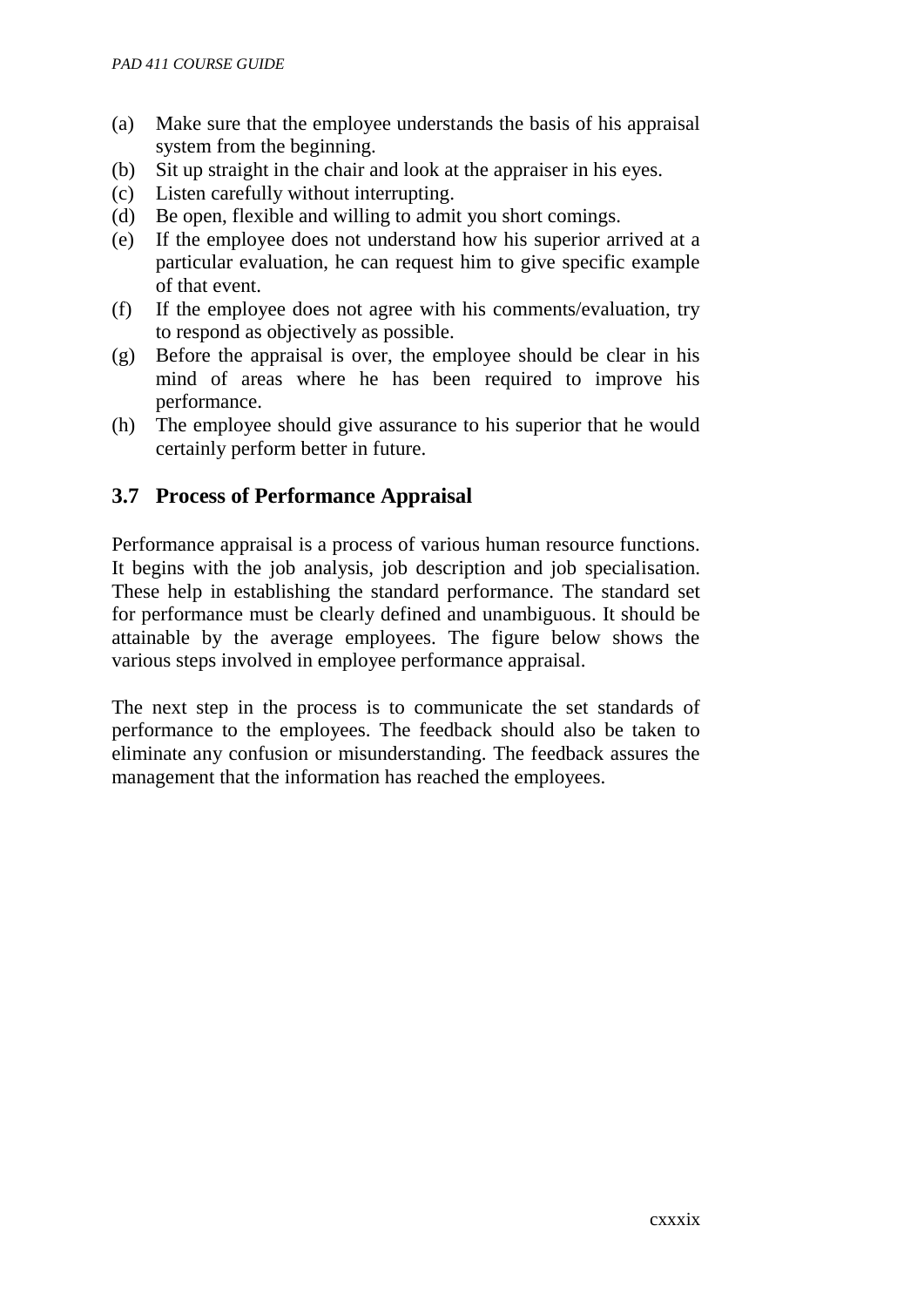- (a) Make sure that the employee understands the basis of his appraisal system from the beginning.
- (b) Sit up straight in the chair and look at the appraiser in his eyes.
- (c) Listen carefully without interrupting.
- (d) Be open, flexible and willing to admit you short comings.
- (e) If the employee does not understand how his superior arrived at a particular evaluation, he can request him to give specific example of that event.
- (f) If the employee does not agree with his comments/evaluation, try to respond as objectively as possible.
- (g) Before the appraisal is over, the employee should be clear in his mind of areas where he has been required to improve his performance.
- (h) The employee should give assurance to his superior that he would certainly perform better in future.

### **3.7 Process of Performance Appraisal**

Performance appraisal is a process of various human resource functions. It begins with the job analysis, job description and job specialisation. These help in establishing the standard performance. The standard set for performance must be clearly defined and unambiguous. It should be attainable by the average employees. The figure below shows the various steps involved in employee performance appraisal.

The next step in the process is to communicate the set standards of performance to the employees. The feedback should also be taken to eliminate any confusion or misunderstanding. The feedback assures the management that the information has reached the employees.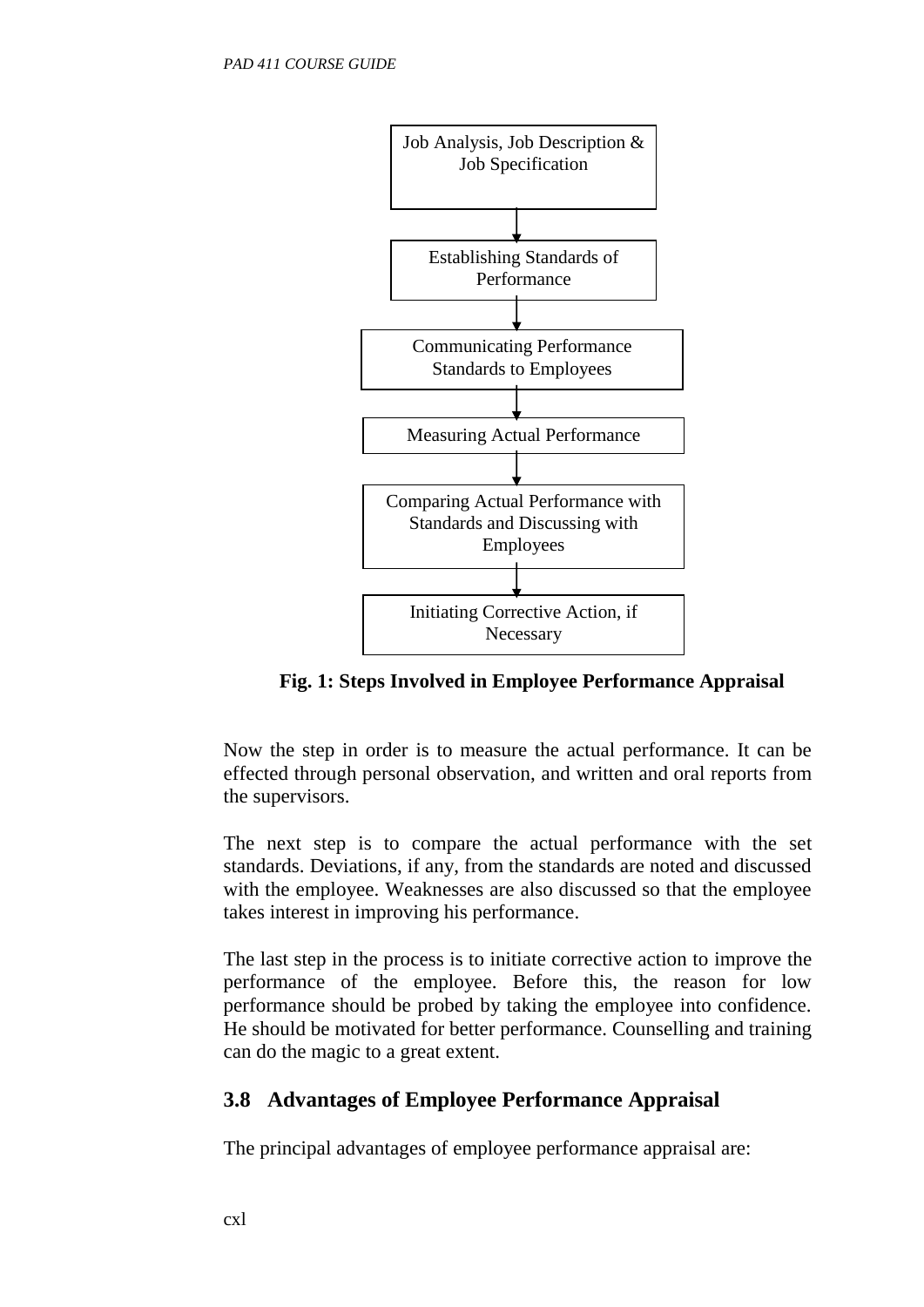

**Fig. 1: Steps Involved in Employee Performance Appraisal**

Now the step in order is to measure the actual performance. It can be effected through personal observation, and written and oral reports from the supervisors.

The next step is to compare the actual performance with the set standards. Deviations, if any, from the standards are noted and discussed with the employee. Weaknesses are also discussed so that the employee takes interest in improving his performance.

The last step in the process is to initiate corrective action to improve the performance of the employee. Before this, the reason for low performance should be probed by taking the employee into confidence. He should be motivated for better performance. Counselling and training can do the magic to a great extent.

### **3.8 Advantages of Employee Performance Appraisal**

The principal advantages of employee performance appraisal are: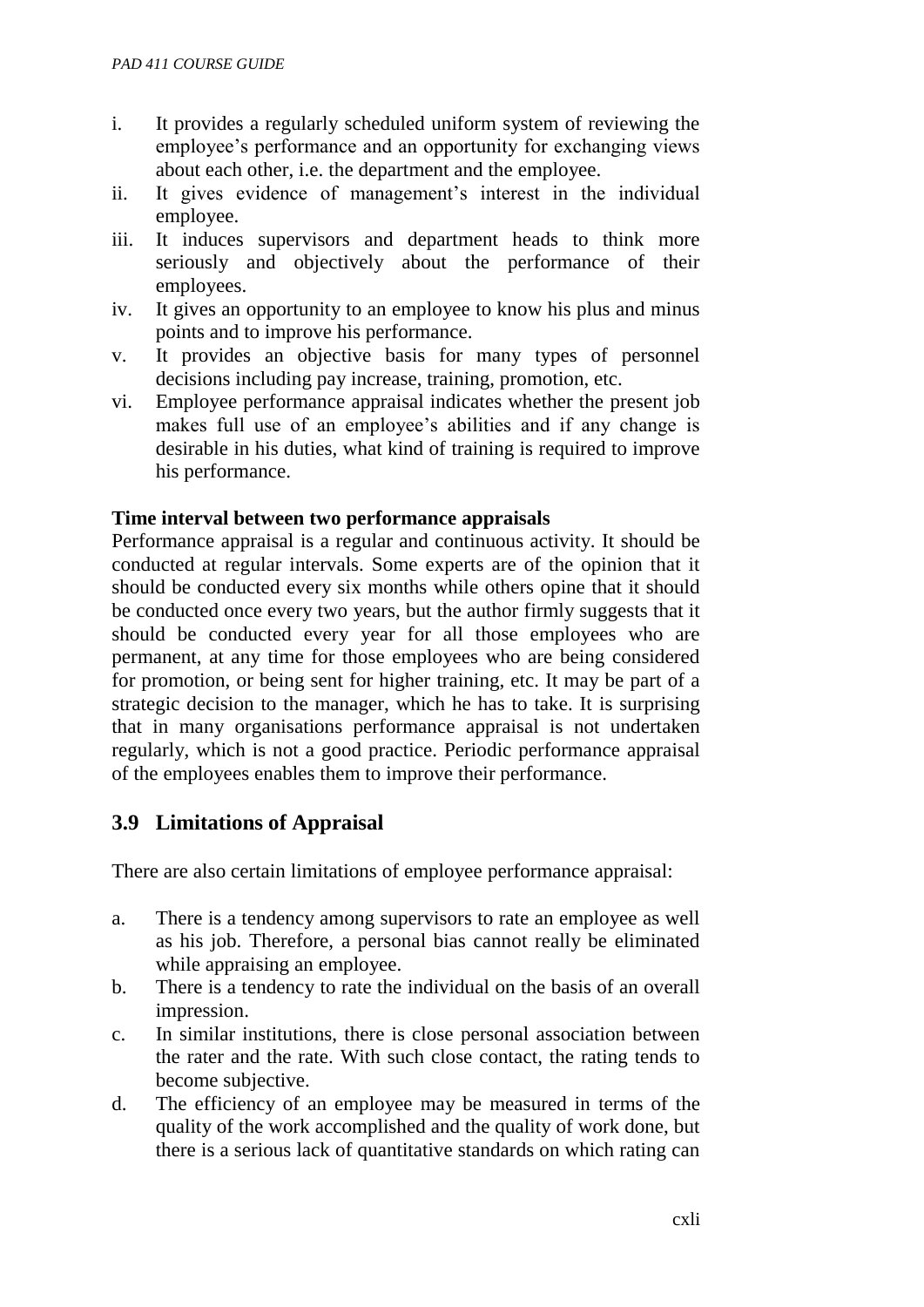- i. It provides a regularly scheduled uniform system of reviewing the employee"s performance and an opportunity for exchanging views about each other, i.e. the department and the employee.
- ii. It gives evidence of management's interest in the individual employee.
- iii. It induces supervisors and department heads to think more seriously and objectively about the performance of their employees.
- iv. It gives an opportunity to an employee to know his plus and minus points and to improve his performance.
- v. It provides an objective basis for many types of personnel decisions including pay increase, training, promotion, etc.
- vi. Employee performance appraisal indicates whether the present job makes full use of an employee's abilities and if any change is desirable in his duties, what kind of training is required to improve his performance.

### **Time interval between two performance appraisals**

Performance appraisal is a regular and continuous activity. It should be conducted at regular intervals. Some experts are of the opinion that it should be conducted every six months while others opine that it should be conducted once every two years, but the author firmly suggests that it should be conducted every year for all those employees who are permanent, at any time for those employees who are being considered for promotion, or being sent for higher training, etc. It may be part of a strategic decision to the manager, which he has to take. It is surprising that in many organisations performance appraisal is not undertaken regularly, which is not a good practice. Periodic performance appraisal of the employees enables them to improve their performance.

### **3.9 Limitations of Appraisal**

There are also certain limitations of employee performance appraisal:

- a. There is a tendency among supervisors to rate an employee as well as his job. Therefore, a personal bias cannot really be eliminated while appraising an employee.
- b. There is a tendency to rate the individual on the basis of an overall impression.
- c. In similar institutions, there is close personal association between the rater and the rate. With such close contact, the rating tends to become subjective.
- d. The efficiency of an employee may be measured in terms of the quality of the work accomplished and the quality of work done, but there is a serious lack of quantitative standards on which rating can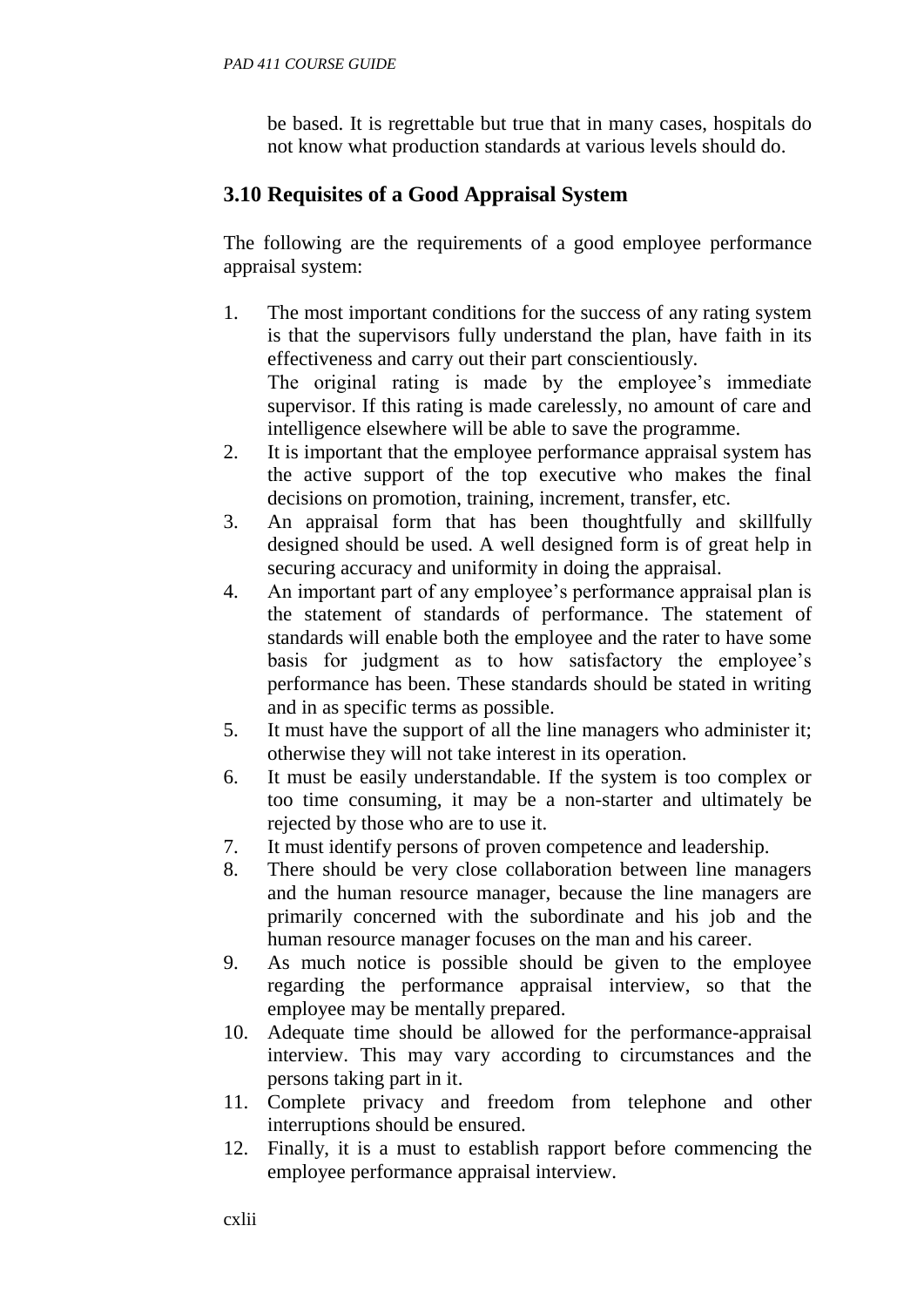be based. It is regrettable but true that in many cases, hospitals do not know what production standards at various levels should do.

# **3.10 Requisites of a Good Appraisal System**

The following are the requirements of a good employee performance appraisal system:

- 1. The most important conditions for the success of any rating system is that the supervisors fully understand the plan, have faith in its effectiveness and carry out their part conscientiously. The original rating is made by the employee's immediate supervisor. If this rating is made carelessly, no amount of care and intelligence elsewhere will be able to save the programme.
- 2. It is important that the employee performance appraisal system has the active support of the top executive who makes the final decisions on promotion, training, increment, transfer, etc.
- 3. An appraisal form that has been thoughtfully and skillfully designed should be used. A well designed form is of great help in securing accuracy and uniformity in doing the appraisal.
- 4. An important part of any employee's performance appraisal plan is the statement of standards of performance. The statement of standards will enable both the employee and the rater to have some basis for judgment as to how satisfactory the employee's performance has been. These standards should be stated in writing and in as specific terms as possible.
- 5. It must have the support of all the line managers who administer it; otherwise they will not take interest in its operation.
- 6. It must be easily understandable. If the system is too complex or too time consuming, it may be a non-starter and ultimately be rejected by those who are to use it.
- 7. It must identify persons of proven competence and leadership.
- 8. There should be very close collaboration between line managers and the human resource manager, because the line managers are primarily concerned with the subordinate and his job and the human resource manager focuses on the man and his career.
- 9. As much notice is possible should be given to the employee regarding the performance appraisal interview, so that the employee may be mentally prepared.
- 10. Adequate time should be allowed for the performance-appraisal interview. This may vary according to circumstances and the persons taking part in it.
- 11. Complete privacy and freedom from telephone and other interruptions should be ensured.
- 12. Finally, it is a must to establish rapport before commencing the employee performance appraisal interview.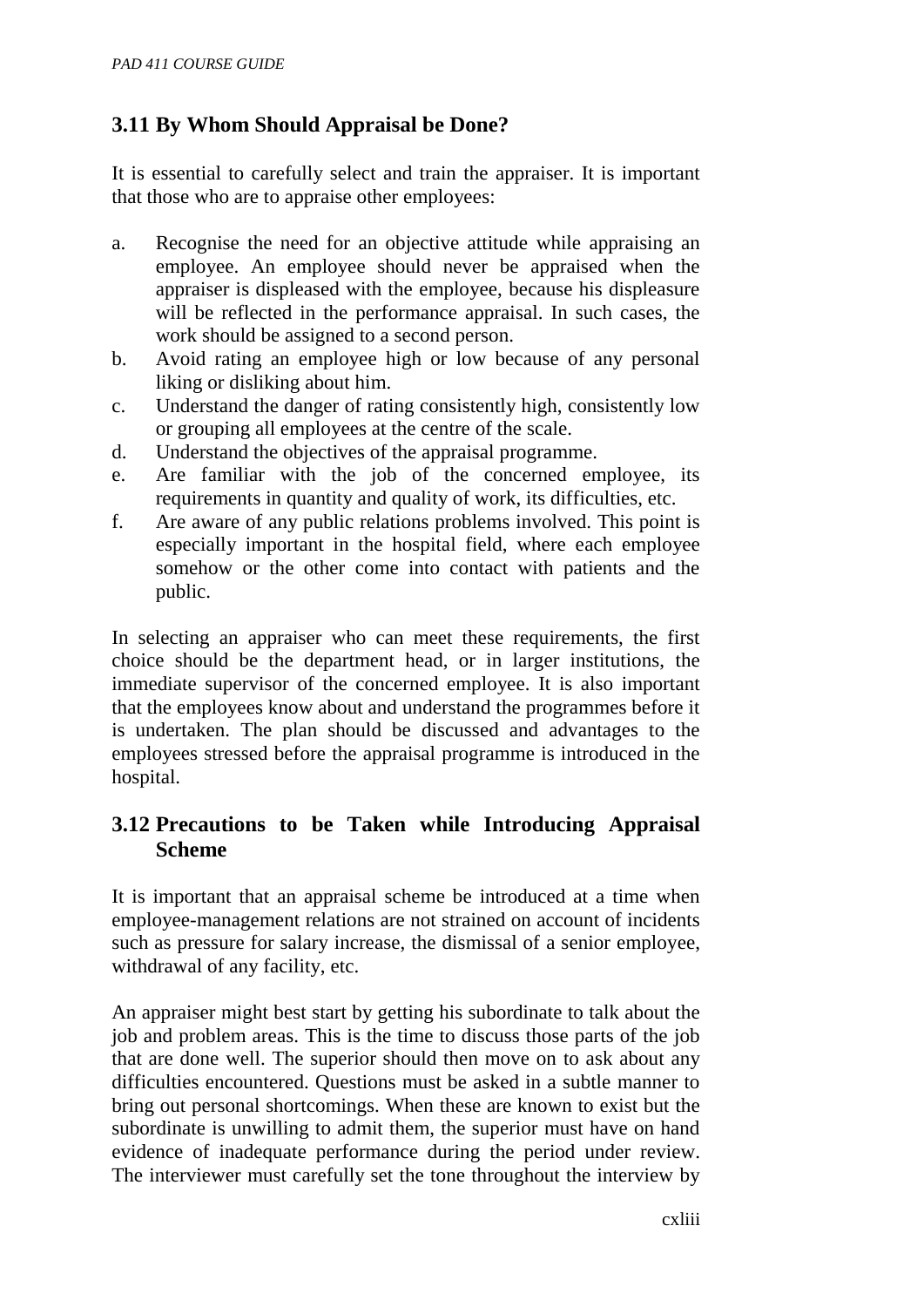# **3.11 By Whom Should Appraisal be Done?**

It is essential to carefully select and train the appraiser. It is important that those who are to appraise other employees:

- a. Recognise the need for an objective attitude while appraising an employee. An employee should never be appraised when the appraiser is displeased with the employee, because his displeasure will be reflected in the performance appraisal. In such cases, the work should be assigned to a second person.
- b. Avoid rating an employee high or low because of any personal liking or disliking about him.
- c. Understand the danger of rating consistently high, consistently low or grouping all employees at the centre of the scale.
- d. Understand the objectives of the appraisal programme.
- e. Are familiar with the job of the concerned employee, its requirements in quantity and quality of work, its difficulties, etc.
- f. Are aware of any public relations problems involved. This point is especially important in the hospital field, where each employee somehow or the other come into contact with patients and the public.

In selecting an appraiser who can meet these requirements, the first choice should be the department head, or in larger institutions, the immediate supervisor of the concerned employee. It is also important that the employees know about and understand the programmes before it is undertaken. The plan should be discussed and advantages to the employees stressed before the appraisal programme is introduced in the hospital.

## **3.12 Precautions to be Taken while Introducing Appraisal Scheme**

It is important that an appraisal scheme be introduced at a time when employee-management relations are not strained on account of incidents such as pressure for salary increase, the dismissal of a senior employee, withdrawal of any facility, etc.

An appraiser might best start by getting his subordinate to talk about the job and problem areas. This is the time to discuss those parts of the job that are done well. The superior should then move on to ask about any difficulties encountered. Questions must be asked in a subtle manner to bring out personal shortcomings. When these are known to exist but the subordinate is unwilling to admit them, the superior must have on hand evidence of inadequate performance during the period under review. The interviewer must carefully set the tone throughout the interview by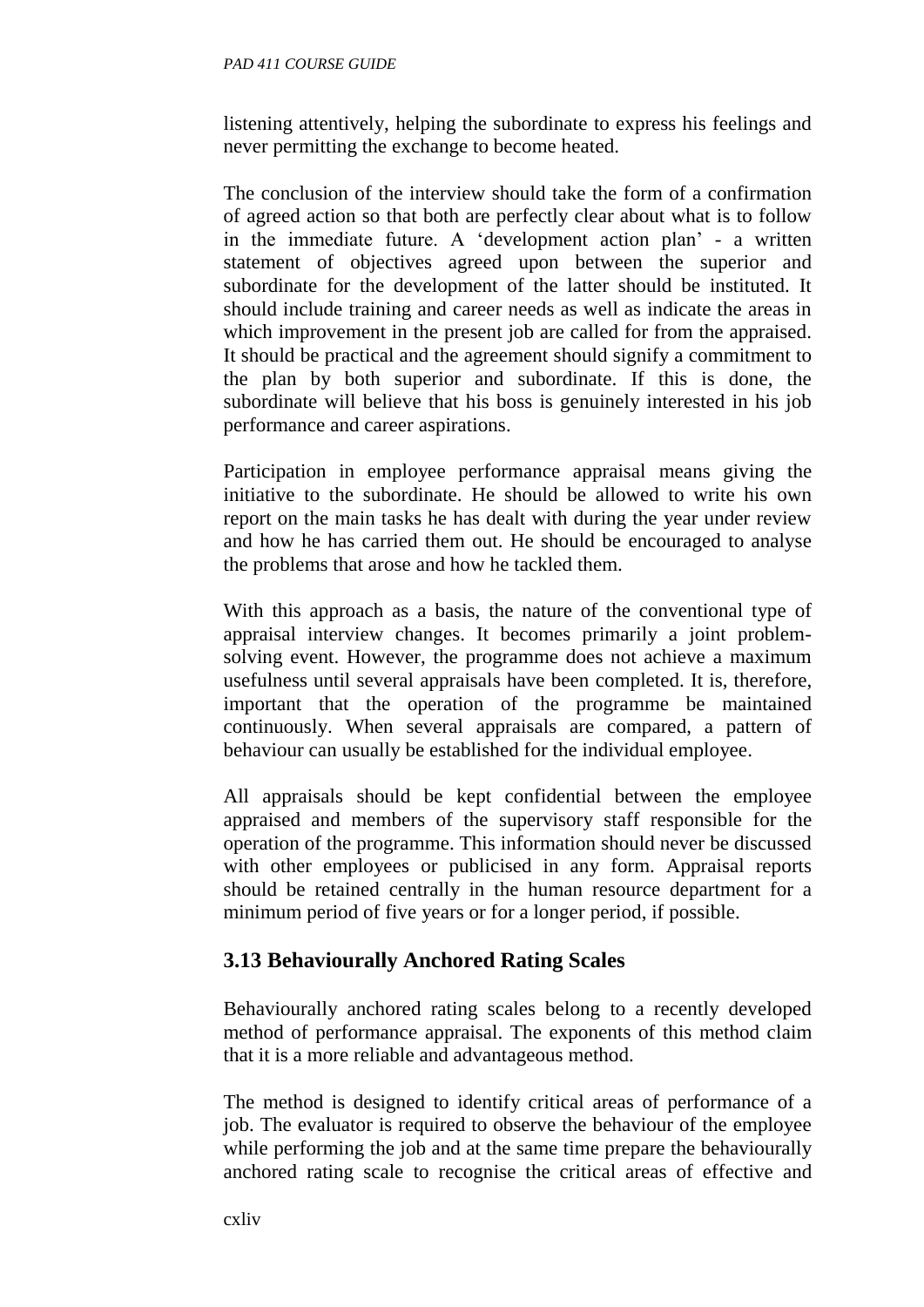#### *PAD 411 COURSE GUIDE*

listening attentively, helping the subordinate to express his feelings and never permitting the exchange to become heated.

The conclusion of the interview should take the form of a confirmation of agreed action so that both are perfectly clear about what is to follow in the immediate future. A "development action plan" - a written statement of objectives agreed upon between the superior and subordinate for the development of the latter should be instituted. It should include training and career needs as well as indicate the areas in which improvement in the present job are called for from the appraised. It should be practical and the agreement should signify a commitment to the plan by both superior and subordinate. If this is done, the subordinate will believe that his boss is genuinely interested in his job performance and career aspirations.

Participation in employee performance appraisal means giving the initiative to the subordinate. He should be allowed to write his own report on the main tasks he has dealt with during the year under review and how he has carried them out. He should be encouraged to analyse the problems that arose and how he tackled them.

With this approach as a basis, the nature of the conventional type of appraisal interview changes. It becomes primarily a joint problemsolving event. However, the programme does not achieve a maximum usefulness until several appraisals have been completed. It is, therefore, important that the operation of the programme be maintained continuously. When several appraisals are compared, a pattern of behaviour can usually be established for the individual employee.

All appraisals should be kept confidential between the employee appraised and members of the supervisory staff responsible for the operation of the programme. This information should never be discussed with other employees or publicised in any form. Appraisal reports should be retained centrally in the human resource department for a minimum period of five years or for a longer period, if possible.

### **3.13 Behaviourally Anchored Rating Scales**

Behaviourally anchored rating scales belong to a recently developed method of performance appraisal. The exponents of this method claim that it is a more reliable and advantageous method.

The method is designed to identify critical areas of performance of a job. The evaluator is required to observe the behaviour of the employee while performing the job and at the same time prepare the behaviourally anchored rating scale to recognise the critical areas of effective and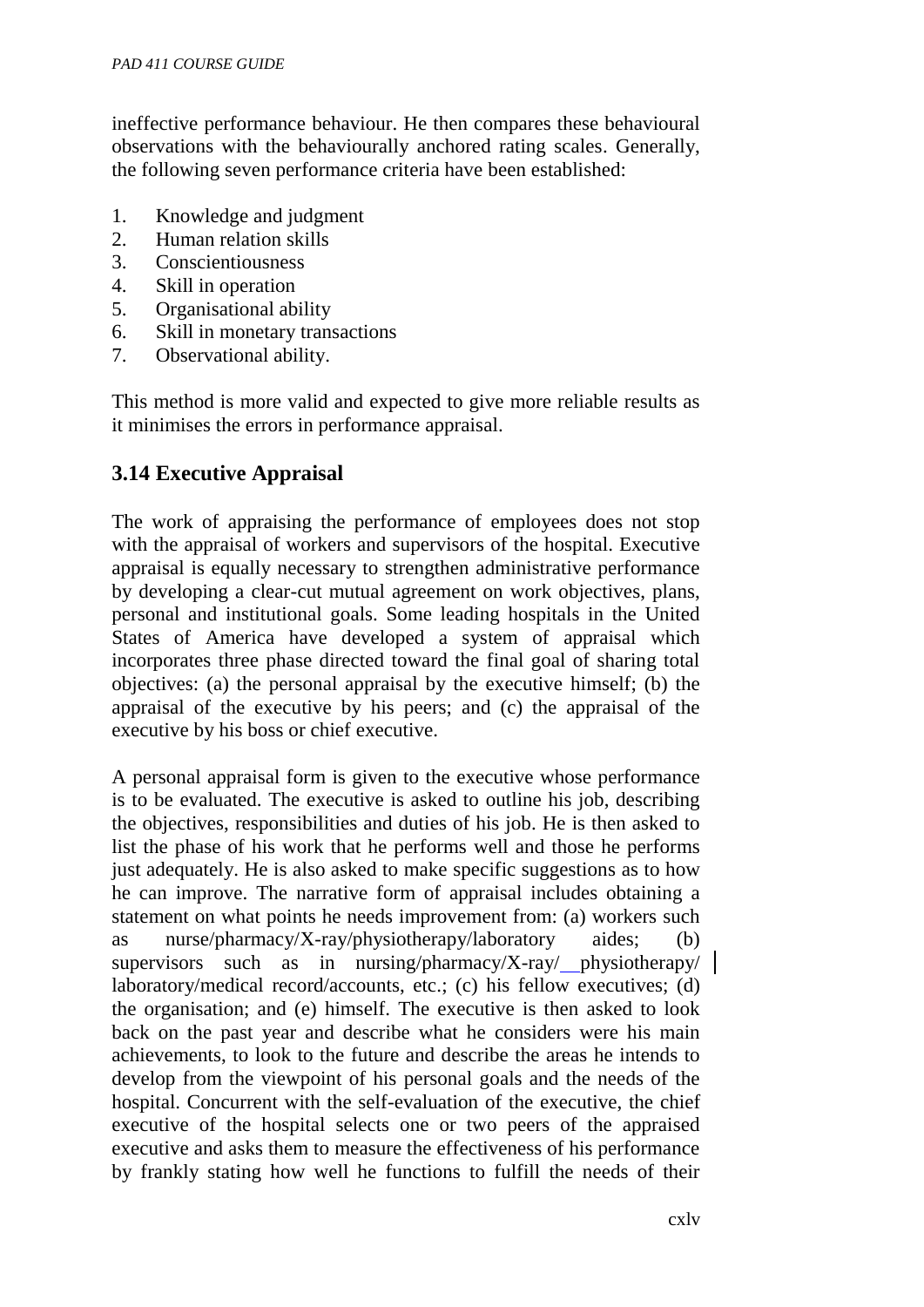ineffective performance behaviour. He then compares these behavioural observations with the behaviourally anchored rating scales. Generally, the following seven performance criteria have been established:

- 1. Knowledge and judgment
- 2. Human relation skills
- 3. Conscientiousness
- 4. Skill in operation
- 5. Organisational ability
- 6. Skill in monetary transactions
- 7. Observational ability.

This method is more valid and expected to give more reliable results as it minimises the errors in performance appraisal.

# **3.14 Executive Appraisal**

The work of appraising the performance of employees does not stop with the appraisal of workers and supervisors of the hospital. Executive appraisal is equally necessary to strengthen administrative performance by developing a clear-cut mutual agreement on work objectives, plans, personal and institutional goals. Some leading hospitals in the United States of America have developed a system of appraisal which incorporates three phase directed toward the final goal of sharing total objectives: (a) the personal appraisal by the executive himself; (b) the appraisal of the executive by his peers; and (c) the appraisal of the executive by his boss or chief executive.

A personal appraisal form is given to the executive whose performance is to be evaluated. The executive is asked to outline his job, describing the objectives, responsibilities and duties of his job. He is then asked to list the phase of his work that he performs well and those he performs just adequately. He is also asked to make specific suggestions as to how he can improve. The narrative form of appraisal includes obtaining a statement on what points he needs improvement from: (a) workers such as nurse/pharmacy/X-ray/physiotherapy/laboratory aides; (b) supervisors such as in nursing/pharmacy/X-ray/ physiotherapy/  $\vert$ laboratory/medical record/accounts, etc.; (c) his fellow executives; (d) the organisation; and (e) himself. The executive is then asked to look back on the past year and describe what he considers were his main achievements, to look to the future and describe the areas he intends to develop from the viewpoint of his personal goals and the needs of the hospital. Concurrent with the self-evaluation of the executive, the chief executive of the hospital selects one or two peers of the appraised executive and asks them to measure the effectiveness of his performance by frankly stating how well he functions to fulfill the needs of their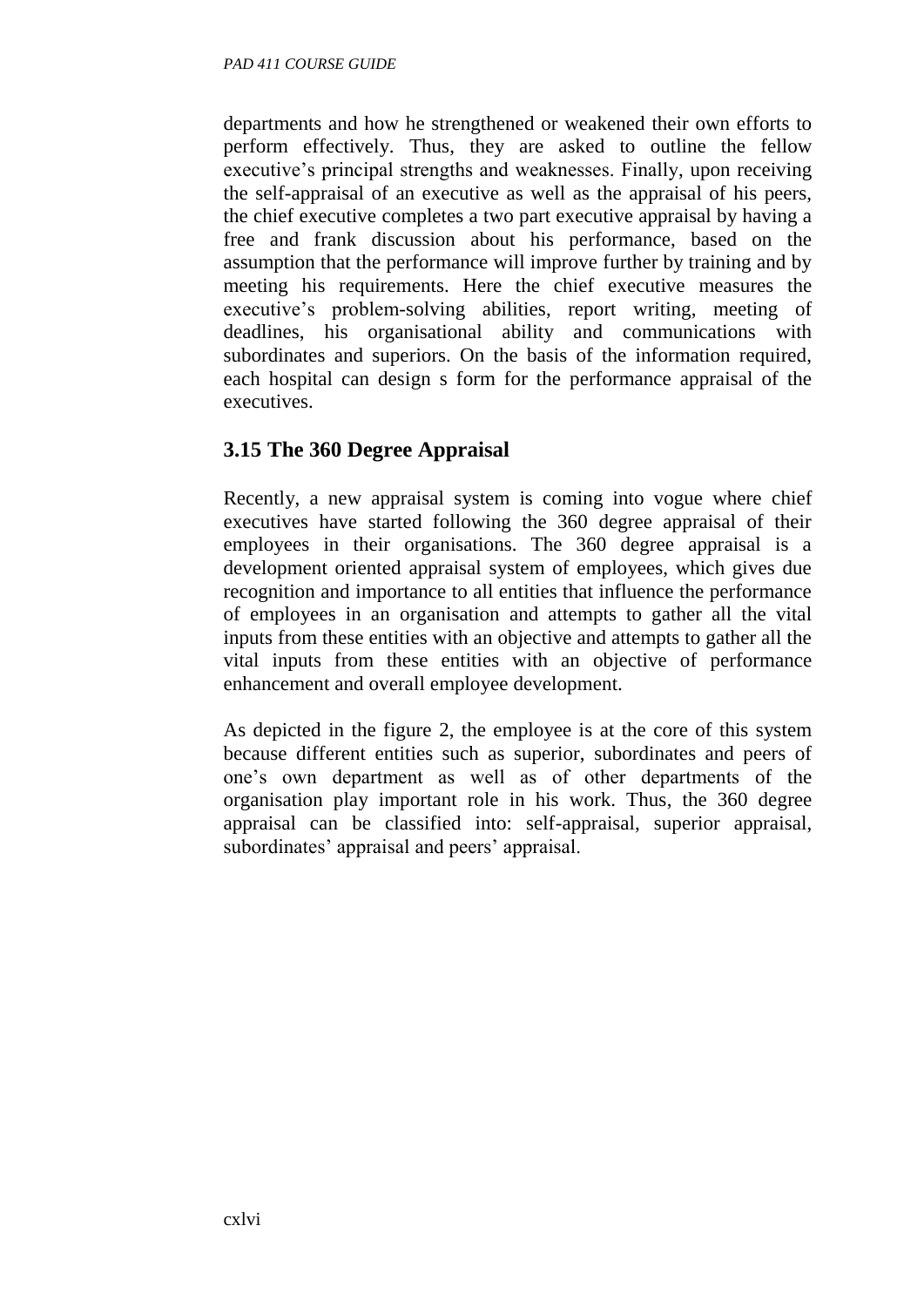departments and how he strengthened or weakened their own efforts to perform effectively. Thus, they are asked to outline the fellow executive's principal strengths and weaknesses. Finally, upon receiving the self-appraisal of an executive as well as the appraisal of his peers, the chief executive completes a two part executive appraisal by having a free and frank discussion about his performance, based on the assumption that the performance will improve further by training and by meeting his requirements. Here the chief executive measures the executive"s problem-solving abilities, report writing, meeting of deadlines, his organisational ability and communications with subordinates and superiors. On the basis of the information required, each hospital can design s form for the performance appraisal of the executives.

# **3.15 The 360 Degree Appraisal**

Recently, a new appraisal system is coming into vogue where chief executives have started following the 360 degree appraisal of their employees in their organisations. The 360 degree appraisal is a development oriented appraisal system of employees, which gives due recognition and importance to all entities that influence the performance of employees in an organisation and attempts to gather all the vital inputs from these entities with an objective and attempts to gather all the vital inputs from these entities with an objective of performance enhancement and overall employee development.

As depicted in the figure 2, the employee is at the core of this system because different entities such as superior, subordinates and peers of one"s own department as well as of other departments of the organisation play important role in his work. Thus, the 360 degree appraisal can be classified into: self-appraisal, superior appraisal, subordinates' appraisal and peers' appraisal.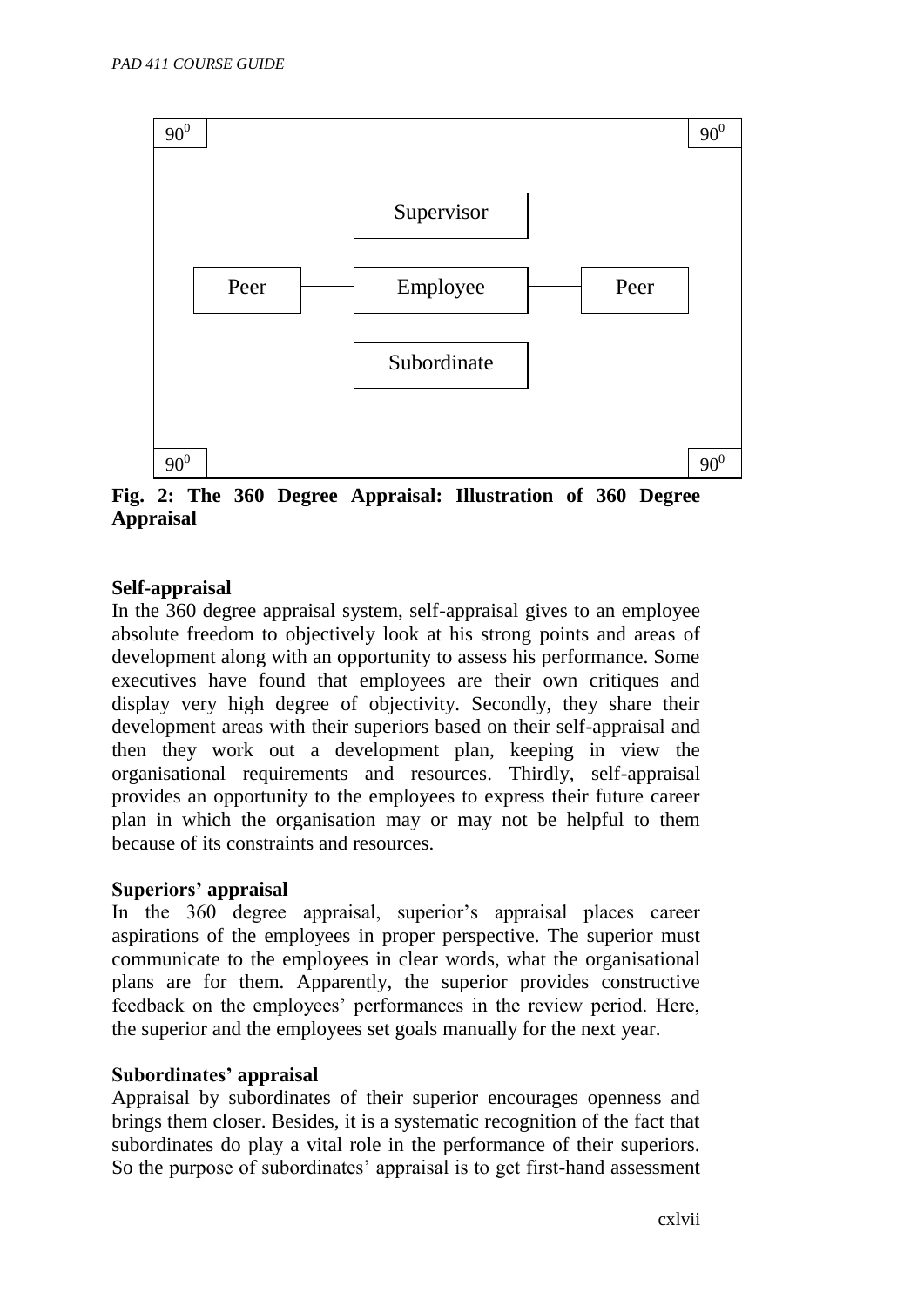

**Fig. 2: The 360 Degree Appraisal: Illustration of 360 Degree Appraisal**

#### **Self-appraisal**

In the 360 degree appraisal system, self-appraisal gives to an employee absolute freedom to objectively look at his strong points and areas of development along with an opportunity to assess his performance. Some executives have found that employees are their own critiques and display very high degree of objectivity. Secondly, they share their development areas with their superiors based on their self-appraisal and then they work out a development plan, keeping in view the organisational requirements and resources. Thirdly, self-appraisal provides an opportunity to the employees to express their future career plan in which the organisation may or may not be helpful to them because of its constraints and resources.

#### **Superiors' appraisal**

In the 360 degree appraisal, superior's appraisal places career aspirations of the employees in proper perspective. The superior must communicate to the employees in clear words, what the organisational plans are for them. Apparently, the superior provides constructive feedback on the employees" performances in the review period. Here, the superior and the employees set goals manually for the next year.

#### **Subordinates' appraisal**

Appraisal by subordinates of their superior encourages openness and brings them closer. Besides, it is a systematic recognition of the fact that subordinates do play a vital role in the performance of their superiors. So the purpose of subordinates' appraisal is to get first-hand assessment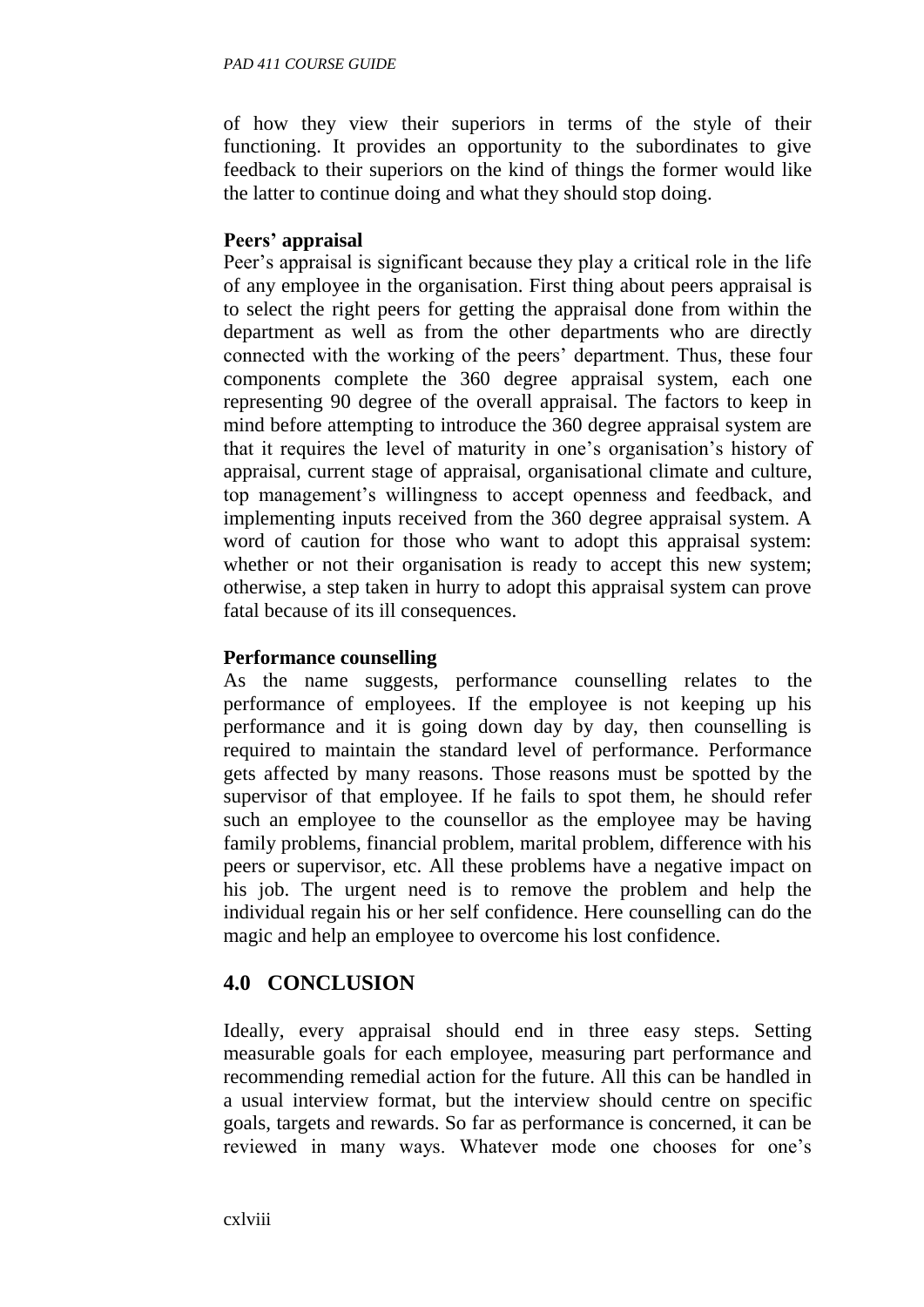of how they view their superiors in terms of the style of their functioning. It provides an opportunity to the subordinates to give feedback to their superiors on the kind of things the former would like the latter to continue doing and what they should stop doing.

#### **Peers' appraisal**

Peer"s appraisal is significant because they play a critical role in the life of any employee in the organisation. First thing about peers appraisal is to select the right peers for getting the appraisal done from within the department as well as from the other departments who are directly connected with the working of the peers' department. Thus, these four components complete the 360 degree appraisal system, each one representing 90 degree of the overall appraisal. The factors to keep in mind before attempting to introduce the 360 degree appraisal system are that it requires the level of maturity in one"s organisation"s history of appraisal, current stage of appraisal, organisational climate and culture, top management"s willingness to accept openness and feedback, and implementing inputs received from the 360 degree appraisal system. A word of caution for those who want to adopt this appraisal system: whether or not their organisation is ready to accept this new system; otherwise, a step taken in hurry to adopt this appraisal system can prove fatal because of its ill consequences.

#### **Performance counselling**

As the name suggests, performance counselling relates to the performance of employees. If the employee is not keeping up his performance and it is going down day by day, then counselling is required to maintain the standard level of performance. Performance gets affected by many reasons. Those reasons must be spotted by the supervisor of that employee. If he fails to spot them, he should refer such an employee to the counsellor as the employee may be having family problems, financial problem, marital problem, difference with his peers or supervisor, etc. All these problems have a negative impact on his job. The urgent need is to remove the problem and help the individual regain his or her self confidence. Here counselling can do the magic and help an employee to overcome his lost confidence.

# **4.0 CONCLUSION**

Ideally, every appraisal should end in three easy steps. Setting measurable goals for each employee, measuring part performance and recommending remedial action for the future. All this can be handled in a usual interview format, but the interview should centre on specific goals, targets and rewards. So far as performance is concerned, it can be reviewed in many ways. Whatever mode one chooses for one"s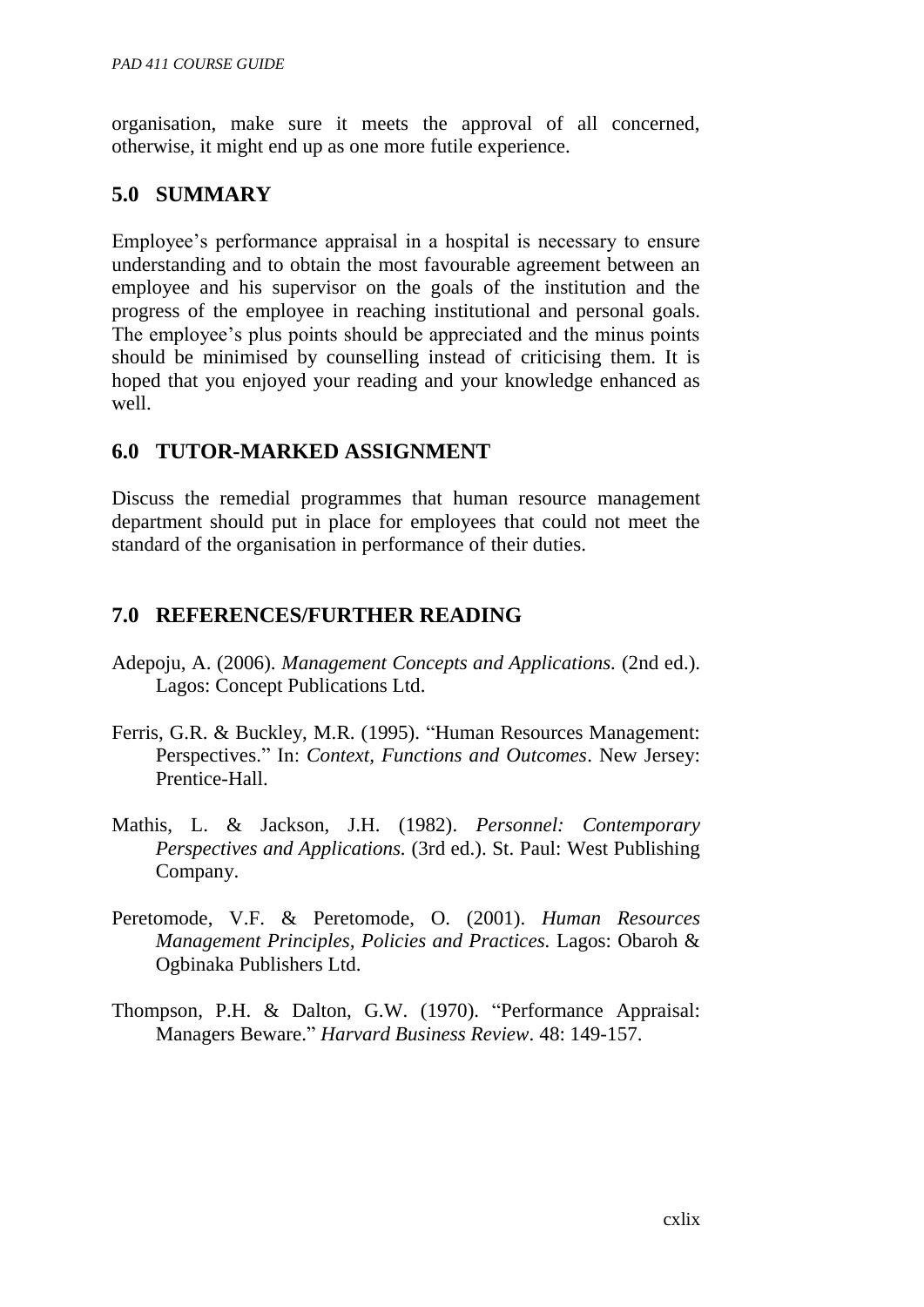organisation, make sure it meets the approval of all concerned, otherwise, it might end up as one more futile experience.

# **5.0 SUMMARY**

Employee's performance appraisal in a hospital is necessary to ensure understanding and to obtain the most favourable agreement between an employee and his supervisor on the goals of the institution and the progress of the employee in reaching institutional and personal goals. The employee's plus points should be appreciated and the minus points should be minimised by counselling instead of criticising them. It is hoped that you enjoyed your reading and your knowledge enhanced as well.

# **6.0 TUTOR-MARKED ASSIGNMENT**

Discuss the remedial programmes that human resource management department should put in place for employees that could not meet the standard of the organisation in performance of their duties.

# **7.0 REFERENCES/FURTHER READING**

- Adepoju, A. (2006). *Management Concepts and Applications.* (2nd ed.). Lagos: Concept Publications Ltd.
- Ferris, G.R. & Buckley, M.R. (1995). "Human Resources Management: Perspectives." In: *Context, Functions and Outcomes*. New Jersey: Prentice-Hall.
- Mathis, L. & Jackson, J.H. (1982). *Personnel: Contemporary Perspectives and Applications.* (3rd ed.). St. Paul: West Publishing Company.
- Peretomode, V.F. & Peretomode, O. (2001). *Human Resources Management Principles, Policies and Practices.* Lagos: Obaroh & Ogbinaka Publishers Ltd.
- Thompson, P.H. & Dalton, G.W. (1970). "Performance Appraisal: Managers Beware." *Harvard Business Review*. 48: 149-157.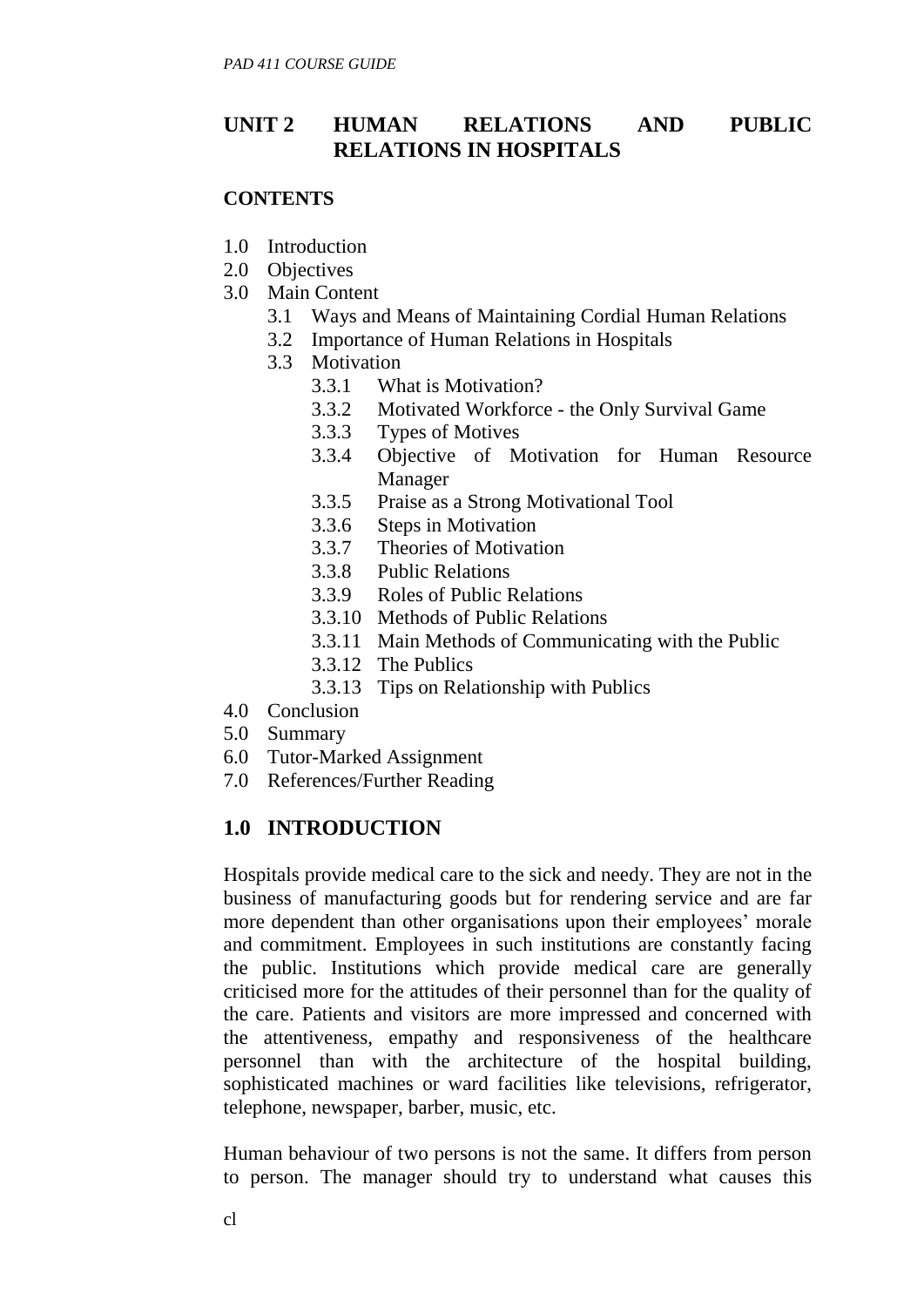# **UNIT 2 HUMAN RELATIONS AND PUBLIC RELATIONS IN HOSPITALS**

#### **CONTENTS**

- 1.0 Introduction
- 2.0 Objectives
- 3.0 Main Content
	- 3.1 Ways and Means of Maintaining Cordial Human Relations
	- 3.2 Importance of Human Relations in Hospitals
	- 3.3 Motivation
		- 3.3.1 What is Motivation?
		- 3.3.2 Motivated Workforce the Only Survival Game
		- 3.3.3 Types of Motives
		- 3.3.4 Objective of Motivation for Human Resource Manager
		- 3.3.5 Praise as a Strong Motivational Tool
		- 3.3.6 Steps in Motivation
		- 3.3.7 Theories of Motivation
		- 3.3.8 Public Relations
		- 3.3.9 Roles of Public Relations
		- 3.3.10 Methods of Public Relations
		- 3.3.11 Main Methods of Communicating with the Public
		- 3.3.12 The Publics
		- 3.3.13 Tips on Relationship with Publics
- 4.0 Conclusion
- 5.0 Summary
- 6.0 Tutor-Marked Assignment
- 7.0 References/Further Reading

#### **1.0 INTRODUCTION**

Hospitals provide medical care to the sick and needy. They are not in the business of manufacturing goods but for rendering service and are far more dependent than other organisations upon their employees' morale and commitment. Employees in such institutions are constantly facing the public. Institutions which provide medical care are generally criticised more for the attitudes of their personnel than for the quality of the care. Patients and visitors are more impressed and concerned with the attentiveness, empathy and responsiveness of the healthcare personnel than with the architecture of the hospital building, sophisticated machines or ward facilities like televisions, refrigerator, telephone, newspaper, barber, music, etc.

Human behaviour of two persons is not the same. It differs from person to person. The manager should try to understand what causes this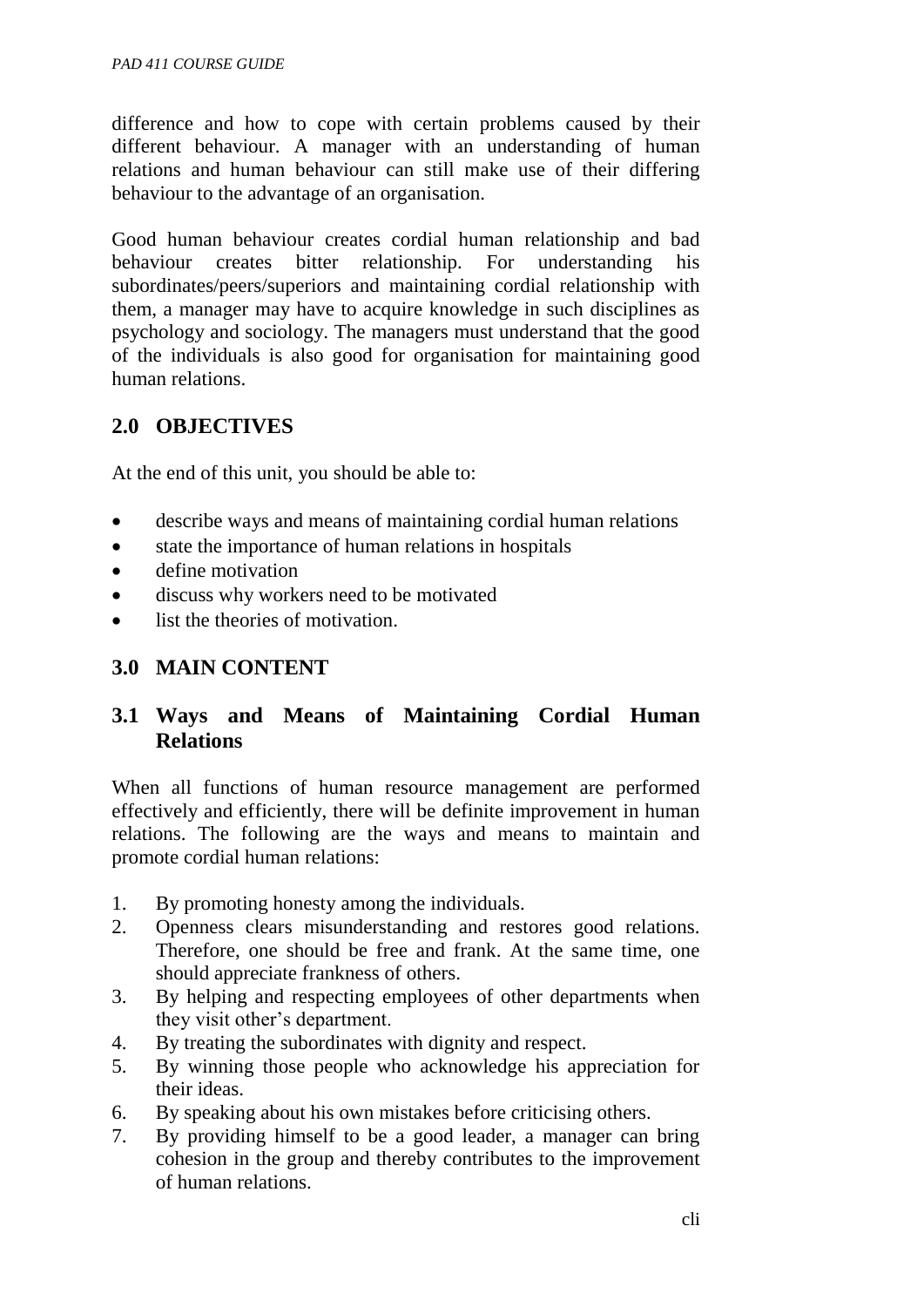difference and how to cope with certain problems caused by their different behaviour. A manager with an understanding of human relations and human behaviour can still make use of their differing behaviour to the advantage of an organisation.

Good human behaviour creates cordial human relationship and bad behaviour creates bitter relationship. For understanding his subordinates/peers/superiors and maintaining cordial relationship with them, a manager may have to acquire knowledge in such disciplines as psychology and sociology. The managers must understand that the good of the individuals is also good for organisation for maintaining good human relations.

### **2.0 OBJECTIVES**

At the end of this unit, you should be able to:

- describe ways and means of maintaining cordial human relations
- state the importance of human relations in hospitals
- **•** define motivation
- discuss why workers need to be motivated
- **.** list the theories of motivation

#### **3.0 MAIN CONTENT**

### **3.1 Ways and Means of Maintaining Cordial Human Relations**

When all functions of human resource management are performed effectively and efficiently, there will be definite improvement in human relations. The following are the ways and means to maintain and promote cordial human relations:

- 1. By promoting honesty among the individuals.
- 2. Openness clears misunderstanding and restores good relations. Therefore, one should be free and frank. At the same time, one should appreciate frankness of others.
- 3. By helping and respecting employees of other departments when they visit other's department.
- 4. By treating the subordinates with dignity and respect.
- 5. By winning those people who acknowledge his appreciation for their ideas.
- 6. By speaking about his own mistakes before criticising others.
- 7. By providing himself to be a good leader, a manager can bring cohesion in the group and thereby contributes to the improvement of human relations.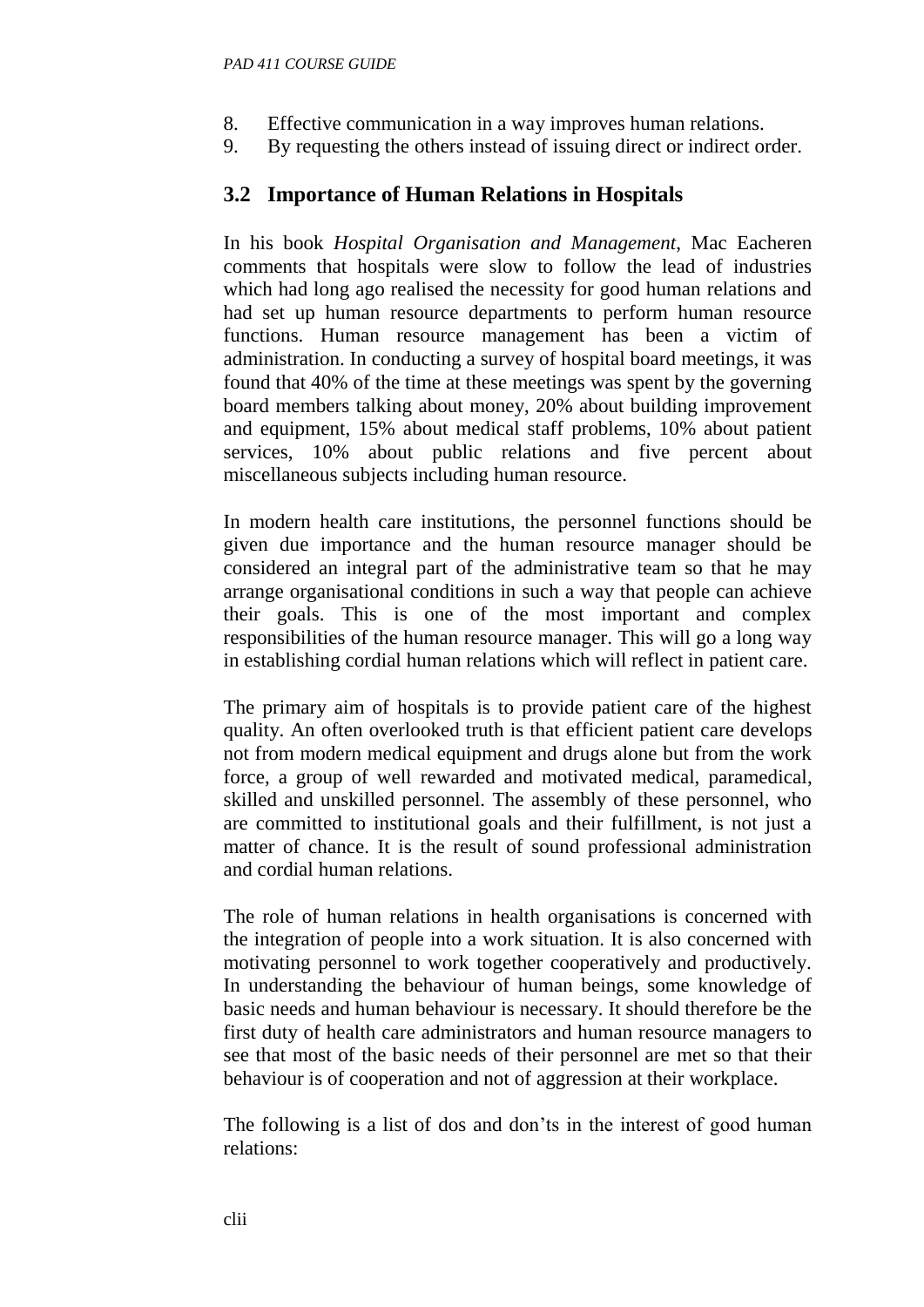- 8. Effective communication in a way improves human relations.
- 9. By requesting the others instead of issuing direct or indirect order.

### **3.2 Importance of Human Relations in Hospitals**

In his book *Hospital Organisation and Management*, Mac Eacheren comments that hospitals were slow to follow the lead of industries which had long ago realised the necessity for good human relations and had set up human resource departments to perform human resource functions. Human resource management has been a victim of administration. In conducting a survey of hospital board meetings, it was found that 40% of the time at these meetings was spent by the governing board members talking about money, 20% about building improvement and equipment, 15% about medical staff problems, 10% about patient services, 10% about public relations and five percent about miscellaneous subjects including human resource.

In modern health care institutions, the personnel functions should be given due importance and the human resource manager should be considered an integral part of the administrative team so that he may arrange organisational conditions in such a way that people can achieve their goals. This is one of the most important and complex responsibilities of the human resource manager. This will go a long way in establishing cordial human relations which will reflect in patient care.

The primary aim of hospitals is to provide patient care of the highest quality. An often overlooked truth is that efficient patient care develops not from modern medical equipment and drugs alone but from the work force, a group of well rewarded and motivated medical, paramedical, skilled and unskilled personnel. The assembly of these personnel, who are committed to institutional goals and their fulfillment, is not just a matter of chance. It is the result of sound professional administration and cordial human relations.

The role of human relations in health organisations is concerned with the integration of people into a work situation. It is also concerned with motivating personnel to work together cooperatively and productively. In understanding the behaviour of human beings, some knowledge of basic needs and human behaviour is necessary. It should therefore be the first duty of health care administrators and human resource managers to see that most of the basic needs of their personnel are met so that their behaviour is of cooperation and not of aggression at their workplace.

The following is a list of dos and don"ts in the interest of good human relations: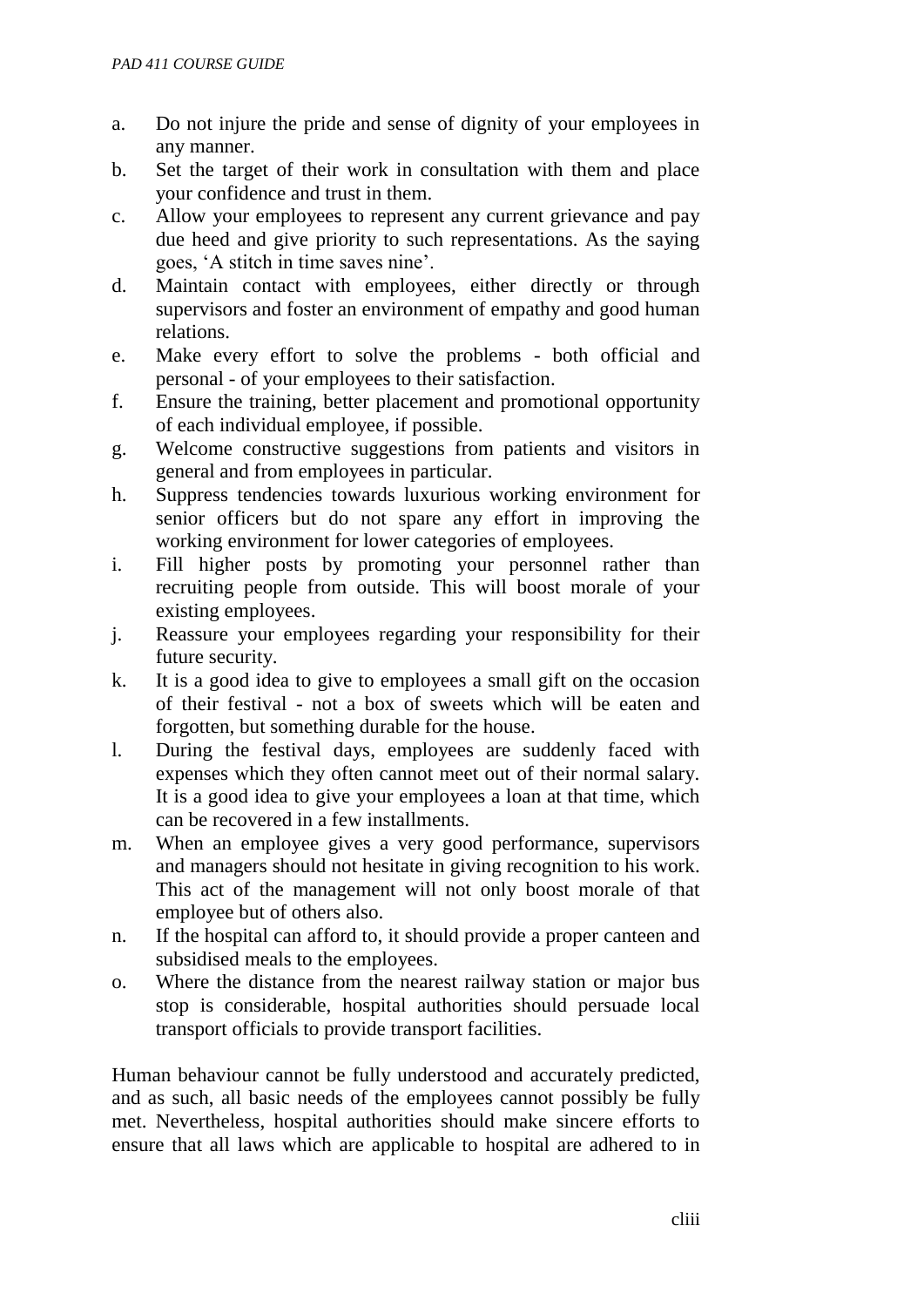- a. Do not injure the pride and sense of dignity of your employees in any manner.
- b. Set the target of their work in consultation with them and place your confidence and trust in them.
- c. Allow your employees to represent any current grievance and pay due heed and give priority to such representations. As the saying goes, "A stitch in time saves nine".
- d. Maintain contact with employees, either directly or through supervisors and foster an environment of empathy and good human relations.
- e. Make every effort to solve the problems both official and personal - of your employees to their satisfaction.
- f. Ensure the training, better placement and promotional opportunity of each individual employee, if possible.
- g. Welcome constructive suggestions from patients and visitors in general and from employees in particular.
- h. Suppress tendencies towards luxurious working environment for senior officers but do not spare any effort in improving the working environment for lower categories of employees.
- i. Fill higher posts by promoting your personnel rather than recruiting people from outside. This will boost morale of your existing employees.
- j. Reassure your employees regarding your responsibility for their future security.
- k. It is a good idea to give to employees a small gift on the occasion of their festival - not a box of sweets which will be eaten and forgotten, but something durable for the house.
- l. During the festival days, employees are suddenly faced with expenses which they often cannot meet out of their normal salary. It is a good idea to give your employees a loan at that time, which can be recovered in a few installments.
- m. When an employee gives a very good performance, supervisors and managers should not hesitate in giving recognition to his work. This act of the management will not only boost morale of that employee but of others also.
- n. If the hospital can afford to, it should provide a proper canteen and subsidised meals to the employees.
- o. Where the distance from the nearest railway station or major bus stop is considerable, hospital authorities should persuade local transport officials to provide transport facilities.

Human behaviour cannot be fully understood and accurately predicted, and as such, all basic needs of the employees cannot possibly be fully met. Nevertheless, hospital authorities should make sincere efforts to ensure that all laws which are applicable to hospital are adhered to in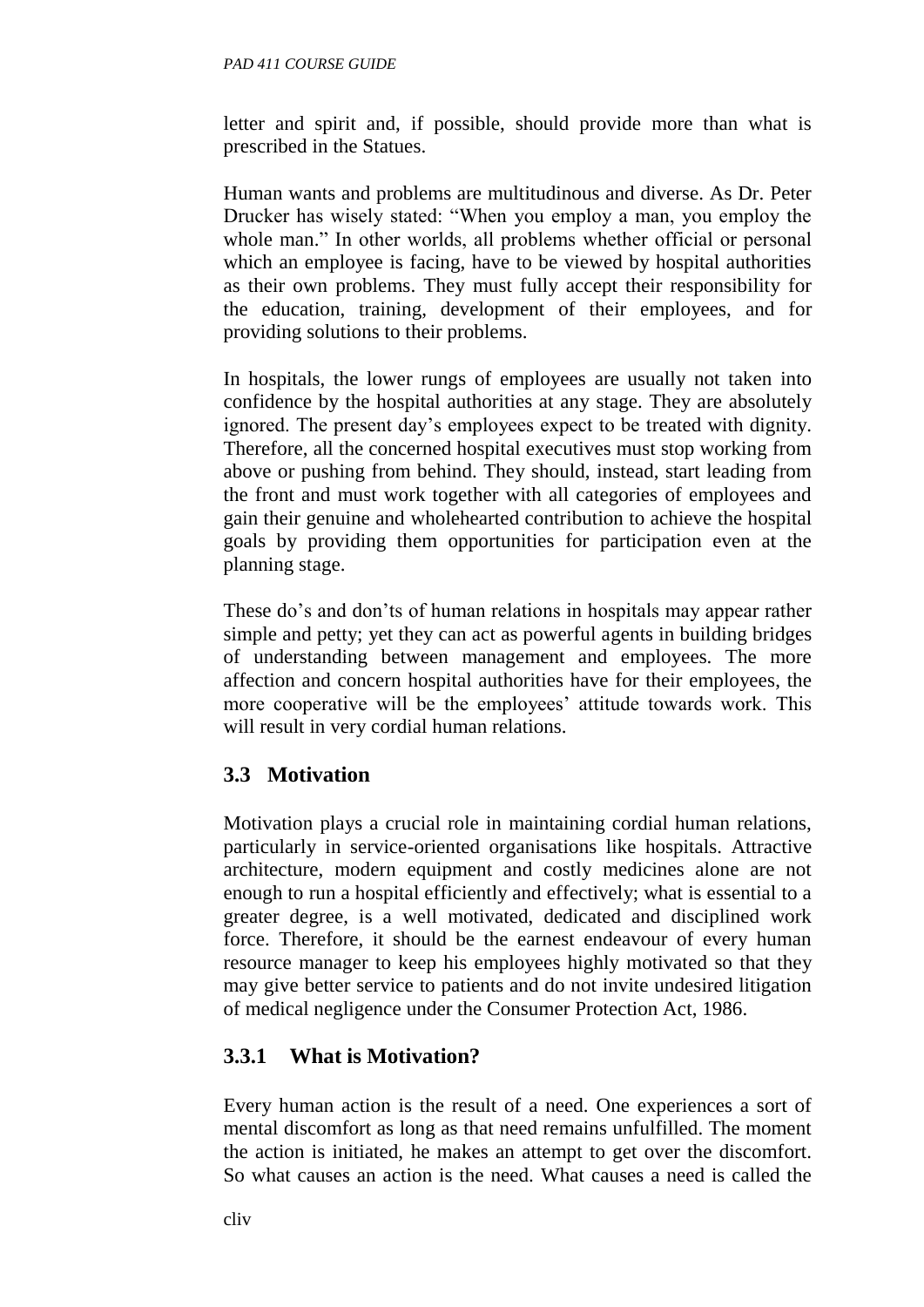letter and spirit and, if possible, should provide more than what is prescribed in the Statues.

Human wants and problems are multitudinous and diverse. As Dr. Peter Drucker has wisely stated: "When you employ a man, you employ the whole man." In other worlds, all problems whether official or personal which an employee is facing, have to be viewed by hospital authorities as their own problems. They must fully accept their responsibility for the education, training, development of their employees, and for providing solutions to their problems.

In hospitals, the lower rungs of employees are usually not taken into confidence by the hospital authorities at any stage. They are absolutely ignored. The present day"s employees expect to be treated with dignity. Therefore, all the concerned hospital executives must stop working from above or pushing from behind. They should, instead, start leading from the front and must work together with all categories of employees and gain their genuine and wholehearted contribution to achieve the hospital goals by providing them opportunities for participation even at the planning stage.

These do's and don'ts of human relations in hospitals may appear rather simple and petty; yet they can act as powerful agents in building bridges of understanding between management and employees. The more affection and concern hospital authorities have for their employees, the more cooperative will be the employees' attitude towards work. This will result in very cordial human relations.

# **3.3 Motivation**

Motivation plays a crucial role in maintaining cordial human relations, particularly in service-oriented organisations like hospitals. Attractive architecture, modern equipment and costly medicines alone are not enough to run a hospital efficiently and effectively; what is essential to a greater degree, is a well motivated, dedicated and disciplined work force. Therefore, it should be the earnest endeavour of every human resource manager to keep his employees highly motivated so that they may give better service to patients and do not invite undesired litigation of medical negligence under the Consumer Protection Act, 1986.

# **3.3.1 What is Motivation?**

Every human action is the result of a need. One experiences a sort of mental discomfort as long as that need remains unfulfilled. The moment the action is initiated, he makes an attempt to get over the discomfort. So what causes an action is the need. What causes a need is called the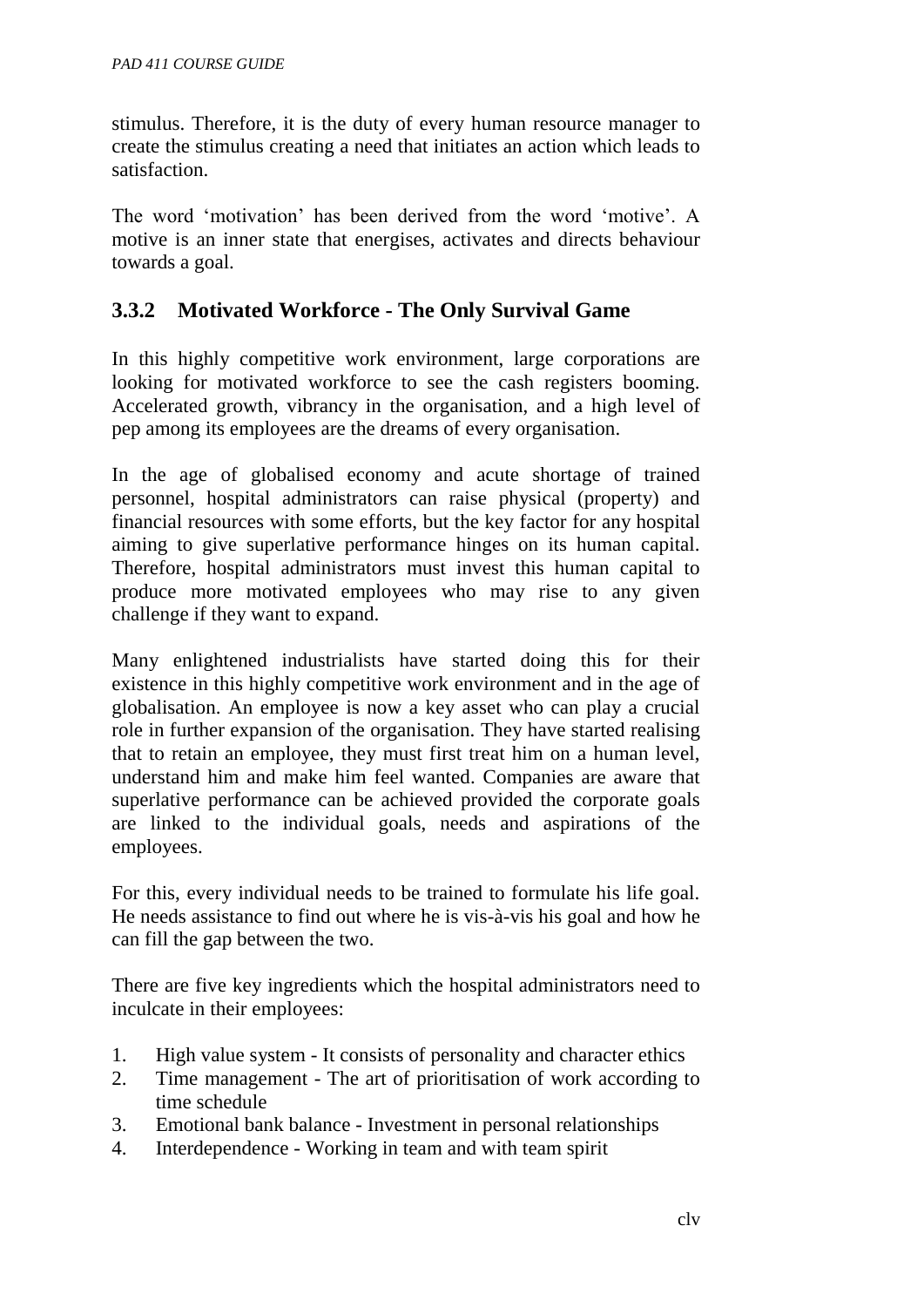stimulus. Therefore, it is the duty of every human resource manager to create the stimulus creating a need that initiates an action which leads to satisfaction.

The word 'motivation' has been derived from the word 'motive'. A motive is an inner state that energises, activates and directs behaviour towards a goal.

#### **3.3.2 Motivated Workforce - The Only Survival Game**

In this highly competitive work environment, large corporations are looking for motivated workforce to see the cash registers booming. Accelerated growth, vibrancy in the organisation, and a high level of pep among its employees are the dreams of every organisation.

In the age of globalised economy and acute shortage of trained personnel, hospital administrators can raise physical (property) and financial resources with some efforts, but the key factor for any hospital aiming to give superlative performance hinges on its human capital. Therefore, hospital administrators must invest this human capital to produce more motivated employees who may rise to any given challenge if they want to expand.

Many enlightened industrialists have started doing this for their existence in this highly competitive work environment and in the age of globalisation. An employee is now a key asset who can play a crucial role in further expansion of the organisation. They have started realising that to retain an employee, they must first treat him on a human level, understand him and make him feel wanted. Companies are aware that superlative performance can be achieved provided the corporate goals are linked to the individual goals, needs and aspirations of the employees.

For this, every individual needs to be trained to formulate his life goal. He needs assistance to find out where he is vis-à-vis his goal and how he can fill the gap between the two.

There are five key ingredients which the hospital administrators need to inculcate in their employees:

- 1. High value system It consists of personality and character ethics
- 2. Time management The art of prioritisation of work according to time schedule
- 3. Emotional bank balance Investment in personal relationships
- 4. Interdependence Working in team and with team spirit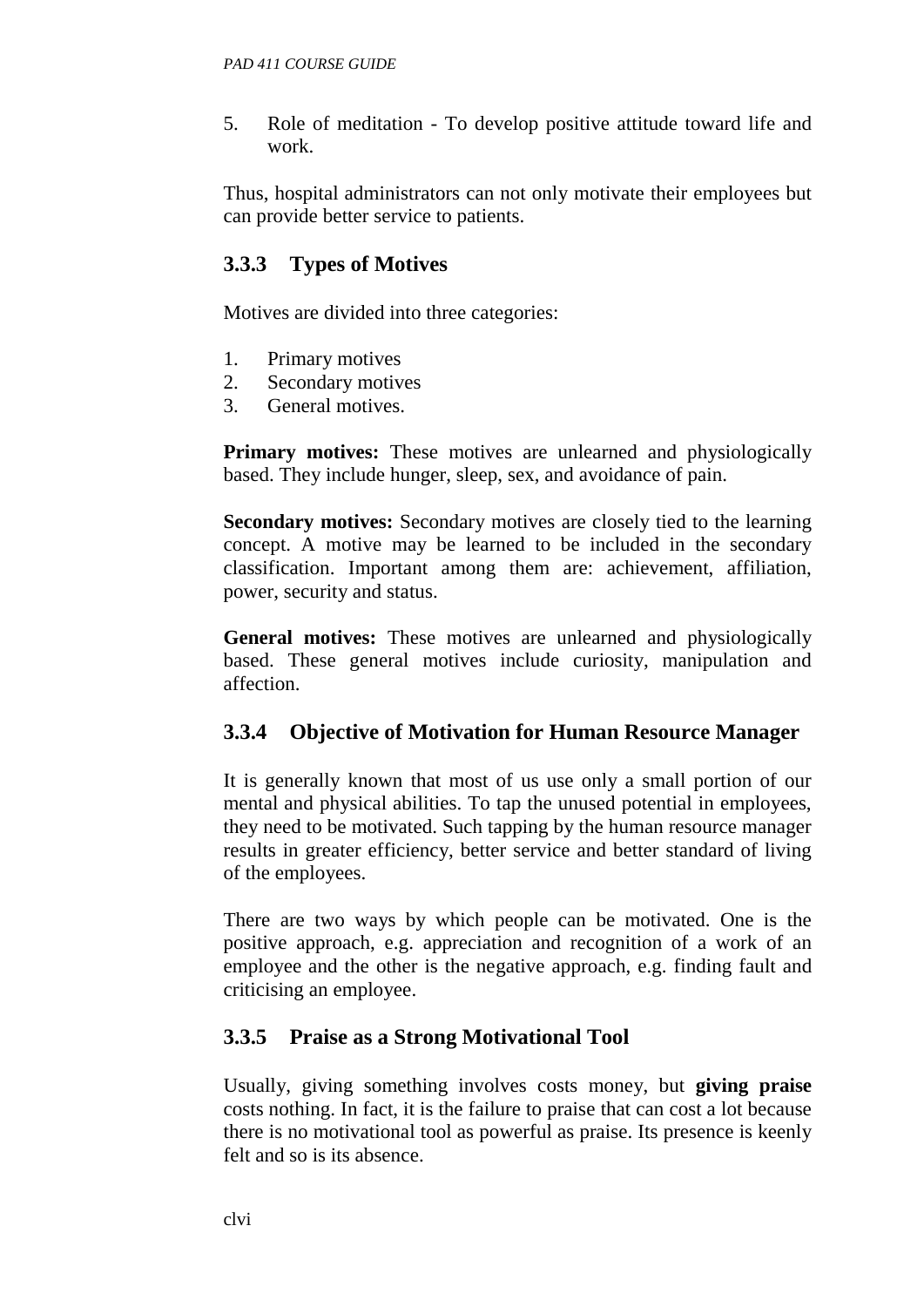5. Role of meditation - To develop positive attitude toward life and work.

Thus, hospital administrators can not only motivate their employees but can provide better service to patients.

### **3.3.3 Types of Motives**

Motives are divided into three categories:

- 1. Primary motives
- 2. Secondary motives
- 3. General motives.

**Primary motives:** These motives are unlearned and physiologically based. They include hunger, sleep, sex, and avoidance of pain.

**Secondary motives:** Secondary motives are closely tied to the learning concept. A motive may be learned to be included in the secondary classification. Important among them are: achievement, affiliation, power, security and status.

**General motives:** These motives are unlearned and physiologically based. These general motives include curiosity, manipulation and affection.

#### **3.3.4 Objective of Motivation for Human Resource Manager**

It is generally known that most of us use only a small portion of our mental and physical abilities. To tap the unused potential in employees, they need to be motivated. Such tapping by the human resource manager results in greater efficiency, better service and better standard of living of the employees.

There are two ways by which people can be motivated. One is the positive approach, e.g. appreciation and recognition of a work of an employee and the other is the negative approach, e.g. finding fault and criticising an employee.

#### **3.3.5 Praise as a Strong Motivational Tool**

Usually, giving something involves costs money, but **giving praise** costs nothing. In fact, it is the failure to praise that can cost a lot because there is no motivational tool as powerful as praise. Its presence is keenly felt and so is its absence.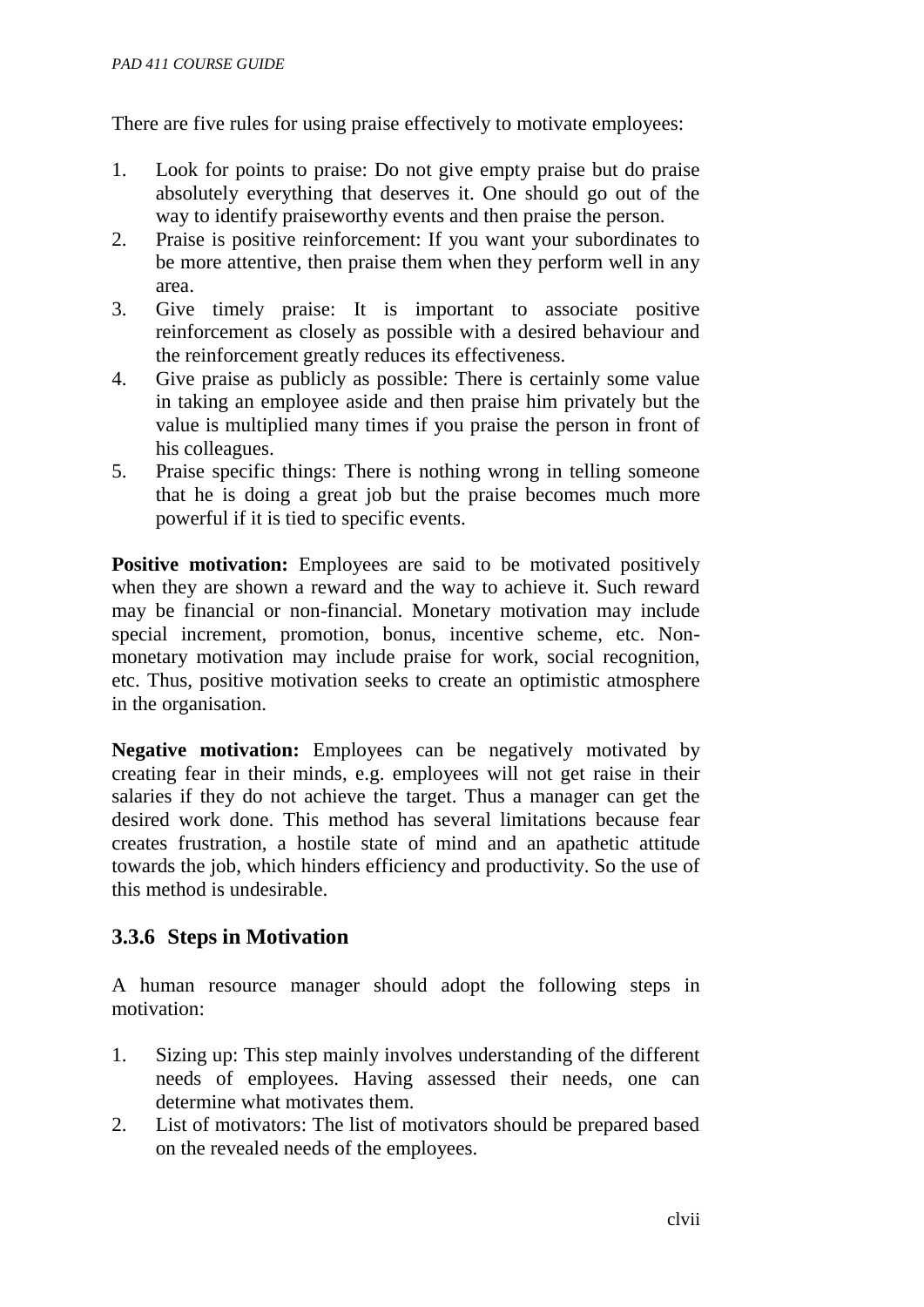There are five rules for using praise effectively to motivate employees:

- 1. Look for points to praise: Do not give empty praise but do praise absolutely everything that deserves it. One should go out of the way to identify praiseworthy events and then praise the person.
- 2. Praise is positive reinforcement: If you want your subordinates to be more attentive, then praise them when they perform well in any area.
- 3. Give timely praise: It is important to associate positive reinforcement as closely as possible with a desired behaviour and the reinforcement greatly reduces its effectiveness.
- 4. Give praise as publicly as possible: There is certainly some value in taking an employee aside and then praise him privately but the value is multiplied many times if you praise the person in front of his colleagues.
- 5. Praise specific things: There is nothing wrong in telling someone that he is doing a great job but the praise becomes much more powerful if it is tied to specific events.

**Positive motivation:** Employees are said to be motivated positively when they are shown a reward and the way to achieve it. Such reward may be financial or non-financial. Monetary motivation may include special increment, promotion, bonus, incentive scheme, etc. Nonmonetary motivation may include praise for work, social recognition, etc. Thus, positive motivation seeks to create an optimistic atmosphere in the organisation.

**Negative motivation:** Employees can be negatively motivated by creating fear in their minds, e.g. employees will not get raise in their salaries if they do not achieve the target. Thus a manager can get the desired work done. This method has several limitations because fear creates frustration, a hostile state of mind and an apathetic attitude towards the job, which hinders efficiency and productivity. So the use of this method is undesirable.

# **3.3.6 Steps in Motivation**

A human resource manager should adopt the following steps in motivation:

- 1. Sizing up: This step mainly involves understanding of the different needs of employees. Having assessed their needs, one can determine what motivates them.
- 2. List of motivators: The list of motivators should be prepared based on the revealed needs of the employees.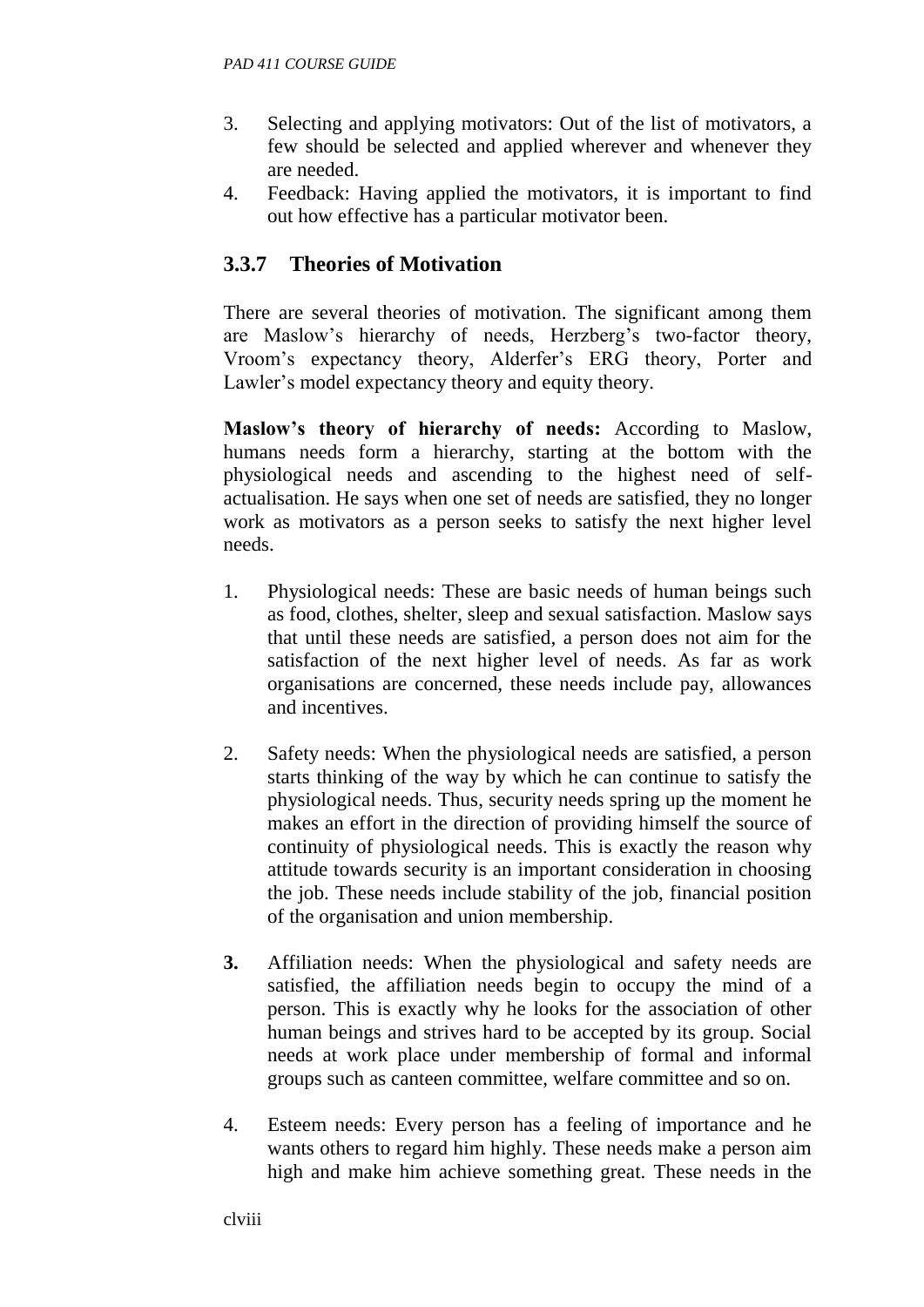- 3. Selecting and applying motivators: Out of the list of motivators, a few should be selected and applied wherever and whenever they are needed.
- 4. Feedback: Having applied the motivators, it is important to find out how effective has a particular motivator been.

# **3.3.7 Theories of Motivation**

There are several theories of motivation. The significant among them are Maslow"s hierarchy of needs, Herzberg"s two-factor theory, Vroom"s expectancy theory, Alderfer"s ERG theory, Porter and Lawler's model expectancy theory and equity theory.

**Maslow's theory of hierarchy of needs:** According to Maslow, humans needs form a hierarchy, starting at the bottom with the physiological needs and ascending to the highest need of selfactualisation. He says when one set of needs are satisfied, they no longer work as motivators as a person seeks to satisfy the next higher level needs.

- 1. Physiological needs: These are basic needs of human beings such as food, clothes, shelter, sleep and sexual satisfaction. Maslow says that until these needs are satisfied, a person does not aim for the satisfaction of the next higher level of needs. As far as work organisations are concerned, these needs include pay, allowances and incentives.
- 2. Safety needs: When the physiological needs are satisfied, a person starts thinking of the way by which he can continue to satisfy the physiological needs. Thus, security needs spring up the moment he makes an effort in the direction of providing himself the source of continuity of physiological needs. This is exactly the reason why attitude towards security is an important consideration in choosing the job. These needs include stability of the job, financial position of the organisation and union membership.
- **3.** Affiliation needs: When the physiological and safety needs are satisfied, the affiliation needs begin to occupy the mind of a person. This is exactly why he looks for the association of other human beings and strives hard to be accepted by its group. Social needs at work place under membership of formal and informal groups such as canteen committee, welfare committee and so on.
- 4. Esteem needs: Every person has a feeling of importance and he wants others to regard him highly. These needs make a person aim high and make him achieve something great. These needs in the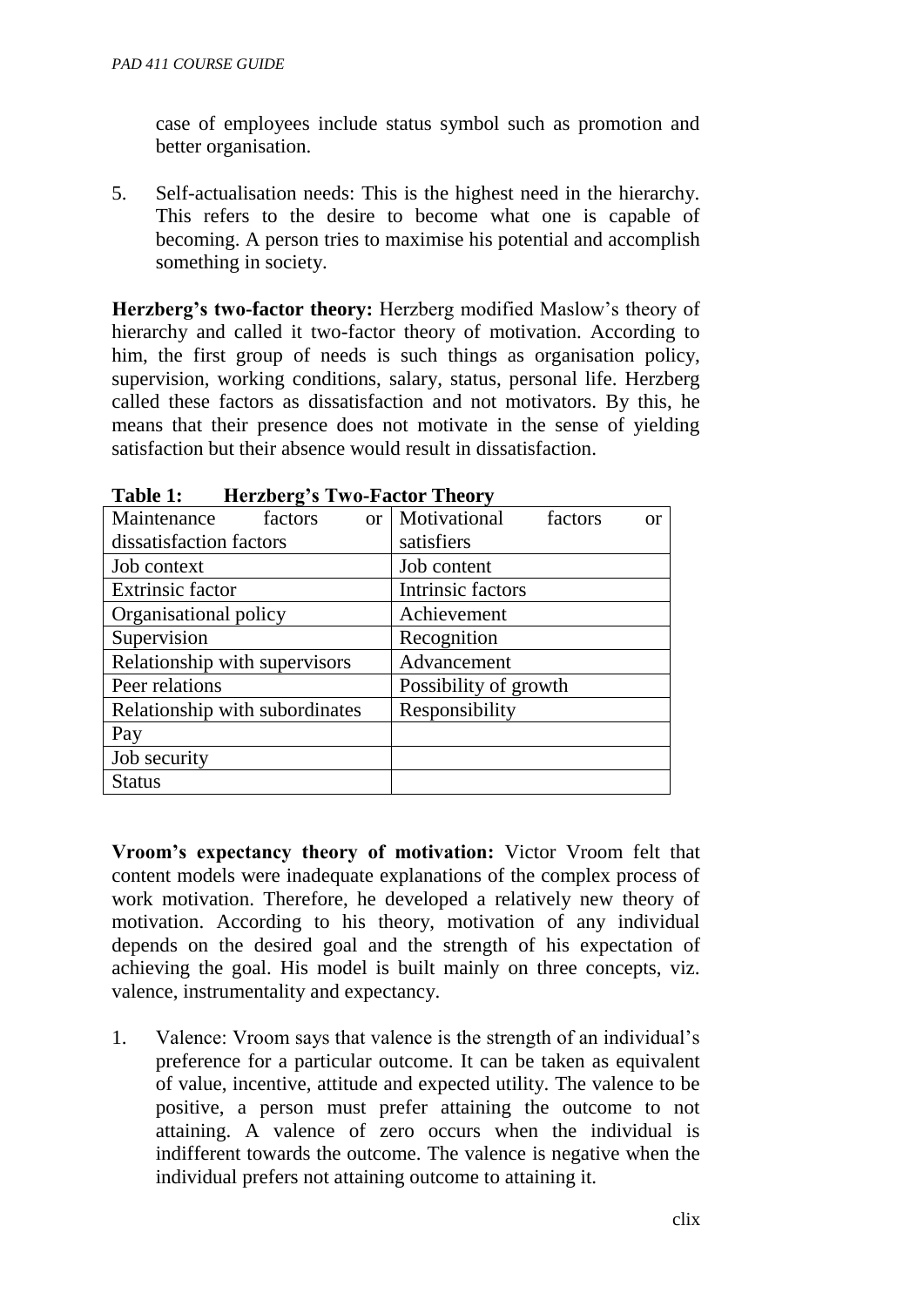case of employees include status symbol such as promotion and better organisation.

5. Self-actualisation needs: This is the highest need in the hierarchy. This refers to the desire to become what one is capable of becoming. A person tries to maximise his potential and accomplish something in society.

Herzberg's two-factor theory: Herzberg modified Maslow's theory of hierarchy and called it two-factor theory of motivation. According to him, the first group of needs is such things as organisation policy, supervision, working conditions, salary, status, personal life. Herzberg called these factors as dissatisfaction and not motivators. By this, he means that their presence does not motivate in the sense of yielding satisfaction but their absence would result in dissatisfaction.

| Maintenance<br>factors<br><sub>or</sub> | Motivational<br>factors<br>$\alpha$ |
|-----------------------------------------|-------------------------------------|
| dissatisfaction factors                 | satisfiers                          |
| Job context                             | Job content                         |
| <b>Extrinsic factor</b>                 | Intrinsic factors                   |
| Organisational policy                   | Achievement                         |
| Supervision                             | Recognition                         |
| Relationship with supervisors           | Advancement                         |
| Peer relations                          | Possibility of growth               |
| Relationship with subordinates          | Responsibility                      |
| Pay                                     |                                     |
| Job security                            |                                     |
| <b>Status</b>                           |                                     |
|                                         |                                     |

**Table 1: Herzberg's Two-Factor Theory**

**Vroom's expectancy theory of motivation:** Victor Vroom felt that content models were inadequate explanations of the complex process of work motivation. Therefore, he developed a relatively new theory of motivation. According to his theory, motivation of any individual depends on the desired goal and the strength of his expectation of achieving the goal. His model is built mainly on three concepts, viz. valence, instrumentality and expectancy.

1. Valence: Vroom says that valence is the strength of an individual"s preference for a particular outcome. It can be taken as equivalent of value, incentive, attitude and expected utility. The valence to be positive, a person must prefer attaining the outcome to not attaining. A valence of zero occurs when the individual is indifferent towards the outcome. The valence is negative when the individual prefers not attaining outcome to attaining it.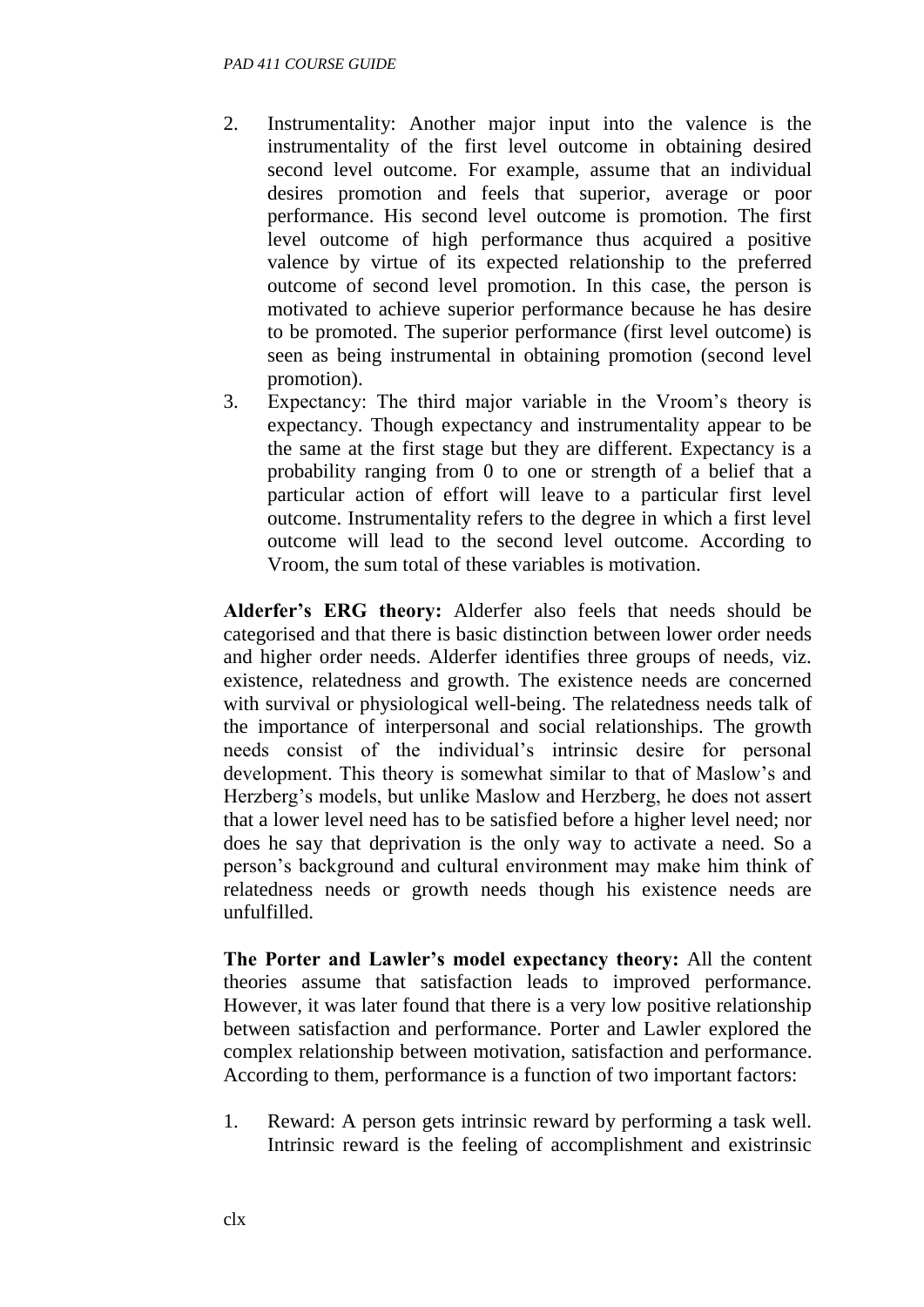- 2. Instrumentality: Another major input into the valence is the instrumentality of the first level outcome in obtaining desired second level outcome. For example, assume that an individual desires promotion and feels that superior, average or poor performance. His second level outcome is promotion. The first level outcome of high performance thus acquired a positive valence by virtue of its expected relationship to the preferred outcome of second level promotion. In this case, the person is motivated to achieve superior performance because he has desire to be promoted. The superior performance (first level outcome) is seen as being instrumental in obtaining promotion (second level promotion).
- 3. Expectancy: The third major variable in the Vroom"s theory is expectancy. Though expectancy and instrumentality appear to be the same at the first stage but they are different. Expectancy is a probability ranging from 0 to one or strength of a belief that a particular action of effort will leave to a particular first level outcome. Instrumentality refers to the degree in which a first level outcome will lead to the second level outcome. According to Vroom, the sum total of these variables is motivation.

**Alderfer's ERG theory:** Alderfer also feels that needs should be categorised and that there is basic distinction between lower order needs and higher order needs. Alderfer identifies three groups of needs, viz. existence, relatedness and growth. The existence needs are concerned with survival or physiological well-being. The relatedness needs talk of the importance of interpersonal and social relationships. The growth needs consist of the individual"s intrinsic desire for personal development. This theory is somewhat similar to that of Maslow"s and Herzberg"s models, but unlike Maslow and Herzberg, he does not assert that a lower level need has to be satisfied before a higher level need; nor does he say that deprivation is the only way to activate a need. So a person"s background and cultural environment may make him think of relatedness needs or growth needs though his existence needs are unfulfilled.

**The Porter and Lawler's model expectancy theory:** All the content theories assume that satisfaction leads to improved performance. However, it was later found that there is a very low positive relationship between satisfaction and performance. Porter and Lawler explored the complex relationship between motivation, satisfaction and performance. According to them, performance is a function of two important factors:

1. Reward: A person gets intrinsic reward by performing a task well. Intrinsic reward is the feeling of accomplishment and existrinsic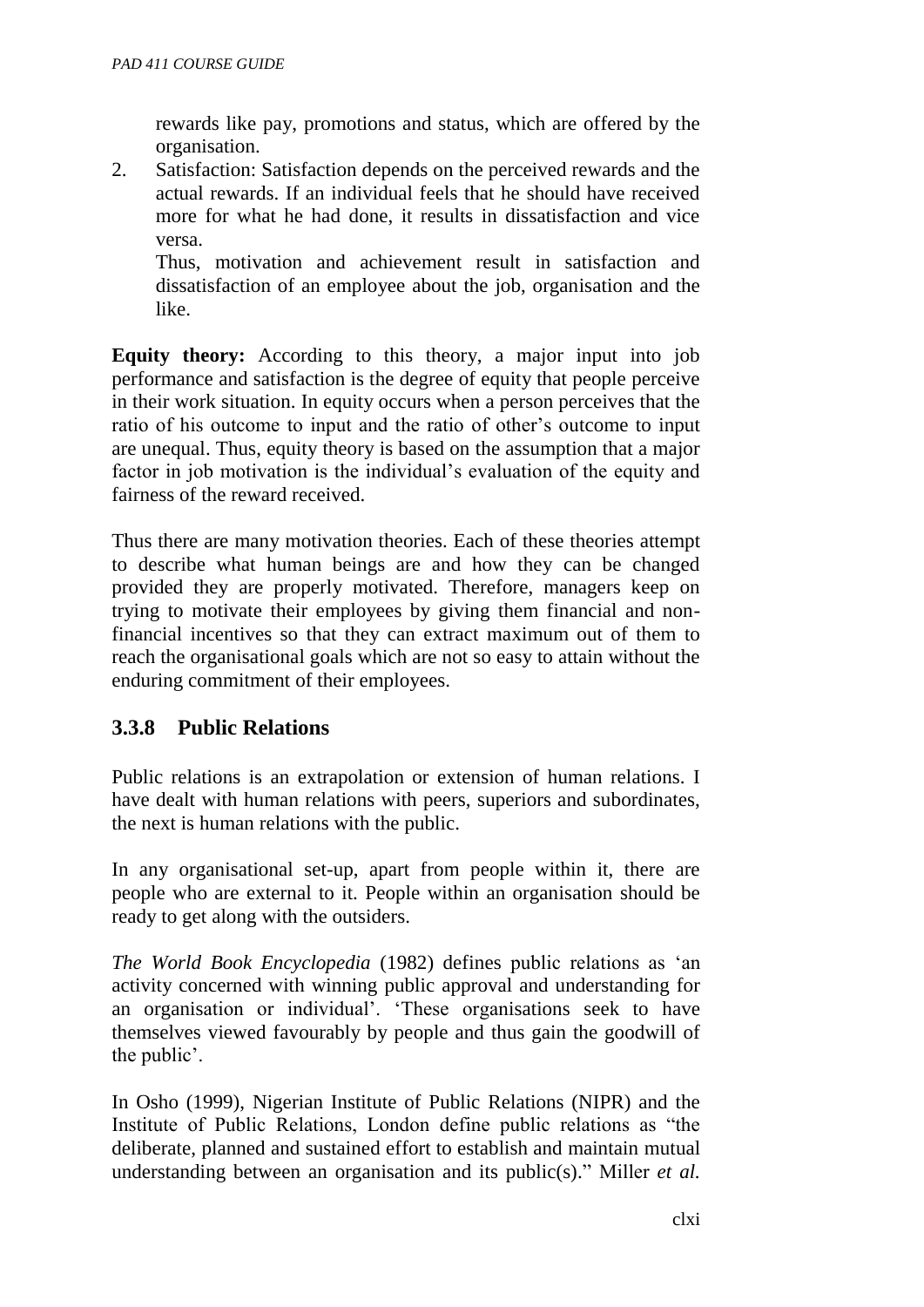rewards like pay, promotions and status, which are offered by the organisation.

2. Satisfaction: Satisfaction depends on the perceived rewards and the actual rewards. If an individual feels that he should have received more for what he had done, it results in dissatisfaction and vice versa.

Thus, motivation and achievement result in satisfaction and dissatisfaction of an employee about the job, organisation and the like.

**Equity theory:** According to this theory, a major input into job performance and satisfaction is the degree of equity that people perceive in their work situation. In equity occurs when a person perceives that the ratio of his outcome to input and the ratio of other"s outcome to input are unequal. Thus, equity theory is based on the assumption that a major factor in job motivation is the individual's evaluation of the equity and fairness of the reward received.

Thus there are many motivation theories. Each of these theories attempt to describe what human beings are and how they can be changed provided they are properly motivated. Therefore, managers keep on trying to motivate their employees by giving them financial and nonfinancial incentives so that they can extract maximum out of them to reach the organisational goals which are not so easy to attain without the enduring commitment of their employees.

#### **3.3.8 Public Relations**

Public relations is an extrapolation or extension of human relations. I have dealt with human relations with peers, superiors and subordinates, the next is human relations with the public.

In any organisational set-up, apart from people within it, there are people who are external to it. People within an organisation should be ready to get along with the outsiders.

*The World Book Encyclopedia* (1982) defines public relations as "an activity concerned with winning public approval and understanding for an organisation or individual". "These organisations seek to have themselves viewed favourably by people and thus gain the goodwill of the public'.

In Osho (1999), Nigerian Institute of Public Relations (NIPR) and the Institute of Public Relations, London define public relations as "the deliberate, planned and sustained effort to establish and maintain mutual understanding between an organisation and its public(s)." Miller *et al.*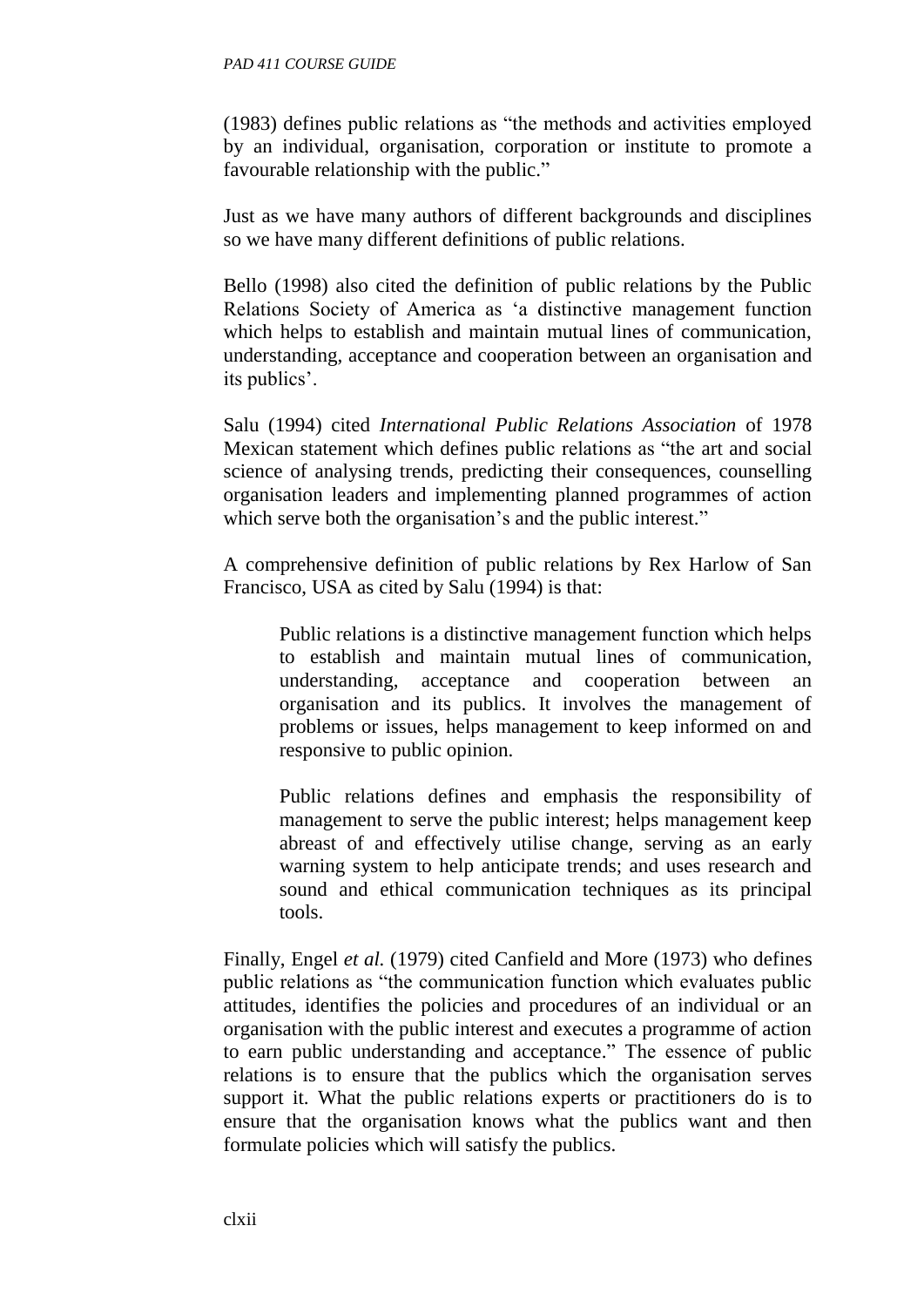(1983) defines public relations as "the methods and activities employed by an individual, organisation, corporation or institute to promote a favourable relationship with the public."

Just as we have many authors of different backgrounds and disciplines so we have many different definitions of public relations.

Bello (1998) also cited the definition of public relations by the Public Relations Society of America as "a distinctive management function which helps to establish and maintain mutual lines of communication, understanding, acceptance and cooperation between an organisation and its publics'.

Salu (1994) cited *International Public Relations Association* of 1978 Mexican statement which defines public relations as "the art and social science of analysing trends, predicting their consequences, counselling organisation leaders and implementing planned programmes of action which serve both the organisation's and the public interest."

A comprehensive definition of public relations by Rex Harlow of San Francisco, USA as cited by Salu (1994) is that:

Public relations is a distinctive management function which helps to establish and maintain mutual lines of communication, understanding, acceptance and cooperation between an organisation and its publics. It involves the management of problems or issues, helps management to keep informed on and responsive to public opinion.

Public relations defines and emphasis the responsibility of management to serve the public interest; helps management keep abreast of and effectively utilise change, serving as an early warning system to help anticipate trends; and uses research and sound and ethical communication techniques as its principal tools.

Finally, Engel *et al.* (1979) cited Canfield and More (1973) who defines public relations as "the communication function which evaluates public attitudes, identifies the policies and procedures of an individual or an organisation with the public interest and executes a programme of action to earn public understanding and acceptance." The essence of public relations is to ensure that the publics which the organisation serves support it. What the public relations experts or practitioners do is to ensure that the organisation knows what the publics want and then formulate policies which will satisfy the publics.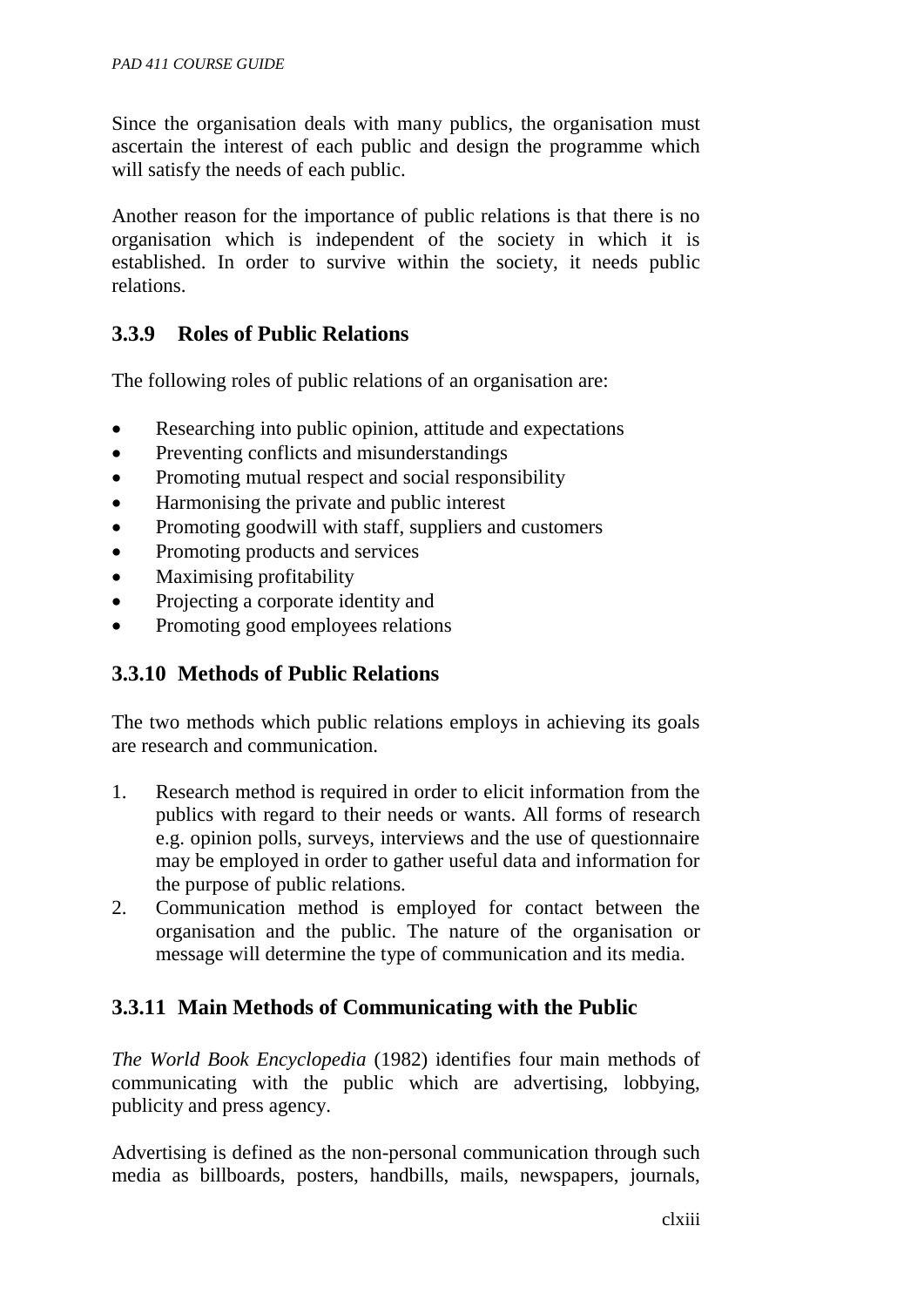Since the organisation deals with many publics, the organisation must ascertain the interest of each public and design the programme which will satisfy the needs of each public.

Another reason for the importance of public relations is that there is no organisation which is independent of the society in which it is established. In order to survive within the society, it needs public relations.

### **3.3.9 Roles of Public Relations**

The following roles of public relations of an organisation are:

- Researching into public opinion, attitude and expectations
- Preventing conflicts and misunderstandings
- Promoting mutual respect and social responsibility
- Harmonising the private and public interest
- Promoting goodwill with staff, suppliers and customers
- Promoting products and services
- Maximising profitability
- Projecting a corporate identity and
- Promoting good employees relations

#### **3.3.10 Methods of Public Relations**

The two methods which public relations employs in achieving its goals are research and communication.

- 1. Research method is required in order to elicit information from the publics with regard to their needs or wants. All forms of research e.g. opinion polls, surveys, interviews and the use of questionnaire may be employed in order to gather useful data and information for the purpose of public relations.
- 2. Communication method is employed for contact between the organisation and the public. The nature of the organisation or message will determine the type of communication and its media.

# **3.3.11 Main Methods of Communicating with the Public**

*The World Book Encyclopedia* (1982) identifies four main methods of communicating with the public which are advertising, lobbying, publicity and press agency.

Advertising is defined as the non-personal communication through such media as billboards, posters, handbills, mails, newspapers, journals,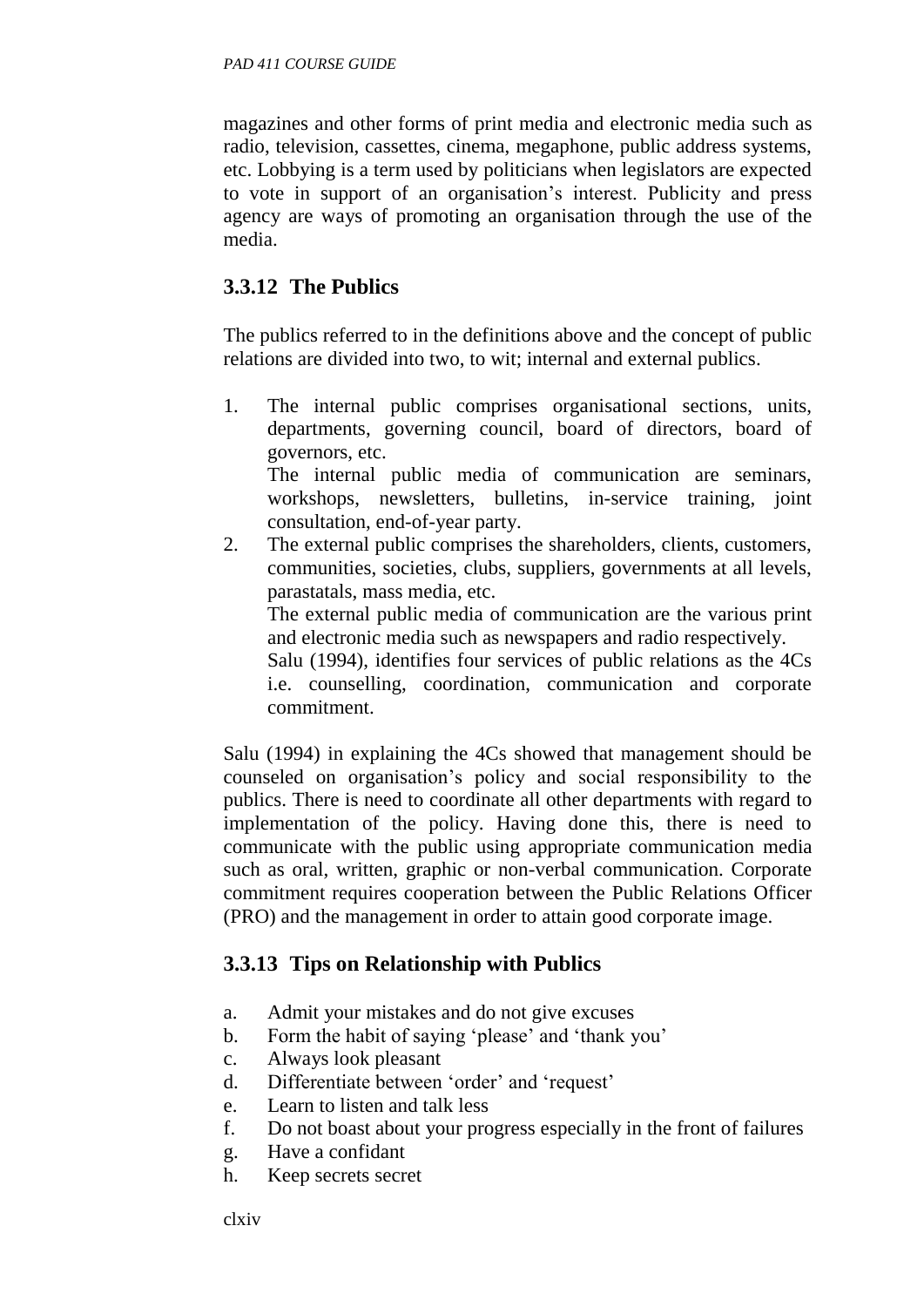magazines and other forms of print media and electronic media such as radio, television, cassettes, cinema, megaphone, public address systems, etc. Lobbying is a term used by politicians when legislators are expected to vote in support of an organisation"s interest. Publicity and press agency are ways of promoting an organisation through the use of the media.

### **3.3.12 The Publics**

The publics referred to in the definitions above and the concept of public relations are divided into two, to wit; internal and external publics.

1. The internal public comprises organisational sections, units, departments, governing council, board of directors, board of governors, etc.

The internal public media of communication are seminars, workshops, newsletters, bulletins, in-service training, joint consultation, end-of-year party.

2. The external public comprises the shareholders, clients, customers, communities, societies, clubs, suppliers, governments at all levels, parastatals, mass media, etc. The external public media of communication are the various print

and electronic media such as newspapers and radio respectively.

Salu (1994), identifies four services of public relations as the 4Cs i.e. counselling, coordination, communication and corporate commitment.

Salu (1994) in explaining the 4Cs showed that management should be counseled on organisation"s policy and social responsibility to the publics. There is need to coordinate all other departments with regard to implementation of the policy. Having done this, there is need to communicate with the public using appropriate communication media such as oral, written, graphic or non-verbal communication. Corporate commitment requires cooperation between the Public Relations Officer (PRO) and the management in order to attain good corporate image.

# **3.3.13 Tips on Relationship with Publics**

- a. Admit your mistakes and do not give excuses
- b. Form the habit of saying 'please' and 'thank you'
- c. Always look pleasant
- d. Differentiate between "order" and "request"
- e. Learn to listen and talk less
- f. Do not boast about your progress especially in the front of failures
- g. Have a confidant
- h. Keep secrets secret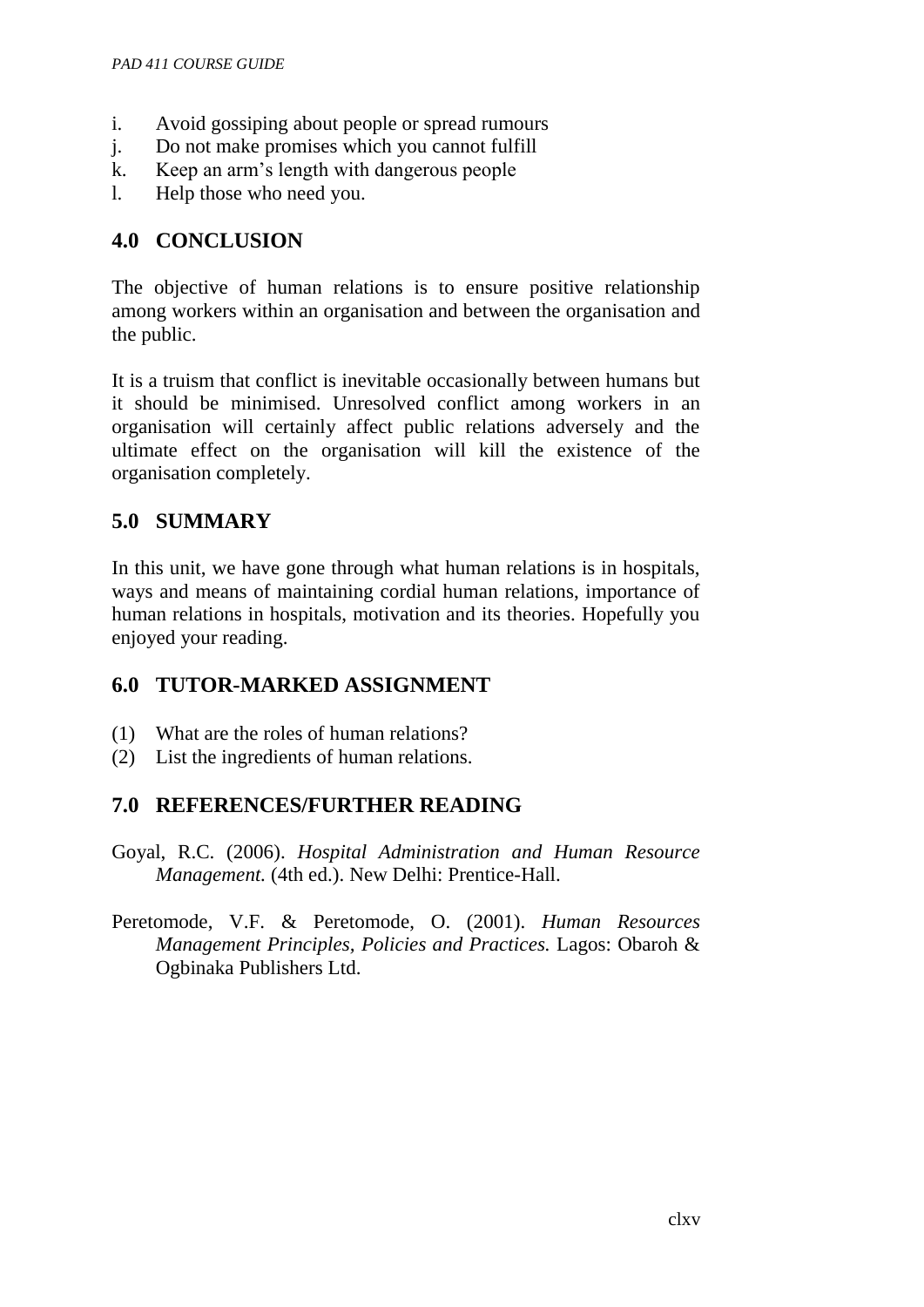- i. Avoid gossiping about people or spread rumours
- j. Do not make promises which you cannot fulfill
- k. Keep an arm"s length with dangerous people
- l. Help those who need you.

# **4.0 CONCLUSION**

The objective of human relations is to ensure positive relationship among workers within an organisation and between the organisation and the public.

It is a truism that conflict is inevitable occasionally between humans but it should be minimised. Unresolved conflict among workers in an organisation will certainly affect public relations adversely and the ultimate effect on the organisation will kill the existence of the organisation completely.

# **5.0 SUMMARY**

In this unit, we have gone through what human relations is in hospitals, ways and means of maintaining cordial human relations, importance of human relations in hospitals, motivation and its theories. Hopefully you enjoyed your reading.

# **6.0 TUTOR-MARKED ASSIGNMENT**

- (1) What are the roles of human relations?
- (2) List the ingredients of human relations.

# **7.0 REFERENCES/FURTHER READING**

- Goyal, R.C. (2006). *Hospital Administration and Human Resource Management.* (4th ed.). New Delhi: Prentice-Hall.
- Peretomode, V.F. & Peretomode, O. (2001). *Human Resources Management Principles, Policies and Practices.* Lagos: Obaroh & Ogbinaka Publishers Ltd.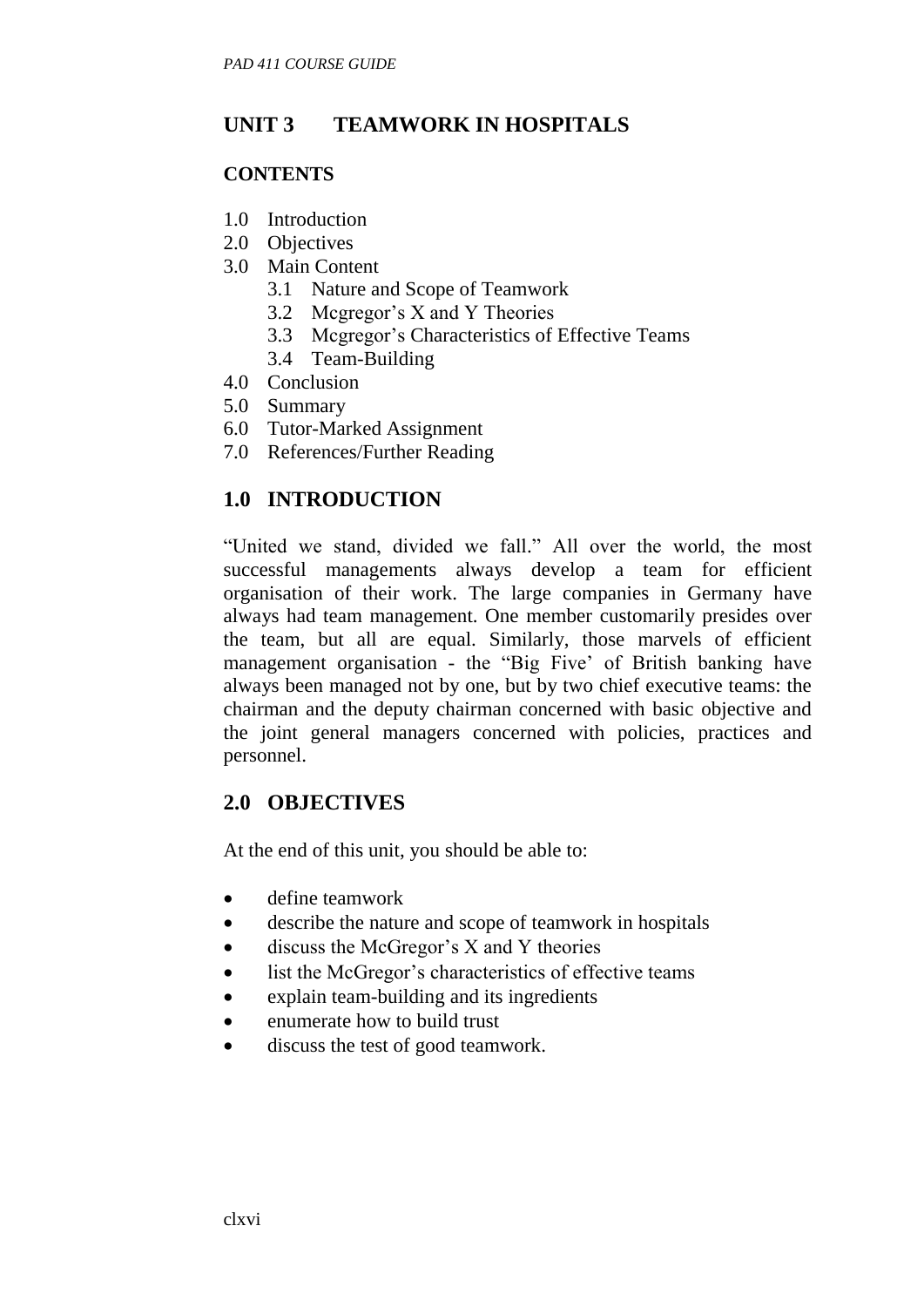### **UNIT 3 TEAMWORK IN HOSPITALS**

#### **CONTENTS**

- 1.0 Introduction
- 2.0 Objectives
- 3.0 Main Content
	- 3.1 Nature and Scope of Teamwork
	- 3.2 Mcgregor"s X and Y Theories
	- 3.3 Mcgregor"s Characteristics of Effective Teams
	- 3.4 Team-Building
- 4.0 Conclusion
- 5.0 Summary
- 6.0 Tutor-Marked Assignment
- 7.0 References/Further Reading

# **1.0 INTRODUCTION**

"United we stand, divided we fall." All over the world, the most successful managements always develop a team for efficient organisation of their work. The large companies in Germany have always had team management. One member customarily presides over the team, but all are equal. Similarly, those marvels of efficient management organisation - the "Big Five" of British banking have always been managed not by one, but by two chief executive teams: the chairman and the deputy chairman concerned with basic objective and the joint general managers concerned with policies, practices and personnel.

# **2.0 OBJECTIVES**

At the end of this unit, you should be able to:

- define teamwork
- describe the nature and scope of teamwork in hospitals
- discuss the McGregor's X and Y theories
- list the McGregor's characteristics of effective teams
- explain team-building and its ingredients
- enumerate how to build trust
- discuss the test of good teamwork.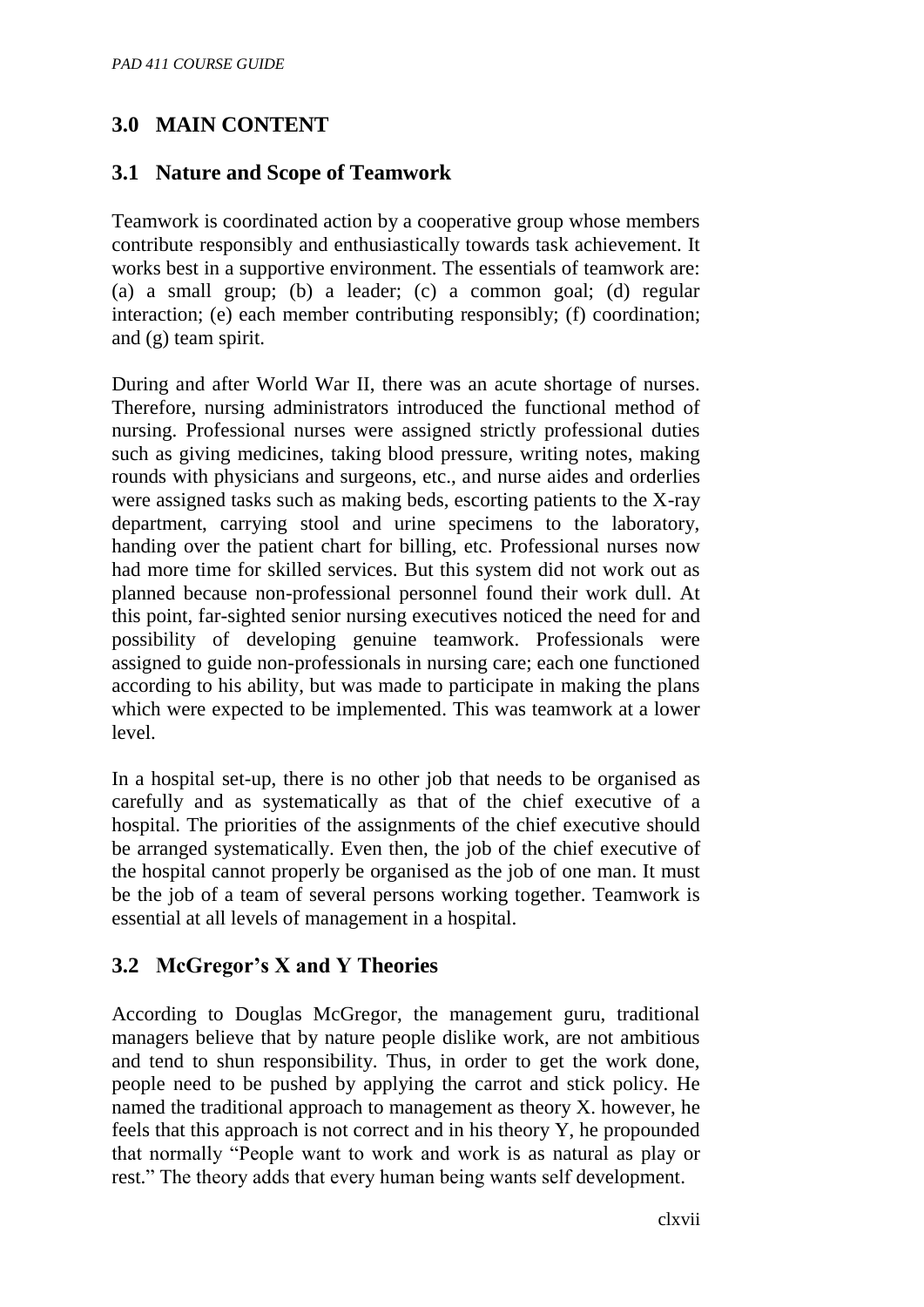# **3.0 MAIN CONTENT**

### **3.1 Nature and Scope of Teamwork**

Teamwork is coordinated action by a cooperative group whose members contribute responsibly and enthusiastically towards task achievement. It works best in a supportive environment. The essentials of teamwork are: (a) a small group; (b) a leader; (c) a common goal; (d) regular interaction; (e) each member contributing responsibly; (f) coordination; and (g) team spirit.

During and after World War II, there was an acute shortage of nurses. Therefore, nursing administrators introduced the functional method of nursing. Professional nurses were assigned strictly professional duties such as giving medicines, taking blood pressure, writing notes, making rounds with physicians and surgeons, etc., and nurse aides and orderlies were assigned tasks such as making beds, escorting patients to the X-ray department, carrying stool and urine specimens to the laboratory, handing over the patient chart for billing, etc. Professional nurses now had more time for skilled services. But this system did not work out as planned because non-professional personnel found their work dull. At this point, far-sighted senior nursing executives noticed the need for and possibility of developing genuine teamwork. Professionals were assigned to guide non-professionals in nursing care; each one functioned according to his ability, but was made to participate in making the plans which were expected to be implemented. This was teamwork at a lower level.

In a hospital set-up, there is no other job that needs to be organised as carefully and as systematically as that of the chief executive of a hospital. The priorities of the assignments of the chief executive should be arranged systematically. Even then, the job of the chief executive of the hospital cannot properly be organised as the job of one man. It must be the job of a team of several persons working together. Teamwork is essential at all levels of management in a hospital.

# **3.2 McGregor's X and Y Theories**

According to Douglas McGregor, the management guru, traditional managers believe that by nature people dislike work, are not ambitious and tend to shun responsibility. Thus, in order to get the work done, people need to be pushed by applying the carrot and stick policy. He named the traditional approach to management as theory X. however, he feels that this approach is not correct and in his theory Y, he propounded that normally "People want to work and work is as natural as play or rest." The theory adds that every human being wants self development.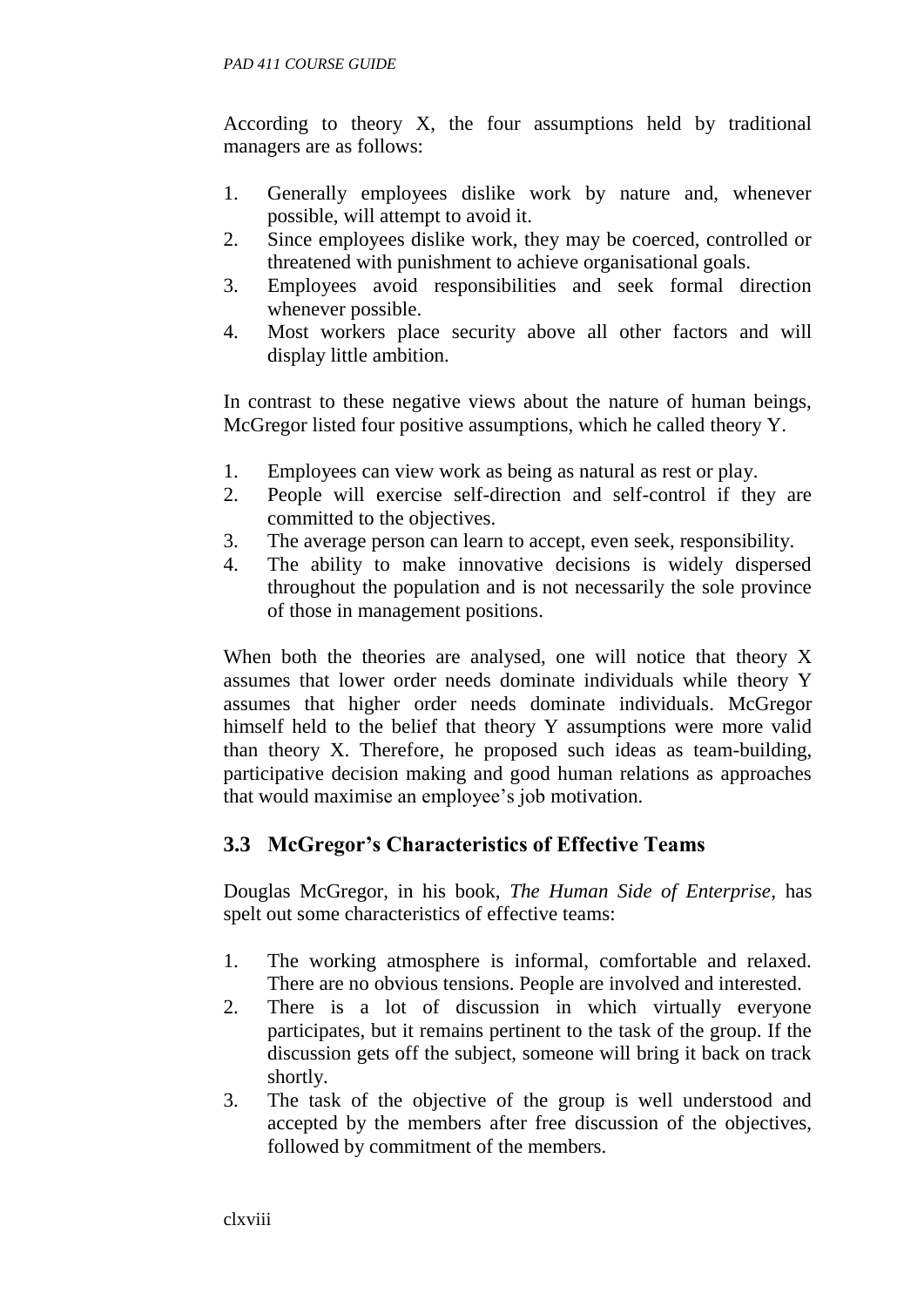According to theory X, the four assumptions held by traditional managers are as follows:

- 1. Generally employees dislike work by nature and, whenever possible, will attempt to avoid it.
- 2. Since employees dislike work, they may be coerced, controlled or threatened with punishment to achieve organisational goals.
- 3. Employees avoid responsibilities and seek formal direction whenever possible.
- 4. Most workers place security above all other factors and will display little ambition.

In contrast to these negative views about the nature of human beings, McGregor listed four positive assumptions, which he called theory Y.

- 1. Employees can view work as being as natural as rest or play.
- 2. People will exercise self-direction and self-control if they are committed to the objectives.
- 3. The average person can learn to accept, even seek, responsibility.
- 4. The ability to make innovative decisions is widely dispersed throughout the population and is not necessarily the sole province of those in management positions.

When both the theories are analysed, one will notice that theory X assumes that lower order needs dominate individuals while theory Y assumes that higher order needs dominate individuals. McGregor himself held to the belief that theory Y assumptions were more valid than theory X. Therefore, he proposed such ideas as team-building, participative decision making and good human relations as approaches that would maximise an employee"s job motivation.

#### **3.3 McGregor's Characteristics of Effective Teams**

Douglas McGregor, in his book, *The Human Side of Enterprise*, has spelt out some characteristics of effective teams:

- 1. The working atmosphere is informal, comfortable and relaxed. There are no obvious tensions. People are involved and interested.
- 2. There is a lot of discussion in which virtually everyone participates, but it remains pertinent to the task of the group. If the discussion gets off the subject, someone will bring it back on track shortly.
- 3. The task of the objective of the group is well understood and accepted by the members after free discussion of the objectives, followed by commitment of the members.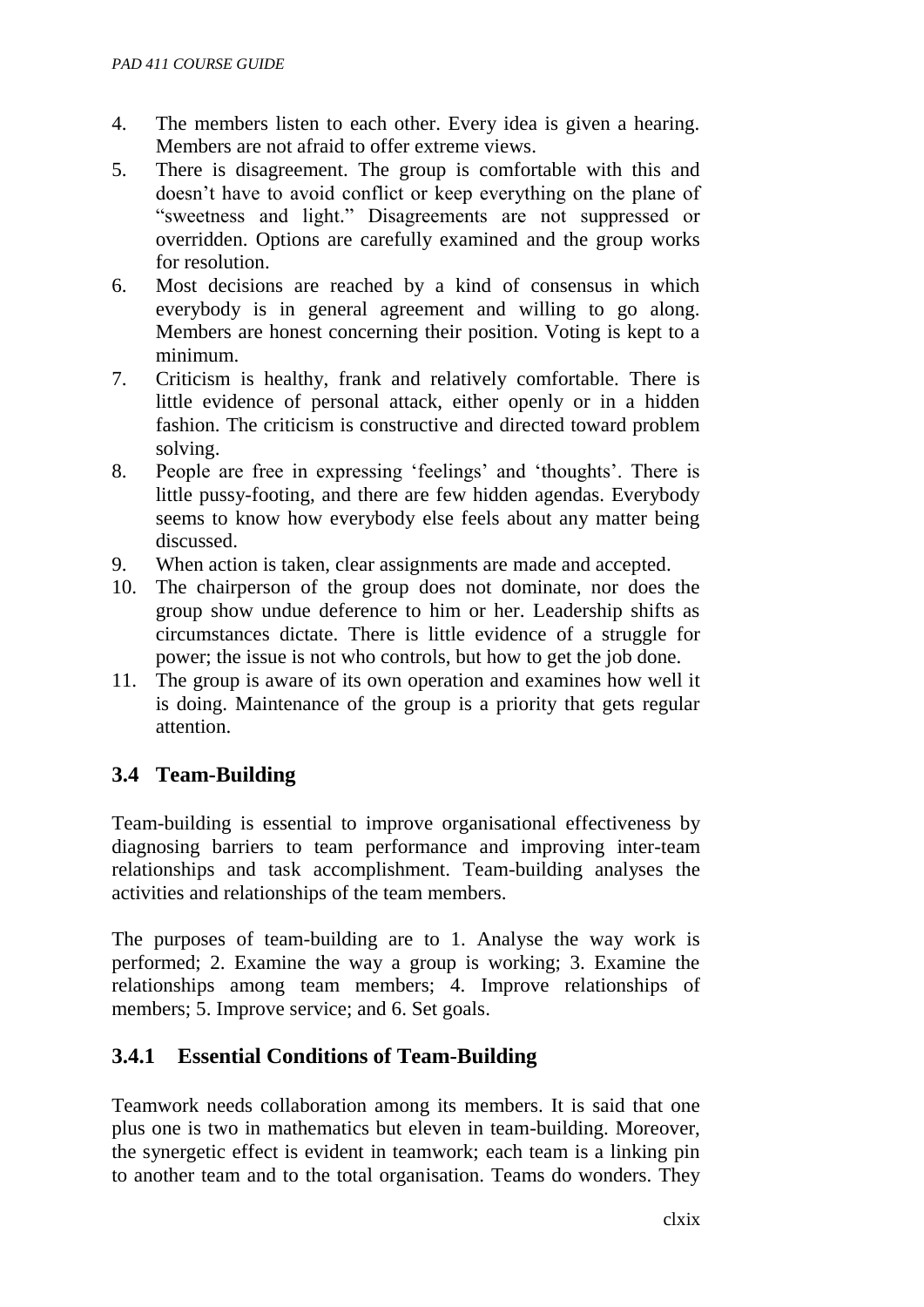- 4. The members listen to each other. Every idea is given a hearing. Members are not afraid to offer extreme views.
- 5. There is disagreement. The group is comfortable with this and doesn"t have to avoid conflict or keep everything on the plane of "sweetness and light." Disagreements are not suppressed or overridden. Options are carefully examined and the group works for resolution.
- 6. Most decisions are reached by a kind of consensus in which everybody is in general agreement and willing to go along. Members are honest concerning their position. Voting is kept to a minimum.
- 7. Criticism is healthy, frank and relatively comfortable. There is little evidence of personal attack, either openly or in a hidden fashion. The criticism is constructive and directed toward problem solving.
- 8. People are free in expressing 'feelings' and 'thoughts'. There is little pussy-footing, and there are few hidden agendas. Everybody seems to know how everybody else feels about any matter being discussed.
- 9. When action is taken, clear assignments are made and accepted.
- 10. The chairperson of the group does not dominate, nor does the group show undue deference to him or her. Leadership shifts as circumstances dictate. There is little evidence of a struggle for power; the issue is not who controls, but how to get the job done.
- 11. The group is aware of its own operation and examines how well it is doing. Maintenance of the group is a priority that gets regular attention.

# **3.4 Team-Building**

Team-building is essential to improve organisational effectiveness by diagnosing barriers to team performance and improving inter-team relationships and task accomplishment. Team-building analyses the activities and relationships of the team members.

The purposes of team-building are to 1. Analyse the way work is performed; 2. Examine the way a group is working; 3. Examine the relationships among team members; 4. Improve relationships of members; 5. Improve service; and 6. Set goals.

# **3.4.1 Essential Conditions of Team-Building**

Teamwork needs collaboration among its members. It is said that one plus one is two in mathematics but eleven in team-building. Moreover, the synergetic effect is evident in teamwork; each team is a linking pin to another team and to the total organisation. Teams do wonders. They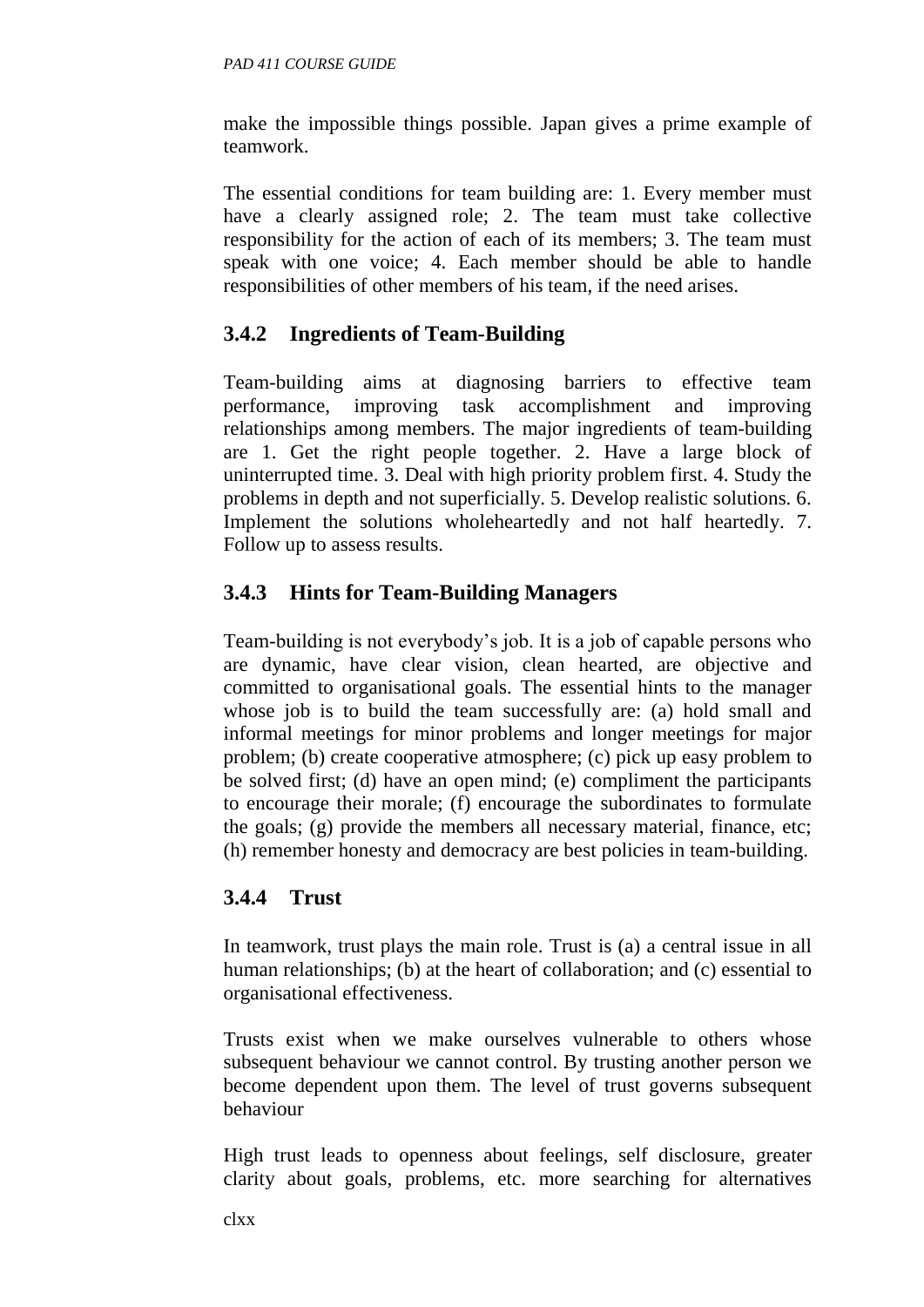make the impossible things possible. Japan gives a prime example of teamwork.

The essential conditions for team building are: 1. Every member must have a clearly assigned role; 2. The team must take collective responsibility for the action of each of its members; 3. The team must speak with one voice; 4. Each member should be able to handle responsibilities of other members of his team, if the need arises.

### **3.4.2 Ingredients of Team-Building**

Team-building aims at diagnosing barriers to effective team performance, improving task accomplishment and improving relationships among members. The major ingredients of team-building are 1. Get the right people together. 2. Have a large block of uninterrupted time. 3. Deal with high priority problem first. 4. Study the problems in depth and not superficially. 5. Develop realistic solutions. 6. Implement the solutions wholeheartedly and not half heartedly. 7. Follow up to assess results.

### **3.4.3 Hints for Team-Building Managers**

Team-building is not everybody"s job. It is a job of capable persons who are dynamic, have clear vision, clean hearted, are objective and committed to organisational goals. The essential hints to the manager whose job is to build the team successfully are: (a) hold small and informal meetings for minor problems and longer meetings for major problem; (b) create cooperative atmosphere; (c) pick up easy problem to be solved first; (d) have an open mind; (e) compliment the participants to encourage their morale; (f) encourage the subordinates to formulate the goals; (g) provide the members all necessary material, finance, etc; (h) remember honesty and democracy are best policies in team-building.

#### **3.4.4 Trust**

In teamwork, trust plays the main role. Trust is (a) a central issue in all human relationships; (b) at the heart of collaboration; and (c) essential to organisational effectiveness.

Trusts exist when we make ourselves vulnerable to others whose subsequent behaviour we cannot control. By trusting another person we become dependent upon them. The level of trust governs subsequent behaviour

High trust leads to openness about feelings, self disclosure, greater clarity about goals, problems, etc. more searching for alternatives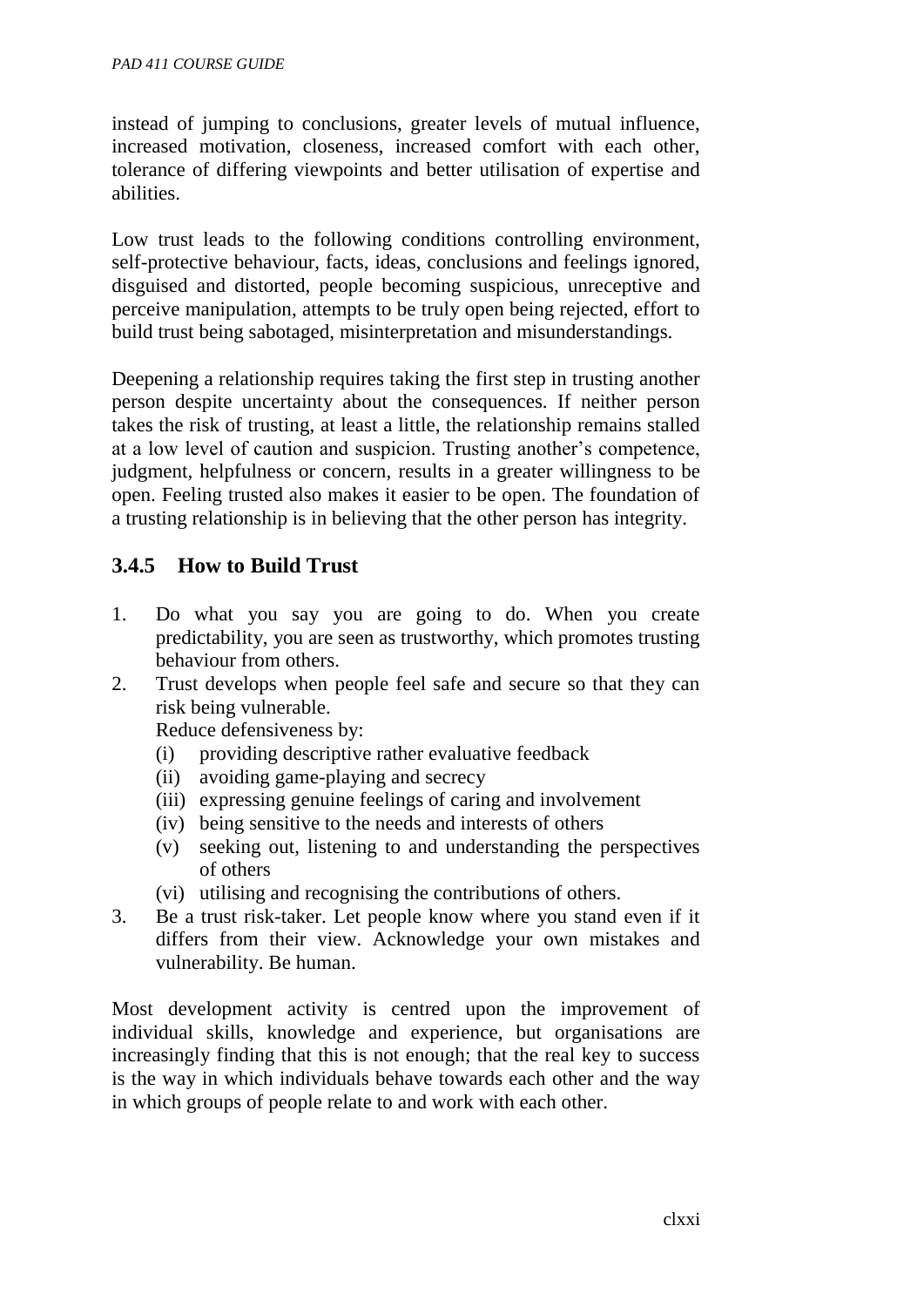instead of jumping to conclusions, greater levels of mutual influence, increased motivation, closeness, increased comfort with each other, tolerance of differing viewpoints and better utilisation of expertise and abilities.

Low trust leads to the following conditions controlling environment, self-protective behaviour, facts, ideas, conclusions and feelings ignored, disguised and distorted, people becoming suspicious, unreceptive and perceive manipulation, attempts to be truly open being rejected, effort to build trust being sabotaged, misinterpretation and misunderstandings.

Deepening a relationship requires taking the first step in trusting another person despite uncertainty about the consequences. If neither person takes the risk of trusting, at least a little, the relationship remains stalled at a low level of caution and suspicion. Trusting another"s competence, judgment, helpfulness or concern, results in a greater willingness to be open. Feeling trusted also makes it easier to be open. The foundation of a trusting relationship is in believing that the other person has integrity.

### **3.4.5 How to Build Trust**

- 1. Do what you say you are going to do. When you create predictability, you are seen as trustworthy, which promotes trusting behaviour from others.
- 2. Trust develops when people feel safe and secure so that they can risk being vulnerable.

Reduce defensiveness by:

- (i) providing descriptive rather evaluative feedback
- (ii) avoiding game-playing and secrecy
- (iii) expressing genuine feelings of caring and involvement
- (iv) being sensitive to the needs and interests of others
- (v) seeking out, listening to and understanding the perspectives of others
- (vi) utilising and recognising the contributions of others.
- 3. Be a trust risk-taker. Let people know where you stand even if it differs from their view. Acknowledge your own mistakes and vulnerability. Be human.

Most development activity is centred upon the improvement of individual skills, knowledge and experience, but organisations are increasingly finding that this is not enough; that the real key to success is the way in which individuals behave towards each other and the way in which groups of people relate to and work with each other.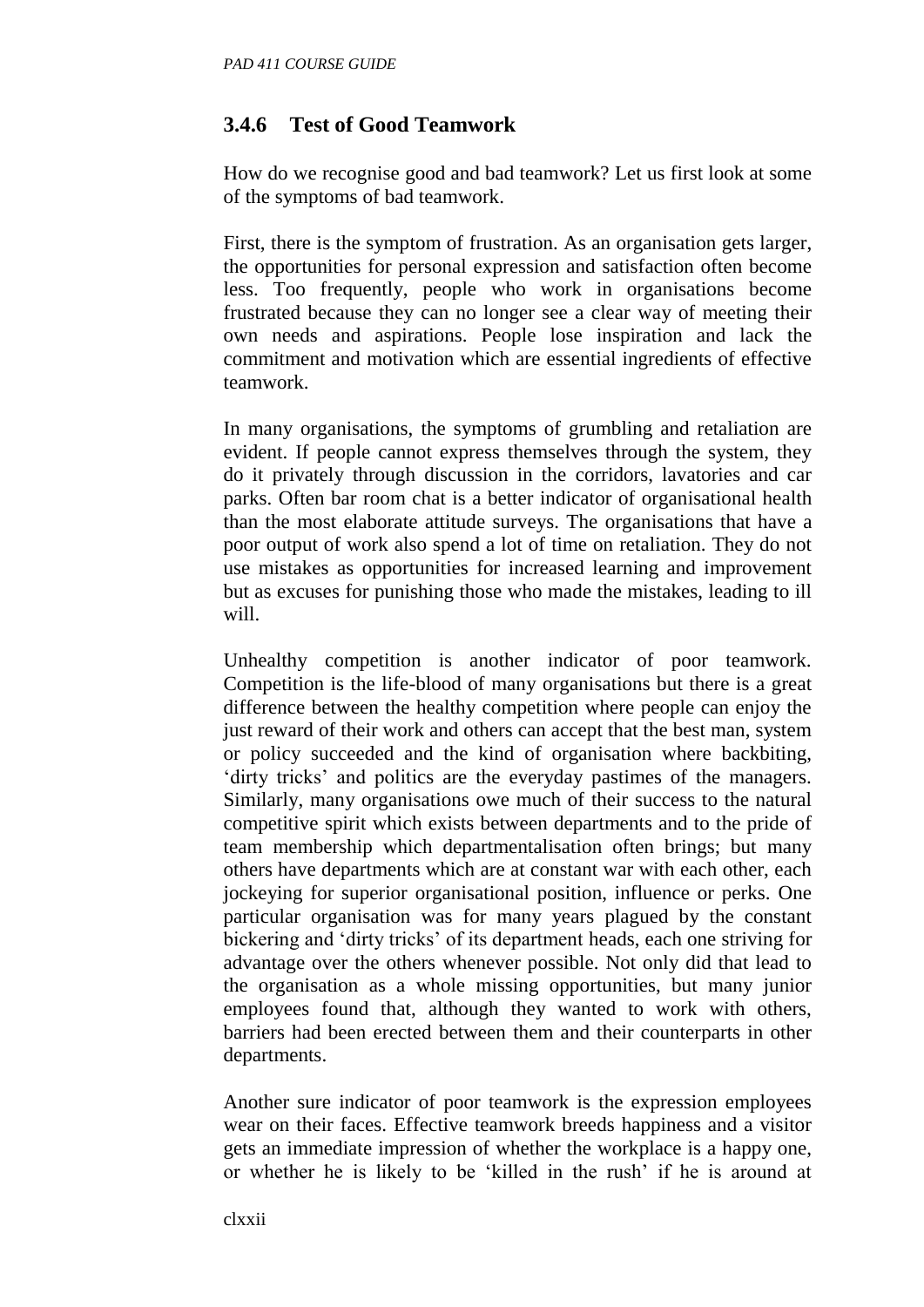# **3.4.6 Test of Good Teamwork**

How do we recognise good and bad teamwork? Let us first look at some of the symptoms of bad teamwork.

First, there is the symptom of frustration. As an organisation gets larger, the opportunities for personal expression and satisfaction often become less. Too frequently, people who work in organisations become frustrated because they can no longer see a clear way of meeting their own needs and aspirations. People lose inspiration and lack the commitment and motivation which are essential ingredients of effective teamwork.

In many organisations, the symptoms of grumbling and retaliation are evident. If people cannot express themselves through the system, they do it privately through discussion in the corridors, lavatories and car parks. Often bar room chat is a better indicator of organisational health than the most elaborate attitude surveys. The organisations that have a poor output of work also spend a lot of time on retaliation. They do not use mistakes as opportunities for increased learning and improvement but as excuses for punishing those who made the mistakes, leading to ill will.

Unhealthy competition is another indicator of poor teamwork. Competition is the life-blood of many organisations but there is a great difference between the healthy competition where people can enjoy the just reward of their work and others can accept that the best man, system or policy succeeded and the kind of organisation where backbiting, "dirty tricks" and politics are the everyday pastimes of the managers. Similarly, many organisations owe much of their success to the natural competitive spirit which exists between departments and to the pride of team membership which departmentalisation often brings; but many others have departments which are at constant war with each other, each jockeying for superior organisational position, influence or perks. One particular organisation was for many years plagued by the constant bickering and "dirty tricks" of its department heads, each one striving for advantage over the others whenever possible. Not only did that lead to the organisation as a whole missing opportunities, but many junior employees found that, although they wanted to work with others, barriers had been erected between them and their counterparts in other departments.

Another sure indicator of poor teamwork is the expression employees wear on their faces. Effective teamwork breeds happiness and a visitor gets an immediate impression of whether the workplace is a happy one, or whether he is likely to be "killed in the rush" if he is around at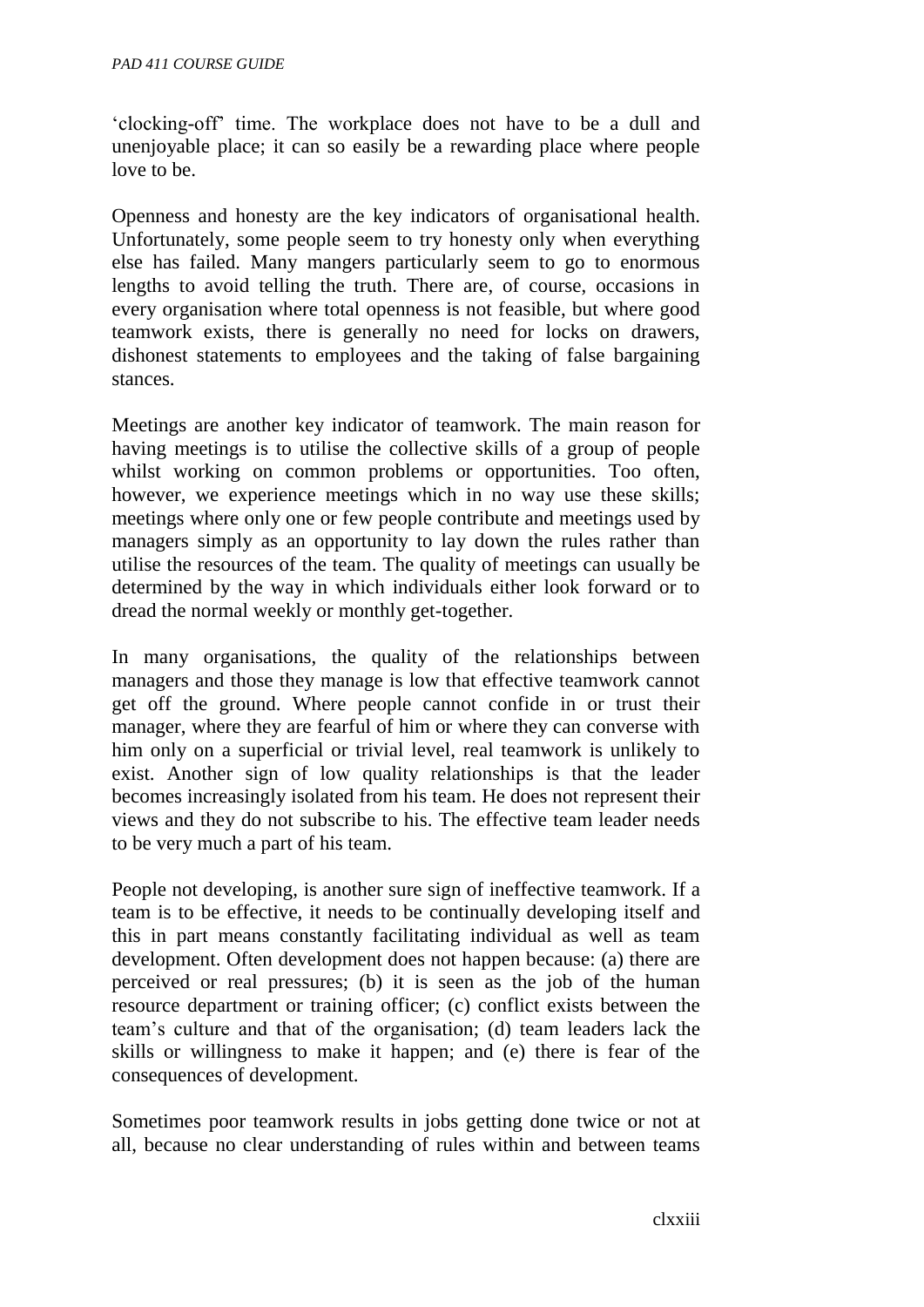"clocking-off" time. The workplace does not have to be a dull and unenjoyable place; it can so easily be a rewarding place where people love to be.

Openness and honesty are the key indicators of organisational health. Unfortunately, some people seem to try honesty only when everything else has failed. Many mangers particularly seem to go to enormous lengths to avoid telling the truth. There are, of course, occasions in every organisation where total openness is not feasible, but where good teamwork exists, there is generally no need for locks on drawers, dishonest statements to employees and the taking of false bargaining stances.

Meetings are another key indicator of teamwork. The main reason for having meetings is to utilise the collective skills of a group of people whilst working on common problems or opportunities. Too often, however, we experience meetings which in no way use these skills; meetings where only one or few people contribute and meetings used by managers simply as an opportunity to lay down the rules rather than utilise the resources of the team. The quality of meetings can usually be determined by the way in which individuals either look forward or to dread the normal weekly or monthly get-together.

In many organisations, the quality of the relationships between managers and those they manage is low that effective teamwork cannot get off the ground. Where people cannot confide in or trust their manager, where they are fearful of him or where they can converse with him only on a superficial or trivial level, real teamwork is unlikely to exist. Another sign of low quality relationships is that the leader becomes increasingly isolated from his team. He does not represent their views and they do not subscribe to his. The effective team leader needs to be very much a part of his team.

People not developing, is another sure sign of ineffective teamwork. If a team is to be effective, it needs to be continually developing itself and this in part means constantly facilitating individual as well as team development. Often development does not happen because: (a) there are perceived or real pressures; (b) it is seen as the job of the human resource department or training officer; (c) conflict exists between the team"s culture and that of the organisation; (d) team leaders lack the skills or willingness to make it happen; and (e) there is fear of the consequences of development.

Sometimes poor teamwork results in jobs getting done twice or not at all, because no clear understanding of rules within and between teams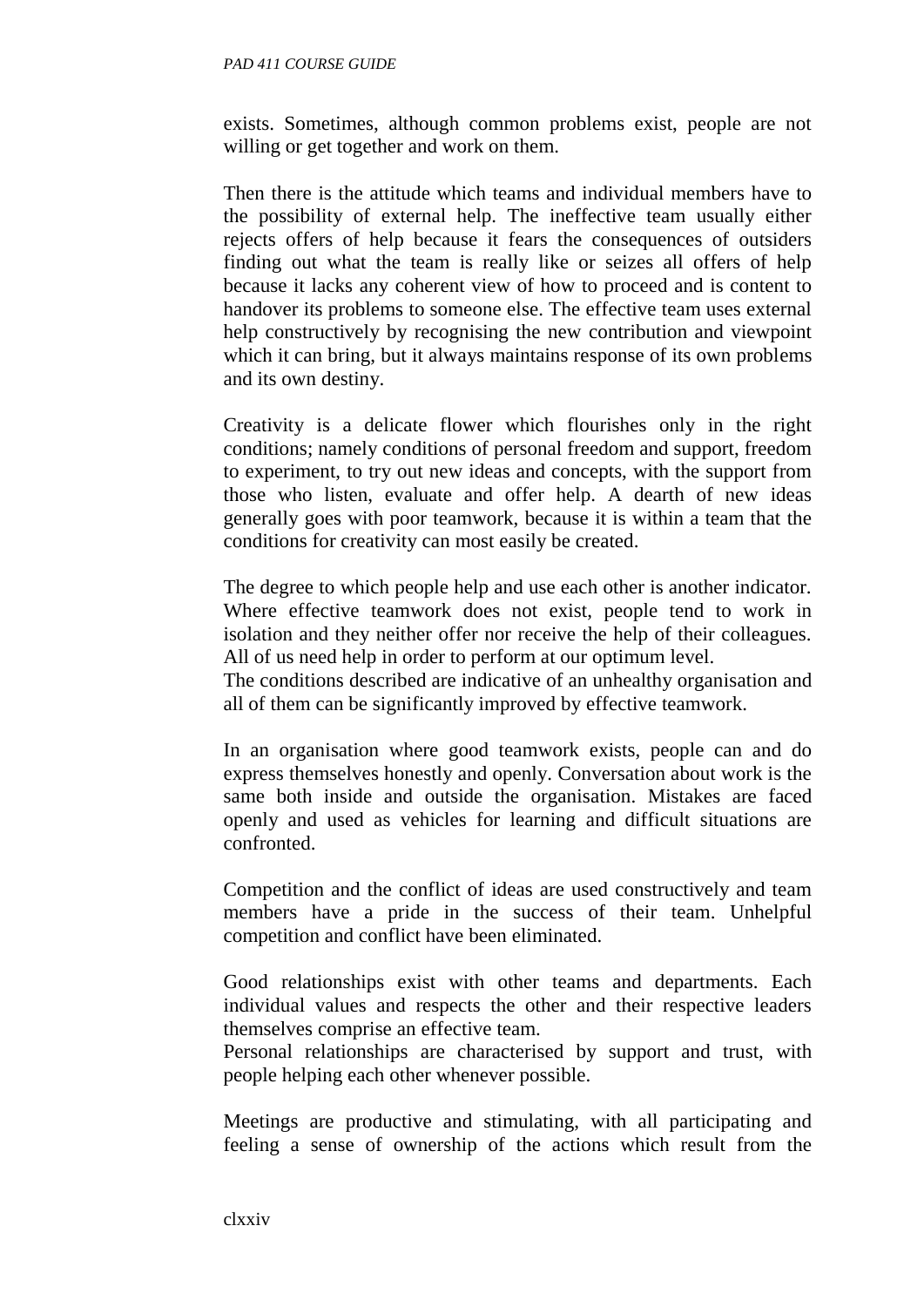#### *PAD 411 COURSE GUIDE*

exists. Sometimes, although common problems exist, people are not willing or get together and work on them.

Then there is the attitude which teams and individual members have to the possibility of external help. The ineffective team usually either rejects offers of help because it fears the consequences of outsiders finding out what the team is really like or seizes all offers of help because it lacks any coherent view of how to proceed and is content to handover its problems to someone else. The effective team uses external help constructively by recognising the new contribution and viewpoint which it can bring, but it always maintains response of its own problems and its own destiny.

Creativity is a delicate flower which flourishes only in the right conditions; namely conditions of personal freedom and support, freedom to experiment, to try out new ideas and concepts, with the support from those who listen, evaluate and offer help. A dearth of new ideas generally goes with poor teamwork, because it is within a team that the conditions for creativity can most easily be created.

The degree to which people help and use each other is another indicator. Where effective teamwork does not exist, people tend to work in isolation and they neither offer nor receive the help of their colleagues. All of us need help in order to perform at our optimum level.

The conditions described are indicative of an unhealthy organisation and all of them can be significantly improved by effective teamwork.

In an organisation where good teamwork exists, people can and do express themselves honestly and openly. Conversation about work is the same both inside and outside the organisation. Mistakes are faced openly and used as vehicles for learning and difficult situations are confronted.

Competition and the conflict of ideas are used constructively and team members have a pride in the success of their team. Unhelpful competition and conflict have been eliminated.

Good relationships exist with other teams and departments. Each individual values and respects the other and their respective leaders themselves comprise an effective team.

Personal relationships are characterised by support and trust, with people helping each other whenever possible.

Meetings are productive and stimulating, with all participating and feeling a sense of ownership of the actions which result from the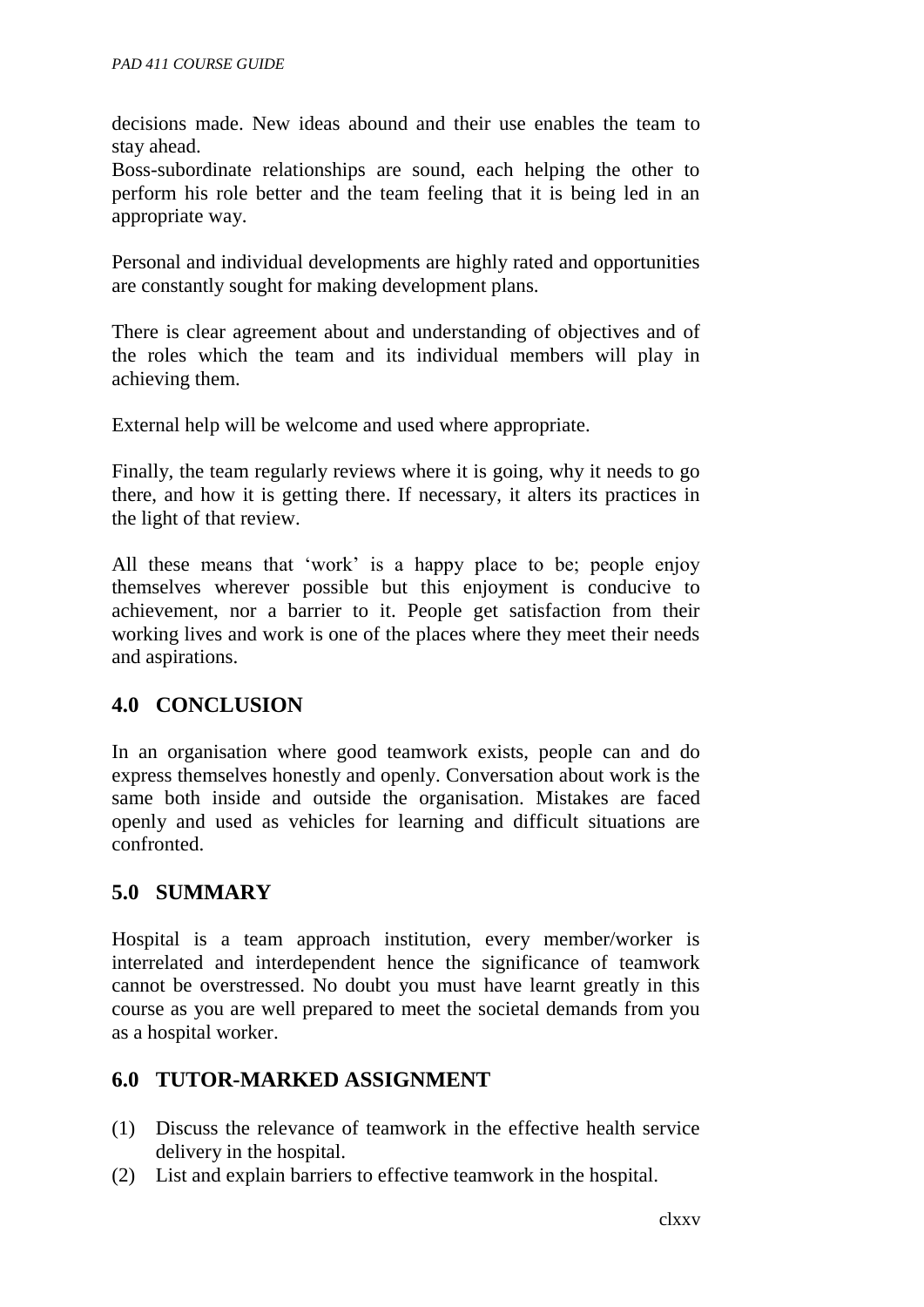decisions made. New ideas abound and their use enables the team to stay ahead.

Boss-subordinate relationships are sound, each helping the other to perform his role better and the team feeling that it is being led in an appropriate way.

Personal and individual developments are highly rated and opportunities are constantly sought for making development plans.

There is clear agreement about and understanding of objectives and of the roles which the team and its individual members will play in achieving them.

External help will be welcome and used where appropriate.

Finally, the team regularly reviews where it is going, why it needs to go there, and how it is getting there. If necessary, it alters its practices in the light of that review.

All these means that "work" is a happy place to be; people enjoy themselves wherever possible but this enjoyment is conducive to achievement, nor a barrier to it. People get satisfaction from their working lives and work is one of the places where they meet their needs and aspirations.

# **4.0 CONCLUSION**

In an organisation where good teamwork exists, people can and do express themselves honestly and openly. Conversation about work is the same both inside and outside the organisation. Mistakes are faced openly and used as vehicles for learning and difficult situations are confronted.

# **5.0 SUMMARY**

Hospital is a team approach institution, every member/worker is interrelated and interdependent hence the significance of teamwork cannot be overstressed. No doubt you must have learnt greatly in this course as you are well prepared to meet the societal demands from you as a hospital worker.

#### **6.0 TUTOR-MARKED ASSIGNMENT**

- (1) Discuss the relevance of teamwork in the effective health service delivery in the hospital.
- (2) List and explain barriers to effective teamwork in the hospital.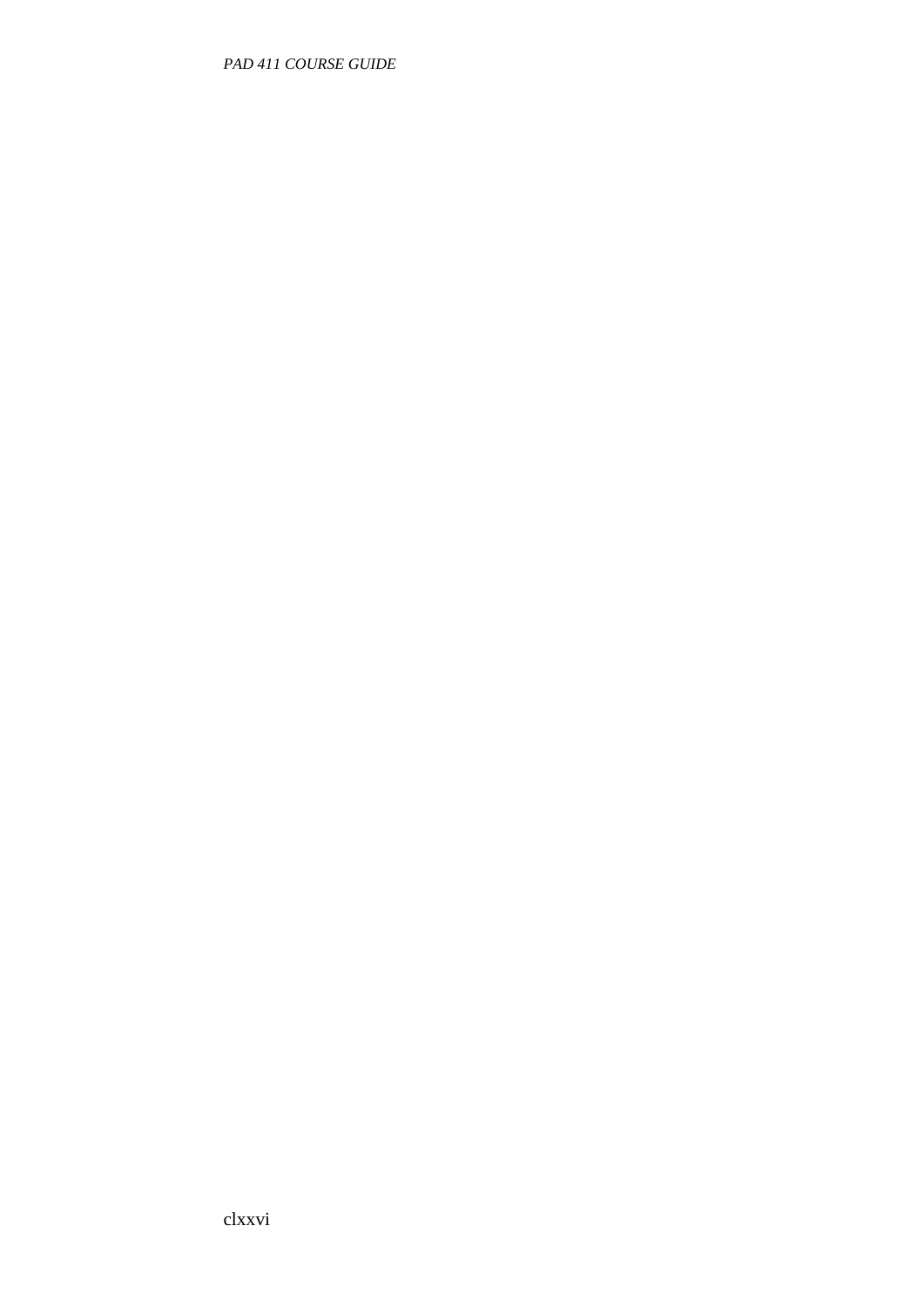#### *PAD 411 COURSE GUIDE*